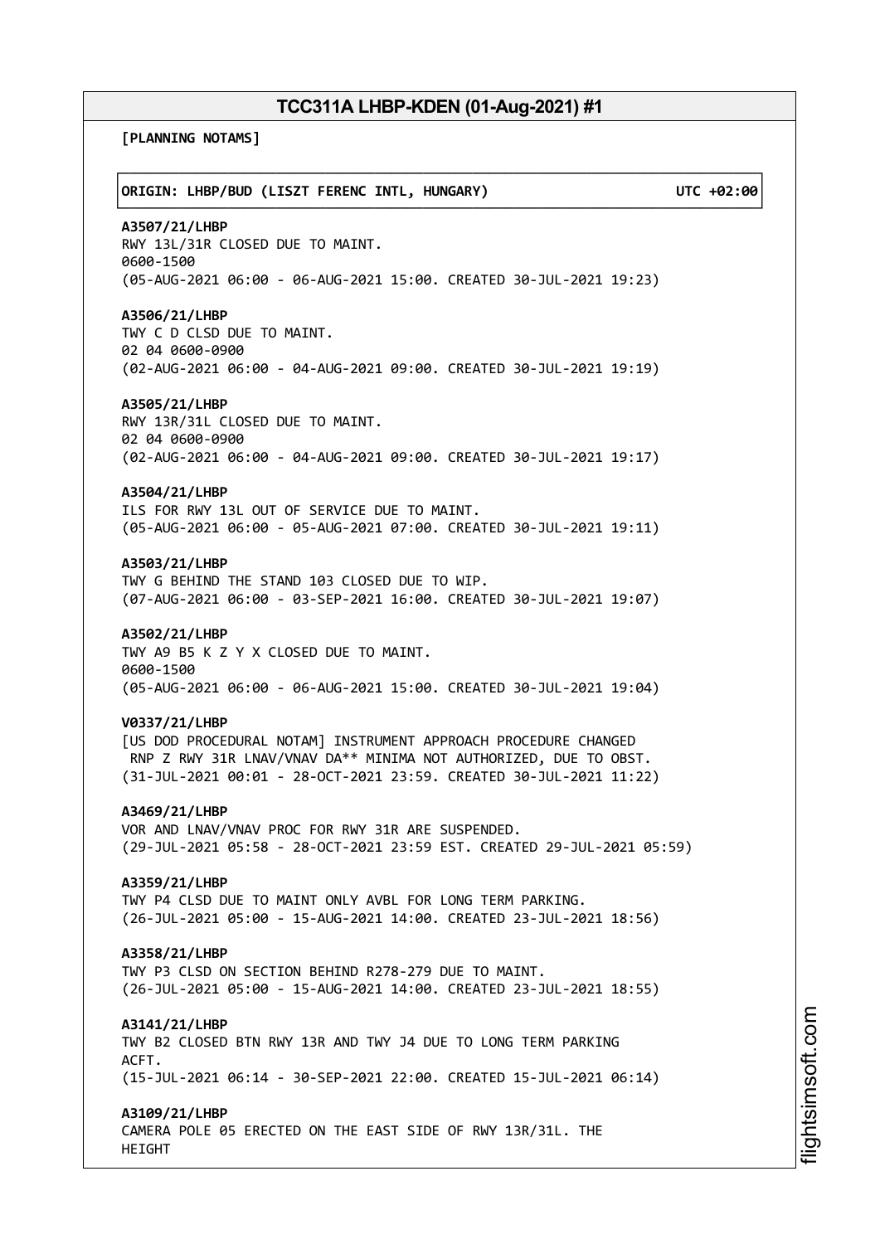**[PLANNING NOTAMS]**

┌──────────────────────────────────────────────────────────────────────────────┐ │**ORIGIN: LHBP/BUD (LISZT FERENC INTL, HUNGARY) UTC +02:00**│ └──────────────────────────────────────────────────────────────────────────────┘ **A3507/21/LHBP** RWY 13L/31R CLOSED DUE TO MAINT. 0600-1500 (05-AUG-2021 06:00 - 06-AUG-2021 15:00. CREATED 30-JUL-2021 19:23) **A3506/21/LHBP** TWY C D CLSD DUE TO MAINT. 02 04 0600-0900 (02-AUG-2021 06:00 - 04-AUG-2021 09:00. CREATED 30-JUL-2021 19:19) **A3505/21/LHBP** RWY 13R/31L CLOSED DUE TO MAINT. 02 04 0600-0900 (02-AUG-2021 06:00 - 04-AUG-2021 09:00. CREATED 30-JUL-2021 19:17) **A3504/21/LHBP** ILS FOR RWY 13L OUT OF SERVICE DUE TO MAINT. (05-AUG-2021 06:00 - 05-AUG-2021 07:00. CREATED 30-JUL-2021 19:11) **A3503/21/LHBP** TWY G BEHIND THE STAND 103 CLOSED DUE TO WIP. (07-AUG-2021 06:00 - 03-SEP-2021 16:00. CREATED 30-JUL-2021 19:07) **A3502/21/LHBP** TWY A9 B5 K Z Y X CLOSED DUE TO MAINT. 0600-1500 (05-AUG-2021 06:00 - 06-AUG-2021 15:00. CREATED 30-JUL-2021 19:04) **V0337/21/LHBP** [US DOD PROCEDURAL NOTAM] INSTRUMENT APPROACH PROCEDURE CHANGED RNP Z RWY 31R LNAV/VNAV DA\*\* MINIMA NOT AUTHORIZED, DUE TO OBST. (31-JUL-2021 00:01 - 28-OCT-2021 23:59. CREATED 30-JUL-2021 11:22) **A3469/21/LHBP** VOR AND LNAV/VNAV PROC FOR RWY 31R ARE SUSPENDED. (29-JUL-2021 05:58 - 28-OCT-2021 23:59 EST. CREATED 29-JUL-2021 05:59) **A3359/21/LHBP** TWY P4 CLSD DUE TO MAINT ONLY AVBL FOR LONG TERM PARKING. (26-JUL-2021 05:00 - 15-AUG-2021 14:00. CREATED 23-JUL-2021 18:56) **A3358/21/LHBP** TWY P3 CLSD ON SECTION BEHIND R278-279 DUE TO MAINT. (26-JUL-2021 05:00 - 15-AUG-2021 14:00. CREATED 23-JUL-2021 18:55) **A3141/21/LHBP** TWY B2 CLOSED BTN RWY 13R AND TWY J4 DUE TO LONG TERM PARKING ACFT. (15-JUL-2021 06:14 - 30-SEP-2021 22:00. CREATED 15-JUL-2021 06:14) **A3109/21/LHBP** CAMERA POLE 05 ERECTED ON THE EAST SIDE OF RWY 13R/31L. THE HEIGHT

m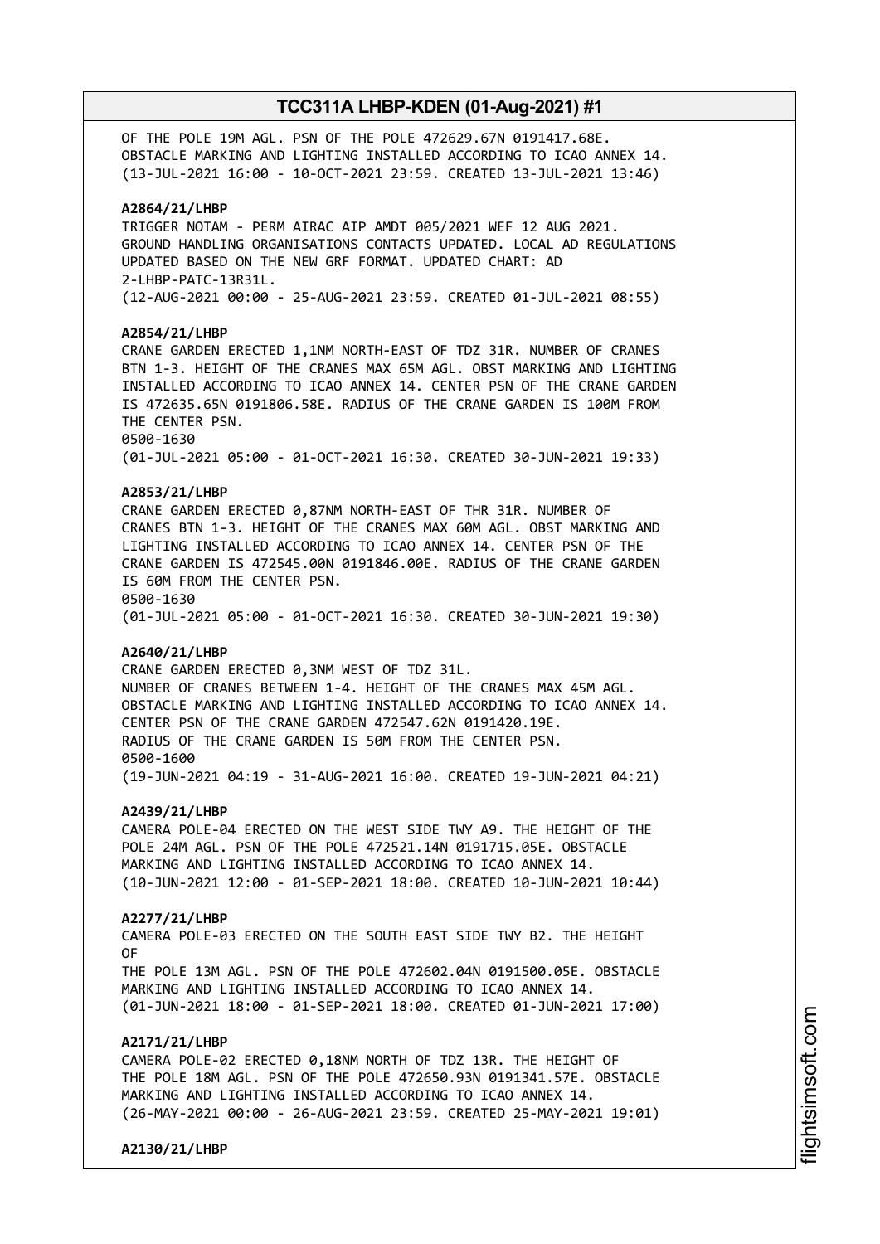OF THE POLE 19M AGL. PSN OF THE POLE 472629.67N 0191417.68E. OBSTACLE MARKING AND LIGHTING INSTALLED ACCORDING TO ICAO ANNEX 14. (13-JUL-2021 16:00 - 10-OCT-2021 23:59. CREATED 13-JUL-2021 13:46)

#### **A2864/21/LHBP**

TRIGGER NOTAM - PERM AIRAC AIP AMDT 005/2021 WEF 12 AUG 2021. GROUND HANDLING ORGANISATIONS CONTACTS UPDATED. LOCAL AD REGULATIONS UPDATED BASED ON THE NEW GRF FORMAT. UPDATED CHART: AD 2-LHBP-PATC-13R31L. (12-AUG-2021 00:00 - 25-AUG-2021 23:59. CREATED 01-JUL-2021 08:55)

#### **A2854/21/LHBP**

CRANE GARDEN ERECTED 1,1NM NORTH-EAST OF TDZ 31R. NUMBER OF CRANES BTN 1-3. HEIGHT OF THE CRANES MAX 65M AGL. OBST MARKING AND LIGHTING INSTALLED ACCORDING TO ICAO ANNEX 14. CENTER PSN OF THE CRANE GARDEN IS 472635.65N 0191806.58E. RADIUS OF THE CRANE GARDEN IS 100M FROM THE CENTER PSN. 0500-1630 (01-JUL-2021 05:00 - 01-OCT-2021 16:30. CREATED 30-JUN-2021 19:33)

### **A2853/21/LHBP**

CRANE GARDEN ERECTED 0,87NM NORTH-EAST OF THR 31R. NUMBER OF CRANES BTN 1-3. HEIGHT OF THE CRANES MAX 60M AGL. OBST MARKING AND LIGHTING INSTALLED ACCORDING TO ICAO ANNEX 14. CENTER PSN OF THE CRANE GARDEN IS 472545.00N 0191846.00E. RADIUS OF THE CRANE GARDEN IS 60M FROM THE CENTER PSN. 0500-1630 (01-JUL-2021 05:00 - 01-OCT-2021 16:30. CREATED 30-JUN-2021 19:30)

#### **A2640/21/LHBP**

CRANE GARDEN ERECTED 0,3NM WEST OF TDZ 31L. NUMBER OF CRANES BETWEEN 1-4. HEIGHT OF THE CRANES MAX 45M AGL. OBSTACLE MARKING AND LIGHTING INSTALLED ACCORDING TO ICAO ANNEX 14. CENTER PSN OF THE CRANE GARDEN 472547.62N 0191420.19E. RADIUS OF THE CRANE GARDEN IS 50M FROM THE CENTER PSN. 0500-1600 (19-JUN-2021 04:19 - 31-AUG-2021 16:00. CREATED 19-JUN-2021 04:21)

#### **A2439/21/LHBP**

CAMERA POLE-04 ERECTED ON THE WEST SIDE TWY A9. THE HEIGHT OF THE POLE 24M AGL. PSN OF THE POLE 472521.14N 0191715.05E. OBSTACLE MARKING AND LIGHTING INSTALLED ACCORDING TO ICAO ANNEX 14. (10-JUN-2021 12:00 - 01-SEP-2021 18:00. CREATED 10-JUN-2021 10:44)

#### **A2277/21/LHBP**

CAMERA POLE-03 ERECTED ON THE SOUTH EAST SIDE TWY B2. THE HEIGHT OF THE POLE 13M AGL. PSN OF THE POLE 472602.04N 0191500.05E. OBSTACLE MARKING AND LIGHTING INSTALLED ACCORDING TO ICAO ANNEX 14.

(01-JUN-2021 18:00 - 01-SEP-2021 18:00. CREATED 01-JUN-2021 17:00)

### **A2171/21/LHBP**

CAMERA POLE-02 ERECTED 0,18NM NORTH OF TDZ 13R. THE HEIGHT OF THE POLE 18M AGL. PSN OF THE POLE 472650.93N 0191341.57E. OBSTACLE MARKING AND LIGHTING INSTALLED ACCORDING TO ICAO ANNEX 14. (26-MAY-2021 00:00 - 26-AUG-2021 23:59. CREATED 25-MAY-2021 19:01)

**A2130/21/LHBP**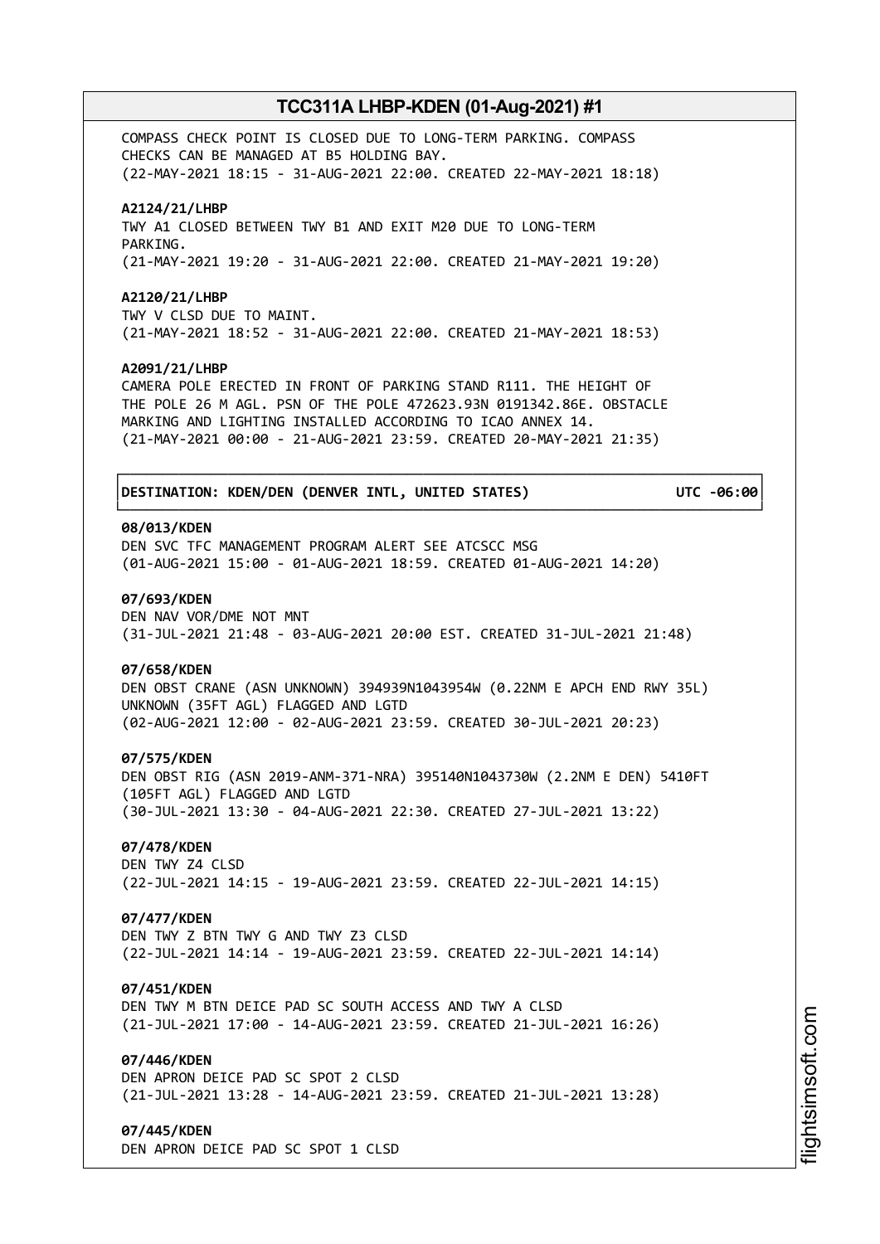COMPASS CHECK POINT IS CLOSED DUE TO LONG-TERM PARKING. COMPASS CHECKS CAN BE MANAGED AT B5 HOLDING BAY. (22-MAY-2021 18:15 - 31-AUG-2021 22:00. CREATED 22-MAY-2021 18:18)

#### **A2124/21/LHBP**

TWY A1 CLOSED BETWEEN TWY B1 AND EXIT M20 DUE TO LONG-TERM PARKING. (21-MAY-2021 19:20 - 31-AUG-2021 22:00. CREATED 21-MAY-2021 19:20)

#### **A2120/21/LHBP**

TWY V CLSD DUE TO MAINT. (21-MAY-2021 18:52 - 31-AUG-2021 22:00. CREATED 21-MAY-2021 18:53)

#### **A2091/21/LHBP**

CAMERA POLE ERECTED IN FRONT OF PARKING STAND R111. THE HEIGHT OF THE POLE 26 M AGL. PSN OF THE POLE 472623.93N 0191342.86E. OBSTACLE MARKING AND LIGHTING INSTALLED ACCORDING TO ICAO ANNEX 14. (21-MAY-2021 00:00 - 21-AUG-2021 23:59. CREATED 20-MAY-2021 21:35)

┌──────────────────────────────────────────────────────────────────────────────┐

└──────────────────────────────────────────────────────────────────────────────┘

#### │**DESTINATION: KDEN/DEN (DENVER INTL, UNITED STATES) UTC -06:00**│

#### **08/013/KDEN**

DEN SVC TFC MANAGEMENT PROGRAM ALERT SEE ATCSCC MSG (01-AUG-2021 15:00 - 01-AUG-2021 18:59. CREATED 01-AUG-2021 14:20)

#### **07/693/KDEN**

DEN NAV VOR/DME NOT MNT (31-JUL-2021 21:48 - 03-AUG-2021 20:00 EST. CREATED 31-JUL-2021 21:48)

#### **07/658/KDEN**

DEN OBST CRANE (ASN UNKNOWN) 394939N1043954W (0.22NM E APCH END RWY 35L) UNKNOWN (35FT AGL) FLAGGED AND LGTD (02-AUG-2021 12:00 - 02-AUG-2021 23:59. CREATED 30-JUL-2021 20:23)

#### **07/575/KDEN**

DEN OBST RIG (ASN 2019-ANM-371-NRA) 395140N1043730W (2.2NM E DEN) 5410FT (105FT AGL) FLAGGED AND LGTD (30-JUL-2021 13:30 - 04-AUG-2021 22:30. CREATED 27-JUL-2021 13:22)

### **07/478/KDEN**

DEN TWY Z4 CLSD (22-JUL-2021 14:15 - 19-AUG-2021 23:59. CREATED 22-JUL-2021 14:15)

### **07/477/KDEN**

DEN TWY Z BTN TWY G AND TWY Z3 CLSD (22-JUL-2021 14:14 - 19-AUG-2021 23:59. CREATED 22-JUL-2021 14:14)

#### **07/451/KDEN**

DEN TWY M BTN DEICE PAD SC SOUTH ACCESS AND TWY A CLSD (21-JUL-2021 17:00 - 14-AUG-2021 23:59. CREATED 21-JUL-2021 16:26)

### **07/446/KDEN**

DEN APRON DEICE PAD SC SPOT 2 CLSD (21-JUL-2021 13:28 - 14-AUG-2021 23:59. CREATED 21-JUL-2021 13:28)

#### **07/445/KDEN**

DEN APRON DEICE PAD SC SPOT 1 CLSD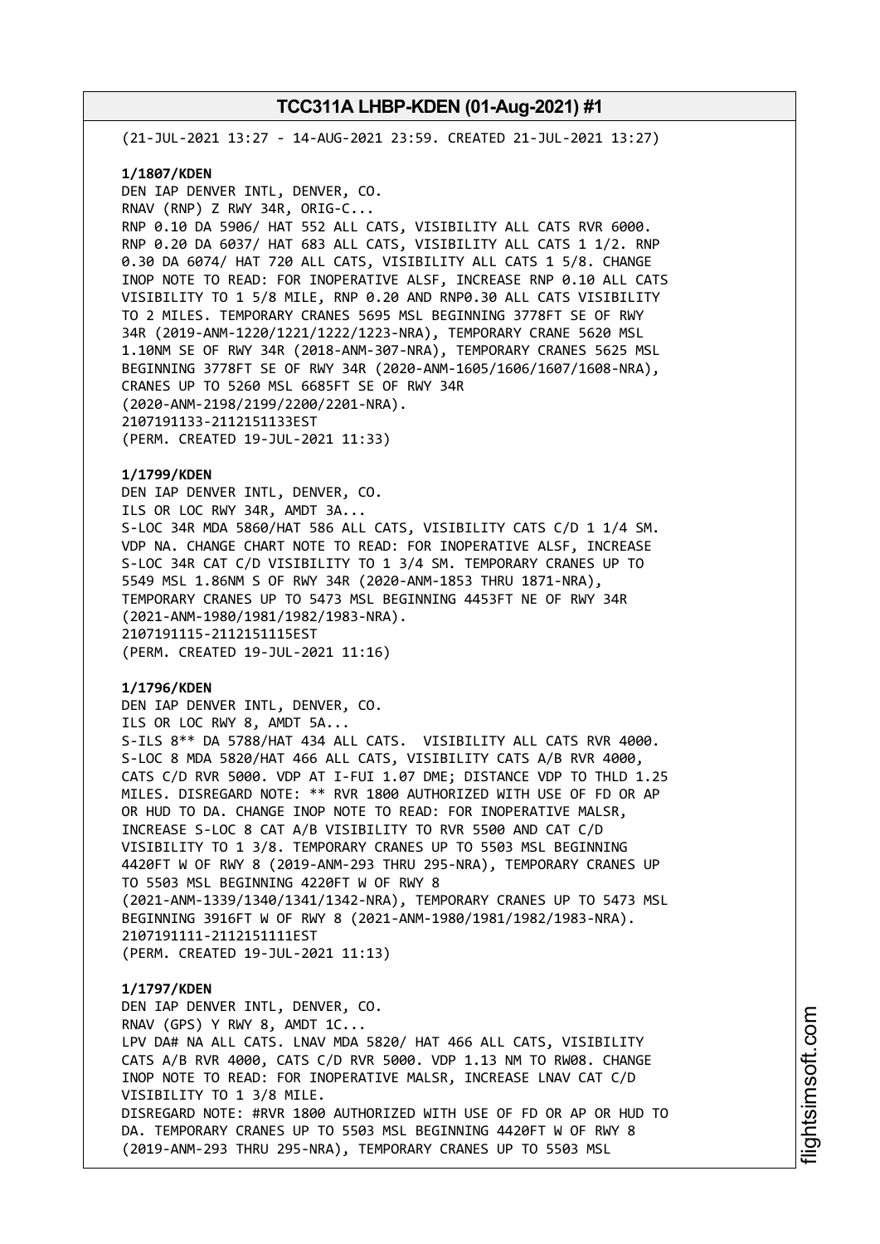(21-JUL-2021 13:27 - 14-AUG-2021 23:59. CREATED 21-JUL-2021 13:27)

#### **1/1807/KDEN**

DEN IAP DENVER INTL, DENVER, CO. RNAV (RNP) Z RWY 34R, ORIG-C... RNP 0.10 DA 5906/ HAT 552 ALL CATS, VISIBILITY ALL CATS RVR 6000. RNP 0.20 DA 6037/ HAT 683 ALL CATS, VISIBILITY ALL CATS 1 1/2. RNP 0.30 DA 6074/ HAT 720 ALL CATS, VISIBILITY ALL CATS 1 5/8. CHANGE INOP NOTE TO READ: FOR INOPERATIVE ALSF, INCREASE RNP 0.10 ALL CATS VISIBILITY TO 1 5/8 MILE, RNP 0.20 AND RNP0.30 ALL CATS VISIBILITY TO 2 MILES. TEMPORARY CRANES 5695 MSL BEGINNING 3778FT SE OF RWY 34R (2019-ANM-1220/1221/1222/1223-NRA), TEMPORARY CRANE 5620 MSL 1.10NM SE OF RWY 34R (2018-ANM-307-NRA), TEMPORARY CRANES 5625 MSL BEGINNING 3778FT SE OF RWY 34R (2020-ANM-1605/1606/1607/1608-NRA), CRANES UP TO 5260 MSL 6685FT SE OF RWY 34R (2020-ANM-2198/2199/2200/2201-NRA). 2107191133-2112151133EST (PERM. CREATED 19-JUL-2021 11:33)

### **1/1799/KDEN**

DEN IAP DENVER INTL, DENVER, CO. ILS OR LOC RWY 34R, AMDT 3A... S-LOC 34R MDA 5860/HAT 586 ALL CATS, VISIBILITY CATS C/D 1 1/4 SM. VDP NA. CHANGE CHART NOTE TO READ: FOR INOPERATIVE ALSF, INCREASE S-LOC 34R CAT C/D VISIBILITY TO 1 3/4 SM. TEMPORARY CRANES UP TO 5549 MSL 1.86NM S OF RWY 34R (2020-ANM-1853 THRU 1871-NRA), TEMPORARY CRANES UP TO 5473 MSL BEGINNING 4453FT NE OF RWY 34R (2021-ANM-1980/1981/1982/1983-NRA). 2107191115-2112151115EST (PERM. CREATED 19-JUL-2021 11:16)

#### **1/1796/KDEN**

DEN IAP DENVER INTL, DENVER, CO. ILS OR LOC RWY 8, AMDT 5A... S-ILS 8\*\* DA 5788/HAT 434 ALL CATS. VISIBILITY ALL CATS RVR 4000. S-LOC 8 MDA 5820/HAT 466 ALL CATS, VISIBILITY CATS A/B RVR 4000, CATS C/D RVR 5000. VDP AT I-FUI 1.07 DME; DISTANCE VDP TO THLD 1.25 MILES. DISREGARD NOTE: \*\* RVR 1800 AUTHORIZED WITH USE OF FD OR AP OR HUD TO DA. CHANGE INOP NOTE TO READ: FOR INOPERATIVE MALSR, INCREASE S-LOC 8 CAT A/B VISIBILITY TO RVR 5500 AND CAT C/D VISIBILITY TO 1 3/8. TEMPORARY CRANES UP TO 5503 MSL BEGINNING 4420FT W OF RWY 8 (2019-ANM-293 THRU 295-NRA), TEMPORARY CRANES UP TO 5503 MSL BEGINNING 4220FT W OF RWY 8 (2021-ANM-1339/1340/1341/1342-NRA), TEMPORARY CRANES UP TO 5473 MSL BEGINNING 3916FT W OF RWY 8 (2021-ANM-1980/1981/1982/1983-NRA). 2107191111-2112151111EST (PERM. CREATED 19-JUL-2021 11:13)

## **1/1797/KDEN** DEN IAP DENVER INTL, DENVER, CO. RNAV (GPS) Y RWY 8, AMDT 1C... LPV DA# NA ALL CATS. LNAV MDA 5820/ HAT 466 ALL CATS, VISIBILITY CATS A/B RVR 4000, CATS C/D RVR 5000. VDP 1.13 NM TO RW08. CHANGE INOP NOTE TO READ: FOR INOPERATIVE MALSR, INCREASE LNAV CAT C/D VISIBILITY TO 1 3/8 MILE. DISREGARD NOTE: #RVR 1800 AUTHORIZED WITH USE OF FD OR AP OR HUD TO DA. TEMPORARY CRANES UP TO 5503 MSL BEGINNING 4420FT W OF RWY 8 (2019-ANM-293 THRU 295-NRA), TEMPORARY CRANES UP TO 5503 MSL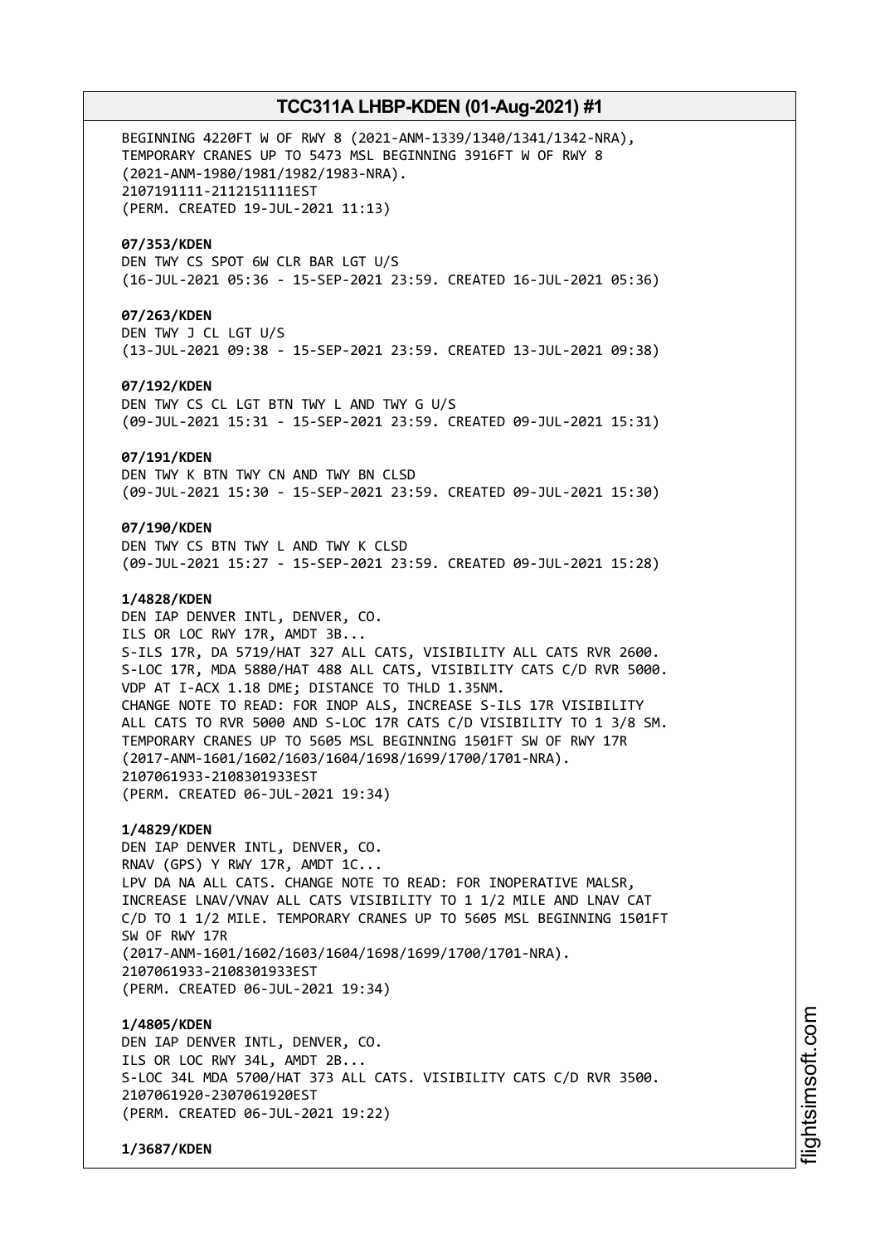BEGINNING 4220FT W OF RWY 8 (2021-ANM-1339/1340/1341/1342-NRA), TEMPORARY CRANES UP TO 5473 MSL BEGINNING 3916FT W OF RWY 8 (2021-ANM-1980/1981/1982/1983-NRA). 2107191111-2112151111EST (PERM. CREATED 19-JUL-2021 11:13)

#### **07/353/KDEN**

DEN TWY CS SPOT 6W CLR BAR LGT U/S (16-JUL-2021 05:36 - 15-SEP-2021 23:59. CREATED 16-JUL-2021 05:36)

### **07/263/KDEN**

DEN TWY J CL LGT U/S (13-JUL-2021 09:38 - 15-SEP-2021 23:59. CREATED 13-JUL-2021 09:38)

### **07/192/KDEN**

DEN TWY CS CL LGT BTN TWY L AND TWY G U/S (09-JUL-2021 15:31 - 15-SEP-2021 23:59. CREATED 09-JUL-2021 15:31)

#### **07/191/KDEN**

DEN TWY K BTN TWY CN AND TWY BN CLSD (09-JUL-2021 15:30 - 15-SEP-2021 23:59. CREATED 09-JUL-2021 15:30)

#### **07/190/KDEN**

DEN TWY CS BTN TWY L AND TWY K CLSD (09-JUL-2021 15:27 - 15-SEP-2021 23:59. CREATED 09-JUL-2021 15:28)

### **1/4828/KDEN**

DEN IAP DENVER INTL, DENVER, CO. ILS OR LOC RWY 17R, AMDT 3B... S-ILS 17R, DA 5719/HAT 327 ALL CATS, VISIBILITY ALL CATS RVR 2600. S-LOC 17R, MDA 5880/HAT 488 ALL CATS, VISIBILITY CATS C/D RVR 5000. VDP AT I-ACX 1.18 DME; DISTANCE TO THLD 1.35NM. CHANGE NOTE TO READ: FOR INOP ALS, INCREASE S-ILS 17R VISIBILITY ALL CATS TO RVR 5000 AND S-LOC 17R CATS C/D VISIBILITY TO 1 3/8 SM. TEMPORARY CRANES UP TO 5605 MSL BEGINNING 1501FT SW OF RWY 17R (2017-ANM-1601/1602/1603/1604/1698/1699/1700/1701-NRA). 2107061933-2108301933EST (PERM. CREATED 06-JUL-2021 19:34)

#### **1/4829/KDEN**

DEN IAP DENVER INTL, DENVER, CO. RNAV (GPS) Y RWY 17R, AMDT 1C... LPV DA NA ALL CATS. CHANGE NOTE TO READ: FOR INOPERATIVE MALSR, INCREASE LNAV/VNAV ALL CATS VISIBILITY TO 1 1/2 MILE AND LNAV CAT C/D TO 1 1/2 MILE. TEMPORARY CRANES UP TO 5605 MSL BEGINNING 1501FT SW OF RWY 17R (2017-ANM-1601/1602/1603/1604/1698/1699/1700/1701-NRA). 2107061933-2108301933EST (PERM. CREATED 06-JUL-2021 19:34)

#### **1/4805/KDEN**

DEN IAP DENVER INTL, DENVER, CO. ILS OR LOC RWY 34L, AMDT 2B... S-LOC 34L MDA 5700/HAT 373 ALL CATS. VISIBILITY CATS C/D RVR 3500. 2107061920-2307061920EST (PERM. CREATED 06-JUL-2021 19:22)

**1/3687/KDEN**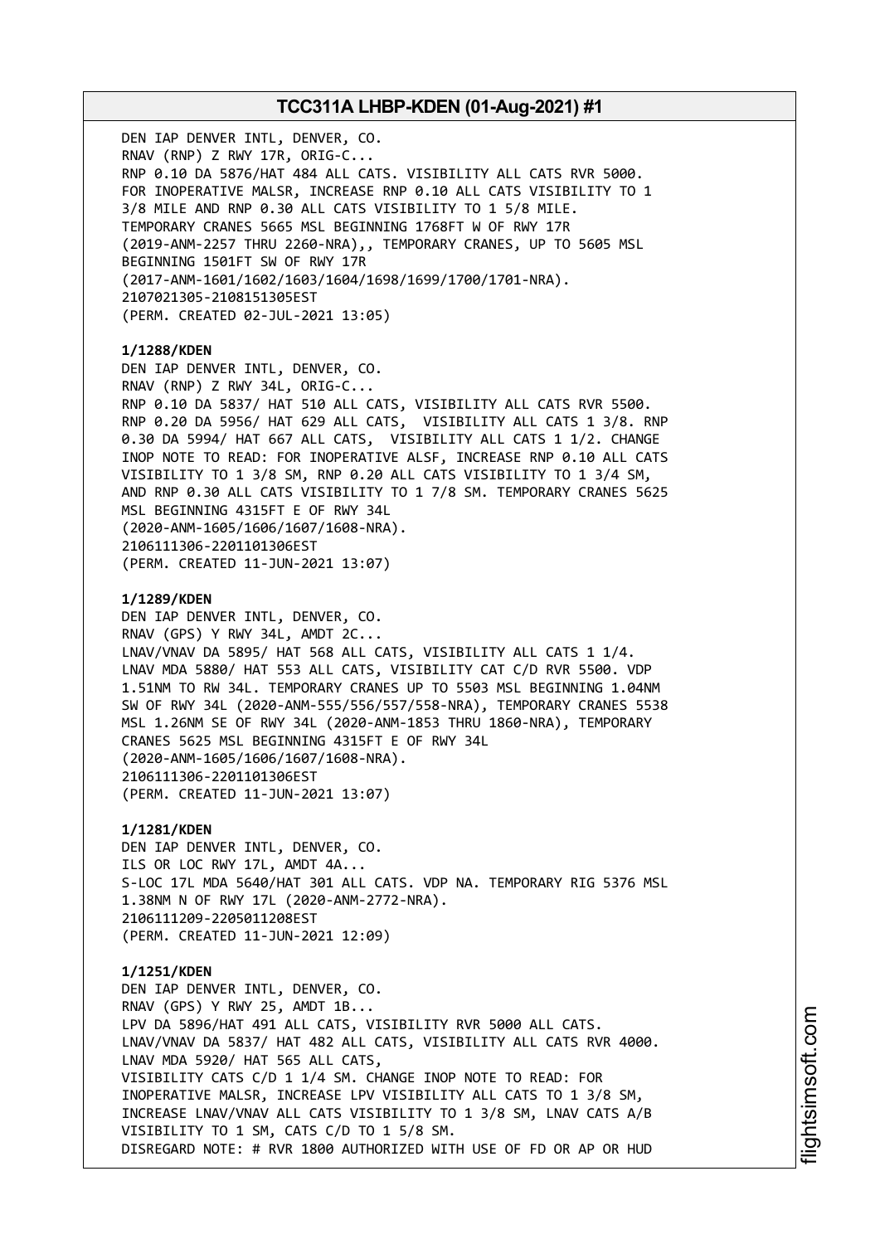DEN IAP DENVER INTL, DENVER, CO. RNAV (RNP) Z RWY 17R, ORIG-C... RNP 0.10 DA 5876/HAT 484 ALL CATS. VISIBILITY ALL CATS RVR 5000. FOR INOPERATIVE MALSR, INCREASE RNP 0.10 ALL CATS VISIBILITY TO 1 3/8 MILE AND RNP 0.30 ALL CATS VISIBILITY TO 1 5/8 MILE. TEMPORARY CRANES 5665 MSL BEGINNING 1768FT W OF RWY 17R (2019-ANM-2257 THRU 2260-NRA),, TEMPORARY CRANES, UP TO 5605 MSL BEGINNING 1501FT SW OF RWY 17R (2017-ANM-1601/1602/1603/1604/1698/1699/1700/1701-NRA). 2107021305-2108151305EST (PERM. CREATED 02-JUL-2021 13:05) **1/1288/KDEN** DEN IAP DENVER INTL, DENVER, CO. RNAV (RNP) Z RWY 34L, ORIG-C... RNP 0.10 DA 5837/ HAT 510 ALL CATS, VISIBILITY ALL CATS RVR 5500. RNP 0.20 DA 5956/ HAT 629 ALL CATS, VISIBILITY ALL CATS 1 3/8. RNP 0.30 DA 5994/ HAT 667 ALL CATS, VISIBILITY ALL CATS 1 1/2. CHANGE INOP NOTE TO READ: FOR INOPERATIVE ALSF, INCREASE RNP 0.10 ALL CATS VISIBILITY TO 1 3/8 SM, RNP 0.20 ALL CATS VISIBILITY TO 1 3/4 SM, AND RNP 0.30 ALL CATS VISIBILITY TO 1 7/8 SM. TEMPORARY CRANES 5625 MSL BEGINNING 4315FT E OF RWY 34L (2020-ANM-1605/1606/1607/1608-NRA). 2106111306-2201101306EST (PERM. CREATED 11-JUN-2021 13:07) **1/1289/KDEN** DEN IAP DENVER INTL, DENVER, CO. RNAV (GPS) Y RWY 34L, AMDT 2C... LNAV/VNAV DA 5895/ HAT 568 ALL CATS, VISIBILITY ALL CATS 1 1/4. LNAV MDA 5880/ HAT 553 ALL CATS, VISIBILITY CAT C/D RVR 5500. VDP 1.51NM TO RW 34L. TEMPORARY CRANES UP TO 5503 MSL BEGINNING 1.04NM SW OF RWY 34L (2020-ANM-555/556/557/558-NRA), TEMPORARY CRANES 5538 MSL 1.26NM SE OF RWY 34L (2020-ANM-1853 THRU 1860-NRA), TEMPORARY CRANES 5625 MSL BEGINNING 4315FT E OF RWY 34L (2020-ANM-1605/1606/1607/1608-NRA). 2106111306-2201101306EST (PERM. CREATED 11-JUN-2021 13:07) **1/1281/KDEN** DEN IAP DENVER INTL, DENVER, CO. ILS OR LOC RWY 17L, AMDT 4A... S-LOC 17L MDA 5640/HAT 301 ALL CATS. VDP NA. TEMPORARY RIG 5376 MSL 1.38NM N OF RWY 17L (2020-ANM-2772-NRA). 2106111209-2205011208EST (PERM. CREATED 11-JUN-2021 12:09) **1/1251/KDEN** DEN IAP DENVER INTL, DENVER, CO. RNAV (GPS) Y RWY 25, AMDT 1B... LPV DA 5896/HAT 491 ALL CATS, VISIBILITY RVR 5000 ALL CATS. LNAV/VNAV DA 5837/ HAT 482 ALL CATS, VISIBILITY ALL CATS RVR 4000. LNAV MDA 5920/ HAT 565 ALL CATS, VISIBILITY CATS C/D 1 1/4 SM. CHANGE INOP NOTE TO READ: FOR INOPERATIVE MALSR, INCREASE LPV VISIBILITY ALL CATS TO 1 3/8 SM, INCREASE LNAV/VNAV ALL CATS VISIBILITY TO 1 3/8 SM, LNAV CATS A/B VISIBILITY TO 1 SM, CATS C/D TO 1 5/8 SM. DISREGARD NOTE: # RVR 1800 AUTHORIZED WITH USE OF FD OR AP OR HUD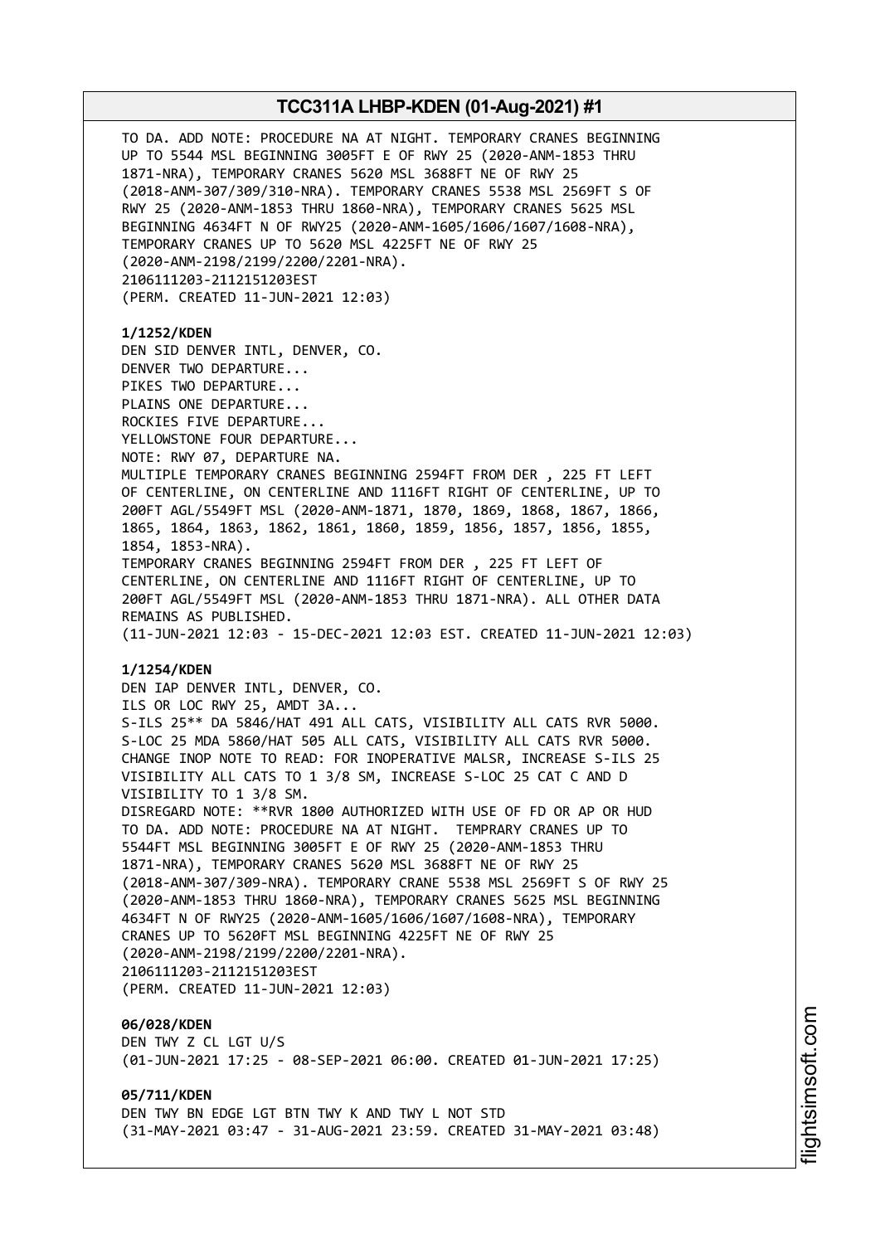

i⊒<br>⊫ htsim soft.c om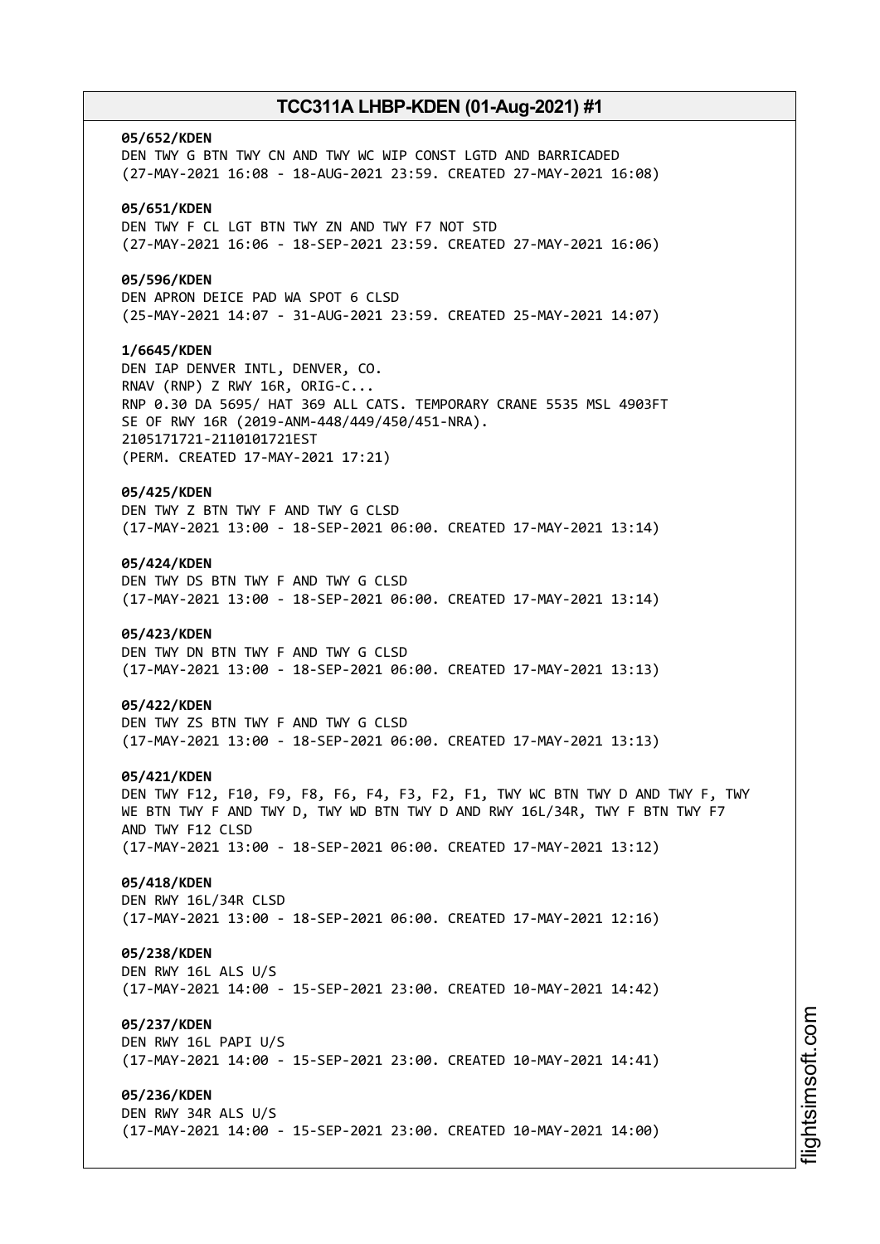### **05/652/KDEN**

DEN TWY G BTN TWY CN AND TWY WC WIP CONST LGTD AND BARRICADED (27-MAY-2021 16:08 - 18-AUG-2021 23:59. CREATED 27-MAY-2021 16:08)

### **05/651/KDEN**

DEN TWY F CL LGT BTN TWY ZN AND TWY F7 NOT STD (27-MAY-2021 16:06 - 18-SEP-2021 23:59. CREATED 27-MAY-2021 16:06)

#### **05/596/KDEN**

DEN APRON DEICE PAD WA SPOT 6 CLSD (25-MAY-2021 14:07 - 31-AUG-2021 23:59. CREATED 25-MAY-2021 14:07)

#### **1/6645/KDEN**

DEN IAP DENVER INTL, DENVER, CO. RNAV (RNP) Z RWY 16R, ORIG-C... RNP 0.30 DA 5695/ HAT 369 ALL CATS. TEMPORARY CRANE 5535 MSL 4903FT SE OF RWY 16R (2019-ANM-448/449/450/451-NRA). 2105171721-2110101721EST (PERM. CREATED 17-MAY-2021 17:21)

#### **05/425/KDEN**

DEN TWY Z BTN TWY F AND TWY G CLSD (17-MAY-2021 13:00 - 18-SEP-2021 06:00. CREATED 17-MAY-2021 13:14)

### **05/424/KDEN**

DEN TWY DS BTN TWY F AND TWY G CLSD (17-MAY-2021 13:00 - 18-SEP-2021 06:00. CREATED 17-MAY-2021 13:14)

#### **05/423/KDEN**

DEN TWY DN BTN TWY F AND TWY G CLSD (17-MAY-2021 13:00 - 18-SEP-2021 06:00. CREATED 17-MAY-2021 13:13)

#### **05/422/KDEN**

DEN TWY ZS BTN TWY F AND TWY G CLSD (17-MAY-2021 13:00 - 18-SEP-2021 06:00. CREATED 17-MAY-2021 13:13)

#### **05/421/KDEN**

DEN TWY F12, F10, F9, F8, F6, F4, F3, F2, F1, TWY WC BTN TWY D AND TWY F, TWY WE BTN TWY F AND TWY D, TWY WD BTN TWY D AND RWY 16L/34R, TWY F BTN TWY F7 AND TWY F12 CLSD (17-MAY-2021 13:00 - 18-SEP-2021 06:00. CREATED 17-MAY-2021 13:12)

### **05/418/KDEN**

DEN RWY 16L/34R CLSD (17-MAY-2021 13:00 - 18-SEP-2021 06:00. CREATED 17-MAY-2021 12:16)

#### **05/238/KDEN**

DEN RWY 16L ALS U/S (17-MAY-2021 14:00 - 15-SEP-2021 23:00. CREATED 10-MAY-2021 14:42)

### **05/237/KDEN**

DEN RWY 16L PAPI U/S (17-MAY-2021 14:00 - 15-SEP-2021 23:00. CREATED 10-MAY-2021 14:41)

### **05/236/KDEN**

DEN RWY 34R ALS U/S (17-MAY-2021 14:00 - 15-SEP-2021 23:00. CREATED 10-MAY-2021 14:00)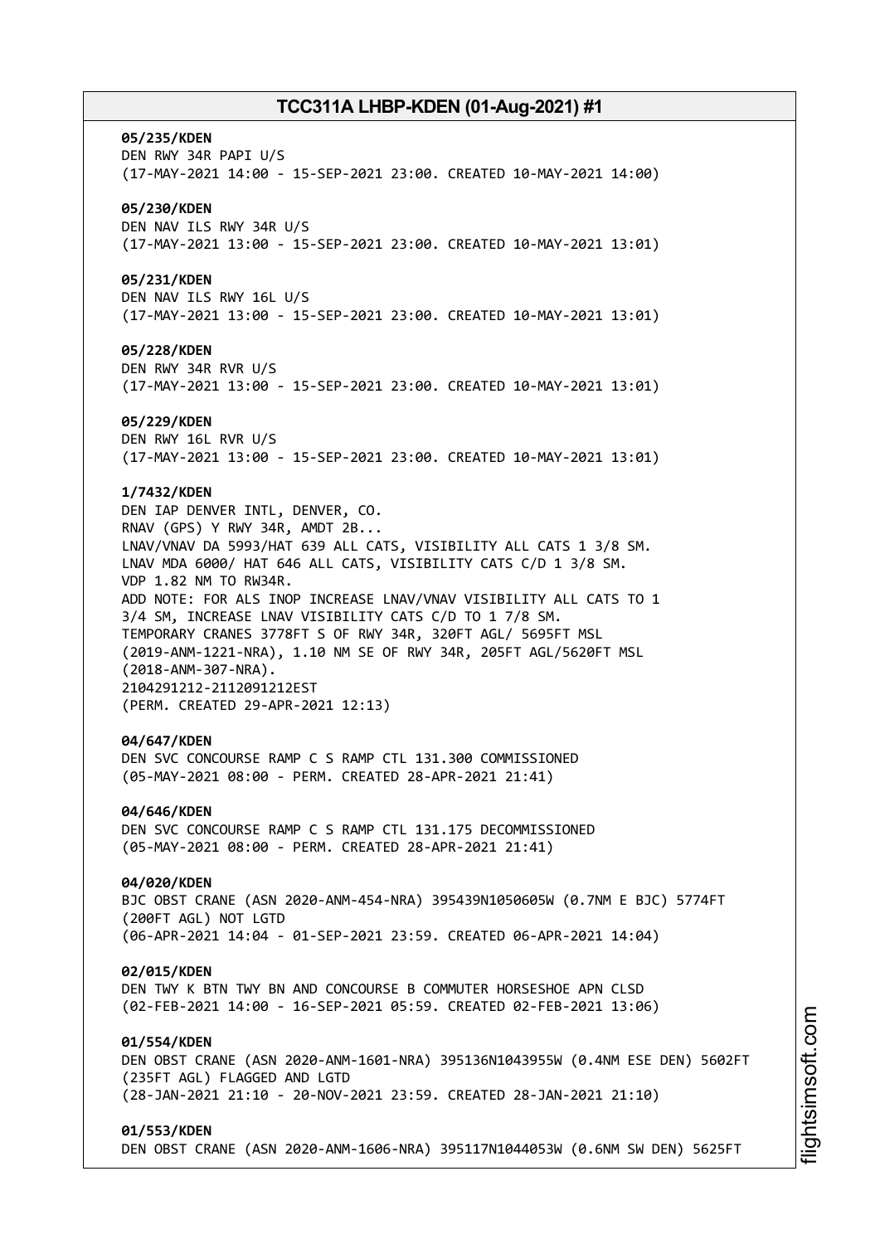#### **05/235/KDEN**

DEN RWY 34R PAPI U/S (17-MAY-2021 14:00 - 15-SEP-2021 23:00. CREATED 10-MAY-2021 14:00)

#### **05/230/KDEN**

DEN NAV ILS RWY 34R U/S (17-MAY-2021 13:00 - 15-SEP-2021 23:00. CREATED 10-MAY-2021 13:01)

#### **05/231/KDEN**

DEN NAV ILS RWY 16L U/S (17-MAY-2021 13:00 - 15-SEP-2021 23:00. CREATED 10-MAY-2021 13:01)

#### **05/228/KDEN**

DEN RWY 34R RVR U/S (17-MAY-2021 13:00 - 15-SEP-2021 23:00. CREATED 10-MAY-2021 13:01)

#### **05/229/KDEN**

DEN RWY 16L RVR U/S (17-MAY-2021 13:00 - 15-SEP-2021 23:00. CREATED 10-MAY-2021 13:01)

#### **1/7432/KDEN**

DEN IAP DENVER INTL, DENVER, CO. RNAV (GPS) Y RWY 34R, AMDT 2B... LNAV/VNAV DA 5993/HAT 639 ALL CATS, VISIBILITY ALL CATS 1 3/8 SM. LNAV MDA 6000/ HAT 646 ALL CATS, VISIBILITY CATS C/D 1 3/8 SM. VDP 1.82 NM TO RW34R. ADD NOTE: FOR ALS INOP INCREASE LNAV/VNAV VISIBILITY ALL CATS TO 1 3/4 SM, INCREASE LNAV VISIBILITY CATS C/D TO 1 7/8 SM. TEMPORARY CRANES 3778FT S OF RWY 34R, 320FT AGL/ 5695FT MSL (2019-ANM-1221-NRA), 1.10 NM SE OF RWY 34R, 205FT AGL/5620FT MSL (2018-ANM-307-NRA). 2104291212-2112091212EST (PERM. CREATED 29-APR-2021 12:13)

#### **04/647/KDEN**

DEN SVC CONCOURSE RAMP C S RAMP CTL 131.300 COMMISSIONED (05-MAY-2021 08:00 - PERM. CREATED 28-APR-2021 21:41)

#### **04/646/KDEN**

DEN SVC CONCOURSE RAMP C S RAMP CTL 131.175 DECOMMISSIONED (05-MAY-2021 08:00 - PERM. CREATED 28-APR-2021 21:41)

#### **04/020/KDEN**

BJC OBST CRANE (ASN 2020-ANM-454-NRA) 395439N1050605W (0.7NM E BJC) 5774FT (200FT AGL) NOT LGTD (06-APR-2021 14:04 - 01-SEP-2021 23:59. CREATED 06-APR-2021 14:04)

#### **02/015/KDEN**

DEN TWY K BTN TWY BN AND CONCOURSE B COMMUTER HORSESHOE APN CLSD (02-FEB-2021 14:00 - 16-SEP-2021 05:59. CREATED 02-FEB-2021 13:06)

### **01/554/KDEN**

DEN OBST CRANE (ASN 2020-ANM-1601-NRA) 395136N1043955W (0.4NM ESE DEN) 5602FT (235FT AGL) FLAGGED AND LGTD (28-JAN-2021 21:10 - 20-NOV-2021 23:59. CREATED 28-JAN-2021 21:10)

#### **01/553/KDEN**

DEN OBST CRANE (ASN 2020-ANM-1606-NRA) 395117N1044053W (0.6NM SW DEN) 5625FT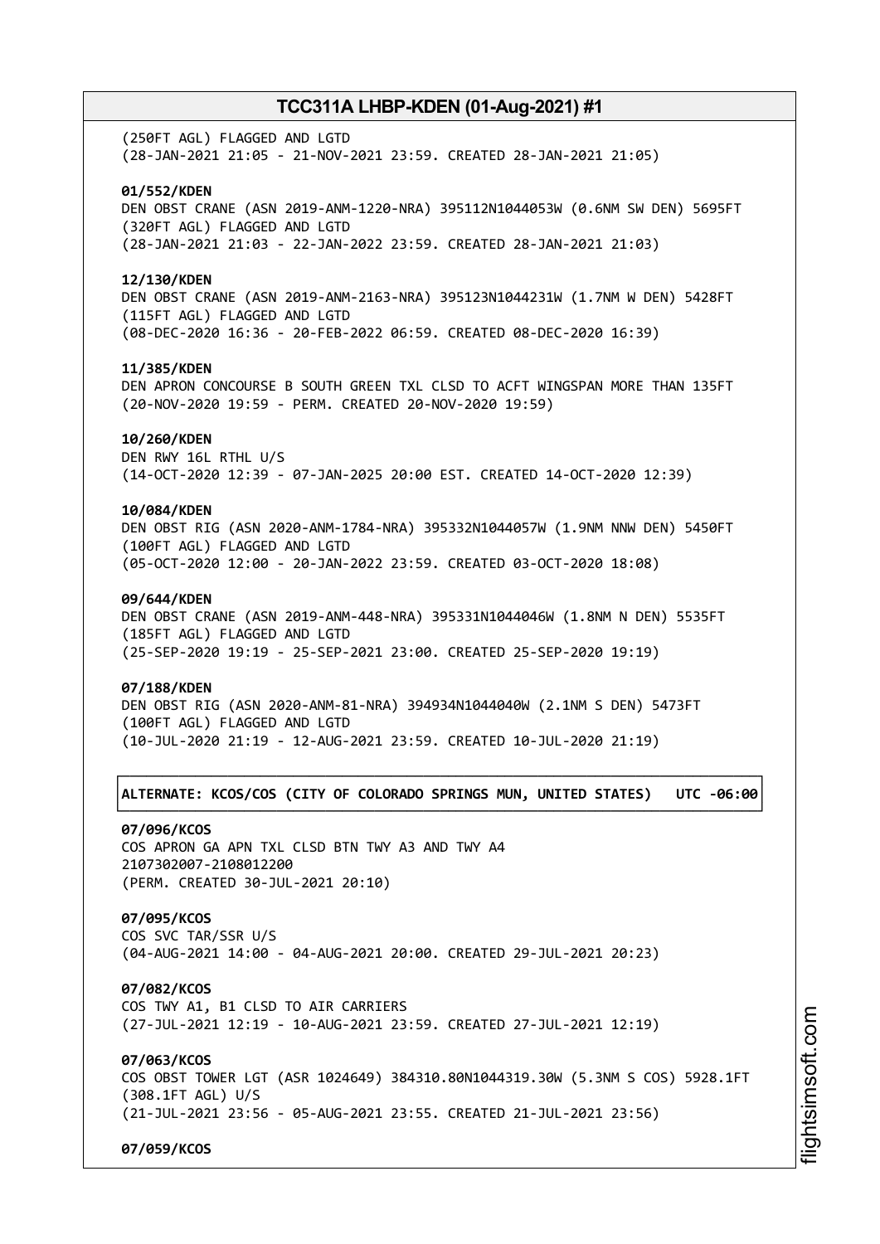(250FT AGL) FLAGGED AND LGTD (28-JAN-2021 21:05 - 21-NOV-2021 23:59. CREATED 28-JAN-2021 21:05)

#### **01/552/KDEN**

DEN OBST CRANE (ASN 2019-ANM-1220-NRA) 395112N1044053W (0.6NM SW DEN) 5695FT (320FT AGL) FLAGGED AND LGTD (28-JAN-2021 21:03 - 22-JAN-2022 23:59. CREATED 28-JAN-2021 21:03)

#### **12/130/KDEN**

DEN OBST CRANE (ASN 2019-ANM-2163-NRA) 395123N1044231W (1.7NM W DEN) 5428FT (115FT AGL) FLAGGED AND LGTD (08-DEC-2020 16:36 - 20-FEB-2022 06:59. CREATED 08-DEC-2020 16:39)

#### **11/385/KDEN**

DEN APRON CONCOURSE B SOUTH GREEN TXL CLSD TO ACFT WINGSPAN MORE THAN 135FT (20-NOV-2020 19:59 - PERM. CREATED 20-NOV-2020 19:59)

#### **10/260/KDEN**

DEN RWY 16L RTHL U/S (14-OCT-2020 12:39 - 07-JAN-2025 20:00 EST. CREATED 14-OCT-2020 12:39)

### **10/084/KDEN**

DEN OBST RIG (ASN 2020-ANM-1784-NRA) 395332N1044057W (1.9NM NNW DEN) 5450FT (100FT AGL) FLAGGED AND LGTD (05-OCT-2020 12:00 - 20-JAN-2022 23:59. CREATED 03-OCT-2020 18:08)

#### **09/644/KDEN**

DEN OBST CRANE (ASN 2019-ANM-448-NRA) 395331N1044046W (1.8NM N DEN) 5535FT (185FT AGL) FLAGGED AND LGTD (25-SEP-2020 19:19 - 25-SEP-2021 23:00. CREATED 25-SEP-2020 19:19)

#### **07/188/KDEN**

DEN OBST RIG (ASN 2020-ANM-81-NRA) 394934N1044040W (2.1NM S DEN) 5473FT (100FT AGL) FLAGGED AND LGTD (10-JUL-2020 21:19 - 12-AUG-2021 23:59. CREATED 10-JUL-2020 21:19)

### ┌──────────────────────────────────────────────────────────────────────────────┐ │**ALTERNATE: KCOS/COS (CITY OF COLORADO SPRINGS MUN, UNITED STATES) UTC -06:00**│ └──────────────────────────────────────────────────────────────────────────────┘

#### **07/096/KCOS**

COS APRON GA APN TXL CLSD BTN TWY A3 AND TWY A4 2107302007-2108012200 (PERM. CREATED 30-JUL-2021 20:10)

### **07/095/KCOS**

COS SVC TAR/SSR U/S (04-AUG-2021 14:00 - 04-AUG-2021 20:00. CREATED 29-JUL-2021 20:23)

#### **07/082/KCOS**

COS TWY A1, B1 CLSD TO AIR CARRIERS (27-JUL-2021 12:19 - 10-AUG-2021 23:59. CREATED 27-JUL-2021 12:19)

### **07/063/KCOS**

COS OBST TOWER LGT (ASR 1024649) 384310.80N1044319.30W (5.3NM S COS) 5928.1FT (308.1FT AGL) U/S (21-JUL-2021 23:56 - 05-AUG-2021 23:55. CREATED 21-JUL-2021 23:56)

**07/059/KCOS**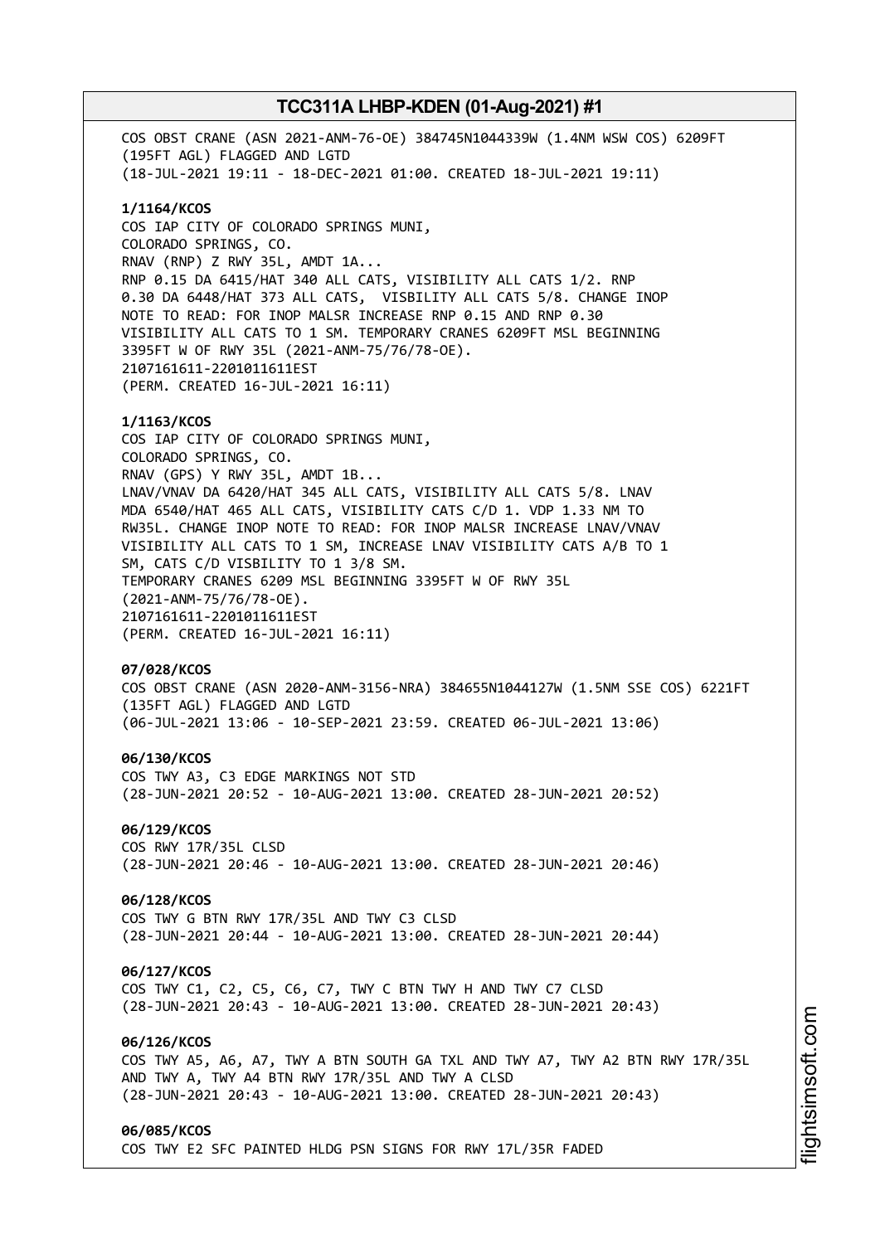COS OBST CRANE (ASN 2021-ANM-76-OE) 384745N1044339W (1.4NM WSW COS) 6209FT (195FT AGL) FLAGGED AND LGTD (18-JUL-2021 19:11 - 18-DEC-2021 01:00. CREATED 18-JUL-2021 19:11) **1/1164/KCOS** COS IAP CITY OF COLORADO SPRINGS MUNI, COLORADO SPRINGS, CO. RNAV (RNP) Z RWY 35L, AMDT 1A... RNP 0.15 DA 6415/HAT 340 ALL CATS, VISIBILITY ALL CATS 1/2. RNP 0.30 DA 6448/HAT 373 ALL CATS, VISBILITY ALL CATS 5/8. CHANGE INOP NOTE TO READ: FOR INOP MALSR INCREASE RNP 0.15 AND RNP 0.30 VISIBILITY ALL CATS TO 1 SM. TEMPORARY CRANES 6209FT MSL BEGINNING 3395FT W OF RWY 35L (2021-ANM-75/76/78-OE). 2107161611-2201011611EST (PERM. CREATED 16-JUL-2021 16:11) **1/1163/KCOS** COS IAP CITY OF COLORADO SPRINGS MUNI, COLORADO SPRINGS, CO. RNAV (GPS) Y RWY 35L, AMDT 1B... LNAV/VNAV DA 6420/HAT 345 ALL CATS, VISIBILITY ALL CATS 5/8. LNAV MDA 6540/HAT 465 ALL CATS, VISIBILITY CATS C/D 1. VDP 1.33 NM TO RW35L. CHANGE INOP NOTE TO READ: FOR INOP MALSR INCREASE LNAV/VNAV VISIBILITY ALL CATS TO 1 SM, INCREASE LNAV VISIBILITY CATS A/B TO 1 SM, CATS C/D VISBILITY TO 1 3/8 SM. TEMPORARY CRANES 6209 MSL BEGINNING 3395FT W OF RWY 35L (2021-ANM-75/76/78-OE). 2107161611-2201011611EST (PERM. CREATED 16-JUL-2021 16:11) **07/028/KCOS** COS OBST CRANE (ASN 2020-ANM-3156-NRA) 384655N1044127W (1.5NM SSE COS) 6221FT (135FT AGL) FLAGGED AND LGTD (06-JUL-2021 13:06 - 10-SEP-2021 23:59. CREATED 06-JUL-2021 13:06) **06/130/KCOS** COS TWY A3, C3 EDGE MARKINGS NOT STD (28-JUN-2021 20:52 - 10-AUG-2021 13:00. CREATED 28-JUN-2021 20:52) **06/129/KCOS** COS RWY 17R/35L CLSD (28-JUN-2021 20:46 - 10-AUG-2021 13:00. CREATED 28-JUN-2021 20:46) **06/128/KCOS** COS TWY G BTN RWY 17R/35L AND TWY C3 CLSD (28-JUN-2021 20:44 - 10-AUG-2021 13:00. CREATED 28-JUN-2021 20:44) **06/127/KCOS** COS TWY C1, C2, C5, C6, C7, TWY C BTN TWY H AND TWY C7 CLSD (28-JUN-2021 20:43 - 10-AUG-2021 13:00. CREATED 28-JUN-2021 20:43) **06/126/KCOS** COS TWY A5, A6, A7, TWY A BTN SOUTH GA TXL AND TWY A7, TWY A2 BTN RWY 17R/35L AND TWY A, TWY A4 BTN RWY 17R/35L AND TWY A CLSD (28-JUN-2021 20:43 - 10-AUG-2021 13:00. CREATED 28-JUN-2021 20:43) **06/085/KCOS** COS TWY E2 SFC PAINTED HLDG PSN SIGNS FOR RWY 17L/35R FADED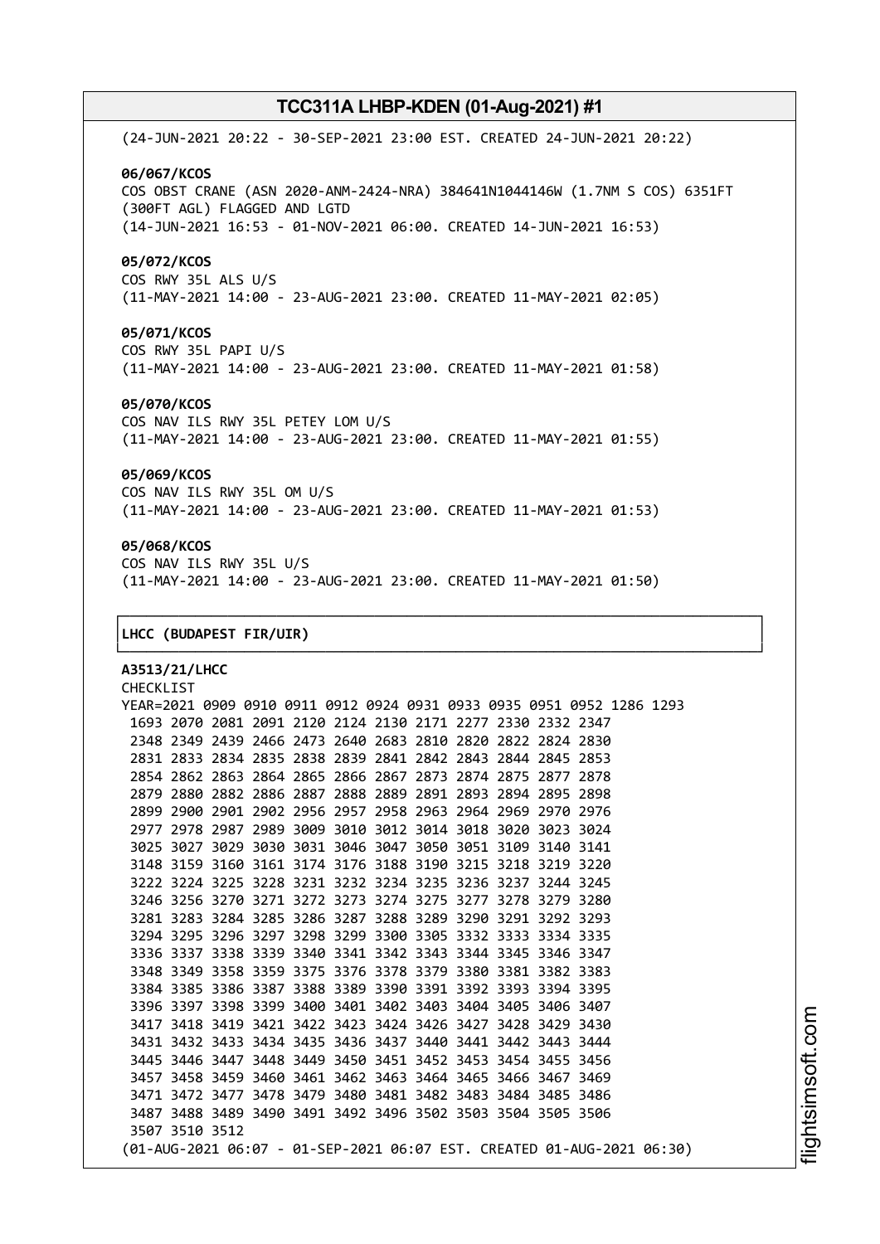(24-JUN-2021 20:22 - 30-SEP-2021 23:00 EST. CREATED 24-JUN-2021 20:22) **06/067/KCOS** COS OBST CRANE (ASN 2020-ANM-2424-NRA) 384641N1044146W (1.7NM S COS) 6351FT (300FT AGL) FLAGGED AND LGTD (14-JUN-2021 16:53 - 01-NOV-2021 06:00. CREATED 14-JUN-2021 16:53) **05/072/KCOS** COS RWY 35L ALS U/S (11-MAY-2021 14:00 - 23-AUG-2021 23:00. CREATED 11-MAY-2021 02:05)

**05/071/KCOS** COS RWY 35L PAPI U/S (11-MAY-2021 14:00 - 23-AUG-2021 23:00. CREATED 11-MAY-2021 01:58)

#### **05/070/KCOS**

COS NAV ILS RWY 35L PETEY LOM U/S (11-MAY-2021 14:00 - 23-AUG-2021 23:00. CREATED 11-MAY-2021 01:55)

### **05/069/KCOS**

COS NAV ILS RWY 35L OM U/S (11-MAY-2021 14:00 - 23-AUG-2021 23:00. CREATED 11-MAY-2021 01:53)

### **05/068/KCOS**

COS NAV ILS RWY 35L U/S (11-MAY-2021 14:00 - 23-AUG-2021 23:00. CREATED 11-MAY-2021 01:50)

┌──────────────────────────────────────────────────────────────────────────────┐

└──────────────────────────────────────────────────────────────────────────────┘

#### │**LHCC (BUDAPEST FIR/UIR)** │

**A3513/21/LHCC** CHECKLIST YEAR=2021 0909 0910 0911 0912 0924 0931 0933 0935 0951 0952 1286 1293 2070 2081 2091 2120 2124 2130 2171 2277 2330 2332 2347 2349 2439 2466 2473 2640 2683 2810 2820 2822 2824 2830 2833 2834 2835 2838 2839 2841 2842 2843 2844 2845 2853 2862 2863 2864 2865 2866 2867 2873 2874 2875 2877 2878 2880 2882 2886 2887 2888 2889 2891 2893 2894 2895 2898 2900 2901 2902 2956 2957 2958 2963 2964 2969 2970 2976 2978 2987 2989 3009 3010 3012 3014 3018 3020 3023 3024 3027 3029 3030 3031 3046 3047 3050 3051 3109 3140 3141 3159 3160 3161 3174 3176 3188 3190 3215 3218 3219 3220 3224 3225 3228 3231 3232 3234 3235 3236 3237 3244 3245 3256 3270 3271 3272 3273 3274 3275 3277 3278 3279 3280 3283 3284 3285 3286 3287 3288 3289 3290 3291 3292 3293 3295 3296 3297 3298 3299 3300 3305 3332 3333 3334 3335 3337 3338 3339 3340 3341 3342 3343 3344 3345 3346 3347 3349 3358 3359 3375 3376 3378 3379 3380 3381 3382 3383 3385 3386 3387 3388 3389 3390 3391 3392 3393 3394 3395 3397 3398 3399 3400 3401 3402 3403 3404 3405 3406 3407 3418 3419 3421 3422 3423 3424 3426 3427 3428 3429 3430 3432 3433 3434 3435 3436 3437 3440 3441 3442 3443 3444 3446 3447 3448 3449 3450 3451 3452 3453 3454 3455 3456 3458 3459 3460 3461 3462 3463 3464 3465 3466 3467 3469 3472 3477 3478 3479 3480 3481 3482 3483 3484 3485 3486 3488 3489 3490 3491 3492 3496 3502 3503 3504 3505 3506 3510 3512 (01-AUG-2021 06:07 - 01-SEP-2021 06:07 EST. CREATED 01-AUG-2021 06:30)

i⊒<br>⊫ htsim soft.c om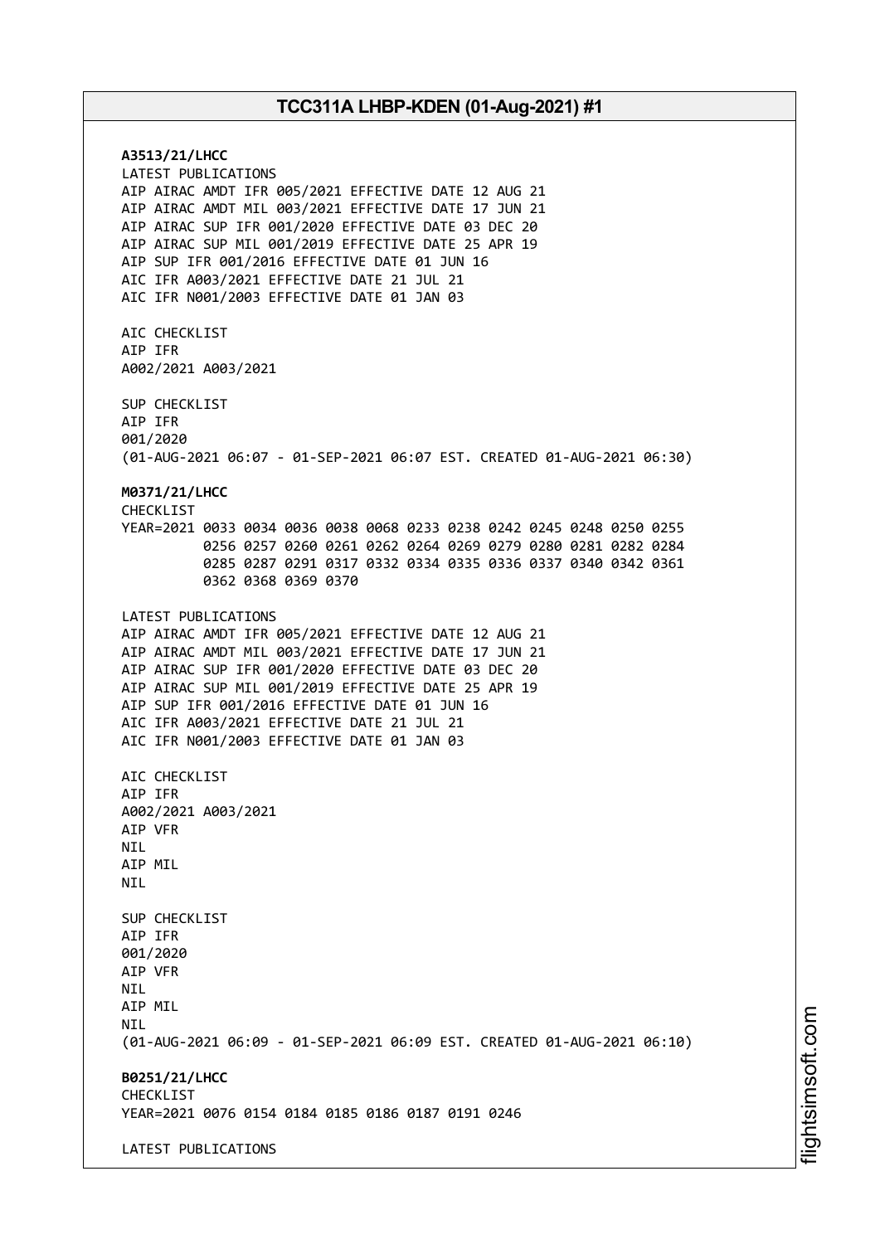**A3513/21/LHCC** LATEST PUBLICATIONS AIP AIRAC AMDT IFR 005/2021 EFFECTIVE DATE 12 AUG 21 AIP AIRAC AMDT MIL 003/2021 EFFECTIVE DATE 17 JUN 21 AIP AIRAC SUP IFR 001/2020 EFFECTIVE DATE 03 DEC 20 AIP AIRAC SUP MIL 001/2019 EFFECTIVE DATE 25 APR 19 AIP SUP IFR 001/2016 EFFECTIVE DATE 01 JUN 16 AIC IFR A003/2021 EFFECTIVE DATE 21 JUL 21 AIC IFR N001/2003 EFFECTIVE DATE 01 JAN 03 AIC CHECKLIST AIP IFR A002/2021 A003/2021 SUP CHECKLIST AIP IFR 001/2020 (01-AUG-2021 06:07 - 01-SEP-2021 06:07 EST. CREATED 01-AUG-2021 06:30) **M0371/21/LHCC** CHECKLIST YEAR=2021 0033 0034 0036 0038 0068 0233 0238 0242 0245 0248 0250 0255 0256 0257 0260 0261 0262 0264 0269 0279 0280 0281 0282 0284 0285 0287 0291 0317 0332 0334 0335 0336 0337 0340 0342 0361 0362 0368 0369 0370 LATEST PUBLICATIONS AIP AIRAC AMDT IFR 005/2021 EFFECTIVE DATE 12 AUG 21 AIP AIRAC AMDT MIL 003/2021 EFFECTIVE DATE 17 JUN 21 AIP AIRAC SUP IFR 001/2020 EFFECTIVE DATE 03 DEC 20 AIP AIRAC SUP MIL 001/2019 EFFECTIVE DATE 25 APR 19 AIP SUP IFR 001/2016 EFFECTIVE DATE 01 JUN 16 AIC IFR A003/2021 EFFECTIVE DATE 21 JUL 21 AIC IFR N001/2003 EFFECTIVE DATE 01 JAN 03 AIC CHECKLIST AIP IFR A002/2021 A003/2021 AIP VFR **NTL** AIP MIL NIL SUP CHECKLIST AIP IFR 001/2020 AIP VFR NIL AIP MIL **NTI** (01-AUG-2021 06:09 - 01-SEP-2021 06:09 EST. CREATED 01-AUG-2021 06:10) **B0251/21/LHCC** CHECKLIST YEAR=2021 0076 0154 0184 0185 0186 0187 0191 0246 LATEST PUBLICATIONS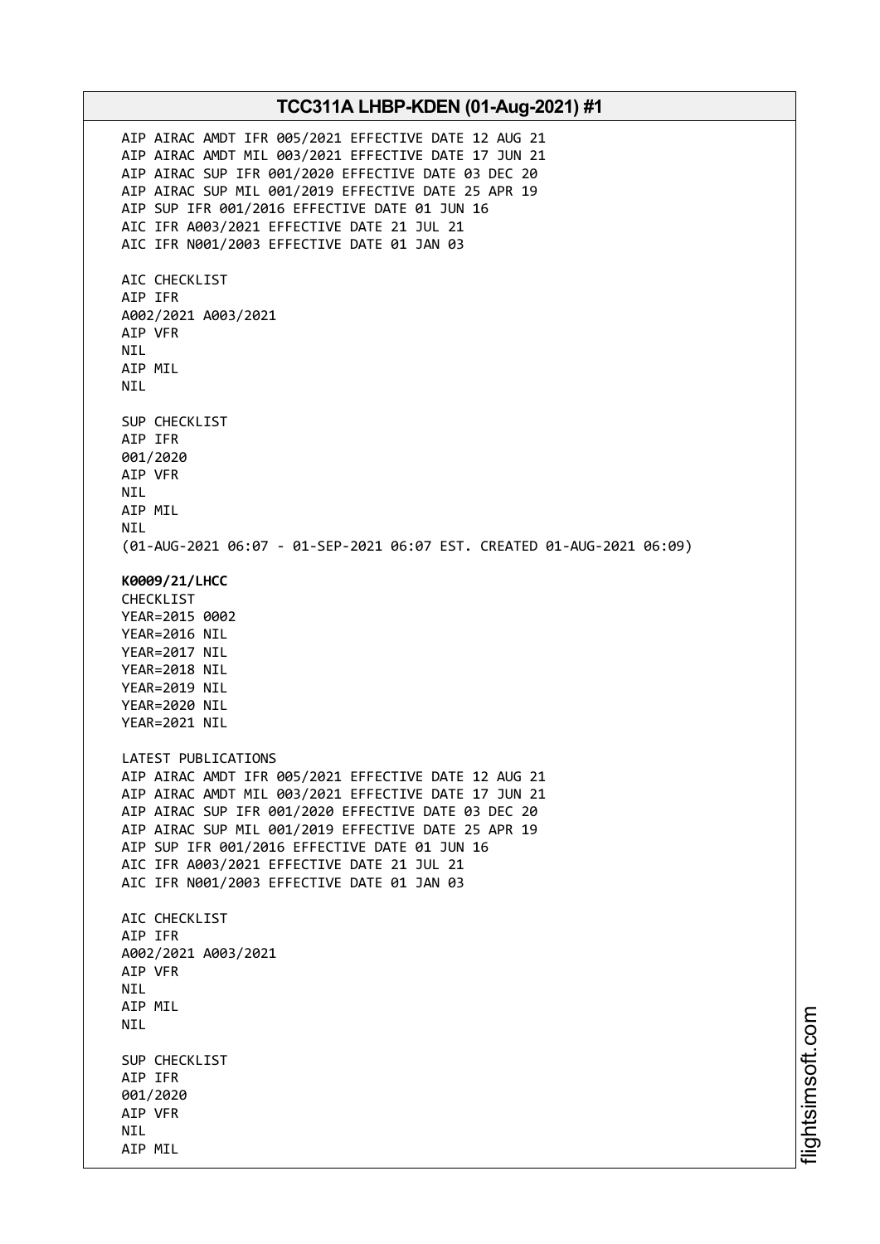AIP AIRAC AMDT IFR 005/2021 EFFECTIVE DATE 12 AUG 21 AIP AIRAC AMDT MIL 003/2021 EFFECTIVE DATE 17 JUN 21 AIP AIRAC SUP IFR 001/2020 EFFECTIVE DATE 03 DEC 20 AIP AIRAC SUP MIL 001/2019 EFFECTIVE DATE 25 APR 19 AIP SUP IFR 001/2016 EFFECTIVE DATE 01 JUN 16 AIC IFR A003/2021 EFFECTIVE DATE 21 JUL 21 AIC IFR N001/2003 EFFECTIVE DATE 01 JAN 03 AIC CHECKLIST AIP IFR A002/2021 A003/2021 AIP VFR NIL AIP MIL NIL SUP CHECKLIST AIP IFR 001/2020 AIP VFR NIL AIP MIL NIL (01-AUG-2021 06:07 - 01-SEP-2021 06:07 EST. CREATED 01-AUG-2021 06:09) **K0009/21/LHCC** CHECKLIST YEAR=2015 0002 YEAR=2016 NIL YEAR=2017 NIL YEAR=2018 NIL YEAR=2019 NIL YEAR=2020 NIL YEAR=2021 NIL LATEST PUBLICATIONS AIP AIRAC AMDT IFR 005/2021 EFFECTIVE DATE 12 AUG 21 AIP AIRAC AMDT MIL 003/2021 EFFECTIVE DATE 17 JUN 21 AIP AIRAC SUP IFR 001/2020 EFFECTIVE DATE 03 DEC 20 AIP AIRAC SUP MIL 001/2019 EFFECTIVE DATE 25 APR 19 AIP SUP IFR 001/2016 EFFECTIVE DATE 01 JUN 16 AIC IFR A003/2021 EFFECTIVE DATE 21 JUL 21 AIC IFR N001/2003 EFFECTIVE DATE 01 JAN 03 AIC CHECKLIST AIP IFR A002/2021 A003/2021 AIP VFR NIL AIP MIL NIL SUP CHECKLIST AIP IFR 001/2020 AIP VFR NIL AIP MIL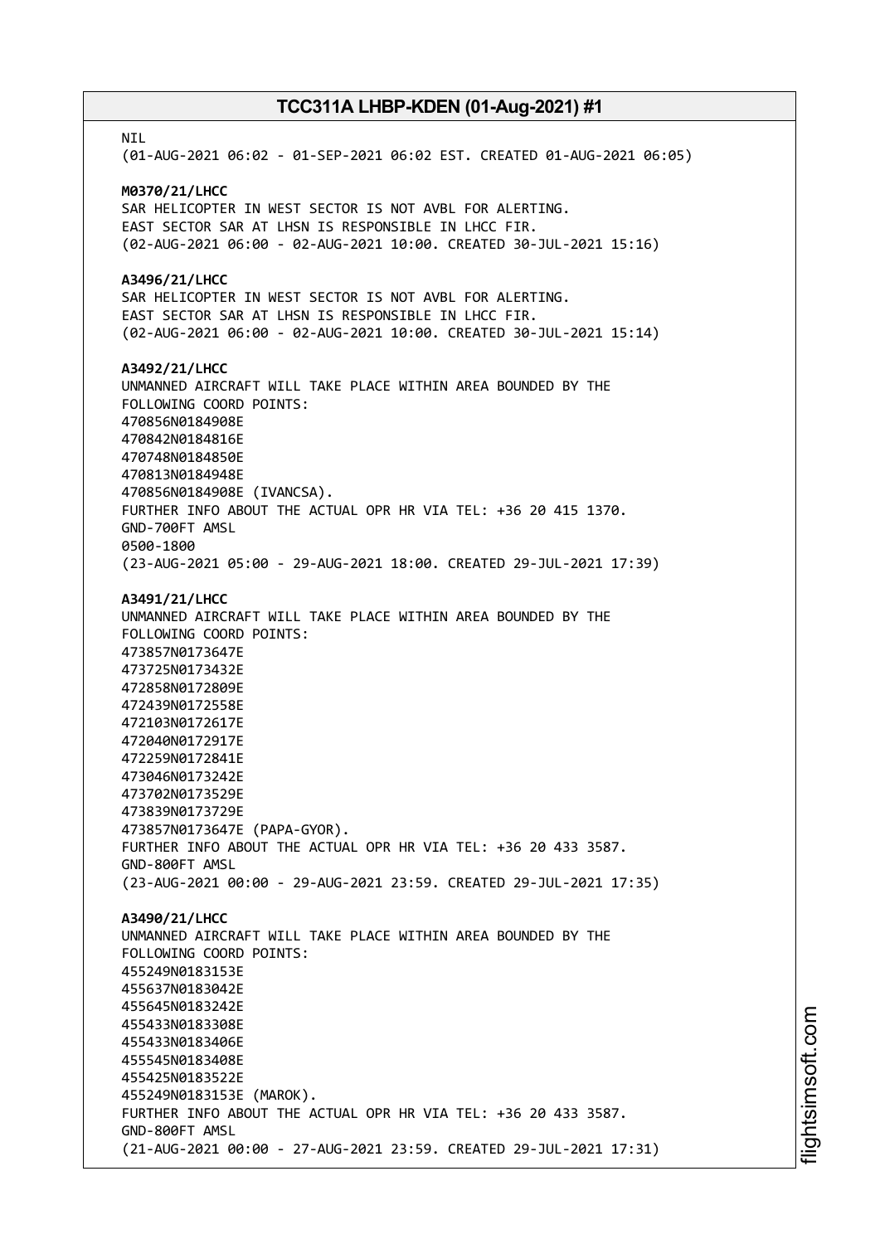**NTI** (01-AUG-2021 06:02 - 01-SEP-2021 06:02 EST. CREATED 01-AUG-2021 06:05) **M0370/21/LHCC** SAR HELICOPTER IN WEST SECTOR IS NOT AVBL FOR ALERTING. EAST SECTOR SAR AT LHSN IS RESPONSIBLE IN LHCC FIR. (02-AUG-2021 06:00 - 02-AUG-2021 10:00. CREATED 30-JUL-2021 15:16) **A3496/21/LHCC** SAR HELICOPTER IN WEST SECTOR IS NOT AVBL FOR ALERTING. EAST SECTOR SAR AT LHSN IS RESPONSIBLE IN LHCC FIR. (02-AUG-2021 06:00 - 02-AUG-2021 10:00. CREATED 30-JUL-2021 15:14) **A3492/21/LHCC** UNMANNED AIRCRAFT WILL TAKE PLACE WITHIN AREA BOUNDED BY THE FOLLOWING COORD POINTS: 470856N0184908E 470842N0184816E 470748N0184850E 470813N0184948E 470856N0184908E (IVANCSA). FURTHER INFO ABOUT THE ACTUAL OPR HR VIA TEL: +36 20 415 1370. GND-700FT AMSL 0500-1800 (23-AUG-2021 05:00 - 29-AUG-2021 18:00. CREATED 29-JUL-2021 17:39) **A3491/21/LHCC** UNMANNED AIRCRAFT WILL TAKE PLACE WITHIN AREA BOUNDED BY THE FOLLOWING COORD POINTS: 473857N0173647E 473725N0173432E 472858N0172809E 472439N0172558E 472103N0172617E 472040N0172917E 472259N0172841E 473046N0173242E 473702N0173529E 473839N0173729E 473857N0173647E (PAPA-GYOR). FURTHER INFO ABOUT THE ACTUAL OPR HR VIA TEL: +36 20 433 3587. GND-800FT AMSL (23-AUG-2021 00:00 - 29-AUG-2021 23:59. CREATED 29-JUL-2021 17:35) **A3490/21/LHCC** UNMANNED AIRCRAFT WILL TAKE PLACE WITHIN AREA BOUNDED BY THE FOLLOWING COORD POINTS: 455249N0183153E 455637N0183042E 455645N0183242E 455433N0183308E 455433N0183406E 455545N0183408E 455425N0183522E 455249N0183153E (MAROK). FURTHER INFO ABOUT THE ACTUAL OPR HR VIA TEL: +36 20 433 3587. GND-800FT AMSL (21-AUG-2021 00:00 - 27-AUG-2021 23:59. CREATED 29-JUL-2021 17:31)

i⊒<br>⊫ htsim s oft.c om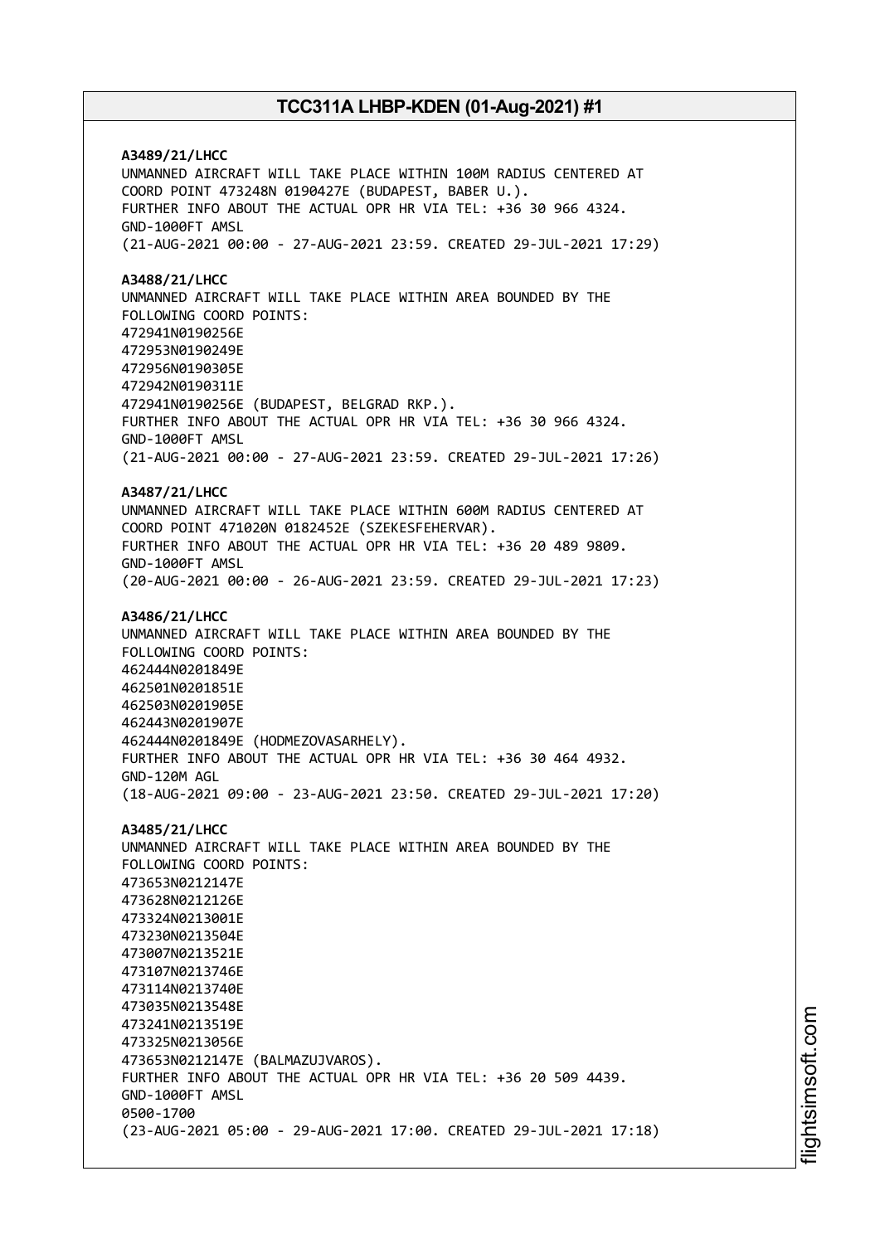**A3489/21/LHCC** UNMANNED AIRCRAFT WILL TAKE PLACE WITHIN 100M RADIUS CENTERED AT COORD POINT 473248N 0190427E (BUDAPEST, BABER U.). FURTHER INFO ABOUT THE ACTUAL OPR HR VIA TEL: +36 30 966 4324. GND-1000FT AMSL (21-AUG-2021 00:00 - 27-AUG-2021 23:59. CREATED 29-JUL-2021 17:29) **A3488/21/LHCC** UNMANNED AIRCRAFT WILL TAKE PLACE WITHIN AREA BOUNDED BY THE FOLLOWING COORD POINTS: 472941N0190256E 472953N0190249E 472956N0190305E 472942N0190311E 472941N0190256E (BUDAPEST, BELGRAD RKP.). FURTHER INFO ABOUT THE ACTUAL OPR HR VIA TEL: +36 30 966 4324. GND-1000FT AMSL (21-AUG-2021 00:00 - 27-AUG-2021 23:59. CREATED 29-JUL-2021 17:26) **A3487/21/LHCC** UNMANNED AIRCRAFT WILL TAKE PLACE WITHIN 600M RADIUS CENTERED AT COORD POINT 471020N 0182452E (SZEKESFEHERVAR). FURTHER INFO ABOUT THE ACTUAL OPR HR VIA TEL: +36 20 489 9809. GND-1000FT AMSL (20-AUG-2021 00:00 - 26-AUG-2021 23:59. CREATED 29-JUL-2021 17:23) **A3486/21/LHCC** UNMANNED AIRCRAFT WILL TAKE PLACE WITHIN AREA BOUNDED BY THE FOLLOWING COORD POINTS: 462444N0201849E 462501N0201851E 462503N0201905E 462443N0201907E 462444N0201849E (HODMEZOVASARHELY). FURTHER INFO ABOUT THE ACTUAL OPR HR VIA TEL: +36 30 464 4932. GND-120M AGL (18-AUG-2021 09:00 - 23-AUG-2021 23:50. CREATED 29-JUL-2021 17:20) **A3485/21/LHCC** UNMANNED AIRCRAFT WILL TAKE PLACE WITHIN AREA BOUNDED BY THE FOLLOWING COORD POINTS: 473653N0212147E 473628N0212126E 473324N0213001E 473230N0213504E 473007N0213521E 473107N0213746E 473114N0213740E 473035N0213548E 473241N0213519E 473325N0213056E 473653N0212147E (BALMAZUJVAROS). FURTHER INFO ABOUT THE ACTUAL OPR HR VIA TEL: +36 20 509 4439. GND-1000FT AMSL 0500-1700 (23-AUG-2021 05:00 - 29-AUG-2021 17:00. CREATED 29-JUL-2021 17:18)

i⊒<br>⊫ htsim soft.c om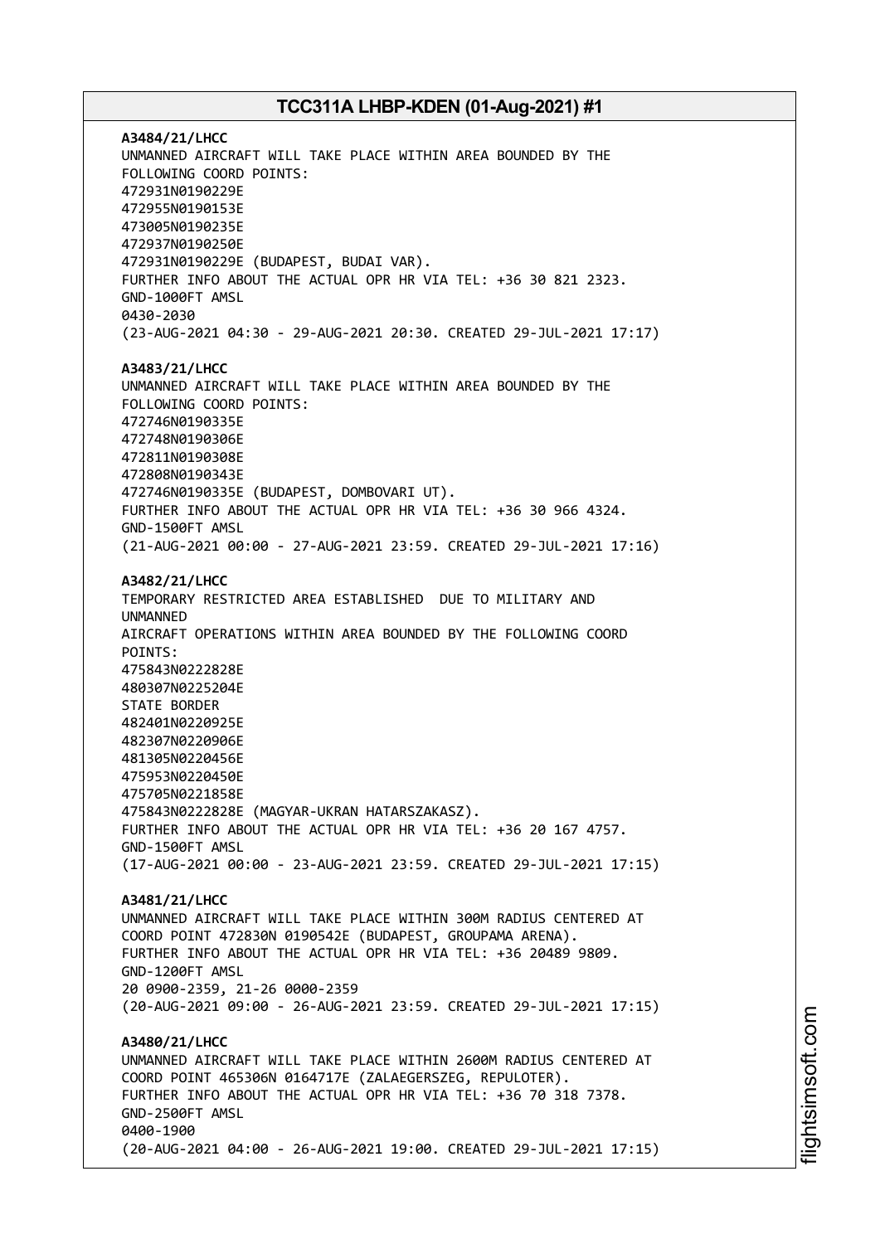**A3484/21/LHCC** UNMANNED AIRCRAFT WILL TAKE PLACE WITHIN AREA BOUNDED BY THE FOLLOWING COORD POINTS: 472931N0190229E 472955N0190153E 473005N0190235E 472937N0190250E 472931N0190229E (BUDAPEST, BUDAI VAR). FURTHER INFO ABOUT THE ACTUAL OPR HR VIA TEL: +36 30 821 2323. GND-1000FT AMSL 0430-2030 (23-AUG-2021 04:30 - 29-AUG-2021 20:30. CREATED 29-JUL-2021 17:17) **A3483/21/LHCC** UNMANNED AIRCRAFT WILL TAKE PLACE WITHIN AREA BOUNDED BY THE FOLLOWING COORD POINTS: 472746N0190335E 472748N0190306E 472811N0190308E 472808N0190343E 472746N0190335E (BUDAPEST, DOMBOVARI UT). FURTHER INFO ABOUT THE ACTUAL OPR HR VIA TEL: +36 30 966 4324. GND-1500FT AMSL (21-AUG-2021 00:00 - 27-AUG-2021 23:59. CREATED 29-JUL-2021 17:16) **A3482/21/LHCC** TEMPORARY RESTRICTED AREA ESTABLISHED DUE TO MILITARY AND UNMANNED AIRCRAFT OPERATIONS WITHIN AREA BOUNDED BY THE FOLLOWING COORD POINTS: 475843N0222828E 480307N0225204E STATE BORDER 482401N0220925E 482307N0220906E 481305N0220456E 475953N0220450E 475705N0221858E 475843N0222828E (MAGYAR-UKRAN HATARSZAKASZ). FURTHER INFO ABOUT THE ACTUAL OPR HR VIA TEL: +36 20 167 4757. GND-1500FT AMSL (17-AUG-2021 00:00 - 23-AUG-2021 23:59. CREATED 29-JUL-2021 17:15) **A3481/21/LHCC** UNMANNED AIRCRAFT WILL TAKE PLACE WITHIN 300M RADIUS CENTERED AT COORD POINT 472830N 0190542E (BUDAPEST, GROUPAMA ARENA). FURTHER INFO ABOUT THE ACTUAL OPR HR VIA TEL: +36 20489 9809. GND-1200FT AMSL 20 0900-2359, 21-26 0000-2359 (20-AUG-2021 09:00 - 26-AUG-2021 23:59. CREATED 29-JUL-2021 17:15) **A3480/21/LHCC** UNMANNED AIRCRAFT WILL TAKE PLACE WITHIN 2600M RADIUS CENTERED AT COORD POINT 465306N 0164717E (ZALAEGERSZEG, REPULOTER). FURTHER INFO ABOUT THE ACTUAL OPR HR VIA TEL: +36 70 318 7378. GND-2500FT AMSL 0400-1900 (20-AUG-2021 04:00 - 26-AUG-2021 19:00. CREATED 29-JUL-2021 17:15)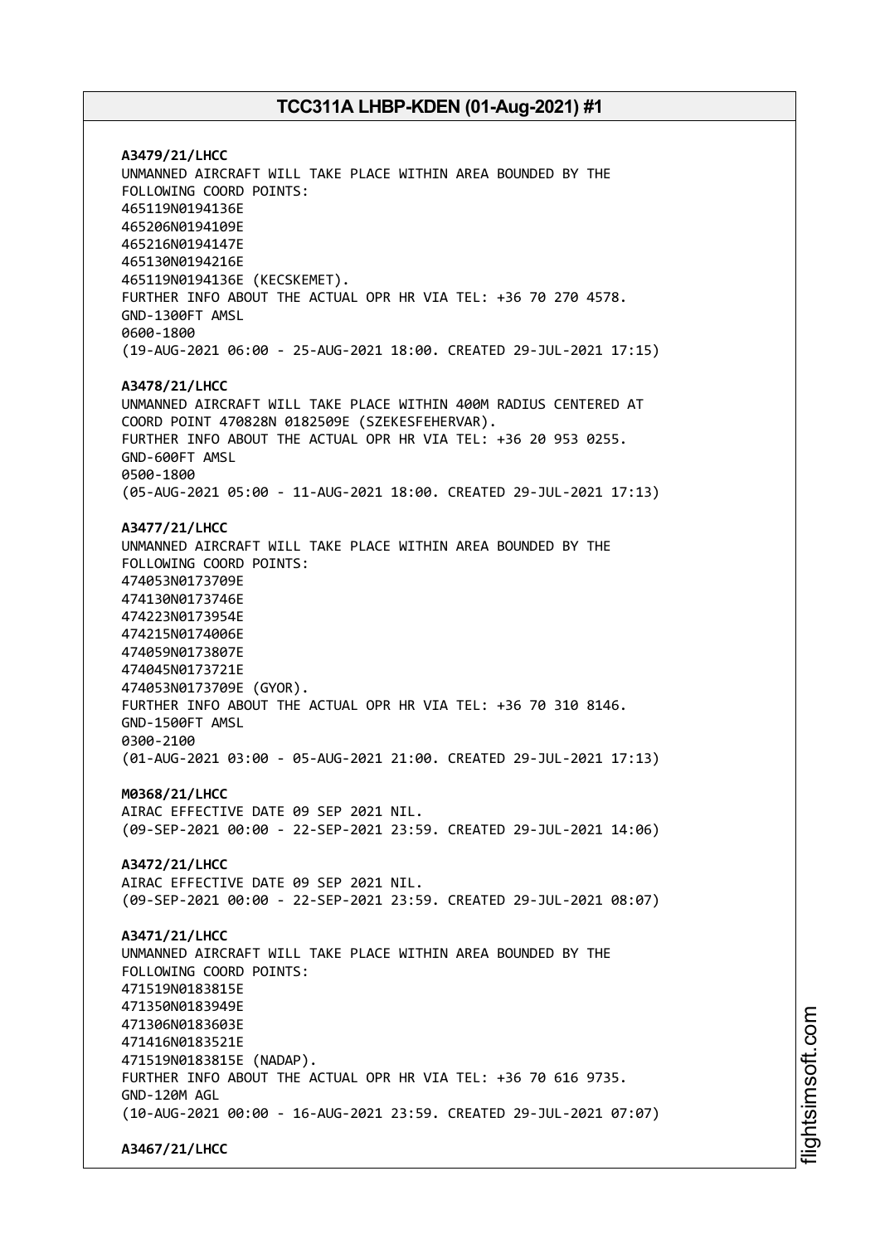**A3479/21/LHCC** UNMANNED AIRCRAFT WILL TAKE PLACE WITHIN AREA BOUNDED BY THE FOLLOWING COORD POINTS: 465119N0194136E 465206N0194109E 465216N0194147E 465130N0194216E 465119N0194136E (KECSKEMET). FURTHER INFO ABOUT THE ACTUAL OPR HR VIA TEL: +36 70 270 4578. GND-1300FT AMSL 0600-1800 (19-AUG-2021 06:00 - 25-AUG-2021 18:00. CREATED 29-JUL-2021 17:15) **A3478/21/LHCC** UNMANNED AIRCRAFT WILL TAKE PLACE WITHIN 400M RADIUS CENTERED AT COORD POINT 470828N 0182509E (SZEKESFEHERVAR). FURTHER INFO ABOUT THE ACTUAL OPR HR VIA TEL: +36 20 953 0255. GND-600FT AMSL 0500-1800 (05-AUG-2021 05:00 - 11-AUG-2021 18:00. CREATED 29-JUL-2021 17:13) **A3477/21/LHCC** UNMANNED AIRCRAFT WILL TAKE PLACE WITHIN AREA BOUNDED BY THE FOLLOWING COORD POINTS: 474053N0173709E 474130N0173746E 474223N0173954E 474215N0174006E 474059N0173807E 474045N0173721E 474053N0173709E (GYOR). FURTHER INFO ABOUT THE ACTUAL OPR HR VIA TEL: +36 70 310 8146. GND-1500FT AMSL 0300-2100 (01-AUG-2021 03:00 - 05-AUG-2021 21:00. CREATED 29-JUL-2021 17:13) **M0368/21/LHCC** AIRAC EFFECTIVE DATE 09 SEP 2021 NIL. (09-SEP-2021 00:00 - 22-SEP-2021 23:59. CREATED 29-JUL-2021 14:06) **A3472/21/LHCC** AIRAC EFFECTIVE DATE 09 SEP 2021 NIL. (09-SEP-2021 00:00 - 22-SEP-2021 23:59. CREATED 29-JUL-2021 08:07) **A3471/21/LHCC** UNMANNED AIRCRAFT WILL TAKE PLACE WITHIN AREA BOUNDED BY THE FOLLOWING COORD POINTS: 471519N0183815E 471350N0183949E 471306N0183603E 471416N0183521E 471519N0183815E (NADAP). FURTHER INFO ABOUT THE ACTUAL OPR HR VIA TEL: +36 70 616 9735. GND-120M AGL (10-AUG-2021 00:00 - 16-AUG-2021 23:59. CREATED 29-JUL-2021 07:07)

**A3467/21/LHCC**

i⊒<br>⊫ htsim soft.c om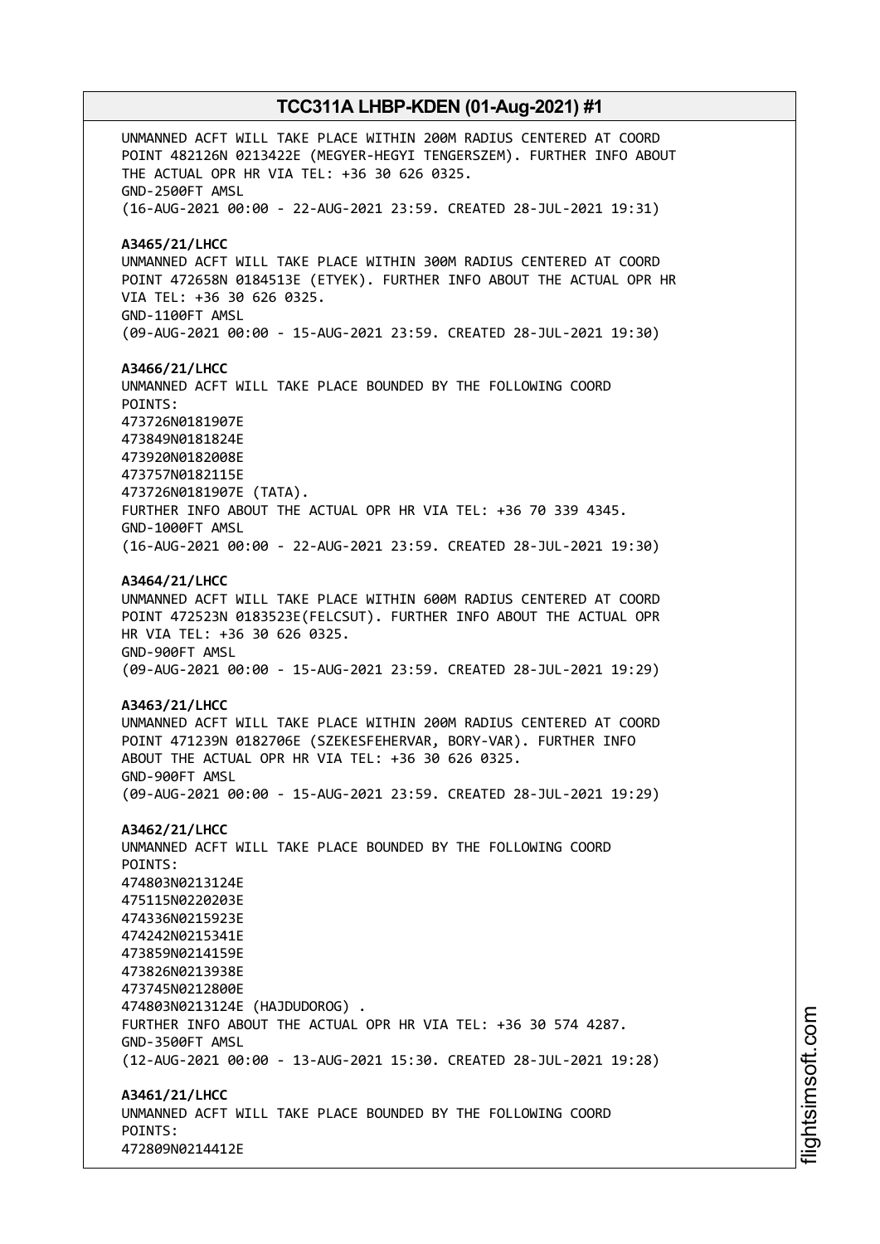UNMANNED ACFT WILL TAKE PLACE WITHIN 200M RADIUS CENTERED AT COORD POINT 482126N 0213422E (MEGYER-HEGYI TENGERSZEM). FURTHER INFO ABOUT THE ACTUAL OPR HR VIA TEL: +36 30 626 0325. GND-2500FT AMSL (16-AUG-2021 00:00 - 22-AUG-2021 23:59. CREATED 28-JUL-2021 19:31) **A3465/21/LHCC** UNMANNED ACFT WILL TAKE PLACE WITHIN 300M RADIUS CENTERED AT COORD POINT 472658N 0184513E (ETYEK). FURTHER INFO ABOUT THE ACTUAL OPR HR VIA TEL: +36 30 626 0325. GND-1100FT AMSL (09-AUG-2021 00:00 - 15-AUG-2021 23:59. CREATED 28-JUL-2021 19:30) **A3466/21/LHCC** UNMANNED ACFT WILL TAKE PLACE BOUNDED BY THE FOLLOWING COORD POINTS: 473726N0181907E 473849N0181824E 473920N0182008E 473757N0182115E 473726N0181907E (TATA). FURTHER INFO ABOUT THE ACTUAL OPR HR VIA TEL: +36 70 339 4345. GND-1000FT AMSL (16-AUG-2021 00:00 - 22-AUG-2021 23:59. CREATED 28-JUL-2021 19:30) **A3464/21/LHCC** UNMANNED ACFT WILL TAKE PLACE WITHIN 600M RADIUS CENTERED AT COORD POINT 472523N 0183523E(FELCSUT). FURTHER INFO ABOUT THE ACTUAL OPR HR VIA TEL: +36 30 626 0325. GND-900FT AMSL (09-AUG-2021 00:00 - 15-AUG-2021 23:59. CREATED 28-JUL-2021 19:29) **A3463/21/LHCC** UNMANNED ACFT WILL TAKE PLACE WITHIN 200M RADIUS CENTERED AT COORD POINT 471239N 0182706E (SZEKESFEHERVAR, BORY-VAR). FURTHER INFO ABOUT THE ACTUAL OPR HR VIA TEL: +36 30 626 0325. GND-900FT AMSL (09-AUG-2021 00:00 - 15-AUG-2021 23:59. CREATED 28-JUL-2021 19:29) **A3462/21/LHCC** UNMANNED ACFT WILL TAKE PLACE BOUNDED BY THE FOLLOWING COORD POINTS: 474803N0213124E 475115N0220203E 474336N0215923E 474242N0215341E 473859N0214159E 473826N0213938E 473745N0212800E 474803N0213124E (HAJDUDOROG) . FURTHER INFO ABOUT THE ACTUAL OPR HR VIA TEL: +36 30 574 4287. GND-3500FT AMSL (12-AUG-2021 00:00 - 13-AUG-2021 15:30. CREATED 28-JUL-2021 19:28) **A3461/21/LHCC** UNMANNED ACFT WILL TAKE PLACE BOUNDED BY THE FOLLOWING COORD POINTS: 472809N0214412E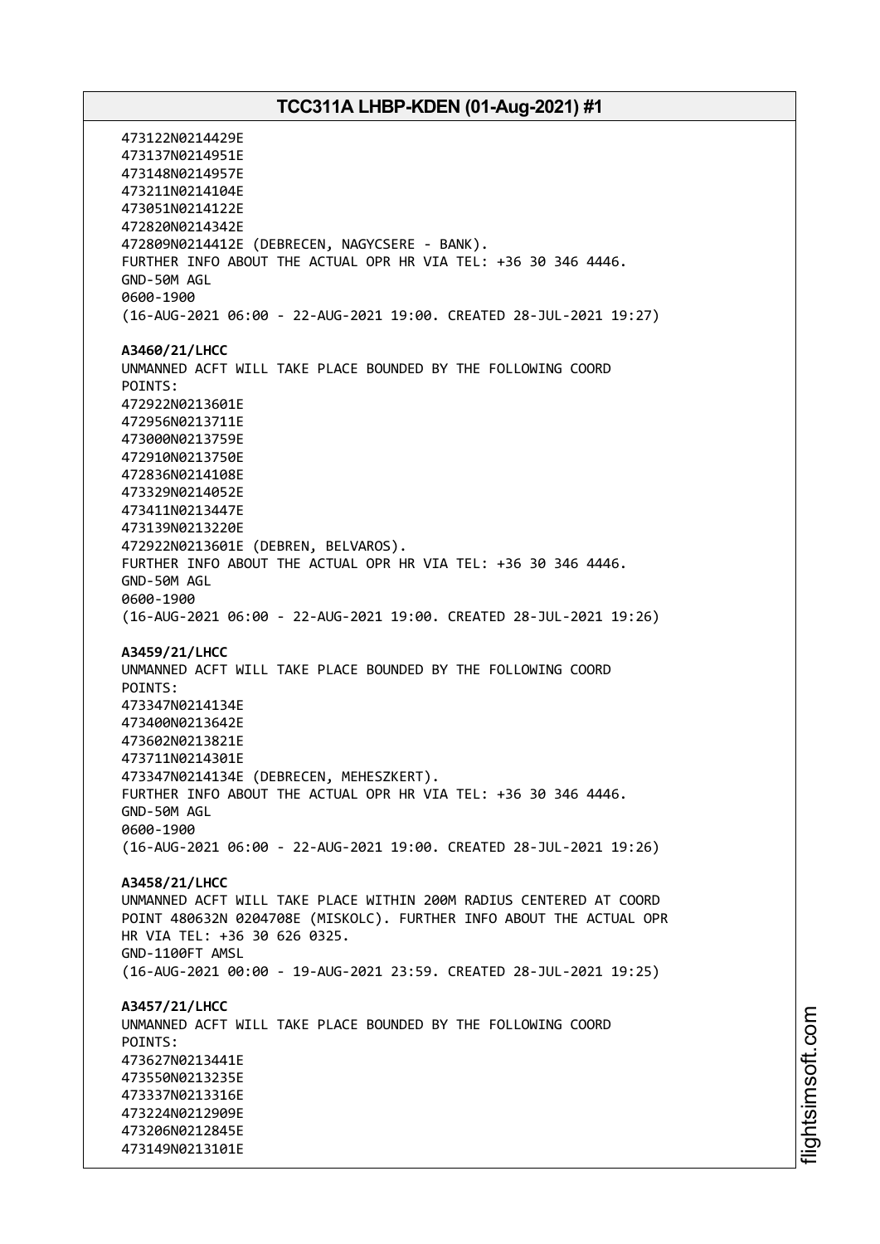473122N0214429E 473137N0214951E 473148N0214957E 473211N0214104E 473051N0214122E 472820N0214342E 472809N0214412E (DEBRECEN, NAGYCSERE - BANK). FURTHER INFO ABOUT THE ACTUAL OPR HR VIA TEL: +36 30 346 4446. GND-50M AGL 0600-1900 (16-AUG-2021 06:00 - 22-AUG-2021 19:00. CREATED 28-JUL-2021 19:27) **A3460/21/LHCC** UNMANNED ACFT WILL TAKE PLACE BOUNDED BY THE FOLLOWING COORD POINTS: 472922N0213601E 472956N0213711E 473000N0213759E 472910N0213750E 472836N0214108E 473329N0214052E 473411N0213447E 473139N0213220E 472922N0213601E (DEBREN, BELVAROS). FURTHER INFO ABOUT THE ACTUAL OPR HR VIA TEL: +36 30 346 4446. GND-50M AGL 0600-1900 (16-AUG-2021 06:00 - 22-AUG-2021 19:00. CREATED 28-JUL-2021 19:26) **A3459/21/LHCC** UNMANNED ACFT WILL TAKE PLACE BOUNDED BY THE FOLLOWING COORD POINTS: 473347N0214134E 473400N0213642E 473602N0213821E 473711N0214301E 473347N0214134E (DEBRECEN, MEHESZKERT). FURTHER INFO ABOUT THE ACTUAL OPR HR VIA TEL: +36 30 346 4446. GND-50M AGL 0600-1900 (16-AUG-2021 06:00 - 22-AUG-2021 19:00. CREATED 28-JUL-2021 19:26) **A3458/21/LHCC** UNMANNED ACFT WILL TAKE PLACE WITHIN 200M RADIUS CENTERED AT COORD POINT 480632N 0204708E (MISKOLC). FURTHER INFO ABOUT THE ACTUAL OPR HR VIA TEL: +36 30 626 0325. GND-1100FT AMSL (16-AUG-2021 00:00 - 19-AUG-2021 23:59. CREATED 28-JUL-2021 19:25) **A3457/21/LHCC** UNMANNED ACFT WILL TAKE PLACE BOUNDED BY THE FOLLOWING COORD POINTS: 473627N0213441E 473550N0213235E 473337N0213316E 473224N0212909E 473206N0212845E 473149N0213101E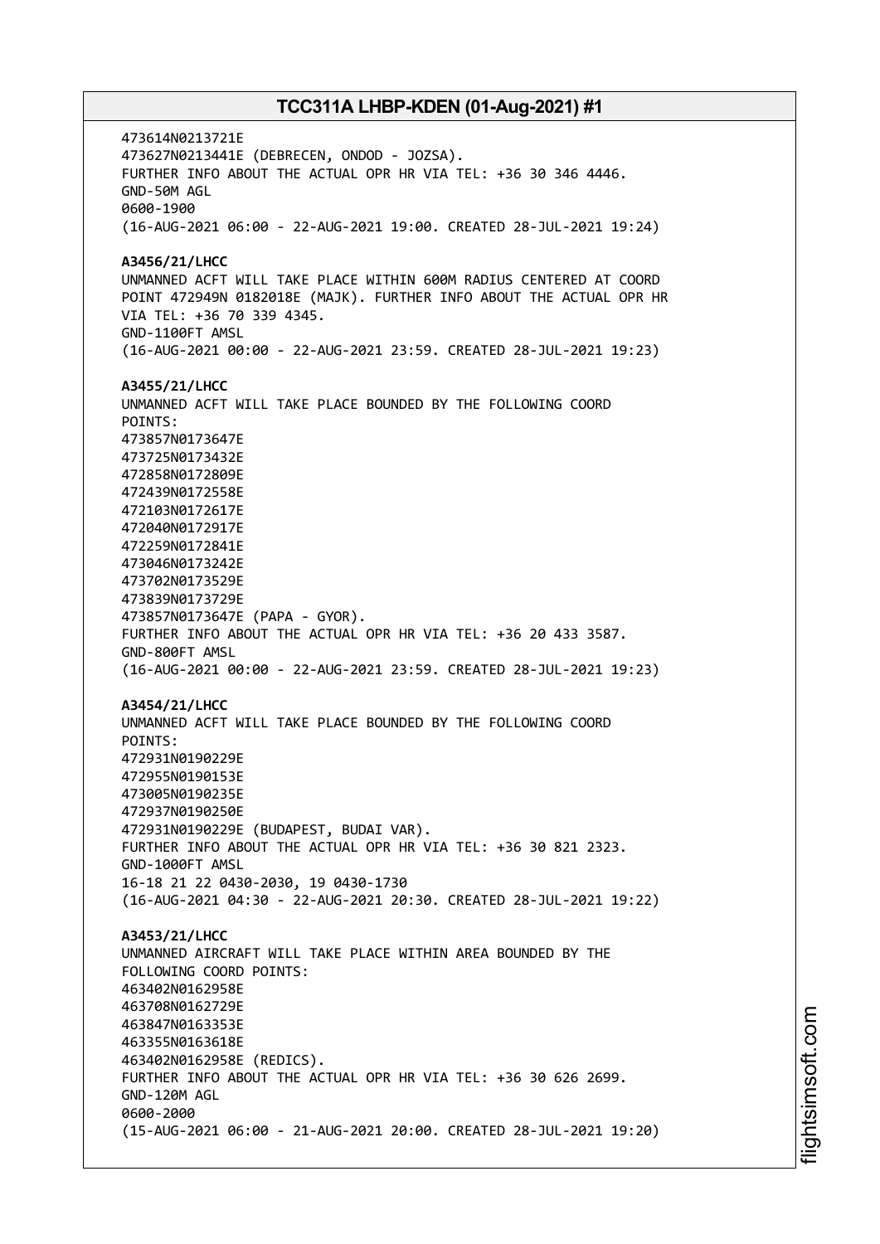473614N0213721E 473627N0213441E (DEBRECEN, ONDOD - JOZSA). FURTHER INFO ABOUT THE ACTUAL OPR HR VIA TEL: +36 30 346 4446. GND-50M AGL 0600-1900 (16-AUG-2021 06:00 - 22-AUG-2021 19:00. CREATED 28-JUL-2021 19:24) **A3456/21/LHCC** UNMANNED ACFT WILL TAKE PLACE WITHIN 600M RADIUS CENTERED AT COORD POINT 472949N 0182018E (MAJK). FURTHER INFO ABOUT THE ACTUAL OPR HR VIA TEL: +36 70 339 4345. GND-1100FT AMSL (16-AUG-2021 00:00 - 22-AUG-2021 23:59. CREATED 28-JUL-2021 19:23) **A3455/21/LHCC** UNMANNED ACFT WILL TAKE PLACE BOUNDED BY THE FOLLOWING COORD POINTS: 473857N0173647E 473725N0173432E 472858N0172809E 472439N0172558E 472103N0172617E 472040N0172917E 472259N0172841E 473046N0173242E 473702N0173529E 473839N0173729E 473857N0173647E (PAPA - GYOR). FURTHER INFO ABOUT THE ACTUAL OPR HR VIA TEL: +36 20 433 3587. GND-800FT AMSL (16-AUG-2021 00:00 - 22-AUG-2021 23:59. CREATED 28-JUL-2021 19:23) **A3454/21/LHCC** UNMANNED ACFT WILL TAKE PLACE BOUNDED BY THE FOLLOWING COORD POINTS: 472931N0190229E 472955N0190153E 473005N0190235E 472937N0190250E 472931N0190229E (BUDAPEST, BUDAI VAR). FURTHER INFO ABOUT THE ACTUAL OPR HR VIA TEL: +36 30 821 2323. GND-1000FT AMSL 16-18 21 22 0430-2030, 19 0430-1730 (16-AUG-2021 04:30 - 22-AUG-2021 20:30. CREATED 28-JUL-2021 19:22) **A3453/21/LHCC** UNMANNED AIRCRAFT WILL TAKE PLACE WITHIN AREA BOUNDED BY THE FOLLOWING COORD POINTS: 463402N0162958E 463708N0162729E 463847N0163353E 463355N0163618E 463402N0162958E (REDICS). FURTHER INFO ABOUT THE ACTUAL OPR HR VIA TEL: +36 30 626 2699. GND-120M AGL 0600-2000 (15-AUG-2021 06:00 - 21-AUG-2021 20:00. CREATED 28-JUL-2021 19:20)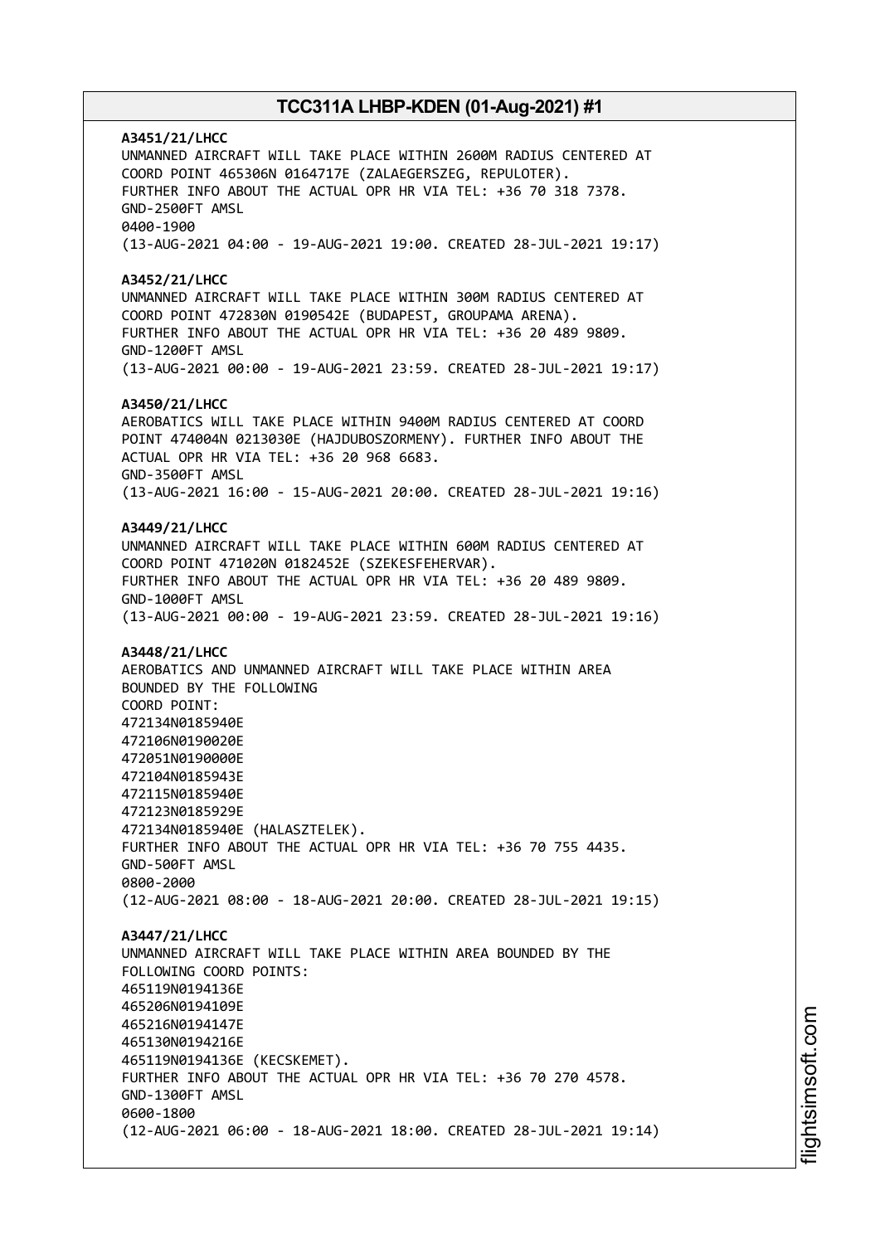**A3451/21/LHCC** UNMANNED AIRCRAFT WILL TAKE PLACE WITHIN 2600M RADIUS CENTERED AT COORD POINT 465306N 0164717E (ZALAEGERSZEG, REPULOTER). FURTHER INFO ABOUT THE ACTUAL OPR HR VIA TEL: +36 70 318 7378. GND-2500FT AMSL 0400-1900 (13-AUG-2021 04:00 - 19-AUG-2021 19:00. CREATED 28-JUL-2021 19:17) **A3452/21/LHCC** UNMANNED AIRCRAFT WILL TAKE PLACE WITHIN 300M RADIUS CENTERED AT COORD POINT 472830N 0190542E (BUDAPEST, GROUPAMA ARENA). FURTHER INFO ABOUT THE ACTUAL OPR HR VIA TEL: +36 20 489 9809. GND-1200FT AMSL (13-AUG-2021 00:00 - 19-AUG-2021 23:59. CREATED 28-JUL-2021 19:17) **A3450/21/LHCC** AEROBATICS WILL TAKE PLACE WITHIN 9400M RADIUS CENTERED AT COORD POINT 474004N 0213030E (HAJDUBOSZORMENY). FURTHER INFO ABOUT THE ACTUAL OPR HR VIA TEL: +36 20 968 6683. GND-3500FT AMSL (13-AUG-2021 16:00 - 15-AUG-2021 20:00. CREATED 28-JUL-2021 19:16) **A3449/21/LHCC** UNMANNED AIRCRAFT WILL TAKE PLACE WITHIN 600M RADIUS CENTERED AT COORD POINT 471020N 0182452E (SZEKESFEHERVAR). FURTHER INFO ABOUT THE ACTUAL OPR HR VIA TEL: +36 20 489 9809. GND-1000FT AMSL (13-AUG-2021 00:00 - 19-AUG-2021 23:59. CREATED 28-JUL-2021 19:16) **A3448/21/LHCC** AEROBATICS AND UNMANNED AIRCRAFT WILL TAKE PLACE WITHIN AREA BOUNDED BY THE FOLLOWING COORD POINT: 472134N0185940E 472106N0190020E 472051N0190000E 472104N0185943E 472115N0185940E 472123N0185929E 472134N0185940E (HALASZTELEK). FURTHER INFO ABOUT THE ACTUAL OPR HR VIA TEL: +36 70 755 4435. GND-500FT AMSL 0800-2000 (12-AUG-2021 08:00 - 18-AUG-2021 20:00. CREATED 28-JUL-2021 19:15) **A3447/21/LHCC** UNMANNED AIRCRAFT WILL TAKE PLACE WITHIN AREA BOUNDED BY THE FOLLOWING COORD POINTS: 465119N0194136E 465206N0194109E 465216N0194147E 465130N0194216E 465119N0194136E (KECSKEMET). FURTHER INFO ABOUT THE ACTUAL OPR HR VIA TEL: +36 70 270 4578. GND-1300FT AMSL 0600-1800 (12-AUG-2021 06:00 - 18-AUG-2021 18:00. CREATED 28-JUL-2021 19:14)

i⊒<br>⊫ htsim soft.c om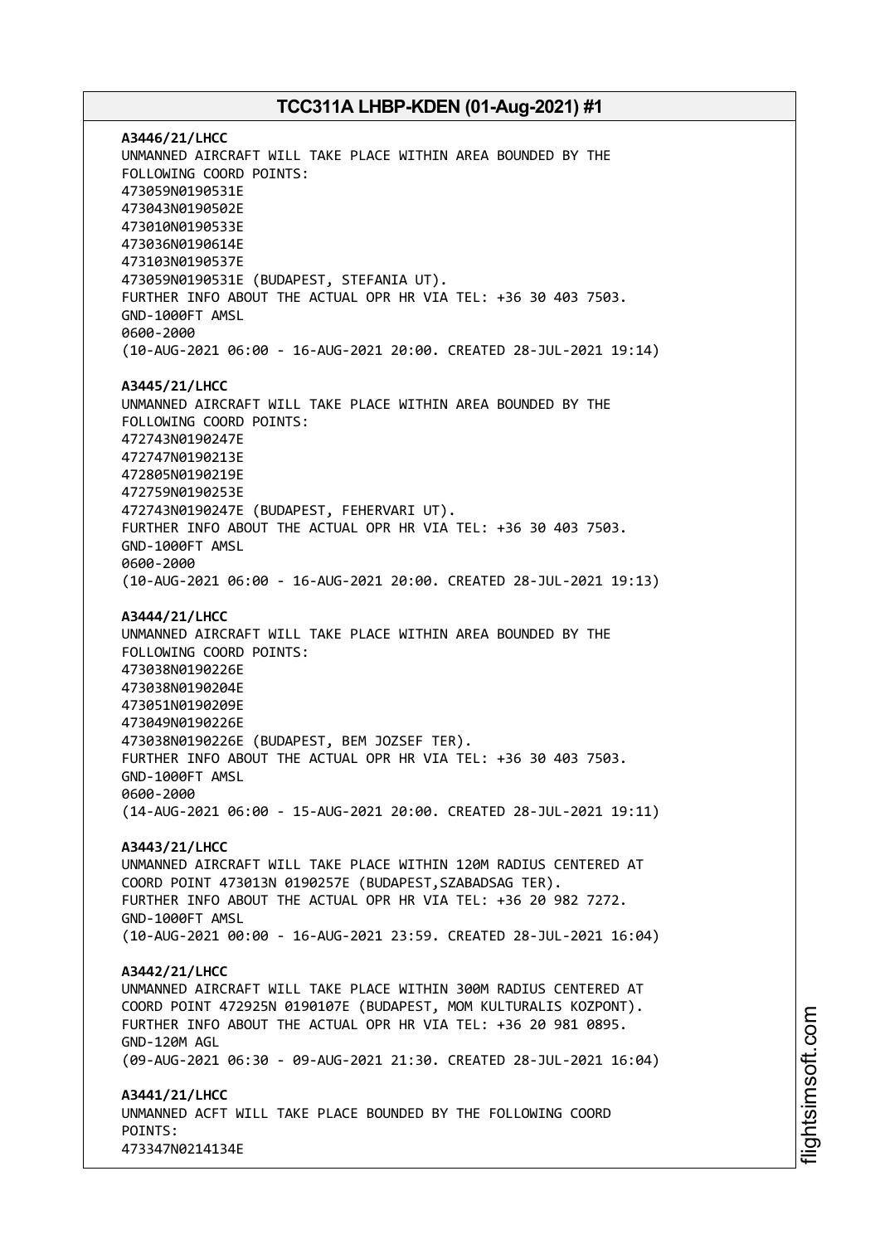**A3446/21/LHCC** UNMANNED AIRCRAFT WILL TAKE PLACE WITHIN AREA BOUNDED BY THE FOLLOWING COORD POINTS: 473059N0190531E 473043N0190502E 473010N0190533E 473036N0190614E 473103N0190537E 473059N0190531E (BUDAPEST, STEFANIA UT). FURTHER INFO ABOUT THE ACTUAL OPR HR VIA TEL: +36 30 403 7503. GND-1000FT AMSL 0600-2000 (10-AUG-2021 06:00 - 16-AUG-2021 20:00. CREATED 28-JUL-2021 19:14) **A3445/21/LHCC** UNMANNED AIRCRAFT WILL TAKE PLACE WITHIN AREA BOUNDED BY THE FOLLOWING COORD POINTS: 472743N0190247E 472747N0190213E 472805N0190219E 472759N0190253E 472743N0190247E (BUDAPEST, FEHERVARI UT). FURTHER INFO ABOUT THE ACTUAL OPR HR VIA TEL: +36 30 403 7503. GND-1000FT AMSL 0600-2000 (10-AUG-2021 06:00 - 16-AUG-2021 20:00. CREATED 28-JUL-2021 19:13) **A3444/21/LHCC** UNMANNED AIRCRAFT WILL TAKE PLACE WITHIN AREA BOUNDED BY THE FOLLOWING COORD POINTS: 473038N0190226E 473038N0190204E 473051N0190209E 473049N0190226E 473038N0190226E (BUDAPEST, BEM JOZSEF TER). FURTHER INFO ABOUT THE ACTUAL OPR HR VIA TEL: +36 30 403 7503. GND-1000FT AMSL 0600-2000 (14-AUG-2021 06:00 - 15-AUG-2021 20:00. CREATED 28-JUL-2021 19:11) **A3443/21/LHCC** UNMANNED AIRCRAFT WILL TAKE PLACE WITHIN 120M RADIUS CENTERED AT COORD POINT 473013N 0190257E (BUDAPEST,SZABADSAG TER). FURTHER INFO ABOUT THE ACTUAL OPR HR VIA TEL: +36 20 982 7272. GND-1000FT AMSL (10-AUG-2021 00:00 - 16-AUG-2021 23:59. CREATED 28-JUL-2021 16:04) **A3442/21/LHCC** UNMANNED AIRCRAFT WILL TAKE PLACE WITHIN 300M RADIUS CENTERED AT COORD POINT 472925N 0190107E (BUDAPEST, MOM KULTURALIS KOZPONT). FURTHER INFO ABOUT THE ACTUAL OPR HR VIA TEL: +36 20 981 0895. GND-120M AGL (09-AUG-2021 06:30 - 09-AUG-2021 21:30. CREATED 28-JUL-2021 16:04) **A3441/21/LHCC** UNMANNED ACFT WILL TAKE PLACE BOUNDED BY THE FOLLOWING COORD POINTS: 473347N0214134E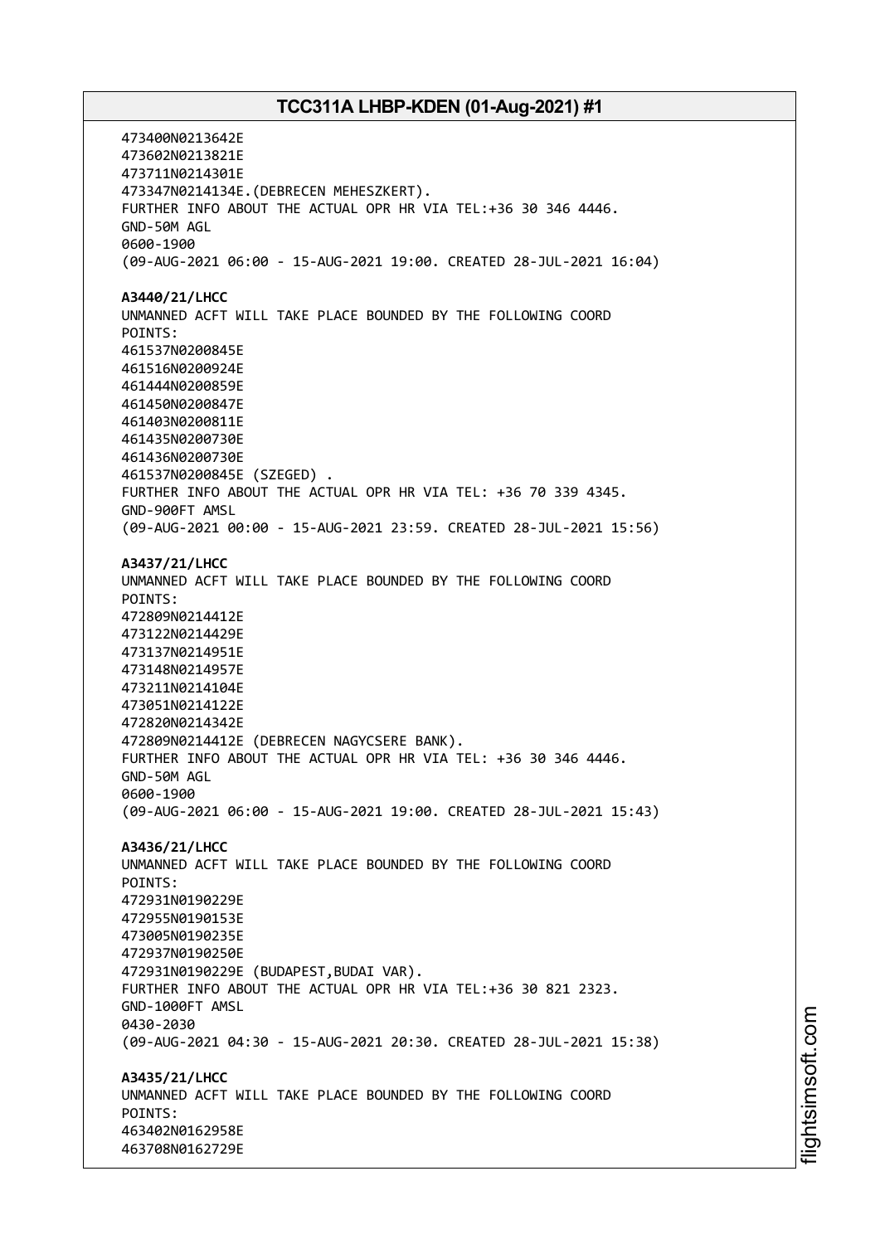473400N0213642E 473602N0213821E 473711N0214301E 473347N0214134E.(DEBRECEN MEHESZKERT). FURTHER INFO ABOUT THE ACTUAL OPR HR VIA TEL:+36 30 346 4446. GND-50M AGL 0600-1900 (09-AUG-2021 06:00 - 15-AUG-2021 19:00. CREATED 28-JUL-2021 16:04) **A3440/21/LHCC** UNMANNED ACFT WILL TAKE PLACE BOUNDED BY THE FOLLOWING COORD POINTS: 461537N0200845E 461516N0200924E 461444N0200859E 461450N0200847E 461403N0200811E 461435N0200730E 461436N0200730E 461537N0200845E (SZEGED) . FURTHER INFO ABOUT THE ACTUAL OPR HR VIA TEL: +36 70 339 4345. GND-900FT AMSL (09-AUG-2021 00:00 - 15-AUG-2021 23:59. CREATED 28-JUL-2021 15:56) **A3437/21/LHCC** UNMANNED ACFT WILL TAKE PLACE BOUNDED BY THE FOLLOWING COORD POINTS: 472809N0214412E 473122N0214429E 473137N0214951E 473148N0214957E 473211N0214104E 473051N0214122E 472820N0214342E 472809N0214412E (DEBRECEN NAGYCSERE BANK). FURTHER INFO ABOUT THE ACTUAL OPR HR VIA TEL: +36 30 346 4446. GND-50M AGL 0600-1900 (09-AUG-2021 06:00 - 15-AUG-2021 19:00. CREATED 28-JUL-2021 15:43) **A3436/21/LHCC** UNMANNED ACFT WILL TAKE PLACE BOUNDED BY THE FOLLOWING COORD POINTS: 472931N0190229E 472955N0190153E 473005N0190235E 472937N0190250E 472931N0190229E (BUDAPEST,BUDAI VAR). FURTHER INFO ABOUT THE ACTUAL OPR HR VIA TEL:+36 30 821 2323. GND-1000FT AMSL 0430-2030 (09-AUG-2021 04:30 - 15-AUG-2021 20:30. CREATED 28-JUL-2021 15:38) **A3435/21/LHCC** UNMANNED ACFT WILL TAKE PLACE BOUNDED BY THE FOLLOWING COORD POINTS: 463402N0162958E 463708N0162729E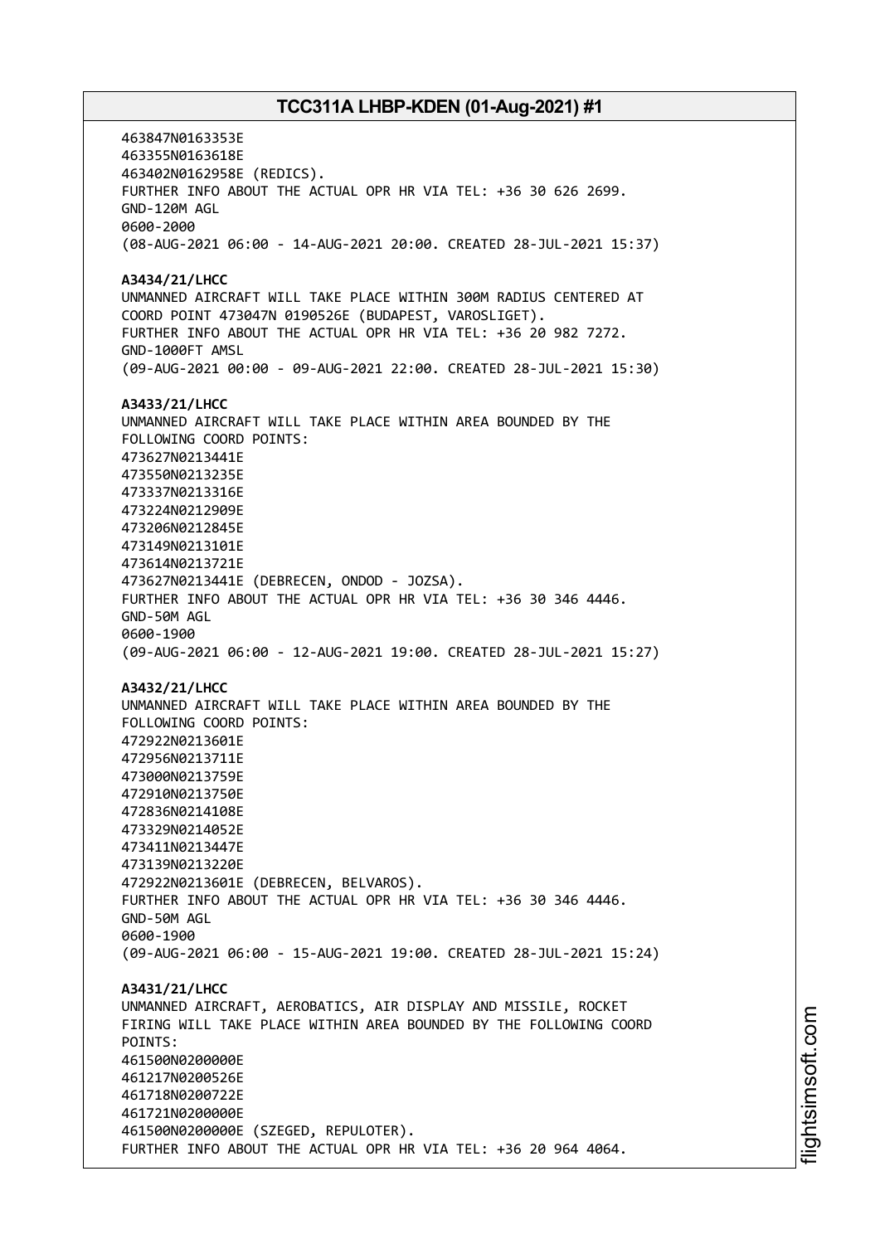463847N0163353E 463355N0163618E 463402N0162958E (REDICS). FURTHER INFO ABOUT THE ACTUAL OPR HR VIA TEL: +36 30 626 2699. GND-120M AGL 0600-2000 (08-AUG-2021 06:00 - 14-AUG-2021 20:00. CREATED 28-JUL-2021 15:37) **A3434/21/LHCC** UNMANNED AIRCRAFT WILL TAKE PLACE WITHIN 300M RADIUS CENTERED AT COORD POINT 473047N 0190526E (BUDAPEST, VAROSLIGET). FURTHER INFO ABOUT THE ACTUAL OPR HR VIA TEL: +36 20 982 7272. GND-1000FT AMSL (09-AUG-2021 00:00 - 09-AUG-2021 22:00. CREATED 28-JUL-2021 15:30) **A3433/21/LHCC** UNMANNED AIRCRAFT WILL TAKE PLACE WITHIN AREA BOUNDED BY THE FOLLOWING COORD POINTS: 473627N0213441E 473550N0213235E 473337N0213316E 473224N0212909E 473206N0212845E 473149N0213101E 473614N0213721E 473627N0213441E (DEBRECEN, ONDOD - JOZSA). FURTHER INFO ABOUT THE ACTUAL OPR HR VIA TEL: +36 30 346 4446. GND-50M AGL 0600-1900 (09-AUG-2021 06:00 - 12-AUG-2021 19:00. CREATED 28-JUL-2021 15:27) **A3432/21/LHCC** UNMANNED AIRCRAFT WILL TAKE PLACE WITHIN AREA BOUNDED BY THE FOLLOWING COORD POINTS: 472922N0213601E 472956N0213711E 473000N0213759E 472910N0213750E 472836N0214108E 473329N0214052E 473411N0213447E 473139N0213220E 472922N0213601E (DEBRECEN, BELVAROS). FURTHER INFO ABOUT THE ACTUAL OPR HR VIA TEL: +36 30 346 4446. GND-50M AGL 0600-1900 (09-AUG-2021 06:00 - 15-AUG-2021 19:00. CREATED 28-JUL-2021 15:24) **A3431/21/LHCC** UNMANNED AIRCRAFT, AEROBATICS, AIR DISPLAY AND MISSILE, ROCKET FIRING WILL TAKE PLACE WITHIN AREA BOUNDED BY THE FOLLOWING COORD POINTS: 461500N0200000E 461217N0200526E 461718N0200722E 461721N0200000E 461500N0200000E (SZEGED, REPULOTER). FURTHER INFO ABOUT THE ACTUAL OPR HR VIA TEL: +36 20 964 4064.

i⊒<br>⊫ htsim soft.c om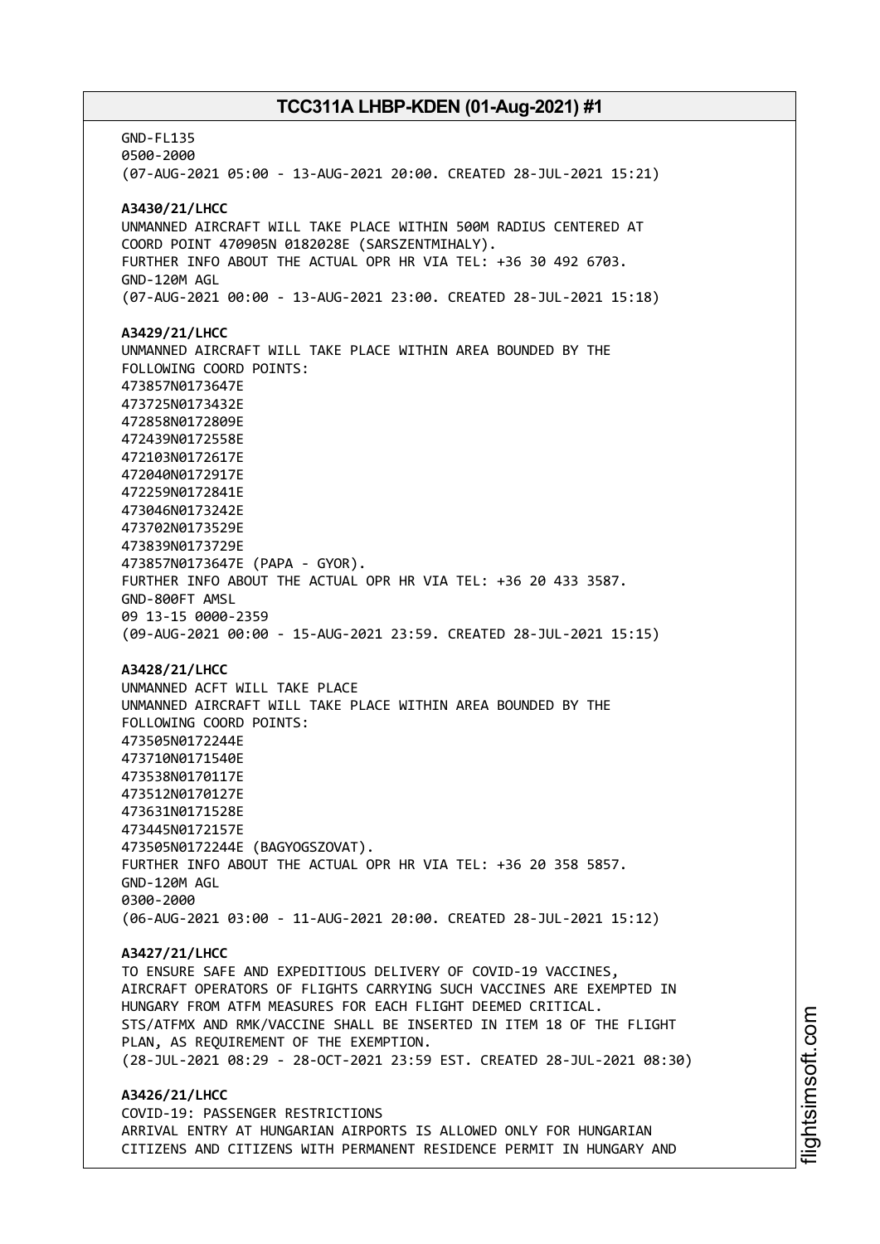GND-FL135 0500-2000 (07-AUG-2021 05:00 - 13-AUG-2021 20:00. CREATED 28-JUL-2021 15:21) **A3430/21/LHCC** UNMANNED AIRCRAFT WILL TAKE PLACE WITHIN 500M RADIUS CENTERED AT COORD POINT 470905N 0182028E (SARSZENTMIHALY). FURTHER INFO ABOUT THE ACTUAL OPR HR VIA TEL: +36 30 492 6703. GND-120M AGL (07-AUG-2021 00:00 - 13-AUG-2021 23:00. CREATED 28-JUL-2021 15:18) **A3429/21/LHCC** UNMANNED AIRCRAFT WILL TAKE PLACE WITHIN AREA BOUNDED BY THE FOLLOWING COORD POINTS: 473857N0173647E 473725N0173432E 472858N0172809E 472439N0172558E 472103N0172617E 472040N0172917E 472259N0172841E 473046N0173242E 473702N0173529E 473839N0173729E 473857N0173647E (PAPA - GYOR). FURTHER INFO ABOUT THE ACTUAL OPR HR VIA TEL: +36 20 433 3587. GND-800FT AMSL 09 13-15 0000-2359 (09-AUG-2021 00:00 - 15-AUG-2021 23:59. CREATED 28-JUL-2021 15:15) **A3428/21/LHCC** UNMANNED ACFT WILL TAKE PLACE UNMANNED AIRCRAFT WILL TAKE PLACE WITHIN AREA BOUNDED BY THE FOLLOWING COORD POINTS: 473505N0172244E 473710N0171540E 473538N0170117E 473512N0170127E 473631N0171528E 473445N0172157E 473505N0172244E (BAGYOGSZOVAT). FURTHER INFO ABOUT THE ACTUAL OPR HR VIA TEL: +36 20 358 5857. GND-120M AGL 0300-2000 (06-AUG-2021 03:00 - 11-AUG-2021 20:00. CREATED 28-JUL-2021 15:12) **A3427/21/LHCC** TO ENSURE SAFE AND EXPEDITIOUS DELIVERY OF COVID-19 VACCINES, AIRCRAFT OPERATORS OF FLIGHTS CARRYING SUCH VACCINES ARE EXEMPTED IN HUNGARY FROM ATFM MEASURES FOR EACH FLIGHT DEEMED CRITICAL. STS/ATFMX AND RMK/VACCINE SHALL BE INSERTED IN ITEM 18 OF THE FLIGHT PLAN, AS REQUIREMENT OF THE EXEMPTION. (28-JUL-2021 08:29 - 28-OCT-2021 23:59 EST. CREATED 28-JUL-2021 08:30) **A3426/21/LHCC** COVID-19: PASSENGER RESTRICTIONS ARRIVAL ENTRY AT HUNGARIAN AIRPORTS IS ALLOWED ONLY FOR HUNGARIAN CITIZENS AND CITIZENS WITH PERMANENT RESIDENCE PERMIT IN HUNGARY AND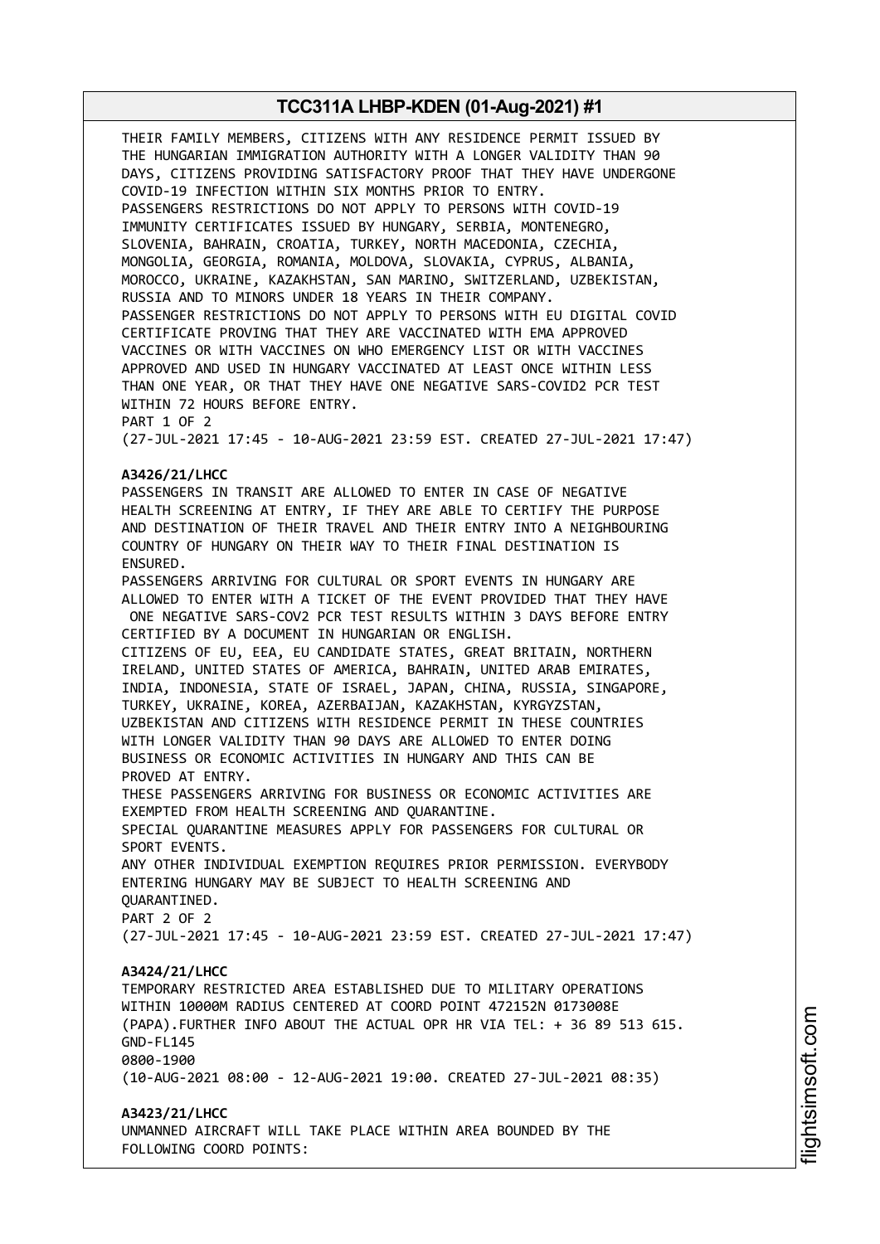THEIR FAMILY MEMBERS, CITIZENS WITH ANY RESIDENCE PERMIT ISSUED BY THE HUNGARIAN IMMIGRATION AUTHORITY WITH A LONGER VALIDITY THAN 90 DAYS, CITIZENS PROVIDING SATISFACTORY PROOF THAT THEY HAVE UNDERGONE COVID-19 INFECTION WITHIN SIX MONTHS PRIOR TO ENTRY. PASSENGERS RESTRICTIONS DO NOT APPLY TO PERSONS WITH COVID-19 IMMUNITY CERTIFICATES ISSUED BY HUNGARY, SERBIA, MONTENEGRO, SLOVENIA, BAHRAIN, CROATIA, TURKEY, NORTH MACEDONIA, CZECHIA, MONGOLIA, GEORGIA, ROMANIA, MOLDOVA, SLOVAKIA, CYPRUS, ALBANIA, MOROCCO, UKRAINE, KAZAKHSTAN, SAN MARINO, SWITZERLAND, UZBEKISTAN, RUSSIA AND TO MINORS UNDER 18 YEARS IN THEIR COMPANY. PASSENGER RESTRICTIONS DO NOT APPLY TO PERSONS WITH EU DIGITAL COVID CERTIFICATE PROVING THAT THEY ARE VACCINATED WITH EMA APPROVED VACCINES OR WITH VACCINES ON WHO EMERGENCY LIST OR WITH VACCINES APPROVED AND USED IN HUNGARY VACCINATED AT LEAST ONCE WITHIN LESS THAN ONE YEAR, OR THAT THEY HAVE ONE NEGATIVE SARS-COVID2 PCR TEST WITHIN 72 HOURS BEFORE ENTRY. PART 1 OF 2 (27-JUL-2021 17:45 - 10-AUG-2021 23:59 EST. CREATED 27-JUL-2021 17:47) **A3426/21/LHCC** PASSENGERS IN TRANSIT ARE ALLOWED TO ENTER IN CASE OF NEGATIVE HEALTH SCREENING AT ENTRY, IF THEY ARE ABLE TO CERTIFY THE PURPOSE AND DESTINATION OF THEIR TRAVEL AND THEIR ENTRY INTO A NEIGHBOURING COUNTRY OF HUNGARY ON THEIR WAY TO THEIR FINAL DESTINATION IS ENSURED. PASSENGERS ARRIVING FOR CULTURAL OR SPORT EVENTS IN HUNGARY ARE ALLOWED TO ENTER WITH A TICKET OF THE EVENT PROVIDED THAT THEY HAVE ONE NEGATIVE SARS-COV2 PCR TEST RESULTS WITHIN 3 DAYS BEFORE ENTRY CERTIFIED BY A DOCUMENT IN HUNGARIAN OR ENGLISH. CITIZENS OF EU, EEA, EU CANDIDATE STATES, GREAT BRITAIN, NORTHERN IRELAND, UNITED STATES OF AMERICA, BAHRAIN, UNITED ARAB EMIRATES, INDIA, INDONESIA, STATE OF ISRAEL, JAPAN, CHINA, RUSSIA, SINGAPORE, TURKEY, UKRAINE, KOREA, AZERBAIJAN, KAZAKHSTAN, KYRGYZSTAN, UZBEKISTAN AND CITIZENS WITH RESIDENCE PERMIT IN THESE COUNTRIES WITH LONGER VALIDITY THAN 90 DAYS ARE ALLOWED TO ENTER DOING BUSINESS OR ECONOMIC ACTIVITIES IN HUNGARY AND THIS CAN BE PROVED AT ENTRY. THESE PASSENGERS ARRIVING FOR BUSINESS OR ECONOMIC ACTIVITIES ARE EXEMPTED FROM HEALTH SCREENING AND QUARANTINE. SPECIAL QUARANTINE MEASURES APPLY FOR PASSENGERS FOR CULTURAL OR SPORT EVENTS. ANY OTHER INDIVIDUAL EXEMPTION REQUIRES PRIOR PERMISSION. EVERYBODY ENTERING HUNGARY MAY BE SUBJECT TO HEALTH SCREENING AND QUARANTINED. PART 2 OF 2 (27-JUL-2021 17:45 - 10-AUG-2021 23:59 EST. CREATED 27-JUL-2021 17:47) **A3424/21/LHCC** TEMPORARY RESTRICTED AREA ESTABLISHED DUE TO MILITARY OPERATIONS WITHIN 10000M RADIUS CENTERED AT COORD POINT 472152N 0173008E (PAPA).FURTHER INFO ABOUT THE ACTUAL OPR HR VIA TEL: + 36 89 513 615. GND-FL145 0800-1900 (10-AUG-2021 08:00 - 12-AUG-2021 19:00. CREATED 27-JUL-2021 08:35) **A3423/21/LHCC** UNMANNED AIRCRAFT WILL TAKE PLACE WITHIN AREA BOUNDED BY THE FOLLOWING COORD POINTS: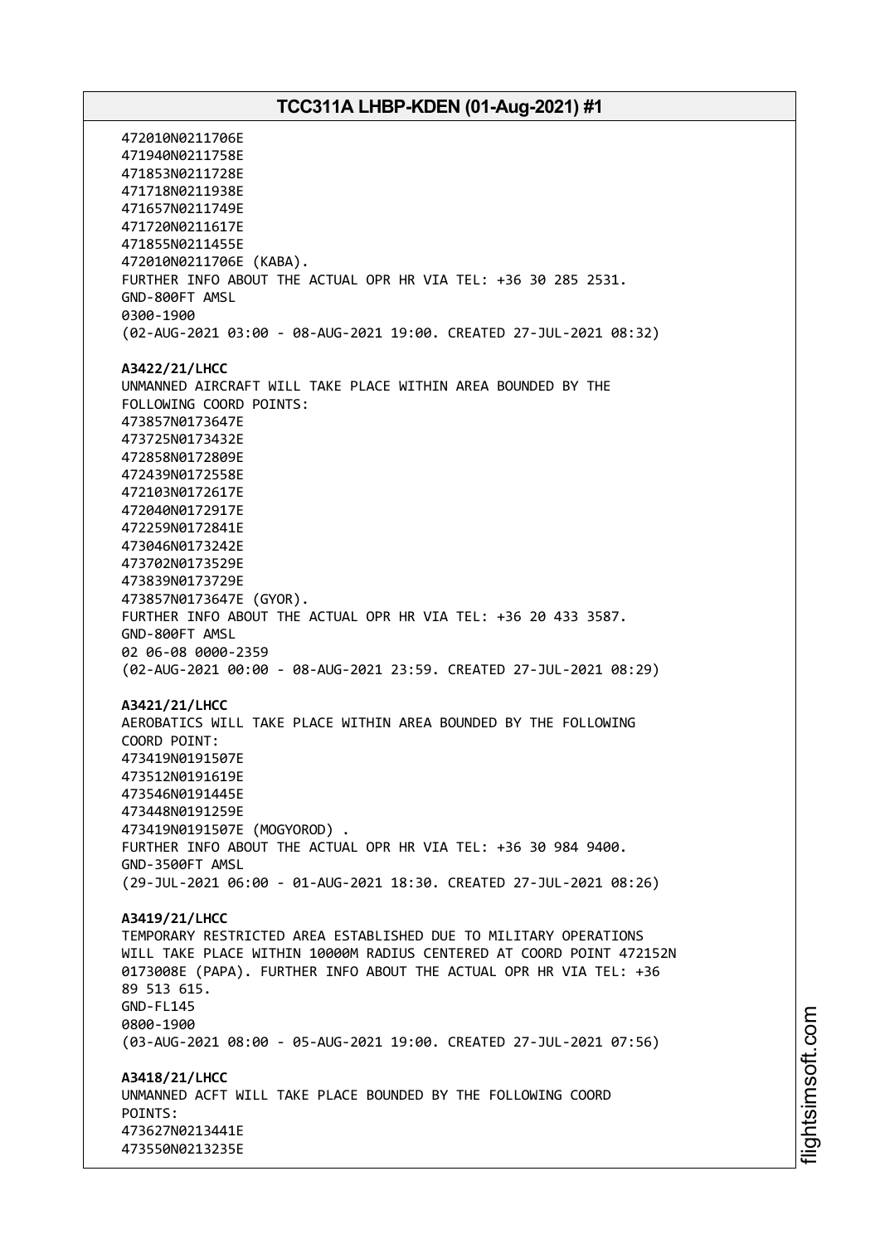472010N0211706E 471940N0211758E 471853N0211728E 471718N0211938E 471657N0211749E 471720N0211617E 471855N0211455E 472010N0211706E (KABA). FURTHER INFO ABOUT THE ACTUAL OPR HR VIA TEL: +36 30 285 2531. GND-800FT AMSL 0300-1900 (02-AUG-2021 03:00 - 08-AUG-2021 19:00. CREATED 27-JUL-2021 08:32) **A3422/21/LHCC** UNMANNED AIRCRAFT WILL TAKE PLACE WITHIN AREA BOUNDED BY THE FOLLOWING COORD POINTS: 473857N0173647E 473725N0173432E 472858N0172809E 472439N0172558E 472103N0172617E 472040N0172917E 472259N0172841E 473046N0173242E 473702N0173529E 473839N0173729E 473857N0173647E (GYOR). FURTHER INFO ABOUT THE ACTUAL OPR HR VIA TEL: +36 20 433 3587. GND-800FT AMSL 02 06-08 0000-2359 (02-AUG-2021 00:00 - 08-AUG-2021 23:59. CREATED 27-JUL-2021 08:29) **A3421/21/LHCC** AEROBATICS WILL TAKE PLACE WITHIN AREA BOUNDED BY THE FOLLOWING COORD POINT: 473419N0191507E 473512N0191619E 473546N0191445E 473448N0191259E 473419N0191507E (MOGYOROD) . FURTHER INFO ABOUT THE ACTUAL OPR HR VIA TEL: +36 30 984 9400. GND-3500FT AMSL (29-JUL-2021 06:00 - 01-AUG-2021 18:30. CREATED 27-JUL-2021 08:26) **A3419/21/LHCC** TEMPORARY RESTRICTED AREA ESTABLISHED DUE TO MILITARY OPERATIONS WILL TAKE PLACE WITHIN 10000M RADIUS CENTERED AT COORD POINT 472152N 0173008E (PAPA). FURTHER INFO ABOUT THE ACTUAL OPR HR VIA TEL: +36 89 513 615. GND-FL145 0800-1900 (03-AUG-2021 08:00 - 05-AUG-2021 19:00. CREATED 27-JUL-2021 07:56) **A3418/21/LHCC** UNMANNED ACFT WILL TAKE PLACE BOUNDED BY THE FOLLOWING COORD POINTS: 473627N0213441E 473550N0213235E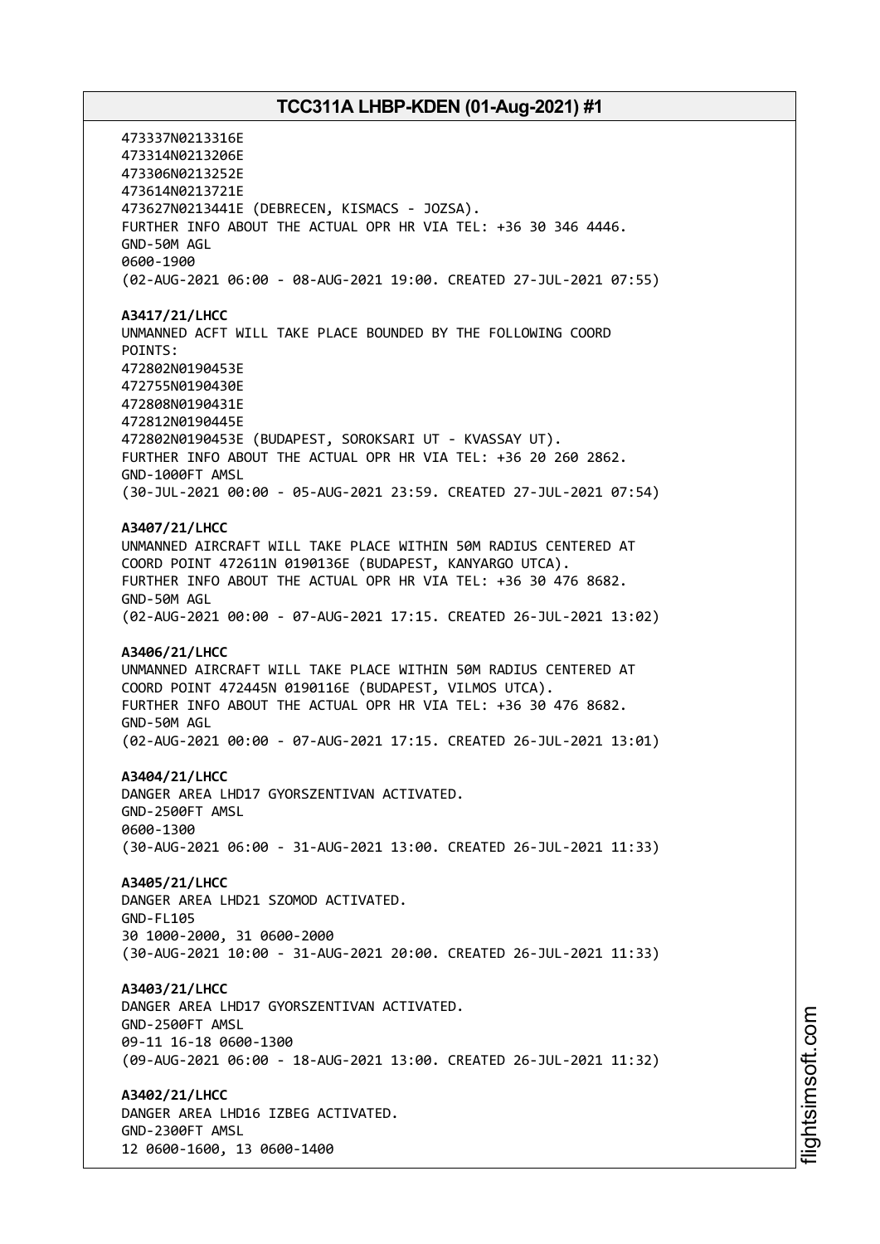473337N0213316E 473314N0213206E 473306N0213252E 473614N0213721E 473627N0213441E (DEBRECEN, KISMACS - JOZSA). FURTHER INFO ABOUT THE ACTUAL OPR HR VIA TEL: +36 30 346 4446. GND-50M AGL 0600-1900 (02-AUG-2021 06:00 - 08-AUG-2021 19:00. CREATED 27-JUL-2021 07:55) **A3417/21/LHCC** UNMANNED ACFT WILL TAKE PLACE BOUNDED BY THE FOLLOWING COORD POINTS: 472802N0190453E 472755N0190430E 472808N0190431E 472812N0190445E 472802N0190453E (BUDAPEST, SOROKSARI UT - KVASSAY UT). FURTHER INFO ABOUT THE ACTUAL OPR HR VIA TEL: +36 20 260 2862. GND-1000FT AMSL (30-JUL-2021 00:00 - 05-AUG-2021 23:59. CREATED 27-JUL-2021 07:54) **A3407/21/LHCC** UNMANNED AIRCRAFT WILL TAKE PLACE WITHIN 50M RADIUS CENTERED AT COORD POINT 472611N 0190136E (BUDAPEST, KANYARGO UTCA). FURTHER INFO ABOUT THE ACTUAL OPR HR VIA TEL: +36 30 476 8682. GND-50M AGL (02-AUG-2021 00:00 - 07-AUG-2021 17:15. CREATED 26-JUL-2021 13:02) **A3406/21/LHCC** UNMANNED AIRCRAFT WILL TAKE PLACE WITHIN 50M RADIUS CENTERED AT COORD POINT 472445N 0190116E (BUDAPEST, VILMOS UTCA). FURTHER INFO ABOUT THE ACTUAL OPR HR VIA TEL: +36 30 476 8682. GND-50M AGL (02-AUG-2021 00:00 - 07-AUG-2021 17:15. CREATED 26-JUL-2021 13:01) **A3404/21/LHCC** DANGER AREA LHD17 GYORSZENTIVAN ACTIVATED. GND-2500FT AMSL 0600-1300 (30-AUG-2021 06:00 - 31-AUG-2021 13:00. CREATED 26-JUL-2021 11:33) **A3405/21/LHCC** DANGER AREA LHD21 SZOMOD ACTIVATED. GND-FL105 30 1000-2000, 31 0600-2000 (30-AUG-2021 10:00 - 31-AUG-2021 20:00. CREATED 26-JUL-2021 11:33) **A3403/21/LHCC** DANGER AREA LHD17 GYORSZENTIVAN ACTIVATED. GND-2500FT AMSL 09-11 16-18 0600-1300 (09-AUG-2021 06:00 - 18-AUG-2021 13:00. CREATED 26-JUL-2021 11:32) **A3402/21/LHCC** DANGER AREA LHD16 IZBEG ACTIVATED. GND-2300FT AMSL 12 0600-1600, 13 0600-1400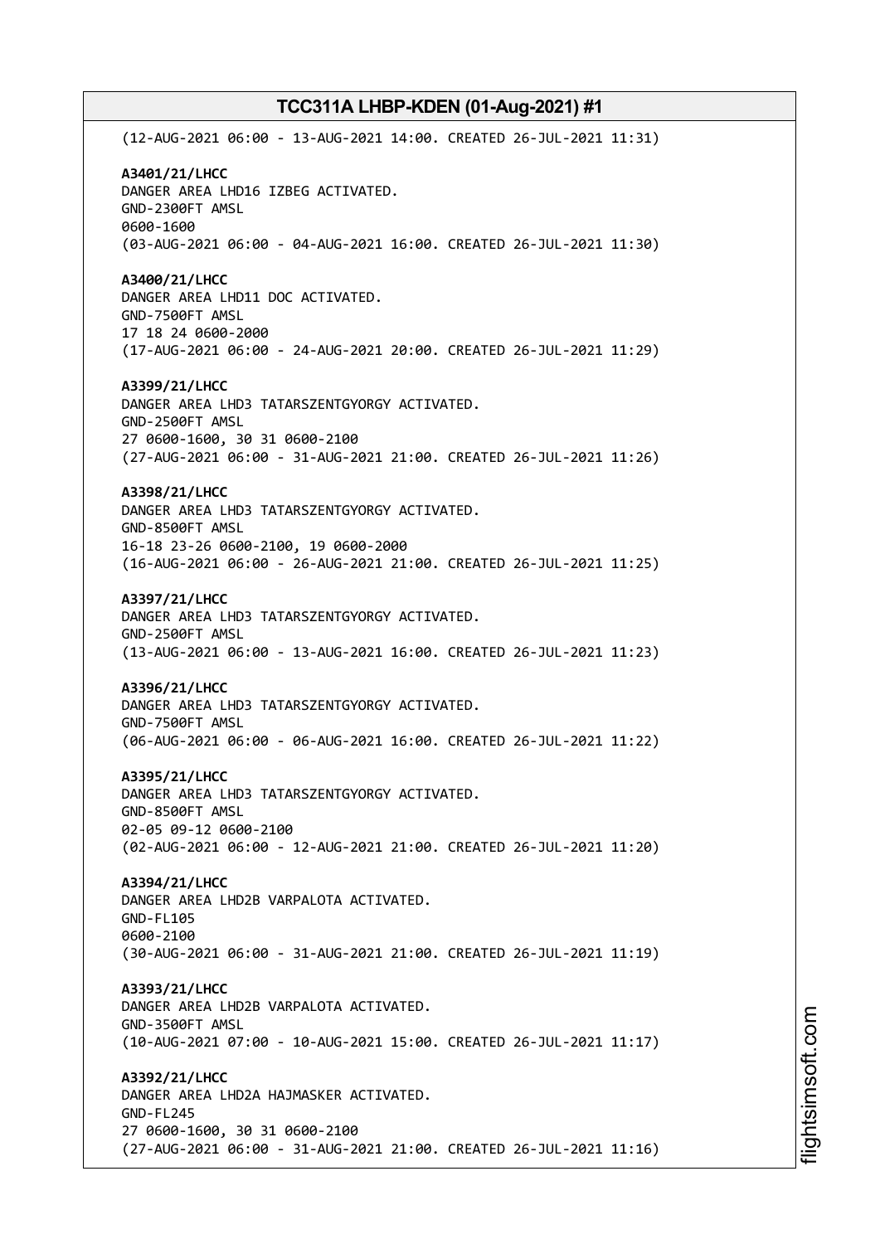(12-AUG-2021 06:00 - 13-AUG-2021 14:00. CREATED 26-JUL-2021 11:31) **A3401/21/LHCC** DANGER AREA LHD16 IZBEG ACTIVATED. GND-2300FT AMSL 0600-1600 (03-AUG-2021 06:00 - 04-AUG-2021 16:00. CREATED 26-JUL-2021 11:30) **A3400/21/LHCC** DANGER AREA LHD11 DOC ACTIVATED. GND-7500FT AMSL 17 18 24 0600-2000 (17-AUG-2021 06:00 - 24-AUG-2021 20:00. CREATED 26-JUL-2021 11:29) **A3399/21/LHCC** DANGER AREA LHD3 TATARSZENTGYORGY ACTIVATED. GND-2500FT AMSL 27 0600-1600, 30 31 0600-2100 (27-AUG-2021 06:00 - 31-AUG-2021 21:00. CREATED 26-JUL-2021 11:26) **A3398/21/LHCC** DANGER AREA LHD3 TATARSZENTGYORGY ACTIVATED. GND-8500FT AMSL 16-18 23-26 0600-2100, 19 0600-2000 (16-AUG-2021 06:00 - 26-AUG-2021 21:00. CREATED 26-JUL-2021 11:25) **A3397/21/LHCC** DANGER AREA LHD3 TATARSZENTGYORGY ACTIVATED. GND-2500FT AMSL (13-AUG-2021 06:00 - 13-AUG-2021 16:00. CREATED 26-JUL-2021 11:23) **A3396/21/LHCC** DANGER AREA LHD3 TATARSZENTGYORGY ACTIVATED. GND-7500FT AMSL (06-AUG-2021 06:00 - 06-AUG-2021 16:00. CREATED 26-JUL-2021 11:22) **A3395/21/LHCC** DANGER AREA LHD3 TATARSZENTGYORGY ACTIVATED. GND-8500FT AMSL 02-05 09-12 0600-2100 (02-AUG-2021 06:00 - 12-AUG-2021 21:00. CREATED 26-JUL-2021 11:20) **A3394/21/LHCC** DANGER AREA LHD2B VARPALOTA ACTIVATED. GND-FL105 0600-2100 (30-AUG-2021 06:00 - 31-AUG-2021 21:00. CREATED 26-JUL-2021 11:19) **A3393/21/LHCC** DANGER AREA LHD2B VARPALOTA ACTIVATED. GND-3500FT AMSL (10-AUG-2021 07:00 - 10-AUG-2021 15:00. CREATED 26-JUL-2021 11:17) **A3392/21/LHCC** DANGER AREA LHD2A HAJMASKER ACTIVATED. GND-FL245 27 0600-1600, 30 31 0600-2100 (27-AUG-2021 06:00 - 31-AUG-2021 21:00. CREATED 26-JUL-2021 11:16)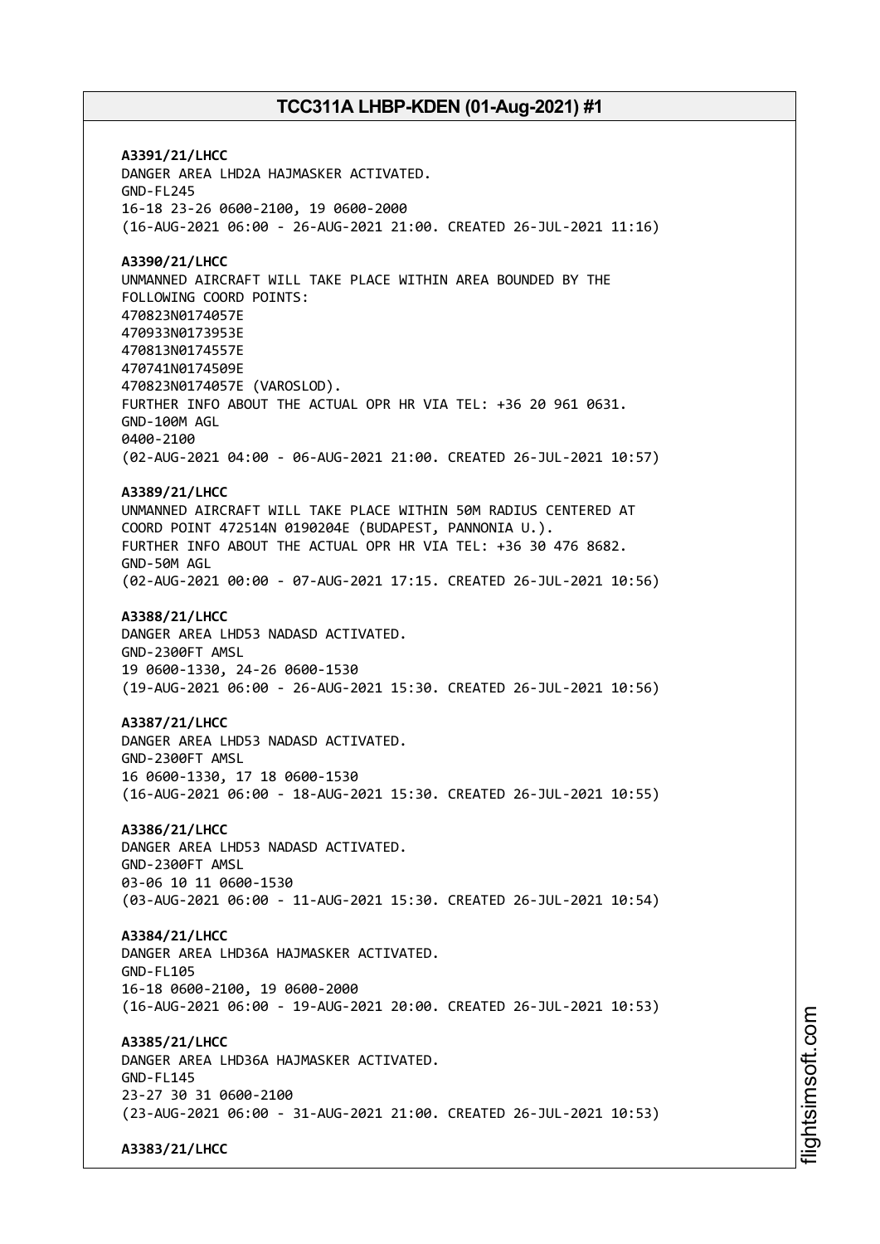**A3391/21/LHCC** DANGER AREA LHD2A HAJMASKER ACTIVATED. GND-FL245 16-18 23-26 0600-2100, 19 0600-2000 (16-AUG-2021 06:00 - 26-AUG-2021 21:00. CREATED 26-JUL-2021 11:16) **A3390/21/LHCC** UNMANNED AIRCRAFT WILL TAKE PLACE WITHIN AREA BOUNDED BY THE FOLLOWING COORD POINTS: 470823N0174057E 470933N0173953E 470813N0174557E 470741N0174509E 470823N0174057E (VAROSLOD). FURTHER INFO ABOUT THE ACTUAL OPR HR VIA TEL: +36 20 961 0631. GND-100M AGL 0400-2100 (02-AUG-2021 04:00 - 06-AUG-2021 21:00. CREATED 26-JUL-2021 10:57) **A3389/21/LHCC** UNMANNED AIRCRAFT WILL TAKE PLACE WITHIN 50M RADIUS CENTERED AT COORD POINT 472514N 0190204E (BUDAPEST, PANNONIA U.). FURTHER INFO ABOUT THE ACTUAL OPR HR VIA TEL: +36 30 476 8682. GND-50M AGL (02-AUG-2021 00:00 - 07-AUG-2021 17:15. CREATED 26-JUL-2021 10:56) **A3388/21/LHCC** DANGER AREA LHD53 NADASD ACTIVATED. GND-2300FT AMSL 19 0600-1330, 24-26 0600-1530 (19-AUG-2021 06:00 - 26-AUG-2021 15:30. CREATED 26-JUL-2021 10:56) **A3387/21/LHCC** DANGER AREA LHD53 NADASD ACTIVATED. GND-2300FT AMSL 16 0600-1330, 17 18 0600-1530 (16-AUG-2021 06:00 - 18-AUG-2021 15:30. CREATED 26-JUL-2021 10:55) **A3386/21/LHCC** DANGER AREA LHD53 NADASD ACTIVATED. GND-2300FT AMSL 03-06 10 11 0600-1530 (03-AUG-2021 06:00 - 11-AUG-2021 15:30. CREATED 26-JUL-2021 10:54) **A3384/21/LHCC** DANGER AREA LHD36A HAJMASKER ACTIVATED. GND-FL105 16-18 0600-2100, 19 0600-2000 (16-AUG-2021 06:00 - 19-AUG-2021 20:00. CREATED 26-JUL-2021 10:53) **A3385/21/LHCC** DANGER AREA LHD36A HAJMASKER ACTIVATED. GND-FL145 23-27 30 31 0600-2100 (23-AUG-2021 06:00 - 31-AUG-2021 21:00. CREATED 26-JUL-2021 10:53) **A3383/21/LHCC**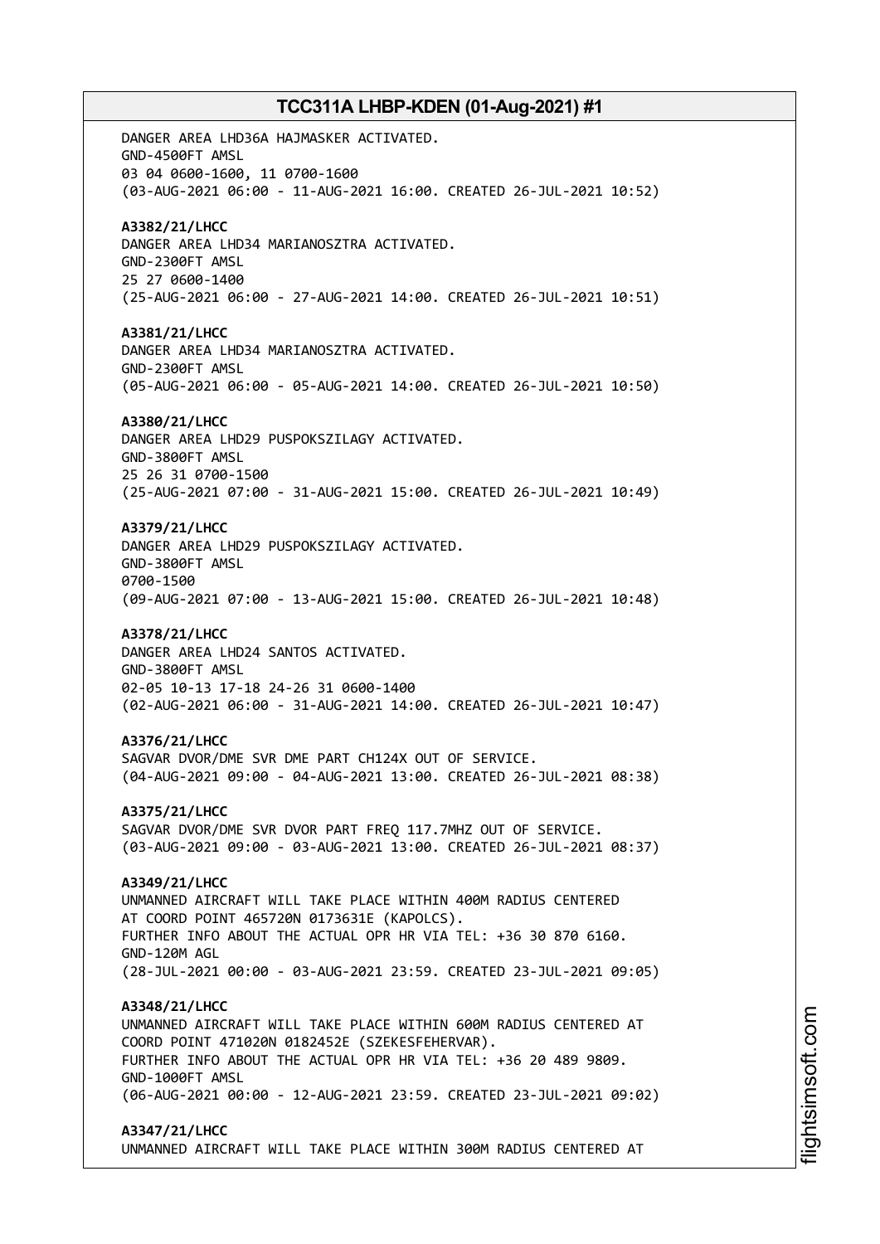DANGER AREA LHD36A HAJMASKER ACTIVATED. GND-4500FT AMSL 03 04 0600-1600, 11 0700-1600 (03-AUG-2021 06:00 - 11-AUG-2021 16:00. CREATED 26-JUL-2021 10:52) **A3382/21/LHCC** DANGER AREA LHD34 MARIANOSZTRA ACTIVATED. GND-2300FT AMSL 25 27 0600-1400 (25-AUG-2021 06:00 - 27-AUG-2021 14:00. CREATED 26-JUL-2021 10:51) **A3381/21/LHCC** DANGER AREA LHD34 MARIANOSZTRA ACTIVATED. GND-2300FT AMSL (05-AUG-2021 06:00 - 05-AUG-2021 14:00. CREATED 26-JUL-2021 10:50) **A3380/21/LHCC** DANGER AREA LHD29 PUSPOKSZILAGY ACTIVATED. GND-3800FT AMSL 25 26 31 0700-1500 (25-AUG-2021 07:00 - 31-AUG-2021 15:00. CREATED 26-JUL-2021 10:49) **A3379/21/LHCC** DANGER AREA LHD29 PUSPOKSZILAGY ACTIVATED. GND-3800FT AMSL 0700-1500 (09-AUG-2021 07:00 - 13-AUG-2021 15:00. CREATED 26-JUL-2021 10:48) **A3378/21/LHCC** DANGER AREA LHD24 SANTOS ACTIVATED. GND-3800FT AMSL 02-05 10-13 17-18 24-26 31 0600-1400 (02-AUG-2021 06:00 - 31-AUG-2021 14:00. CREATED 26-JUL-2021 10:47) **A3376/21/LHCC** SAGVAR DVOR/DME SVR DME PART CH124X OUT OF SERVICE. (04-AUG-2021 09:00 - 04-AUG-2021 13:00. CREATED 26-JUL-2021 08:38) **A3375/21/LHCC** SAGVAR DVOR/DME SVR DVOR PART FREQ 117.7MHZ OUT OF SERVICE. (03-AUG-2021 09:00 - 03-AUG-2021 13:00. CREATED 26-JUL-2021 08:37) **A3349/21/LHCC** UNMANNED AIRCRAFT WILL TAKE PLACE WITHIN 400M RADIUS CENTERED AT COORD POINT 465720N 0173631E (KAPOLCS). FURTHER INFO ABOUT THE ACTUAL OPR HR VIA TEL: +36 30 870 6160. GND-120M AGL (28-JUL-2021 00:00 - 03-AUG-2021 23:59. CREATED 23-JUL-2021 09:05) **A3348/21/LHCC** UNMANNED AIRCRAFT WILL TAKE PLACE WITHIN 600M RADIUS CENTERED AT COORD POINT 471020N 0182452E (SZEKESFEHERVAR). FURTHER INFO ABOUT THE ACTUAL OPR HR VIA TEL: +36 20 489 9809. GND-1000FT AMSL (06-AUG-2021 00:00 - 12-AUG-2021 23:59. CREATED 23-JUL-2021 09:02) **A3347/21/LHCC** UNMANNED AIRCRAFT WILL TAKE PLACE WITHIN 300M RADIUS CENTERED AT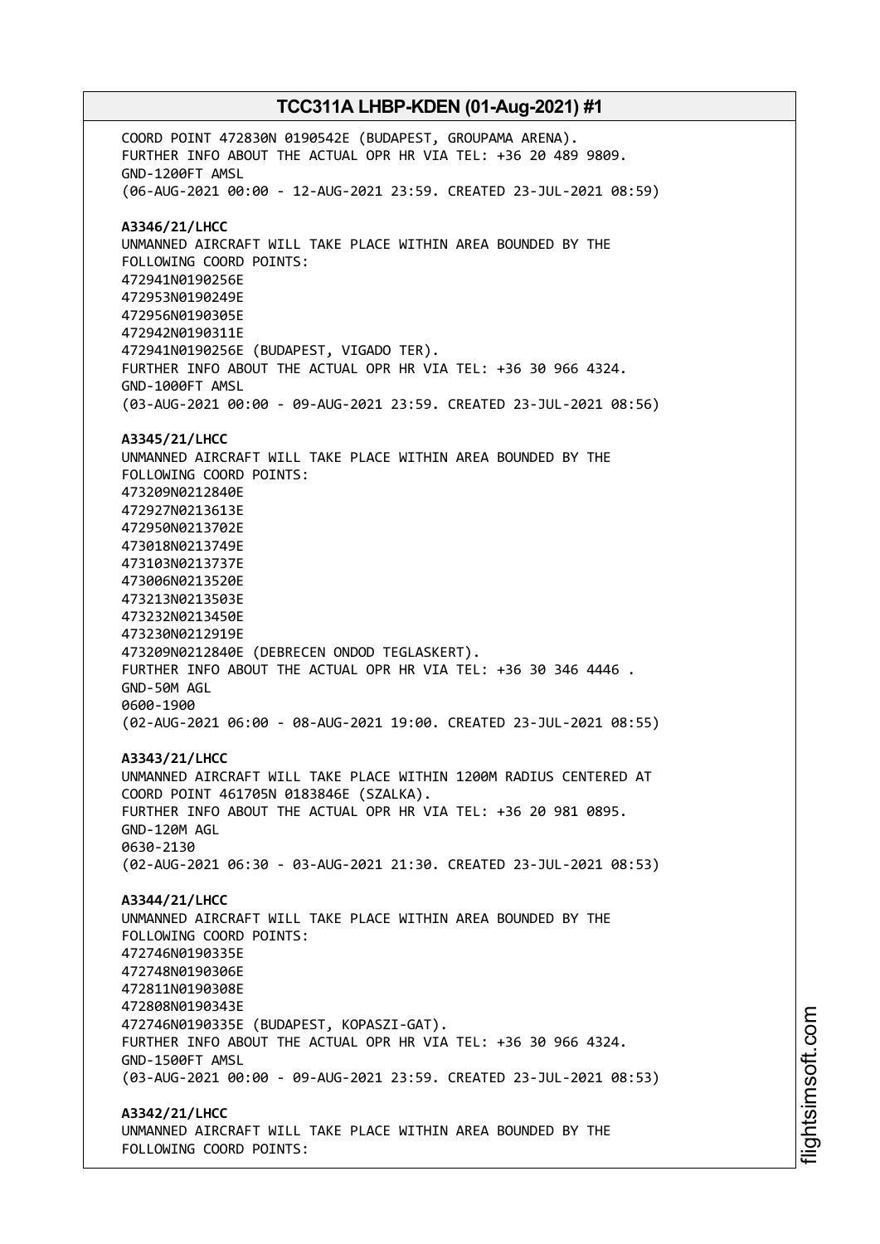COORD POINT 472830N 0190542E (BUDAPEST, GROUPAMA ARENA). FURTHER INFO ABOUT THE ACTUAL OPR HR VIA TEL: +36 20 489 9809. GND-1200FT AMSL (06-AUG-2021 00:00 - 12-AUG-2021 23:59. CREATED 23-JUL-2021 08:59) **A3346/21/LHCC** UNMANNED AIRCRAFT WILL TAKE PLACE WITHIN AREA BOUNDED BY THE FOLLOWING COORD POINTS: 472941N0190256E 472953N0190249E 472956N0190305E 472942N0190311E 472941N0190256E (BUDAPEST, VIGADO TER). FURTHER INFO ABOUT THE ACTUAL OPR HR VIA TEL: +36 30 966 4324. GND-1000FT AMSL (03-AUG-2021 00:00 - 09-AUG-2021 23:59. CREATED 23-JUL-2021 08:56) **A3345/21/LHCC** UNMANNED AIRCRAFT WILL TAKE PLACE WITHIN AREA BOUNDED BY THE FOLLOWING COORD POINTS: 473209N0212840E 472927N0213613E 472950N0213702E 473018N0213749E 473103N0213737E 473006N0213520E 473213N0213503E 473232N0213450E 473230N0212919E 473209N0212840E (DEBRECEN ONDOD TEGLASKERT). FURTHER INFO ABOUT THE ACTUAL OPR HR VIA TEL: +36 30 346 4446 . GND-50M AGL 0600-1900 (02-AUG-2021 06:00 - 08-AUG-2021 19:00. CREATED 23-JUL-2021 08:55) **A3343/21/LHCC** UNMANNED AIRCRAFT WILL TAKE PLACE WITHIN 1200M RADIUS CENTERED AT COORD POINT 461705N 0183846E (SZALKA). FURTHER INFO ABOUT THE ACTUAL OPR HR VIA TEL: +36 20 981 0895. GND-120M AGL 0630-2130 (02-AUG-2021 06:30 - 03-AUG-2021 21:30. CREATED 23-JUL-2021 08:53) **A3344/21/LHCC** UNMANNED AIRCRAFT WILL TAKE PLACE WITHIN AREA BOUNDED BY THE FOLLOWING COORD POINTS: 472746N0190335E 472748N0190306E 472811N0190308E 472808N0190343E 472746N0190335E (BUDAPEST, KOPASZI-GAT). FURTHER INFO ABOUT THE ACTUAL OPR HR VIA TEL: +36 30 966 4324. GND-1500FT AMSL (03-AUG-2021 00:00 - 09-AUG-2021 23:59. CREATED 23-JUL-2021 08:53) **A3342/21/LHCC** UNMANNED AIRCRAFT WILL TAKE PLACE WITHIN AREA BOUNDED BY THE FOLLOWING COORD POINTS:

i⊒<br>⊫ htsim soft.c om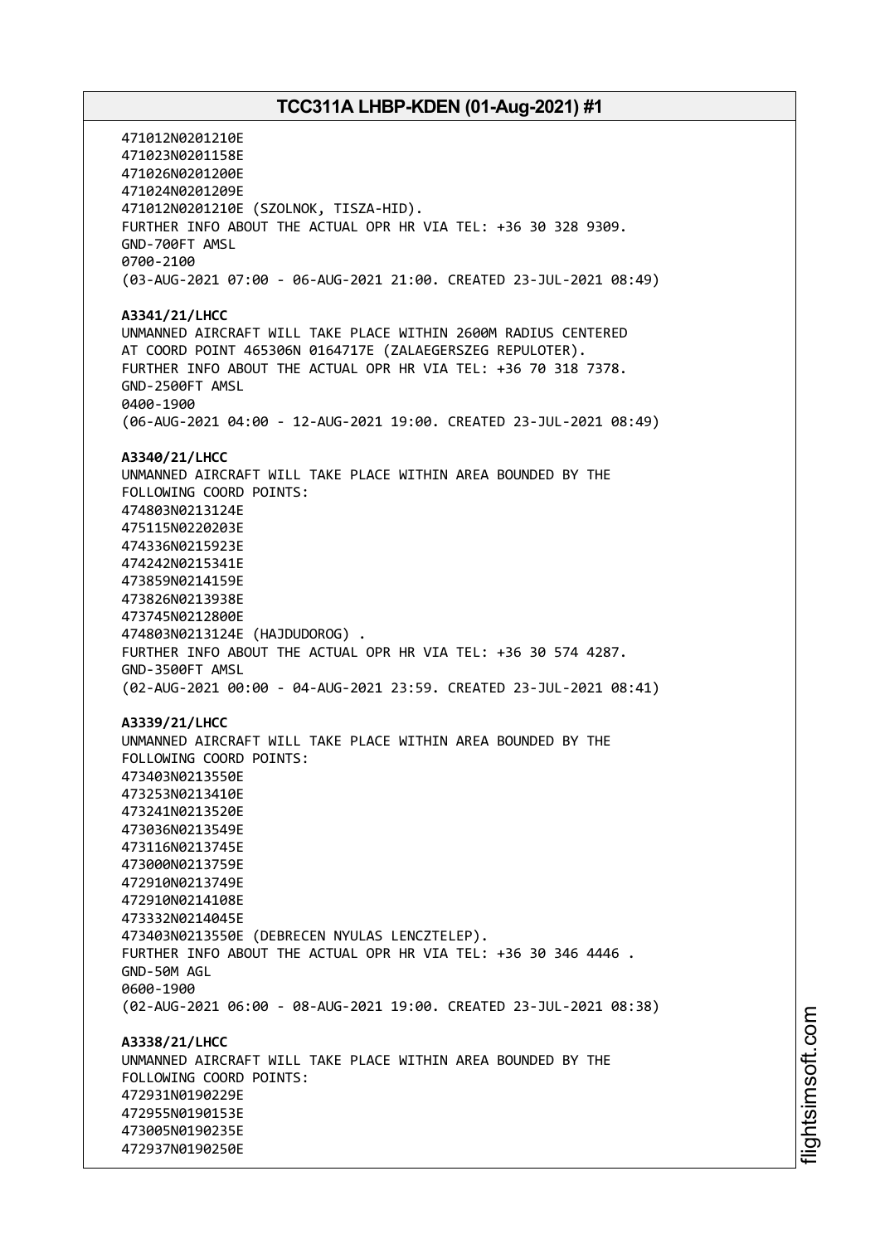471012N0201210E 471023N0201158E 471026N0201200E 471024N0201209E 471012N0201210E (SZOLNOK, TISZA-HID). FURTHER INFO ABOUT THE ACTUAL OPR HR VIA TEL: +36 30 328 9309. GND-700FT AMSL 0700-2100 (03-AUG-2021 07:00 - 06-AUG-2021 21:00. CREATED 23-JUL-2021 08:49) **A3341/21/LHCC** UNMANNED AIRCRAFT WILL TAKE PLACE WITHIN 2600M RADIUS CENTERED AT COORD POINT 465306N 0164717E (ZALAEGERSZEG REPULOTER). FURTHER INFO ABOUT THE ACTUAL OPR HR VIA TEL: +36 70 318 7378. GND-2500FT AMSL 0400-1900 (06-AUG-2021 04:00 - 12-AUG-2021 19:00. CREATED 23-JUL-2021 08:49) **A3340/21/LHCC** UNMANNED AIRCRAFT WILL TAKE PLACE WITHIN AREA BOUNDED BY THE FOLLOWING COORD POINTS: 474803N0213124E 475115N0220203E 474336N0215923E 474242N0215341E 473859N0214159E 473826N0213938E 473745N0212800E 474803N0213124E (HAJDUDOROG) . FURTHER INFO ABOUT THE ACTUAL OPR HR VIA TEL: +36 30 574 4287. GND-3500FT AMSL (02-AUG-2021 00:00 - 04-AUG-2021 23:59. CREATED 23-JUL-2021 08:41) **A3339/21/LHCC** UNMANNED AIRCRAFT WILL TAKE PLACE WITHIN AREA BOUNDED BY THE FOLLOWING COORD POINTS: 473403N0213550E 473253N0213410E 473241N0213520E 473036N0213549E 473116N0213745E 473000N0213759E 472910N0213749E 472910N0214108E 473332N0214045E 473403N0213550E (DEBRECEN NYULAS LENCZTELEP). FURTHER INFO ABOUT THE ACTUAL OPR HR VIA TEL: +36 30 346 4446 . GND-50M AGL 0600-1900 (02-AUG-2021 06:00 - 08-AUG-2021 19:00. CREATED 23-JUL-2021 08:38) **A3338/21/LHCC** UNMANNED AIRCRAFT WILL TAKE PLACE WITHIN AREA BOUNDED BY THE FOLLOWING COORD POINTS: 472931N0190229E 472955N0190153E 473005N0190235E 472937N0190250E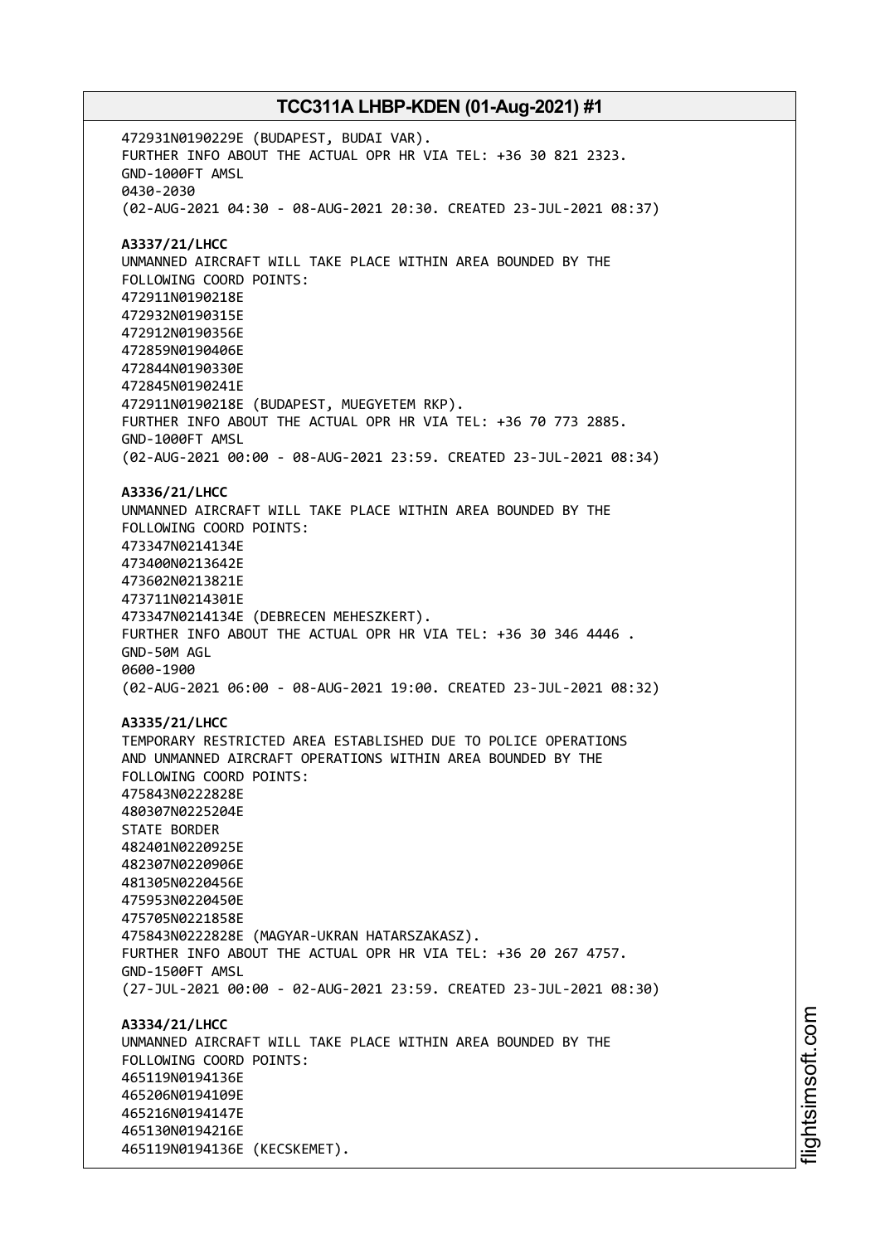472931N0190229E (BUDAPEST, BUDAI VAR). FURTHER INFO ABOUT THE ACTUAL OPR HR VIA TEL: +36 30 821 2323. GND-1000FT AMSL 0430-2030 (02-AUG-2021 04:30 - 08-AUG-2021 20:30. CREATED 23-JUL-2021 08:37) **A3337/21/LHCC** UNMANNED AIRCRAFT WILL TAKE PLACE WITHIN AREA BOUNDED BY THE FOLLOWING COORD POINTS: 472911N0190218E 472932N0190315E 472912N0190356E 472859N0190406E 472844N0190330E 472845N0190241E 472911N0190218E (BUDAPEST, MUEGYETEM RKP). FURTHER INFO ABOUT THE ACTUAL OPR HR VIA TEL: +36 70 773 2885. GND-1000FT AMSL (02-AUG-2021 00:00 - 08-AUG-2021 23:59. CREATED 23-JUL-2021 08:34) **A3336/21/LHCC** UNMANNED AIRCRAFT WILL TAKE PLACE WITHIN AREA BOUNDED BY THE FOLLOWING COORD POINTS: 473347N0214134E 473400N0213642E 473602N0213821E 473711N0214301E 473347N0214134E (DEBRECEN MEHESZKERT). FURTHER INFO ABOUT THE ACTUAL OPR HR VIA TEL: +36 30 346 4446 . GND-50M AGL 0600-1900 (02-AUG-2021 06:00 - 08-AUG-2021 19:00. CREATED 23-JUL-2021 08:32) **A3335/21/LHCC** TEMPORARY RESTRICTED AREA ESTABLISHED DUE TO POLICE OPERATIONS AND UNMANNED AIRCRAFT OPERATIONS WITHIN AREA BOUNDED BY THE FOLLOWING COORD POINTS: 475843N0222828E 480307N0225204E STATE BORDER 482401N0220925E 482307N0220906E 481305N0220456E 475953N0220450E 475705N0221858E 475843N0222828E (MAGYAR-UKRAN HATARSZAKASZ). FURTHER INFO ABOUT THE ACTUAL OPR HR VIA TEL: +36 20 267 4757. GND-1500FT AMSL (27-JUL-2021 00:00 - 02-AUG-2021 23:59. CREATED 23-JUL-2021 08:30) **A3334/21/LHCC** UNMANNED AIRCRAFT WILL TAKE PLACE WITHIN AREA BOUNDED BY THE FOLLOWING COORD POINTS: 465119N0194136E 465206N0194109E 465216N0194147E 465130N0194216E 465119N0194136E (KECSKEMET).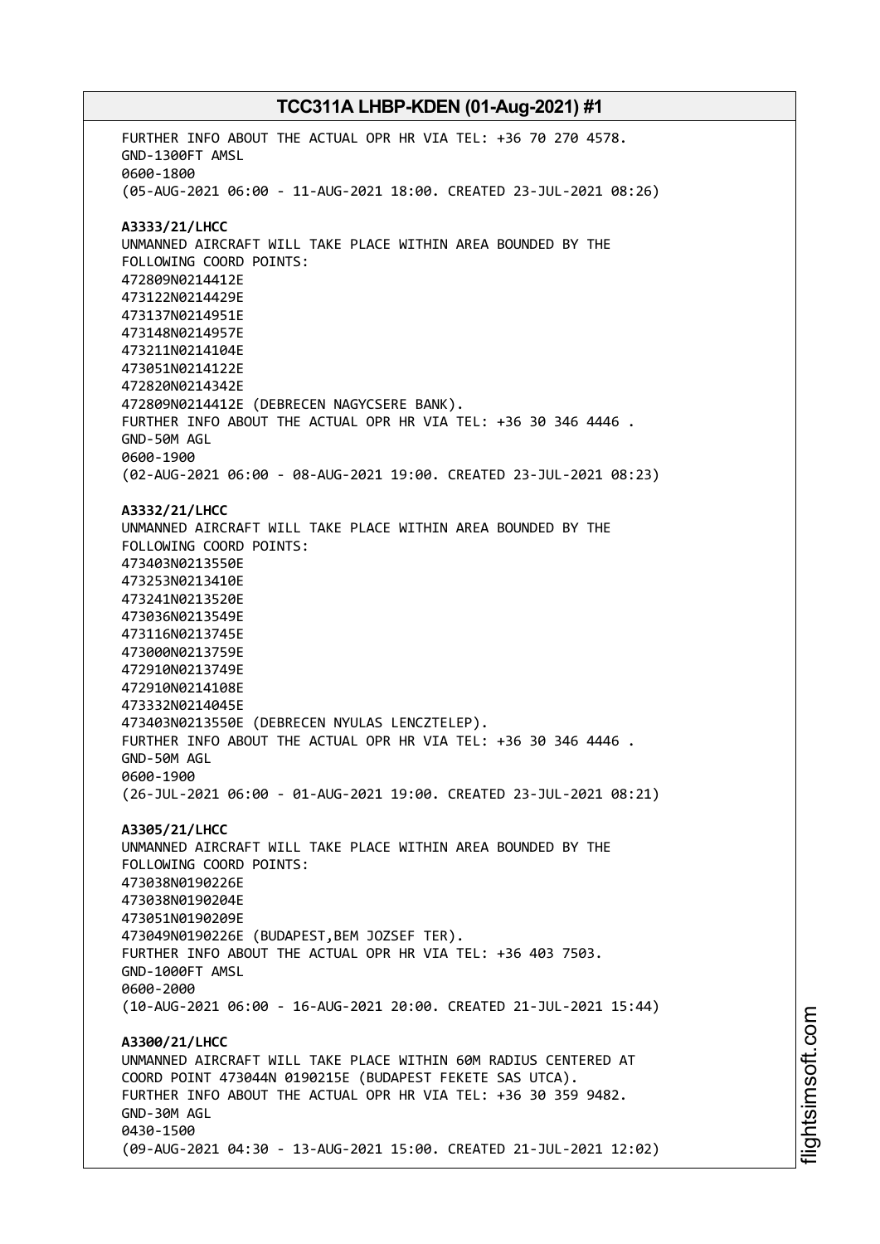FURTHER INFO ABOUT THE ACTUAL OPR HR VIA TEL: +36 70 270 4578. GND-1300FT AMSL 0600-1800 (05-AUG-2021 06:00 - 11-AUG-2021 18:00. CREATED 23-JUL-2021 08:26) **A3333/21/LHCC** UNMANNED AIRCRAFT WILL TAKE PLACE WITHIN AREA BOUNDED BY THE FOLLOWING COORD POINTS: 472809N0214412E 473122N0214429E 473137N0214951E 473148N0214957E 473211N0214104E 473051N0214122E 472820N0214342E 472809N0214412E (DEBRECEN NAGYCSERE BANK). FURTHER INFO ABOUT THE ACTUAL OPR HR VIA TEL: +36 30 346 4446 . GND-50M AGL 0600-1900 (02-AUG-2021 06:00 - 08-AUG-2021 19:00. CREATED 23-JUL-2021 08:23) **A3332/21/LHCC** UNMANNED AIRCRAFT WILL TAKE PLACE WITHIN AREA BOUNDED BY THE FOLLOWING COORD POINTS: 473403N0213550E 473253N0213410E 473241N0213520E 473036N0213549E 473116N0213745E 473000N0213759E 472910N0213749E 472910N0214108E 473332N0214045E 473403N0213550E (DEBRECEN NYULAS LENCZTELEP). FURTHER INFO ABOUT THE ACTUAL OPR HR VIA TEL: +36 30 346 4446 . GND-50M AGL 0600-1900 (26-JUL-2021 06:00 - 01-AUG-2021 19:00. CREATED 23-JUL-2021 08:21) **A3305/21/LHCC** UNMANNED AIRCRAFT WILL TAKE PLACE WITHIN AREA BOUNDED BY THE FOLLOWING COORD POINTS: 473038N0190226E 473038N0190204E 473051N0190209E 473049N0190226E (BUDAPEST,BEM JOZSEF TER). FURTHER INFO ABOUT THE ACTUAL OPR HR VIA TEL: +36 403 7503. GND-1000FT AMSL 0600-2000 (10-AUG-2021 06:00 - 16-AUG-2021 20:00. CREATED 21-JUL-2021 15:44) **A3300/21/LHCC** UNMANNED AIRCRAFT WILL TAKE PLACE WITHIN 60M RADIUS CENTERED AT COORD POINT 473044N 0190215E (BUDAPEST FEKETE SAS UTCA). FURTHER INFO ABOUT THE ACTUAL OPR HR VIA TEL: +36 30 359 9482. GND-30M AGL 0430-1500 (09-AUG-2021 04:30 - 13-AUG-2021 15:00. CREATED 21-JUL-2021 12:02)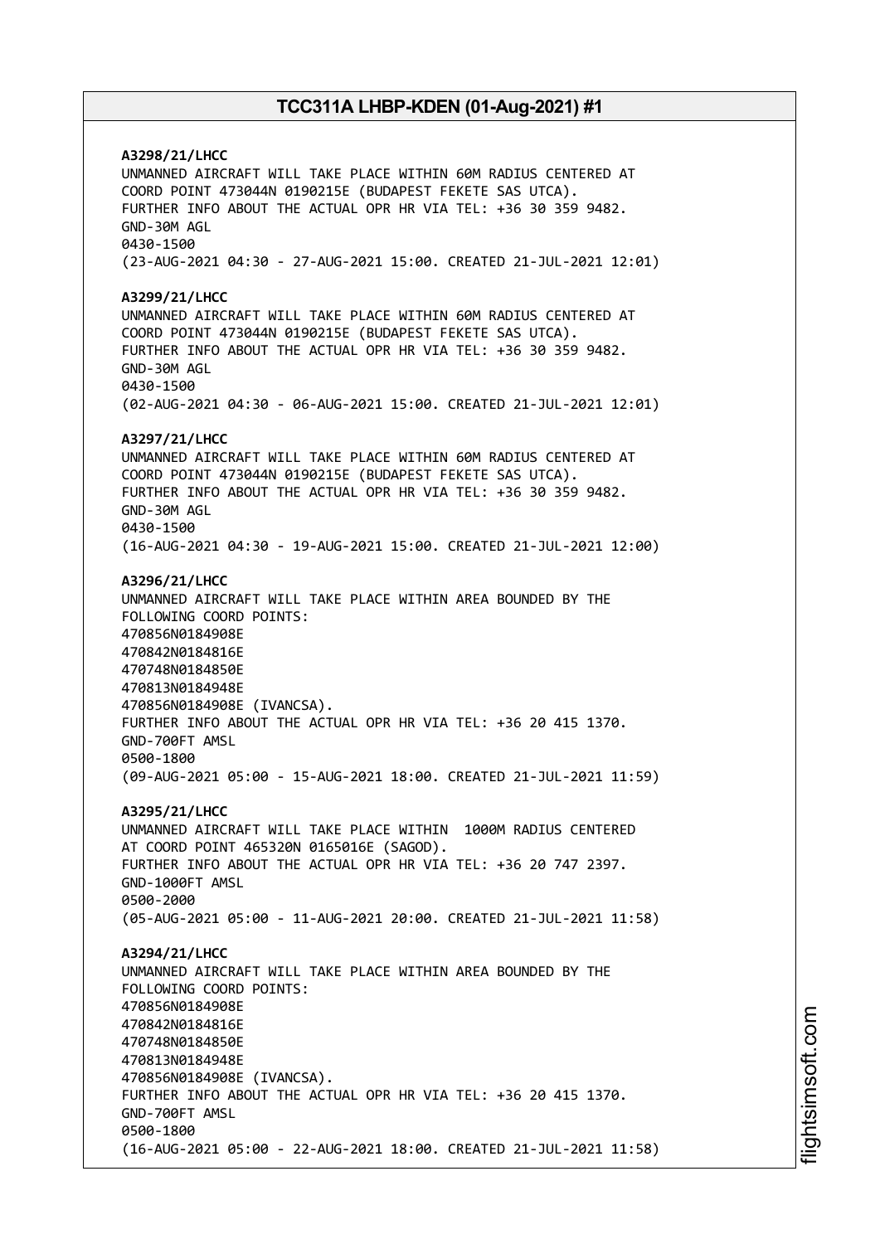**A3298/21/LHCC** UNMANNED AIRCRAFT WILL TAKE PLACE WITHIN 60M RADIUS CENTERED AT COORD POINT 473044N 0190215E (BUDAPEST FEKETE SAS UTCA). FURTHER INFO ABOUT THE ACTUAL OPR HR VIA TEL: +36 30 359 9482. GND-30M AGL 0430-1500 (23-AUG-2021 04:30 - 27-AUG-2021 15:00. CREATED 21-JUL-2021 12:01) **A3299/21/LHCC** UNMANNED AIRCRAFT WILL TAKE PLACE WITHIN 60M RADIUS CENTERED AT COORD POINT 473044N 0190215E (BUDAPEST FEKETE SAS UTCA). FURTHER INFO ABOUT THE ACTUAL OPR HR VIA TEL: +36 30 359 9482. GND-30M AGL 0430-1500 (02-AUG-2021 04:30 - 06-AUG-2021 15:00. CREATED 21-JUL-2021 12:01) **A3297/21/LHCC** UNMANNED AIRCRAFT WILL TAKE PLACE WITHIN 60M RADIUS CENTERED AT COORD POINT 473044N 0190215E (BUDAPEST FEKETE SAS UTCA). FURTHER INFO ABOUT THE ACTUAL OPR HR VIA TEL: +36 30 359 9482. GND-30M AGL 0430-1500 (16-AUG-2021 04:30 - 19-AUG-2021 15:00. CREATED 21-JUL-2021 12:00) **A3296/21/LHCC** UNMANNED AIRCRAFT WILL TAKE PLACE WITHIN AREA BOUNDED BY THE FOLLOWING COORD POINTS: 470856N0184908E 470842N0184816E 470748N0184850E 470813N0184948E 470856N0184908E (IVANCSA). FURTHER INFO ABOUT THE ACTUAL OPR HR VIA TEL: +36 20 415 1370. GND-700FT AMSL 0500-1800 (09-AUG-2021 05:00 - 15-AUG-2021 18:00. CREATED 21-JUL-2021 11:59) **A3295/21/LHCC** UNMANNED AIRCRAFT WILL TAKE PLACE WITHIN 1000M RADIUS CENTERED AT COORD POINT 465320N 0165016E (SAGOD). FURTHER INFO ABOUT THE ACTUAL OPR HR VIA TEL: +36 20 747 2397. GND-1000FT AMSL 0500-2000 (05-AUG-2021 05:00 - 11-AUG-2021 20:00. CREATED 21-JUL-2021 11:58) **A3294/21/LHCC** UNMANNED AIRCRAFT WILL TAKE PLACE WITHIN AREA BOUNDED BY THE FOLLOWING COORD POINTS: 470856N0184908E 470842N0184816E 470748N0184850E 470813N0184948E 470856N0184908E (IVANCSA). FURTHER INFO ABOUT THE ACTUAL OPR HR VIA TEL: +36 20 415 1370. GND-700FT AMSL 0500-1800 (16-AUG-2021 05:00 - 22-AUG-2021 18:00. CREATED 21-JUL-2021 11:58)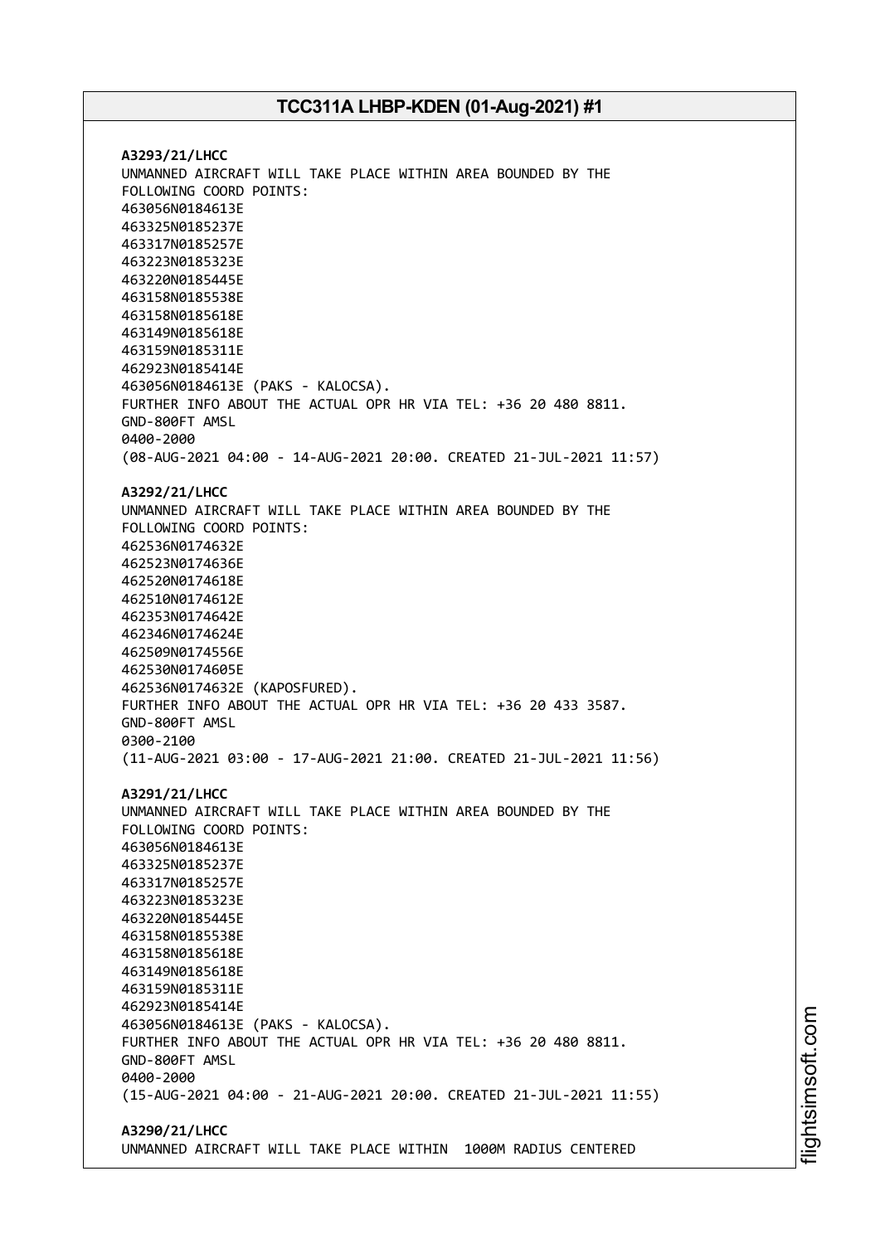**A3293/21/LHCC** UNMANNED AIRCRAFT WILL TAKE PLACE WITHIN AREA BOUNDED BY THE FOLLOWING COORD POINTS: 463056N0184613E 463325N0185237E 463317N0185257E 463223N0185323E 463220N0185445E 463158N0185538E 463158N0185618E 463149N0185618E 463159N0185311E 462923N0185414E 463056N0184613E (PAKS - KALOCSA). FURTHER INFO ABOUT THE ACTUAL OPR HR VIA TEL: +36 20 480 8811. GND-800FT AMSL 0400-2000 (08-AUG-2021 04:00 - 14-AUG-2021 20:00. CREATED 21-JUL-2021 11:57) **A3292/21/LHCC** UNMANNED AIRCRAFT WILL TAKE PLACE WITHIN AREA BOUNDED BY THE FOLLOWING COORD POINTS: 462536N0174632E 462523N0174636E 462520N0174618E 462510N0174612E 462353N0174642E 462346N0174624E 462509N0174556E 462530N0174605E 462536N0174632E (KAPOSFURED). FURTHER INFO ABOUT THE ACTUAL OPR HR VIA TEL: +36 20 433 3587. GND-800FT AMSL 0300-2100 (11-AUG-2021 03:00 - 17-AUG-2021 21:00. CREATED 21-JUL-2021 11:56) **A3291/21/LHCC** UNMANNED AIRCRAFT WILL TAKE PLACE WITHIN AREA BOUNDED BY THE FOLLOWING COORD POINTS: 463056N0184613E 463325N0185237E 463317N0185257E 463223N0185323E 463220N0185445E 463158N0185538E 463158N0185618E 463149N0185618E 463159N0185311E 462923N0185414E 463056N0184613E (PAKS - KALOCSA). FURTHER INFO ABOUT THE ACTUAL OPR HR VIA TEL: +36 20 480 8811. GND-800FT AMSL 0400-2000 (15-AUG-2021 04:00 - 21-AUG-2021 20:00. CREATED 21-JUL-2021 11:55) **A3290/21/LHCC**

UNMANNED AIRCRAFT WILL TAKE PLACE WITHIN 1000M RADIUS CENTERED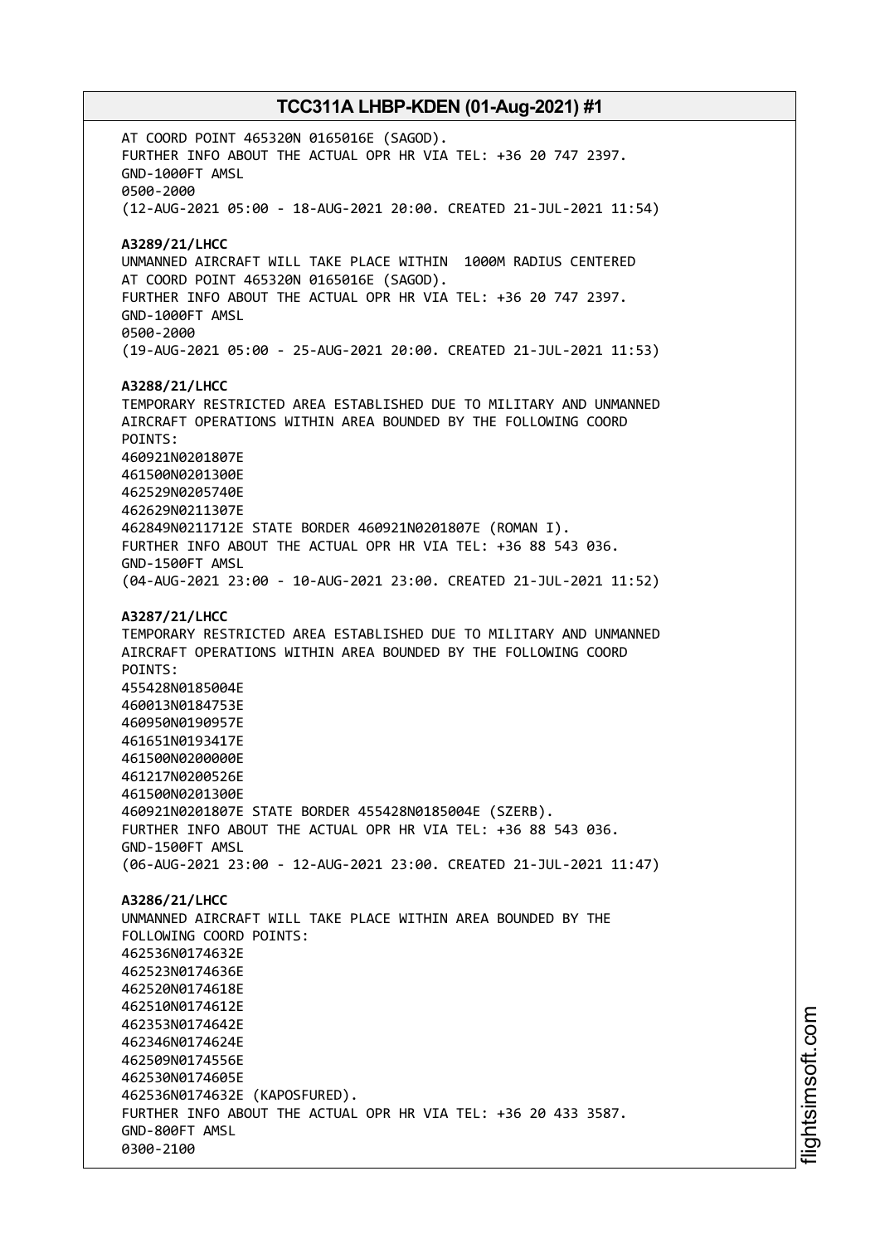AT COORD POINT 465320N 0165016E (SAGOD). FURTHER INFO ABOUT THE ACTUAL OPR HR VIA TEL: +36 20 747 2397. GND-1000FT AMSL 0500-2000 (12-AUG-2021 05:00 - 18-AUG-2021 20:00. CREATED 21-JUL-2021 11:54) **A3289/21/LHCC** UNMANNED AIRCRAFT WILL TAKE PLACE WITHIN 1000M RADIUS CENTERED AT COORD POINT 465320N 0165016E (SAGOD). FURTHER INFO ABOUT THE ACTUAL OPR HR VIA TEL: +36 20 747 2397. GND-1000FT AMSL 0500-2000 (19-AUG-2021 05:00 - 25-AUG-2021 20:00. CREATED 21-JUL-2021 11:53) **A3288/21/LHCC** TEMPORARY RESTRICTED AREA ESTABLISHED DUE TO MILITARY AND UNMANNED AIRCRAFT OPERATIONS WITHIN AREA BOUNDED BY THE FOLLOWING COORD POINTS: 460921N0201807E 461500N0201300E 462529N0205740E 462629N0211307E 462849N0211712E STATE BORDER 460921N0201807E (ROMAN I). FURTHER INFO ABOUT THE ACTUAL OPR HR VIA TEL: +36 88 543 036. GND-1500FT AMSL (04-AUG-2021 23:00 - 10-AUG-2021 23:00. CREATED 21-JUL-2021 11:52) **A3287/21/LHCC** TEMPORARY RESTRICTED AREA ESTABLISHED DUE TO MILITARY AND UNMANNED AIRCRAFT OPERATIONS WITHIN AREA BOUNDED BY THE FOLLOWING COORD POINTS: 455428N0185004E 460013N0184753E 460950N0190957E 461651N0193417E 461500N0200000E 461217N0200526E 461500N0201300E 460921N0201807E STATE BORDER 455428N0185004E (SZERB). FURTHER INFO ABOUT THE ACTUAL OPR HR VIA TEL: +36 88 543 036. GND-1500FT AMSL (06-AUG-2021 23:00 - 12-AUG-2021 23:00. CREATED 21-JUL-2021 11:47) **A3286/21/LHCC** UNMANNED AIRCRAFT WILL TAKE PLACE WITHIN AREA BOUNDED BY THE FOLLOWING COORD POINTS: 462536N0174632E 462523N0174636E 462520N0174618E 462510N0174612E 462353N0174642E 462346N0174624E 462509N0174556E 462530N0174605E 462536N0174632E (KAPOSFURED). FURTHER INFO ABOUT THE ACTUAL OPR HR VIA TEL: +36 20 433 3587. GND-800FT AMSL 0300-2100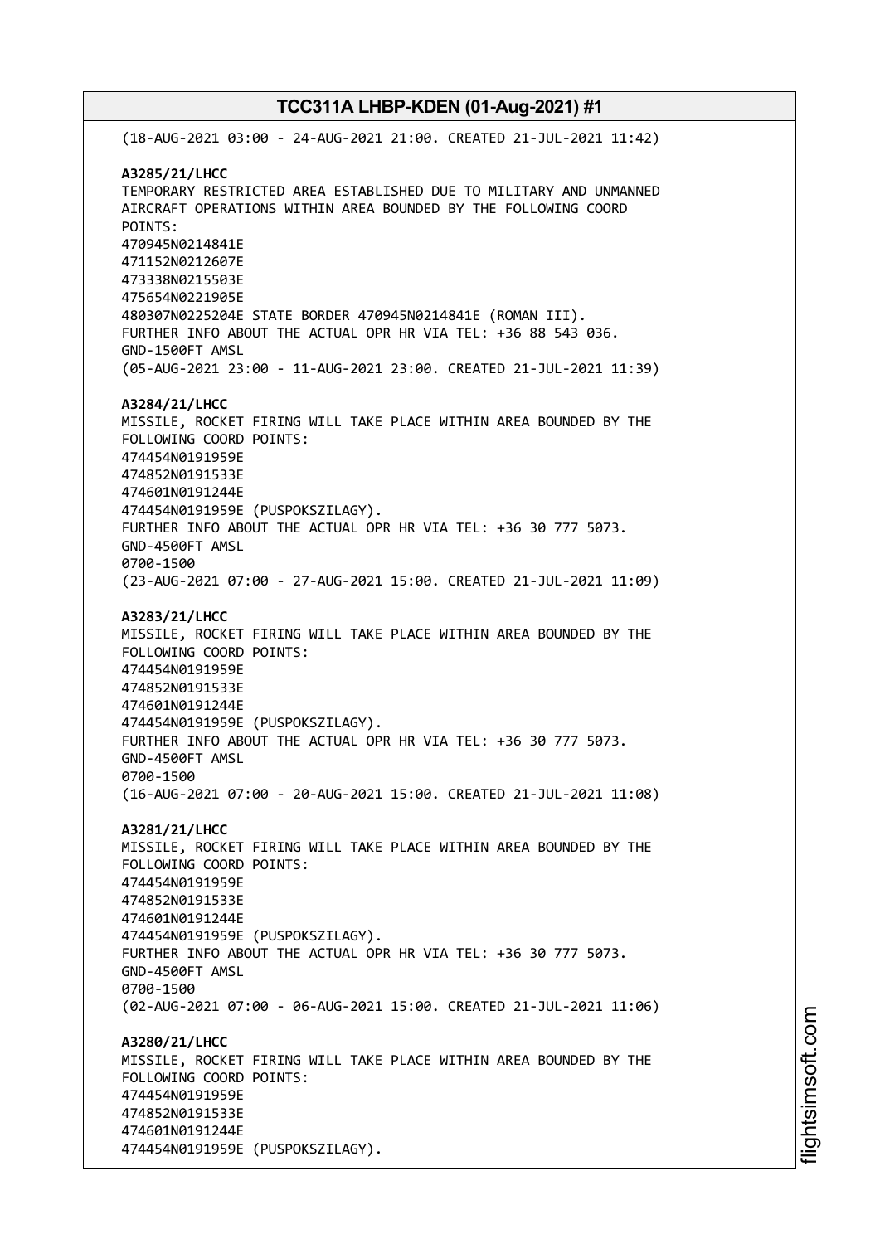(18-AUG-2021 03:00 - 24-AUG-2021 21:00. CREATED 21-JUL-2021 11:42) **A3285/21/LHCC** TEMPORARY RESTRICTED AREA ESTABLISHED DUE TO MILITARY AND UNMANNED AIRCRAFT OPERATIONS WITHIN AREA BOUNDED BY THE FOLLOWING COORD POINTS: 470945N0214841E 471152N0212607E 473338N0215503E 475654N0221905E 480307N0225204E STATE BORDER 470945N0214841E (ROMAN III). FURTHER INFO ABOUT THE ACTUAL OPR HR VIA TEL: +36 88 543 036. GND-1500FT AMSL (05-AUG-2021 23:00 - 11-AUG-2021 23:00. CREATED 21-JUL-2021 11:39) **A3284/21/LHCC** MISSILE, ROCKET FIRING WILL TAKE PLACE WITHIN AREA BOUNDED BY THE FOLLOWING COORD POINTS: 474454N0191959E 474852N0191533E 474601N0191244E 474454N0191959E (PUSPOKSZILAGY). FURTHER INFO ABOUT THE ACTUAL OPR HR VIA TEL: +36 30 777 5073. GND-4500FT AMSL 0700-1500 (23-AUG-2021 07:00 - 27-AUG-2021 15:00. CREATED 21-JUL-2021 11:09) **A3283/21/LHCC** MISSILE, ROCKET FIRING WILL TAKE PLACE WITHIN AREA BOUNDED BY THE FOLLOWING COORD POINTS: 474454N0191959E 474852N0191533E 474601N0191244E 474454N0191959E (PUSPOKSZILAGY). FURTHER INFO ABOUT THE ACTUAL OPR HR VIA TEL: +36 30 777 5073. GND-4500FT AMSL 0700-1500 (16-AUG-2021 07:00 - 20-AUG-2021 15:00. CREATED 21-JUL-2021 11:08) **A3281/21/LHCC** MISSILE, ROCKET FIRING WILL TAKE PLACE WITHIN AREA BOUNDED BY THE FOLLOWING COORD POINTS: 474454N0191959E 474852N0191533E 474601N0191244E 474454N0191959E (PUSPOKSZILAGY). FURTHER INFO ABOUT THE ACTUAL OPR HR VIA TEL: +36 30 777 5073. GND-4500FT AMSL 0700-1500 (02-AUG-2021 07:00 - 06-AUG-2021 15:00. CREATED 21-JUL-2021 11:06) **A3280/21/LHCC** MISSILE, ROCKET FIRING WILL TAKE PLACE WITHIN AREA BOUNDED BY THE FOLLOWING COORD POINTS: 474454N0191959E 474852N0191533E 474601N0191244E 474454N0191959E (PUSPOKSZILAGY).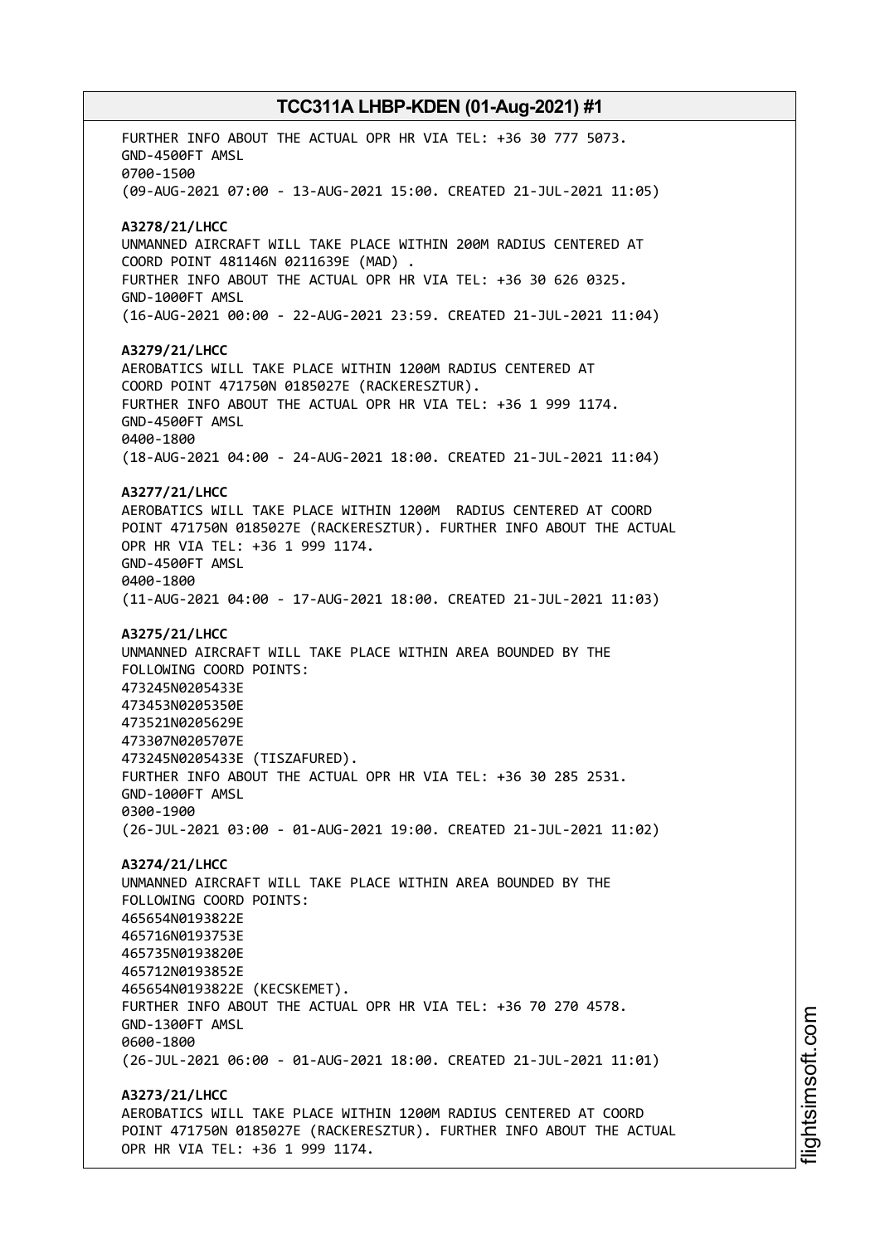FURTHER INFO ABOUT THE ACTUAL OPR HR VIA TEL: +36 30 777 5073. GND-4500FT AMSL 0700-1500 (09-AUG-2021 07:00 - 13-AUG-2021 15:00. CREATED 21-JUL-2021 11:05) **A3278/21/LHCC** UNMANNED AIRCRAFT WILL TAKE PLACE WITHIN 200M RADIUS CENTERED AT COORD POINT 481146N 0211639E (MAD) . FURTHER INFO ABOUT THE ACTUAL OPR HR VIA TEL: +36 30 626 0325. GND-1000FT AMSL (16-AUG-2021 00:00 - 22-AUG-2021 23:59. CREATED 21-JUL-2021 11:04) **A3279/21/LHCC** AEROBATICS WILL TAKE PLACE WITHIN 1200M RADIUS CENTERED AT COORD POINT 471750N 0185027E (RACKERESZTUR). FURTHER INFO ABOUT THE ACTUAL OPR HR VIA TEL: +36 1 999 1174. GND-4500FT AMSL 0400-1800 (18-AUG-2021 04:00 - 24-AUG-2021 18:00. CREATED 21-JUL-2021 11:04) **A3277/21/LHCC** AEROBATICS WILL TAKE PLACE WITHIN 1200M RADIUS CENTERED AT COORD POINT 471750N 0185027E (RACKERESZTUR). FURTHER INFO ABOUT THE ACTUAL OPR HR VIA TEL: +36 1 999 1174. GND-4500FT AMSL 0400-1800 (11-AUG-2021 04:00 - 17-AUG-2021 18:00. CREATED 21-JUL-2021 11:03) **A3275/21/LHCC** UNMANNED AIRCRAFT WILL TAKE PLACE WITHIN AREA BOUNDED BY THE FOLLOWING COORD POINTS: 473245N0205433E 473453N0205350E 473521N0205629E 473307N0205707E 473245N0205433E (TISZAFURED). FURTHER INFO ABOUT THE ACTUAL OPR HR VIA TEL: +36 30 285 2531. GND-1000FT AMSL 0300-1900 (26-JUL-2021 03:00 - 01-AUG-2021 19:00. CREATED 21-JUL-2021 11:02) **A3274/21/LHCC** UNMANNED AIRCRAFT WILL TAKE PLACE WITHIN AREA BOUNDED BY THE FOLLOWING COORD POINTS: 465654N0193822E 465716N0193753E 465735N0193820E 465712N0193852E 465654N0193822E (KECSKEMET). FURTHER INFO ABOUT THE ACTUAL OPR HR VIA TEL: +36 70 270 4578. GND-1300FT AMSL 0600-1800 (26-JUL-2021 06:00 - 01-AUG-2021 18:00. CREATED 21-JUL-2021 11:01) **A3273/21/LHCC** AEROBATICS WILL TAKE PLACE WITHIN 1200M RADIUS CENTERED AT COORD POINT 471750N 0185027E (RACKERESZTUR). FURTHER INFO ABOUT THE ACTUAL OPR HR VIA TEL: +36 1 999 1174.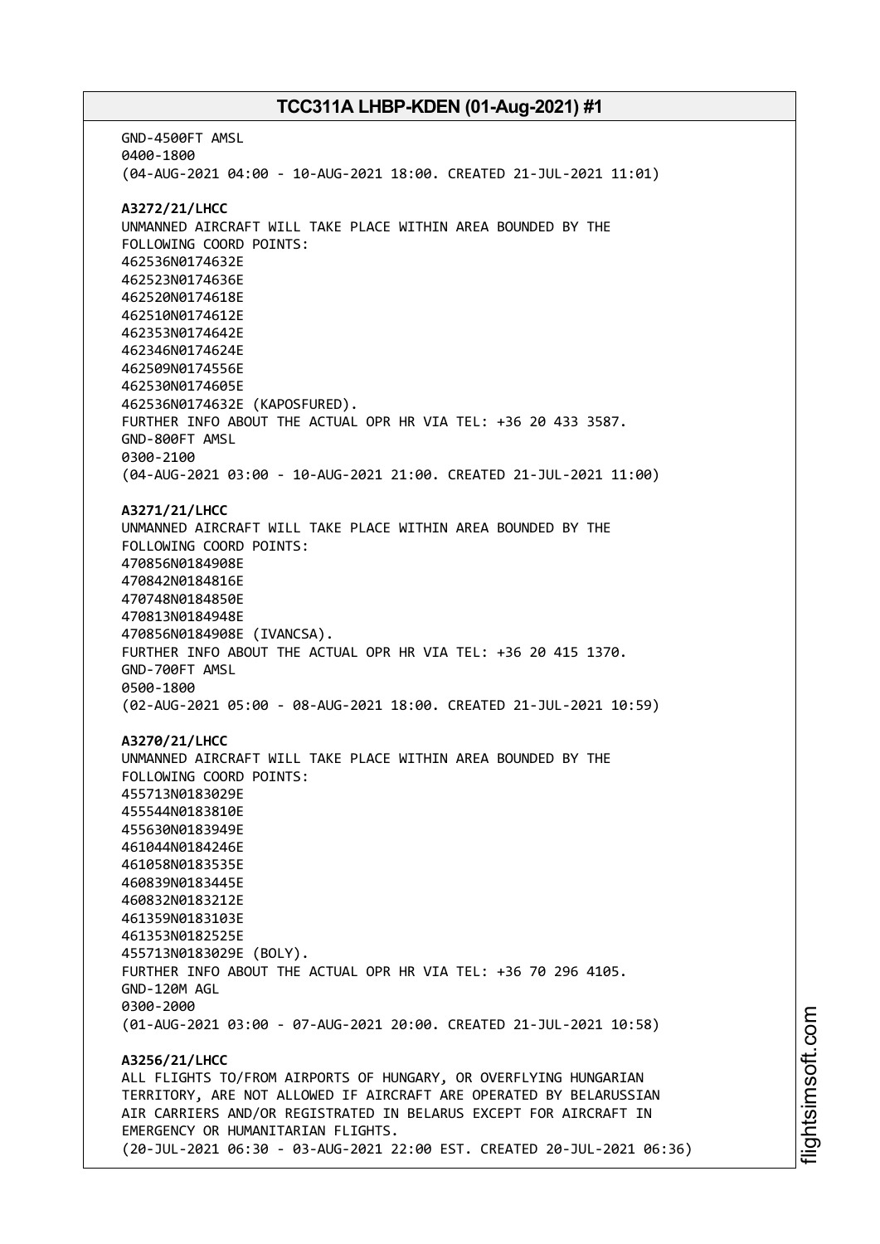GND-4500FT AMSL 0400-1800 (04-AUG-2021 04:00 - 10-AUG-2021 18:00. CREATED 21-JUL-2021 11:01) **A3272/21/LHCC** UNMANNED AIRCRAFT WILL TAKE PLACE WITHIN AREA BOUNDED BY THE FOLLOWING COORD POINTS: 462536N0174632E 462523N0174636E 462520N0174618E 462510N0174612E 462353N0174642E 462346N0174624E 462509N0174556E 462530N0174605E 462536N0174632E (KAPOSFURED). FURTHER INFO ABOUT THE ACTUAL OPR HR VIA TEL: +36 20 433 3587. GND-800FT AMSL 0300-2100 (04-AUG-2021 03:00 - 10-AUG-2021 21:00. CREATED 21-JUL-2021 11:00) **A3271/21/LHCC** UNMANNED AIRCRAFT WILL TAKE PLACE WITHIN AREA BOUNDED BY THE FOLLOWING COORD POINTS: 470856N0184908E 470842N0184816E 470748N0184850E 470813N0184948E 470856N0184908E (IVANCSA). FURTHER INFO ABOUT THE ACTUAL OPR HR VIA TEL: +36 20 415 1370. GND-700FT AMSL 0500-1800 (02-AUG-2021 05:00 - 08-AUG-2021 18:00. CREATED 21-JUL-2021 10:59) **A3270/21/LHCC** UNMANNED AIRCRAFT WILL TAKE PLACE WITHIN AREA BOUNDED BY THE FOLLOWING COORD POINTS: 455713N0183029E 455544N0183810E 455630N0183949E 461044N0184246E 461058N0183535E 460839N0183445E 460832N0183212E 461359N0183103E 461353N0182525E 455713N0183029E (BOLY). FURTHER INFO ABOUT THE ACTUAL OPR HR VIA TEL: +36 70 296 4105. GND-120M AGL 0300-2000 (01-AUG-2021 03:00 - 07-AUG-2021 20:00. CREATED 21-JUL-2021 10:58) **A3256/21/LHCC** ALL FLIGHTS TO/FROM AIRPORTS OF HUNGARY, OR OVERFLYING HUNGARIAN TERRITORY, ARE NOT ALLOWED IF AIRCRAFT ARE OPERATED BY BELARUSSIAN AIR CARRIERS AND/OR REGISTRATED IN BELARUS EXCEPT FOR AIRCRAFT IN EMERGENCY OR HUMANITARIAN FLIGHTS. (20-JUL-2021 06:30 - 03-AUG-2021 22:00 EST. CREATED 20-JUL-2021 06:36)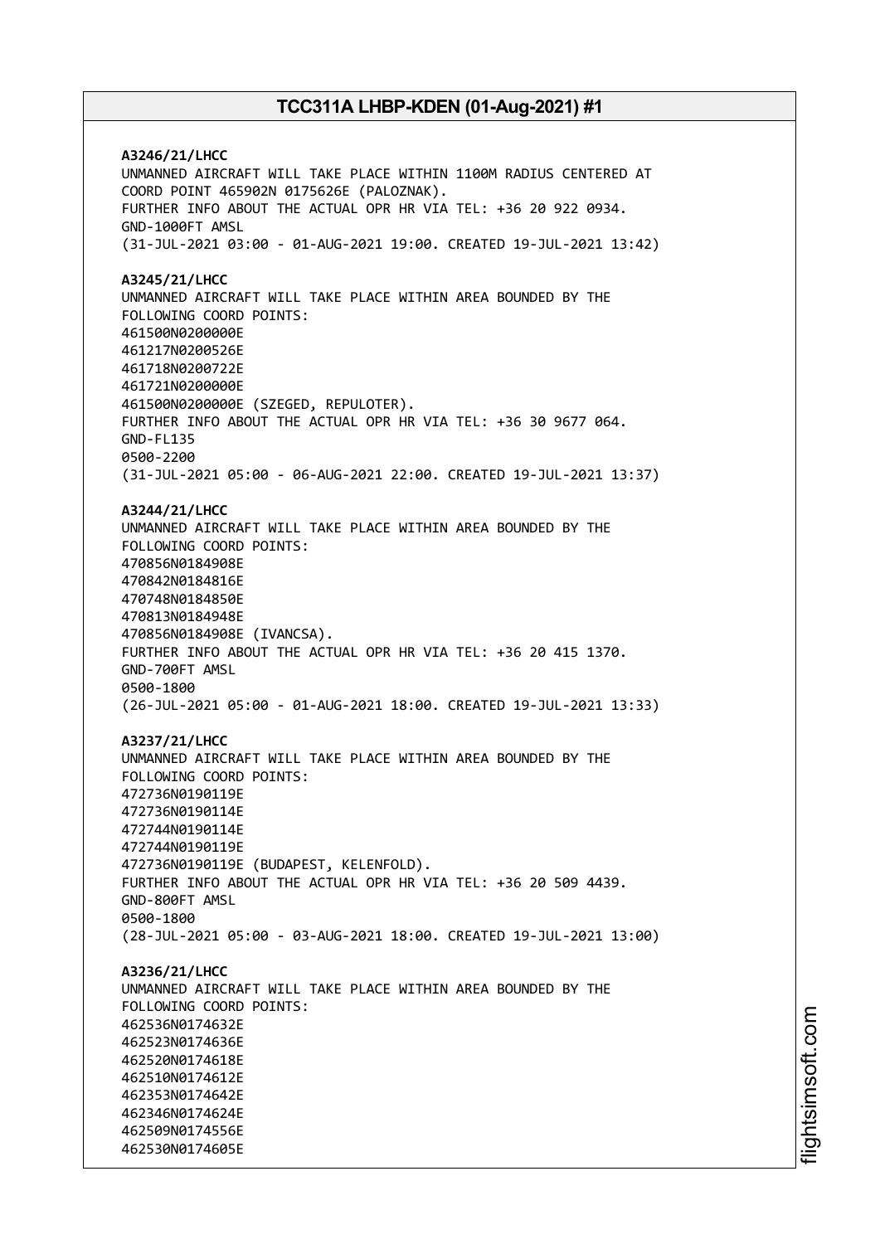**A3246/21/LHCC** UNMANNED AIRCRAFT WILL TAKE PLACE WITHIN 1100M RADIUS CENTERED AT COORD POINT 465902N 0175626E (PALOZNAK). FURTHER INFO ABOUT THE ACTUAL OPR HR VIA TEL: +36 20 922 0934. GND-1000FT AMSL (31-JUL-2021 03:00 - 01-AUG-2021 19:00. CREATED 19-JUL-2021 13:42) **A3245/21/LHCC** UNMANNED AIRCRAFT WILL TAKE PLACE WITHIN AREA BOUNDED BY THE FOLLOWING COORD POINTS: 461500N0200000E 461217N0200526E 461718N0200722E 461721N0200000E 461500N0200000E (SZEGED, REPULOTER). FURTHER INFO ABOUT THE ACTUAL OPR HR VIA TEL: +36 30 9677 064. GND-FL135 0500-2200 (31-JUL-2021 05:00 - 06-AUG-2021 22:00. CREATED 19-JUL-2021 13:37) **A3244/21/LHCC** UNMANNED AIRCRAFT WILL TAKE PLACE WITHIN AREA BOUNDED BY THE FOLLOWING COORD POINTS: 470856N0184908E 470842N0184816E 470748N0184850E 470813N0184948E 470856N0184908E (IVANCSA). FURTHER INFO ABOUT THE ACTUAL OPR HR VIA TEL: +36 20 415 1370. GND-700FT AMSL 0500-1800 (26-JUL-2021 05:00 - 01-AUG-2021 18:00. CREATED 19-JUL-2021 13:33) **A3237/21/LHCC** UNMANNED AIRCRAFT WILL TAKE PLACE WITHIN AREA BOUNDED BY THE FOLLOWING COORD POINTS: 472736N0190119E 472736N0190114E 472744N0190114E 472744N0190119E 472736N0190119E (BUDAPEST, KELENFOLD). FURTHER INFO ABOUT THE ACTUAL OPR HR VIA TEL: +36 20 509 4439. GND-800FT AMSL 0500-1800 (28-JUL-2021 05:00 - 03-AUG-2021 18:00. CREATED 19-JUL-2021 13:00) **A3236/21/LHCC** UNMANNED AIRCRAFT WILL TAKE PLACE WITHIN AREA BOUNDED BY THE FOLLOWING COORD POINTS: 462536N0174632E 462523N0174636E 462520N0174618E 462510N0174612E 462353N0174642E 462346N0174624E 462509N0174556E 462530N0174605E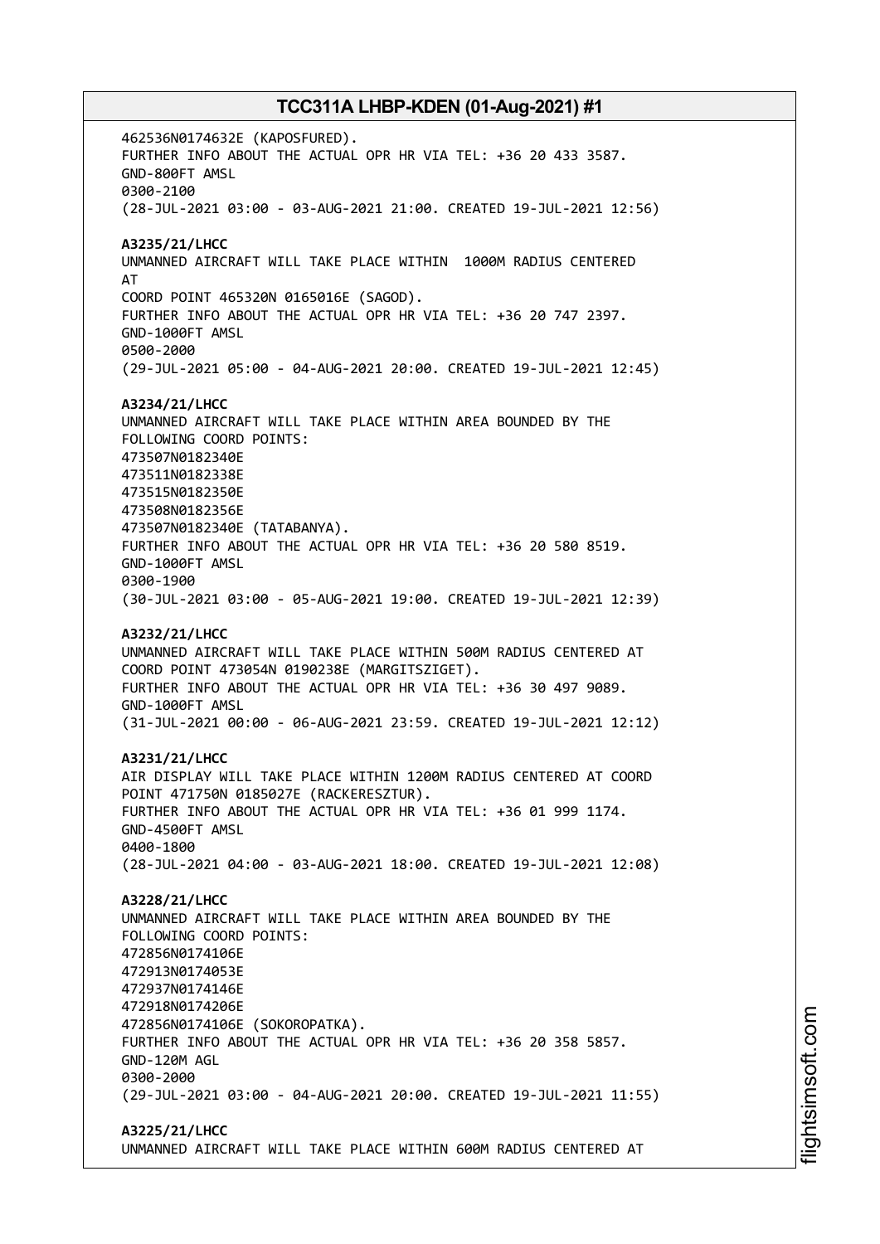462536N0174632E (KAPOSFURED). FURTHER INFO ABOUT THE ACTUAL OPR HR VIA TEL: +36 20 433 3587. GND-800FT AMSL 0300-2100 (28-JUL-2021 03:00 - 03-AUG-2021 21:00. CREATED 19-JUL-2021 12:56) **A3235/21/LHCC** UNMANNED AIRCRAFT WILL TAKE PLACE WITHIN 1000M RADIUS CENTERED AT COORD POINT 465320N 0165016E (SAGOD). FURTHER INFO ABOUT THE ACTUAL OPR HR VIA TEL: +36 20 747 2397. GND-1000FT AMSL 0500-2000 (29-JUL-2021 05:00 - 04-AUG-2021 20:00. CREATED 19-JUL-2021 12:45) **A3234/21/LHCC** UNMANNED AIRCRAFT WILL TAKE PLACE WITHIN AREA BOUNDED BY THE FOLLOWING COORD POINTS: 473507N0182340E 473511N0182338E 473515N0182350E 473508N0182356E 473507N0182340E (TATABANYA). FURTHER INFO ABOUT THE ACTUAL OPR HR VIA TEL: +36 20 580 8519. GND-1000FT AMSL 0300-1900 (30-JUL-2021 03:00 - 05-AUG-2021 19:00. CREATED 19-JUL-2021 12:39) **A3232/21/LHCC** UNMANNED AIRCRAFT WILL TAKE PLACE WITHIN 500M RADIUS CENTERED AT COORD POINT 473054N 0190238E (MARGITSZIGET). FURTHER INFO ABOUT THE ACTUAL OPR HR VIA TEL: +36 30 497 9089. GND-1000FT AMSL (31-JUL-2021 00:00 - 06-AUG-2021 23:59. CREATED 19-JUL-2021 12:12) **A3231/21/LHCC** AIR DISPLAY WILL TAKE PLACE WITHIN 1200M RADIUS CENTERED AT COORD POINT 471750N 0185027E (RACKERESZTUR). FURTHER INFO ABOUT THE ACTUAL OPR HR VIA TEL: +36 01 999 1174. GND-4500FT AMSL 0400-1800 (28-JUL-2021 04:00 - 03-AUG-2021 18:00. CREATED 19-JUL-2021 12:08) **A3228/21/LHCC** UNMANNED AIRCRAFT WILL TAKE PLACE WITHIN AREA BOUNDED BY THE FOLLOWING COORD POINTS: 472856N0174106E 472913N0174053E 472937N0174146E 472918N0174206E 472856N0174106E (SOKOROPATKA). FURTHER INFO ABOUT THE ACTUAL OPR HR VIA TEL: +36 20 358 5857. GND-120M AGL 0300-2000 (29-JUL-2021 03:00 - 04-AUG-2021 20:00. CREATED 19-JUL-2021 11:55) **A3225/21/LHCC**

UNMANNED AIRCRAFT WILL TAKE PLACE WITHIN 600M RADIUS CENTERED AT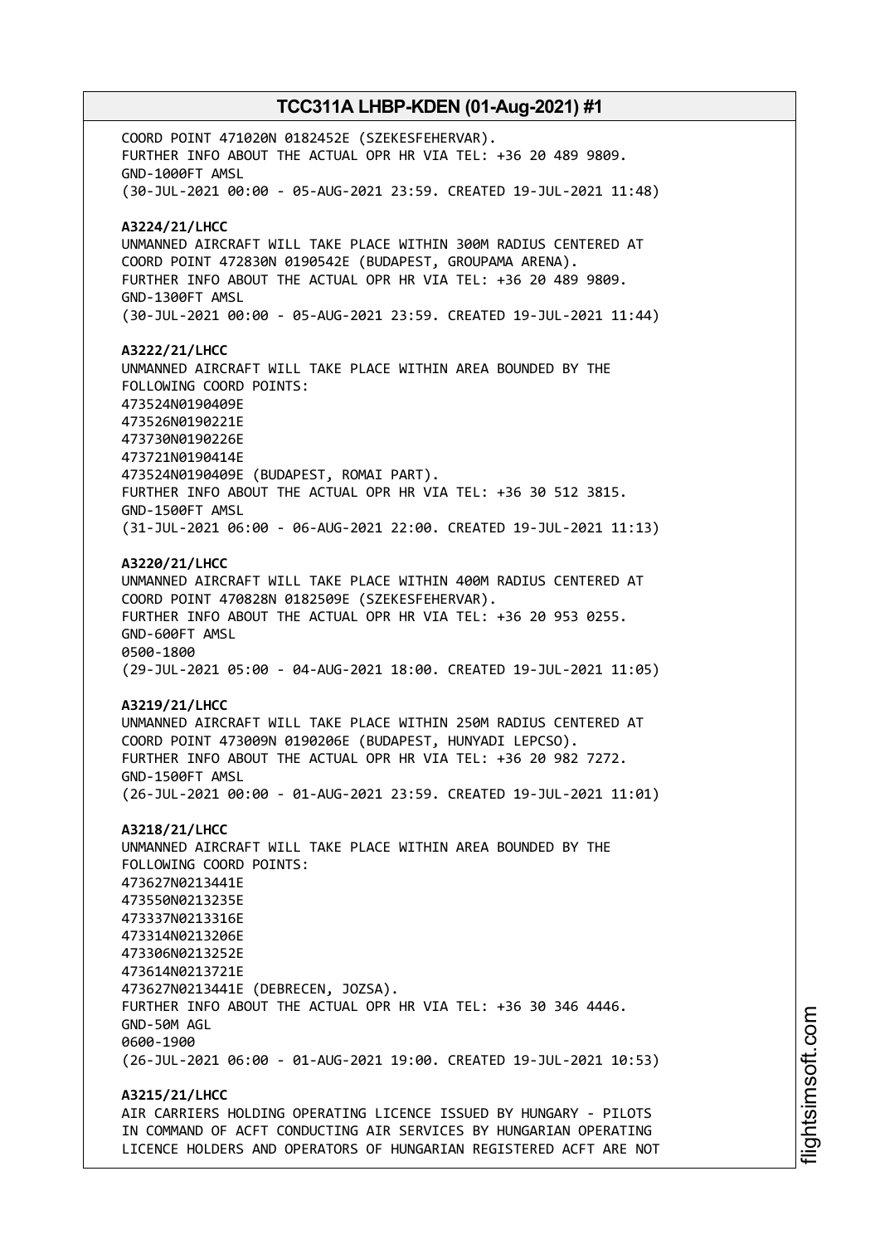COORD POINT 471020N 0182452E (SZEKESFEHERVAR). FURTHER INFO ABOUT THE ACTUAL OPR HR VIA TEL: +36 20 489 9809. GND-1000FT AMSL (30-JUL-2021 00:00 - 05-AUG-2021 23:59. CREATED 19-JUL-2021 11:48) **A3224/21/LHCC** UNMANNED AIRCRAFT WILL TAKE PLACE WITHIN 300M RADIUS CENTERED AT COORD POINT 472830N 0190542E (BUDAPEST, GROUPAMA ARENA). FURTHER INFO ABOUT THE ACTUAL OPR HR VIA TEL: +36 20 489 9809. GND-1300FT AMSL (30-JUL-2021 00:00 - 05-AUG-2021 23:59. CREATED 19-JUL-2021 11:44) **A3222/21/LHCC** UNMANNED AIRCRAFT WILL TAKE PLACE WITHIN AREA BOUNDED BY THE FOLLOWING COORD POINTS: 473524N0190409E 473526N0190221E 473730N0190226E 473721N0190414E 473524N0190409E (BUDAPEST, ROMAI PART). FURTHER INFO ABOUT THE ACTUAL OPR HR VIA TEL: +36 30 512 3815. GND-1500FT AMSL (31-JUL-2021 06:00 - 06-AUG-2021 22:00. CREATED 19-JUL-2021 11:13) **A3220/21/LHCC** UNMANNED AIRCRAFT WILL TAKE PLACE WITHIN 400M RADIUS CENTERED AT COORD POINT 470828N 0182509E (SZEKESFEHERVAR). FURTHER INFO ABOUT THE ACTUAL OPR HR VIA TEL: +36 20 953 0255. GND-600FT AMSL 0500-1800 (29-JUL-2021 05:00 - 04-AUG-2021 18:00. CREATED 19-JUL-2021 11:05) **A3219/21/LHCC** UNMANNED AIRCRAFT WILL TAKE PLACE WITHIN 250M RADIUS CENTERED AT COORD POINT 473009N 0190206E (BUDAPEST, HUNYADI LEPCSO). FURTHER INFO ABOUT THE ACTUAL OPR HR VIA TEL: +36 20 982 7272. GND-1500FT AMSL (26-JUL-2021 00:00 - 01-AUG-2021 23:59. CREATED 19-JUL-2021 11:01) **A3218/21/LHCC** UNMANNED AIRCRAFT WILL TAKE PLACE WITHIN AREA BOUNDED BY THE FOLLOWING COORD POINTS: 473627N0213441E 473550N0213235E 473337N0213316E 473314N0213206E 473306N0213252E 473614N0213721E 473627N0213441E (DEBRECEN, JOZSA). FURTHER INFO ABOUT THE ACTUAL OPR HR VIA TEL: +36 30 346 4446. GND-50M AGL 0600-1900 (26-JUL-2021 06:00 - 01-AUG-2021 19:00. CREATED 19-JUL-2021 10:53) **A3215/21/LHCC** AIR CARRIERS HOLDING OPERATING LICENCE ISSUED BY HUNGARY - PILOTS

IN COMMAND OF ACFT CONDUCTING AIR SERVICES BY HUNGARIAN OPERATING LICENCE HOLDERS AND OPERATORS OF HUNGARIAN REGISTERED ACFT ARE NOT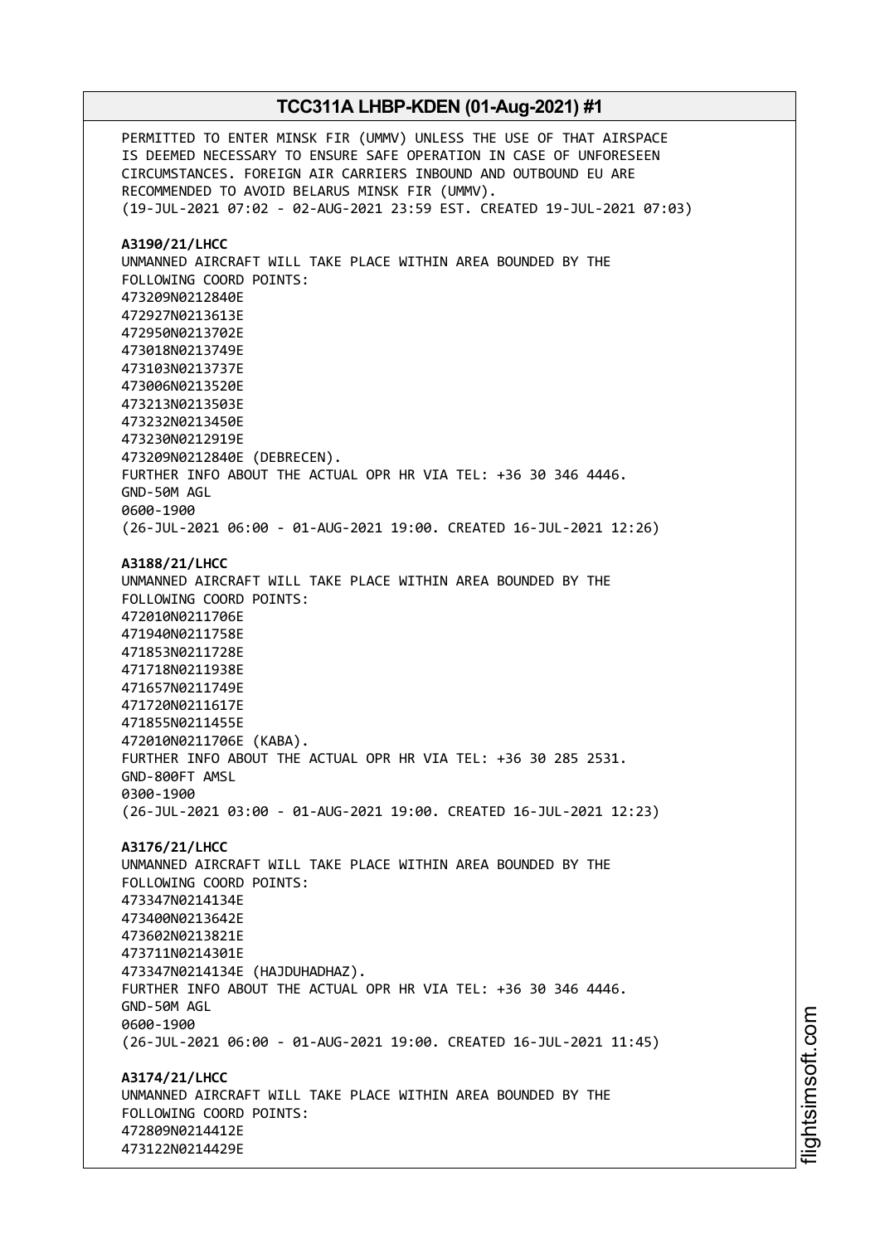PERMITTED TO ENTER MINSK FIR (UMMV) UNLESS THE USE OF THAT AIRSPACE IS DEEMED NECESSARY TO ENSURE SAFE OPERATION IN CASE OF UNFORESEEN CIRCUMSTANCES. FOREIGN AIR CARRIERS INBOUND AND OUTBOUND EU ARE RECOMMENDED TO AVOID BELARUS MINSK FIR (UMMV). (19-JUL-2021 07:02 - 02-AUG-2021 23:59 EST. CREATED 19-JUL-2021 07:03) **A3190/21/LHCC** UNMANNED AIRCRAFT WILL TAKE PLACE WITHIN AREA BOUNDED BY THE FOLLOWING COORD POINTS: 473209N0212840E 472927N0213613E 472950N0213702E 473018N0213749E 473103N0213737E 473006N0213520E 473213N0213503E 473232N0213450E 473230N0212919E 473209N0212840E (DEBRECEN). FURTHER INFO ABOUT THE ACTUAL OPR HR VIA TEL: +36 30 346 4446. GND-50M AGL 0600-1900 (26-JUL-2021 06:00 - 01-AUG-2021 19:00. CREATED 16-JUL-2021 12:26) **A3188/21/LHCC** UNMANNED AIRCRAFT WILL TAKE PLACE WITHIN AREA BOUNDED BY THE FOLLOWING COORD POINTS: 472010N0211706E 471940N0211758E 471853N0211728E 471718N0211938E 471657N0211749E 471720N0211617E 471855N0211455E 472010N0211706E (KABA). FURTHER INFO ABOUT THE ACTUAL OPR HR VIA TEL: +36 30 285 2531. GND-800FT AMSL 0300-1900 (26-JUL-2021 03:00 - 01-AUG-2021 19:00. CREATED 16-JUL-2021 12:23) **A3176/21/LHCC** UNMANNED AIRCRAFT WILL TAKE PLACE WITHIN AREA BOUNDED BY THE FOLLOWING COORD POINTS: 473347N0214134E 473400N0213642E 473602N0213821E 473711N0214301E 473347N0214134E (HAJDUHADHAZ). FURTHER INFO ABOUT THE ACTUAL OPR HR VIA TEL: +36 30 346 4446. GND-50M AGL 0600-1900 (26-JUL-2021 06:00 - 01-AUG-2021 19:00. CREATED 16-JUL-2021 11:45) **A3174/21/LHCC** UNMANNED AIRCRAFT WILL TAKE PLACE WITHIN AREA BOUNDED BY THE FOLLOWING COORD POINTS: 472809N0214412E 473122N0214429E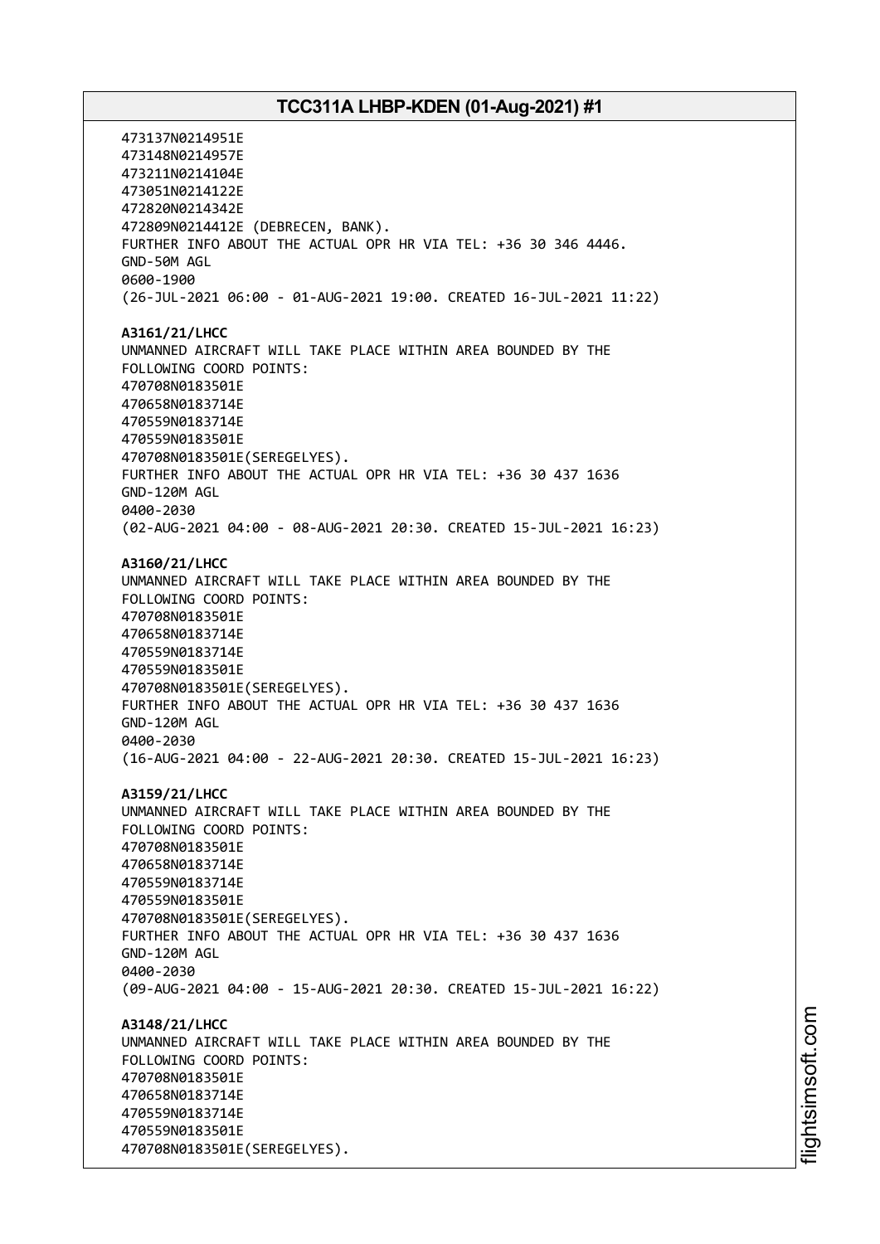473137N0214951E 473148N0214957E 473211N0214104E 473051N0214122E 472820N0214342E 472809N0214412E (DEBRECEN, BANK). FURTHER INFO ABOUT THE ACTUAL OPR HR VIA TEL: +36 30 346 4446. GND-50M AGL 0600-1900 (26-JUL-2021 06:00 - 01-AUG-2021 19:00. CREATED 16-JUL-2021 11:22) **A3161/21/LHCC** UNMANNED AIRCRAFT WILL TAKE PLACE WITHIN AREA BOUNDED BY THE FOLLOWING COORD POINTS: 470708N0183501E 470658N0183714E 470559N0183714E 470559N0183501E 470708N0183501E(SEREGELYES). FURTHER INFO ABOUT THE ACTUAL OPR HR VIA TEL: +36 30 437 1636 GND-120M AGL 0400-2030 (02-AUG-2021 04:00 - 08-AUG-2021 20:30. CREATED 15-JUL-2021 16:23) **A3160/21/LHCC** UNMANNED AIRCRAFT WILL TAKE PLACE WITHIN AREA BOUNDED BY THE FOLLOWING COORD POINTS: 470708N0183501E 470658N0183714E 470559N0183714E 470559N0183501E 470708N0183501E(SEREGELYES). FURTHER INFO ABOUT THE ACTUAL OPR HR VIA TEL: +36 30 437 1636 GND-120M AGL 0400-2030 (16-AUG-2021 04:00 - 22-AUG-2021 20:30. CREATED 15-JUL-2021 16:23) **A3159/21/LHCC** UNMANNED AIRCRAFT WILL TAKE PLACE WITHIN AREA BOUNDED BY THE FOLLOWING COORD POINTS: 470708N0183501E 470658N0183714E 470559N0183714E 470559N0183501E 470708N0183501E(SEREGELYES). FURTHER INFO ABOUT THE ACTUAL OPR HR VIA TEL: +36 30 437 1636 GND-120M AGL 0400-2030 (09-AUG-2021 04:00 - 15-AUG-2021 20:30. CREATED 15-JUL-2021 16:22) **A3148/21/LHCC** UNMANNED AIRCRAFT WILL TAKE PLACE WITHIN AREA BOUNDED BY THE FOLLOWING COORD POINTS: 470708N0183501E 470658N0183714E 470559N0183714E 470559N0183501E 470708N0183501E(SEREGELYES).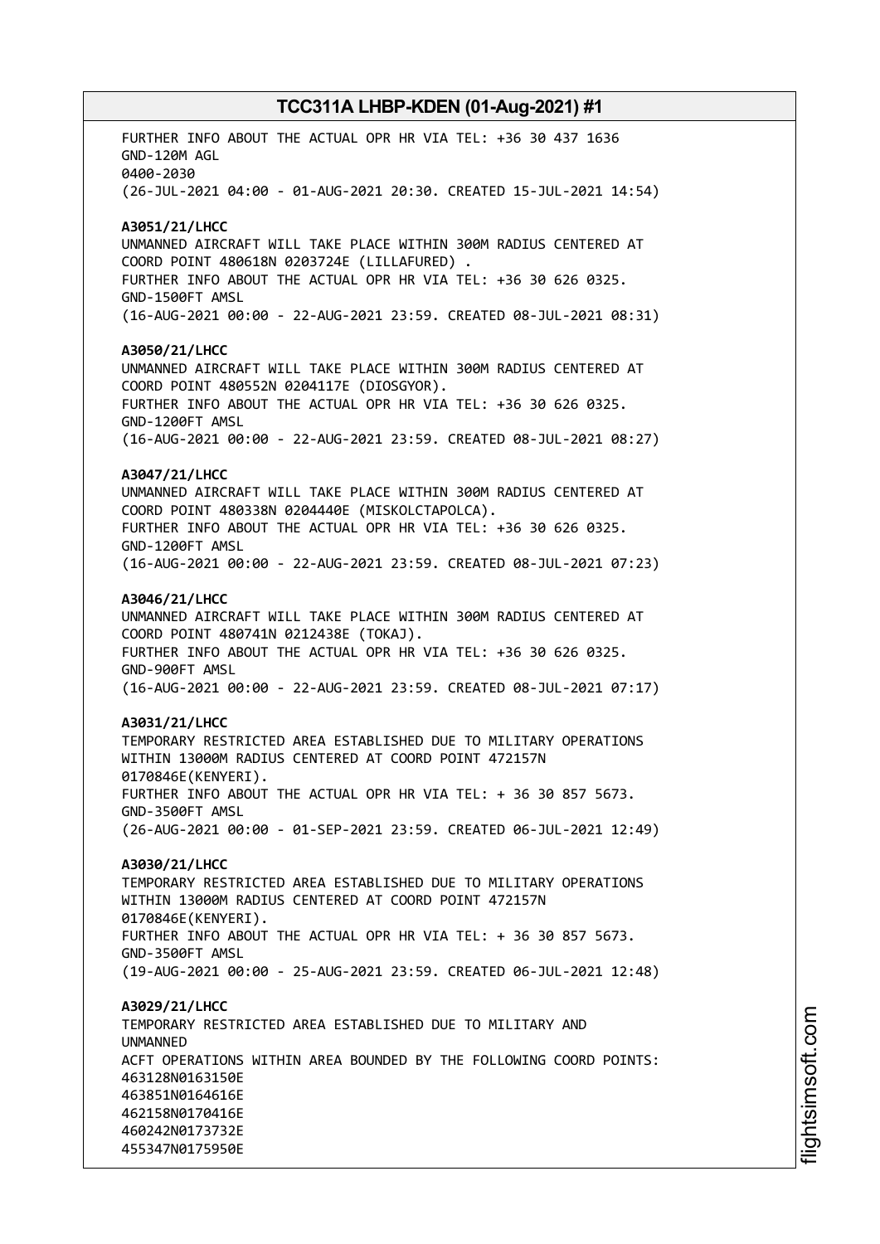FURTHER INFO ABOUT THE ACTUAL OPR HR VIA TEL: +36 30 437 1636 GND-120M AGL 0400-2030 (26-JUL-2021 04:00 - 01-AUG-2021 20:30. CREATED 15-JUL-2021 14:54) **A3051/21/LHCC** UNMANNED AIRCRAFT WILL TAKE PLACE WITHIN 300M RADIUS CENTERED AT COORD POINT 480618N 0203724E (LILLAFURED) . FURTHER INFO ABOUT THE ACTUAL OPR HR VIA TEL: +36 30 626 0325. GND-1500FT AMSL (16-AUG-2021 00:00 - 22-AUG-2021 23:59. CREATED 08-JUL-2021 08:31) **A3050/21/LHCC** UNMANNED AIRCRAFT WILL TAKE PLACE WITHIN 300M RADIUS CENTERED AT COORD POINT 480552N 0204117E (DIOSGYOR). FURTHER INFO ABOUT THE ACTUAL OPR HR VIA TEL: +36 30 626 0325. GND-1200FT AMSL (16-AUG-2021 00:00 - 22-AUG-2021 23:59. CREATED 08-JUL-2021 08:27) **A3047/21/LHCC** UNMANNED AIRCRAFT WILL TAKE PLACE WITHIN 300M RADIUS CENTERED AT COORD POINT 480338N 0204440E (MISKOLCTAPOLCA). FURTHER INFO ABOUT THE ACTUAL OPR HR VIA TEL: +36 30 626 0325. GND-1200FT AMSL (16-AUG-2021 00:00 - 22-AUG-2021 23:59. CREATED 08-JUL-2021 07:23) **A3046/21/LHCC** UNMANNED AIRCRAFT WILL TAKE PLACE WITHIN 300M RADIUS CENTERED AT COORD POINT 480741N 0212438E (TOKAJ). FURTHER INFO ABOUT THE ACTUAL OPR HR VIA TEL: +36 30 626 0325. GND-900FT AMSL (16-AUG-2021 00:00 - 22-AUG-2021 23:59. CREATED 08-JUL-2021 07:17) **A3031/21/LHCC** TEMPORARY RESTRICTED AREA ESTABLISHED DUE TO MILITARY OPERATIONS WITHIN 13000M RADIUS CENTERED AT COORD POINT 472157N 0170846E(KENYERI). FURTHER INFO ABOUT THE ACTUAL OPR HR VIA TEL: + 36 30 857 5673. GND-3500FT AMSL (26-AUG-2021 00:00 - 01-SEP-2021 23:59. CREATED 06-JUL-2021 12:49) **A3030/21/LHCC** TEMPORARY RESTRICTED AREA ESTABLISHED DUE TO MILITARY OPERATIONS WITHIN 13000M RADIUS CENTERED AT COORD POINT 472157N 0170846E(KENYERI). FURTHER INFO ABOUT THE ACTUAL OPR HR VIA TEL: + 36 30 857 5673. GND-3500FT AMSL (19-AUG-2021 00:00 - 25-AUG-2021 23:59. CREATED 06-JUL-2021 12:48) **A3029/21/LHCC** TEMPORARY RESTRICTED AREA ESTABLISHED DUE TO MILITARY AND **IINMANNED** ACFT OPERATIONS WITHIN AREA BOUNDED BY THE FOLLOWING COORD POINTS: 463128N0163150E 463851N0164616E 462158N0170416E 460242N0173732E 455347N0175950E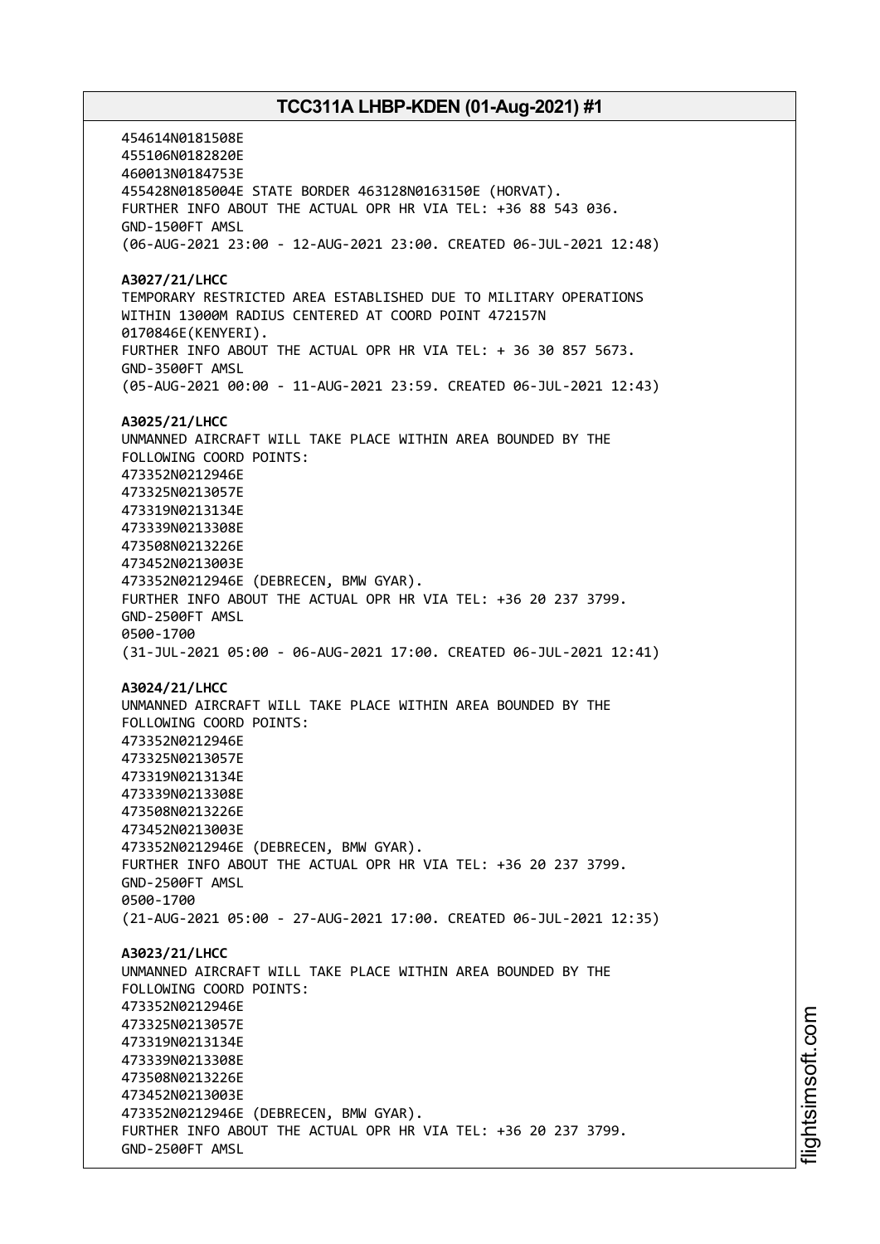454614N0181508E 455106N0182820E 460013N0184753E 455428N0185004E STATE BORDER 463128N0163150E (HORVAT). FURTHER INFO ABOUT THE ACTUAL OPR HR VIA TEL: +36 88 543 036. GND-1500FT AMSL (06-AUG-2021 23:00 - 12-AUG-2021 23:00. CREATED 06-JUL-2021 12:48) **A3027/21/LHCC** TEMPORARY RESTRICTED AREA ESTABLISHED DUE TO MILITARY OPERATIONS WITHIN 13000M RADIUS CENTERED AT COORD POINT 472157N 0170846E(KENYERI). FURTHER INFO ABOUT THE ACTUAL OPR HR VIA TEL: + 36 30 857 5673. GND-3500FT AMSL (05-AUG-2021 00:00 - 11-AUG-2021 23:59. CREATED 06-JUL-2021 12:43) **A3025/21/LHCC** UNMANNED AIRCRAFT WILL TAKE PLACE WITHIN AREA BOUNDED BY THE FOLLOWING COORD POINTS: 473352N0212946E 473325N0213057E 473319N0213134E 473339N0213308E 473508N0213226E 473452N0213003E 473352N0212946E (DEBRECEN, BMW GYAR). FURTHER INFO ABOUT THE ACTUAL OPR HR VIA TEL: +36 20 237 3799. GND-2500FT AMSL 0500-1700 (31-JUL-2021 05:00 - 06-AUG-2021 17:00. CREATED 06-JUL-2021 12:41) **A3024/21/LHCC** UNMANNED AIRCRAFT WILL TAKE PLACE WITHIN AREA BOUNDED BY THE FOLLOWING COORD POINTS: 473352N0212946E 473325N0213057E 473319N0213134E 473339N0213308E 473508N0213226E 473452N0213003E 473352N0212946E (DEBRECEN, BMW GYAR). FURTHER INFO ABOUT THE ACTUAL OPR HR VIA TEL: +36 20 237 3799. GND-2500FT AMSL 0500-1700 (21-AUG-2021 05:00 - 27-AUG-2021 17:00. CREATED 06-JUL-2021 12:35) **A3023/21/LHCC** UNMANNED AIRCRAFT WILL TAKE PLACE WITHIN AREA BOUNDED BY THE FOLLOWING COORD POINTS: 473352N0212946E 473325N0213057E 473319N0213134E 473339N0213308E 473508N0213226E 473452N0213003E 473352N0212946E (DEBRECEN, BMW GYAR). FURTHER INFO ABOUT THE ACTUAL OPR HR VIA TEL: +36 20 237 3799. GND-2500FT AMSL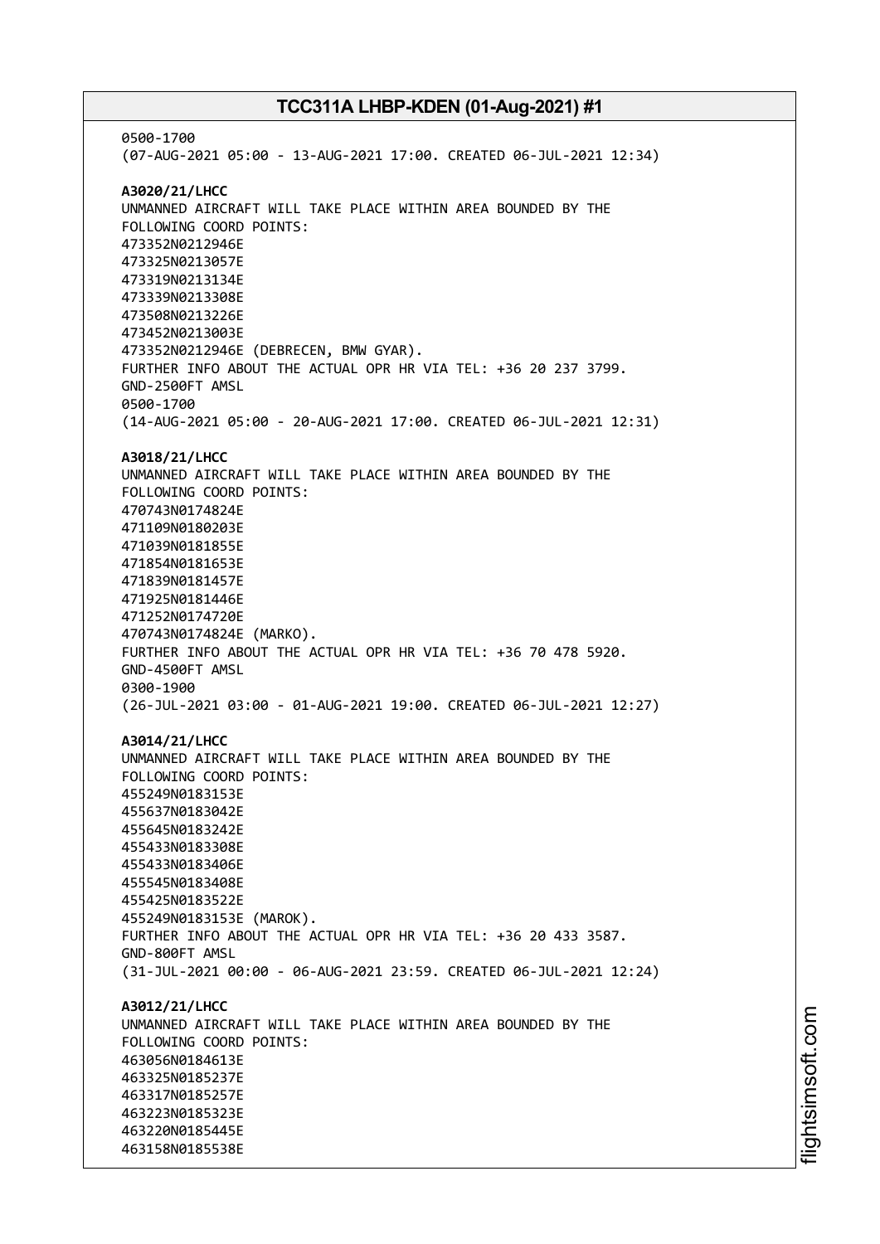0500-1700 (07-AUG-2021 05:00 - 13-AUG-2021 17:00. CREATED 06-JUL-2021 12:34) **A3020/21/LHCC** UNMANNED AIRCRAFT WILL TAKE PLACE WITHIN AREA BOUNDED BY THE FOLLOWING COORD POINTS: 473352N0212946E 473325N0213057E 473319N0213134E 473339N0213308E 473508N0213226E 473452N0213003E 473352N0212946E (DEBRECEN, BMW GYAR). FURTHER INFO ABOUT THE ACTUAL OPR HR VIA TEL: +36 20 237 3799. GND-2500FT AMSL 0500-1700 (14-AUG-2021 05:00 - 20-AUG-2021 17:00. CREATED 06-JUL-2021 12:31) **A3018/21/LHCC** UNMANNED AIRCRAFT WILL TAKE PLACE WITHIN AREA BOUNDED BY THE FOLLOWING COORD POINTS: 470743N0174824E 471109N0180203E 471039N0181855E 471854N0181653E 471839N0181457E 471925N0181446E 471252N0174720E 470743N0174824E (MARKO). FURTHER INFO ABOUT THE ACTUAL OPR HR VIA TEL: +36 70 478 5920. GND-4500FT AMSL 0300-1900 (26-JUL-2021 03:00 - 01-AUG-2021 19:00. CREATED 06-JUL-2021 12:27) **A3014/21/LHCC** UNMANNED AIRCRAFT WILL TAKE PLACE WITHIN AREA BOUNDED BY THE FOLLOWING COORD POINTS: 455249N0183153E 455637N0183042E 455645N0183242E 455433N0183308E 455433N0183406E 455545N0183408E 455425N0183522E 455249N0183153E (MAROK). FURTHER INFO ABOUT THE ACTUAL OPR HR VIA TEL: +36 20 433 3587. GND-800FT AMSL (31-JUL-2021 00:00 - 06-AUG-2021 23:59. CREATED 06-JUL-2021 12:24) **A3012/21/LHCC** UNMANNED AIRCRAFT WILL TAKE PLACE WITHIN AREA BOUNDED BY THE FOLLOWING COORD POINTS: 463056N0184613E 463325N0185237E 463317N0185257E 463223N0185323E 463220N0185445E 463158N0185538E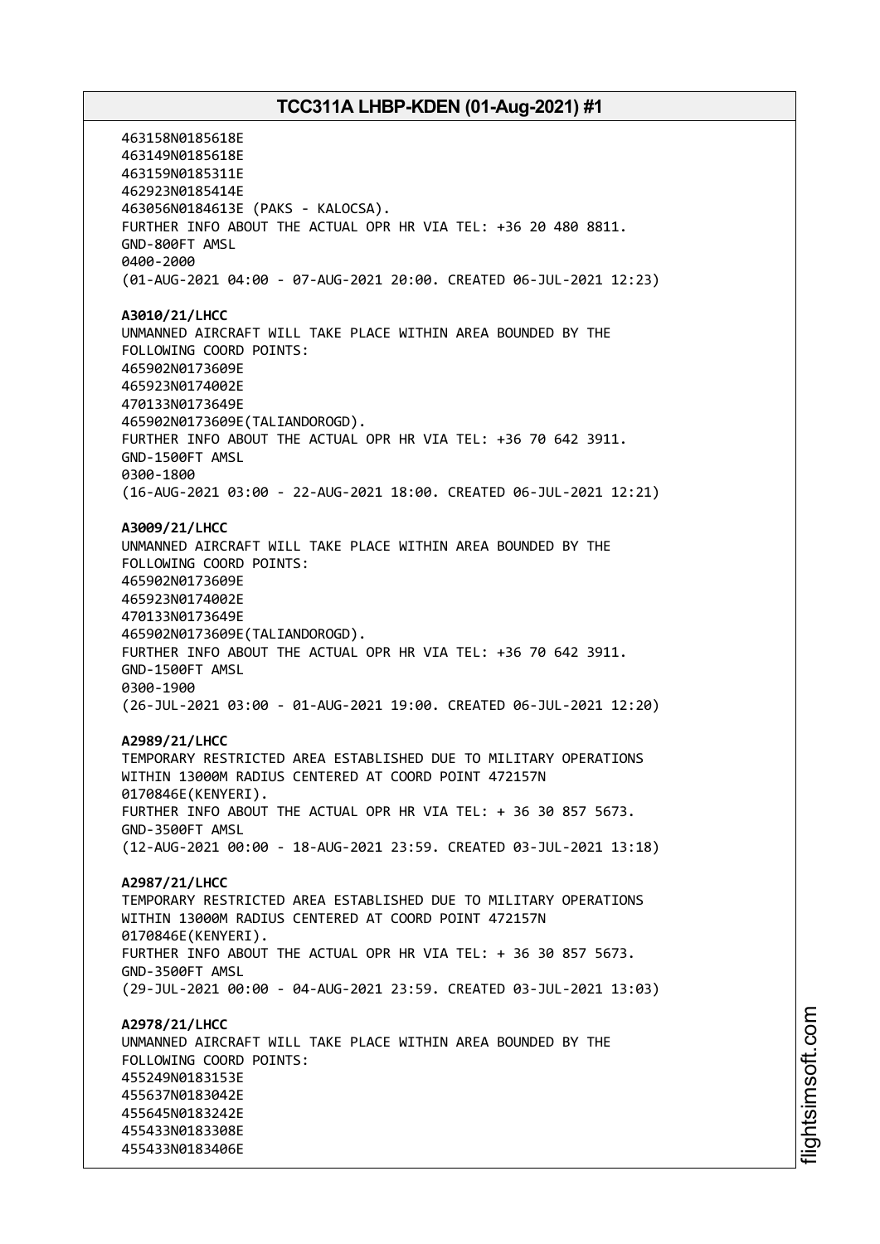463158N0185618E 463149N0185618E 463159N0185311E 462923N0185414E 463056N0184613E (PAKS - KALOCSA). FURTHER INFO ABOUT THE ACTUAL OPR HR VIA TEL: +36 20 480 8811. GND-800FT AMSL 0400-2000 (01-AUG-2021 04:00 - 07-AUG-2021 20:00. CREATED 06-JUL-2021 12:23) **A3010/21/LHCC** UNMANNED AIRCRAFT WILL TAKE PLACE WITHIN AREA BOUNDED BY THE FOLLOWING COORD POINTS: 465902N0173609E 465923N0174002E 470133N0173649E 465902N0173609E(TALIANDOROGD). FURTHER INFO ABOUT THE ACTUAL OPR HR VIA TEL: +36 70 642 3911. GND-1500FT AMSL 0300-1800 (16-AUG-2021 03:00 - 22-AUG-2021 18:00. CREATED 06-JUL-2021 12:21) **A3009/21/LHCC** UNMANNED AIRCRAFT WILL TAKE PLACE WITHIN AREA BOUNDED BY THE FOLLOWING COORD POINTS: 465902N0173609E 465923N0174002E 470133N0173649E 465902N0173609E(TALIANDOROGD). FURTHER INFO ABOUT THE ACTUAL OPR HR VIA TEL: +36 70 642 3911. GND-1500FT AMSL 0300-1900 (26-JUL-2021 03:00 - 01-AUG-2021 19:00. CREATED 06-JUL-2021 12:20) **A2989/21/LHCC** TEMPORARY RESTRICTED AREA ESTABLISHED DUE TO MILITARY OPERATIONS WITHIN 13000M RADIUS CENTERED AT COORD POINT 472157N 0170846E(KENYERI). FURTHER INFO ABOUT THE ACTUAL OPR HR VIA TEL: + 36 30 857 5673. GND-3500FT AMSL (12-AUG-2021 00:00 - 18-AUG-2021 23:59. CREATED 03-JUL-2021 13:18) **A2987/21/LHCC** TEMPORARY RESTRICTED AREA ESTABLISHED DUE TO MILITARY OPERATIONS WITHIN 13000M RADIUS CENTERED AT COORD POINT 472157N 0170846E(KENYERI). FURTHER INFO ABOUT THE ACTUAL OPR HR VIA TEL: + 36 30 857 5673. GND-3500FT AMSL (29-JUL-2021 00:00 - 04-AUG-2021 23:59. CREATED 03-JUL-2021 13:03) **A2978/21/LHCC** UNMANNED AIRCRAFT WILL TAKE PLACE WITHIN AREA BOUNDED BY THE FOLLOWING COORD POINTS: 455249N0183153E 455637N0183042E 455645N0183242E 455433N0183308E 455433N0183406E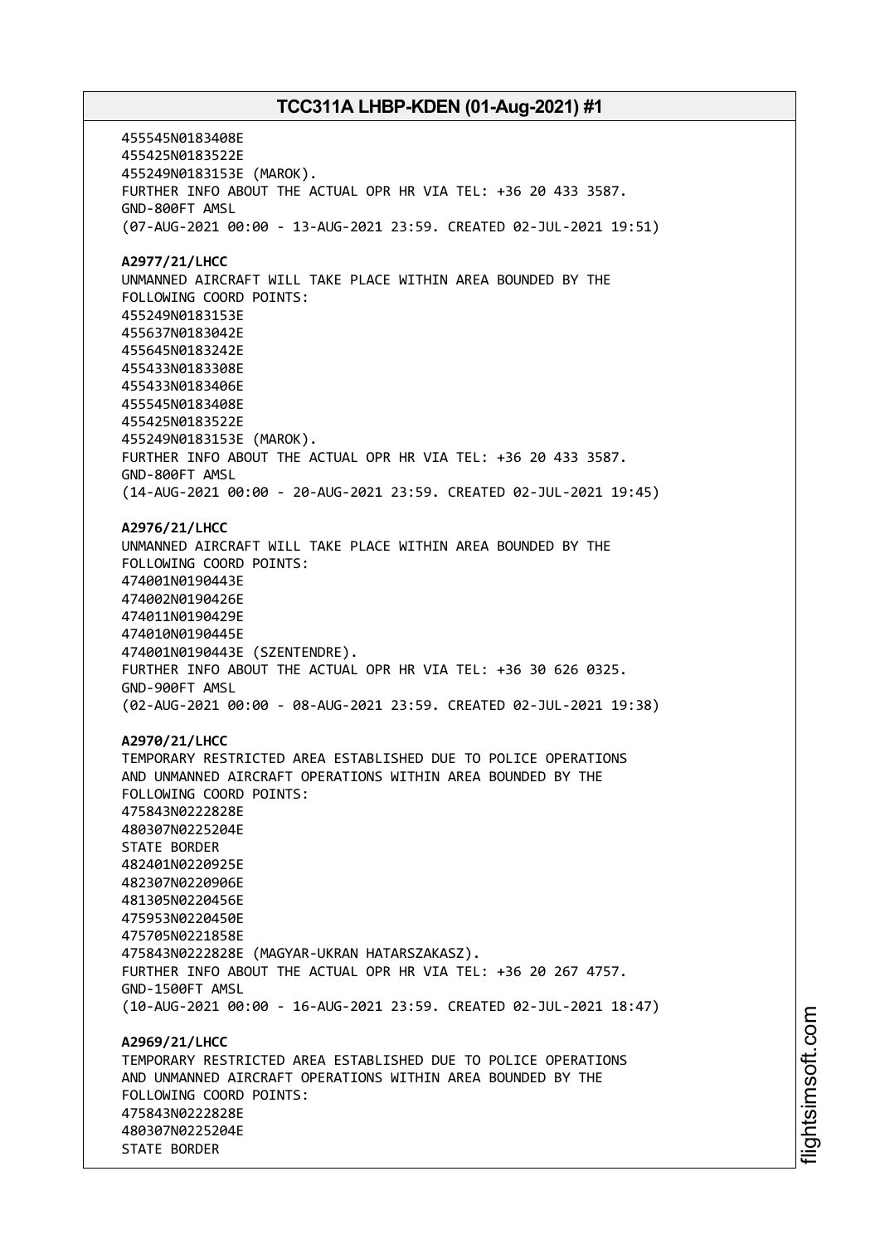455545N0183408E 455425N0183522E 455249N0183153E (MAROK). FURTHER INFO ABOUT THE ACTUAL OPR HR VIA TEL: +36 20 433 3587. GND-800FT AMSL (07-AUG-2021 00:00 - 13-AUG-2021 23:59. CREATED 02-JUL-2021 19:51) **A2977/21/LHCC** UNMANNED AIRCRAFT WILL TAKE PLACE WITHIN AREA BOUNDED BY THE FOLLOWING COORD POINTS: 455249N0183153E 455637N0183042E 455645N0183242E 455433N0183308E 455433N0183406E 455545N0183408E 455425N0183522E 455249N0183153E (MAROK). FURTHER INFO ABOUT THE ACTUAL OPR HR VIA TEL: +36 20 433 3587. GND-800FT AMSL (14-AUG-2021 00:00 - 20-AUG-2021 23:59. CREATED 02-JUL-2021 19:45) **A2976/21/LHCC** UNMANNED AIRCRAFT WILL TAKE PLACE WITHIN AREA BOUNDED BY THE FOLLOWING COORD POINTS: 474001N0190443E 474002N0190426E 474011N0190429E 474010N0190445E 474001N0190443E (SZENTENDRE). FURTHER INFO ABOUT THE ACTUAL OPR HR VIA TEL: +36 30 626 0325. GND-900FT AMSL (02-AUG-2021 00:00 - 08-AUG-2021 23:59. CREATED 02-JUL-2021 19:38) **A2970/21/LHCC** TEMPORARY RESTRICTED AREA ESTABLISHED DUE TO POLICE OPERATIONS AND UNMANNED AIRCRAFT OPERATIONS WITHIN AREA BOUNDED BY THE FOLLOWING COORD POINTS: 475843N0222828E 480307N0225204E STATE BORDER 482401N0220925E 482307N0220906E 481305N0220456E 475953N0220450E 475705N0221858E 475843N0222828E (MAGYAR-UKRAN HATARSZAKASZ). FURTHER INFO ABOUT THE ACTUAL OPR HR VIA TEL: +36 20 267 4757. GND-1500FT AMSL (10-AUG-2021 00:00 - 16-AUG-2021 23:59. CREATED 02-JUL-2021 18:47) **A2969/21/LHCC** TEMPORARY RESTRICTED AREA ESTABLISHED DUE TO POLICE OPERATIONS AND UNMANNED AIRCRAFT OPERATIONS WITHIN AREA BOUNDED BY THE FOLLOWING COORD POINTS: 475843N0222828E 480307N0225204E STATE BORDER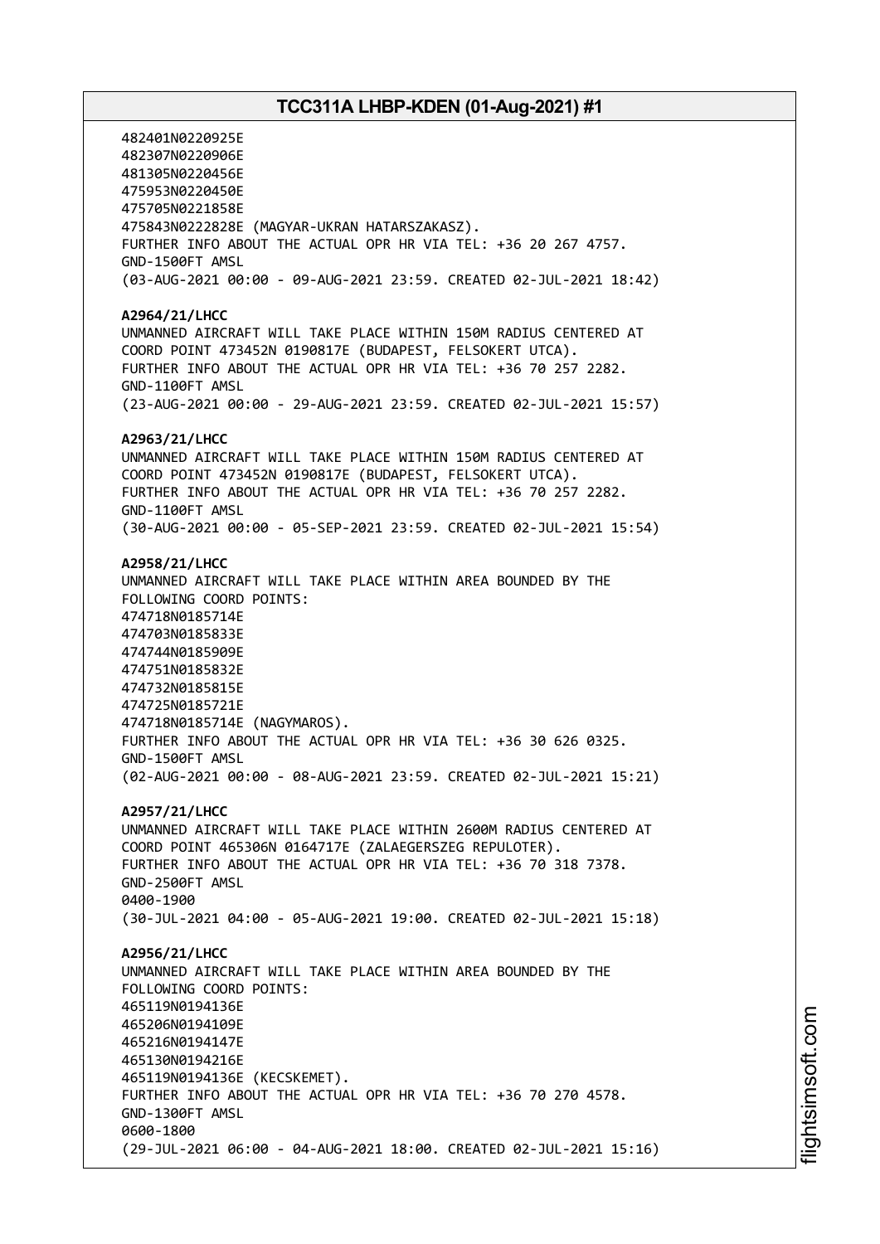482401N0220925E 482307N0220906E 481305N0220456E 475953N0220450E 475705N0221858E 475843N0222828E (MAGYAR-UKRAN HATARSZAKASZ). FURTHER INFO ABOUT THE ACTUAL OPR HR VIA TEL: +36 20 267 4757. GND-1500FT AMSL (03-AUG-2021 00:00 - 09-AUG-2021 23:59. CREATED 02-JUL-2021 18:42) **A2964/21/LHCC** UNMANNED AIRCRAFT WILL TAKE PLACE WITHIN 150M RADIUS CENTERED AT COORD POINT 473452N 0190817E (BUDAPEST, FELSOKERT UTCA). FURTHER INFO ABOUT THE ACTUAL OPR HR VIA TEL: +36 70 257 2282. GND-1100FT AMSL (23-AUG-2021 00:00 - 29-AUG-2021 23:59. CREATED 02-JUL-2021 15:57) **A2963/21/LHCC** UNMANNED AIRCRAFT WILL TAKE PLACE WITHIN 150M RADIUS CENTERED AT COORD POINT 473452N 0190817E (BUDAPEST, FELSOKERT UTCA). FURTHER INFO ABOUT THE ACTUAL OPR HR VIA TEL: +36 70 257 2282. GND-1100FT AMSL (30-AUG-2021 00:00 - 05-SEP-2021 23:59. CREATED 02-JUL-2021 15:54) **A2958/21/LHCC** UNMANNED AIRCRAFT WILL TAKE PLACE WITHIN AREA BOUNDED BY THE FOLLOWING COORD POINTS: 474718N0185714E 474703N0185833E 474744N0185909E 474751N0185832E 474732N0185815E 474725N0185721E 474718N0185714E (NAGYMAROS). FURTHER INFO ABOUT THE ACTUAL OPR HR VIA TEL: +36 30 626 0325. GND-1500FT AMSL (02-AUG-2021 00:00 - 08-AUG-2021 23:59. CREATED 02-JUL-2021 15:21) **A2957/21/LHCC** UNMANNED AIRCRAFT WILL TAKE PLACE WITHIN 2600M RADIUS CENTERED AT COORD POINT 465306N 0164717E (ZALAEGERSZEG REPULOTER). FURTHER INFO ABOUT THE ACTUAL OPR HR VIA TEL: +36 70 318 7378. GND-2500FT AMSL 0400-1900 (30-JUL-2021 04:00 - 05-AUG-2021 19:00. CREATED 02-JUL-2021 15:18) **A2956/21/LHCC** UNMANNED AIRCRAFT WILL TAKE PLACE WITHIN AREA BOUNDED BY THE FOLLOWING COORD POINTS: 465119N0194136E 465206N0194109E 465216N0194147E 465130N0194216E 465119N0194136E (KECSKEMET). FURTHER INFO ABOUT THE ACTUAL OPR HR VIA TEL: +36 70 270 4578. GND-1300FT AMSL 0600-1800 (29-JUL-2021 06:00 - 04-AUG-2021 18:00. CREATED 02-JUL-2021 15:16)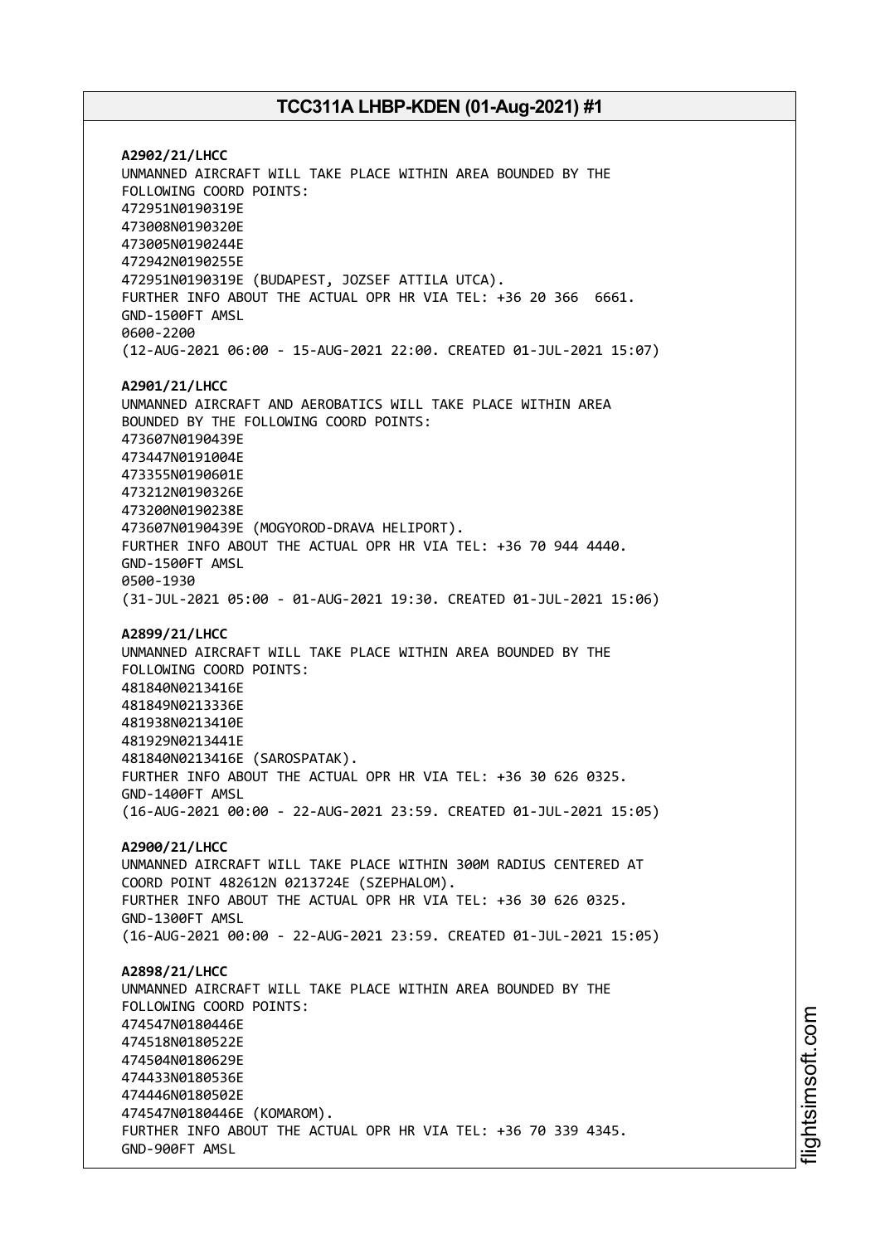**A2902/21/LHCC** UNMANNED AIRCRAFT WILL TAKE PLACE WITHIN AREA BOUNDED BY THE FOLLOWING COORD POINTS: 472951N0190319E 473008N0190320E 473005N0190244E 472942N0190255E 472951N0190319E (BUDAPEST, JOZSEF ATTILA UTCA). FURTHER INFO ABOUT THE ACTUAL OPR HR VIA TEL: +36 20 366 6661. GND-1500FT AMSL 0600-2200 (12-AUG-2021 06:00 - 15-AUG-2021 22:00. CREATED 01-JUL-2021 15:07) **A2901/21/LHCC** UNMANNED AIRCRAFT AND AEROBATICS WILL TAKE PLACE WITHIN AREA BOUNDED BY THE FOLLOWING COORD POINTS: 473607N0190439E 473447N0191004E 473355N0190601E 473212N0190326E 473200N0190238E 473607N0190439E (MOGYOROD-DRAVA HELIPORT). FURTHER INFO ABOUT THE ACTUAL OPR HR VIA TEL: +36 70 944 4440. GND-1500FT AMSL 0500-1930 (31-JUL-2021 05:00 - 01-AUG-2021 19:30. CREATED 01-JUL-2021 15:06) **A2899/21/LHCC** UNMANNED AIRCRAFT WILL TAKE PLACE WITHIN AREA BOUNDED BY THE FOLLOWING COORD POINTS: 481840N0213416E 481849N0213336E 481938N0213410E 481929N0213441E 481840N0213416E (SAROSPATAK). FURTHER INFO ABOUT THE ACTUAL OPR HR VIA TEL: +36 30 626 0325. GND-1400FT AMSL (16-AUG-2021 00:00 - 22-AUG-2021 23:59. CREATED 01-JUL-2021 15:05) **A2900/21/LHCC** UNMANNED AIRCRAFT WILL TAKE PLACE WITHIN 300M RADIUS CENTERED AT COORD POINT 482612N 0213724E (SZEPHALOM). FURTHER INFO ABOUT THE ACTUAL OPR HR VIA TEL: +36 30 626 0325. GND-1300FT AMSL (16-AUG-2021 00:00 - 22-AUG-2021 23:59. CREATED 01-JUL-2021 15:05) **A2898/21/LHCC** UNMANNED AIRCRAFT WILL TAKE PLACE WITHIN AREA BOUNDED BY THE FOLLOWING COORD POINTS: 474547N0180446E 474518N0180522E 474504N0180629E 474433N0180536E 474446N0180502E 474547N0180446E (KOMAROM). FURTHER INFO ABOUT THE ACTUAL OPR HR VIA TEL: +36 70 339 4345. GND-900FT AMSL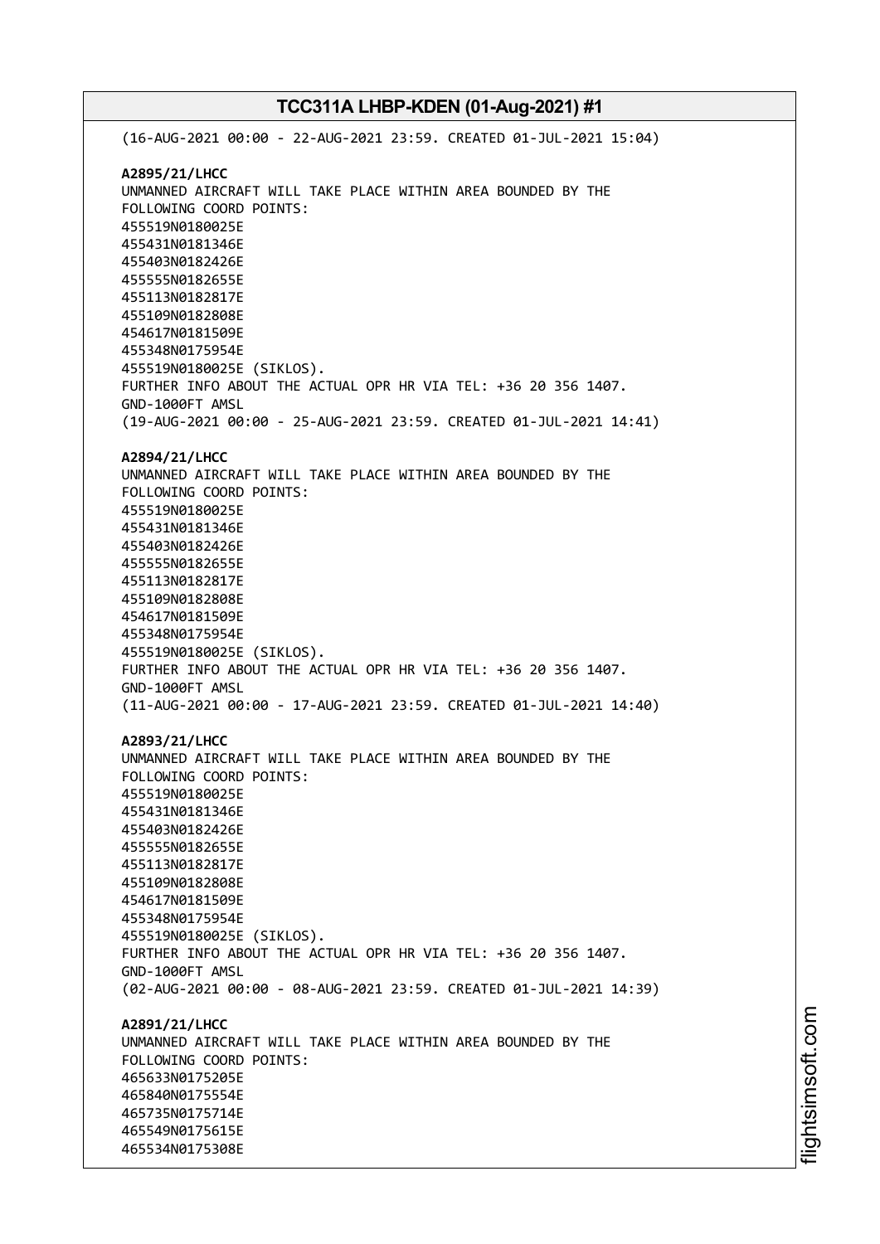(16-AUG-2021 00:00 - 22-AUG-2021 23:59. CREATED 01-JUL-2021 15:04) **A2895/21/LHCC** UNMANNED AIRCRAFT WILL TAKE PLACE WITHIN AREA BOUNDED BY THE FOLLOWING COORD POINTS: 455519N0180025E 455431N0181346E 455403N0182426E 455555N0182655E 455113N0182817E 455109N0182808E 454617N0181509E 455348N0175954E 455519N0180025E (SIKLOS). FURTHER INFO ABOUT THE ACTUAL OPR HR VIA TEL: +36 20 356 1407. GND-1000FT AMSL (19-AUG-2021 00:00 - 25-AUG-2021 23:59. CREATED 01-JUL-2021 14:41) **A2894/21/LHCC** UNMANNED AIRCRAFT WILL TAKE PLACE WITHIN AREA BOUNDED BY THE FOLLOWING COORD POINTS: 455519N0180025E 455431N0181346E 455403N0182426E 455555N0182655E 455113N0182817E 455109N0182808E 454617N0181509E 455348N0175954E 455519N0180025E (SIKLOS). FURTHER INFO ABOUT THE ACTUAL OPR HR VIA TEL: +36 20 356 1407. GND-1000FT AMSL (11-AUG-2021 00:00 - 17-AUG-2021 23:59. CREATED 01-JUL-2021 14:40) **A2893/21/LHCC** UNMANNED AIRCRAFT WILL TAKE PLACE WITHIN AREA BOUNDED BY THE FOLLOWING COORD POINTS: 455519N0180025E 455431N0181346E 455403N0182426E 455555N0182655E 455113N0182817E 455109N0182808E 454617N0181509E 455348N0175954E 455519N0180025E (SIKLOS). FURTHER INFO ABOUT THE ACTUAL OPR HR VIA TEL: +36 20 356 1407. GND-1000FT AMSL (02-AUG-2021 00:00 - 08-AUG-2021 23:59. CREATED 01-JUL-2021 14:39) **A2891/21/LHCC** UNMANNED AIRCRAFT WILL TAKE PLACE WITHIN AREA BOUNDED BY THE FOLLOWING COORD POINTS: 465633N0175205E 465840N0175554E 465735N0175714E 465549N0175615E 465534N0175308E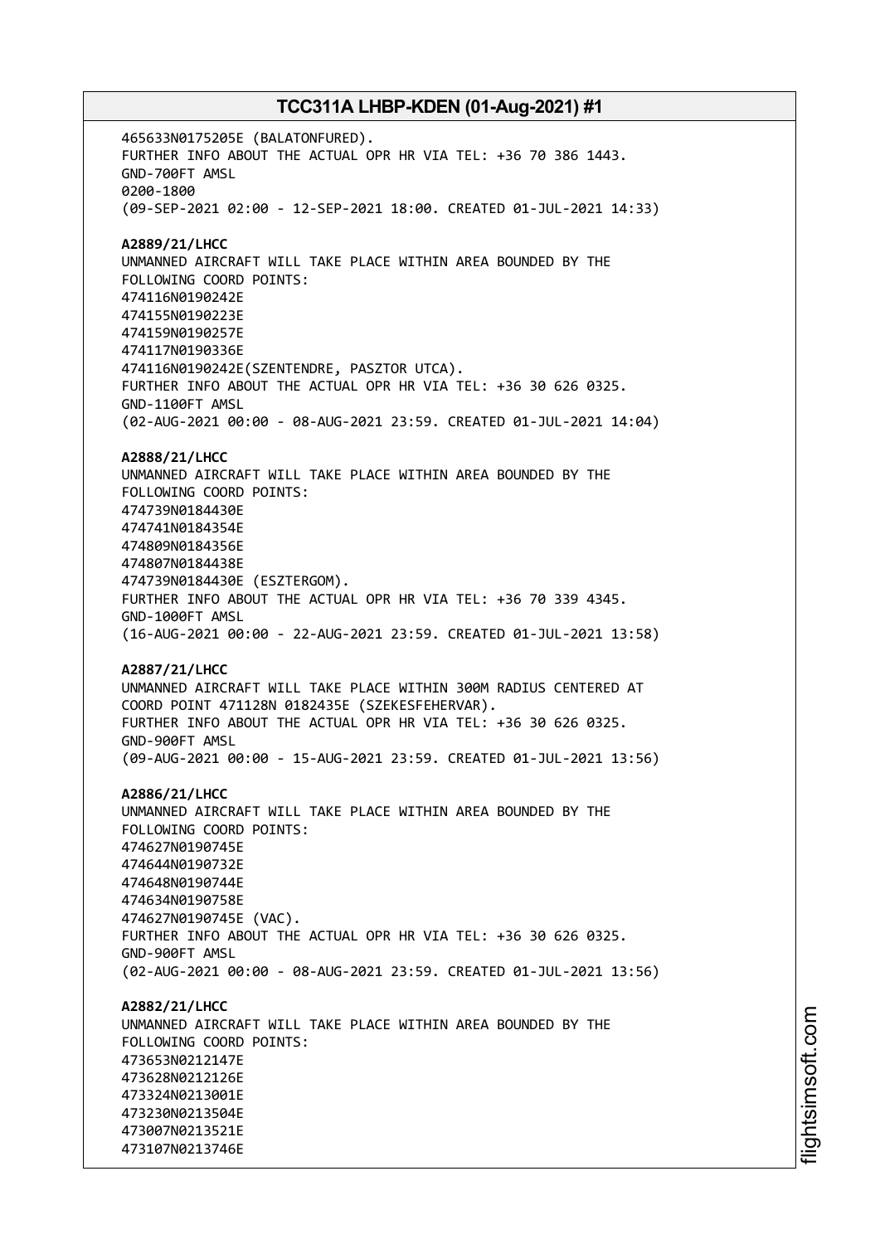465633N0175205E (BALATONFURED). FURTHER INFO ABOUT THE ACTUAL OPR HR VIA TEL: +36 70 386 1443. GND-700FT AMSL 0200-1800 (09-SEP-2021 02:00 - 12-SEP-2021 18:00. CREATED 01-JUL-2021 14:33) **A2889/21/LHCC** UNMANNED AIRCRAFT WILL TAKE PLACE WITHIN AREA BOUNDED BY THE FOLLOWING COORD POINTS: 474116N0190242E 474155N0190223E 474159N0190257E 474117N0190336E 474116N0190242E(SZENTENDRE, PASZTOR UTCA). FURTHER INFO ABOUT THE ACTUAL OPR HR VIA TEL: +36 30 626 0325. GND-1100FT AMSL (02-AUG-2021 00:00 - 08-AUG-2021 23:59. CREATED 01-JUL-2021 14:04) **A2888/21/LHCC** UNMANNED AIRCRAFT WILL TAKE PLACE WITHIN AREA BOUNDED BY THE FOLLOWING COORD POINTS: 474739N0184430E 474741N0184354E 474809N0184356E 474807N0184438E 474739N0184430E (ESZTERGOM). FURTHER INFO ABOUT THE ACTUAL OPR HR VIA TEL: +36 70 339 4345. GND-1000FT AMSL (16-AUG-2021 00:00 - 22-AUG-2021 23:59. CREATED 01-JUL-2021 13:58) **A2887/21/LHCC** UNMANNED AIRCRAFT WILL TAKE PLACE WITHIN 300M RADIUS CENTERED AT COORD POINT 471128N 0182435E (SZEKESFEHERVAR). FURTHER INFO ABOUT THE ACTUAL OPR HR VIA TEL: +36 30 626 0325. GND-900FT AMSL (09-AUG-2021 00:00 - 15-AUG-2021 23:59. CREATED 01-JUL-2021 13:56) **A2886/21/LHCC** UNMANNED AIRCRAFT WILL TAKE PLACE WITHIN AREA BOUNDED BY THE FOLLOWING COORD POINTS: 474627N0190745E 474644N0190732E 474648N0190744E 474634N0190758E 474627N0190745E (VAC). FURTHER INFO ABOUT THE ACTUAL OPR HR VIA TEL: +36 30 626 0325. GND-900FT AMSL (02-AUG-2021 00:00 - 08-AUG-2021 23:59. CREATED 01-JUL-2021 13:56) **A2882/21/LHCC** UNMANNED AIRCRAFT WILL TAKE PLACE WITHIN AREA BOUNDED BY THE FOLLOWING COORD POINTS: 473653N0212147E 473628N0212126E 473324N0213001E 473230N0213504E 473007N0213521E 473107N0213746E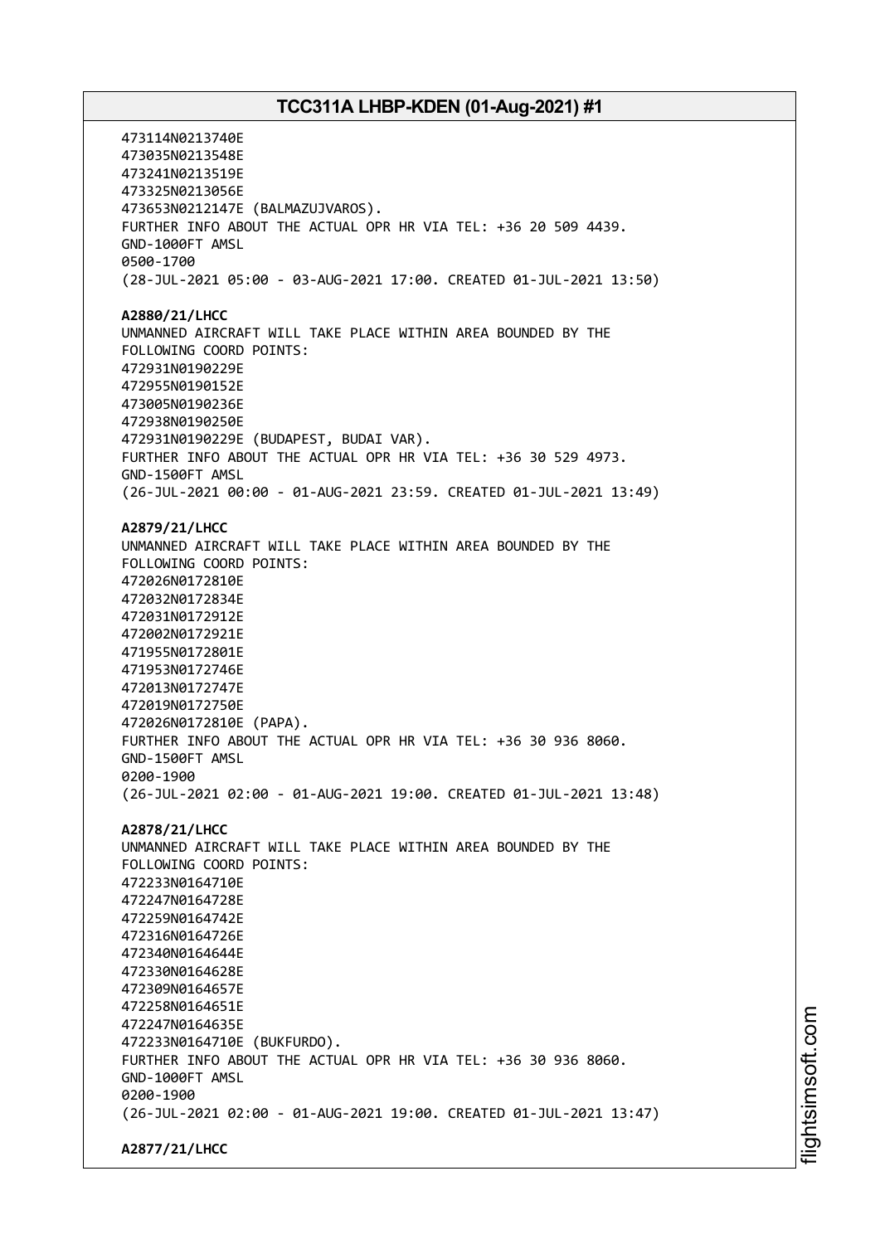473114N0213740E 473035N0213548E 473241N0213519E 473325N0213056E 473653N0212147E (BALMAZUJVAROS). FURTHER INFO ABOUT THE ACTUAL OPR HR VIA TEL: +36 20 509 4439. GND-1000FT AMSL 0500-1700 (28-JUL-2021 05:00 - 03-AUG-2021 17:00. CREATED 01-JUL-2021 13:50) **A2880/21/LHCC** UNMANNED AIRCRAFT WILL TAKE PLACE WITHIN AREA BOUNDED BY THE FOLLOWING COORD POINTS: 472931N0190229E 472955N0190152E 473005N0190236E 472938N0190250E 472931N0190229E (BUDAPEST, BUDAI VAR). FURTHER INFO ABOUT THE ACTUAL OPR HR VIA TEL: +36 30 529 4973. GND-1500FT AMSL (26-JUL-2021 00:00 - 01-AUG-2021 23:59. CREATED 01-JUL-2021 13:49) **A2879/21/LHCC** UNMANNED AIRCRAFT WILL TAKE PLACE WITHIN AREA BOUNDED BY THE FOLLOWING COORD POINTS: 472026N0172810E 472032N0172834E 472031N0172912E 472002N0172921E 471955N0172801E 471953N0172746E 472013N0172747E 472019N0172750E 472026N0172810E (PAPA). FURTHER INFO ABOUT THE ACTUAL OPR HR VIA TEL: +36 30 936 8060. GND-1500FT AMSL 0200-1900 (26-JUL-2021 02:00 - 01-AUG-2021 19:00. CREATED 01-JUL-2021 13:48) **A2878/21/LHCC** UNMANNED AIRCRAFT WILL TAKE PLACE WITHIN AREA BOUNDED BY THE FOLLOWING COORD POINTS: 472233N0164710E 472247N0164728E 472259N0164742E 472316N0164726E 472340N0164644E 472330N0164628E 472309N0164657E 472258N0164651E 472247N0164635E 472233N0164710E (BUKFURDO). FURTHER INFO ABOUT THE ACTUAL OPR HR VIA TEL: +36 30 936 8060. GND-1000FT AMSL 0200-1900 (26-JUL-2021 02:00 - 01-AUG-2021 19:00. CREATED 01-JUL-2021 13:47) **A2877/21/LHCC**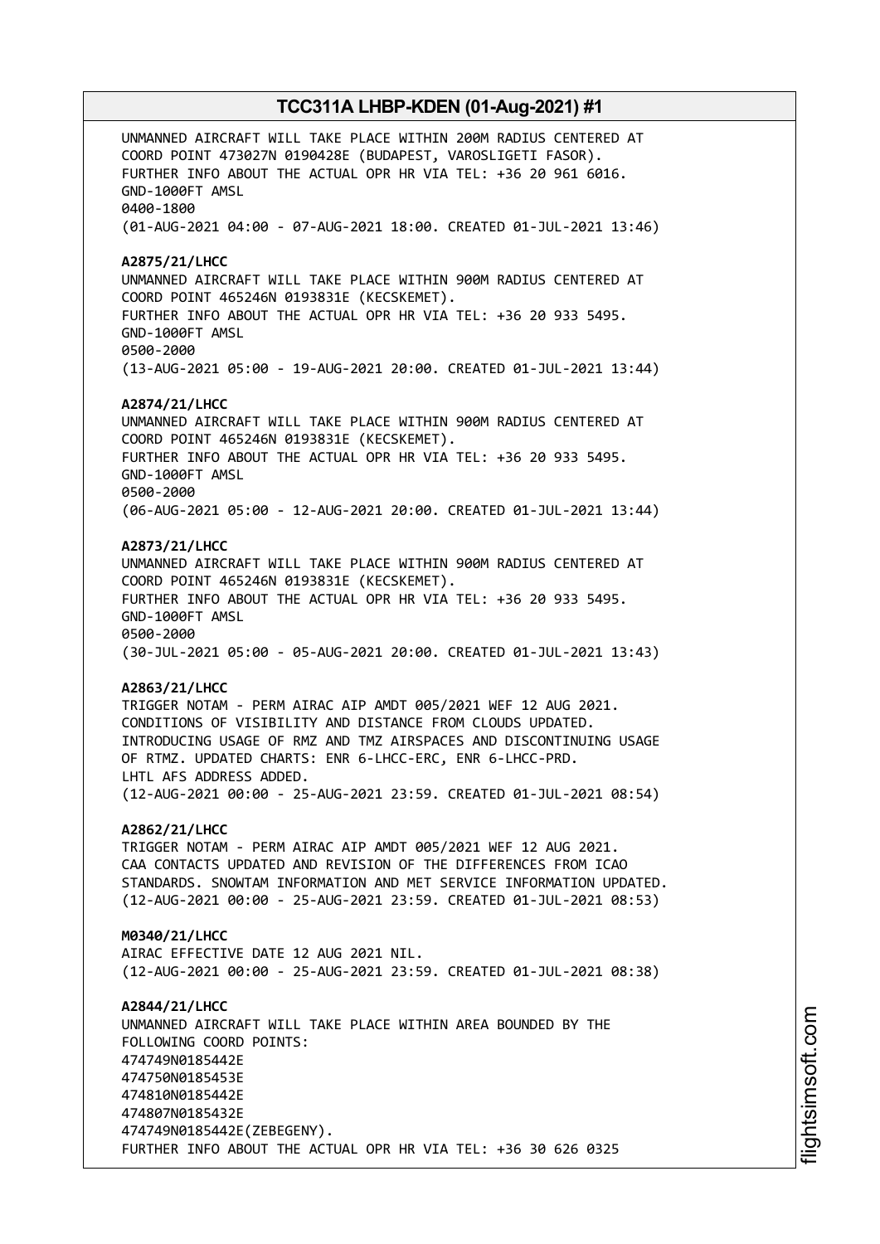UNMANNED AIRCRAFT WILL TAKE PLACE WITHIN 200M RADIUS CENTERED AT COORD POINT 473027N 0190428E (BUDAPEST, VAROSLIGETI FASOR). FURTHER INFO ABOUT THE ACTUAL OPR HR VIA TEL: +36 20 961 6016. GND-1000FT AMSL 0400-1800 (01-AUG-2021 04:00 - 07-AUG-2021 18:00. CREATED 01-JUL-2021 13:46) **A2875/21/LHCC** UNMANNED AIRCRAFT WILL TAKE PLACE WITHIN 900M RADIUS CENTERED AT COORD POINT 465246N 0193831E (KECSKEMET). FURTHER INFO ABOUT THE ACTUAL OPR HR VIA TEL: +36 20 933 5495. GND-1000FT AMSL 0500-2000 (13-AUG-2021 05:00 - 19-AUG-2021 20:00. CREATED 01-JUL-2021 13:44) **A2874/21/LHCC** UNMANNED AIRCRAFT WILL TAKE PLACE WITHIN 900M RADIUS CENTERED AT COORD POINT 465246N 0193831E (KECSKEMET). FURTHER INFO ABOUT THE ACTUAL OPR HR VIA TEL: +36 20 933 5495. GND-1000FT AMSL 0500-2000 (06-AUG-2021 05:00 - 12-AUG-2021 20:00. CREATED 01-JUL-2021 13:44) **A2873/21/LHCC** UNMANNED AIRCRAFT WILL TAKE PLACE WITHIN 900M RADIUS CENTERED AT COORD POINT 465246N 0193831E (KECSKEMET). FURTHER INFO ABOUT THE ACTUAL OPR HR VIA TEL: +36 20 933 5495. GND-1000FT AMSL 0500-2000 (30-JUL-2021 05:00 - 05-AUG-2021 20:00. CREATED 01-JUL-2021 13:43) **A2863/21/LHCC** TRIGGER NOTAM - PERM AIRAC AIP AMDT 005/2021 WEF 12 AUG 2021. CONDITIONS OF VISIBILITY AND DISTANCE FROM CLOUDS UPDATED. INTRODUCING USAGE OF RMZ AND TMZ AIRSPACES AND DISCONTINUING USAGE OF RTMZ. UPDATED CHARTS: ENR 6-LHCC-ERC, ENR 6-LHCC-PRD. LHTL AFS ADDRESS ADDED. (12-AUG-2021 00:00 - 25-AUG-2021 23:59. CREATED 01-JUL-2021 08:54) **A2862/21/LHCC** TRIGGER NOTAM - PERM AIRAC AIP AMDT 005/2021 WEF 12 AUG 2021. CAA CONTACTS UPDATED AND REVISION OF THE DIFFERENCES FROM ICAO STANDARDS. SNOWTAM INFORMATION AND MET SERVICE INFORMATION UPDATED. (12-AUG-2021 00:00 - 25-AUG-2021 23:59. CREATED 01-JUL-2021 08:53) **M0340/21/LHCC** AIRAC EFFECTIVE DATE 12 AUG 2021 NIL. (12-AUG-2021 00:00 - 25-AUG-2021 23:59. CREATED 01-JUL-2021 08:38) **A2844/21/LHCC** UNMANNED AIRCRAFT WILL TAKE PLACE WITHIN AREA BOUNDED BY THE FOLLOWING COORD POINTS: 474749N0185442E 474750N0185453E 474810N0185442E 474807N0185432E 474749N0185442E(ZEBEGENY). FURTHER INFO ABOUT THE ACTUAL OPR HR VIA TEL: +36 30 626 0325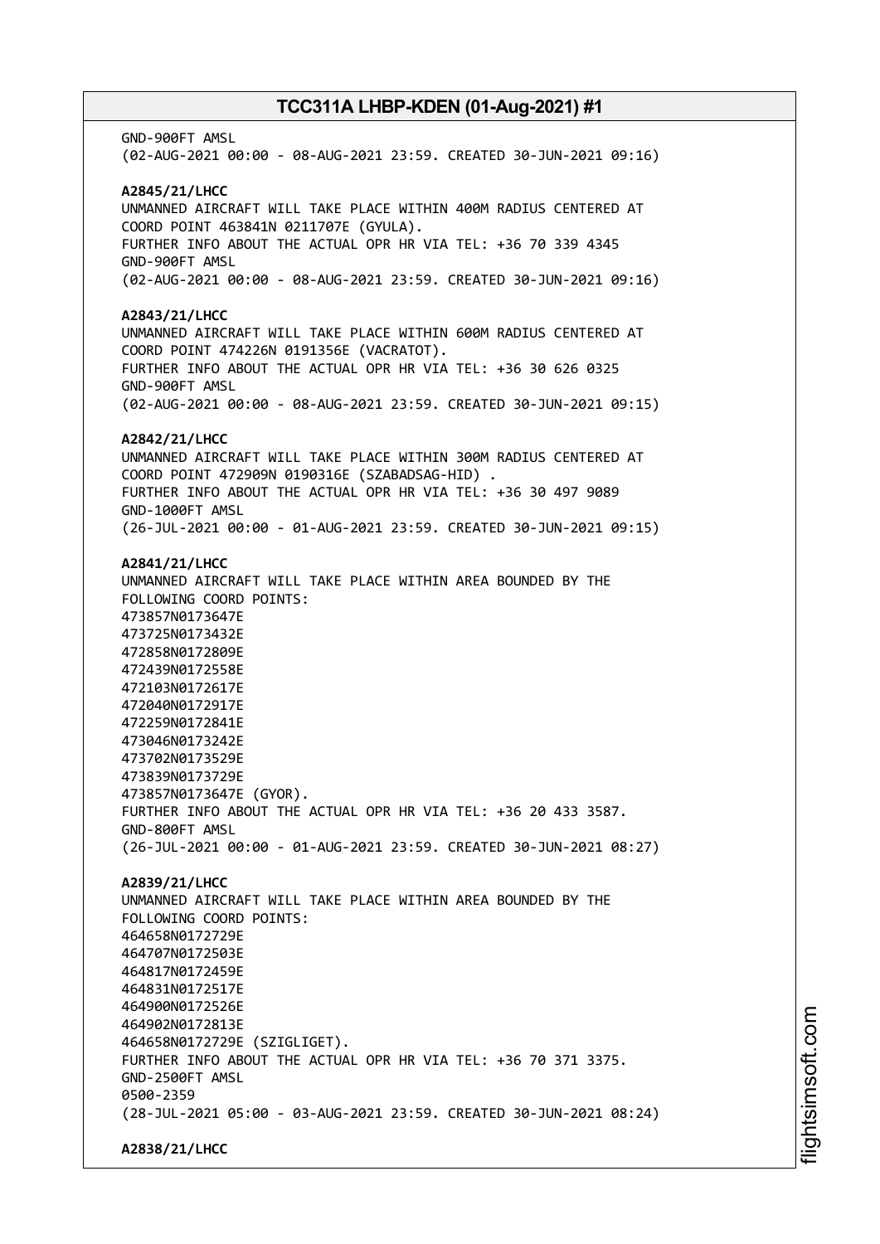GND-900FT AMSL (02-AUG-2021 00:00 - 08-AUG-2021 23:59. CREATED 30-JUN-2021 09:16) **A2845/21/LHCC** UNMANNED AIRCRAFT WILL TAKE PLACE WITHIN 400M RADIUS CENTERED AT COORD POINT 463841N 0211707E (GYULA). FURTHER INFO ABOUT THE ACTUAL OPR HR VIA TEL: +36 70 339 4345 GND-900FT AMSL (02-AUG-2021 00:00 - 08-AUG-2021 23:59. CREATED 30-JUN-2021 09:16) **A2843/21/LHCC** UNMANNED AIRCRAFT WILL TAKE PLACE WITHIN 600M RADIUS CENTERED AT COORD POINT 474226N 0191356E (VACRATOT). FURTHER INFO ABOUT THE ACTUAL OPR HR VIA TEL: +36 30 626 0325 GND-900FT AMSL (02-AUG-2021 00:00 - 08-AUG-2021 23:59. CREATED 30-JUN-2021 09:15) **A2842/21/LHCC** UNMANNED AIRCRAFT WILL TAKE PLACE WITHIN 300M RADIUS CENTERED AT COORD POINT 472909N 0190316E (SZABADSAG-HID) . FURTHER INFO ABOUT THE ACTUAL OPR HR VIA TEL: +36 30 497 9089 GND-1000FT AMSL (26-JUL-2021 00:00 - 01-AUG-2021 23:59. CREATED 30-JUN-2021 09:15) **A2841/21/LHCC** UNMANNED AIRCRAFT WILL TAKE PLACE WITHIN AREA BOUNDED BY THE FOLLOWING COORD POINTS: 473857N0173647E 473725N0173432E 472858N0172809E 472439N0172558E 472103N0172617E 472040N0172917E 472259N0172841E 473046N0173242E 473702N0173529E 473839N0173729E 473857N0173647E (GYOR). FURTHER INFO ABOUT THE ACTUAL OPR HR VIA TEL: +36 20 433 3587. GND-800FT AMSL (26-JUL-2021 00:00 - 01-AUG-2021 23:59. CREATED 30-JUN-2021 08:27) **A2839/21/LHCC** UNMANNED AIRCRAFT WILL TAKE PLACE WITHIN AREA BOUNDED BY THE FOLLOWING COORD POINTS: 464658N0172729E 464707N0172503E 464817N0172459E 464831N0172517E 464900N0172526E 464902N0172813E 464658N0172729E (SZIGLIGET). FURTHER INFO ABOUT THE ACTUAL OPR HR VIA TEL: +36 70 371 3375. GND-2500FT AMSL 0500-2359 (28-JUL-2021 05:00 - 03-AUG-2021 23:59. CREATED 30-JUN-2021 08:24) **A2838/21/LHCC**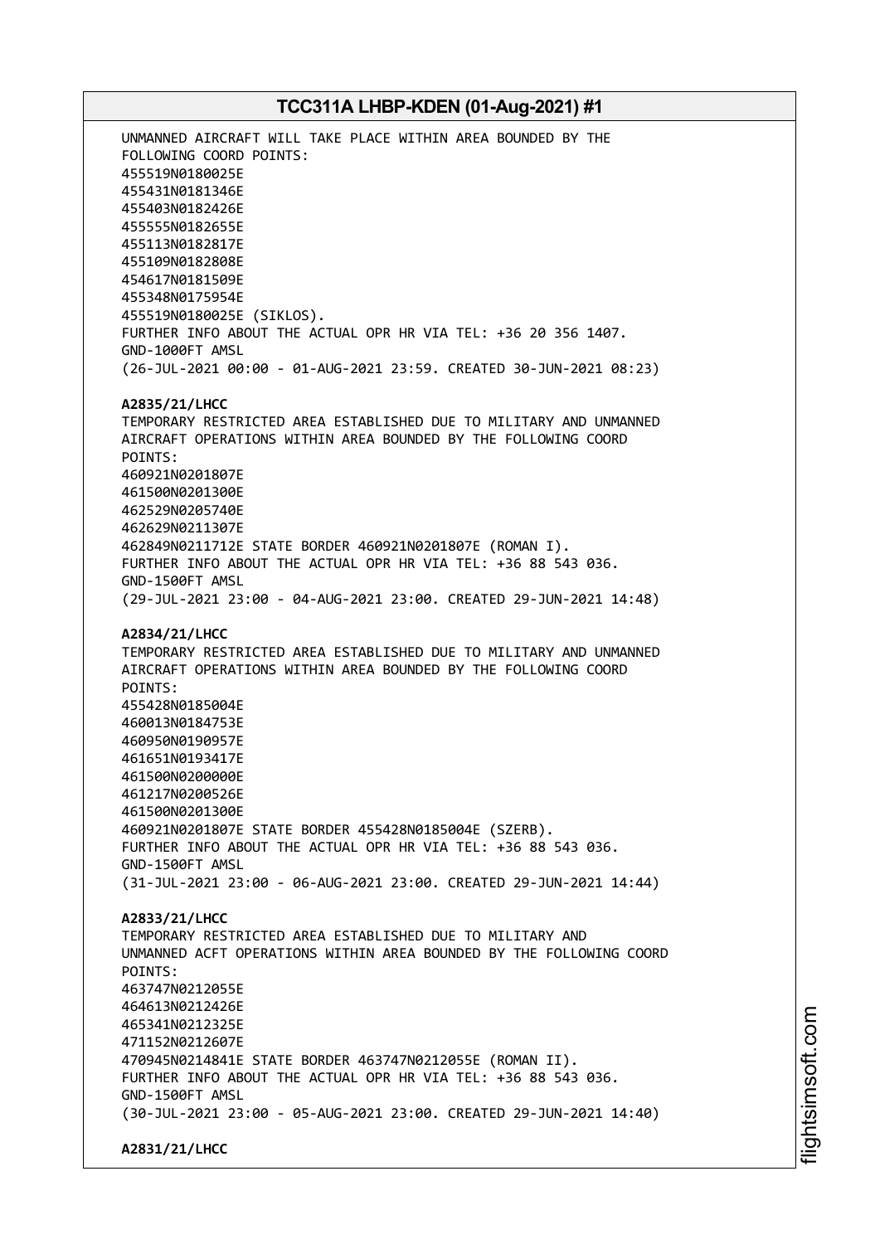UNMANNED AIRCRAFT WILL TAKE PLACE WITHIN AREA BOUNDED BY THE FOLLOWING COORD POINTS: 455519N0180025E 455431N0181346E 455403N0182426E 455555N0182655E 455113N0182817E 455109N0182808E 454617N0181509E 455348N0175954E 455519N0180025E (SIKLOS). FURTHER INFO ABOUT THE ACTUAL OPR HR VIA TEL: +36 20 356 1407. GND-1000FT AMSL (26-JUL-2021 00:00 - 01-AUG-2021 23:59. CREATED 30-JUN-2021 08:23) **A2835/21/LHCC** TEMPORARY RESTRICTED AREA ESTABLISHED DUE TO MILITARY AND UNMANNED AIRCRAFT OPERATIONS WITHIN AREA BOUNDED BY THE FOLLOWING COORD POINTS: 460921N0201807E 461500N0201300E 462529N0205740E 462629N0211307E 462849N0211712E STATE BORDER 460921N0201807E (ROMAN I). FURTHER INFO ABOUT THE ACTUAL OPR HR VIA TEL: +36 88 543 036. GND-1500FT AMSL (29-JUL-2021 23:00 - 04-AUG-2021 23:00. CREATED 29-JUN-2021 14:48) **A2834/21/LHCC** TEMPORARY RESTRICTED AREA ESTABLISHED DUE TO MILITARY AND UNMANNED AIRCRAFT OPERATIONS WITHIN AREA BOUNDED BY THE FOLLOWING COORD POINTS: 455428N0185004E 460013N0184753E 460950N0190957E 461651N0193417E 461500N0200000E 461217N0200526E 461500N0201300E 460921N0201807E STATE BORDER 455428N0185004E (SZERB). FURTHER INFO ABOUT THE ACTUAL OPR HR VIA TEL: +36 88 543 036. GND-1500FT AMSL (31-JUL-2021 23:00 - 06-AUG-2021 23:00. CREATED 29-JUN-2021 14:44) **A2833/21/LHCC** TEMPORARY RESTRICTED AREA ESTABLISHED DUE TO MILITARY AND UNMANNED ACFT OPERATIONS WITHIN AREA BOUNDED BY THE FOLLOWING COORD POINTS: 463747N0212055E 464613N0212426E 465341N0212325E 471152N0212607E 470945N0214841E STATE BORDER 463747N0212055E (ROMAN II). FURTHER INFO ABOUT THE ACTUAL OPR HR VIA TEL: +36 88 543 036. GND-1500FT AMSL (30-JUL-2021 23:00 - 05-AUG-2021 23:00. CREATED 29-JUN-2021 14:40) **A2831/21/LHCC**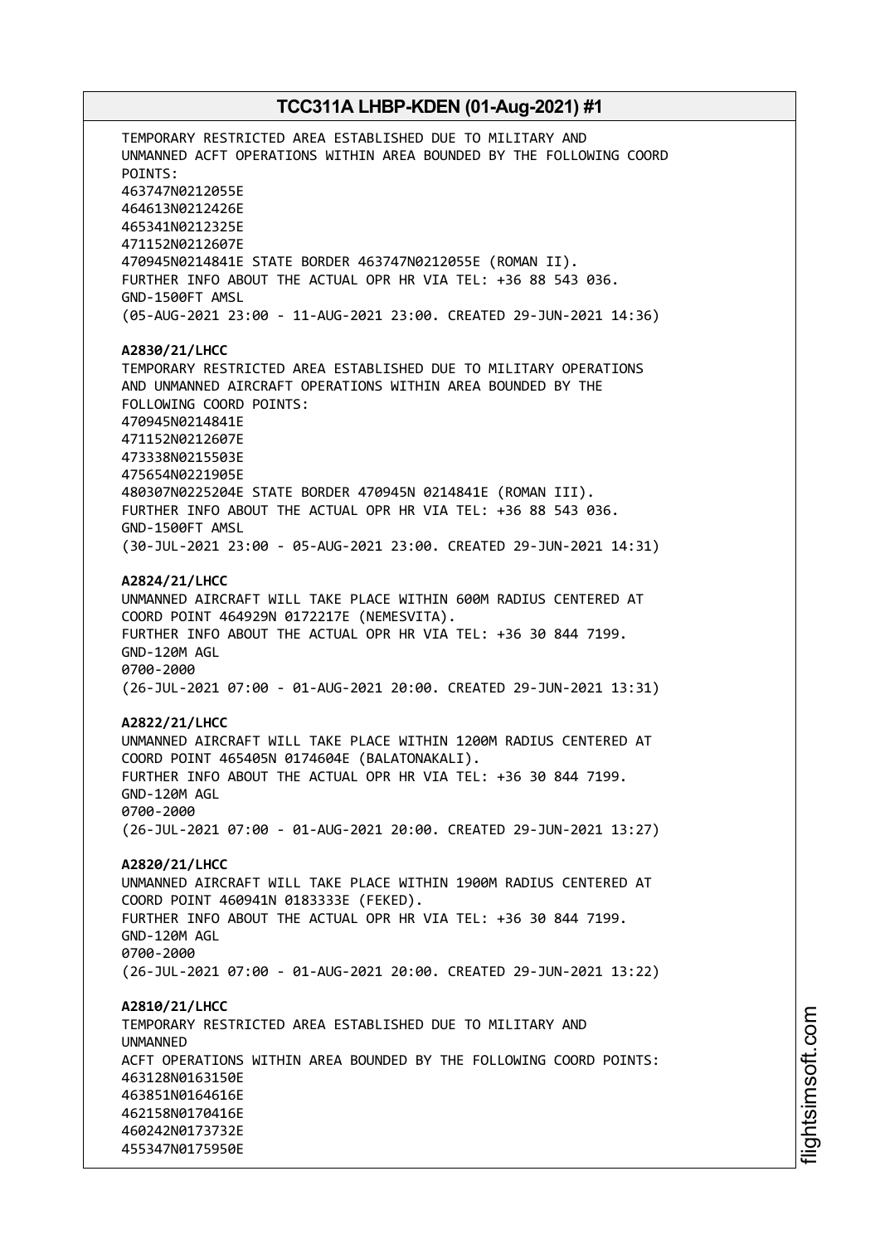TEMPORARY RESTRICTED AREA ESTABLISHED DUE TO MILITARY AND UNMANNED ACFT OPERATIONS WITHIN AREA BOUNDED BY THE FOLLOWING COORD POINTS: 463747N0212055E 464613N0212426E 465341N0212325E 471152N0212607E 470945N0214841E STATE BORDER 463747N0212055E (ROMAN II). FURTHER INFO ABOUT THE ACTUAL OPR HR VIA TEL: +36 88 543 036. GND-1500FT AMSL (05-AUG-2021 23:00 - 11-AUG-2021 23:00. CREATED 29-JUN-2021 14:36) **A2830/21/LHCC** TEMPORARY RESTRICTED AREA ESTABLISHED DUE TO MILITARY OPERATIONS AND UNMANNED AIRCRAFT OPERATIONS WITHIN AREA BOUNDED BY THE FOLLOWING COORD POINTS: 470945N0214841E 471152N0212607E 473338N0215503E 475654N0221905E 480307N0225204E STATE BORDER 470945N 0214841E (ROMAN III). FURTHER INFO ABOUT THE ACTUAL OPR HR VIA TEL: +36 88 543 036. GND-1500FT AMSL (30-JUL-2021 23:00 - 05-AUG-2021 23:00. CREATED 29-JUN-2021 14:31) **A2824/21/LHCC** UNMANNED AIRCRAFT WILL TAKE PLACE WITHIN 600M RADIUS CENTERED AT COORD POINT 464929N 0172217E (NEMESVITA). FURTHER INFO ABOUT THE ACTUAL OPR HR VIA TEL: +36 30 844 7199. GND-120M AGL 0700-2000 (26-JUL-2021 07:00 - 01-AUG-2021 20:00. CREATED 29-JUN-2021 13:31) **A2822/21/LHCC** UNMANNED AIRCRAFT WILL TAKE PLACE WITHIN 1200M RADIUS CENTERED AT COORD POINT 465405N 0174604E (BALATONAKALI). FURTHER INFO ABOUT THE ACTUAL OPR HR VIA TEL: +36 30 844 7199. GND-120M AGL 0700-2000 (26-JUL-2021 07:00 - 01-AUG-2021 20:00. CREATED 29-JUN-2021 13:27) **A2820/21/LHCC** UNMANNED AIRCRAFT WILL TAKE PLACE WITHIN 1900M RADIUS CENTERED AT COORD POINT 460941N 0183333E (FEKED). FURTHER INFO ABOUT THE ACTUAL OPR HR VIA TEL: +36 30 844 7199. GND-120M AGL 0700-2000 (26-JUL-2021 07:00 - 01-AUG-2021 20:00. CREATED 29-JUN-2021 13:22) **A2810/21/LHCC** TEMPORARY RESTRICTED AREA ESTABLISHED DUE TO MILITARY AND **IINMANNED** ACFT OPERATIONS WITHIN AREA BOUNDED BY THE FOLLOWING COORD POINTS: 463128N0163150E 463851N0164616E 462158N0170416E 460242N0173732E 455347N0175950E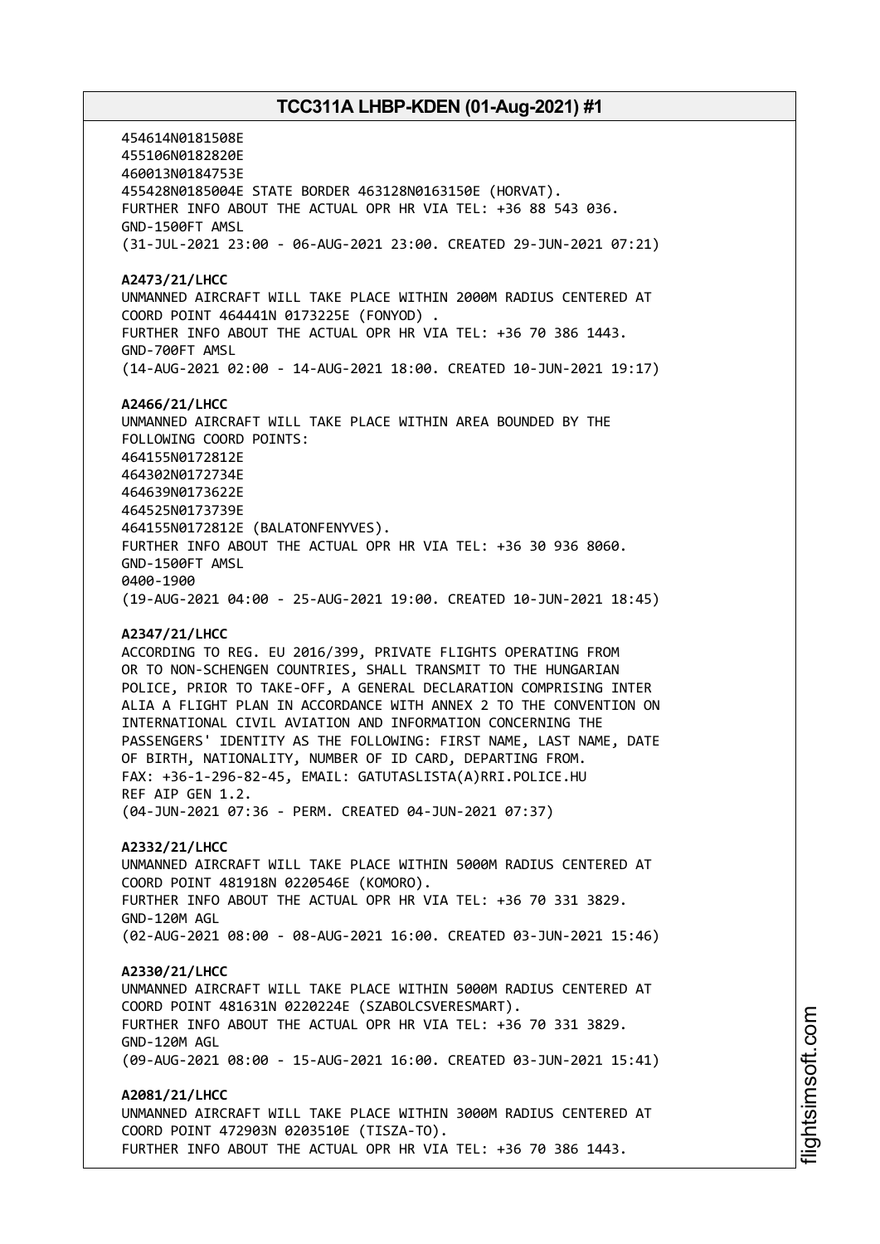454614N0181508E 455106N0182820E 460013N0184753E 455428N0185004E STATE BORDER 463128N0163150E (HORVAT). FURTHER INFO ABOUT THE ACTUAL OPR HR VIA TEL: +36 88 543 036. GND-1500FT AMSL (31-JUL-2021 23:00 - 06-AUG-2021 23:00. CREATED 29-JUN-2021 07:21) **A2473/21/LHCC** UNMANNED AIRCRAFT WILL TAKE PLACE WITHIN 2000M RADIUS CENTERED AT COORD POINT 464441N 0173225E (FONYOD) . FURTHER INFO ABOUT THE ACTUAL OPR HR VIA TEL: +36 70 386 1443. GND-700FT AMSL (14-AUG-2021 02:00 - 14-AUG-2021 18:00. CREATED 10-JUN-2021 19:17) **A2466/21/LHCC** UNMANNED AIRCRAFT WILL TAKE PLACE WITHIN AREA BOUNDED BY THE FOLLOWING COORD POINTS: 464155N0172812E 464302N0172734E 464639N0173622E 464525N0173739E 464155N0172812E (BALATONFENYVES). FURTHER INFO ABOUT THE ACTUAL OPR HR VIA TEL: +36 30 936 8060. GND-1500FT AMSL 0400-1900 (19-AUG-2021 04:00 - 25-AUG-2021 19:00. CREATED 10-JUN-2021 18:45) **A2347/21/LHCC** ACCORDING TO REG. EU 2016/399, PRIVATE FLIGHTS OPERATING FROM OR TO NON-SCHENGEN COUNTRIES, SHALL TRANSMIT TO THE HUNGARIAN POLICE, PRIOR TO TAKE-OFF, A GENERAL DECLARATION COMPRISING INTER ALIA A FLIGHT PLAN IN ACCORDANCE WITH ANNEX 2 TO THE CONVENTION ON INTERNATIONAL CIVIL AVIATION AND INFORMATION CONCERNING THE PASSENGERS' IDENTITY AS THE FOLLOWING: FIRST NAME, LAST NAME, DATE OF BIRTH, NATIONALITY, NUMBER OF ID CARD, DEPARTING FROM. FAX: +36-1-296-82-45, EMAIL: GATUTASLISTA(A)RRI.POLICE.HU REF AIP GEN 1.2. (04-JUN-2021 07:36 - PERM. CREATED 04-JUN-2021 07:37) **A2332/21/LHCC** UNMANNED AIRCRAFT WILL TAKE PLACE WITHIN 5000M RADIUS CENTERED AT COORD POINT 481918N 0220546E (KOMORO). FURTHER INFO ABOUT THE ACTUAL OPR HR VIA TEL: +36 70 331 3829. GND-120M AGL (02-AUG-2021 08:00 - 08-AUG-2021 16:00. CREATED 03-JUN-2021 15:46)

**A2330/21/LHCC**

UNMANNED AIRCRAFT WILL TAKE PLACE WITHIN 5000M RADIUS CENTERED AT COORD POINT 481631N 0220224E (SZABOLCSVERESMART). FURTHER INFO ABOUT THE ACTUAL OPR HR VIA TEL: +36 70 331 3829. GND-120M AGL (09-AUG-2021 08:00 - 15-AUG-2021 16:00. CREATED 03-JUN-2021 15:41)

**A2081/21/LHCC** UNMANNED AIRCRAFT WILL TAKE PLACE WITHIN 3000M RADIUS CENTERED AT COORD POINT 472903N 0203510E (TISZA-TO). FURTHER INFO ABOUT THE ACTUAL OPR HR VIA TEL: +36 70 386 1443.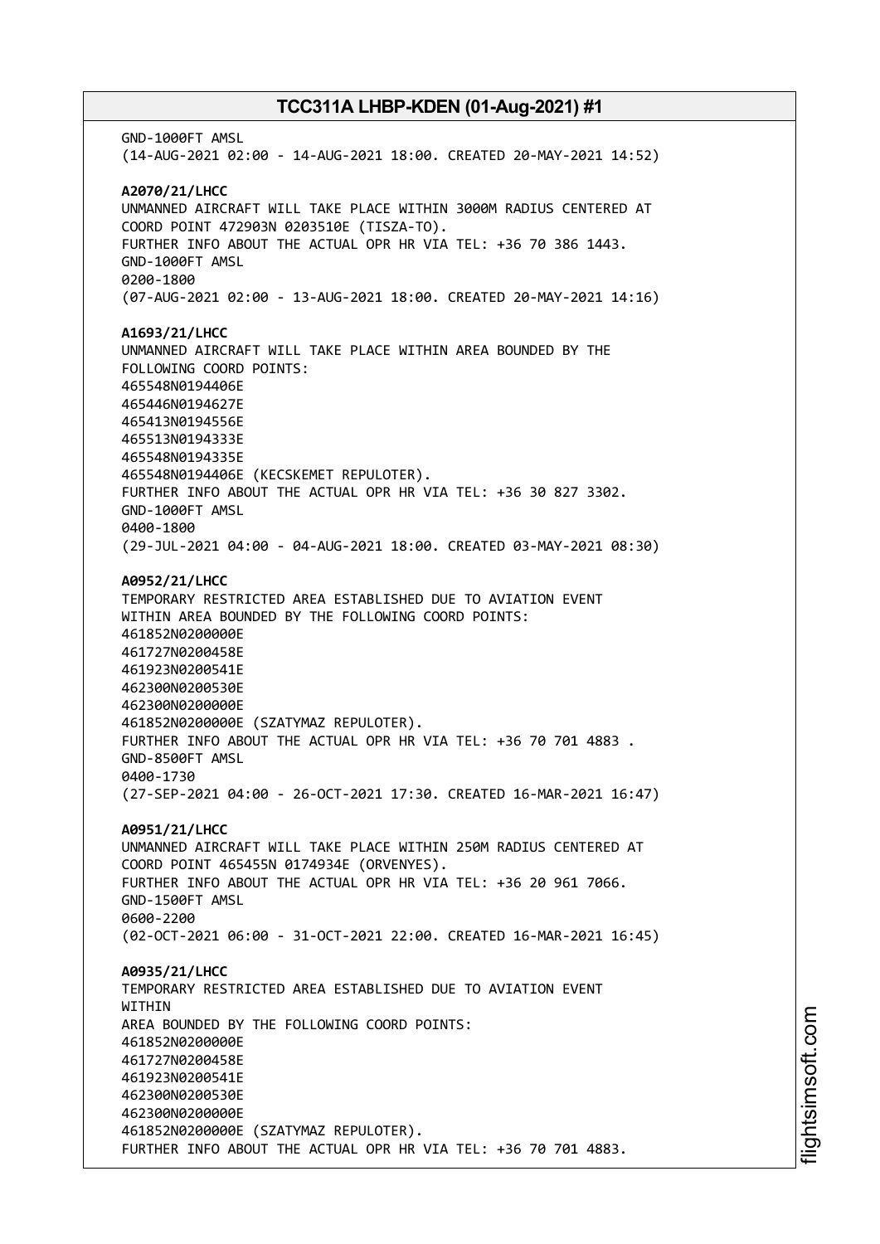GND-1000FT AMSL (14-AUG-2021 02:00 - 14-AUG-2021 18:00. CREATED 20-MAY-2021 14:52) **A2070/21/LHCC** UNMANNED AIRCRAFT WILL TAKE PLACE WITHIN 3000M RADIUS CENTERED AT COORD POINT 472903N 0203510E (TISZA-TO). FURTHER INFO ABOUT THE ACTUAL OPR HR VIA TEL: +36 70 386 1443. GND-1000FT AMSL 0200-1800 (07-AUG-2021 02:00 - 13-AUG-2021 18:00. CREATED 20-MAY-2021 14:16) **A1693/21/LHCC** UNMANNED AIRCRAFT WILL TAKE PLACE WITHIN AREA BOUNDED BY THE FOLLOWING COORD POINTS: 465548N0194406E 465446N0194627E 465413N0194556E 465513N0194333E 465548N0194335E 465548N0194406E (KECSKEMET REPULOTER). FURTHER INFO ABOUT THE ACTUAL OPR HR VIA TEL: +36 30 827 3302. GND-1000FT AMSL 0400-1800 (29-JUL-2021 04:00 - 04-AUG-2021 18:00. CREATED 03-MAY-2021 08:30) **A0952/21/LHCC** TEMPORARY RESTRICTED AREA ESTABLISHED DUE TO AVIATION EVENT WITHIN AREA BOUNDED BY THE FOLLOWING COORD POINTS: 461852N0200000E 461727N0200458E 461923N0200541E 462300N0200530E 462300N0200000E 461852N0200000E (SZATYMAZ REPULOTER). FURTHER INFO ABOUT THE ACTUAL OPR HR VIA TEL: +36 70 701 4883 . GND-8500FT AMSL 0400-1730 (27-SEP-2021 04:00 - 26-OCT-2021 17:30. CREATED 16-MAR-2021 16:47) **A0951/21/LHCC** UNMANNED AIRCRAFT WILL TAKE PLACE WITHIN 250M RADIUS CENTERED AT COORD POINT 465455N 0174934E (ORVENYES). FURTHER INFO ABOUT THE ACTUAL OPR HR VIA TEL: +36 20 961 7066. GND-1500FT AMSL 0600-2200 (02-OCT-2021 06:00 - 31-OCT-2021 22:00. CREATED 16-MAR-2021 16:45) **A0935/21/LHCC** TEMPORARY RESTRICTED AREA ESTABLISHED DUE TO AVIATION EVENT WITHIN AREA BOUNDED BY THE FOLLOWING COORD POINTS: 461852N0200000E 461727N0200458E 461923N0200541E 462300N0200530E 462300N0200000E 461852N0200000E (SZATYMAZ REPULOTER). FURTHER INFO ABOUT THE ACTUAL OPR HR VIA TEL: +36 70 701 4883.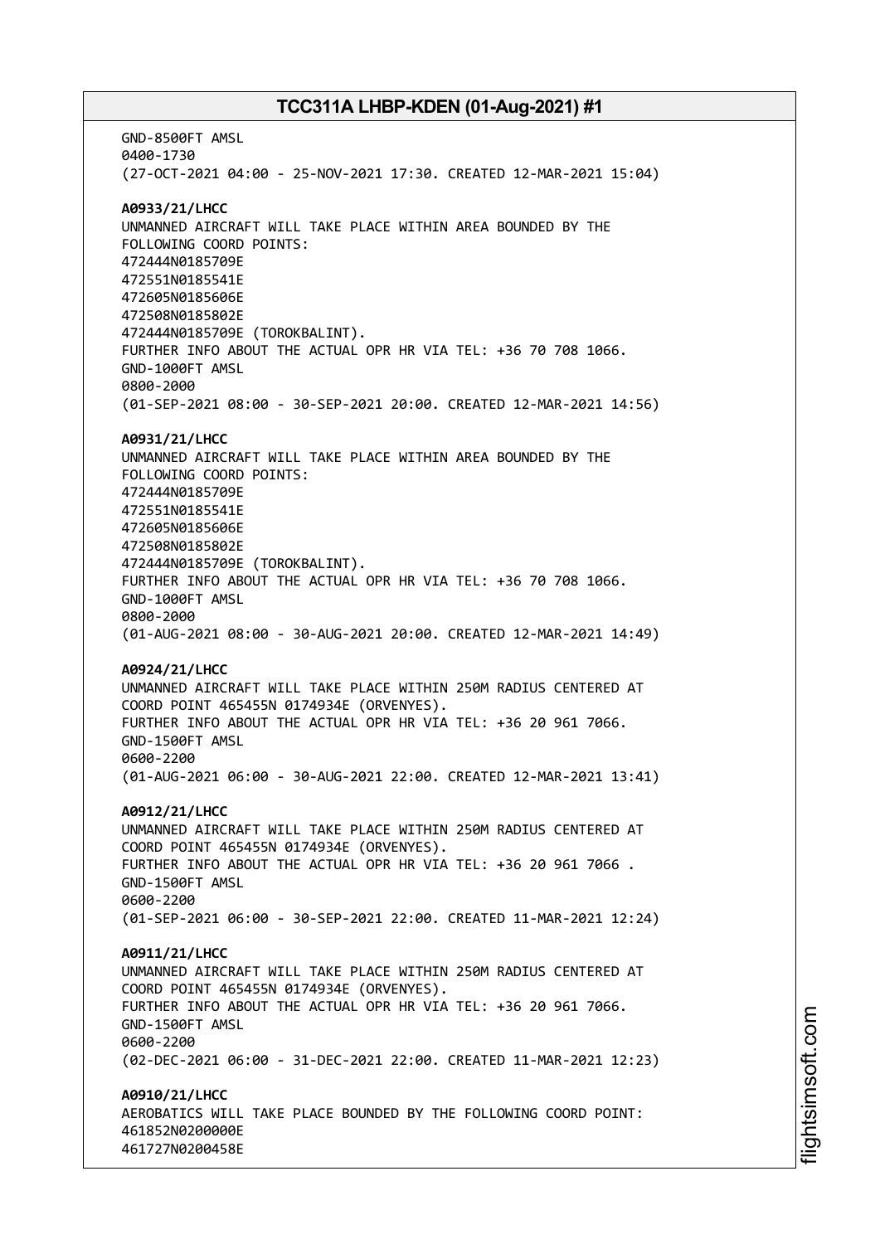GND-8500FT AMSL 0400-1730 (27-OCT-2021 04:00 - 25-NOV-2021 17:30. CREATED 12-MAR-2021 15:04) **A0933/21/LHCC** UNMANNED AIRCRAFT WILL TAKE PLACE WITHIN AREA BOUNDED BY THE FOLLOWING COORD POINTS: 472444N0185709E 472551N0185541E 472605N0185606E 472508N0185802E 472444N0185709E (TOROKBALINT). FURTHER INFO ABOUT THE ACTUAL OPR HR VIA TEL: +36 70 708 1066. GND-1000FT AMSL 0800-2000 (01-SEP-2021 08:00 - 30-SEP-2021 20:00. CREATED 12-MAR-2021 14:56) **A0931/21/LHCC** UNMANNED AIRCRAFT WILL TAKE PLACE WITHIN AREA BOUNDED BY THE FOLLOWING COORD POINTS: 472444N0185709E 472551N0185541E 472605N0185606E 472508N0185802E 472444N0185709E (TOROKBALINT). FURTHER INFO ABOUT THE ACTUAL OPR HR VIA TEL: +36 70 708 1066. GND-1000FT AMSL 0800-2000 (01-AUG-2021 08:00 - 30-AUG-2021 20:00. CREATED 12-MAR-2021 14:49) **A0924/21/LHCC** UNMANNED AIRCRAFT WILL TAKE PLACE WITHIN 250M RADIUS CENTERED AT COORD POINT 465455N 0174934E (ORVENYES). FURTHER INFO ABOUT THE ACTUAL OPR HR VIA TEL: +36 20 961 7066. GND-1500FT AMSL 0600-2200 (01-AUG-2021 06:00 - 30-AUG-2021 22:00. CREATED 12-MAR-2021 13:41) **A0912/21/LHCC** UNMANNED AIRCRAFT WILL TAKE PLACE WITHIN 250M RADIUS CENTERED AT COORD POINT 465455N 0174934E (ORVENYES). FURTHER INFO ABOUT THE ACTUAL OPR HR VIA TEL: +36 20 961 7066 . GND-1500FT AMSL 0600-2200 (01-SEP-2021 06:00 - 30-SEP-2021 22:00. CREATED 11-MAR-2021 12:24) **A0911/21/LHCC** UNMANNED AIRCRAFT WILL TAKE PLACE WITHIN 250M RADIUS CENTERED AT COORD POINT 465455N 0174934E (ORVENYES). FURTHER INFO ABOUT THE ACTUAL OPR HR VIA TEL: +36 20 961 7066. GND-1500FT AMSL 0600-2200 (02-DEC-2021 06:00 - 31-DEC-2021 22:00. CREATED 11-MAR-2021 12:23) **A0910/21/LHCC** AEROBATICS WILL TAKE PLACE BOUNDED BY THE FOLLOWING COORD POINT: 461852N0200000E 461727N0200458E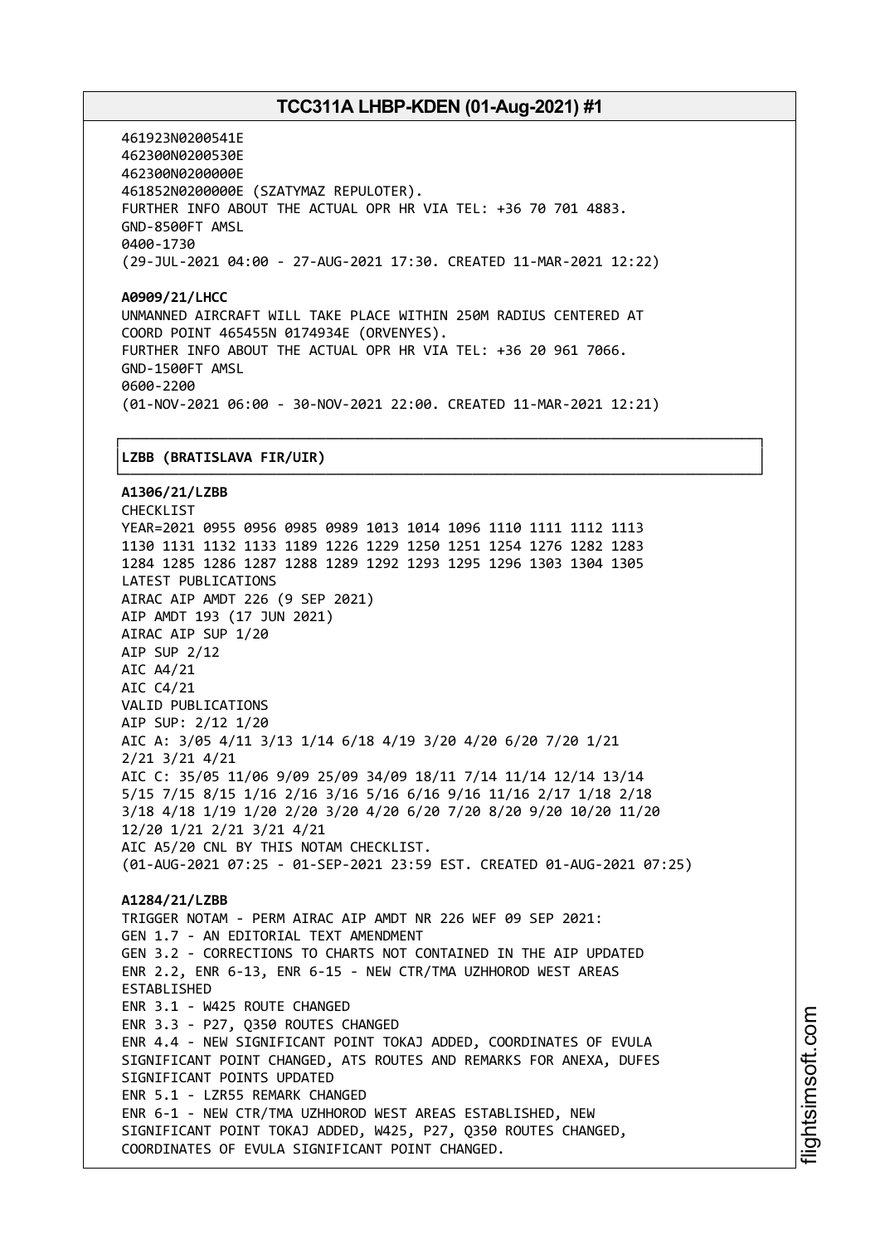461923N0200541E 462300N0200530E 462300N0200000E 461852N0200000E (SZATYMAZ REPULOTER). FURTHER INFO ABOUT THE ACTUAL OPR HR VIA TEL: +36 70 701 4883. GND-8500FT AMSL 0400-1730 (29-JUL-2021 04:00 - 27-AUG-2021 17:30. CREATED 11-MAR-2021 12:22)

**A0909/21/LHCC** UNMANNED AIRCRAFT WILL TAKE PLACE WITHIN 250M RADIUS CENTERED AT COORD POINT 465455N 0174934E (ORVENYES). FURTHER INFO ABOUT THE ACTUAL OPR HR VIA TEL: +36 20 961 7066. GND-1500FT AMSL 0600-2200 (01-NOV-2021 06:00 - 30-NOV-2021 22:00. CREATED 11-MAR-2021 12:21)

┌──────────────────────────────────────────────────────────────────────────────┐

#### │**LZBB (BRATISLAVA FIR/UIR)** │

└──────────────────────────────────────────────────────────────────────────────┘ **A1306/21/LZBB** CHECKLIST YEAR=2021 0955 0956 0985 0989 1013 1014 1096 1110 1111 1112 1113 1130 1131 1132 1133 1189 1226 1229 1250 1251 1254 1276 1282 1283 1284 1285 1286 1287 1288 1289 1292 1293 1295 1296 1303 1304 1305 LATEST PUBLICATIONS AIRAC AIP AMDT 226 (9 SEP 2021) AIP AMDT 193 (17 JUN 2021) AIRAC AIP SUP 1/20 AIP SUP 2/12 AIC A4/21 AIC C4/21 VALID PUBLICATIONS AIP SUP: 2/12 1/20 AIC A: 3/05 4/11 3/13 1/14 6/18 4/19 3/20 4/20 6/20 7/20 1/21 2/21 3/21 4/21 AIC C: 35/05 11/06 9/09 25/09 34/09 18/11 7/14 11/14 12/14 13/14 5/15 7/15 8/15 1/16 2/16 3/16 5/16 6/16 9/16 11/16 2/17 1/18 2/18 3/18 4/18 1/19 1/20 2/20 3/20 4/20 6/20 7/20 8/20 9/20 10/20 11/20 12/20 1/21 2/21 3/21 4/21 AIC A5/20 CNL BY THIS NOTAM CHECKLIST. (01-AUG-2021 07:25 - 01-SEP-2021 23:59 EST. CREATED 01-AUG-2021 07:25) **A1284/21/LZBB** TRIGGER NOTAM - PERM AIRAC AIP AMDT NR 226 WEF 09 SEP 2021: GEN 1.7 - AN EDITORIAL TEXT AMENDMENT GEN 3.2 - CORRECTIONS TO CHARTS NOT CONTAINED IN THE AIP UPDATED ENR 2.2, ENR 6-13, ENR 6-15 - NEW CTR/TMA UZHHOROD WEST AREAS ESTABLISHED ENR 3.1 - W425 ROUTE CHANGED ENR 3.3 - P27, Q350 ROUTES CHANGED ENR 4.4 - NEW SIGNIFICANT POINT TOKAJ ADDED, COORDINATES OF EVULA SIGNIFICANT POINT CHANGED, ATS ROUTES AND REMARKS FOR ANEXA, DUFES SIGNIFICANT POINTS UPDATED ENR 5.1 - LZR55 REMARK CHANGED ENR 6-1 - NEW CTR/TMA UZHHOROD WEST AREAS ESTABLISHED, NEW SIGNIFICANT POINT TOKAJ ADDED, W425, P27, Q350 ROUTES CHANGED, COORDINATES OF EVULA SIGNIFICANT POINT CHANGED.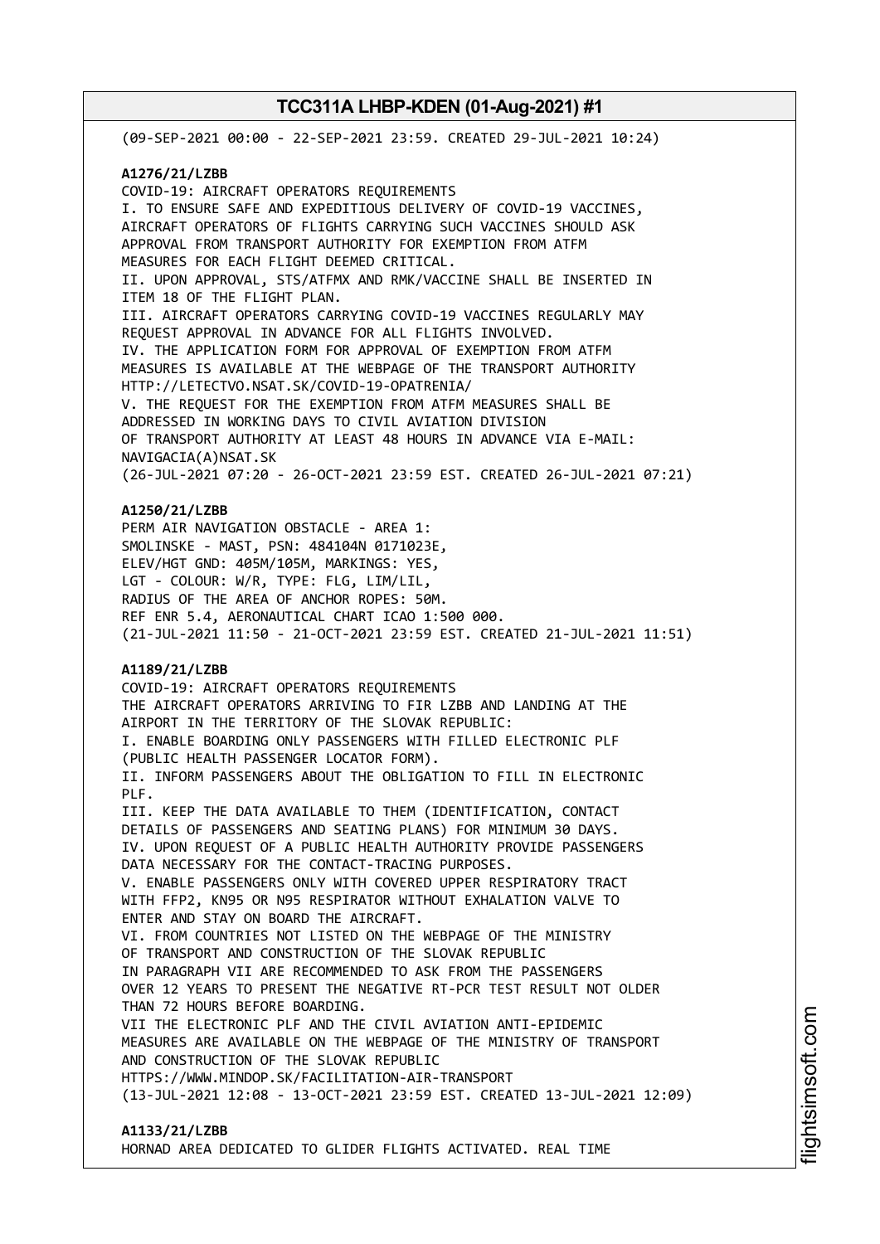(09-SEP-2021 00:00 - 22-SEP-2021 23:59. CREATED 29-JUL-2021 10:24) **A1276/21/LZBB** COVID-19: AIRCRAFT OPERATORS REQUIREMENTS I. TO ENSURE SAFE AND EXPEDITIOUS DELIVERY OF COVID-19 VACCINES, AIRCRAFT OPERATORS OF FLIGHTS CARRYING SUCH VACCINES SHOULD ASK APPROVAL FROM TRANSPORT AUTHORITY FOR EXEMPTION FROM ATFM MEASURES FOR EACH FLIGHT DEEMED CRITICAL. II. UPON APPROVAL, STS/ATFMX AND RMK/VACCINE SHALL BE INSERTED IN ITEM 18 OF THE FLIGHT PLAN. III. AIRCRAFT OPERATORS CARRYING COVID-19 VACCINES REGULARLY MAY REQUEST APPROVAL IN ADVANCE FOR ALL FLIGHTS INVOLVED. IV. THE APPLICATION FORM FOR APPROVAL OF EXEMPTION FROM ATFM MEASURES IS AVAILABLE AT THE WEBPAGE OF THE TRANSPORT AUTHORITY HTTP://LETECTVO.NSAT.SK/COVID-19-OPATRENIA/ V. THE REQUEST FOR THE EXEMPTION FROM ATFM MEASURES SHALL BE ADDRESSED IN WORKING DAYS TO CIVIL AVIATION DIVISION OF TRANSPORT AUTHORITY AT LEAST 48 HOURS IN ADVANCE VIA E-MAIL: NAVIGACIA(A)NSAT.SK (26-JUL-2021 07:20 - 26-OCT-2021 23:59 EST. CREATED 26-JUL-2021 07:21) **A1250/21/LZBB** PERM AIR NAVIGATION OBSTACLE - AREA 1: SMOLINSKE - MAST, PSN: 484104N 0171023E, ELEV/HGT GND: 405M/105M, MARKINGS: YES, LGT - COLOUR: W/R, TYPE: FLG, LIM/LIL, RADIUS OF THE AREA OF ANCHOR ROPES: 50M. REF ENR 5.4, AERONAUTICAL CHART ICAO 1:500 000. (21-JUL-2021 11:50 - 21-OCT-2021 23:59 EST. CREATED 21-JUL-2021 11:51) **A1189/21/LZBB** COVID-19: AIRCRAFT OPERATORS REQUIREMENTS THE AIRCRAFT OPERATORS ARRIVING TO FIR LZBB AND LANDING AT THE AIRPORT IN THE TERRITORY OF THE SLOVAK REPUBLIC: I. ENABLE BOARDING ONLY PASSENGERS WITH FILLED ELECTRONIC PLF (PUBLIC HEALTH PASSENGER LOCATOR FORM). II. INFORM PASSENGERS ABOUT THE OBLIGATION TO FILL IN ELECTRONIC PLF. III. KEEP THE DATA AVAILABLE TO THEM (IDENTIFICATION, CONTACT DETAILS OF PASSENGERS AND SEATING PLANS) FOR MINIMUM 30 DAYS. IV. UPON REQUEST OF A PUBLIC HEALTH AUTHORITY PROVIDE PASSENGERS DATA NECESSARY FOR THE CONTACT-TRACING PURPOSES. V. ENABLE PASSENGERS ONLY WITH COVERED UPPER RESPIRATORY TRACT WITH FFP2, KN95 OR N95 RESPIRATOR WITHOUT EXHALATION VALVE TO ENTER AND STAY ON BOARD THE AIRCRAFT. VI. FROM COUNTRIES NOT LISTED ON THE WEBPAGE OF THE MINISTRY OF TRANSPORT AND CONSTRUCTION OF THE SLOVAK REPUBLIC IN PARAGRAPH VII ARE RECOMMENDED TO ASK FROM THE PASSENGERS OVER 12 YEARS TO PRESENT THE NEGATIVE RT-PCR TEST RESULT NOT OLDER THAN 72 HOURS BEFORE BOARDING. VII THE ELECTRONIC PLF AND THE CIVIL AVIATION ANTI-EPIDEMIC MEASURES ARE AVAILABLE ON THE WEBPAGE OF THE MINISTRY OF TRANSPORT AND CONSTRUCTION OF THE SLOVAK REPUBLIC HTTPS://WWW.MINDOP.SK/FACILITATION-AIR-TRANSPORT (13-JUL-2021 12:08 - 13-OCT-2021 23:59 EST. CREATED 13-JUL-2021 12:09) **A1133/21/LZBB**

HORNAD AREA DEDICATED TO GLIDER FLIGHTS ACTIVATED. REAL TIME

i⊒<br>⊫ htsim soft.c o

m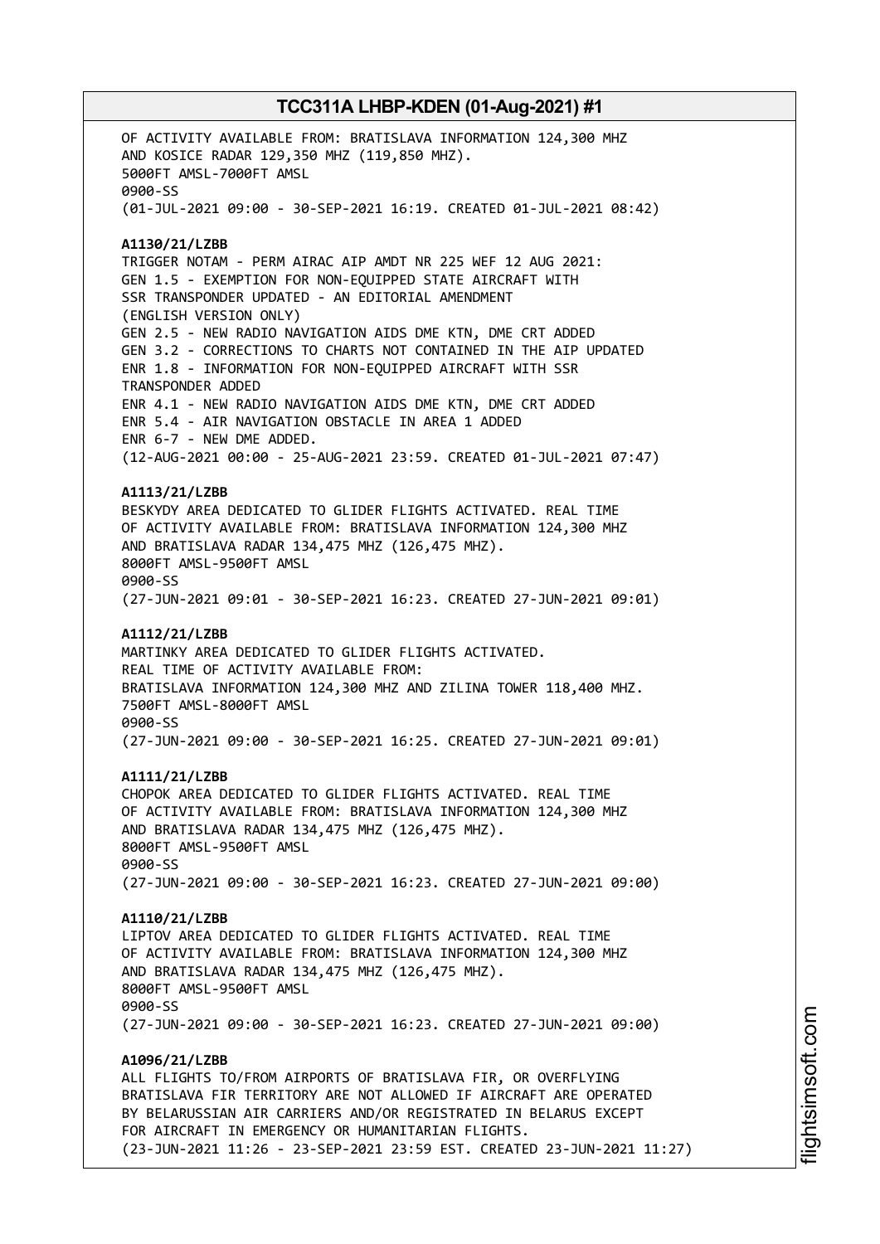OF ACTIVITY AVAILABLE FROM: BRATISLAVA INFORMATION 124,300 MHZ AND KOSICE RADAR 129,350 MHZ (119,850 MHZ). 5000FT AMSL-7000FT AMSL 0900-SS (01-JUL-2021 09:00 - 30-SEP-2021 16:19. CREATED 01-JUL-2021 08:42) **A1130/21/LZBB** TRIGGER NOTAM - PERM AIRAC AIP AMDT NR 225 WEF 12 AUG 2021: GEN 1.5 - EXEMPTION FOR NON-EQUIPPED STATE AIRCRAFT WITH SSR TRANSPONDER UPDATED - AN EDITORIAL AMENDMENT (ENGLISH VERSION ONLY) GEN 2.5 - NEW RADIO NAVIGATION AIDS DME KTN, DME CRT ADDED GEN 3.2 - CORRECTIONS TO CHARTS NOT CONTAINED IN THE AIP UPDATED ENR 1.8 - INFORMATION FOR NON-EQUIPPED AIRCRAFT WITH SSR TRANSPONDER ADDED ENR 4.1 - NEW RADIO NAVIGATION AIDS DME KTN, DME CRT ADDED ENR 5.4 - AIR NAVIGATION OBSTACLE IN AREA 1 ADDED ENR 6-7 - NEW DME ADDED. (12-AUG-2021 00:00 - 25-AUG-2021 23:59. CREATED 01-JUL-2021 07:47) **A1113/21/LZBB** BESKYDY AREA DEDICATED TO GLIDER FLIGHTS ACTIVATED. REAL TIME OF ACTIVITY AVAILABLE FROM: BRATISLAVA INFORMATION 124,300 MHZ AND BRATISLAVA RADAR 134,475 MHZ (126,475 MHZ). 8000FT AMSL-9500FT AMSL 0900-SS (27-JUN-2021 09:01 - 30-SEP-2021 16:23. CREATED 27-JUN-2021 09:01) **A1112/21/LZBB** MARTINKY AREA DEDICATED TO GLIDER FLIGHTS ACTIVATED. REAL TIME OF ACTIVITY AVAILABLE FROM: BRATISLAVA INFORMATION 124,300 MHZ AND ZILINA TOWER 118,400 MHZ. 7500FT AMSL-8000FT AMSL 0900-SS (27-JUN-2021 09:00 - 30-SEP-2021 16:25. CREATED 27-JUN-2021 09:01) **A1111/21/LZBB** CHOPOK AREA DEDICATED TO GLIDER FLIGHTS ACTIVATED. REAL TIME OF ACTIVITY AVAILABLE FROM: BRATISLAVA INFORMATION 124,300 MHZ AND BRATISLAVA RADAR 134,475 MHZ (126,475 MHZ). 8000FT AMSL-9500FT AMSL 0900-SS (27-JUN-2021 09:00 - 30-SEP-2021 16:23. CREATED 27-JUN-2021 09:00) **A1110/21/LZBB** LIPTOV AREA DEDICATED TO GLIDER FLIGHTS ACTIVATED. REAL TIME OF ACTIVITY AVAILABLE FROM: BRATISLAVA INFORMATION 124,300 MHZ AND BRATISLAVA RADAR 134,475 MHZ (126,475 MHZ). 8000FT AMSL-9500FT AMSL 0900-SS (27-JUN-2021 09:00 - 30-SEP-2021 16:23. CREATED 27-JUN-2021 09:00) **A1096/21/LZBB** ALL FLIGHTS TO/FROM AIRPORTS OF BRATISLAVA FIR, OR OVERFLYING BRATISLAVA FIR TERRITORY ARE NOT ALLOWED IF AIRCRAFT ARE OPERATED BY BELARUSSIAN AIR CARRIERS AND/OR REGISTRATED IN BELARUS EXCEPT FOR AIRCRAFT IN EMERGENCY OR HUMANITARIAN FLIGHTS. (23-JUN-2021 11:26 - 23-SEP-2021 23:59 EST. CREATED 23-JUN-2021 11:27)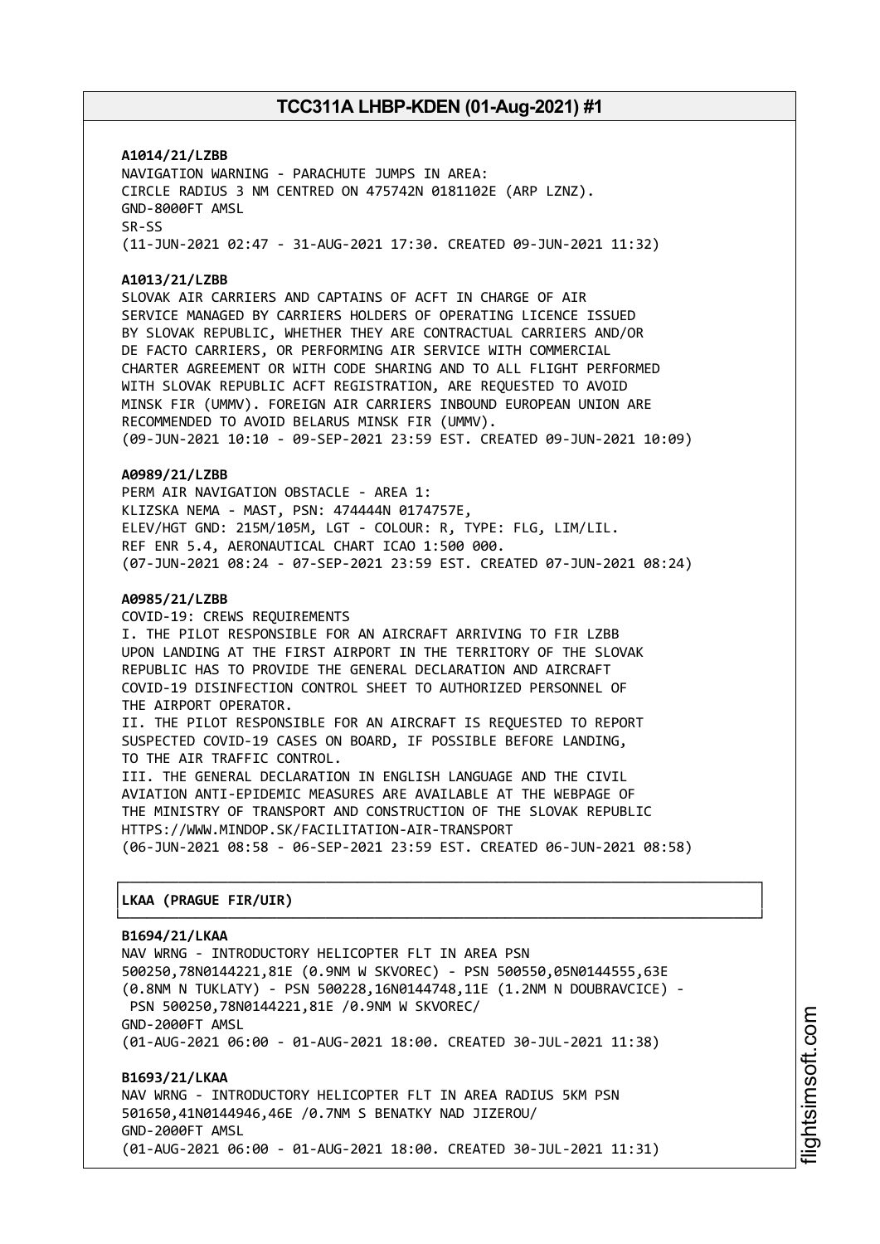**A1014/21/LZBB** NAVIGATION WARNING - PARACHUTE JUMPS IN AREA: CIRCLE RADIUS 3 NM CENTRED ON 475742N 0181102E (ARP LZNZ). GND-8000FT AMSL SR-SS (11-JUN-2021 02:47 - 31-AUG-2021 17:30. CREATED 09-JUN-2021 11:32)

#### **A1013/21/LZBB**

SLOVAK AIR CARRIERS AND CAPTAINS OF ACFT IN CHARGE OF AIR SERVICE MANAGED BY CARRIERS HOLDERS OF OPERATING LICENCE ISSUED BY SLOVAK REPUBLIC, WHETHER THEY ARE CONTRACTUAL CARRIERS AND/OR DE FACTO CARRIERS, OR PERFORMING AIR SERVICE WITH COMMERCIAL CHARTER AGREEMENT OR WITH CODE SHARING AND TO ALL FLIGHT PERFORMED WITH SLOVAK REPUBLIC ACFT REGISTRATION, ARE REQUESTED TO AVOID MINSK FIR (UMMV). FOREIGN AIR CARRIERS INBOUND EUROPEAN UNION ARE RECOMMENDED TO AVOID BELARUS MINSK FIR (UMMV). (09-JUN-2021 10:10 - 09-SEP-2021 23:59 EST. CREATED 09-JUN-2021 10:09)

#### **A0989/21/LZBB**

PERM AIR NAVIGATION OBSTACLE - AREA 1: KLIZSKA NEMA - MAST, PSN: 474444N 0174757E, ELEV/HGT GND: 215M/105M, LGT - COLOUR: R, TYPE: FLG, LIM/LIL. REF ENR 5.4, AERONAUTICAL CHART ICAO 1:500 000. (07-JUN-2021 08:24 - 07-SEP-2021 23:59 EST. CREATED 07-JUN-2021 08:24)

#### **A0985/21/LZBB**

COVID-19: CREWS REQUIREMENTS I. THE PILOT RESPONSIBLE FOR AN AIRCRAFT ARRIVING TO FIR LZBB UPON LANDING AT THE FIRST AIRPORT IN THE TERRITORY OF THE SLOVAK REPUBLIC HAS TO PROVIDE THE GENERAL DECLARATION AND AIRCRAFT COVID-19 DISINFECTION CONTROL SHEET TO AUTHORIZED PERSONNEL OF THE AIRPORT OPERATOR. II. THE PILOT RESPONSIBLE FOR AN AIRCRAFT IS REQUESTED TO REPORT SUSPECTED COVID-19 CASES ON BOARD, IF POSSIBLE BEFORE LANDING,

TO THE AIR TRAFFIC CONTROL. III. THE GENERAL DECLARATION IN ENGLISH LANGUAGE AND THE CIVIL AVIATION ANTI-EPIDEMIC MEASURES ARE AVAILABLE AT THE WEBPAGE OF THE MINISTRY OF TRANSPORT AND CONSTRUCTION OF THE SLOVAK REPUBLIC HTTPS://WWW.MINDOP.SK/FACILITATION-AIR-TRANSPORT (06-JUN-2021 08:58 - 06-SEP-2021 23:59 EST. CREATED 06-JUN-2021 08:58)

┌──────────────────────────────────────────────────────────────────────────────┐

└──────────────────────────────────────────────────────────────────────────────┘

#### │**LKAA (PRAGUE FIR/UIR)** │

#### **B1694/21/LKAA**

NAV WRNG - INTRODUCTORY HELICOPTER FLT IN AREA PSN 500250,78N0144221,81E (0.9NM W SKVOREC) - PSN 500550,05N0144555,63E (0.8NM N TUKLATY) - PSN 500228,16N0144748,11E (1.2NM N DOUBRAVCICE) - PSN 500250,78N0144221,81E /0.9NM W SKVOREC/ GND-2000FT AMSL (01-AUG-2021 06:00 - 01-AUG-2021 18:00. CREATED 30-JUL-2021 11:38)

**B1693/21/LKAA** NAV WRNG - INTRODUCTORY HELICOPTER FLT IN AREA RADIUS 5KM PSN 501650,41N0144946,46E /0.7NM S BENATKY NAD JIZEROU/ GND-2000FT AMSL (01-AUG-2021 06:00 - 01-AUG-2021 18:00. CREATED 30-JUL-2021 11:31)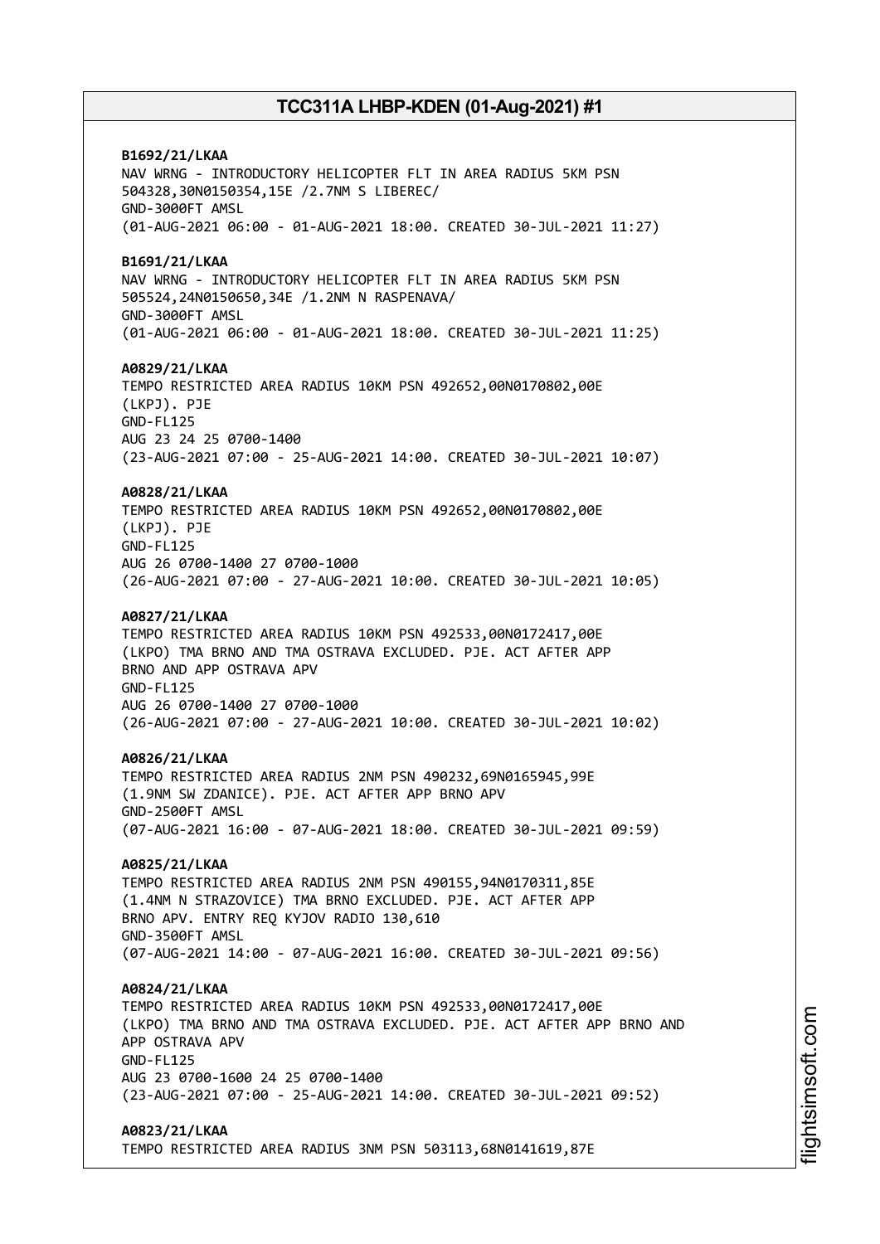**B1692/21/LKAA** NAV WRNG - INTRODUCTORY HELICOPTER FLT IN AREA RADIUS 5KM PSN 504328,30N0150354,15E /2.7NM S LIBEREC/ GND-3000FT AMSL (01-AUG-2021 06:00 - 01-AUG-2021 18:00. CREATED 30-JUL-2021 11:27) **B1691/21/LKAA** NAV WRNG - INTRODUCTORY HELICOPTER FLT IN AREA RADIUS 5KM PSN 505524,24N0150650,34E /1.2NM N RASPENAVA/ GND-3000FT AMSL (01-AUG-2021 06:00 - 01-AUG-2021 18:00. CREATED 30-JUL-2021 11:25) **A0829/21/LKAA** TEMPO RESTRICTED AREA RADIUS 10KM PSN 492652,00N0170802,00E (LKPJ). PJE GND-FL125 AUG 23 24 25 0700-1400 (23-AUG-2021 07:00 - 25-AUG-2021 14:00. CREATED 30-JUL-2021 10:07) **A0828/21/LKAA** TEMPO RESTRICTED AREA RADIUS 10KM PSN 492652,00N0170802,00E (LKPJ). PJE GND-FL125 AUG 26 0700-1400 27 0700-1000 (26-AUG-2021 07:00 - 27-AUG-2021 10:00. CREATED 30-JUL-2021 10:05) **A0827/21/LKAA** TEMPO RESTRICTED AREA RADIUS 10KM PSN 492533,00N0172417,00E (LKPO) TMA BRNO AND TMA OSTRAVA EXCLUDED. PJE. ACT AFTER APP BRNO AND APP OSTRAVA APV GND-FL125 AUG 26 0700-1400 27 0700-1000 (26-AUG-2021 07:00 - 27-AUG-2021 10:00. CREATED 30-JUL-2021 10:02) **A0826/21/LKAA** TEMPO RESTRICTED AREA RADIUS 2NM PSN 490232,69N0165945,99E (1.9NM SW ZDANICE). PJE. ACT AFTER APP BRNO APV GND-2500FT AMSL (07-AUG-2021 16:00 - 07-AUG-2021 18:00. CREATED 30-JUL-2021 09:59) **A0825/21/LKAA** TEMPO RESTRICTED AREA RADIUS 2NM PSN 490155,94N0170311,85E (1.4NM N STRAZOVICE) TMA BRNO EXCLUDED. PJE. ACT AFTER APP BRNO APV. ENTRY REQ KYJOV RADIO 130,610 GND-3500FT AMSL (07-AUG-2021 14:00 - 07-AUG-2021 16:00. CREATED 30-JUL-2021 09:56) **A0824/21/LKAA** TEMPO RESTRICTED AREA RADIUS 10KM PSN 492533,00N0172417,00E (LKPO) TMA BRNO AND TMA OSTRAVA EXCLUDED. PJE. ACT AFTER APP BRNO AND APP OSTRAVA APV GND-FL125 AUG 23 0700-1600 24 25 0700-1400 (23-AUG-2021 07:00 - 25-AUG-2021 14:00. CREATED 30-JUL-2021 09:52) **A0823/21/LKAA** TEMPO RESTRICTED AREA RADIUS 3NM PSN 503113,68N0141619,87E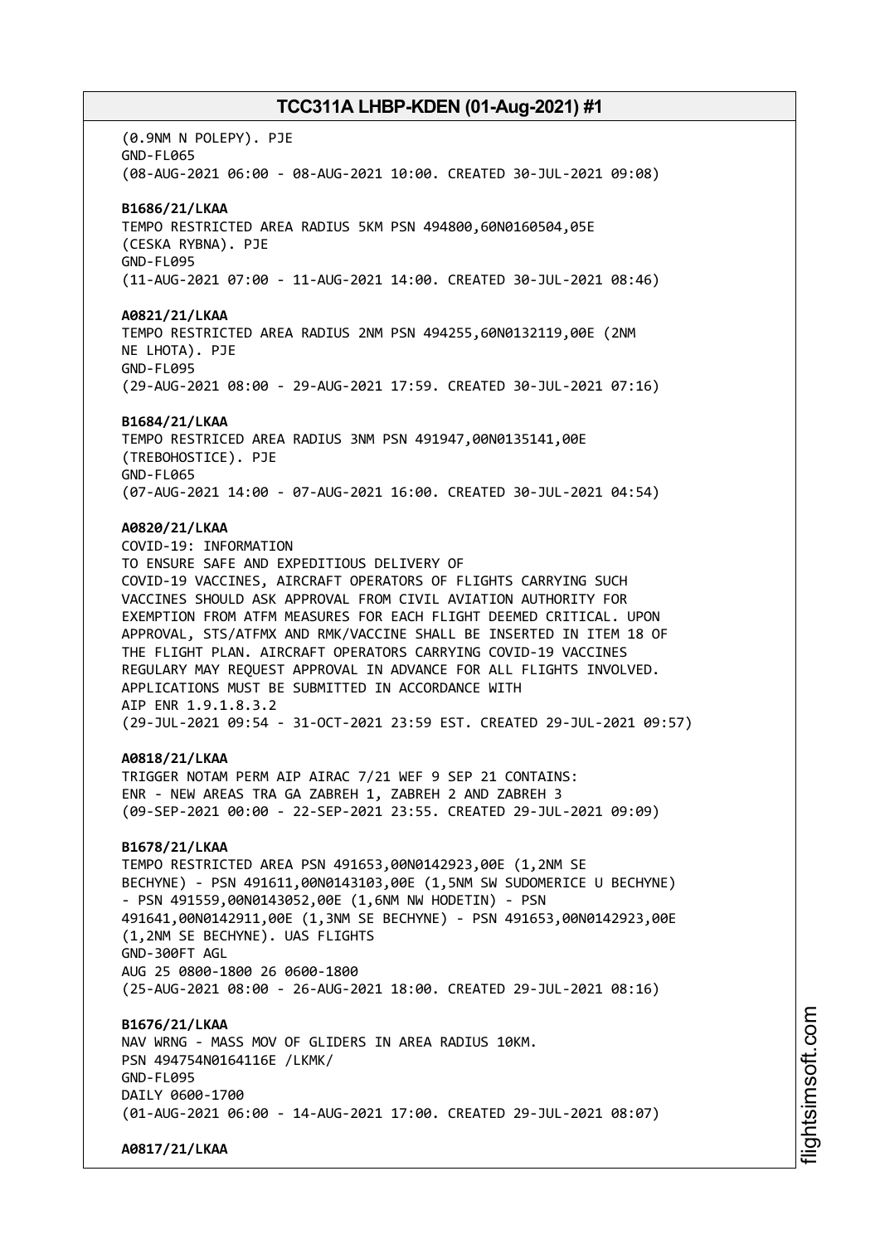(0.9NM N POLEPY). PJE GND-FL065 (08-AUG-2021 06:00 - 08-AUG-2021 10:00. CREATED 30-JUL-2021 09:08) **B1686/21/LKAA** TEMPO RESTRICTED AREA RADIUS 5KM PSN 494800,60N0160504,05E (CESKA RYBNA). PJE GND-FL095 (11-AUG-2021 07:00 - 11-AUG-2021 14:00. CREATED 30-JUL-2021 08:46) **A0821/21/LKAA** TEMPO RESTRICTED AREA RADIUS 2NM PSN 494255,60N0132119,00E (2NM NE LHOTA). PJE GND-FL095 (29-AUG-2021 08:00 - 29-AUG-2021 17:59. CREATED 30-JUL-2021 07:16) **B1684/21/LKAA** TEMPO RESTRICED AREA RADIUS 3NM PSN 491947,00N0135141,00E (TREBOHOSTICE). PJE GND-FL065 (07-AUG-2021 14:00 - 07-AUG-2021 16:00. CREATED 30-JUL-2021 04:54) **A0820/21/LKAA** COVID-19: INFORMATION TO ENSURE SAFE AND EXPEDITIOUS DELIVERY OF COVID-19 VACCINES, AIRCRAFT OPERATORS OF FLIGHTS CARRYING SUCH VACCINES SHOULD ASK APPROVAL FROM CIVIL AVIATION AUTHORITY FOR EXEMPTION FROM ATFM MEASURES FOR EACH FLIGHT DEEMED CRITICAL. UPON APPROVAL, STS/ATFMX AND RMK/VACCINE SHALL BE INSERTED IN ITEM 18 OF THE FLIGHT PLAN. AIRCRAFT OPERATORS CARRYING COVID-19 VACCINES REGULARY MAY REQUEST APPROVAL IN ADVANCE FOR ALL FLIGHTS INVOLVED. APPLICATIONS MUST BE SUBMITTED IN ACCORDANCE WITH AIP ENR 1.9.1.8.3.2 (29-JUL-2021 09:54 - 31-OCT-2021 23:59 EST. CREATED 29-JUL-2021 09:57) **A0818/21/LKAA** TRIGGER NOTAM PERM AIP AIRAC 7/21 WEF 9 SEP 21 CONTAINS: ENR - NEW AREAS TRA GA ZABREH 1, ZABREH 2 AND ZABREH 3 (09-SEP-2021 00:00 - 22-SEP-2021 23:55. CREATED 29-JUL-2021 09:09) **B1678/21/LKAA** TEMPO RESTRICTED AREA PSN 491653,00N0142923,00E (1,2NM SE BECHYNE) - PSN 491611,00N0143103,00E (1,5NM SW SUDOMERICE U BECHYNE) - PSN 491559,00N0143052,00E (1,6NM NW HODETIN) - PSN 491641,00N0142911,00E (1,3NM SE BECHYNE) - PSN 491653,00N0142923,00E (1,2NM SE BECHYNE). UAS FLIGHTS GND-300FT AGL AUG 25 0800-1800 26 0600-1800 (25-AUG-2021 08:00 - 26-AUG-2021 18:00. CREATED 29-JUL-2021 08:16) **B1676/21/LKAA** NAV WRNG - MASS MOV OF GLIDERS IN AREA RADIUS 10KM. PSN 494754N0164116E /LKMK/ GND-FL095 DATLY 0600-1700 (01-AUG-2021 06:00 - 14-AUG-2021 17:00. CREATED 29-JUL-2021 08:07) **A0817/21/LKAA**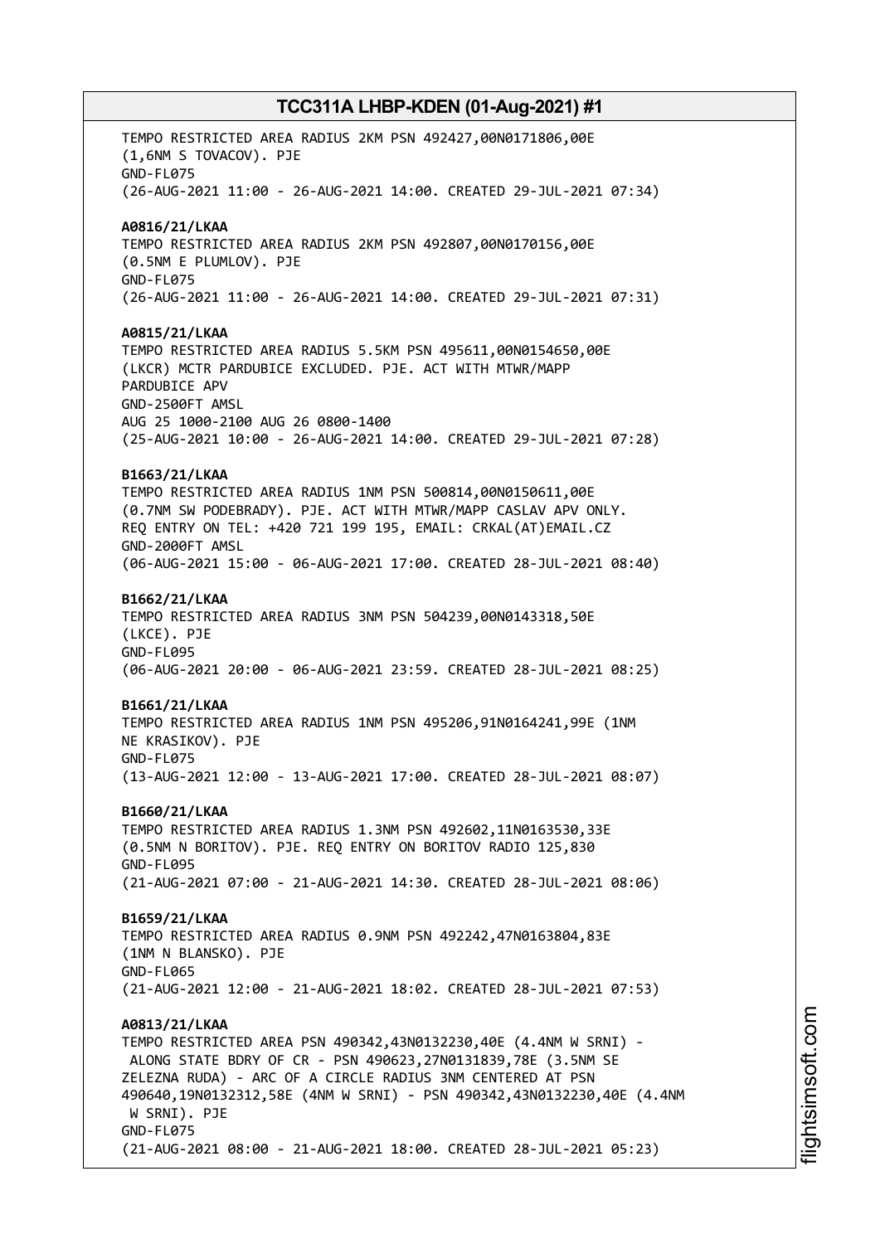TEMPO RESTRICTED AREA RADIUS 2KM PSN 492427,00N0171806,00E (1,6NM S TOVACOV). PJE GND-FL075 (26-AUG-2021 11:00 - 26-AUG-2021 14:00. CREATED 29-JUL-2021 07:34) **A0816/21/LKAA** TEMPO RESTRICTED AREA RADIUS 2KM PSN 492807,00N0170156,00E (0.5NM E PLUMLOV). PJE GND-FL075 (26-AUG-2021 11:00 - 26-AUG-2021 14:00. CREATED 29-JUL-2021 07:31) **A0815/21/LKAA** TEMPO RESTRICTED AREA RADIUS 5.5KM PSN 495611,00N0154650,00E (LKCR) MCTR PARDUBICE EXCLUDED. PJE. ACT WITH MTWR/MAPP PARDUBICE APV GND-2500FT AMSL AUG 25 1000-2100 AUG 26 0800-1400 (25-AUG-2021 10:00 - 26-AUG-2021 14:00. CREATED 29-JUL-2021 07:28) **B1663/21/LKAA** TEMPO RESTRICTED AREA RADIUS 1NM PSN 500814,00N0150611,00E (0.7NM SW PODEBRADY). PJE. ACT WITH MTWR/MAPP CASLAV APV ONLY. REQ ENTRY ON TEL: +420 721 199 195, EMAIL: CRKAL(AT)EMAIL.CZ GND-2000FT AMSL (06-AUG-2021 15:00 - 06-AUG-2021 17:00. CREATED 28-JUL-2021 08:40) **B1662/21/LKAA** TEMPO RESTRICTED AREA RADIUS 3NM PSN 504239,00N0143318,50E (LKCE). PJE GND-FL095 (06-AUG-2021 20:00 - 06-AUG-2021 23:59. CREATED 28-JUL-2021 08:25) **B1661/21/LKAA** TEMPO RESTRICTED AREA RADIUS 1NM PSN 495206,91N0164241,99E (1NM NE KRASIKOV). PJE GND-FL075 (13-AUG-2021 12:00 - 13-AUG-2021 17:00. CREATED 28-JUL-2021 08:07) **B1660/21/LKAA** TEMPO RESTRICTED AREA RADIUS 1.3NM PSN 492602,11N0163530,33E (0.5NM N BORITOV). PJE. REQ ENTRY ON BORITOV RADIO 125,830 GND-FL095 (21-AUG-2021 07:00 - 21-AUG-2021 14:30. CREATED 28-JUL-2021 08:06) **B1659/21/LKAA** TEMPO RESTRICTED AREA RADIUS 0.9NM PSN 492242,47N0163804,83E (1NM N BLANSKO). PJE GND-FL065 (21-AUG-2021 12:00 - 21-AUG-2021 18:02. CREATED 28-JUL-2021 07:53) **A0813/21/LKAA** TEMPO RESTRICTED AREA PSN 490342,43N0132230,40E (4.4NM W SRNI) - ALONG STATE BDRY OF CR - PSN 490623,27N0131839,78E (3.5NM SE ZELEZNA RUDA) - ARC OF A CIRCLE RADIUS 3NM CENTERED AT PSN 490640,19N0132312,58E (4NM W SRNI) - PSN 490342,43N0132230,40E (4.4NM W SRNI). PJE GND-FL075 (21-AUG-2021 08:00 - 21-AUG-2021 18:00. CREATED 28-JUL-2021 05:23)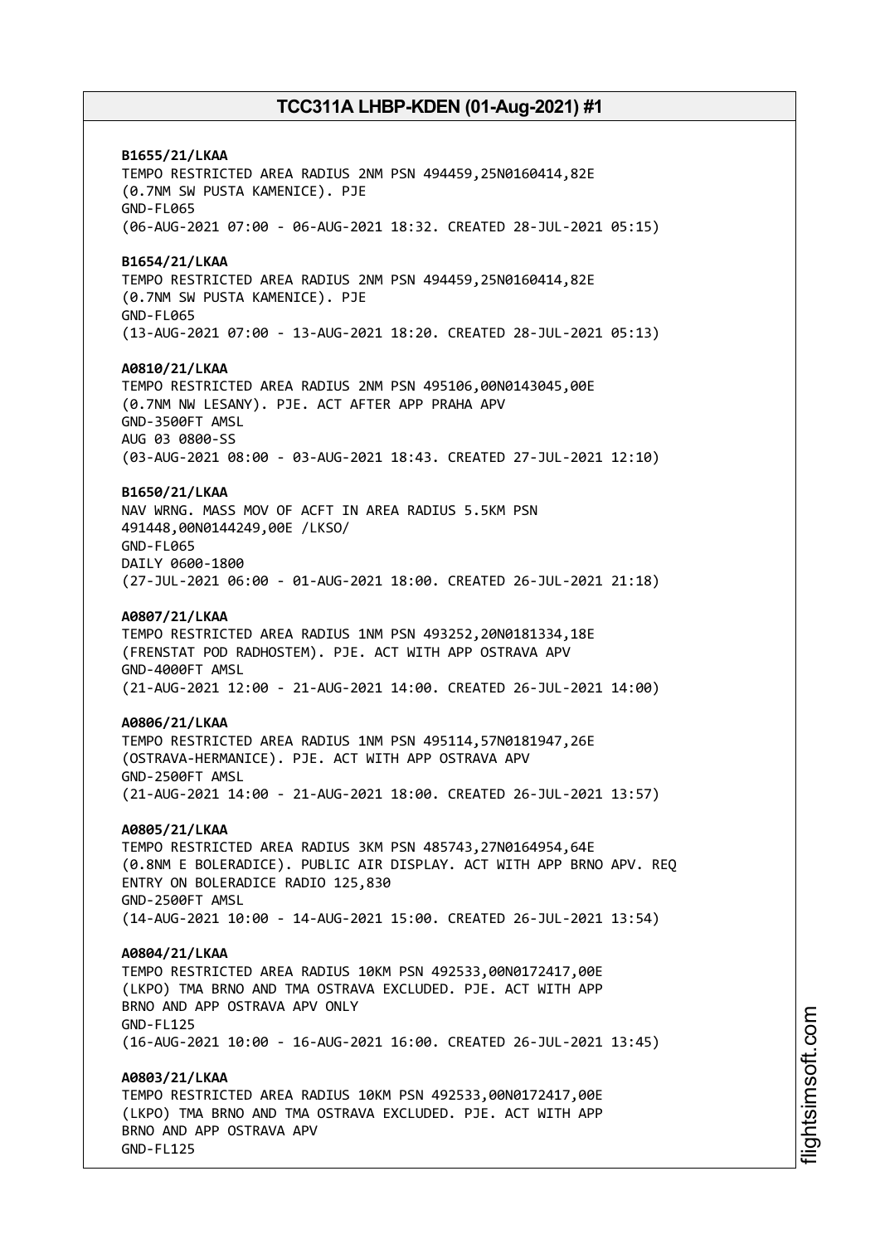**B1655/21/LKAA** TEMPO RESTRICTED AREA RADIUS 2NM PSN 494459,25N0160414,82E (0.7NM SW PUSTA KAMENICE). PJE GND-FL065 (06-AUG-2021 07:00 - 06-AUG-2021 18:32. CREATED 28-JUL-2021 05:15) **B1654/21/LKAA** TEMPO RESTRICTED AREA RADIUS 2NM PSN 494459,25N0160414,82E (0.7NM SW PUSTA KAMENICE). PJE GND-FL065 (13-AUG-2021 07:00 - 13-AUG-2021 18:20. CREATED 28-JUL-2021 05:13) **A0810/21/LKAA** TEMPO RESTRICTED AREA RADIUS 2NM PSN 495106,00N0143045,00E (0.7NM NW LESANY). PJE. ACT AFTER APP PRAHA APV GND-3500FT AMSL AUG 03 0800-SS (03-AUG-2021 08:00 - 03-AUG-2021 18:43. CREATED 27-JUL-2021 12:10) **B1650/21/LKAA** NAV WRNG. MASS MOV OF ACFT IN AREA RADIUS 5.5KM PSN 491448,00N0144249,00E /LKSO/ GND-FL065 DAILY 0600-1800 (27-JUL-2021 06:00 - 01-AUG-2021 18:00. CREATED 26-JUL-2021 21:18) **A0807/21/LKAA** TEMPO RESTRICTED AREA RADIUS 1NM PSN 493252,20N0181334,18E (FRENSTAT POD RADHOSTEM). PJE. ACT WITH APP OSTRAVA APV GND-4000FT AMSL (21-AUG-2021 12:00 - 21-AUG-2021 14:00. CREATED 26-JUL-2021 14:00) **A0806/21/LKAA** TEMPO RESTRICTED AREA RADIUS 1NM PSN 495114,57N0181947,26E (OSTRAVA-HERMANICE). PJE. ACT WITH APP OSTRAVA APV GND-2500FT AMSL (21-AUG-2021 14:00 - 21-AUG-2021 18:00. CREATED 26-JUL-2021 13:57) **A0805/21/LKAA** TEMPO RESTRICTED AREA RADIUS 3KM PSN 485743,27N0164954,64E (0.8NM E BOLERADICE). PUBLIC AIR DISPLAY. ACT WITH APP BRNO APV. REQ ENTRY ON BOLERADICE RADIO 125,830 GND-2500FT AMSL (14-AUG-2021 10:00 - 14-AUG-2021 15:00. CREATED 26-JUL-2021 13:54) **A0804/21/LKAA** TEMPO RESTRICTED AREA RADIUS 10KM PSN 492533,00N0172417,00E (LKPO) TMA BRNO AND TMA OSTRAVA EXCLUDED. PJE. ACT WITH APP BRNO AND APP OSTRAVA APV ONLY GND-FL125 (16-AUG-2021 10:00 - 16-AUG-2021 16:00. CREATED 26-JUL-2021 13:45) **A0803/21/LKAA** TEMPO RESTRICTED AREA RADIUS 10KM PSN 492533,00N0172417,00E (LKPO) TMA BRNO AND TMA OSTRAVA EXCLUDED. PJE. ACT WITH APP BRNO AND APP OSTRAVA APV GND-FL125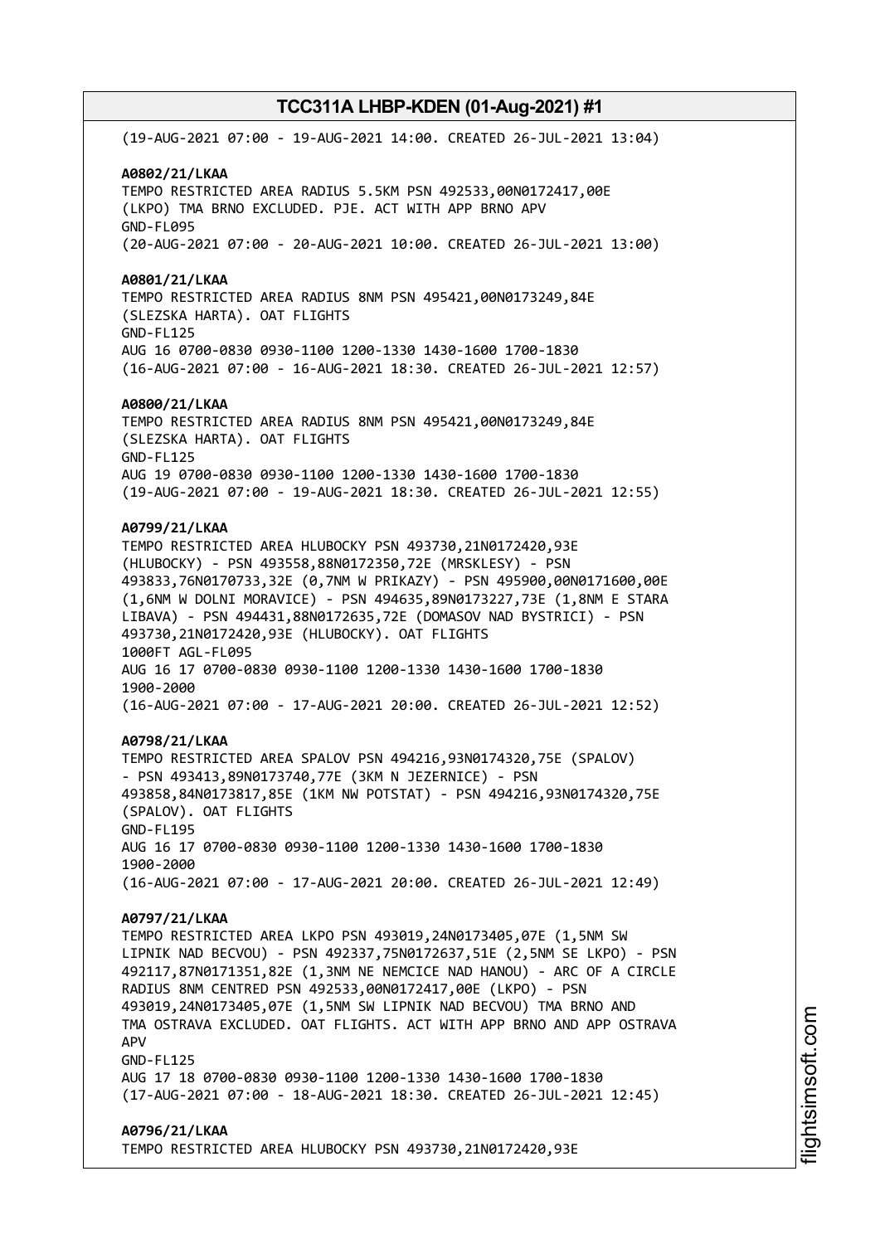(19-AUG-2021 07:00 - 19-AUG-2021 14:00. CREATED 26-JUL-2021 13:04) **A0802/21/LKAA** TEMPO RESTRICTED AREA RADIUS 5.5KM PSN 492533,00N0172417,00E (LKPO) TMA BRNO EXCLUDED. PJE. ACT WITH APP BRNO APV GND-FL095 (20-AUG-2021 07:00 - 20-AUG-2021 10:00. CREATED 26-JUL-2021 13:00) **A0801/21/LKAA** TEMPO RESTRICTED AREA RADIUS 8NM PSN 495421,00N0173249,84E (SLEZSKA HARTA). OAT FLIGHTS GND-FL125 AUG 16 0700-0830 0930-1100 1200-1330 1430-1600 1700-1830 (16-AUG-2021 07:00 - 16-AUG-2021 18:30. CREATED 26-JUL-2021 12:57) **A0800/21/LKAA** TEMPO RESTRICTED AREA RADIUS 8NM PSN 495421,00N0173249,84E (SLEZSKA HARTA). OAT FLIGHTS GND-FL125 AUG 19 0700-0830 0930-1100 1200-1330 1430-1600 1700-1830 (19-AUG-2021 07:00 - 19-AUG-2021 18:30. CREATED 26-JUL-2021 12:55) **A0799/21/LKAA** TEMPO RESTRICTED AREA HLUBOCKY PSN 493730,21N0172420,93E (HLUBOCKY) - PSN 493558,88N0172350,72E (MRSKLESY) - PSN 493833,76N0170733,32E (0,7NM W PRIKAZY) - PSN 495900,00N0171600,00E (1,6NM W DOLNI MORAVICE) - PSN 494635,89N0173227,73E (1,8NM E STARA LIBAVA) - PSN 494431,88N0172635,72E (DOMASOV NAD BYSTRICI) - PSN 493730,21N0172420,93E (HLUBOCKY). OAT FLIGHTS 1000FT AGL-FL095 AUG 16 17 0700-0830 0930-1100 1200-1330 1430-1600 1700-1830 1900-2000 (16-AUG-2021 07:00 - 17-AUG-2021 20:00. CREATED 26-JUL-2021 12:52) **A0798/21/LKAA** TEMPO RESTRICTED AREA SPALOV PSN 494216,93N0174320,75E (SPALOV) - PSN 493413,89N0173740,77E (3KM N JEZERNICE) - PSN 493858,84N0173817,85E (1KM NW POTSTAT) - PSN 494216,93N0174320,75E (SPALOV). OAT FLIGHTS GND-FL195 AUG 16 17 0700-0830 0930-1100 1200-1330 1430-1600 1700-1830 1900-2000 (16-AUG-2021 07:00 - 17-AUG-2021 20:00. CREATED 26-JUL-2021 12:49) **A0797/21/LKAA** TEMPO RESTRICTED AREA LKPO PSN 493019,24N0173405,07E (1,5NM SW LIPNIK NAD BECVOU) - PSN 492337,75N0172637,51E (2,5NM SE LKPO) - PSN 492117,87N0171351,82E (1,3NM NE NEMCICE NAD HANOU) - ARC OF A CIRCLE RADIUS 8NM CENTRED PSN 492533,00N0172417,00E (LKPO) - PSN 493019,24N0173405,07E (1,5NM SW LIPNIK NAD BECVOU) TMA BRNO AND TMA OSTRAVA EXCLUDED. OAT FLIGHTS. ACT WITH APP BRNO AND APP OSTRAVA APV GND-FL125 AUG 17 18 0700-0830 0930-1100 1200-1330 1430-1600 1700-1830 (17-AUG-2021 07:00 - 18-AUG-2021 18:30. CREATED 26-JUL-2021 12:45) **A0796/21/LKAA** TEMPO RESTRICTED AREA HLUBOCKY PSN 493730,21N0172420,93E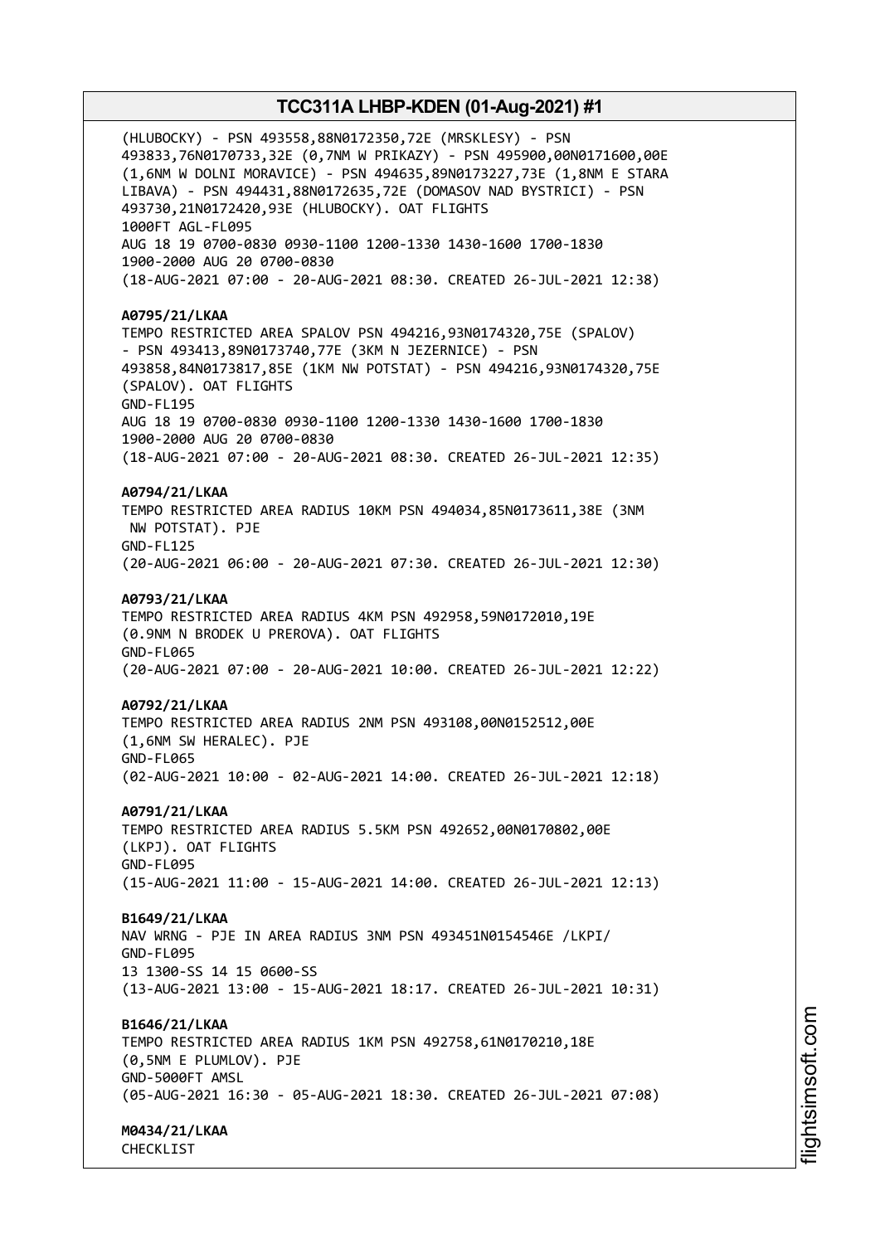(HLUBOCKY) - PSN 493558,88N0172350,72E (MRSKLESY) - PSN 493833,76N0170733,32E (0,7NM W PRIKAZY) - PSN 495900,00N0171600,00E (1,6NM W DOLNI MORAVICE) - PSN 494635,89N0173227,73E (1,8NM E STARA LIBAVA) - PSN 494431,88N0172635,72E (DOMASOV NAD BYSTRICI) - PSN 493730,21N0172420,93E (HLUBOCKY). OAT FLIGHTS 1000FT AGL-FL095 AUG 18 19 0700-0830 0930-1100 1200-1330 1430-1600 1700-1830 1900-2000 AUG 20 0700-0830 (18-AUG-2021 07:00 - 20-AUG-2021 08:30. CREATED 26-JUL-2021 12:38) **A0795/21/LKAA** TEMPO RESTRICTED AREA SPALOV PSN 494216,93N0174320,75E (SPALOV) - PSN 493413,89N0173740,77E (3KM N JEZERNICE) - PSN 493858,84N0173817,85E (1KM NW POTSTAT) - PSN 494216,93N0174320,75E (SPALOV). OAT FLIGHTS GND-FL195 AUG 18 19 0700-0830 0930-1100 1200-1330 1430-1600 1700-1830 1900-2000 AUG 20 0700-0830 (18-AUG-2021 07:00 - 20-AUG-2021 08:30. CREATED 26-JUL-2021 12:35) **A0794/21/LKAA** TEMPO RESTRICTED AREA RADIUS 10KM PSN 494034,85N0173611,38E (3NM NW POTSTAT). PJE GND-FL125 (20-AUG-2021 06:00 - 20-AUG-2021 07:30. CREATED 26-JUL-2021 12:30) **A0793/21/LKAA** TEMPO RESTRICTED AREA RADIUS 4KM PSN 492958,59N0172010,19E (0.9NM N BRODEK U PREROVA). OAT FLIGHTS GND-FL065 (20-AUG-2021 07:00 - 20-AUG-2021 10:00. CREATED 26-JUL-2021 12:22) **A0792/21/LKAA** TEMPO RESTRICTED AREA RADIUS 2NM PSN 493108,00N0152512,00E (1,6NM SW HERALEC). PJE GND-FL065 (02-AUG-2021 10:00 - 02-AUG-2021 14:00. CREATED 26-JUL-2021 12:18) **A0791/21/LKAA** TEMPO RESTRICTED AREA RADIUS 5.5KM PSN 492652,00N0170802,00E (LKPJ). OAT FLIGHTS GND-FL095 (15-AUG-2021 11:00 - 15-AUG-2021 14:00. CREATED 26-JUL-2021 12:13) **B1649/21/LKAA** NAV WRNG - PJE IN AREA RADIUS 3NM PSN 493451N0154546E /LKPI/ GND-FL095 13 1300-SS 14 15 0600-SS (13-AUG-2021 13:00 - 15-AUG-2021 18:17. CREATED 26-JUL-2021 10:31) **B1646/21/LKAA** TEMPO RESTRICTED AREA RADIUS 1KM PSN 492758,61N0170210,18E (0,5NM E PLUMLOV). PJE GND-5000FT AMSL (05-AUG-2021 16:30 - 05-AUG-2021 18:30. CREATED 26-JUL-2021 07:08) **M0434/21/LKAA**

CHECKLIST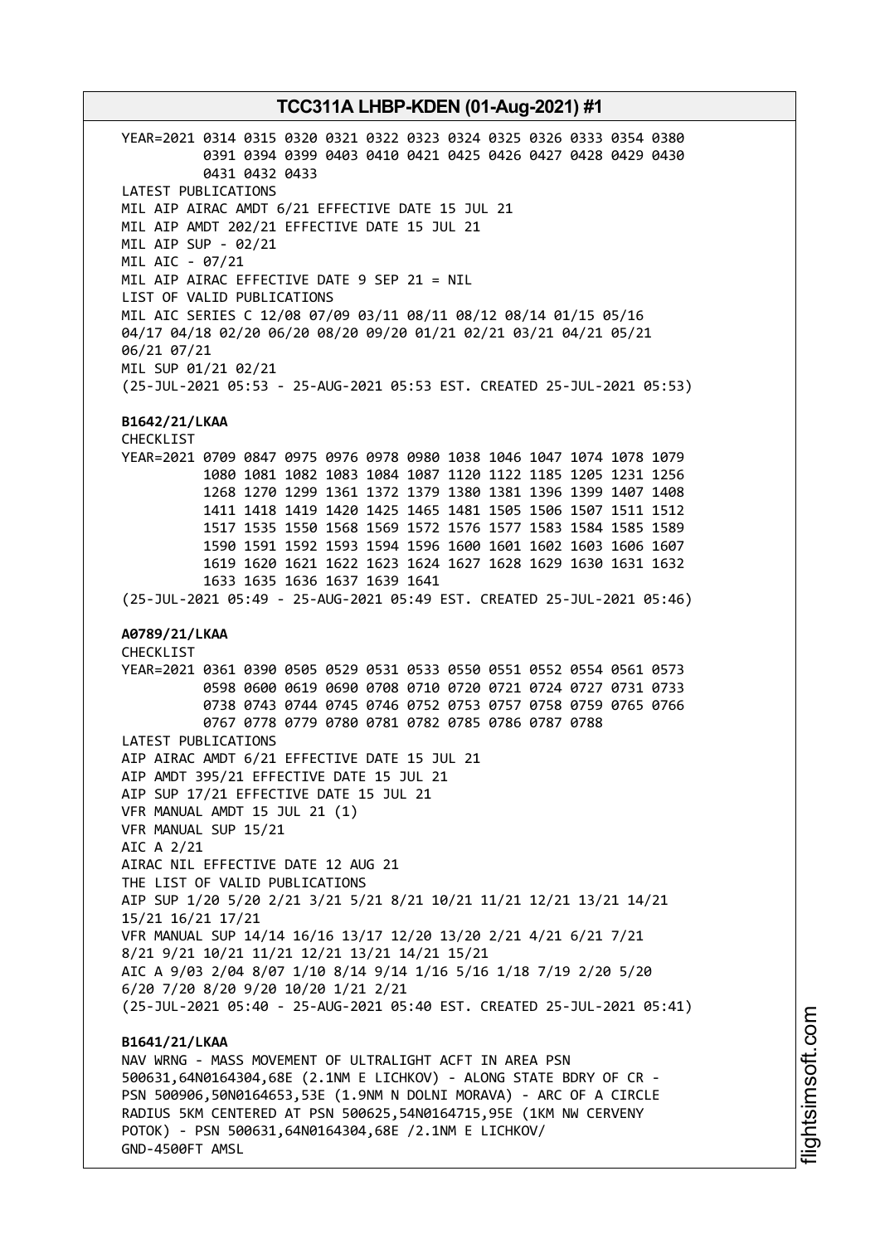YEAR=2021 0314 0315 0320 0321 0322 0323 0324 0325 0326 0333 0354 0380 0391 0394 0399 0403 0410 0421 0425 0426 0427 0428 0429 0430 0431 0432 0433 LATEST PUBLICATIONS MIL AIP AIRAC AMDT 6/21 EFFECTIVE DATE 15 JUL 21 MIL AIP AMDT 202/21 EFFECTIVE DATE 15 JUL 21 MIL AIP SUP - 02/21 MIL AIC - 07/21 MIL AIP AIRAC EFFECTIVE DATE 9 SEP 21 = NIL LIST OF VALID PUBLICATIONS MIL AIC SERIES C 12/08 07/09 03/11 08/11 08/12 08/14 01/15 05/16 04/17 04/18 02/20 06/20 08/20 09/20 01/21 02/21 03/21 04/21 05/21 06/21 07/21 MIL SUP 01/21 02/21 (25-JUL-2021 05:53 - 25-AUG-2021 05:53 EST. CREATED 25-JUL-2021 05:53) **B1642/21/LKAA** CHECKLIST YEAR=2021 0709 0847 0975 0976 0978 0980 1038 1046 1047 1074 1078 1079 1080 1081 1082 1083 1084 1087 1120 1122 1185 1205 1231 1256 1268 1270 1299 1361 1372 1379 1380 1381 1396 1399 1407 1408 1411 1418 1419 1420 1425 1465 1481 1505 1506 1507 1511 1512 1517 1535 1550 1568 1569 1572 1576 1577 1583 1584 1585 1589 1590 1591 1592 1593 1594 1596 1600 1601 1602 1603 1606 1607 1619 1620 1621 1622 1623 1624 1627 1628 1629 1630 1631 1632 1633 1635 1636 1637 1639 1641 (25-JUL-2021 05:49 - 25-AUG-2021 05:49 EST. CREATED 25-JUL-2021 05:46) **A0789/21/LKAA** CHECKLIST YEAR=2021 0361 0390 0505 0529 0531 0533 0550 0551 0552 0554 0561 0573 0598 0600 0619 0690 0708 0710 0720 0721 0724 0727 0731 0733 0738 0743 0744 0745 0746 0752 0753 0757 0758 0759 0765 0766 0767 0778 0779 0780 0781 0782 0785 0786 0787 0788 LATEST PUBLICATIONS AIP AIRAC AMDT 6/21 EFFECTIVE DATE 15 JUL 21 AIP AMDT 395/21 EFFECTIVE DATE 15 JUL 21 AIP SUP 17/21 EFFECTIVE DATE 15 JUL 21 VFR MANUAL AMDT 15 JUL 21 (1) VFR MANUAL SUP 15/21 AIC A 2/21 AIRAC NIL EFFECTIVE DATE 12 AUG 21 THE LIST OF VALID PUBLICATIONS AIP SUP 1/20 5/20 2/21 3/21 5/21 8/21 10/21 11/21 12/21 13/21 14/21 15/21 16/21 17/21 VFR MANUAL SUP 14/14 16/16 13/17 12/20 13/20 2/21 4/21 6/21 7/21 8/21 9/21 10/21 11/21 12/21 13/21 14/21 15/21 AIC A 9/03 2/04 8/07 1/10 8/14 9/14 1/16 5/16 1/18 7/19 2/20 5/20 6/20 7/20 8/20 9/20 10/20 1/21 2/21 (25-JUL-2021 05:40 - 25-AUG-2021 05:40 EST. CREATED 25-JUL-2021 05:41) **B1641/21/LKAA** NAV WRNG - MASS MOVEMENT OF ULTRALIGHT ACFT IN AREA PSN 500631,64N0164304,68E (2.1NM E LICHKOV) - ALONG STATE BDRY OF CR - PSN 500906,50N0164653,53E (1.9NM N DOLNI MORAVA) - ARC OF A CIRCLE RADIUS 5KM CENTERED AT PSN 500625,54N0164715,95E (1KM NW CERVENY POTOK) - PSN 500631,64N0164304,68E /2.1NM E LICHKOV/

GND-4500FT AMSL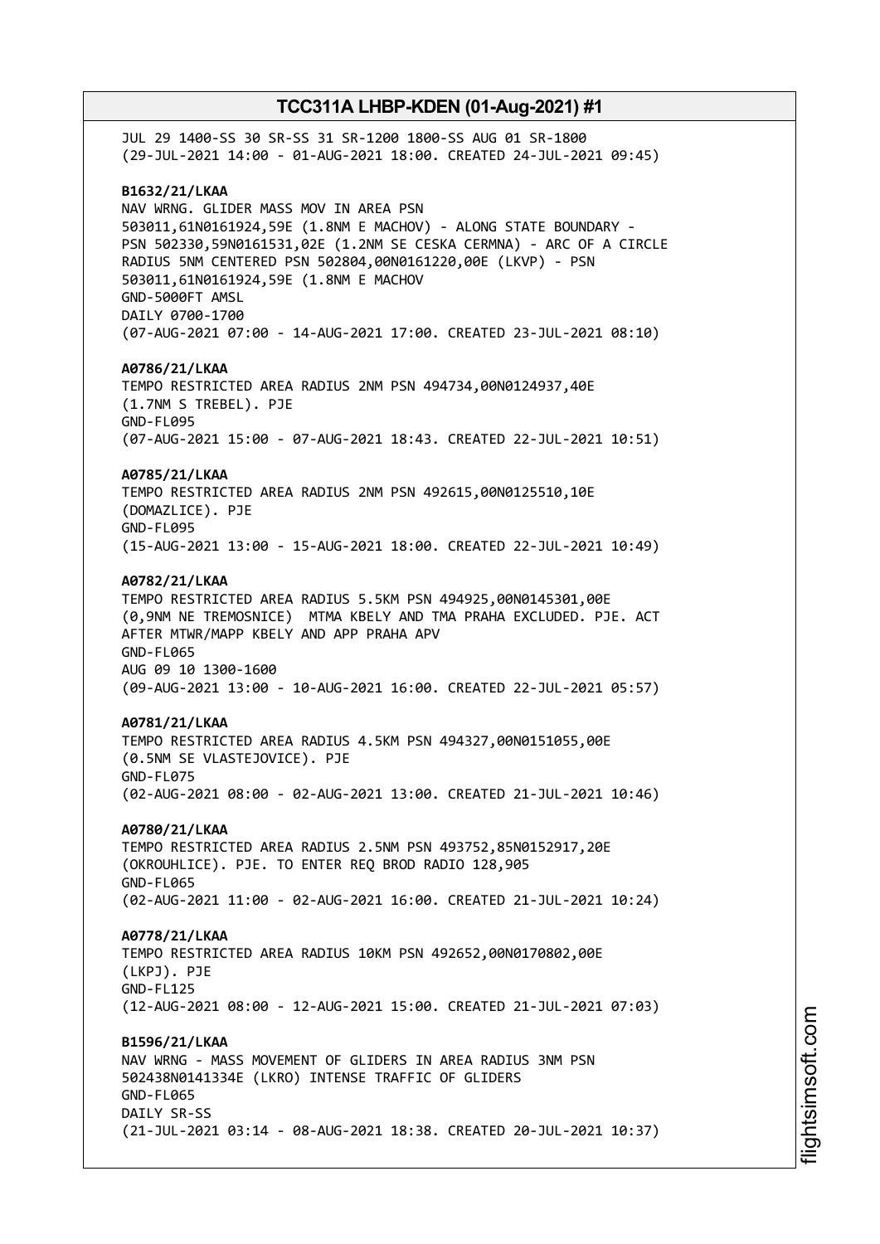JUL 29 1400-SS 30 SR-SS 31 SR-1200 1800-SS AUG 01 SR-1800 (29-JUL-2021 14:00 - 01-AUG-2021 18:00. CREATED 24-JUL-2021 09:45) **B1632/21/LKAA** NAV WRNG. GLIDER MASS MOV IN AREA PSN 503011,61N0161924,59E (1.8NM E MACHOV) - ALONG STATE BOUNDARY - PSN 502330,59N0161531,02E (1.2NM SE CESKA CERMNA) - ARC OF A CIRCLE RADIUS 5NM CENTERED PSN 502804,00N0161220,00E (LKVP) - PSN 503011,61N0161924,59E (1.8NM E MACHOV GND-5000FT AMSL DAILY 0700-1700 (07-AUG-2021 07:00 - 14-AUG-2021 17:00. CREATED 23-JUL-2021 08:10) **A0786/21/LKAA** TEMPO RESTRICTED AREA RADIUS 2NM PSN 494734,00N0124937,40E (1.7NM S TREBEL). PJE GND-FL095 (07-AUG-2021 15:00 - 07-AUG-2021 18:43. CREATED 22-JUL-2021 10:51) **A0785/21/LKAA** TEMPO RESTRICTED AREA RADIUS 2NM PSN 492615,00N0125510,10E (DOMAZLICE). PJE GND-FL095 (15-AUG-2021 13:00 - 15-AUG-2021 18:00. CREATED 22-JUL-2021 10:49) **A0782/21/LKAA** TEMPO RESTRICTED AREA RADIUS 5.5KM PSN 494925,00N0145301,00E (0,9NM NE TREMOSNICE) MTMA KBELY AND TMA PRAHA EXCLUDED. PJE. ACT AFTER MTWR/MAPP KBELY AND APP PRAHA APV GND-FL065 AUG 09 10 1300-1600 (09-AUG-2021 13:00 - 10-AUG-2021 16:00. CREATED 22-JUL-2021 05:57) **A0781/21/LKAA** TEMPO RESTRICTED AREA RADIUS 4.5KM PSN 494327,00N0151055,00E (0.5NM SE VLASTEJOVICE). PJE GND-FL075 (02-AUG-2021 08:00 - 02-AUG-2021 13:00. CREATED 21-JUL-2021 10:46) **A0780/21/LKAA** TEMPO RESTRICTED AREA RADIUS 2.5NM PSN 493752,85N0152917,20E (OKROUHLICE). PJE. TO ENTER REQ BROD RADIO 128,905 GND-FL065 (02-AUG-2021 11:00 - 02-AUG-2021 16:00. CREATED 21-JUL-2021 10:24) **A0778/21/LKAA** TEMPO RESTRICTED AREA RADIUS 10KM PSN 492652,00N0170802,00E (LKPJ). PJE GND-FL125 (12-AUG-2021 08:00 - 12-AUG-2021 15:00. CREATED 21-JUL-2021 07:03) **B1596/21/LKAA** NAV WRNG - MASS MOVEMENT OF GLIDERS IN AREA RADIUS 3NM PSN 502438N0141334E (LKRO) INTENSE TRAFFIC OF GLIDERS GND-FL065 DATLY SR-SS (21-JUL-2021 03:14 - 08-AUG-2021 18:38. CREATED 20-JUL-2021 10:37)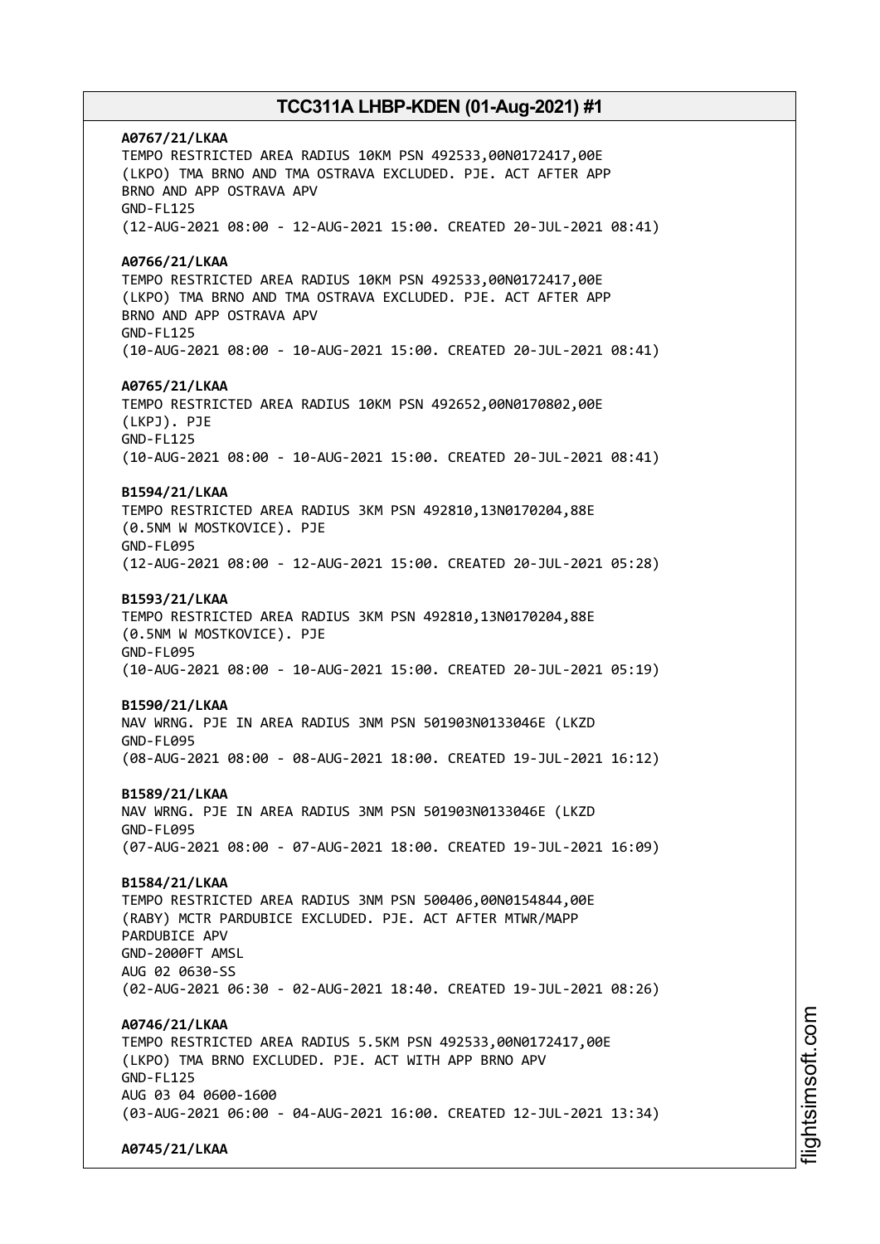**A0767/21/LKAA** TEMPO RESTRICTED AREA RADIUS 10KM PSN 492533,00N0172417,00E (LKPO) TMA BRNO AND TMA OSTRAVA EXCLUDED. PJE. ACT AFTER APP BRNO AND APP OSTRAVA APV GND-FL125 (12-AUG-2021 08:00 - 12-AUG-2021 15:00. CREATED 20-JUL-2021 08:41) **A0766/21/LKAA** TEMPO RESTRICTED AREA RADIUS 10KM PSN 492533,00N0172417,00E (LKPO) TMA BRNO AND TMA OSTRAVA EXCLUDED. PJE. ACT AFTER APP BRNO AND APP OSTRAVA APV GND-FL125 (10-AUG-2021 08:00 - 10-AUG-2021 15:00. CREATED 20-JUL-2021 08:41) **A0765/21/LKAA** TEMPO RESTRICTED AREA RADIUS 10KM PSN 492652,00N0170802,00E (LKPJ). PJE GND-FL125 (10-AUG-2021 08:00 - 10-AUG-2021 15:00. CREATED 20-JUL-2021 08:41) **B1594/21/LKAA** TEMPO RESTRICTED AREA RADIUS 3KM PSN 492810,13N0170204,88E (0.5NM W MOSTKOVICE). PJE GND-FL095 (12-AUG-2021 08:00 - 12-AUG-2021 15:00. CREATED 20-JUL-2021 05:28) **B1593/21/LKAA** TEMPO RESTRICTED AREA RADIUS 3KM PSN 492810,13N0170204,88E (0.5NM W MOSTKOVICE). PJE GND-FL095 (10-AUG-2021 08:00 - 10-AUG-2021 15:00. CREATED 20-JUL-2021 05:19) **B1590/21/LKAA** NAV WRNG. PJE IN AREA RADIUS 3NM PSN 501903N0133046E (LKZD GND-FL095 (08-AUG-2021 08:00 - 08-AUG-2021 18:00. CREATED 19-JUL-2021 16:12) **B1589/21/LKAA** NAV WRNG. PJE IN AREA RADIUS 3NM PSN 501903N0133046E (LKZD GND-FL095 (07-AUG-2021 08:00 - 07-AUG-2021 18:00. CREATED 19-JUL-2021 16:09) **B1584/21/LKAA** TEMPO RESTRICTED AREA RADIUS 3NM PSN 500406,00N0154844,00E (RABY) MCTR PARDUBICE EXCLUDED. PJE. ACT AFTER MTWR/MAPP PARDUBICE APV GND-2000FT AMSL AUG 02 0630-SS (02-AUG-2021 06:30 - 02-AUG-2021 18:40. CREATED 19-JUL-2021 08:26) **A0746/21/LKAA** TEMPO RESTRICTED AREA RADIUS 5.5KM PSN 492533,00N0172417,00E (LKPO) TMA BRNO EXCLUDED. PJE. ACT WITH APP BRNO APV GND-FL125 AUG 03 04 0600-1600 (03-AUG-2021 06:00 - 04-AUG-2021 16:00. CREATED 12-JUL-2021 13:34) **A0745/21/LKAA**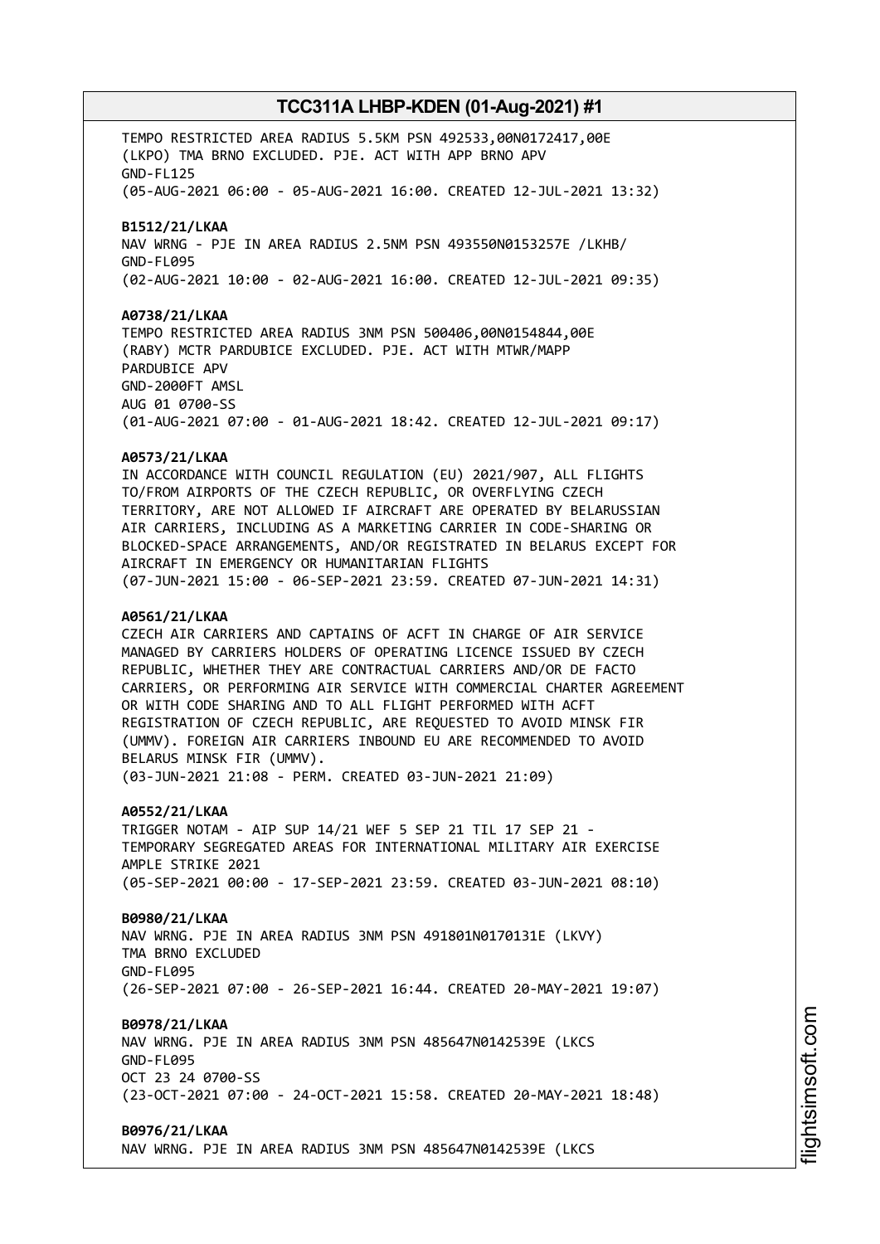TEMPO RESTRICTED AREA RADIUS 5.5KM PSN 492533,00N0172417,00E (LKPO) TMA BRNO EXCLUDED. PJE. ACT WITH APP BRNO APV GND-FL125 (05-AUG-2021 06:00 - 05-AUG-2021 16:00. CREATED 12-JUL-2021 13:32) **B1512/21/LKAA** NAV WRNG - PJE IN AREA RADIUS 2.5NM PSN 493550N0153257E /LKHB/ GND-FL095 (02-AUG-2021 10:00 - 02-AUG-2021 16:00. CREATED 12-JUL-2021 09:35) **A0738/21/LKAA** TEMPO RESTRICTED AREA RADIUS 3NM PSN 500406,00N0154844,00E (RABY) MCTR PARDUBICE EXCLUDED. PJE. ACT WITH MTWR/MAPP PARDUBICE APV GND-2000FT AMSL AUG 01 0700-SS (01-AUG-2021 07:00 - 01-AUG-2021 18:42. CREATED 12-JUL-2021 09:17) **A0573/21/LKAA** IN ACCORDANCE WITH COUNCIL REGULATION (EU) 2021/907, ALL FLIGHTS TO/FROM AIRPORTS OF THE CZECH REPUBLIC, OR OVERFLYING CZECH TERRITORY, ARE NOT ALLOWED IF AIRCRAFT ARE OPERATED BY BELARUSSIAN AIR CARRIERS, INCLUDING AS A MARKETING CARRIER IN CODE-SHARING OR BLOCKED-SPACE ARRANGEMENTS, AND/OR REGISTRATED IN BELARUS EXCEPT FOR AIRCRAFT IN EMERGENCY OR HUMANITARIAN FLIGHTS (07-JUN-2021 15:00 - 06-SEP-2021 23:59. CREATED 07-JUN-2021 14:31) **A0561/21/LKAA** CZECH AIR CARRIERS AND CAPTAINS OF ACFT IN CHARGE OF AIR SERVICE MANAGED BY CARRIERS HOLDERS OF OPERATING LICENCE ISSUED BY CZECH REPUBLIC, WHETHER THEY ARE CONTRACTUAL CARRIERS AND/OR DE FACTO CARRIERS, OR PERFORMING AIR SERVICE WITH COMMERCIAL CHARTER AGREEMENT OR WITH CODE SHARING AND TO ALL FLIGHT PERFORMED WITH ACFT REGISTRATION OF CZECH REPUBLIC, ARE REQUESTED TO AVOID MINSK FIR (UMMV). FOREIGN AIR CARRIERS INBOUND EU ARE RECOMMENDED TO AVOID BELARUS MINSK FIR (UMMV). (03-JUN-2021 21:08 - PERM. CREATED 03-JUN-2021 21:09) **A0552/21/LKAA** TRIGGER NOTAM - AIP SUP 14/21 WEF 5 SEP 21 TIL 17 SEP 21 - TEMPORARY SEGREGATED AREAS FOR INTERNATIONAL MILITARY AIR EXERCISE AMPLE STRIKE 2021 (05-SEP-2021 00:00 - 17-SEP-2021 23:59. CREATED 03-JUN-2021 08:10) **B0980/21/LKAA** NAV WRNG. PJE IN AREA RADIUS 3NM PSN 491801N0170131E (LKVY) TMA BRNO EXCLUDED GND-FL095 (26-SEP-2021 07:00 - 26-SEP-2021 16:44. CREATED 20-MAY-2021 19:07) **B0978/21/LKAA** NAV WRNG. PJE IN AREA RADIUS 3NM PSN 485647N0142539E (LKCS GND-FL095 OCT 23 24 0700-SS (23-OCT-2021 07:00 - 24-OCT-2021 15:58. CREATED 20-MAY-2021 18:48) **B0976/21/LKAA** NAV WRNG. PJE IN AREA RADIUS 3NM PSN 485647N0142539E (LKCS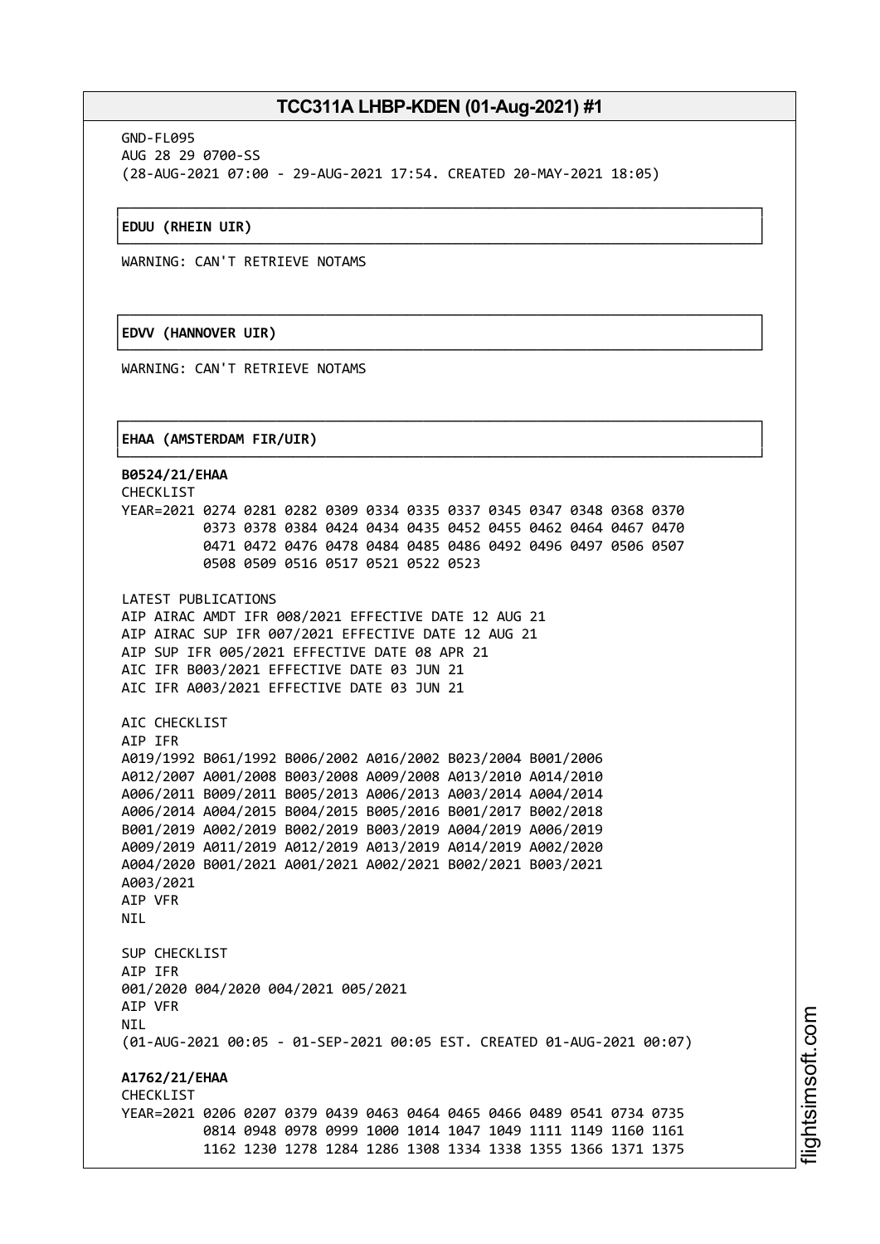┌──────────────────────────────────────────────────────────────────────────────┐

└──────────────────────────────────────────────────────────────────────────────┘

┌──────────────────────────────────────────────────────────────────────────────┐

└──────────────────────────────────────────────────────────────────────────────┘

┌──────────────────────────────────────────────────────────────────────────────┐

GND-FL095 AUG 28 29 0700-SS (28-AUG-2021 07:00 - 29-AUG-2021 17:54. CREATED 20-MAY-2021 18:05)

## │**EDUU (RHEIN UIR)** │

WARNING: CAN'T RETRIEVE NOTAMS

## │**EDVV (HANNOVER UIR)** │

WARNING: CAN'T RETRIEVE NOTAMS

## │**EHAA (AMSTERDAM FIR/UIR)** │

└──────────────────────────────────────────────────────────────────────────────┘ **B0524/21/EHAA** CHECKLIST YEAR=2021 0274 0281 0282 0309 0334 0335 0337 0345 0347 0348 0368 0370 0373 0378 0384 0424 0434 0435 0452 0455 0462 0464 0467 0470 0471 0472 0476 0478 0484 0485 0486 0492 0496 0497 0506 0507 0508 0509 0516 0517 0521 0522 0523 LATEST PUBLICATIONS AIP AIRAC AMDT IFR 008/2021 EFFECTIVE DATE 12 AUG 21 AIP AIRAC SUP IFR 007/2021 EFFECTIVE DATE 12 AUG 21 AIP SUP IFR 005/2021 EFFECTIVE DATE 08 APR 21 AIC IFR B003/2021 EFFECTIVE DATE 03 JUN 21 AIC IFR A003/2021 EFFECTIVE DATE 03 JUN 21 AIC CHECKLIST AIP IFR A019/1992 B061/1992 B006/2002 A016/2002 B023/2004 B001/2006 A012/2007 A001/2008 B003/2008 A009/2008 A013/2010 A014/2010 A006/2011 B009/2011 B005/2013 A006/2013 A003/2014 A004/2014 A006/2014 A004/2015 B004/2015 B005/2016 B001/2017 B002/2018 B001/2019 A002/2019 B002/2019 B003/2019 A004/2019 A006/2019 A009/2019 A011/2019 A012/2019 A013/2019 A014/2019 A002/2020 A004/2020 B001/2021 A001/2021 A002/2021 B002/2021 B003/2021 A003/2021 AIP VFR **NTI** SUP CHECKLIST AIP IFR 001/2020 004/2020 004/2021 005/2021 AIP VFR **NTI** (01-AUG-2021 00:05 - 01-SEP-2021 00:05 EST. CREATED 01-AUG-2021 00:07) **A1762/21/EHAA CHECKLIST** YEAR=2021 0206 0207 0379 0439 0463 0464 0465 0466 0489 0541 0734 0735 0814 0948 0978 0999 1000 1014 1047 1049 1111 1149 1160 1161 1162 1230 1278 1284 1286 1308 1334 1338 1355 1366 1371 1375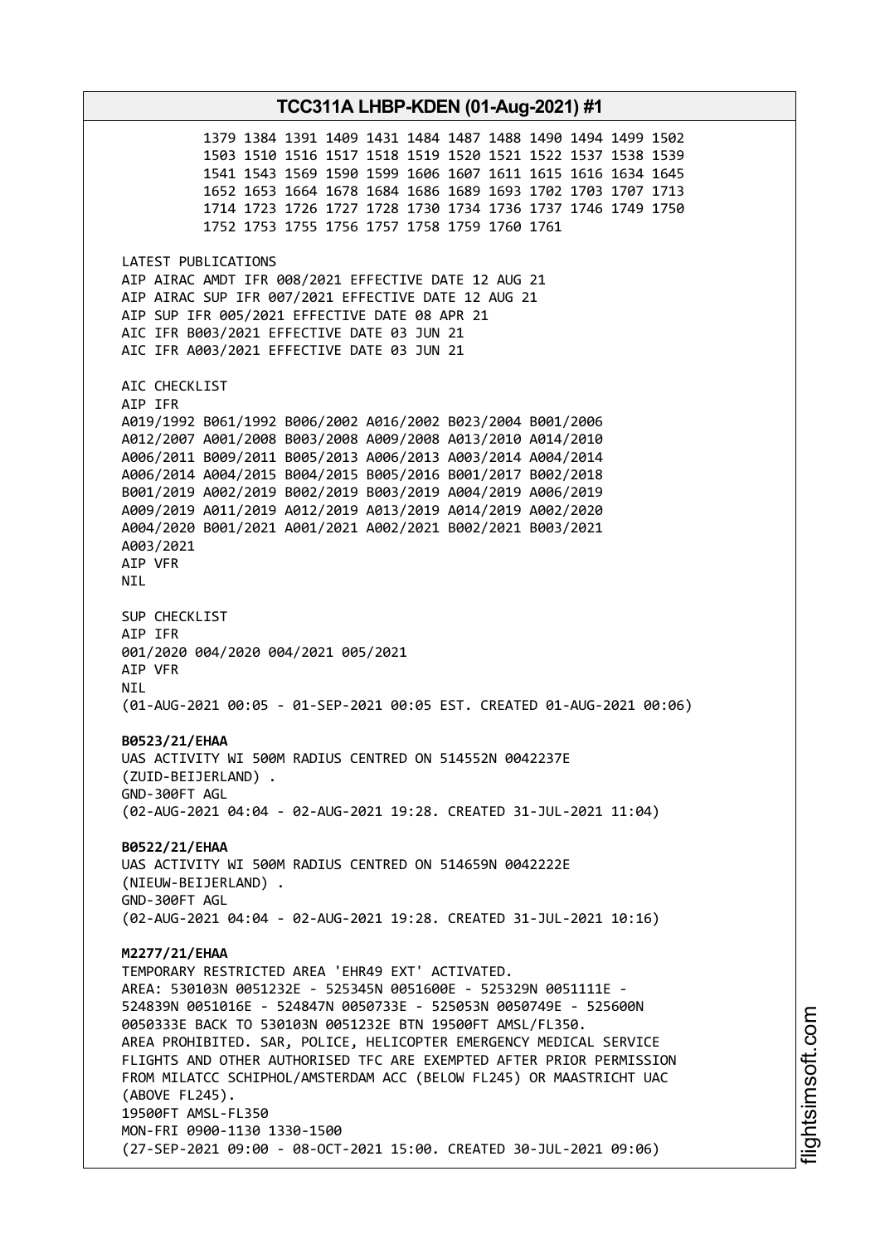1379 1384 1391 1409 1431 1484 1487 1488 1490 1494 1499 1502 1503 1510 1516 1517 1518 1519 1520 1521 1522 1537 1538 1539 1541 1543 1569 1590 1599 1606 1607 1611 1615 1616 1634 1645 1652 1653 1664 1678 1684 1686 1689 1693 1702 1703 1707 1713 1714 1723 1726 1727 1728 1730 1734 1736 1737 1746 1749 1750 1752 1753 1755 1756 1757 1758 1759 1760 1761 LATEST PUBLICATIONS AIP AIRAC AMDT IFR 008/2021 EFFECTIVE DATE 12 AUG 21 AIP AIRAC SUP IFR 007/2021 EFFECTIVE DATE 12 AUG 21 AIP SUP IFR 005/2021 EFFECTIVE DATE 08 APR 21 AIC IFR B003/2021 EFFECTIVE DATE 03 JUN 21 AIC IFR A003/2021 EFFECTIVE DATE 03 JUN 21 AIC CHECKLIST AIP IFR A019/1992 B061/1992 B006/2002 A016/2002 B023/2004 B001/2006 A012/2007 A001/2008 B003/2008 A009/2008 A013/2010 A014/2010 A006/2011 B009/2011 B005/2013 A006/2013 A003/2014 A004/2014 A006/2014 A004/2015 B004/2015 B005/2016 B001/2017 B002/2018 B001/2019 A002/2019 B002/2019 B003/2019 A004/2019 A006/2019 A009/2019 A011/2019 A012/2019 A013/2019 A014/2019 A002/2020 A004/2020 B001/2021 A001/2021 A002/2021 B002/2021 B003/2021 A003/2021 AIP VFR NIL SUP CHECKLIST AIP IFR 001/2020 004/2020 004/2021 005/2021 AIP VFR NIL (01-AUG-2021 00:05 - 01-SEP-2021 00:05 EST. CREATED 01-AUG-2021 00:06) **B0523/21/EHAA** UAS ACTIVITY WI 500M RADIUS CENTRED ON 514552N 0042237E (ZUID-BEIJERLAND) . GND-300FT AGL (02-AUG-2021 04:04 - 02-AUG-2021 19:28. CREATED 31-JUL-2021 11:04) **B0522/21/EHAA** UAS ACTIVITY WI 500M RADIUS CENTRED ON 514659N 0042222E (NIEUW-BEIJERLAND) . GND-300FT AGL (02-AUG-2021 04:04 - 02-AUG-2021 19:28. CREATED 31-JUL-2021 10:16) **M2277/21/EHAA** TEMPORARY RESTRICTED AREA 'EHR49 EXT' ACTIVATED. AREA: 530103N 0051232E - 525345N 0051600E - 525329N 0051111E - 524839N 0051016E - 524847N 0050733E - 525053N 0050749E - 525600N 0050333E BACK TO 530103N 0051232E BTN 19500FT AMSL/FL350. AREA PROHIBITED. SAR, POLICE, HELICOPTER EMERGENCY MEDICAL SERVICE FLIGHTS AND OTHER AUTHORISED TFC ARE EXEMPTED AFTER PRIOR PERMISSION FROM MILATCC SCHIPHOL/AMSTERDAM ACC (BELOW FL245) OR MAASTRICHT UAC (ABOVE FL245). 19500FT AMSL-FL350 MON-FRI 0900-1130 1330-1500 (27-SEP-2021 09:00 - 08-OCT-2021 15:00. CREATED 30-JUL-2021 09:06)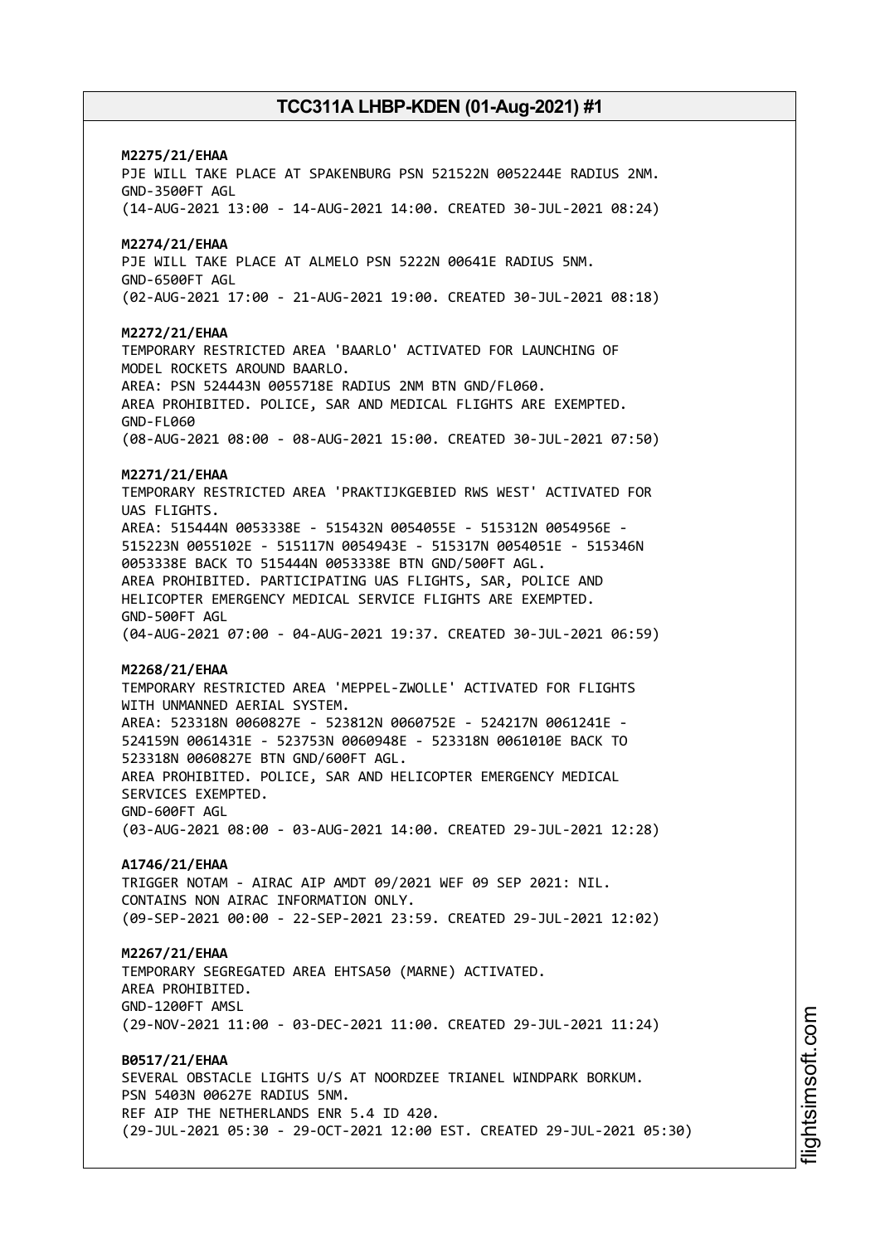# **M2275/21/EHAA** PJE WILL TAKE PLACE AT SPAKENBURG PSN 521522N 0052244E RADIUS 2NM. GND-3500FT AGL (14-AUG-2021 13:00 - 14-AUG-2021 14:00. CREATED 30-JUL-2021 08:24) **M2274/21/EHAA** PJE WILL TAKE PLACE AT ALMELO PSN 5222N 00641E RADIUS 5NM. GND-6500FT AGL (02-AUG-2021 17:00 - 21-AUG-2021 19:00. CREATED 30-JUL-2021 08:18) **M2272/21/EHAA** TEMPORARY RESTRICTED AREA 'BAARLO' ACTIVATED FOR LAUNCHING OF MODEL ROCKETS AROUND BAARLO. AREA: PSN 524443N 0055718E RADIUS 2NM BTN GND/FL060. AREA PROHIBITED. POLICE, SAR AND MEDICAL FLIGHTS ARE EXEMPTED. GND-FL060 (08-AUG-2021 08:00 - 08-AUG-2021 15:00. CREATED 30-JUL-2021 07:50) **M2271/21/EHAA** TEMPORARY RESTRICTED AREA 'PRAKTIJKGEBIED RWS WEST' ACTIVATED FOR UAS FLIGHTS. AREA: 515444N 0053338E - 515432N 0054055E - 515312N 0054956E - 515223N 0055102E - 515117N 0054943E - 515317N 0054051E - 515346N 0053338E BACK TO 515444N 0053338E BTN GND/500FT AGL. AREA PROHIBITED. PARTICIPATING UAS FLIGHTS, SAR, POLICE AND HELICOPTER EMERGENCY MEDICAL SERVICE FLIGHTS ARE EXEMPTED. GND-500FT AGL (04-AUG-2021 07:00 - 04-AUG-2021 19:37. CREATED 30-JUL-2021 06:59) **M2268/21/EHAA** TEMPORARY RESTRICTED AREA 'MEPPEL-ZWOLLE' ACTIVATED FOR FLIGHTS WITH UNMANNED AERIAL SYSTEM. AREA: 523318N 0060827E - 523812N 0060752E - 524217N 0061241E - 524159N 0061431E - 523753N 0060948E - 523318N 0061010E BACK TO 523318N 0060827E BTN GND/600FT AGL. AREA PROHIBITED. POLICE, SAR AND HELICOPTER EMERGENCY MEDICAL SERVICES EXEMPTED. GND-600FT AGL (03-AUG-2021 08:00 - 03-AUG-2021 14:00. CREATED 29-JUL-2021 12:28) **A1746/21/EHAA** TRIGGER NOTAM - AIRAC AIP AMDT 09/2021 WEF 09 SEP 2021: NIL. CONTAINS NON ATRAC INFORMATION ONLY. (09-SEP-2021 00:00 - 22-SEP-2021 23:59. CREATED 29-JUL-2021 12:02) **M2267/21/EHAA** TEMPORARY SEGREGATED AREA EHTSA50 (MARNE) ACTIVATED. AREA PROHIBITED. GND-1200FT AMSL (29-NOV-2021 11:00 - 03-DEC-2021 11:00. CREATED 29-JUL-2021 11:24) **B0517/21/EHAA** SEVERAL OBSTACLE LIGHTS U/S AT NOORDZEE TRIANEL WINDPARK BORKUM. PSN 5403N 00627E RADIUS 5NM. REF AIP THE NETHERLANDS ENR 5.4 ID 420. (29-JUL-2021 05:30 - 29-OCT-2021 12:00 EST. CREATED 29-JUL-2021 05:30)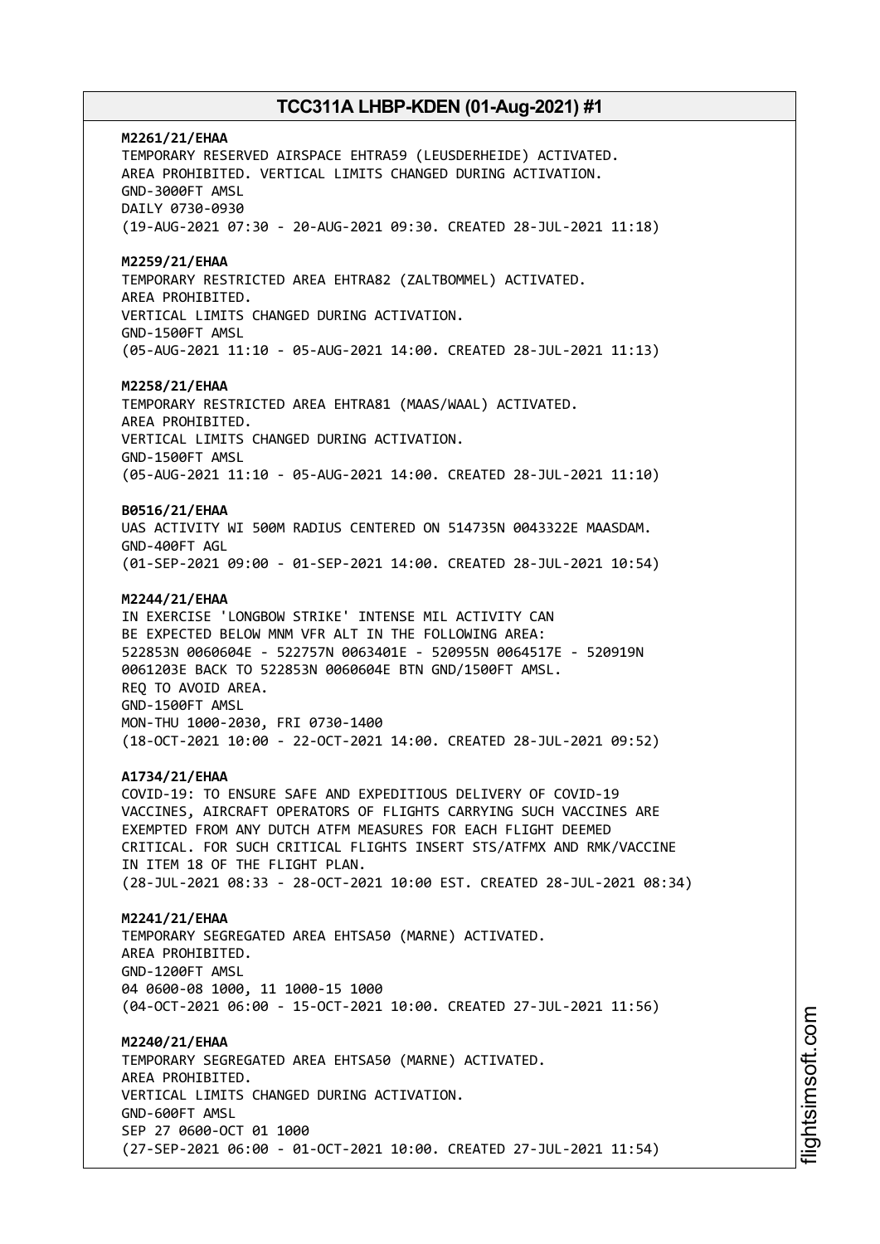**M2261/21/EHAA** TEMPORARY RESERVED AIRSPACE EHTRA59 (LEUSDERHEIDE) ACTIVATED. AREA PROHIBITED. VERTICAL LIMITS CHANGED DURING ACTIVATION. GND-3000FT AMSL DAILY 0730-0930 (19-AUG-2021 07:30 - 20-AUG-2021 09:30. CREATED 28-JUL-2021 11:18) **M2259/21/EHAA** TEMPORARY RESTRICTED AREA EHTRA82 (ZALTBOMMEL) ACTIVATED. AREA PROHIBITED. VERTICAL LIMITS CHANGED DURING ACTIVATION. GND-1500FT AMSL (05-AUG-2021 11:10 - 05-AUG-2021 14:00. CREATED 28-JUL-2021 11:13) **M2258/21/EHAA** TEMPORARY RESTRICTED AREA EHTRA81 (MAAS/WAAL) ACTIVATED. AREA PROHIBITED. VERTICAL LIMITS CHANGED DURING ACTIVATION. GND-1500FT AMSL (05-AUG-2021 11:10 - 05-AUG-2021 14:00. CREATED 28-JUL-2021 11:10) **B0516/21/EHAA** UAS ACTIVITY WI 500M RADIUS CENTERED ON 514735N 0043322E MAASDAM. GND-400FT AGL (01-SEP-2021 09:00 - 01-SEP-2021 14:00. CREATED 28-JUL-2021 10:54) **M2244/21/EHAA** IN EXERCISE 'LONGBOW STRIKE' INTENSE MIL ACTIVITY CAN BE EXPECTED BELOW MNM VFR ALT IN THE FOLLOWING AREA: 522853N 0060604E - 522757N 0063401E - 520955N 0064517E - 520919N 0061203E BACK TO 522853N 0060604E BTN GND/1500FT AMSL. REQ TO AVOID AREA. GND-1500FT AMSL MON-THU 1000-2030, FRI 0730-1400 (18-OCT-2021 10:00 - 22-OCT-2021 14:00. CREATED 28-JUL-2021 09:52) **A1734/21/EHAA** COVID-19: TO ENSURE SAFE AND EXPEDITIOUS DELIVERY OF COVID-19 VACCINES, AIRCRAFT OPERATORS OF FLIGHTS CARRYING SUCH VACCINES ARE EXEMPTED FROM ANY DUTCH ATFM MEASURES FOR EACH FLIGHT DEEMED CRITICAL. FOR SUCH CRITICAL FLIGHTS INSERT STS/ATFMX AND RMK/VACCINE IN ITEM 18 OF THE FLIGHT PLAN. (28-JUL-2021 08:33 - 28-OCT-2021 10:00 EST. CREATED 28-JUL-2021 08:34) **M2241/21/EHAA** TEMPORARY SEGREGATED AREA EHTSA50 (MARNE) ACTIVATED. AREA PROHIBITED. GND-1200FT AMSL 04 0600-08 1000, 11 1000-15 1000 (04-OCT-2021 06:00 - 15-OCT-2021 10:00. CREATED 27-JUL-2021 11:56) **M2240/21/EHAA** TEMPORARY SEGREGATED AREA EHTSA50 (MARNE) ACTIVATED. AREA PROHIBITED. VERTICAL LIMITS CHANGED DURING ACTIVATION. GND-600FT AMSL SEP 27 0600-OCT 01 1000 (27-SEP-2021 06:00 - 01-OCT-2021 10:00. CREATED 27-JUL-2021 11:54)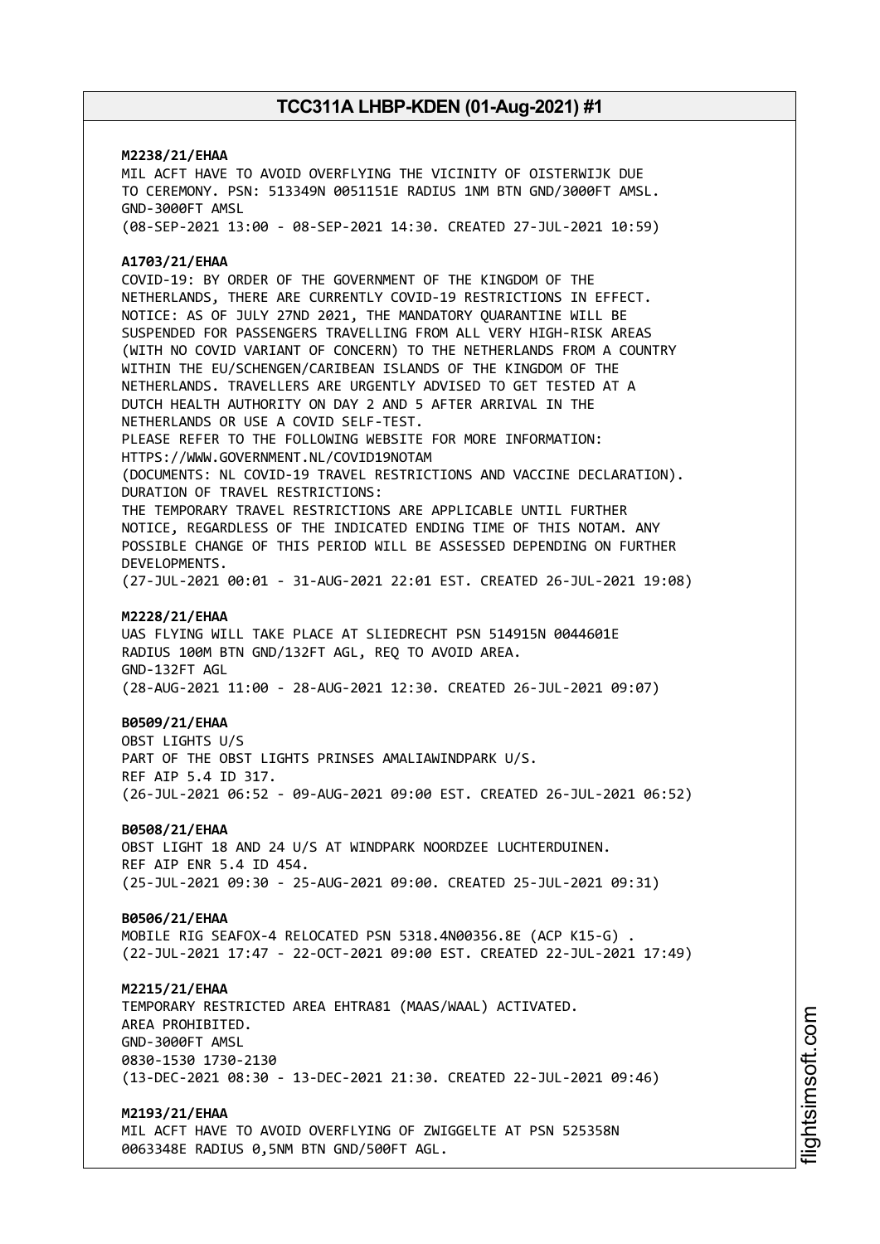# **M2238/21/EHAA** MIL ACFT HAVE TO AVOID OVERFLYING THE VICINITY OF OISTERWIJK DUE TO CEREMONY. PSN: 513349N 0051151E RADIUS 1NM BTN GND/3000FT AMSL. GND-3000FT AMSL (08-SEP-2021 13:00 - 08-SEP-2021 14:30. CREATED 27-JUL-2021 10:59) **A1703/21/EHAA** COVID-19: BY ORDER OF THE GOVERNMENT OF THE KINGDOM OF THE NETHERLANDS, THERE ARE CURRENTLY COVID-19 RESTRICTIONS IN EFFECT. NOTICE: AS OF JULY 27ND 2021, THE MANDATORY QUARANTINE WILL BE SUSPENDED FOR PASSENGERS TRAVELLING FROM ALL VERY HIGH-RISK AREAS (WITH NO COVID VARIANT OF CONCERN) TO THE NETHERLANDS FROM A COUNTRY WITHIN THE EU/SCHENGEN/CARIBEAN ISLANDS OF THE KINGDOM OF THE NETHERLANDS. TRAVELLERS ARE URGENTLY ADVISED TO GET TESTED AT A DUTCH HEALTH AUTHORITY ON DAY 2 AND 5 AFTER ARRIVAL IN THE NETHERLANDS OR USE A COVID SELF-TEST. PLEASE REFER TO THE FOLLOWING WEBSITE FOR MORE INFORMATION: HTTPS://WWW.GOVERNMENT.NL/COVID19NOTAM (DOCUMENTS: NL COVID-19 TRAVEL RESTRICTIONS AND VACCINE DECLARATION). DURATION OF TRAVEL RESTRICTIONS: THE TEMPORARY TRAVEL RESTRICTIONS ARE APPLICABLE UNTIL FURTHER NOTICE, REGARDLESS OF THE INDICATED ENDING TIME OF THIS NOTAM. ANY POSSIBLE CHANGE OF THIS PERIOD WILL BE ASSESSED DEPENDING ON FURTHER DEVELOPMENTS. (27-JUL-2021 00:01 - 31-AUG-2021 22:01 EST. CREATED 26-JUL-2021 19:08) **M2228/21/EHAA** UAS FLYING WILL TAKE PLACE AT SLIEDRECHT PSN 514915N 0044601E RADIUS 100M BTN GND/132FT AGL, REQ TO AVOID AREA. GND-132FT AGL (28-AUG-2021 11:00 - 28-AUG-2021 12:30. CREATED 26-JUL-2021 09:07) **B0509/21/EHAA** OBST LIGHTS U/S PART OF THE OBST LIGHTS PRINSES AMALIAWINDPARK U/S. REF AIP 5.4 ID 317. (26-JUL-2021 06:52 - 09-AUG-2021 09:00 EST. CREATED 26-JUL-2021 06:52) **B0508/21/EHAA** OBST LIGHT 18 AND 24 U/S AT WINDPARK NOORDZEE LUCHTERDUINEN. REF AIP ENR 5.4 ID 454. (25-JUL-2021 09:30 - 25-AUG-2021 09:00. CREATED 25-JUL-2021 09:31) **B0506/21/EHAA** MOBILE RIG SEAFOX-4 RELOCATED PSN 5318.4N00356.8E (ACP K15-G) . (22-JUL-2021 17:47 - 22-OCT-2021 09:00 EST. CREATED 22-JUL-2021 17:49) **M2215/21/EHAA** TEMPORARY RESTRICTED AREA EHTRA81 (MAAS/WAAL) ACTIVATED. AREA PROHIBITED. GND-3000FT AMSL 0830-1530 1730-2130 (13-DEC-2021 08:30 - 13-DEC-2021 21:30. CREATED 22-JUL-2021 09:46) **M2193/21/EHAA**

MIL ACFT HAVE TO AVOID OVERFLYING OF ZWIGGELTE AT PSN 525358N 0063348E RADIUS 0,5NM BTN GND/500FT AGL.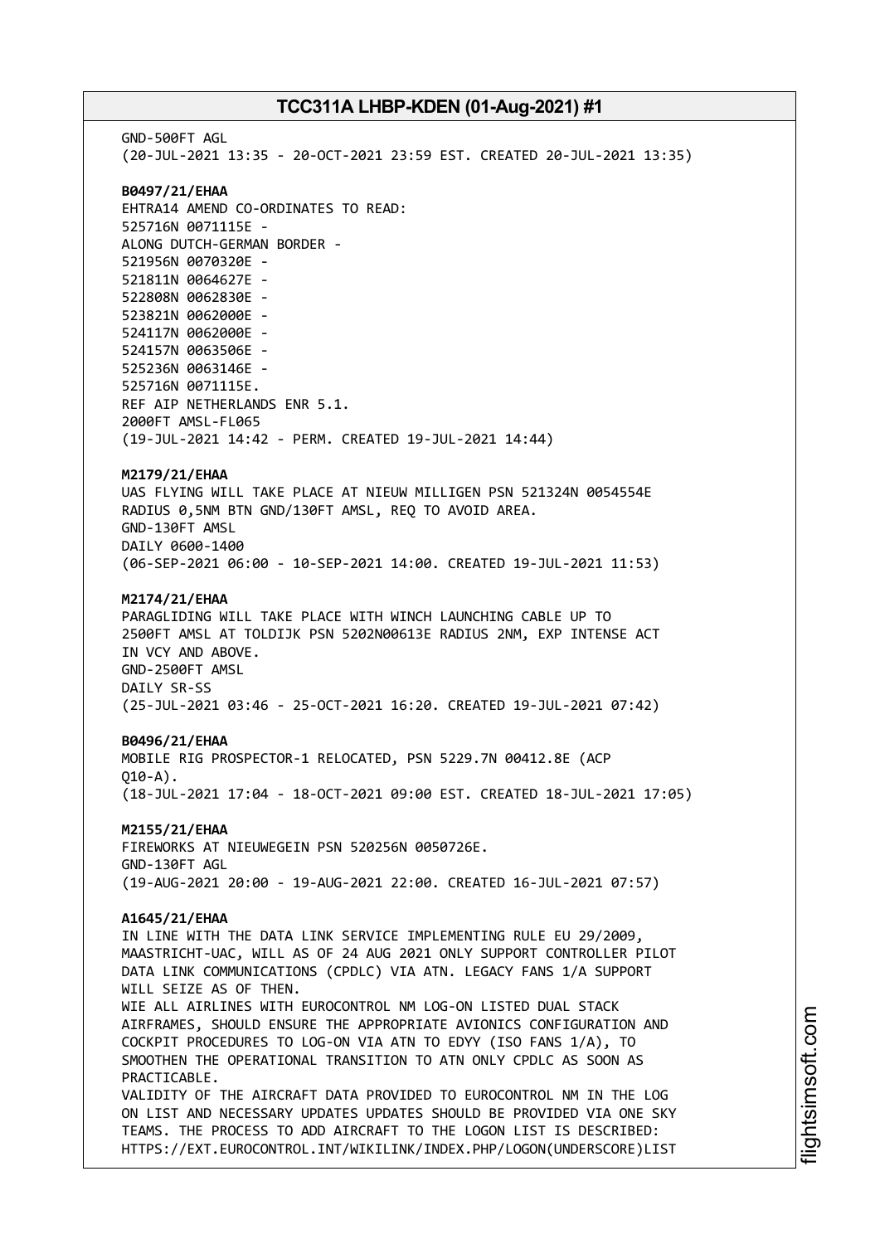GND-500FT AGL (20-JUL-2021 13:35 - 20-OCT-2021 23:59 EST. CREATED 20-JUL-2021 13:35) **B0497/21/EHAA** EHTRA14 AMEND CO-ORDINATES TO READ: 525716N 0071115E - ALONG DUTCH-GERMAN BORDER - 521956N 0070320E - 521811N 0064627E - 522808N 0062830E - 523821N 0062000E - 524117N 0062000E - 524157N 0063506E - 525236N 0063146E - 525716N 0071115E. REF AIP NETHERLANDS ENR 5.1. 2000FT AMSL-FL065 (19-JUL-2021 14:42 - PERM. CREATED 19-JUL-2021 14:44) **M2179/21/EHAA** UAS FLYING WILL TAKE PLACE AT NIEUW MILLIGEN PSN 521324N 0054554E RADIUS 0,5NM BTN GND/130FT AMSL, REQ TO AVOID AREA. GND-130FT AMSL DAILY 0600-1400 (06-SEP-2021 06:00 - 10-SEP-2021 14:00. CREATED 19-JUL-2021 11:53) **M2174/21/EHAA** PARAGLIDING WILL TAKE PLACE WITH WINCH LAUNCHING CABLE UP TO 2500FT AMSL AT TOLDIJK PSN 5202N00613E RADIUS 2NM, EXP INTENSE ACT IN VCY AND ABOVE. GND-2500FT AMSL DAILY SR-SS (25-JUL-2021 03:46 - 25-OCT-2021 16:20. CREATED 19-JUL-2021 07:42) **B0496/21/EHAA** MOBILE RIG PROSPECTOR-1 RELOCATED, PSN 5229.7N 00412.8E (ACP  $010 - A$ ). (18-JUL-2021 17:04 - 18-OCT-2021 09:00 EST. CREATED 18-JUL-2021 17:05) **M2155/21/EHAA** FIREWORKS AT NIEUWEGEIN PSN 520256N 0050726E. GND-130FT AGL (19-AUG-2021 20:00 - 19-AUG-2021 22:00. CREATED 16-JUL-2021 07:57) **A1645/21/EHAA** IN LINE WITH THE DATA LINK SERVICE IMPLEMENTING RULE EU 29/2009, MAASTRICHT-UAC, WILL AS OF 24 AUG 2021 ONLY SUPPORT CONTROLLER PILOT DATA LINK COMMUNICATIONS (CPDLC) VIA ATN. LEGACY FANS 1/A SUPPORT WILL SEIZE AS OF THEN. WIE ALL AIRLINES WITH EUROCONTROL NM LOG-ON LISTED DUAL STACK AIRFRAMES, SHOULD ENSURE THE APPROPRIATE AVIONICS CONFIGURATION AND COCKPIT PROCEDURES TO LOG-ON VIA ATN TO EDYY (ISO FANS 1/A), TO SMOOTHEN THE OPERATIONAL TRANSITION TO ATN ONLY CPDLC AS SOON AS PRACTICABLE. VALIDITY OF THE AIRCRAFT DATA PROVIDED TO EUROCONTROL NM IN THE LOG ON LIST AND NECESSARY UPDATES UPDATES SHOULD BE PROVIDED VIA ONE SKY TEAMS. THE PROCESS TO ADD AIRCRAFT TO THE LOGON LIST IS DESCRIBED: HTTPS://EXT.EUROCONTROL.INT/WIKILINK/INDEX.PHP/LOGON(UNDERSCORE)LIST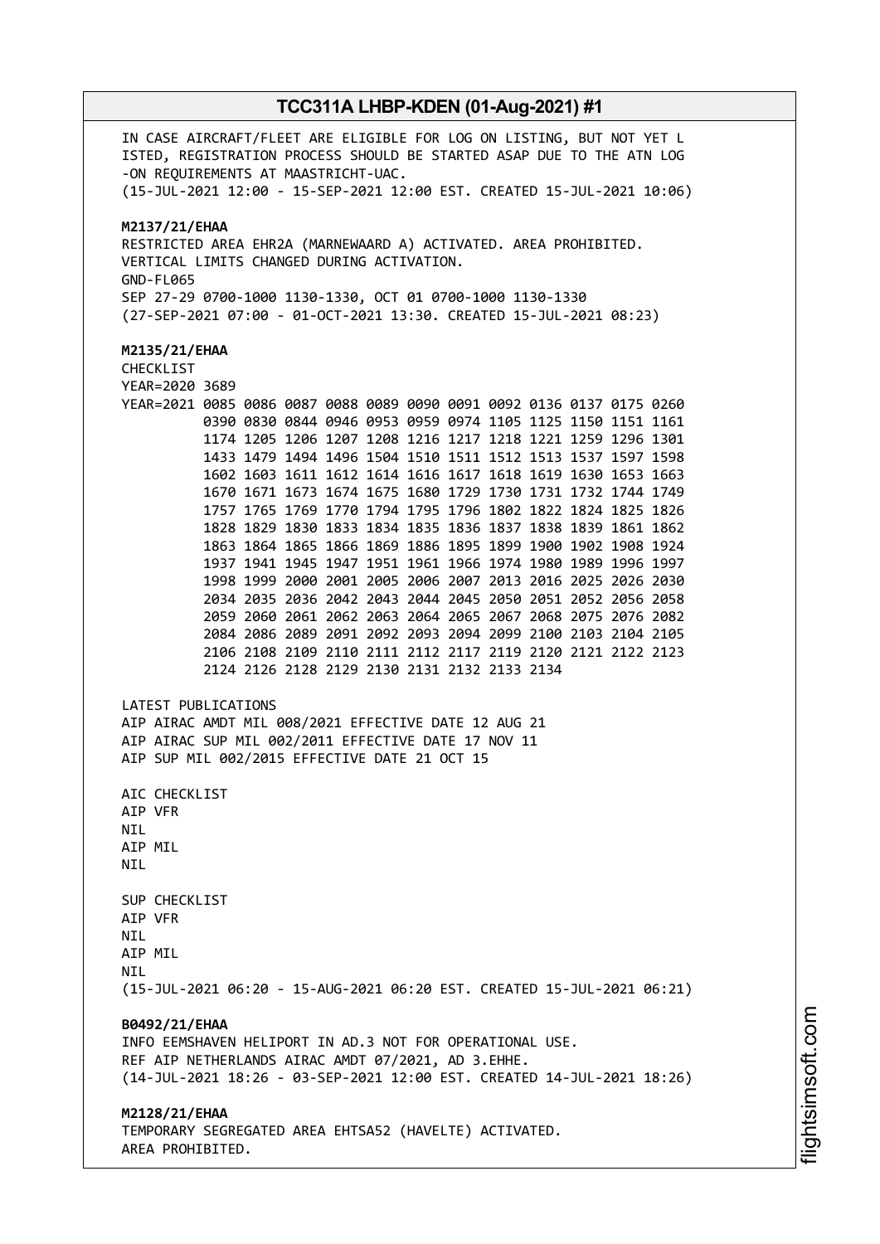IN CASE AIRCRAFT/FLEET ARE ELIGIBLE FOR LOG ON LISTING, BUT NOT YET L ISTED, REGISTRATION PROCESS SHOULD BE STARTED ASAP DUE TO THE ATN LOG -ON REQUIREMENTS AT MAASTRICHT-UAC. (15-JUL-2021 12:00 - 15-SEP-2021 12:00 EST. CREATED 15-JUL-2021 10:06) **M2137/21/EHAA** RESTRICTED AREA EHR2A (MARNEWAARD A) ACTIVATED. AREA PROHIBITED. VERTICAL LIMITS CHANGED DURING ACTIVATION. GND-FL065 SEP 27-29 0700-1000 1130-1330, OCT 01 0700-1000 1130-1330 (27-SEP-2021 07:00 - 01-OCT-2021 13:30. CREATED 15-JUL-2021 08:23) **M2135/21/EHAA** CHECKLIST YEAR=2020 3689 YEAR=2021 0085 0086 0087 0088 0089 0090 0091 0092 0136 0137 0175 0260 0390 0830 0844 0946 0953 0959 0974 1105 1125 1150 1151 1161 1174 1205 1206 1207 1208 1216 1217 1218 1221 1259 1296 1301 1433 1479 1494 1496 1504 1510 1511 1512 1513 1537 1597 1598 1602 1603 1611 1612 1614 1616 1617 1618 1619 1630 1653 1663 1670 1671 1673 1674 1675 1680 1729 1730 1731 1732 1744 1749 1757 1765 1769 1770 1794 1795 1796 1802 1822 1824 1825 1826 1828 1829 1830 1833 1834 1835 1836 1837 1838 1839 1861 1862 1863 1864 1865 1866 1869 1886 1895 1899 1900 1902 1908 1924 1937 1941 1945 1947 1951 1961 1966 1974 1980 1989 1996 1997 1998 1999 2000 2001 2005 2006 2007 2013 2016 2025 2026 2030 2034 2035 2036 2042 2043 2044 2045 2050 2051 2052 2056 2058 2059 2060 2061 2062 2063 2064 2065 2067 2068 2075 2076 2082 2084 2086 2089 2091 2092 2093 2094 2099 2100 2103 2104 2105 2106 2108 2109 2110 2111 2112 2117 2119 2120 2121 2122 2123 2124 2126 2128 2129 2130 2131 2132 2133 2134 LATEST PUBLICATIONS AIP AIRAC AMDT MIL 008/2021 EFFECTIVE DATE 12 AUG 21 AIP AIRAC SUP MIL 002/2011 EFFECTIVE DATE 17 NOV 11 AIP SUP MIL 002/2015 EFFECTIVE DATE 21 OCT 15 AIC CHECKLIST AIP VFR NIL AIP MIL **NTI** SUP CHECKLIST AIP VFR **NTI** AIP MIL **NTI** (15-JUL-2021 06:20 - 15-AUG-2021 06:20 EST. CREATED 15-JUL-2021 06:21) **B0492/21/EHAA** INFO EEMSHAVEN HELIPORT IN AD.3 NOT FOR OPERATIONAL USE. REF AIP NETHERLANDS AIRAC AMDT 07/2021, AD 3.EHHE. (14-JUL-2021 18:26 - 03-SEP-2021 12:00 EST. CREATED 14-JUL-2021 18:26) **M2128/21/EHAA** TEMPORARY SEGREGATED AREA EHTSA52 (HAVELTE) ACTIVATED. AREA PROHIBITED.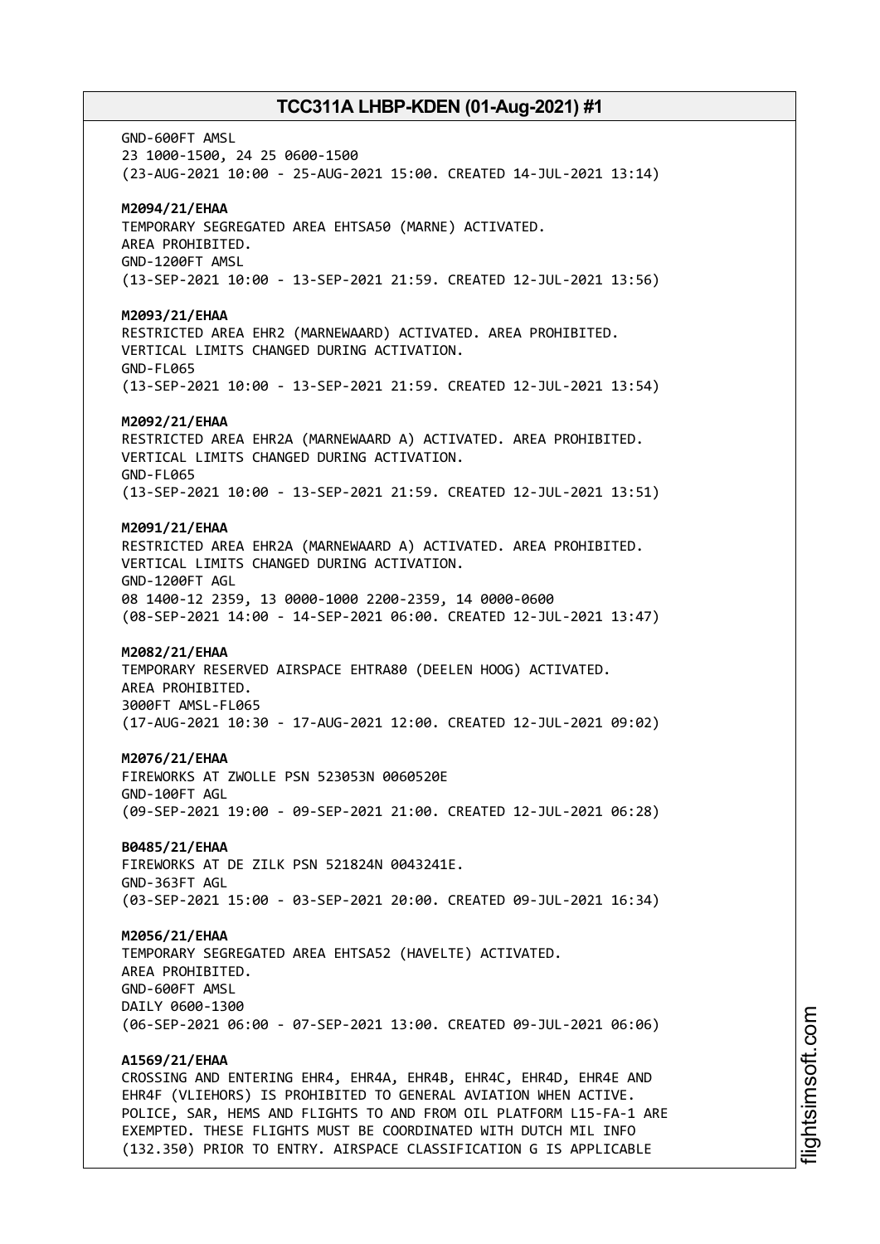GND-600FT AMSL 23 1000-1500, 24 25 0600-1500 (23-AUG-2021 10:00 - 25-AUG-2021 15:00. CREATED 14-JUL-2021 13:14) **M2094/21/EHAA** TEMPORARY SEGREGATED AREA EHTSA50 (MARNE) ACTIVATED. AREA PROHIBITED. GND-1200FT AMSL (13-SEP-2021 10:00 - 13-SEP-2021 21:59. CREATED 12-JUL-2021 13:56) **M2093/21/EHAA** RESTRICTED AREA EHR2 (MARNEWAARD) ACTIVATED. AREA PROHIBITED. VERTICAL LIMITS CHANGED DURING ACTIVATION. GND-FL065 (13-SEP-2021 10:00 - 13-SEP-2021 21:59. CREATED 12-JUL-2021 13:54) **M2092/21/EHAA** RESTRICTED AREA EHR2A (MARNEWAARD A) ACTIVATED. AREA PROHIBITED. VERTICAL LIMITS CHANGED DURING ACTIVATION. GND-FL065 (13-SEP-2021 10:00 - 13-SEP-2021 21:59. CREATED 12-JUL-2021 13:51) **M2091/21/EHAA** RESTRICTED AREA EHR2A (MARNEWAARD A) ACTIVATED. AREA PROHIBITED. VERTICAL LIMITS CHANGED DURING ACTIVATION. GND-1200FT AGL 08 1400-12 2359, 13 0000-1000 2200-2359, 14 0000-0600 (08-SEP-2021 14:00 - 14-SEP-2021 06:00. CREATED 12-JUL-2021 13:47) **M2082/21/EHAA** TEMPORARY RESERVED AIRSPACE EHTRA80 (DEELEN HOOG) ACTIVATED. AREA PROHIBITED. 3000FT AMSL-FL065 (17-AUG-2021 10:30 - 17-AUG-2021 12:00. CREATED 12-JUL-2021 09:02) **M2076/21/EHAA** FIREWORKS AT ZWOLLE PSN 523053N 0060520E GND-100FT AGL (09-SEP-2021 19:00 - 09-SEP-2021 21:00. CREATED 12-JUL-2021 06:28) **B0485/21/EHAA** FIREWORKS AT DE ZILK PSN 521824N 0043241E. GND-363FT AGL (03-SEP-2021 15:00 - 03-SEP-2021 20:00. CREATED 09-JUL-2021 16:34) **M2056/21/EHAA** TEMPORARY SEGREGATED AREA EHTSA52 (HAVELTE) ACTIVATED. AREA PROHIBITED. GND-600FT AMSL DAILY 0600-1300 (06-SEP-2021 06:00 - 07-SEP-2021 13:00. CREATED 09-JUL-2021 06:06) **A1569/21/EHAA** CROSSING AND ENTERING EHR4, EHR4A, EHR4B, EHR4C, EHR4D, EHR4E AND EHR4F (VLIEHORS) IS PROHIBITED TO GENERAL AVIATION WHEN ACTIVE. POLICE, SAR, HEMS AND FLIGHTS TO AND FROM OIL PLATFORM L15-FA-1 ARE EXEMPTED. THESE FLIGHTS MUST BE COORDINATED WITH DUTCH MIL INFO

(132.350) PRIOR TO ENTRY. AIRSPACE CLASSIFICATION G IS APPLICABLE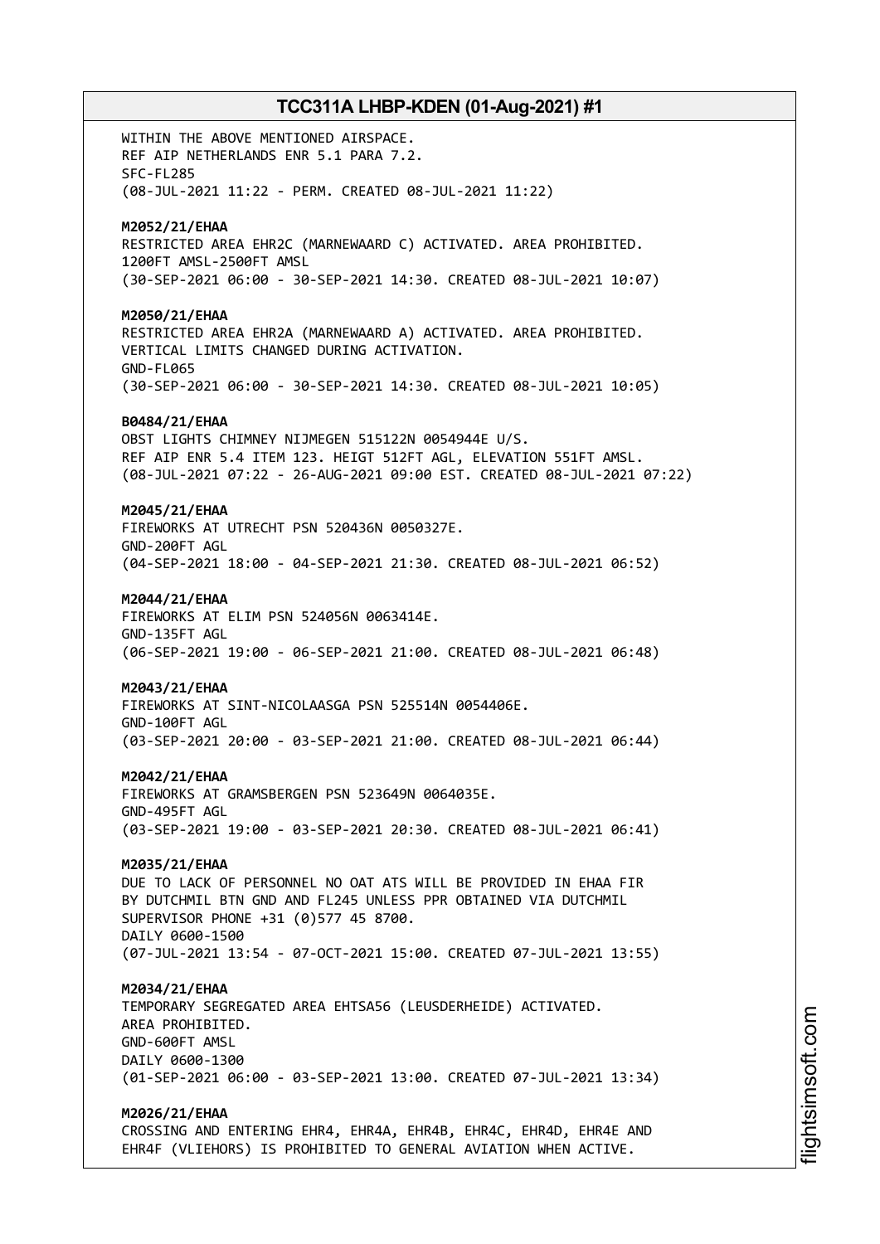WITHIN THE ABOVE MENTIONED AIRSPACE. REF AIP NETHERLANDS ENR 5.1 PARA 7.2. SFC-FL285 (08-JUL-2021 11:22 - PERM. CREATED 08-JUL-2021 11:22) **M2052/21/EHAA** RESTRICTED AREA EHR2C (MARNEWAARD C) ACTIVATED. AREA PROHIBITED. 1200FT AMSL-2500FT AMSL (30-SEP-2021 06:00 - 30-SEP-2021 14:30. CREATED 08-JUL-2021 10:07) **M2050/21/EHAA** RESTRICTED AREA EHR2A (MARNEWAARD A) ACTIVATED. AREA PROHIBITED. VERTICAL LIMITS CHANGED DURING ACTIVATION. GND-FL065 (30-SEP-2021 06:00 - 30-SEP-2021 14:30. CREATED 08-JUL-2021 10:05) **B0484/21/EHAA** OBST LIGHTS CHIMNEY NIJMEGEN 515122N 0054944E U/S. REF AIP ENR 5.4 ITEM 123. HEIGT 512FT AGL, ELEVATION 551FT AMSL. (08-JUL-2021 07:22 - 26-AUG-2021 09:00 EST. CREATED 08-JUL-2021 07:22) **M2045/21/EHAA** FIREWORKS AT UTRECHT PSN 520436N 0050327E. GND-200FT AGL (04-SEP-2021 18:00 - 04-SEP-2021 21:30. CREATED 08-JUL-2021 06:52) **M2044/21/EHAA** FIREWORKS AT ELIM PSN 524056N 0063414E. GND-135FT AGL (06-SEP-2021 19:00 - 06-SEP-2021 21:00. CREATED 08-JUL-2021 06:48) **M2043/21/EHAA** FIREWORKS AT SINT-NICOLAASGA PSN 525514N 0054406E. GND-100FT AGL (03-SEP-2021 20:00 - 03-SEP-2021 21:00. CREATED 08-JUL-2021 06:44) **M2042/21/EHAA** FIREWORKS AT GRAMSBERGEN PSN 523649N 0064035E. GND-495FT AGL (03-SEP-2021 19:00 - 03-SEP-2021 20:30. CREATED 08-JUL-2021 06:41) **M2035/21/EHAA** DUE TO LACK OF PERSONNEL NO OAT ATS WILL BE PROVIDED IN EHAA FIR BY DUTCHMIL BTN GND AND FL245 UNLESS PPR OBTAINED VIA DUTCHMIL SUPERVISOR PHONE +31 (0)577 45 8700. DAILY 0600-1500 (07-JUL-2021 13:54 - 07-OCT-2021 15:00. CREATED 07-JUL-2021 13:55) **M2034/21/EHAA** TEMPORARY SEGREGATED AREA EHTSA56 (LEUSDERHEIDE) ACTIVATED. AREA PROHIBITED. GND-600FT AMSL DAILY 0600-1300 (01-SEP-2021 06:00 - 03-SEP-2021 13:00. CREATED 07-JUL-2021 13:34) **M2026/21/EHAA**

CROSSING AND ENTERING EHR4, EHR4A, EHR4B, EHR4C, EHR4D, EHR4E AND EHR4F (VLIEHORS) IS PROHIBITED TO GENERAL AVIATION WHEN ACTIVE.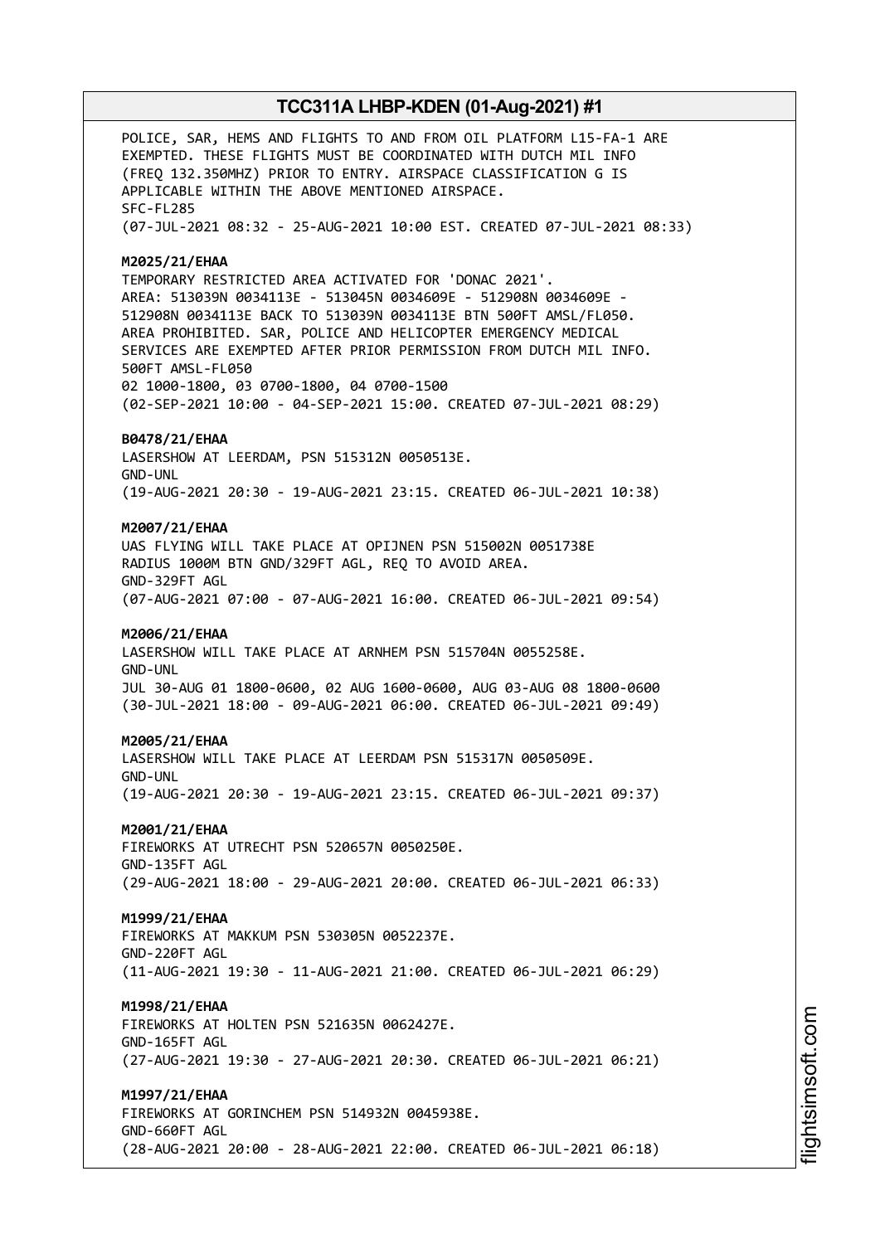POLICE, SAR, HEMS AND FLIGHTS TO AND FROM OIL PLATFORM L15-FA-1 ARE EXEMPTED. THESE FLIGHTS MUST BE COORDINATED WITH DUTCH MIL INFO (FREQ 132.350MHZ) PRIOR TO ENTRY. AIRSPACE CLASSIFICATION G IS APPLICABLE WITHIN THE ABOVE MENTIONED AIRSPACE. SFC-FL285 (07-JUL-2021 08:32 - 25-AUG-2021 10:00 EST. CREATED 07-JUL-2021 08:33) **M2025/21/EHAA** TEMPORARY RESTRICTED AREA ACTIVATED FOR 'DONAC 2021'. AREA: 513039N 0034113E - 513045N 0034609E - 512908N 0034609E - 512908N 0034113E BACK TO 513039N 0034113E BTN 500FT AMSL/FL050. AREA PROHIBITED. SAR, POLICE AND HELICOPTER EMERGENCY MEDICAL SERVICES ARE EXEMPTED AFTER PRIOR PERMISSION FROM DUTCH MIL INFO. 500FT AMSL-FL050 02 1000-1800, 03 0700-1800, 04 0700-1500 (02-SEP-2021 10:00 - 04-SEP-2021 15:00. CREATED 07-JUL-2021 08:29) **B0478/21/EHAA** LASERSHOW AT LEERDAM, PSN 515312N 0050513E. GND-UNL (19-AUG-2021 20:30 - 19-AUG-2021 23:15. CREATED 06-JUL-2021 10:38) **M2007/21/EHAA** UAS FLYING WILL TAKE PLACE AT OPIJNEN PSN 515002N 0051738E RADIUS 1000M BTN GND/329FT AGL, REQ TO AVOID AREA. GND-329FT AGL (07-AUG-2021 07:00 - 07-AUG-2021 16:00. CREATED 06-JUL-2021 09:54) **M2006/21/EHAA** LASERSHOW WILL TAKE PLACE AT ARNHEM PSN 515704N 0055258E. GND-UNL JUL 30-AUG 01 1800-0600, 02 AUG 1600-0600, AUG 03-AUG 08 1800-0600 (30-JUL-2021 18:00 - 09-AUG-2021 06:00. CREATED 06-JUL-2021 09:49) **M2005/21/EHAA** LASERSHOW WILL TAKE PLACE AT LEERDAM PSN 515317N 0050509E. GND-UNL (19-AUG-2021 20:30 - 19-AUG-2021 23:15. CREATED 06-JUL-2021 09:37) **M2001/21/EHAA** FIREWORKS AT UTRECHT PSN 520657N 0050250E. GND-135FT AGL (29-AUG-2021 18:00 - 29-AUG-2021 20:00. CREATED 06-JUL-2021 06:33) **M1999/21/EHAA** FIREWORKS AT MAKKUM PSN 530305N 0052237E. GND-220FT AGL (11-AUG-2021 19:30 - 11-AUG-2021 21:00. CREATED 06-JUL-2021 06:29) **M1998/21/EHAA** FIREWORKS AT HOLTEN PSN 521635N 0062427E. GND-165FT AGL (27-AUG-2021 19:30 - 27-AUG-2021 20:30. CREATED 06-JUL-2021 06:21) **M1997/21/EHAA** FIREWORKS AT GORINCHEM PSN 514932N 0045938E. GND-660FT AGL (28-AUG-2021 20:00 - 28-AUG-2021 22:00. CREATED 06-JUL-2021 06:18)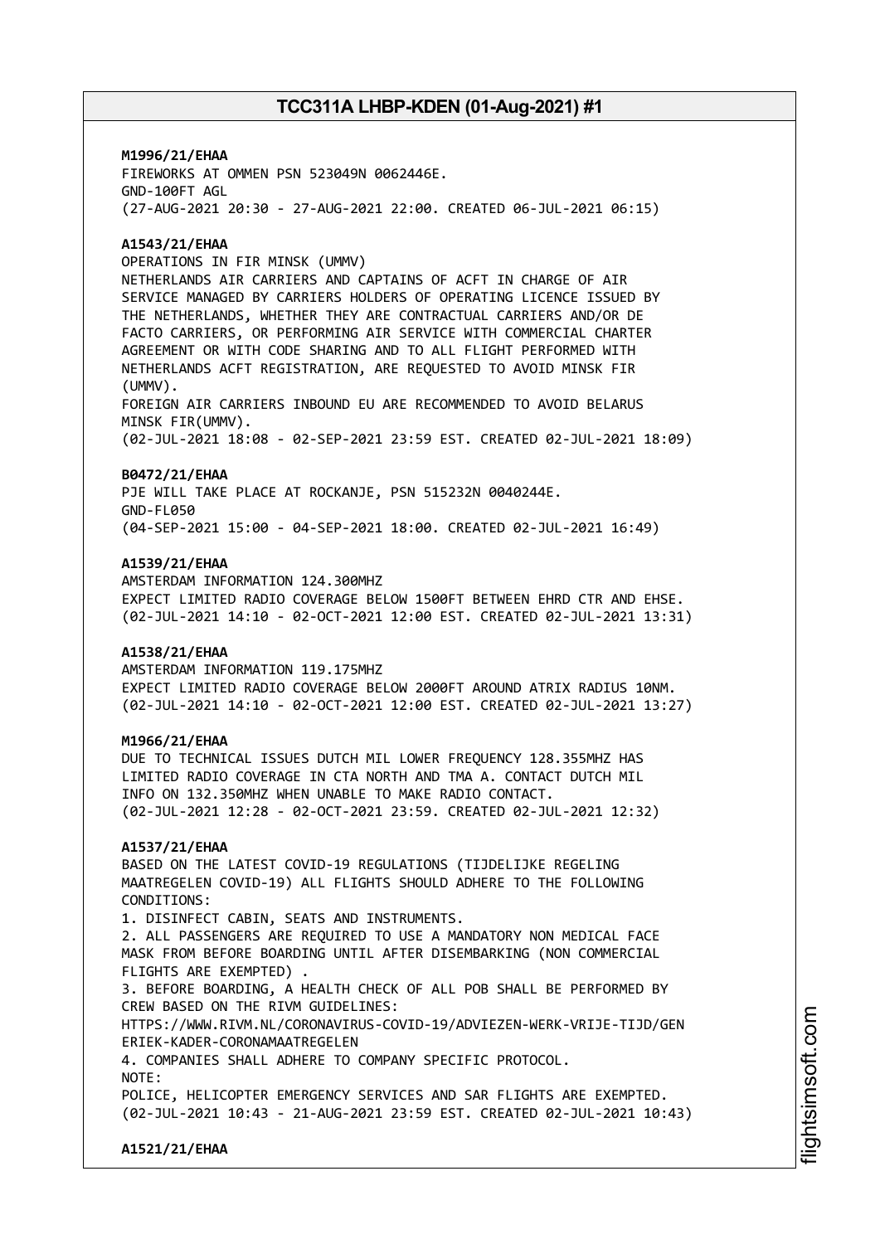**M1996/21/EHAA** FIREWORKS AT OMMEN PSN 523049N 0062446E. GND-100FT AGL (27-AUG-2021 20:30 - 27-AUG-2021 22:00. CREATED 06-JUL-2021 06:15)

## **A1543/21/EHAA**

OPERATIONS IN FIR MINSK (UMMV)

NETHERLANDS AIR CARRIERS AND CAPTAINS OF ACFT IN CHARGE OF AIR SERVICE MANAGED BY CARRIERS HOLDERS OF OPERATING LICENCE ISSUED BY THE NETHERLANDS, WHETHER THEY ARE CONTRACTUAL CARRIERS AND/OR DE FACTO CARRIERS, OR PERFORMING AIR SERVICE WITH COMMERCIAL CHARTER AGREEMENT OR WITH CODE SHARING AND TO ALL FLIGHT PERFORMED WITH NETHERLANDS ACFT REGISTRATION, ARE REQUESTED TO AVOID MINSK FIR (UMMV).

FOREIGN AIR CARRIERS INBOUND EU ARE RECOMMENDED TO AVOID BELARUS MINSK FIR(UMMV).

(02-JUL-2021 18:08 - 02-SEP-2021 23:59 EST. CREATED 02-JUL-2021 18:09)

#### **B0472/21/EHAA**

PJE WILL TAKE PLACE AT ROCKANJE, PSN 515232N 0040244E. GND-FL050 (04-SEP-2021 15:00 - 04-SEP-2021 18:00. CREATED 02-JUL-2021 16:49)

## **A1539/21/EHAA**

AMSTERDAM INFORMATION 124.300MHZ EXPECT LIMITED RADIO COVERAGE BELOW 1500FT BETWEEN EHRD CTR AND EHSE. (02-JUL-2021 14:10 - 02-OCT-2021 12:00 EST. CREATED 02-JUL-2021 13:31)

## **A1538/21/EHAA**

AMSTERDAM INFORMATION 119.175MHZ EXPECT LIMITED RADIO COVERAGE BELOW 2000FT AROUND ATRIX RADIUS 10NM. (02-JUL-2021 14:10 - 02-OCT-2021 12:00 EST. CREATED 02-JUL-2021 13:27)

#### **M1966/21/EHAA**

DUE TO TECHNICAL ISSUES DUTCH MIL LOWER FREQUENCY 128.355MHZ HAS LIMITED RADIO COVERAGE IN CTA NORTH AND TMA A. CONTACT DUTCH MIL INFO ON 132.350MHZ WHEN UNABLE TO MAKE RADIO CONTACT. (02-JUL-2021 12:28 - 02-OCT-2021 23:59. CREATED 02-JUL-2021 12:32)

#### **A1537/21/EHAA**

BASED ON THE LATEST COVID-19 REGULATIONS (TIJDELIJKE REGELING MAATREGELEN COVID-19) ALL FLIGHTS SHOULD ADHERE TO THE FOLLOWING CONDITIONS:

1. DISINFECT CABIN, SEATS AND INSTRUMENTS. 2. ALL PASSENGERS ARE REQUIRED TO USE A MANDATORY NON MEDICAL FACE MASK FROM BEFORE BOARDING UNTIL AFTER DISEMBARKING (NON COMMERCIAL FLIGHTS ARE EXEMPTED) .

3. BEFORE BOARDING, A HEALTH CHECK OF ALL POB SHALL BE PERFORMED BY CREW BASED ON THE RIVM GUIDELINES:

HTTPS://WWW.RIVM.NL/CORONAVIRUS-COVID-19/ADVIEZEN-WERK-VRIJE-TIJD/GEN ERIEK-KADER-CORONAMAATREGELEN

4. COMPANIES SHALL ADHERE TO COMPANY SPECIFIC PROTOCOL.

NOTE:

POLICE, HELICOPTER EMERGENCY SERVICES AND SAR FLIGHTS ARE EXEMPTED. (02-JUL-2021 10:43 - 21-AUG-2021 23:59 EST. CREATED 02-JUL-2021 10:43)

**A1521/21/EHAA**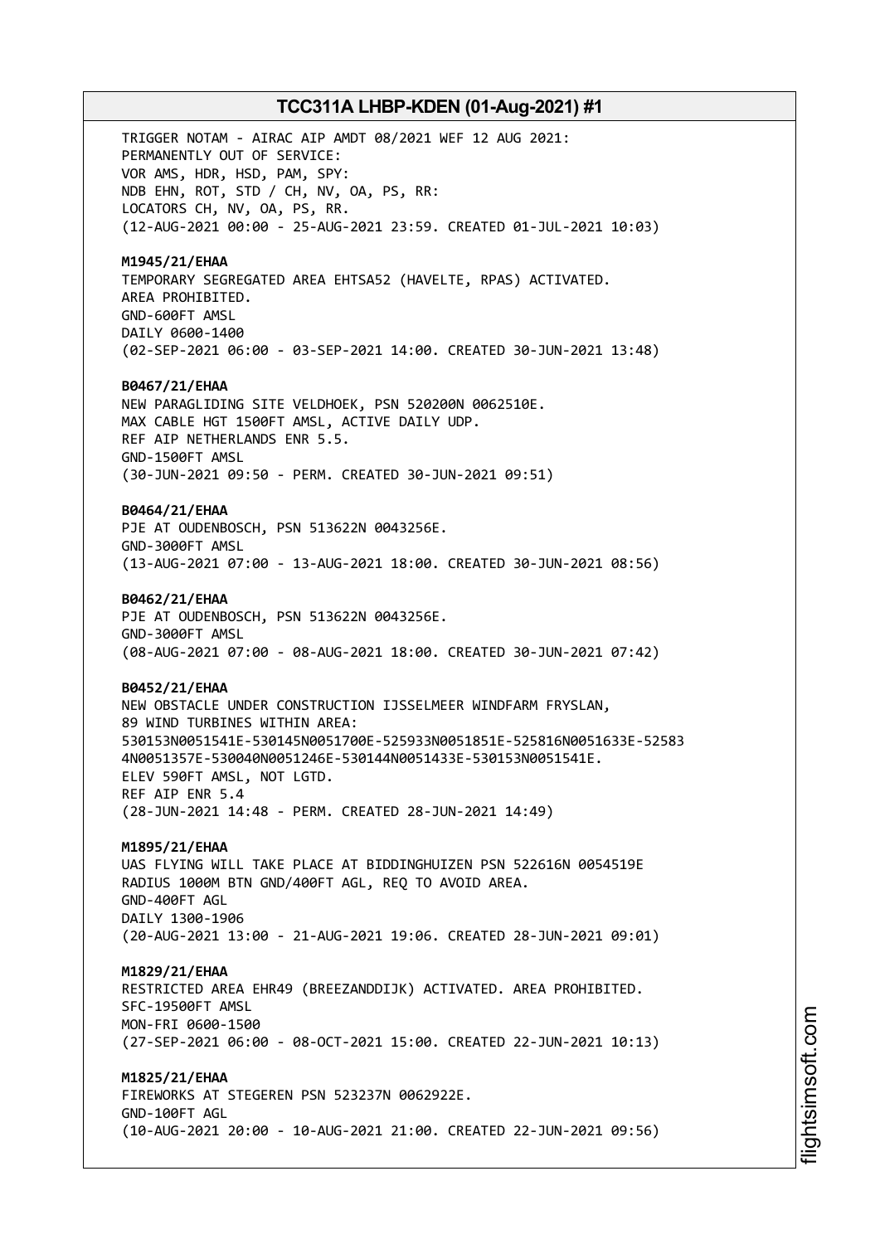TRIGGER NOTAM - AIRAC AIP AMDT 08/2021 WEF 12 AUG 2021: PERMANENTLY OUT OF SERVICE: VOR AMS, HDR, HSD, PAM, SPY: NDB EHN, ROT, STD / CH, NV, OA, PS, RR: LOCATORS CH, NV, OA, PS, RR. (12-AUG-2021 00:00 - 25-AUG-2021 23:59. CREATED 01-JUL-2021 10:03) **M1945/21/EHAA** TEMPORARY SEGREGATED AREA EHTSA52 (HAVELTE, RPAS) ACTIVATED. AREA PROHIBITED. GND-600FT AMSL DAILY 0600-1400 (02-SEP-2021 06:00 - 03-SEP-2021 14:00. CREATED 30-JUN-2021 13:48) **B0467/21/EHAA** NEW PARAGLIDING SITE VELDHOEK, PSN 520200N 0062510E. MAX CABLE HGT 1500FT AMSL, ACTIVE DAILY UDP. REF AIP NETHERLANDS ENR 5.5. GND-1500FT AMSL (30-JUN-2021 09:50 - PERM. CREATED 30-JUN-2021 09:51) **B0464/21/EHAA** PJE AT OUDENBOSCH, PSN 513622N 0043256E. GND-3000FT AMSL (13-AUG-2021 07:00 - 13-AUG-2021 18:00. CREATED 30-JUN-2021 08:56) **B0462/21/EHAA** PJE AT OUDENBOSCH, PSN 513622N 0043256E. GND-3000FT AMSL (08-AUG-2021 07:00 - 08-AUG-2021 18:00. CREATED 30-JUN-2021 07:42) **B0452/21/EHAA** NEW OBSTACLE UNDER CONSTRUCTION IJSSELMEER WINDFARM FRYSLAN, 89 WIND TURBINES WITHIN AREA: 530153N0051541E-530145N0051700E-525933N0051851E-525816N0051633E-52583 4N0051357E-530040N0051246E-530144N0051433E-530153N0051541E. ELEV 590FT AMSL, NOT LGTD. REF AIP ENR 5.4 (28-JUN-2021 14:48 - PERM. CREATED 28-JUN-2021 14:49) **M1895/21/EHAA** UAS FLYING WILL TAKE PLACE AT BIDDINGHUIZEN PSN 522616N 0054519E RADIUS 1000M BTN GND/400FT AGL, REQ TO AVOID AREA. GND-400FT AGL DAILY 1300-1906 (20-AUG-2021 13:00 - 21-AUG-2021 19:06. CREATED 28-JUN-2021 09:01) **M1829/21/EHAA** RESTRICTED AREA EHR49 (BREEZANDDIJK) ACTIVATED. AREA PROHIBITED. SFC-19500FT AMSL MON-FRI 0600-1500 (27-SEP-2021 06:00 - 08-OCT-2021 15:00. CREATED 22-JUN-2021 10:13) **M1825/21/EHAA** FIREWORKS AT STEGEREN PSN 523237N 0062922E. GND-100FT AGL

(10-AUG-2021 20:00 - 10-AUG-2021 21:00. CREATED 22-JUN-2021 09:56)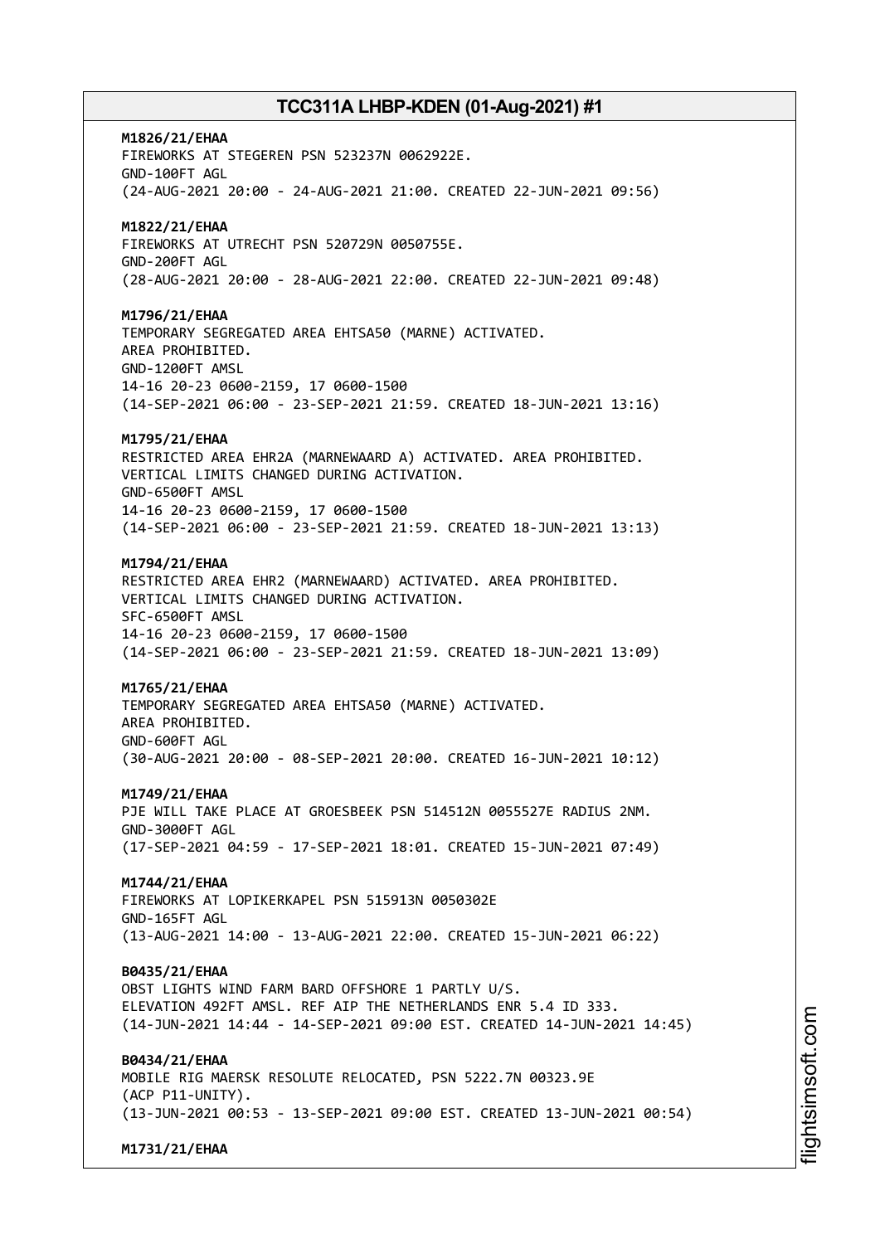**M1826/21/EHAA** FIREWORKS AT STEGEREN PSN 523237N 0062922E. GND-100FT AGL (24-AUG-2021 20:00 - 24-AUG-2021 21:00. CREATED 22-JUN-2021 09:56) **M1822/21/EHAA** FIREWORKS AT UTRECHT PSN 520729N 0050755E. GND-200FT AGL (28-AUG-2021 20:00 - 28-AUG-2021 22:00. CREATED 22-JUN-2021 09:48) **M1796/21/EHAA** TEMPORARY SEGREGATED AREA EHTSA50 (MARNE) ACTIVATED. AREA PROHIBITED. GND-1200FT AMSL 14-16 20-23 0600-2159, 17 0600-1500 (14-SEP-2021 06:00 - 23-SEP-2021 21:59. CREATED 18-JUN-2021 13:16) **M1795/21/EHAA** RESTRICTED AREA EHR2A (MARNEWAARD A) ACTIVATED. AREA PROHIBITED. VERTICAL LIMITS CHANGED DURING ACTIVATION. GND-6500FT AMSL 14-16 20-23 0600-2159, 17 0600-1500 (14-SEP-2021 06:00 - 23-SEP-2021 21:59. CREATED 18-JUN-2021 13:13) **M1794/21/EHAA** RESTRICTED AREA EHR2 (MARNEWAARD) ACTIVATED. AREA PROHIBITED. VERTICAL LIMITS CHANGED DURING ACTIVATION. SFC-6500FT AMSL 14-16 20-23 0600-2159, 17 0600-1500 (14-SEP-2021 06:00 - 23-SEP-2021 21:59. CREATED 18-JUN-2021 13:09) **M1765/21/EHAA** TEMPORARY SEGREGATED AREA EHTSA50 (MARNE) ACTIVATED. AREA PROHIBITED. GND-600FT AGL (30-AUG-2021 20:00 - 08-SEP-2021 20:00. CREATED 16-JUN-2021 10:12) **M1749/21/EHAA** PJE WILL TAKE PLACE AT GROESBEEK PSN 514512N 0055527E RADIUS 2NM. GND-3000FT AGL (17-SEP-2021 04:59 - 17-SEP-2021 18:01. CREATED 15-JUN-2021 07:49) **M1744/21/EHAA** FIREWORKS AT LOPIKERKAPEL PSN 515913N 0050302E GND-165FT AGL (13-AUG-2021 14:00 - 13-AUG-2021 22:00. CREATED 15-JUN-2021 06:22) **B0435/21/EHAA** OBST LIGHTS WIND FARM BARD OFFSHORE 1 PARTLY U/S. ELEVATION 492FT AMSL. REF AIP THE NETHERLANDS ENR 5.4 ID 333. (14-JUN-2021 14:44 - 14-SEP-2021 09:00 EST. CREATED 14-JUN-2021 14:45) **B0434/21/EHAA** MOBILE RIG MAERSK RESOLUTE RELOCATED, PSN 5222.7N 00323.9E (ACP P11-UNITY). (13-JUN-2021 00:53 - 13-SEP-2021 09:00 EST. CREATED 13-JUN-2021 00:54)

**M1731/21/EHAA**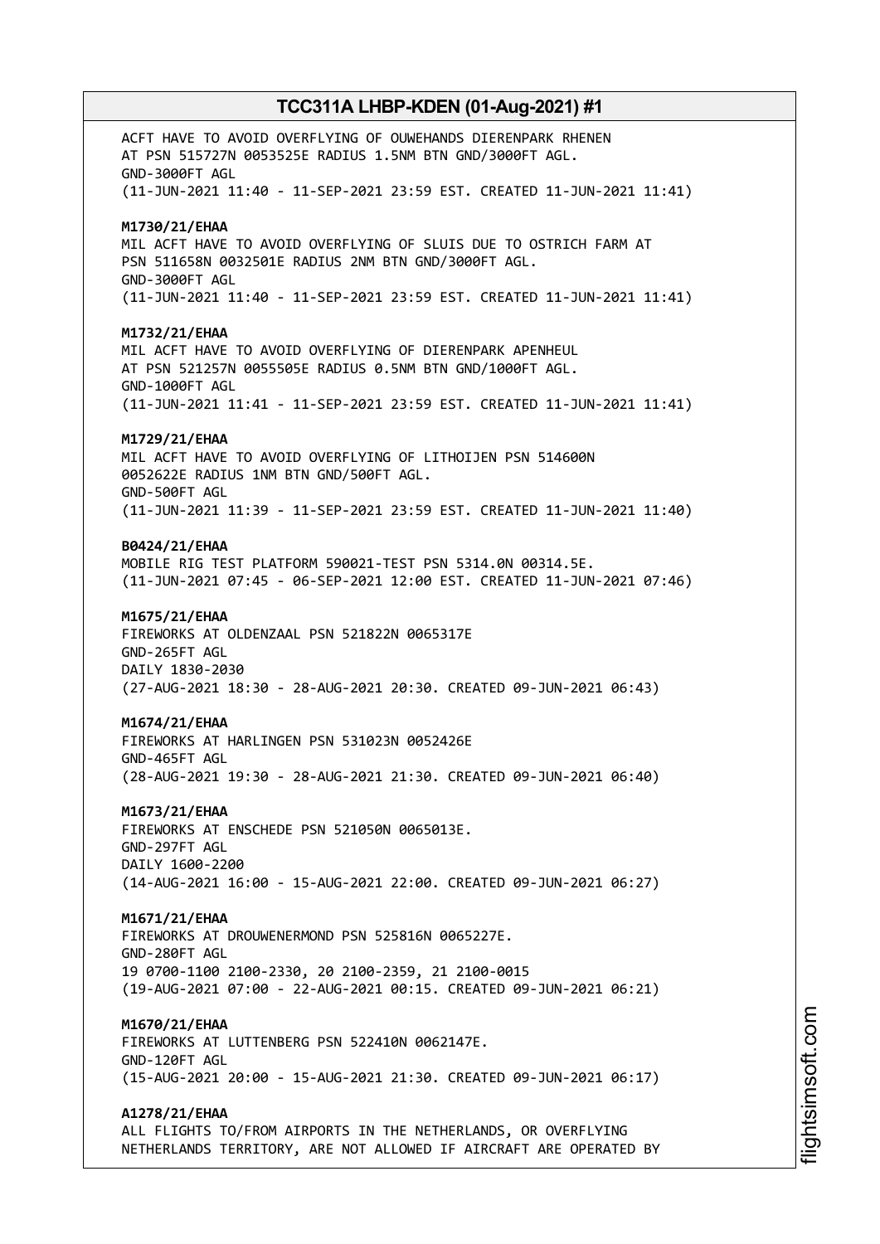ACFT HAVE TO AVOID OVERFLYING OF OUWEHANDS DIERENPARK RHENEN AT PSN 515727N 0053525E RADIUS 1.5NM BTN GND/3000FT AGL. GND-3000FT AGL (11-JUN-2021 11:40 - 11-SEP-2021 23:59 EST. CREATED 11-JUN-2021 11:41) **M1730/21/EHAA** MIL ACFT HAVE TO AVOID OVERFLYING OF SLUIS DUE TO OSTRICH FARM AT PSN 511658N 0032501E RADIUS 2NM BTN GND/3000FT AGL. GND-3000FT AGL (11-JUN-2021 11:40 - 11-SEP-2021 23:59 EST. CREATED 11-JUN-2021 11:41) **M1732/21/EHAA** MIL ACFT HAVE TO AVOID OVERFLYING OF DIERENPARK APENHEUL AT PSN 521257N 0055505E RADIUS 0.5NM BTN GND/1000FT AGL. GND-1000FT AGL (11-JUN-2021 11:41 - 11-SEP-2021 23:59 EST. CREATED 11-JUN-2021 11:41) **M1729/21/EHAA** MIL ACFT HAVE TO AVOID OVERFLYING OF LITHOIJEN PSN 514600N 0052622E RADIUS 1NM BTN GND/500FT AGL. GND-500FT AGL (11-JUN-2021 11:39 - 11-SEP-2021 23:59 EST. CREATED 11-JUN-2021 11:40) **B0424/21/EHAA** MOBILE RIG TEST PLATFORM 590021-TEST PSN 5314.0N 00314.5E. (11-JUN-2021 07:45 - 06-SEP-2021 12:00 EST. CREATED 11-JUN-2021 07:46) **M1675/21/EHAA** FIREWORKS AT OLDENZAAL PSN 521822N 0065317E GND-265FT AGL DAILY 1830-2030 (27-AUG-2021 18:30 - 28-AUG-2021 20:30. CREATED 09-JUN-2021 06:43) **M1674/21/EHAA** FIREWORKS AT HARLINGEN PSN 531023N 0052426E GND-465FT AGL (28-AUG-2021 19:30 - 28-AUG-2021 21:30. CREATED 09-JUN-2021 06:40) **M1673/21/EHAA** FIREWORKS AT ENSCHEDE PSN 521050N 0065013E. GND-297FT AGL DAILY 1600-2200 (14-AUG-2021 16:00 - 15-AUG-2021 22:00. CREATED 09-JUN-2021 06:27) **M1671/21/EHAA** FIREWORKS AT DROUWENERMOND PSN 525816N 0065227E. GND-280FT AGL 19 0700-1100 2100-2330, 20 2100-2359, 21 2100-0015 (19-AUG-2021 07:00 - 22-AUG-2021 00:15. CREATED 09-JUN-2021 06:21) **M1670/21/EHAA** FIREWORKS AT LUTTENBERG PSN 522410N 0062147E. GND-120FT AGL (15-AUG-2021 20:00 - 15-AUG-2021 21:30. CREATED 09-JUN-2021 06:17) **A1278/21/EHAA** ALL FLIGHTS TO/FROM AIRPORTS IN THE NETHERLANDS, OR OVERFLYING NETHERLANDS TERRITORY, ARE NOT ALLOWED IF AIRCRAFT ARE OPERATED BY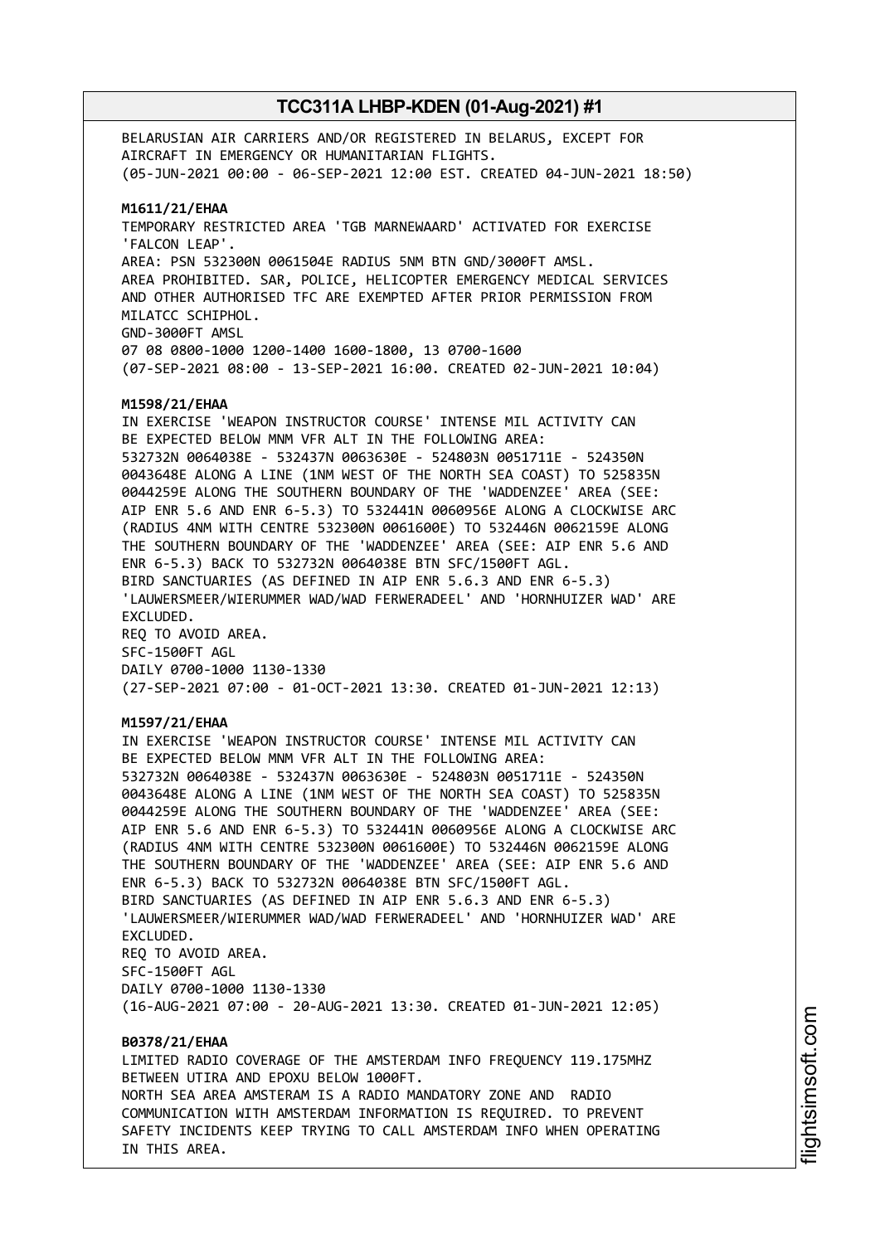BELARUSIAN AIR CARRIERS AND/OR REGISTERED IN BELARUS, EXCEPT FOR AIRCRAFT IN EMERGENCY OR HUMANITARIAN FLIGHTS. (05-JUN-2021 00:00 - 06-SEP-2021 12:00 EST. CREATED 04-JUN-2021 18:50) **M1611/21/EHAA** TEMPORARY RESTRICTED AREA 'TGB MARNEWAARD' ACTIVATED FOR EXERCISE 'FALCON LEAP'. AREA: PSN 532300N 0061504E RADIUS 5NM BTN GND/3000FT AMSL. AREA PROHIBITED. SAR, POLICE, HELICOPTER EMERGENCY MEDICAL SERVICES AND OTHER AUTHORISED TFC ARE EXEMPTED AFTER PRIOR PERMISSION FROM MILATCC SCHIPHOL. GND-3000FT AMSL 07 08 0800-1000 1200-1400 1600-1800, 13 0700-1600 (07-SEP-2021 08:00 - 13-SEP-2021 16:00. CREATED 02-JUN-2021 10:04) **M1598/21/EHAA** IN EXERCISE 'WEAPON INSTRUCTOR COURSE' INTENSE MIL ACTIVITY CAN BE EXPECTED BELOW MNM VFR ALT IN THE FOLLOWING AREA: 532732N 0064038E - 532437N 0063630E - 524803N 0051711E - 524350N 0043648E ALONG A LINE (1NM WEST OF THE NORTH SEA COAST) TO 525835N 0044259E ALONG THE SOUTHERN BOUNDARY OF THE 'WADDENZEE' AREA (SEE: AIP ENR 5.6 AND ENR 6-5.3) TO 532441N 0060956E ALONG A CLOCKWISE ARC (RADIUS 4NM WITH CENTRE 532300N 0061600E) TO 532446N 0062159E ALONG THE SOUTHERN BOUNDARY OF THE 'WADDENZEE' AREA (SEE: AIP ENR 5.6 AND ENR 6-5.3) BACK TO 532732N 0064038E BTN SFC/1500FT AGL. BIRD SANCTUARIES (AS DEFINED IN AIP ENR 5.6.3 AND ENR 6-5.3) 'LAUWERSMEER/WIERUMMER WAD/WAD FERWERADEEL' AND 'HORNHUIZER WAD' ARE EXCLUDED. REQ TO AVOID AREA. SFC-1500FT AGL DAILY 0700-1000 1130-1330 (27-SEP-2021 07:00 - 01-OCT-2021 13:30. CREATED 01-JUN-2021 12:13) **M1597/21/EHAA** IN EXERCISE 'WEAPON INSTRUCTOR COURSE' INTENSE MIL ACTIVITY CAN BE EXPECTED BELOW MNM VFR ALT IN THE FOLLOWING AREA: 532732N 0064038E - 532437N 0063630E - 524803N 0051711E - 524350N 0043648E ALONG A LINE (1NM WEST OF THE NORTH SEA COAST) TO 525835N 0044259E ALONG THE SOUTHERN BOUNDARY OF THE 'WADDENZEE' AREA (SEE: AIP ENR 5.6 AND ENR 6-5.3) TO 532441N 0060956E ALONG A CLOCKWISE ARC (RADIUS 4NM WITH CENTRE 532300N 0061600E) TO 532446N 0062159E ALONG THE SOUTHERN BOUNDARY OF THE 'WADDENZEE' AREA (SEE: AIP ENR 5.6 AND ENR 6-5.3) BACK TO 532732N 0064038E BTN SFC/1500FT AGL. BIRD SANCTUARIES (AS DEFINED IN AIP ENR 5.6.3 AND ENR 6-5.3) 'LAUWERSMEER/WIERUMMER WAD/WAD FERWERADEEL' AND 'HORNHUIZER WAD' ARE EXCLUDED. REQ TO AVOID AREA. SFC-1500FT AGL DAILY 0700-1000 1130-1330 (16-AUG-2021 07:00 - 20-AUG-2021 13:30. CREATED 01-JUN-2021 12:05) **B0378/21/EHAA** LIMITED RADIO COVERAGE OF THE AMSTERDAM INFO FREQUENCY 119.175MHZ BETWEEN UTIRA AND EPOXU BELOW 1000FT. NORTH SEA AREA AMSTERAM IS A RADIO MANDATORY ZONE AND RADIO COMMUNICATION WITH AMSTERDAM INFORMATION IS REQUIRED. TO PREVENT

SAFETY INCIDENTS KEEP TRYING TO CALL AMSTERDAM INFO WHEN OPERATING

IN THIS AREA.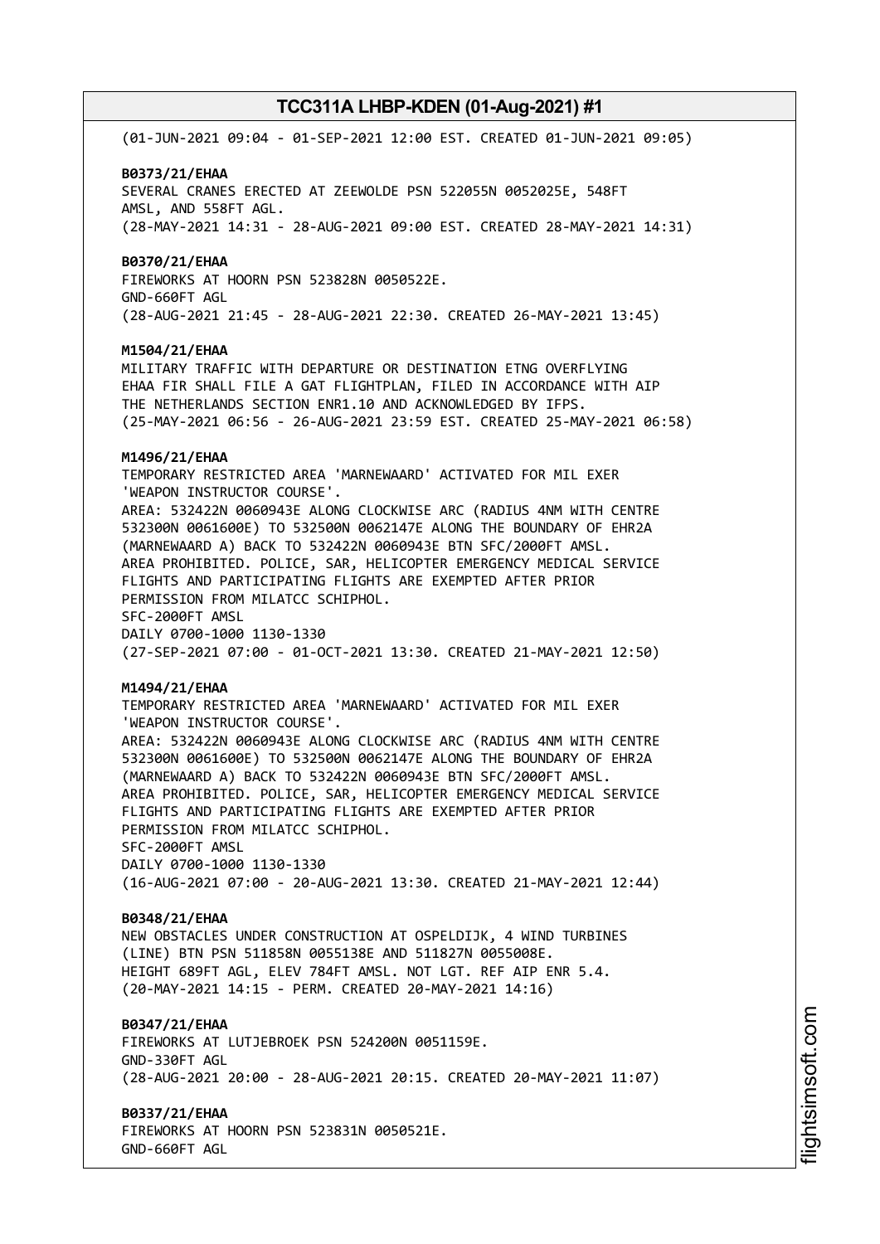(01-JUN-2021 09:04 - 01-SEP-2021 12:00 EST. CREATED 01-JUN-2021 09:05)

#### **B0373/21/EHAA**

SEVERAL CRANES ERECTED AT ZEEWOLDE PSN 522055N 0052025E, 548FT AMSL, AND 558FT AGL. (28-MAY-2021 14:31 - 28-AUG-2021 09:00 EST. CREATED 28-MAY-2021 14:31)

#### **B0370/21/EHAA**

FIREWORKS AT HOORN PSN 523828N 0050522E. GND-660FT AGL (28-AUG-2021 21:45 - 28-AUG-2021 22:30. CREATED 26-MAY-2021 13:45)

## **M1504/21/EHAA**

MILITARY TRAFFIC WITH DEPARTURE OR DESTINATION ETNG OVERFLYING EHAA FIR SHALL FILE A GAT FLIGHTPLAN, FILED IN ACCORDANCE WITH AIP THE NETHERLANDS SECTION ENR1.10 AND ACKNOWLEDGED BY IFPS. (25-MAY-2021 06:56 - 26-AUG-2021 23:59 EST. CREATED 25-MAY-2021 06:58)

#### **M1496/21/EHAA**

TEMPORARY RESTRICTED AREA 'MARNEWAARD' ACTIVATED FOR MIL EXER 'WEAPON INSTRUCTOR COURSE'. AREA: 532422N 0060943E ALONG CLOCKWISE ARC (RADIUS 4NM WITH CENTRE 532300N 0061600E) TO 532500N 0062147E ALONG THE BOUNDARY OF EHR2A (MARNEWAARD A) BACK TO 532422N 0060943E BTN SFC/2000FT AMSL.

AREA PROHIBITED. POLICE, SAR, HELICOPTER EMERGENCY MEDICAL SERVICE FLIGHTS AND PARTICIPATING FLIGHTS ARE EXEMPTED AFTER PRIOR PERMISSION FROM MILATCC SCHIPHOL. SFC-2000FT AMSL

DAILY 0700-1000 1130-1330 (27-SEP-2021 07:00 - 01-OCT-2021 13:30. CREATED 21-MAY-2021 12:50)

## **M1494/21/EHAA**

TEMPORARY RESTRICTED AREA 'MARNEWAARD' ACTIVATED FOR MIL EXER 'WEAPON INSTRUCTOR COURSE'. AREA: 532422N 0060943E ALONG CLOCKWISE ARC (RADIUS 4NM WITH CENTRE 532300N 0061600E) TO 532500N 0062147E ALONG THE BOUNDARY OF EHR2A (MARNEWAARD A) BACK TO 532422N 0060943E BTN SFC/2000FT AMSL. AREA PROHIBITED. POLICE, SAR, HELICOPTER EMERGENCY MEDICAL SERVICE FLIGHTS AND PARTICIPATING FLIGHTS ARE EXEMPTED AFTER PRIOR PERMISSION FROM MILATCC SCHIPHOL. SFC-2000FT AMSL DAILY 0700-1000 1130-1330 (16-AUG-2021 07:00 - 20-AUG-2021 13:30. CREATED 21-MAY-2021 12:44)

### **B0348/21/EHAA**

NEW OBSTACLES UNDER CONSTRUCTION AT OSPELDIJK, 4 WIND TURBINES (LINE) BTN PSN 511858N 0055138E AND 511827N 0055008E. HEIGHT 689FT AGL, ELEV 784FT AMSL. NOT LGT. REF AIP ENR 5.4. (20-MAY-2021 14:15 - PERM. CREATED 20-MAY-2021 14:16)

## **B0347/21/EHAA**

FIREWORKS AT LUTJEBROEK PSN 524200N 0051159E. GND-330FT AGL (28-AUG-2021 20:00 - 28-AUG-2021 20:15. CREATED 20-MAY-2021 11:07)

**B0337/21/EHAA** FIREWORKS AT HOORN PSN 523831N 0050521E.

GND-660FT AGL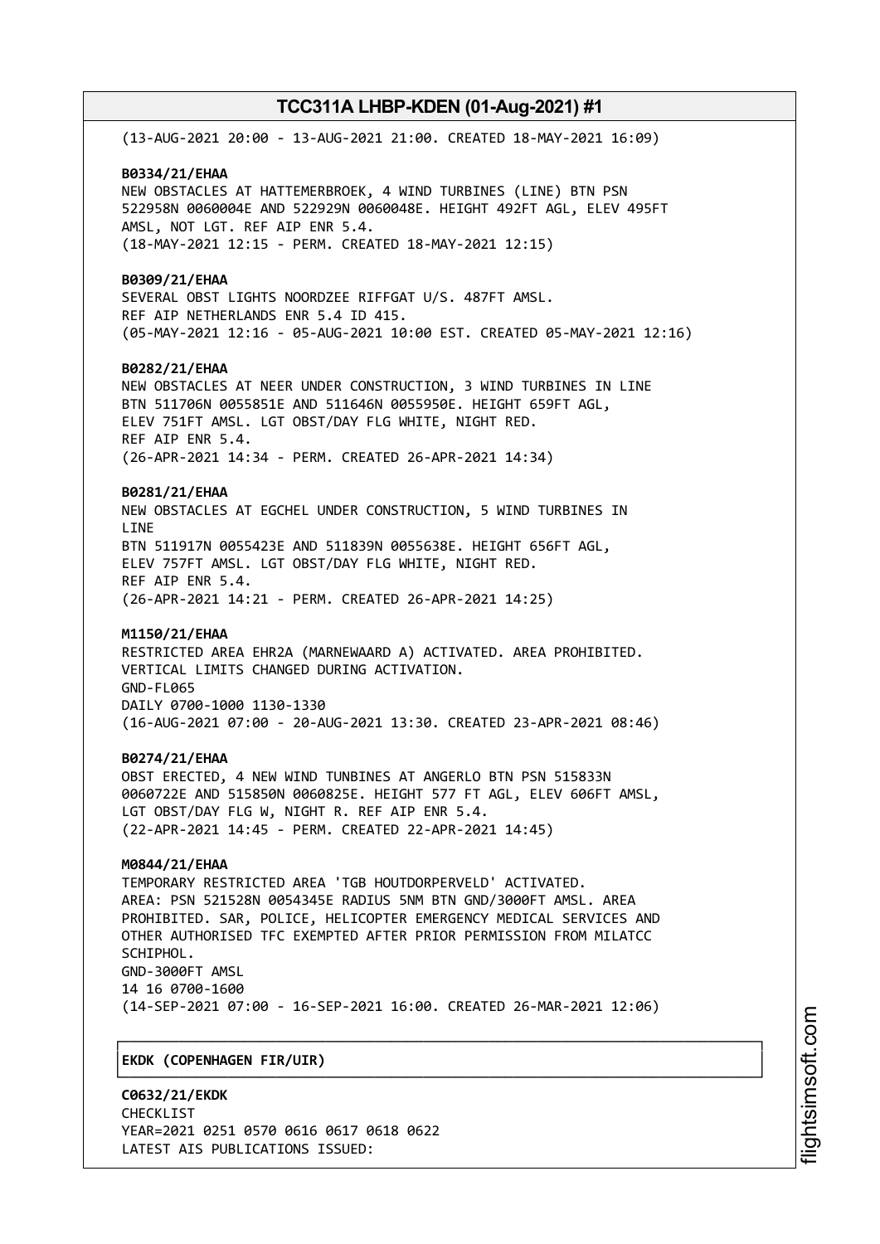(13-AUG-2021 20:00 - 13-AUG-2021 21:00. CREATED 18-MAY-2021 16:09) **B0334/21/EHAA** NEW OBSTACLES AT HATTEMERBROEK, 4 WIND TURBINES (LINE) BTN PSN 522958N 0060004E AND 522929N 0060048E. HEIGHT 492FT AGL, ELEV 495FT AMSL, NOT LGT. REF AIP ENR 5.4. (18-MAY-2021 12:15 - PERM. CREATED 18-MAY-2021 12:15) **B0309/21/EHAA** SEVERAL OBST LIGHTS NOORDZEE RIFFGAT U/S. 487FT AMSL. REF AIP NETHERLANDS ENR 5.4 ID 415. (05-MAY-2021 12:16 - 05-AUG-2021 10:00 EST. CREATED 05-MAY-2021 12:16) **B0282/21/EHAA** NEW OBSTACLES AT NEER UNDER CONSTRUCTION, 3 WIND TURBINES IN LINE BTN 511706N 0055851E AND 511646N 0055950E. HEIGHT 659FT AGL, ELEV 751FT AMSL. LGT OBST/DAY FLG WHITE, NIGHT RED. REF AIP ENR 5.4. (26-APR-2021 14:34 - PERM. CREATED 26-APR-2021 14:34) **B0281/21/EHAA** NEW OBSTACLES AT EGCHEL UNDER CONSTRUCTION, 5 WIND TURBINES IN **LTNF** BTN 511917N 0055423E AND 511839N 0055638E. HEIGHT 656FT AGL, ELEV 757FT AMSL. LGT OBST/DAY FLG WHITE, NIGHT RED. REF AIP ENR 5.4. (26-APR-2021 14:21 - PERM. CREATED 26-APR-2021 14:25) **M1150/21/EHAA** RESTRICTED AREA EHR2A (MARNEWAARD A) ACTIVATED. AREA PROHIBITED. VERTICAL LIMITS CHANGED DURING ACTIVATION. GND-FL065 DAILY 0700-1000 1130-1330 (16-AUG-2021 07:00 - 20-AUG-2021 13:30. CREATED 23-APR-2021 08:46) **B0274/21/EHAA** OBST ERECTED, 4 NEW WIND TUNBINES AT ANGERLO BTN PSN 515833N 0060722E AND 515850N 0060825E. HEIGHT 577 FT AGL, ELEV 606FT AMSL, LGT OBST/DAY FLG W, NIGHT R. REF AIP ENR 5.4. (22-APR-2021 14:45 - PERM. CREATED 22-APR-2021 14:45) **M0844/21/EHAA** TEMPORARY RESTRICTED AREA 'TGB HOUTDORPERVELD' ACTIVATED. AREA: PSN 521528N 0054345E RADIUS 5NM BTN GND/3000FT AMSL. AREA PROHIBITED. SAR, POLICE, HELICOPTER EMERGENCY MEDICAL SERVICES AND OTHER AUTHORISED TFC EXEMPTED AFTER PRIOR PERMISSION FROM MILATCC SCHIPHOL. GND-3000FT AMSL 14 16 0700-1600 (14-SEP-2021 07:00 - 16-SEP-2021 16:00. CREATED 26-MAR-2021 12:06) ┌──────────────────────────────────────────────────────────────────────────────┐ │**EKDK (COPENHAGEN FIR/UIR)** │

└──────────────────────────────────────────────────────────────────────────────┘

**C0632/21/EKDK** CHECKL<sub>TST</sub> YEAR=2021 0251 0570 0616 0617 0618 0622 LATEST AIS PUBLICATIONS ISSUED: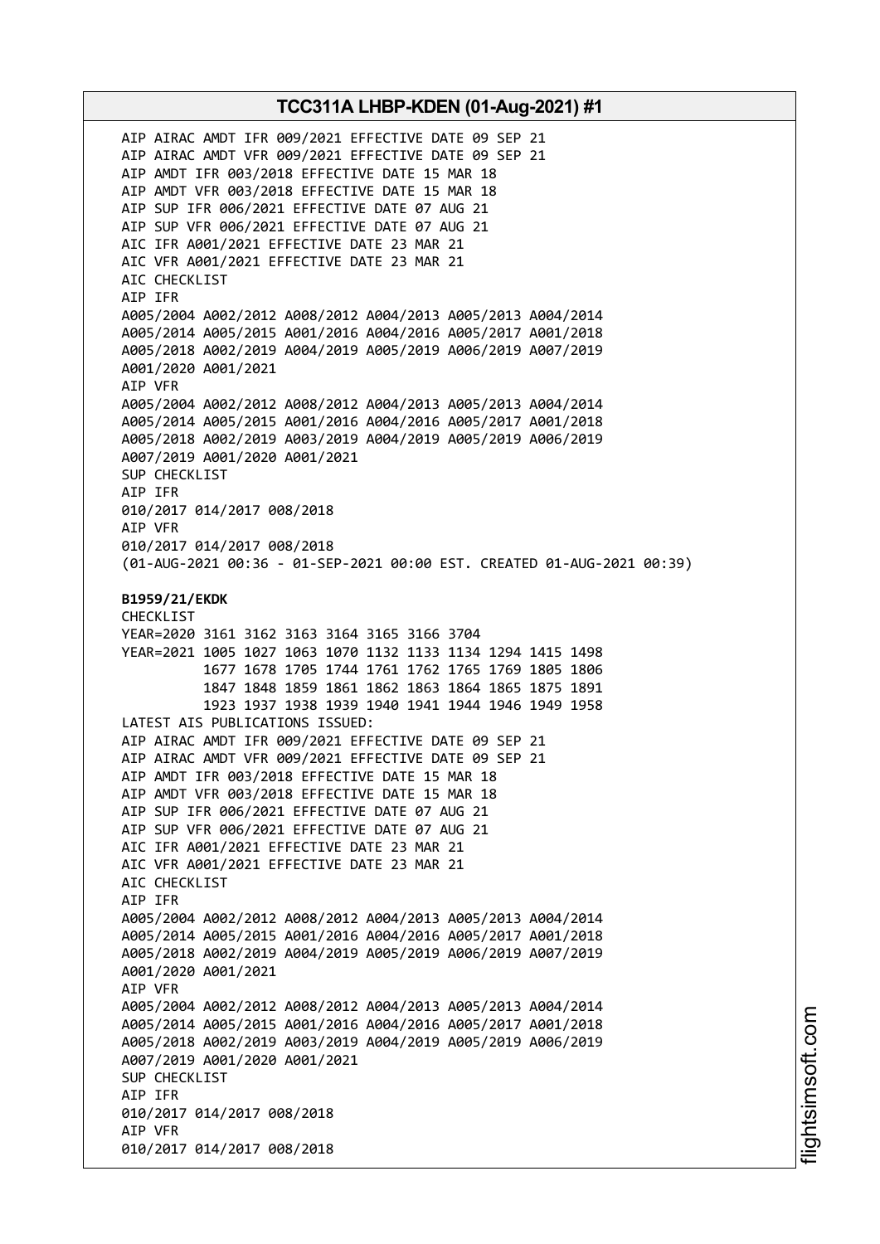AIP AIRAC AMDT IFR 009/2021 EFFECTIVE DATE 09 SEP 21 AIP AIRAC AMDT VFR 009/2021 EFFECTIVE DATE 09 SEP 21 AIP AMDT IFR 003/2018 EFFECTIVE DATE 15 MAR 18 AIP AMDT VFR 003/2018 EFFECTIVE DATE 15 MAR 18 AIP SUP IFR 006/2021 EFFECTIVE DATE 07 AUG 21 AIP SUP VFR 006/2021 EFFECTIVE DATE 07 AUG 21 AIC IFR A001/2021 EFFECTIVE DATE 23 MAR 21 AIC VFR A001/2021 EFFECTIVE DATE 23 MAR 21 AIC CHECKLIST AIP IFR A005/2004 A002/2012 A008/2012 A004/2013 A005/2013 A004/2014 A005/2014 A005/2015 A001/2016 A004/2016 A005/2017 A001/2018 A005/2018 A002/2019 A004/2019 A005/2019 A006/2019 A007/2019 A001/2020 A001/2021 AIP VFR A005/2004 A002/2012 A008/2012 A004/2013 A005/2013 A004/2014 A005/2014 A005/2015 A001/2016 A004/2016 A005/2017 A001/2018 A005/2018 A002/2019 A003/2019 A004/2019 A005/2019 A006/2019 A007/2019 A001/2020 A001/2021 SUP CHECKLIST AIP IFR 010/2017 014/2017 008/2018 AIP VFR 010/2017 014/2017 008/2018 (01-AUG-2021 00:36 - 01-SEP-2021 00:00 EST. CREATED 01-AUG-2021 00:39) **B1959/21/EKDK** CHECKLIST YEAR=2020 3161 3162 3163 3164 3165 3166 3704 YEAR=2021 1005 1027 1063 1070 1132 1133 1134 1294 1415 1498 1677 1678 1705 1744 1761 1762 1765 1769 1805 1806 1847 1848 1859 1861 1862 1863 1864 1865 1875 1891 1923 1937 1938 1939 1940 1941 1944 1946 1949 1958 LATEST AIS PUBLICATIONS ISSUED: AIP AIRAC AMDT IFR 009/2021 EFFECTIVE DATE 09 SEP 21 AIP AIRAC AMDT VFR 009/2021 EFFECTIVE DATE 09 SEP 21 AIP AMDT IFR 003/2018 EFFECTIVE DATE 15 MAR 18 AIP AMDT VFR 003/2018 EFFECTIVE DATE 15 MAR 18 AIP SUP IFR 006/2021 EFFECTIVE DATE 07 AUG 21 AIP SUP VFR 006/2021 EFFECTIVE DATE 07 AUG 21 AIC IFR A001/2021 EFFECTIVE DATE 23 MAR 21 AIC VFR A001/2021 EFFECTIVE DATE 23 MAR 21 AIC CHECKLIST AIP IFR A005/2004 A002/2012 A008/2012 A004/2013 A005/2013 A004/2014 A005/2014 A005/2015 A001/2016 A004/2016 A005/2017 A001/2018 A005/2018 A002/2019 A004/2019 A005/2019 A006/2019 A007/2019 A001/2020 A001/2021 AIP VFR A005/2004 A002/2012 A008/2012 A004/2013 A005/2013 A004/2014 A005/2014 A005/2015 A001/2016 A004/2016 A005/2017 A001/2018 A005/2018 A002/2019 A003/2019 A004/2019 A005/2019 A006/2019 A007/2019 A001/2020 A001/2021 SUP CHECKLIST AIP IFR 010/2017 014/2017 008/2018 AIP VFR 010/2017 014/2017 008/2018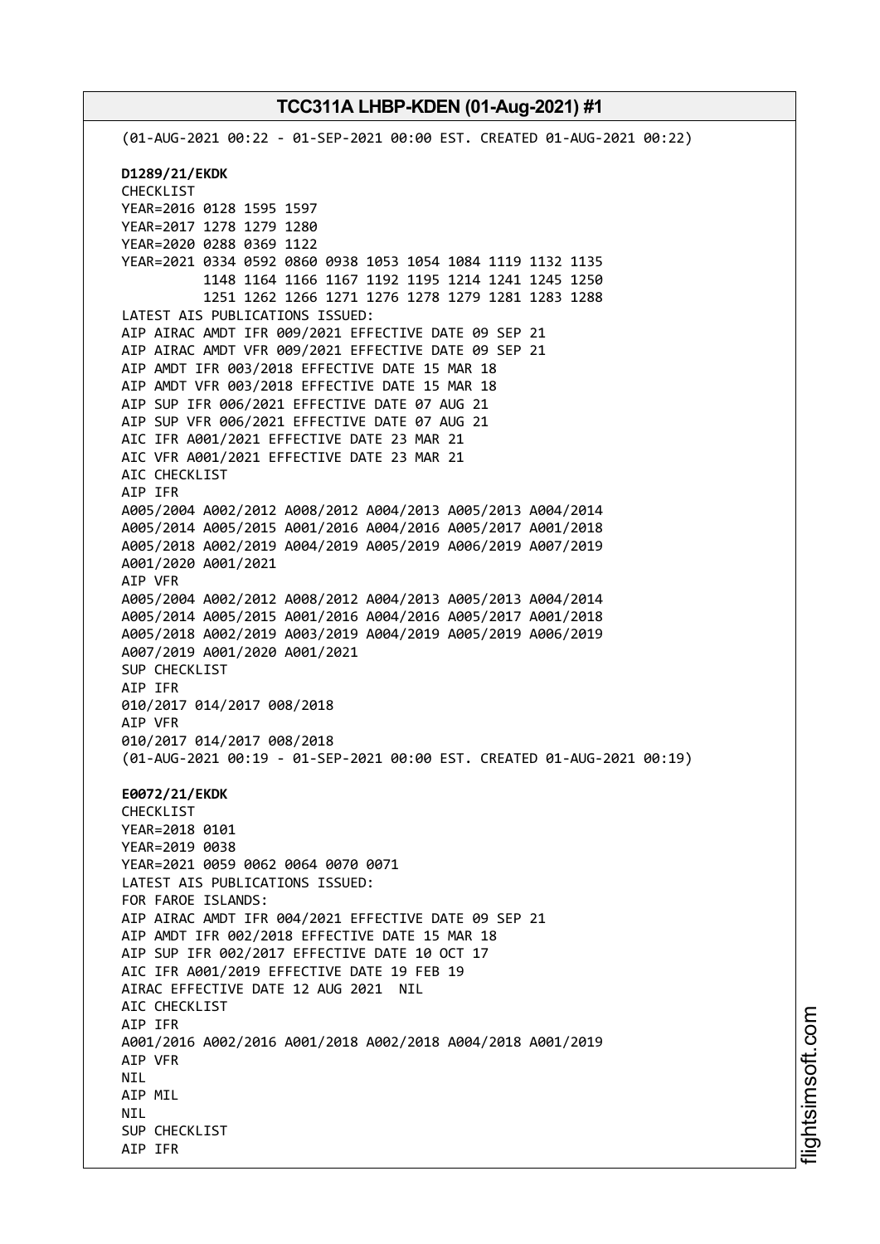(01-AUG-2021 00:22 - 01-SEP-2021 00:00 EST. CREATED 01-AUG-2021 00:22) **D1289/21/EKDK** CHECKLIST YEAR=2016 0128 1595 1597 YEAR=2017 1278 1279 1280 YEAR=2020 0288 0369 1122 YEAR=2021 0334 0592 0860 0938 1053 1054 1084 1119 1132 1135 1148 1164 1166 1167 1192 1195 1214 1241 1245 1250 1251 1262 1266 1271 1276 1278 1279 1281 1283 1288 LATEST AIS PUBLICATIONS ISSUED: AIP AIRAC AMDT IFR 009/2021 EFFECTIVE DATE 09 SEP 21 AIP AIRAC AMDT VFR 009/2021 EFFECTIVE DATE 09 SEP 21 AIP AMDT IFR 003/2018 EFFECTIVE DATE 15 MAR 18 AIP AMDT VFR 003/2018 EFFECTIVE DATE 15 MAR 18 AIP SUP IFR 006/2021 EFFECTIVE DATE 07 AUG 21 AIP SUP VFR 006/2021 EFFECTIVE DATE 07 AUG 21 AIC IFR A001/2021 EFFECTIVE DATE 23 MAR 21 AIC VFR A001/2021 EFFECTIVE DATE 23 MAR 21 AIC CHECKLIST AIP IFR A005/2004 A002/2012 A008/2012 A004/2013 A005/2013 A004/2014 A005/2014 A005/2015 A001/2016 A004/2016 A005/2017 A001/2018 A005/2018 A002/2019 A004/2019 A005/2019 A006/2019 A007/2019 A001/2020 A001/2021 AIP VFR A005/2004 A002/2012 A008/2012 A004/2013 A005/2013 A004/2014 A005/2014 A005/2015 A001/2016 A004/2016 A005/2017 A001/2018 A005/2018 A002/2019 A003/2019 A004/2019 A005/2019 A006/2019 A007/2019 A001/2020 A001/2021 SUP CHECKLIST AIP IFR 010/2017 014/2017 008/2018 AIP VFR 010/2017 014/2017 008/2018 (01-AUG-2021 00:19 - 01-SEP-2021 00:00 EST. CREATED 01-AUG-2021 00:19) **E0072/21/EKDK** CHECKLIST YEAR=2018 0101 YEAR=2019 0038 YEAR=2021 0059 0062 0064 0070 0071 LATEST AIS PUBLICATIONS ISSUED: FOR FAROE ISLANDS: AIP AIRAC AMDT IFR 004/2021 EFFECTIVE DATE 09 SEP 21 AIP AMDT IFR 002/2018 EFFECTIVE DATE 15 MAR 18 AIP SUP IFR 002/2017 EFFECTIVE DATE 10 OCT 17 AIC IFR A001/2019 EFFECTIVE DATE 19 FEB 19 AIRAC EFFECTIVE DATE 12 AUG 2021 NIL AIC CHECKLIST AIP IFR A001/2016 A002/2016 A001/2018 A002/2018 A004/2018 A001/2019 AIP VFR **NTI** AIP MIL **NTI** SUP CHECKLIST AIP IFR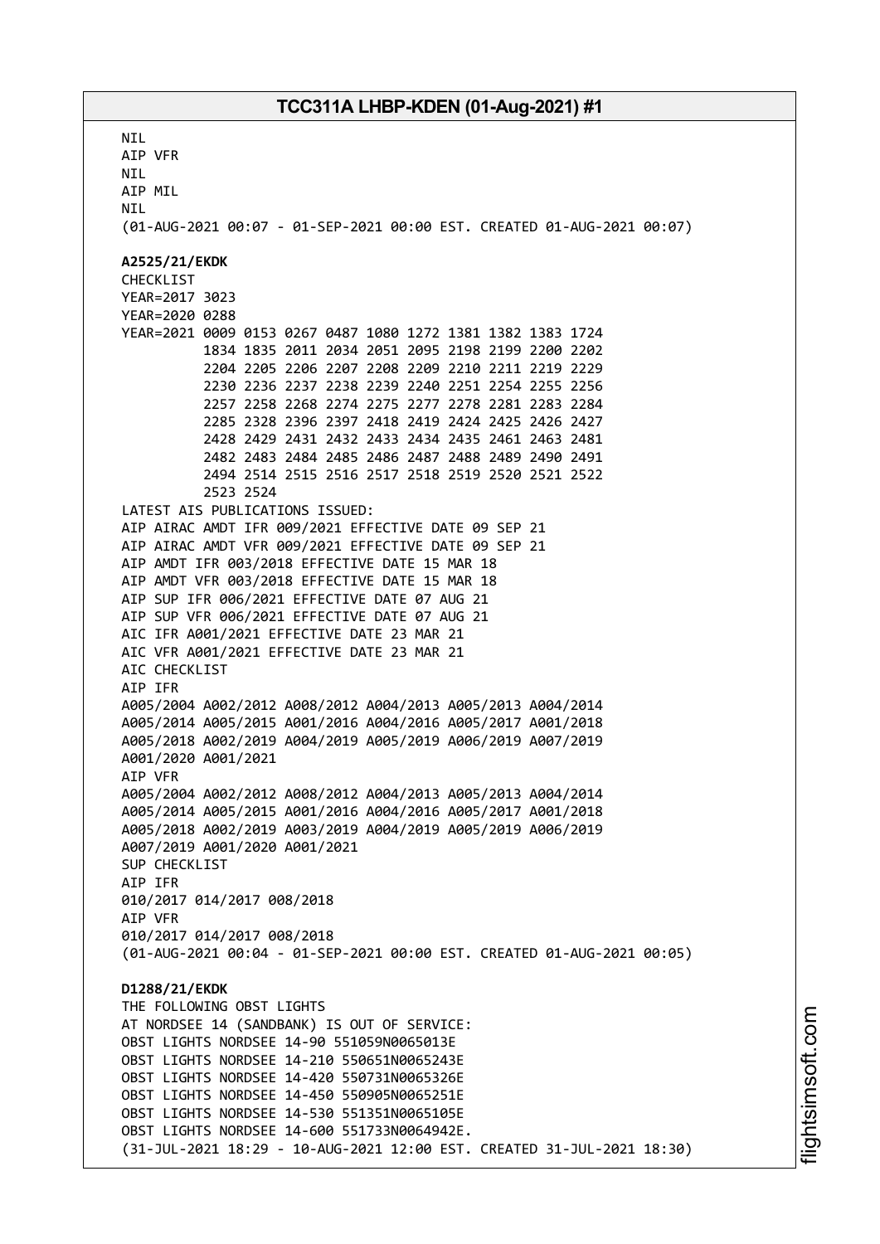**NTI** AIP VFR NIL AIP MIL **NTI** (01-AUG-2021 00:07 - 01-SEP-2021 00:00 EST. CREATED 01-AUG-2021 00:07) **A2525/21/EKDK** CHECKLIST YEAR=2017 3023 YEAR=2020 0288 YEAR=2021 0009 0153 0267 0487 1080 1272 1381 1382 1383 1724 1834 1835 2011 2034 2051 2095 2198 2199 2200 2202 2204 2205 2206 2207 2208 2209 2210 2211 2219 2229 2230 2236 2237 2238 2239 2240 2251 2254 2255 2256 2257 2258 2268 2274 2275 2277 2278 2281 2283 2284 2285 2328 2396 2397 2418 2419 2424 2425 2426 2427 2428 2429 2431 2432 2433 2434 2435 2461 2463 2481 2482 2483 2484 2485 2486 2487 2488 2489 2490 2491 2494 2514 2515 2516 2517 2518 2519 2520 2521 2522 2523 2524 LATEST AIS PUBLICATIONS ISSUED: AIP AIRAC AMDT IFR 009/2021 EFFECTIVE DATE 09 SEP 21 AIP AIRAC AMDT VFR 009/2021 EFFECTIVE DATE 09 SEP 21 AIP AMDT IFR 003/2018 EFFECTIVE DATE 15 MAR 18 AIP AMDT VFR 003/2018 EFFECTIVE DATE 15 MAR 18 AIP SUP IFR 006/2021 EFFECTIVE DATE 07 AUG 21 AIP SUP VFR 006/2021 EFFECTIVE DATE 07 AUG 21 AIC IFR A001/2021 EFFECTIVE DATE 23 MAR 21 AIC VFR A001/2021 EFFECTIVE DATE 23 MAR 21 AIC CHECKLIST AIP IFR A005/2004 A002/2012 A008/2012 A004/2013 A005/2013 A004/2014 A005/2014 A005/2015 A001/2016 A004/2016 A005/2017 A001/2018 A005/2018 A002/2019 A004/2019 A005/2019 A006/2019 A007/2019 A001/2020 A001/2021 AIP VFR A005/2004 A002/2012 A008/2012 A004/2013 A005/2013 A004/2014 A005/2014 A005/2015 A001/2016 A004/2016 A005/2017 A001/2018 A005/2018 A002/2019 A003/2019 A004/2019 A005/2019 A006/2019 A007/2019 A001/2020 A001/2021 SUP CHECKLIST AIP IFR 010/2017 014/2017 008/2018 AIP VFR 010/2017 014/2017 008/2018 (01-AUG-2021 00:04 - 01-SEP-2021 00:00 EST. CREATED 01-AUG-2021 00:05) **D1288/21/EKDK** THE FOLLOWING OBST LIGHTS AT NORDSEE 14 (SANDBANK) IS OUT OF SERVICE: OBST LIGHTS NORDSEE 14-90 551059N0065013E OBST LIGHTS NORDSEE 14-210 550651N0065243E OBST LIGHTS NORDSEE 14-420 550731N0065326E OBST LIGHTS NORDSEE 14-450 550905N0065251E OBST LIGHTS NORDSEE 14-530 551351N0065105E OBST LIGHTS NORDSEE 14-600 551733N0064942E. (31-JUL-2021 18:29 - 10-AUG-2021 12:00 EST. CREATED 31-JUL-2021 18:30)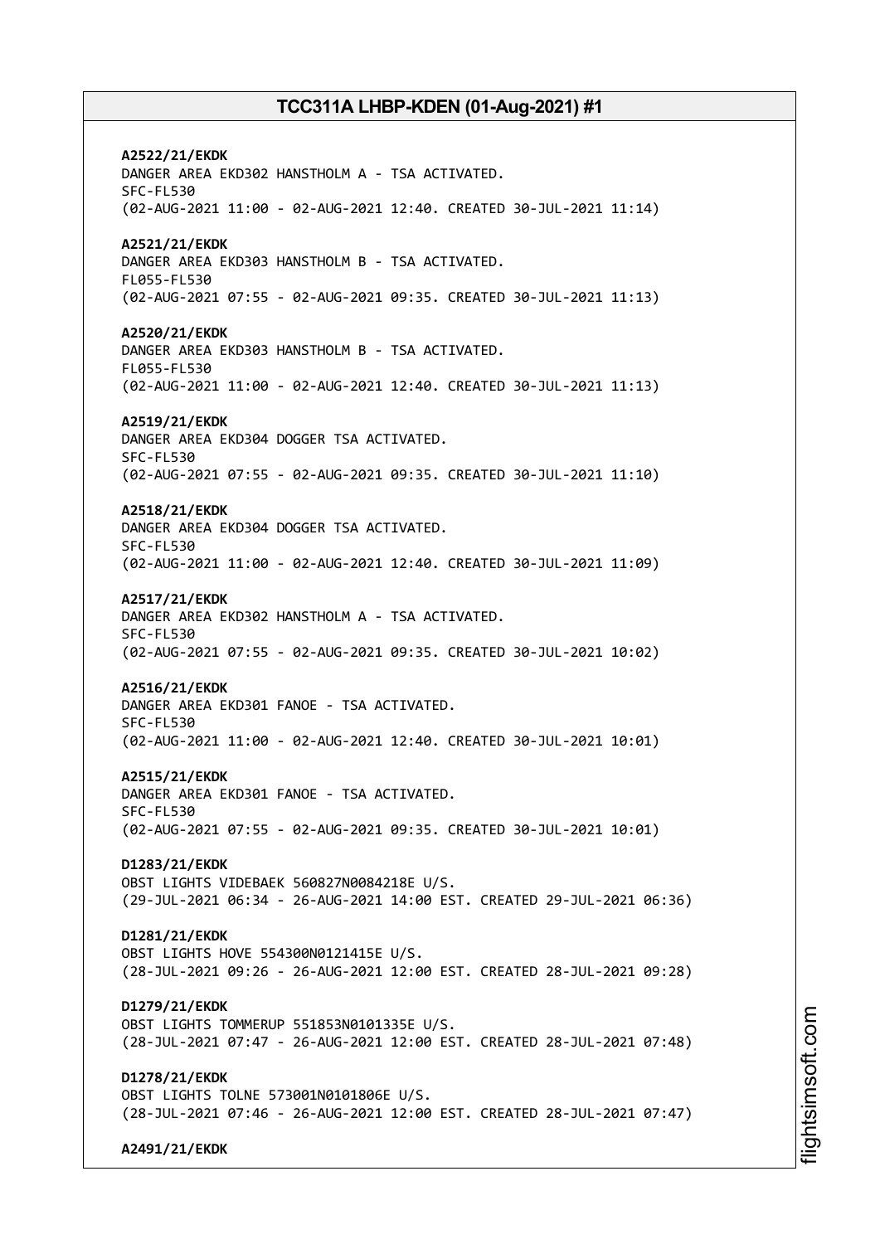**A2522/21/EKDK** DANGER AREA EKD302 HANSTHOLM A - TSA ACTIVATED. SFC-FL530 (02-AUG-2021 11:00 - 02-AUG-2021 12:40. CREATED 30-JUL-2021 11:14) **A2521/21/EKDK** DANGER AREA EKD303 HANSTHOLM B - TSA ACTIVATED. FL055-FL530 (02-AUG-2021 07:55 - 02-AUG-2021 09:35. CREATED 30-JUL-2021 11:13) **A2520/21/EKDK** DANGER AREA EKD303 HANSTHOLM B - TSA ACTIVATED. FL055-FL530 (02-AUG-2021 11:00 - 02-AUG-2021 12:40. CREATED 30-JUL-2021 11:13) **A2519/21/EKDK** DANGER AREA EKD304 DOGGER TSA ACTIVATED. SFC-FL530 (02-AUG-2021 07:55 - 02-AUG-2021 09:35. CREATED 30-JUL-2021 11:10) **A2518/21/EKDK** DANGER AREA EKD304 DOGGER TSA ACTIVATED. SFC-FL530 (02-AUG-2021 11:00 - 02-AUG-2021 12:40. CREATED 30-JUL-2021 11:09) **A2517/21/EKDK** DANGER AREA EKD302 HANSTHOLM A - TSA ACTIVATED. SFC-FL530 (02-AUG-2021 07:55 - 02-AUG-2021 09:35. CREATED 30-JUL-2021 10:02) **A2516/21/EKDK** DANGER AREA EKD301 FANOE - TSA ACTIVATED. SFC-FL530 (02-AUG-2021 11:00 - 02-AUG-2021 12:40. CREATED 30-JUL-2021 10:01) **A2515/21/EKDK** DANGER AREA EKD301 FANOE - TSA ACTIVATED. SFC-FL530 (02-AUG-2021 07:55 - 02-AUG-2021 09:35. CREATED 30-JUL-2021 10:01) **D1283/21/EKDK** OBST LIGHTS VIDEBAEK 560827N0084218E U/S. (29-JUL-2021 06:34 - 26-AUG-2021 14:00 EST. CREATED 29-JUL-2021 06:36) **D1281/21/EKDK** OBST LIGHTS HOVE 554300N0121415E U/S. (28-JUL-2021 09:26 - 26-AUG-2021 12:00 EST. CREATED 28-JUL-2021 09:28) **D1279/21/EKDK** OBST LIGHTS TOMMERUP 551853N0101335E U/S. (28-JUL-2021 07:47 - 26-AUG-2021 12:00 EST. CREATED 28-JUL-2021 07:48) **D1278/21/EKDK** OBST LIGHTS TOLNE 573001N0101806E U/S. (28-JUL-2021 07:46 - 26-AUG-2021 12:00 EST. CREATED 28-JUL-2021 07:47) **A2491/21/EKDK**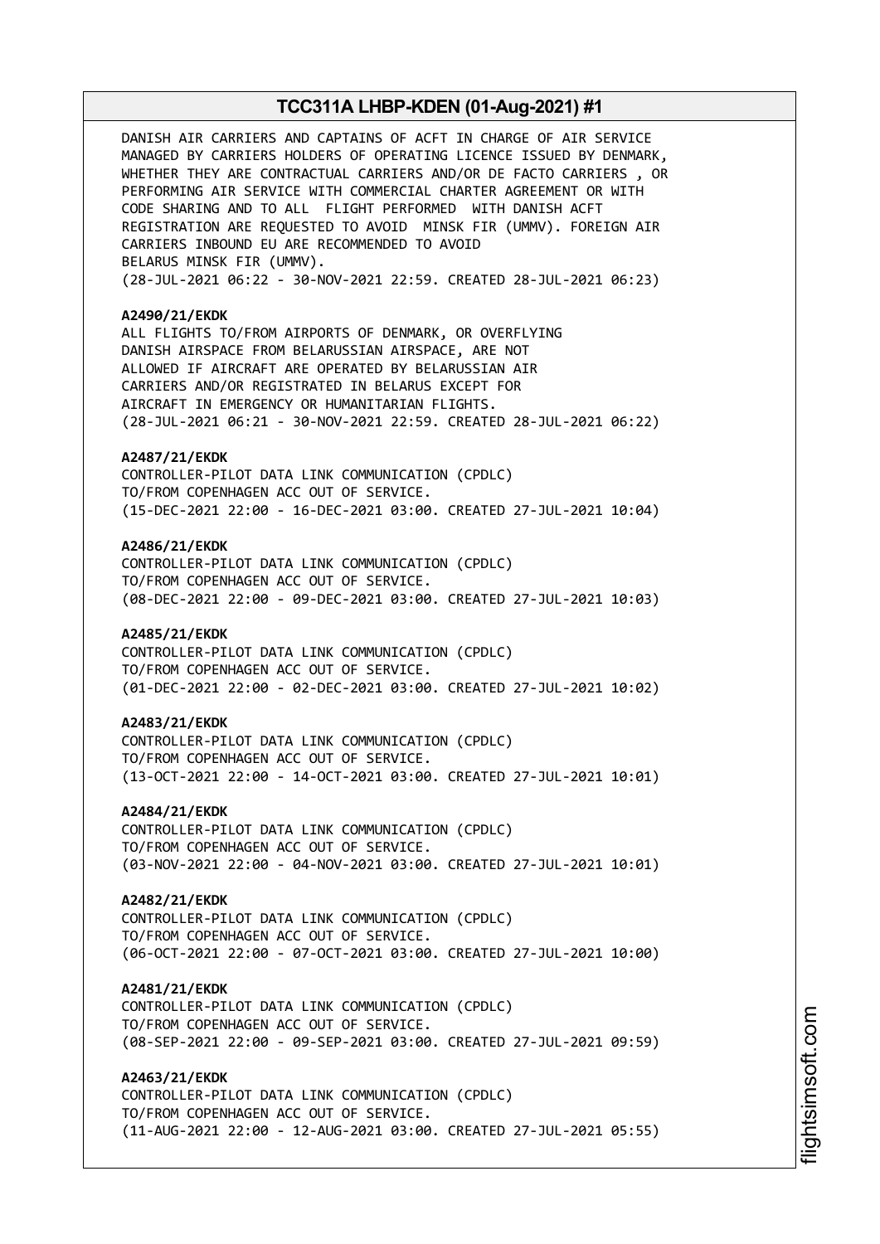DANISH AIR CARRIERS AND CAPTAINS OF ACFT IN CHARGE OF AIR SERVICE MANAGED BY CARRIERS HOLDERS OF OPERATING LICENCE ISSUED BY DENMARK, WHETHER THEY ARE CONTRACTUAL CARRIERS AND/OR DE FACTO CARRIERS , OR PERFORMING AIR SERVICE WITH COMMERCIAL CHARTER AGREEMENT OR WITH CODE SHARING AND TO ALL FLIGHT PERFORMED WITH DANISH ACFT REGISTRATION ARE REQUESTED TO AVOID MINSK FIR (UMMV). FOREIGN AIR CARRIERS INBOUND EU ARE RECOMMENDED TO AVOID BELARUS MINSK FIR (UMMV). (28-JUL-2021 06:22 - 30-NOV-2021 22:59. CREATED 28-JUL-2021 06:23) **A2490/21/EKDK** ALL FLIGHTS TO/FROM AIRPORTS OF DENMARK, OR OVERFLYING DANISH AIRSPACE FROM BELARUSSIAN AIRSPACE, ARE NOT ALLOWED IF AIRCRAFT ARE OPERATED BY BELARUSSIAN AIR CARRIERS AND/OR REGISTRATED IN BELARUS EXCEPT FOR AIRCRAFT IN EMERGENCY OR HUMANITARIAN FLIGHTS. (28-JUL-2021 06:21 - 30-NOV-2021 22:59. CREATED 28-JUL-2021 06:22) **A2487/21/EKDK** CONTROLLER-PILOT DATA LINK COMMUNICATION (CPDLC) TO/FROM COPENHAGEN ACC OUT OF SERVICE. (15-DEC-2021 22:00 - 16-DEC-2021 03:00. CREATED 27-JUL-2021 10:04) **A2486/21/EKDK** CONTROLLER-PILOT DATA LINK COMMUNICATION (CPDLC) TO/FROM COPENHAGEN ACC OUT OF SERVICE. (08-DEC-2021 22:00 - 09-DEC-2021 03:00. CREATED 27-JUL-2021 10:03) **A2485/21/EKDK** CONTROLLER-PILOT DATA LINK COMMUNICATION (CPDLC) TO/FROM COPENHAGEN ACC OUT OF SERVICE. (01-DEC-2021 22:00 - 02-DEC-2021 03:00. CREATED 27-JUL-2021 10:02) **A2483/21/EKDK** CONTROLLER-PILOT DATA LINK COMMUNICATION (CPDLC) TO/FROM COPENHAGEN ACC OUT OF SERVICE. (13-OCT-2021 22:00 - 14-OCT-2021 03:00. CREATED 27-JUL-2021 10:01) **A2484/21/EKDK** CONTROLLER-PILOT DATA LINK COMMUNICATION (CPDLC) TO/FROM COPENHAGEN ACC OUT OF SERVICE. (03-NOV-2021 22:00 - 04-NOV-2021 03:00. CREATED 27-JUL-2021 10:01) **A2482/21/EKDK** CONTROLLER-PILOT DATA LINK COMMUNICATION (CPDLC) TO/FROM COPENHAGEN ACC OUT OF SERVICE. (06-OCT-2021 22:00 - 07-OCT-2021 03:00. CREATED 27-JUL-2021 10:00) **A2481/21/EKDK** CONTROLLER-PILOT DATA LINK COMMUNICATION (CPDLC) TO/FROM COPENHAGEN ACC OUT OF SERVICE. (08-SEP-2021 22:00 - 09-SEP-2021 03:00. CREATED 27-JUL-2021 09:59) **A2463/21/EKDK** CONTROLLER-PILOT DATA LINK COMMUNICATION (CPDLC) TO/FROM COPENHAGEN ACC OUT OF SERVICE. (11-AUG-2021 22:00 - 12-AUG-2021 03:00. CREATED 27-JUL-2021 05:55)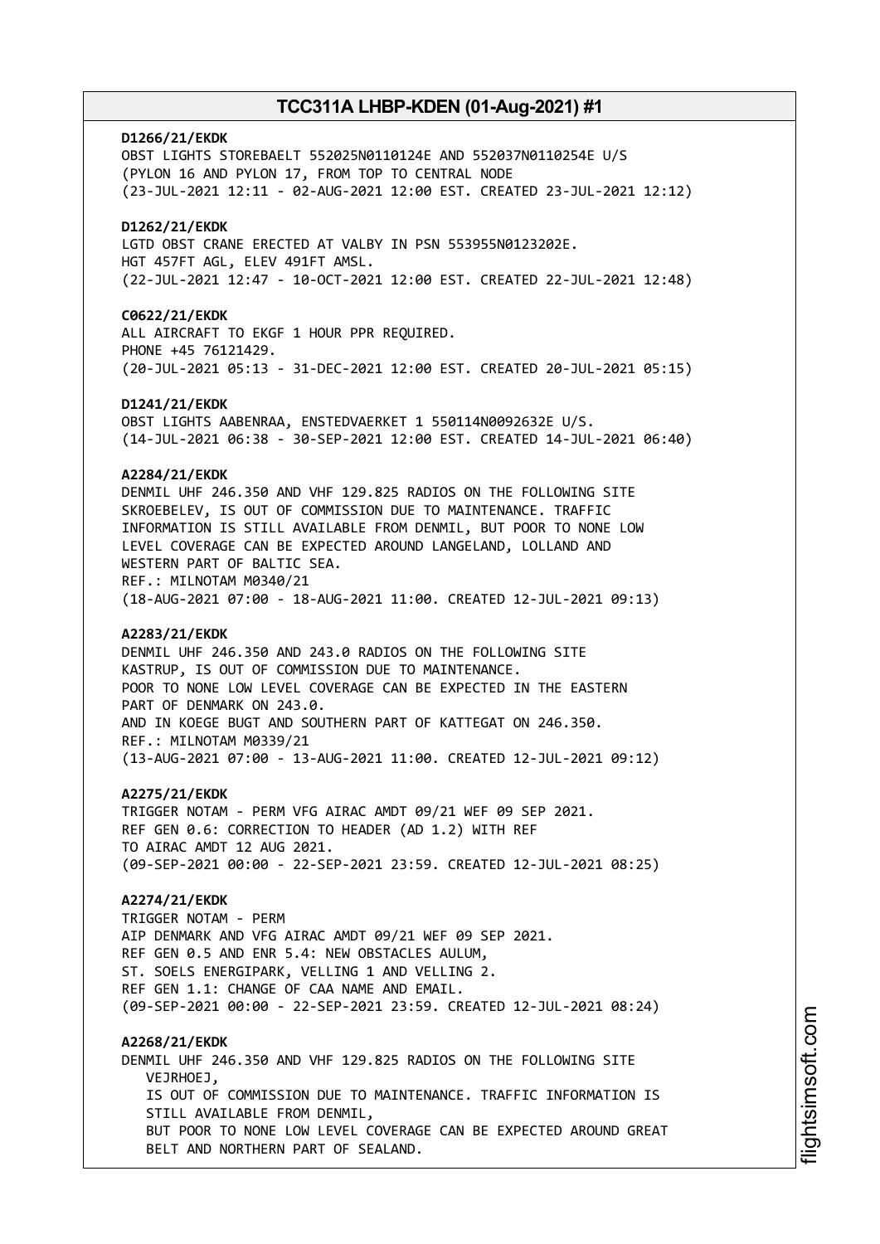# **D1266/21/EKDK** OBST LIGHTS STOREBAELT 552025N0110124E AND 552037N0110254E U/S (PYLON 16 AND PYLON 17, FROM TOP TO CENTRAL NODE (23-JUL-2021 12:11 - 02-AUG-2021 12:00 EST. CREATED 23-JUL-2021 12:12) **D1262/21/EKDK** LGTD OBST CRANE ERECTED AT VALBY IN PSN 553955N0123202E. HGT 457FT AGL, ELEV 491FT AMSL. (22-JUL-2021 12:47 - 10-OCT-2021 12:00 EST. CREATED 22-JUL-2021 12:48) **C0622/21/EKDK** ALL AIRCRAFT TO EKGF 1 HOUR PPR REQUIRED. PHONE +45 76121429. (20-JUL-2021 05:13 - 31-DEC-2021 12:00 EST. CREATED 20-JUL-2021 05:15) **D1241/21/EKDK** OBST LIGHTS AABENRAA, ENSTEDVAERKET 1 550114N0092632E U/S. (14-JUL-2021 06:38 - 30-SEP-2021 12:00 EST. CREATED 14-JUL-2021 06:40) **A2284/21/EKDK** DENMIL UHF 246.350 AND VHF 129.825 RADIOS ON THE FOLLOWING SITE SKROEBELEV, IS OUT OF COMMISSION DUE TO MAINTENANCE. TRAFFIC INFORMATION IS STILL AVAILABLE FROM DENMIL, BUT POOR TO NONE LOW LEVEL COVERAGE CAN BE EXPECTED AROUND LANGELAND, LOLLAND AND WESTERN PART OF BALTIC SEA. REF.: MILNOTAM M0340/21 (18-AUG-2021 07:00 - 18-AUG-2021 11:00. CREATED 12-JUL-2021 09:13) **A2283/21/EKDK** DENMIL UHF 246.350 AND 243.0 RADIOS ON THE FOLLOWING SITE KASTRUP, IS OUT OF COMMISSION DUE TO MAINTENANCE. POOR TO NONE LOW LEVEL COVERAGE CAN BE EXPECTED IN THE EASTERN PART OF DENMARK ON 243.0. AND IN KOEGE BUGT AND SOUTHERN PART OF KATTEGAT ON 246.350. REF.: MILNOTAM M0339/21 (13-AUG-2021 07:00 - 13-AUG-2021 11:00. CREATED 12-JUL-2021 09:12) **A2275/21/EKDK** TRIGGER NOTAM - PERM VFG AIRAC AMDT 09/21 WEF 09 SEP 2021. REF GEN 0.6: CORRECTION TO HEADER (AD 1.2) WITH REF TO AIRAC AMDT 12 AUG 2021. (09-SEP-2021 00:00 - 22-SEP-2021 23:59. CREATED 12-JUL-2021 08:25) **A2274/21/EKDK** TRIGGER NOTAM - PERM AIP DENMARK AND VFG AIRAC AMDT 09/21 WEF 09 SEP 2021. REF GEN 0.5 AND ENR 5.4: NEW OBSTACLES AULUM, ST. SOELS ENERGIPARK, VELLING 1 AND VELLING 2. REF GEN 1.1: CHANGE OF CAA NAME AND EMAIL. (09-SEP-2021 00:00 - 22-SEP-2021 23:59. CREATED 12-JUL-2021 08:24) **A2268/21/EKDK** DENMIL UHF 246.350 AND VHF 129.825 RADIOS ON THE FOLLOWING SITE VEJRHOEJ, IS OUT OF COMMISSION DUE TO MAINTENANCE. TRAFFIC INFORMATION IS STILL AVAILABLE FROM DENMIL, BUT POOR TO NONE LOW LEVEL COVERAGE CAN BE EXPECTED AROUND GREAT BELT AND NORTHERN PART OF SEALAND.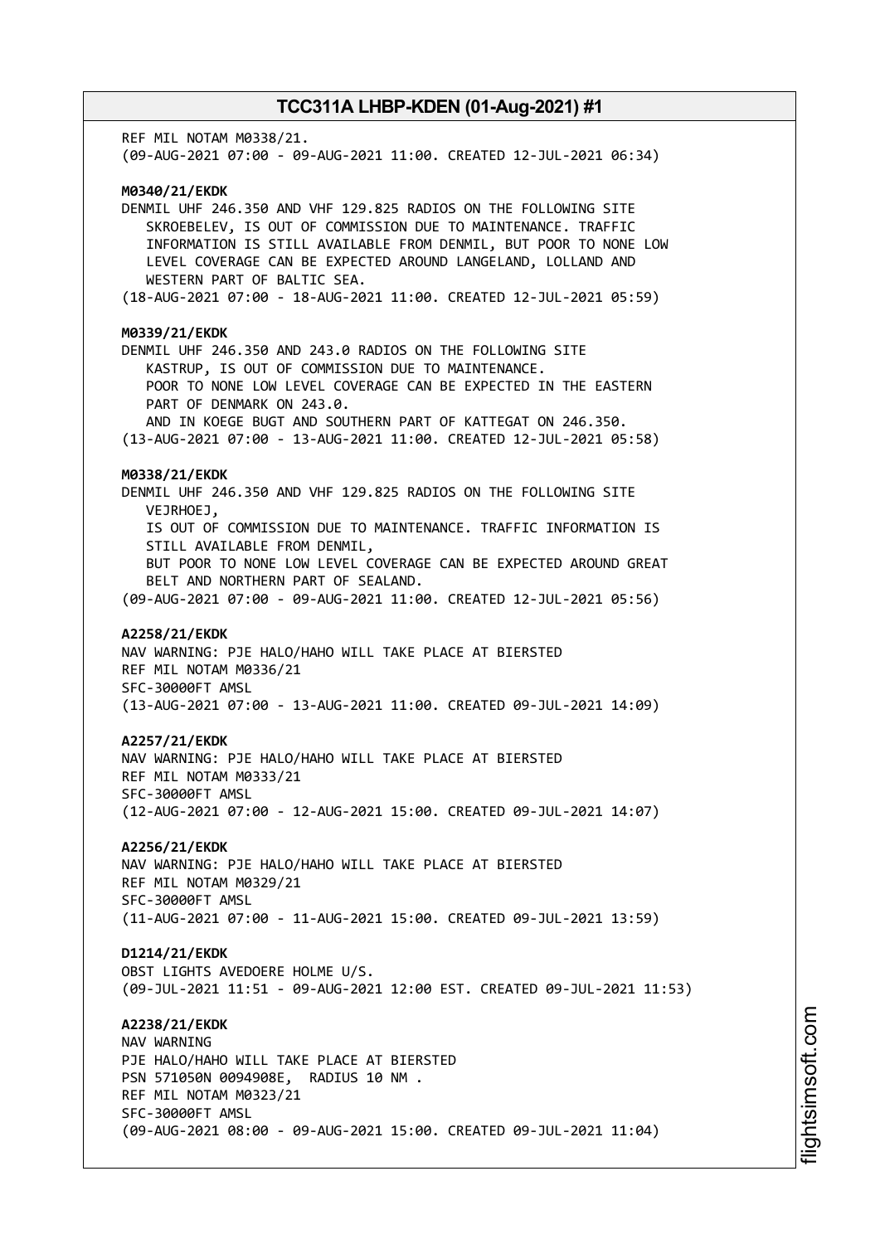REF MIL NOTAM M0338/21. (09-AUG-2021 07:00 - 09-AUG-2021 11:00. CREATED 12-JUL-2021 06:34) **M0340/21/EKDK** DENMIL UHF 246.350 AND VHF 129.825 RADIOS ON THE FOLLOWING SITE SKROEBELEV, IS OUT OF COMMISSION DUE TO MAINTENANCE. TRAFFIC INFORMATION IS STILL AVAILABLE FROM DENMIL, BUT POOR TO NONE LOW LEVEL COVERAGE CAN BE EXPECTED AROUND LANGELAND, LOLLAND AND WESTERN PART OF BALTIC SEA. (18-AUG-2021 07:00 - 18-AUG-2021 11:00. CREATED 12-JUL-2021 05:59) **M0339/21/EKDK** DENMIL UHF 246.350 AND 243.0 RADIOS ON THE FOLLOWING SITE KASTRUP, IS OUT OF COMMISSION DUE TO MAINTENANCE. POOR TO NONE LOW LEVEL COVERAGE CAN BE EXPECTED IN THE EASTERN PART OF DENMARK ON 243.0. AND IN KOEGE BUGT AND SOUTHERN PART OF KATTEGAT ON 246.350. (13-AUG-2021 07:00 - 13-AUG-2021 11:00. CREATED 12-JUL-2021 05:58) **M0338/21/EKDK** DENMIL UHF 246.350 AND VHF 129.825 RADIOS ON THE FOLLOWING SITE VEJRHOEJ, IS OUT OF COMMISSION DUE TO MAINTENANCE. TRAFFIC INFORMATION IS STILL AVAILABLE FROM DENMIL, BUT POOR TO NONE LOW LEVEL COVERAGE CAN BE EXPECTED AROUND GREAT BELT AND NORTHERN PART OF SEALAND. (09-AUG-2021 07:00 - 09-AUG-2021 11:00. CREATED 12-JUL-2021 05:56) **A2258/21/EKDK** NAV WARNING: PJE HALO/HAHO WILL TAKE PLACE AT BIERSTED REF MIL NOTAM M0336/21 SFC-30000FT AMSL (13-AUG-2021 07:00 - 13-AUG-2021 11:00. CREATED 09-JUL-2021 14:09) **A2257/21/EKDK** NAV WARNING: PJE HALO/HAHO WILL TAKE PLACE AT BIERSTED REF MIL NOTAM M0333/21 SFC-30000FT AMSL (12-AUG-2021 07:00 - 12-AUG-2021 15:00. CREATED 09-JUL-2021 14:07) **A2256/21/EKDK** NAV WARNING: PJE HALO/HAHO WILL TAKE PLACE AT BIERSTED REF MIL NOTAM M0329/21 SFC-30000FT AMSL (11-AUG-2021 07:00 - 11-AUG-2021 15:00. CREATED 09-JUL-2021 13:59) **D1214/21/EKDK** OBST LIGHTS AVEDOERE HOLME U/S. (09-JUL-2021 11:51 - 09-AUG-2021 12:00 EST. CREATED 09-JUL-2021 11:53) **A2238/21/EKDK** NAV WARNING PJE HALO/HAHO WILL TAKE PLACE AT BIERSTED PSN 571050N 0094908E, RADIUS 10 NM . REF MIL NOTAM M0323/21 SFC-30000FT AMSL (09-AUG-2021 08:00 - 09-AUG-2021 15:00. CREATED 09-JUL-2021 11:04)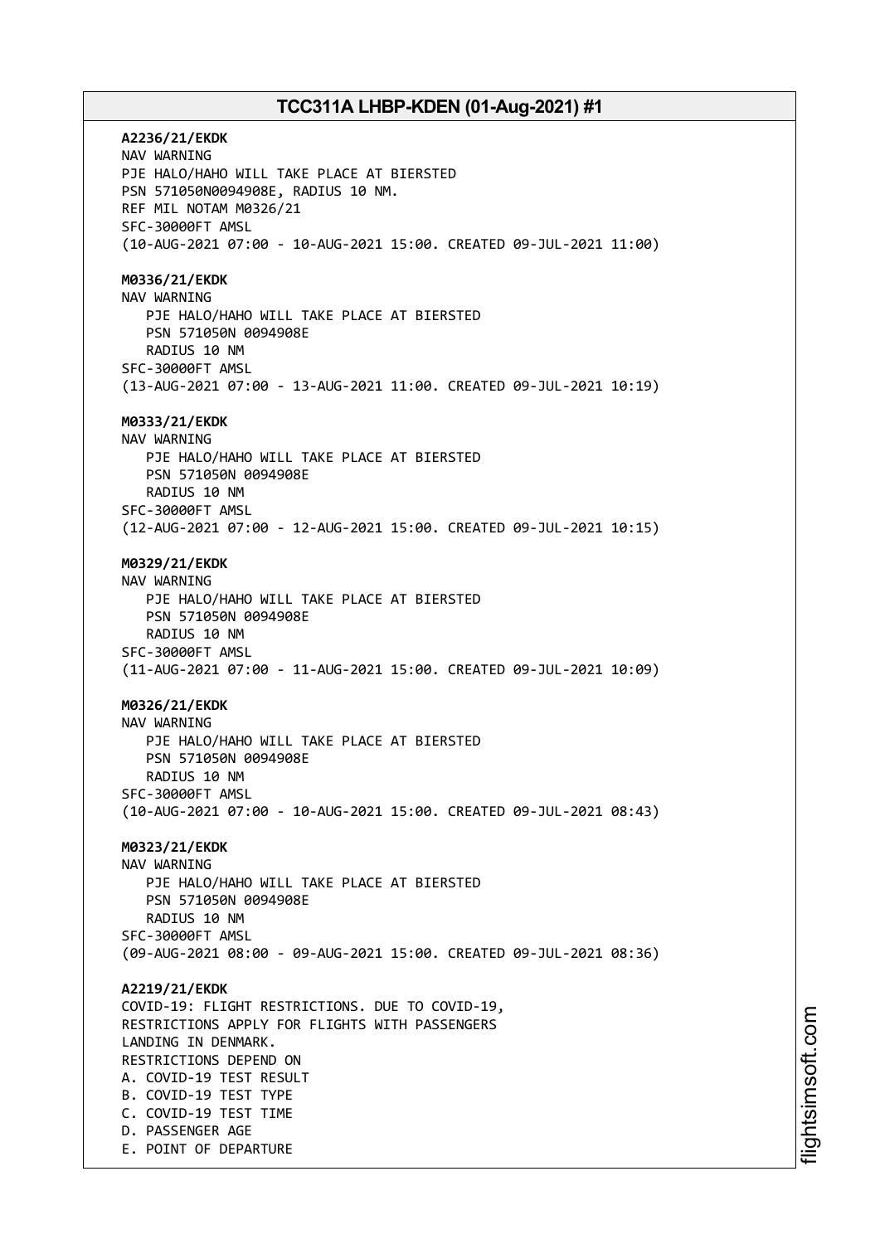**A2236/21/EKDK** NAV WARNING PJE HALO/HAHO WILL TAKE PLACE AT BIERSTED PSN 571050N0094908E, RADIUS 10 NM. REF MIL NOTAM M0326/21 SFC-30000FT AMSL (10-AUG-2021 07:00 - 10-AUG-2021 15:00. CREATED 09-JUL-2021 11:00) **M0336/21/EKDK** NAV WARNING PJE HALO/HAHO WILL TAKE PLACE AT BIERSTED PSN 571050N 0094908E RADIUS 10 NM SFC-30000FT AMSL (13-AUG-2021 07:00 - 13-AUG-2021 11:00. CREATED 09-JUL-2021 10:19) **M0333/21/EKDK** NAV WARNING PJE HALO/HAHO WILL TAKE PLACE AT BIERSTED PSN 571050N 0094908E RADIUS 10 NM SFC-30000FT AMSL (12-AUG-2021 07:00 - 12-AUG-2021 15:00. CREATED 09-JUL-2021 10:15) **M0329/21/EKDK** NAV WARNING PJE HALO/HAHO WILL TAKE PLACE AT BIERSTED PSN 571050N 0094908E RADIUS 10 NM SFC-30000FT AMSL (11-AUG-2021 07:00 - 11-AUG-2021 15:00. CREATED 09-JUL-2021 10:09) **M0326/21/EKDK** NAV WARNING PJE HALO/HAHO WILL TAKE PLACE AT BIERSTED PSN 571050N 0094908E RADIUS 10 NM SFC-30000FT AMSL (10-AUG-2021 07:00 - 10-AUG-2021 15:00. CREATED 09-JUL-2021 08:43) **M0323/21/EKDK** NAV WARNING PJE HALO/HAHO WILL TAKE PLACE AT BIERSTED PSN 571050N 0094908E RADIUS 10 NM SFC-30000FT AMSL (09-AUG-2021 08:00 - 09-AUG-2021 15:00. CREATED 09-JUL-2021 08:36) **A2219/21/EKDK** COVID-19: FLIGHT RESTRICTIONS. DUE TO COVID-19, RESTRICTIONS APPLY FOR FLIGHTS WITH PASSENGERS LANDING IN DENMARK. RESTRICTIONS DEPEND ON A. COVID-19 TEST RESULT B. COVID-19 TEST TYPE C. COVID-19 TEST TIME D. PASSENGER AGE E. POINT OF DEPARTURE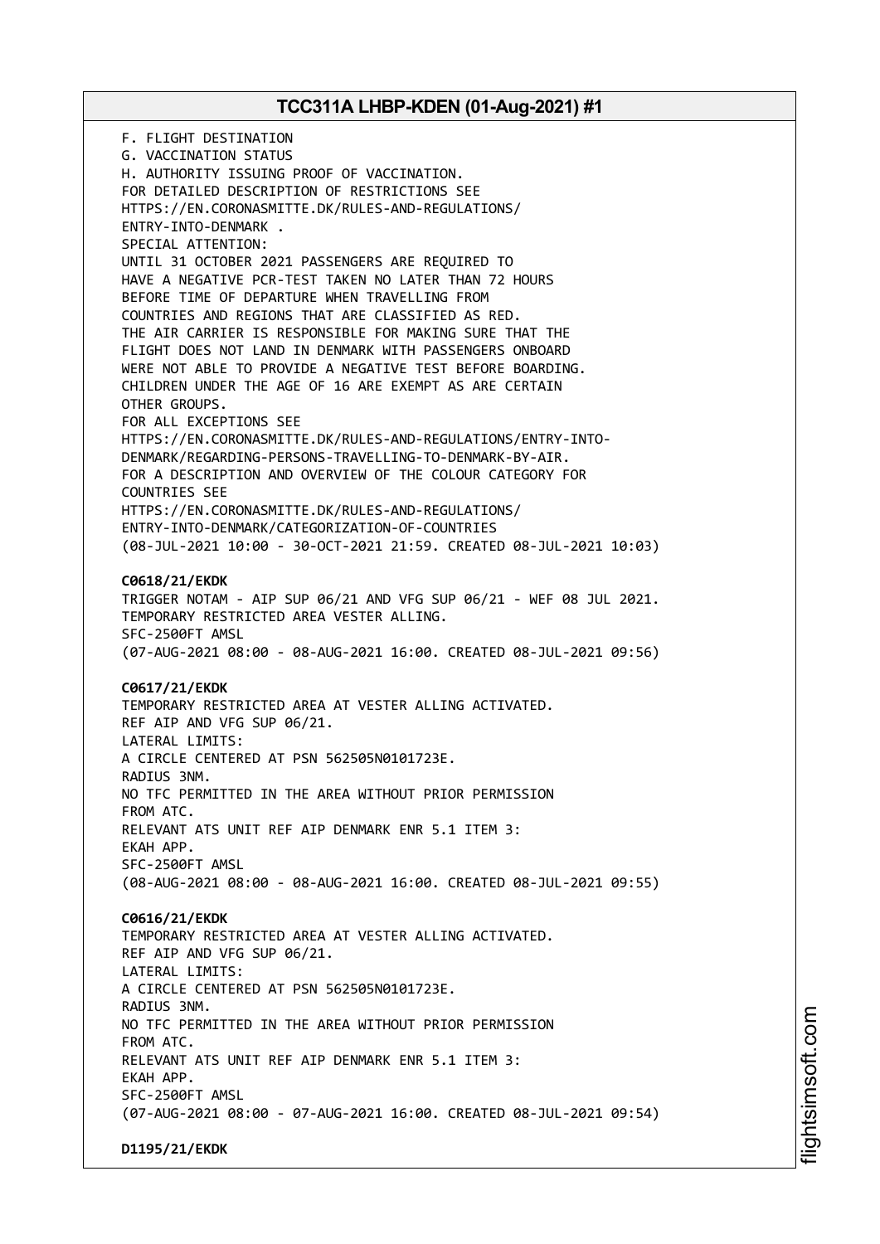F. FLIGHT DESTINATION G. VACCINATION STATUS H. AUTHORITY ISSUING PROOF OF VACCINATION. FOR DETAILED DESCRIPTION OF RESTRICTIONS SEE HTTPS://EN.CORONASMITTE.DK/RULES-AND-REGULATIONS/ ENTRY-INTO-DENMARK . SPECIAL ATTENTION: UNTIL 31 OCTOBER 2021 PASSENGERS ARE REQUIRED TO HAVE A NEGATIVE PCR-TEST TAKEN NO LATER THAN 72 HOURS BEFORE TIME OF DEPARTURE WHEN TRAVELLING FROM COUNTRIES AND REGIONS THAT ARE CLASSIFIED AS RED. THE AIR CARRIER IS RESPONSIBLE FOR MAKING SURE THAT THE FLIGHT DOES NOT LAND IN DENMARK WITH PASSENGERS ONBOARD WERE NOT ABLE TO PROVIDE A NEGATIVE TEST BEFORE BOARDING. CHILDREN UNDER THE AGE OF 16 ARE EXEMPT AS ARE CERTAIN OTHER GROUPS. FOR ALL EXCEPTIONS SEE HTTPS://EN.CORONASMITTE.DK/RULES-AND-REGULATIONS/ENTRY-INTO-DENMARK/REGARDING-PERSONS-TRAVELLING-TO-DENMARK-BY-AIR. FOR A DESCRIPTION AND OVERVIEW OF THE COLOUR CATEGORY FOR COUNTRIES SEE HTTPS://EN.CORONASMITTE.DK/RULES-AND-REGULATIONS/ ENTRY-INTO-DENMARK/CATEGORIZATION-OF-COUNTRIES (08-JUL-2021 10:00 - 30-OCT-2021 21:59. CREATED 08-JUL-2021 10:03) **C0618/21/EKDK** TRIGGER NOTAM - AIP SUP 06/21 AND VFG SUP 06/21 - WEF 08 JUL 2021. TEMPORARY RESTRICTED AREA VESTER ALLING. SFC-2500FT AMSL (07-AUG-2021 08:00 - 08-AUG-2021 16:00. CREATED 08-JUL-2021 09:56) **C0617/21/EKDK** TEMPORARY RESTRICTED AREA AT VESTER ALLING ACTIVATED. REF AIP AND VFG SUP 06/21. LATERAL LIMITS: A CIRCLE CENTERED AT PSN 562505N0101723E. RADIUS 3NM. NO TFC PERMITTED IN THE AREA WITHOUT PRIOR PERMISSION FROM ATC. RELEVANT ATS UNIT REF AIP DENMARK ENR 5.1 ITEM 3: EKAH APP. SFC-2500FT AMSL (08-AUG-2021 08:00 - 08-AUG-2021 16:00. CREATED 08-JUL-2021 09:55) **C0616/21/EKDK** TEMPORARY RESTRICTED AREA AT VESTER ALLING ACTIVATED. REF AIP AND VFG SUP 06/21. LATERAL LIMITS: A CIRCLE CENTERED AT PSN 562505N0101723E. RADIUS 3NM. NO TFC PERMITTED IN THE AREA WITHOUT PRIOR PERMISSION FROM ATC. RELEVANT ATS UNIT REF AIP DENMARK ENR 5.1 ITEM 3: EKAH APP. SFC-2500FT AMSL (07-AUG-2021 08:00 - 07-AUG-2021 16:00. CREATED 08-JUL-2021 09:54) **D1195/21/EKDK**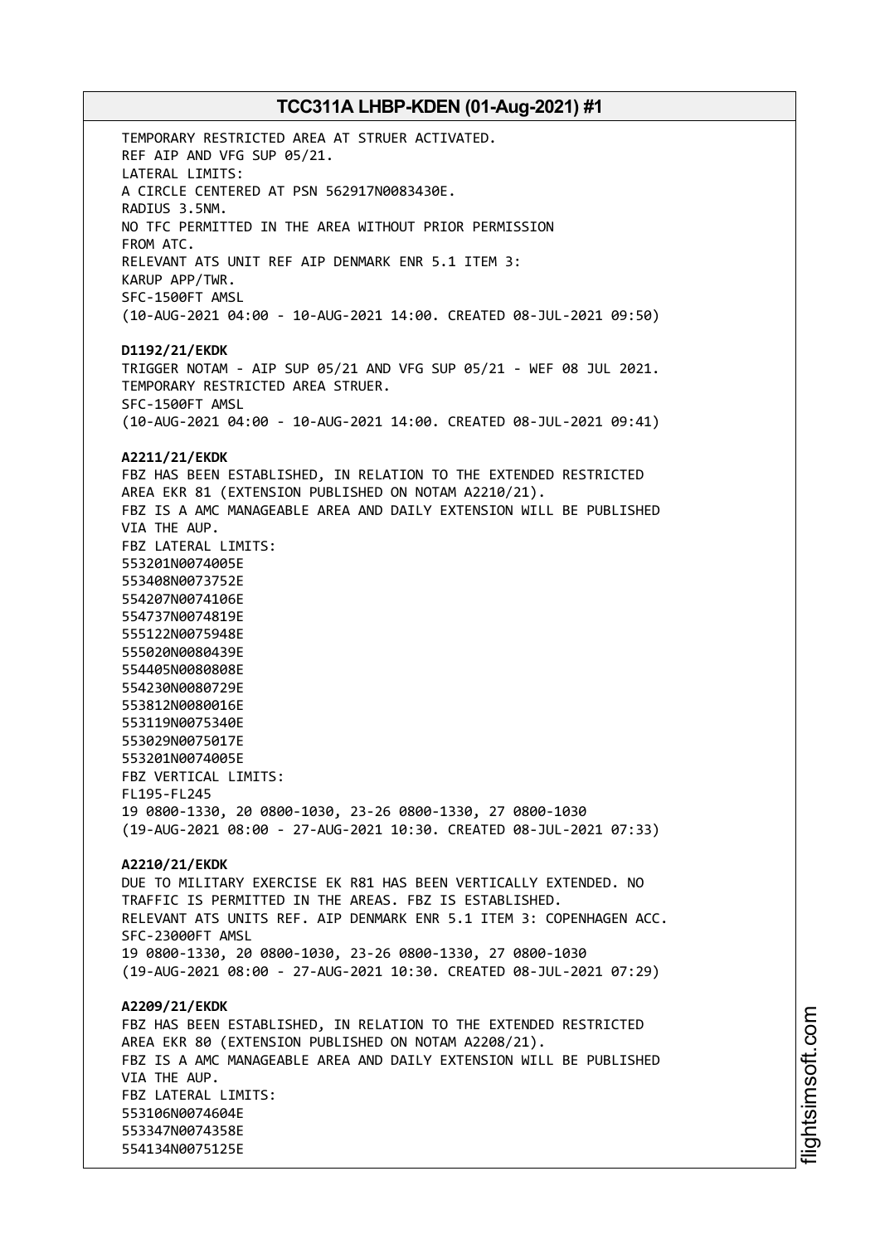TEMPORARY RESTRICTED AREA AT STRUER ACTIVATED. REF AIP AND VFG SUP 05/21. LATERAL LIMITS: A CIRCLE CENTERED AT PSN 562917N0083430E. RADIUS 3.5NM. NO TFC PERMITTED IN THE AREA WITHOUT PRIOR PERMISSION FROM ATC. RELEVANT ATS UNIT REF AIP DENMARK ENR 5.1 ITEM 3: KARUP APP/TWR. SFC-1500FT AMSL (10-AUG-2021 04:00 - 10-AUG-2021 14:00. CREATED 08-JUL-2021 09:50) **D1192/21/EKDK** TRIGGER NOTAM - AIP SUP 05/21 AND VFG SUP 05/21 - WEF 08 JUL 2021. TEMPORARY RESTRICTED AREA STRUER. SFC-1500FT AMSL (10-AUG-2021 04:00 - 10-AUG-2021 14:00. CREATED 08-JUL-2021 09:41) **A2211/21/EKDK** FBZ HAS BEEN ESTABLISHED, IN RELATION TO THE EXTENDED RESTRICTED AREA EKR 81 (EXTENSION PUBLISHED ON NOTAM A2210/21). FBZ IS A AMC MANAGEABLE AREA AND DAILY EXTENSION WILL BE PUBLISHED VIA THE AUP. FBZ LATERAL LIMITS: 553201N0074005E 553408N0073752E 554207N0074106E 554737N0074819E 555122N0075948E 555020N0080439E 554405N0080808E 554230N0080729E 553812N0080016E 553119N0075340E 553029N0075017E 553201N0074005E FBZ VERTICAL LIMITS: FL195-FL245 19 0800-1330, 20 0800-1030, 23-26 0800-1330, 27 0800-1030 (19-AUG-2021 08:00 - 27-AUG-2021 10:30. CREATED 08-JUL-2021 07:33) **A2210/21/EKDK** DUE TO MILITARY EXERCISE EK R81 HAS BEEN VERTICALLY EXTENDED. NO TRAFFIC IS PERMITTED IN THE AREAS. FBZ IS ESTABLISHED. RELEVANT ATS UNITS REF. AIP DENMARK ENR 5.1 ITEM 3: COPENHAGEN ACC. SFC-23000FT AMSL 19 0800-1330, 20 0800-1030, 23-26 0800-1330, 27 0800-1030 (19-AUG-2021 08:00 - 27-AUG-2021 10:30. CREATED 08-JUL-2021 07:29) **A2209/21/EKDK** FBZ HAS BEEN ESTABLISHED, IN RELATION TO THE EXTENDED RESTRICTED AREA EKR 80 (EXTENSION PUBLISHED ON NOTAM A2208/21). FBZ IS A AMC MANAGEABLE AREA AND DAILY EXTENSION WILL BE PUBLISHED VIA THE AUP. FBZ LATERAL LIMITS: 553106N0074604E 553347N0074358E 554134N0075125E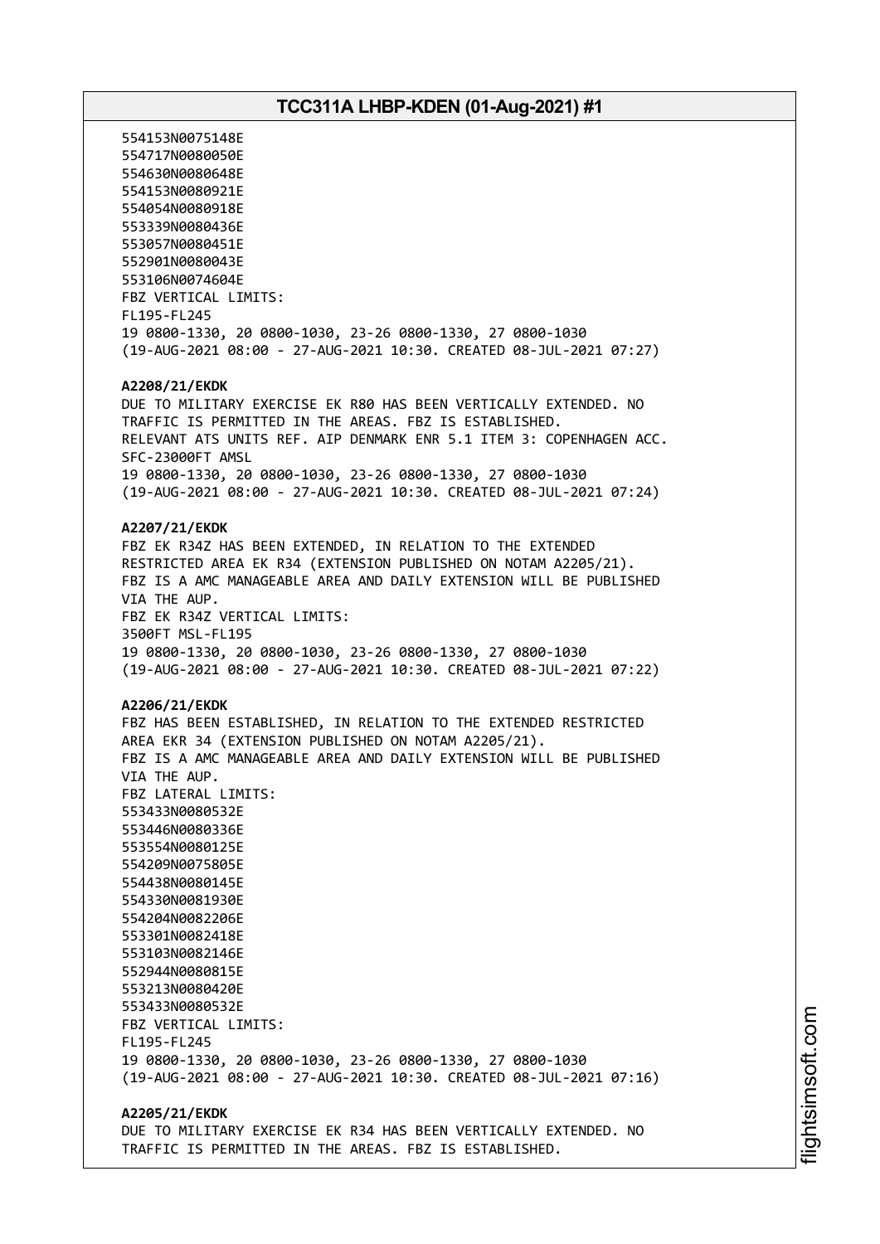554153N0075148E 554717N0080050E 554630N0080648E 554153N0080921E 554054N0080918E 553339N0080436E 553057N0080451E 552901N0080043E 553106N0074604E FBZ VERTICAL LIMITS: FL195-FL245 19 0800-1330, 20 0800-1030, 23-26 0800-1330, 27 0800-1030 (19-AUG-2021 08:00 - 27-AUG-2021 10:30. CREATED 08-JUL-2021 07:27) **A2208/21/EKDK** DUE TO MILITARY EXERCISE EK R80 HAS BEEN VERTICALLY EXTENDED. NO TRAFFIC IS PERMITTED IN THE AREAS. FBZ IS ESTABLISHED. RELEVANT ATS UNITS REF. AIP DENMARK ENR 5.1 ITEM 3: COPENHAGEN ACC. SFC-23000FT AMSL 19 0800-1330, 20 0800-1030, 23-26 0800-1330, 27 0800-1030 (19-AUG-2021 08:00 - 27-AUG-2021 10:30. CREATED 08-JUL-2021 07:24) **A2207/21/EKDK** FBZ EK R34Z HAS BEEN EXTENDED, IN RELATION TO THE EXTENDED RESTRICTED AREA EK R34 (EXTENSION PUBLISHED ON NOTAM A2205/21). FBZ IS A AMC MANAGEABLE AREA AND DAILY EXTENSION WILL BE PUBLISHED VIA THE AUP. FBZ EK R34Z VERTICAL LIMITS: 3500FT MSL-FL195 19 0800-1330, 20 0800-1030, 23-26 0800-1330, 27 0800-1030 (19-AUG-2021 08:00 - 27-AUG-2021 10:30. CREATED 08-JUL-2021 07:22) **A2206/21/EKDK** FBZ HAS BEEN ESTABLISHED, IN RELATION TO THE EXTENDED RESTRICTED AREA EKR 34 (EXTENSION PUBLISHED ON NOTAM A2205/21). FBZ IS A AMC MANAGEABLE AREA AND DAILY EXTENSION WILL BE PUBLISHED VIA THE AUP. FBZ LATERAL LIMITS: 553433N0080532E 553446N0080336E 553554N0080125E 554209N0075805E 554438N0080145E 554330N0081930E 554204N0082206E 553301N0082418E 553103N0082146E 552944N0080815E 553213N0080420E 553433N0080532E FBZ VERTICAL LIMITS: FL195-FL245 19 0800-1330, 20 0800-1030, 23-26 0800-1330, 27 0800-1030 (19-AUG-2021 08:00 - 27-AUG-2021 10:30. CREATED 08-JUL-2021 07:16) **A2205/21/EKDK**

DUE TO MILITARY EXERCISE EK R34 HAS BEEN VERTICALLY EXTENDED. NO TRAFFIC IS PERMITTED IN THE AREAS. FBZ IS ESTABLISHED.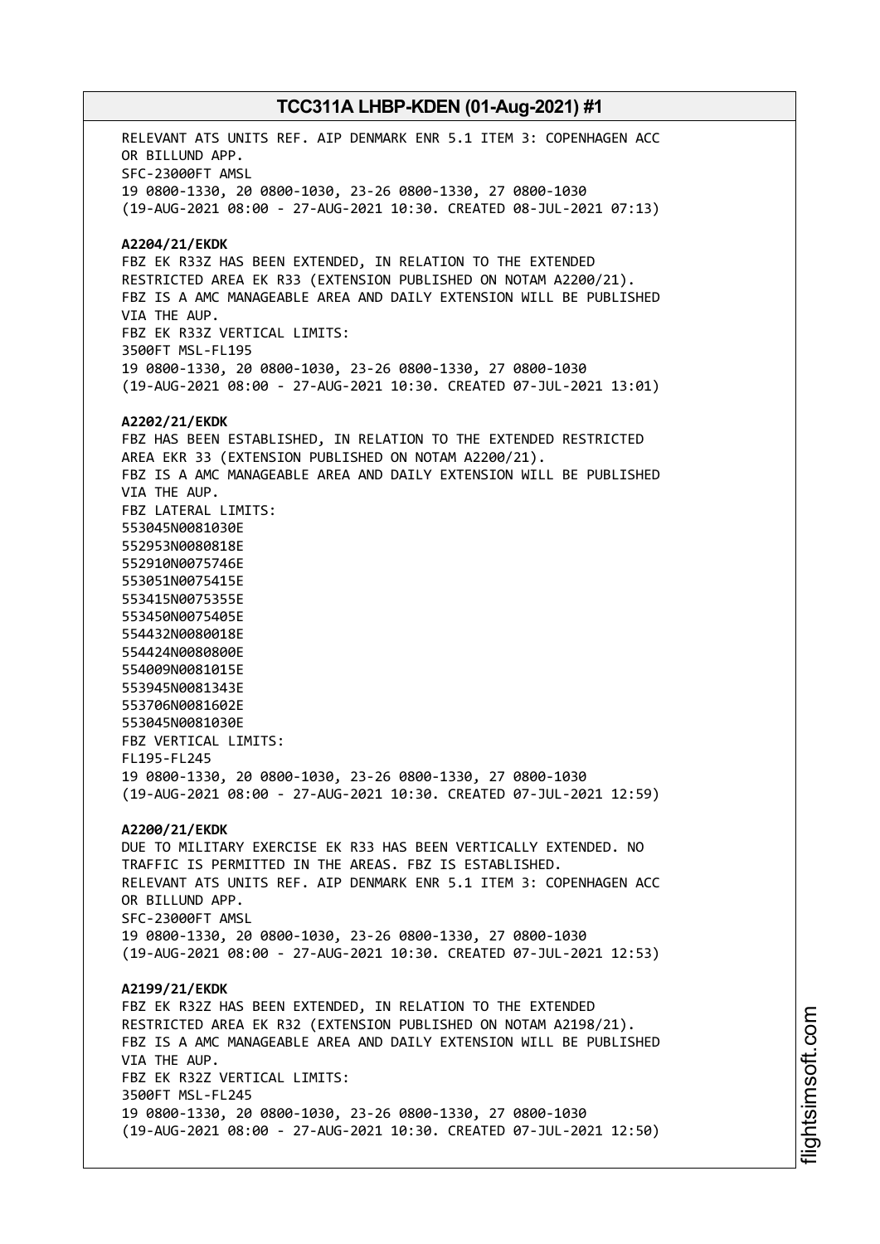RELEVANT ATS UNITS REF. AIP DENMARK ENR 5.1 ITEM 3: COPENHAGEN ACC OR BILLUND APP. SFC-23000FT AMSL 19 0800-1330, 20 0800-1030, 23-26 0800-1330, 27 0800-1030 (19-AUG-2021 08:00 - 27-AUG-2021 10:30. CREATED 08-JUL-2021 07:13) **A2204/21/EKDK** FBZ EK R33Z HAS BEEN EXTENDED, IN RELATION TO THE EXTENDED RESTRICTED AREA EK R33 (EXTENSION PUBLISHED ON NOTAM A2200/21). FBZ IS A AMC MANAGEABLE AREA AND DAILY EXTENSION WILL BE PUBLISHED VIA THE AUP. FBZ EK R33Z VERTICAL LIMITS: 3500FT MSL-FL195 19 0800-1330, 20 0800-1030, 23-26 0800-1330, 27 0800-1030 (19-AUG-2021 08:00 - 27-AUG-2021 10:30. CREATED 07-JUL-2021 13:01) **A2202/21/EKDK** FBZ HAS BEEN ESTABLISHED, IN RELATION TO THE EXTENDED RESTRICTED AREA EKR 33 (EXTENSION PUBLISHED ON NOTAM A2200/21). FBZ IS A AMC MANAGEABLE AREA AND DAILY EXTENSION WILL BE PUBLISHED VIA THE AUP. FBZ LATERAL LIMITS: 553045N0081030E 552953N0080818E 552910N0075746E 553051N0075415E 553415N0075355E 553450N0075405E 554432N0080018E 554424N0080800E 554009N0081015E 553945N0081343E 553706N0081602E 553045N0081030E FBZ VERTICAL LIMITS: FL195-FL245 19 0800-1330, 20 0800-1030, 23-26 0800-1330, 27 0800-1030 (19-AUG-2021 08:00 - 27-AUG-2021 10:30. CREATED 07-JUL-2021 12:59) **A2200/21/EKDK** DUE TO MILITARY EXERCISE EK R33 HAS BEEN VERTICALLY EXTENDED. NO TRAFFIC IS PERMITTED IN THE AREAS. FBZ IS ESTABLISHED. RELEVANT ATS UNITS REF. AIP DENMARK ENR 5.1 ITEM 3: COPENHAGEN ACC OR BILLUND APP. SFC-23000FT AMSL 19 0800-1330, 20 0800-1030, 23-26 0800-1330, 27 0800-1030 (19-AUG-2021 08:00 - 27-AUG-2021 10:30. CREATED 07-JUL-2021 12:53) **A2199/21/EKDK** FBZ EK R32Z HAS BEEN EXTENDED, IN RELATION TO THE EXTENDED RESTRICTED AREA EK R32 (EXTENSION PUBLISHED ON NOTAM A2198/21). FBZ IS A AMC MANAGEABLE AREA AND DAILY EXTENSION WILL BE PUBLISHED VIA THE AUP. FBZ EK R32Z VERTICAL LIMITS: 3500FT MSL-FL245 19 0800-1330, 20 0800-1030, 23-26 0800-1330, 27 0800-1030 (19-AUG-2021 08:00 - 27-AUG-2021 10:30. CREATED 07-JUL-2021 12:50)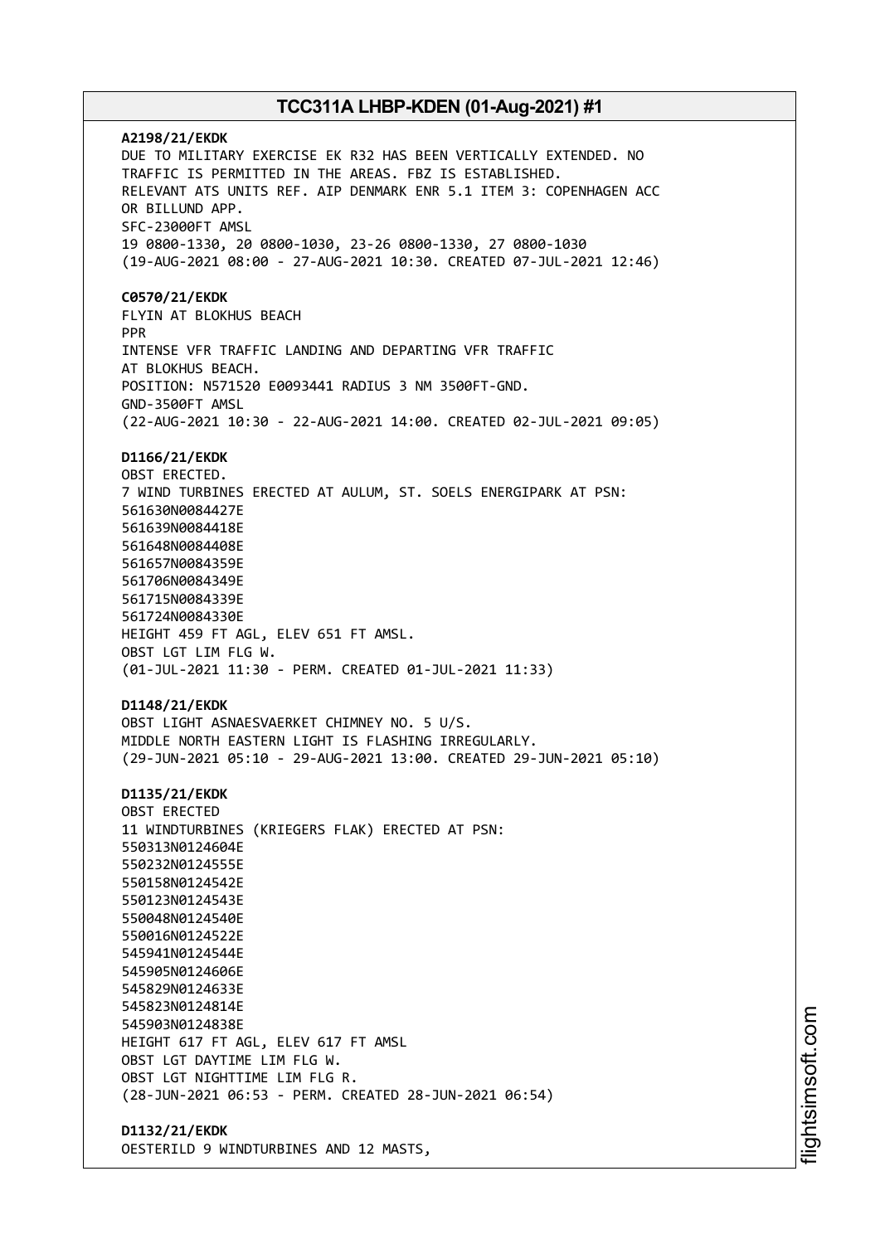**A2198/21/EKDK** DUE TO MILITARY EXERCISE EK R32 HAS BEEN VERTICALLY EXTENDED. NO TRAFFIC IS PERMITTED IN THE AREAS. FBZ IS ESTABLISHED. RELEVANT ATS UNITS REF. AIP DENMARK ENR 5.1 ITEM 3: COPENHAGEN ACC OR BILLUND APP. SFC-23000FT AMSL 19 0800-1330, 20 0800-1030, 23-26 0800-1330, 27 0800-1030 (19-AUG-2021 08:00 - 27-AUG-2021 10:30. CREATED 07-JUL-2021 12:46) **C0570/21/EKDK** FLYIN AT BLOKHUS BEACH PPR INTENSE VFR TRAFFIC LANDING AND DEPARTING VFR TRAFFIC AT BLOKHUS BEACH. POSITION: N571520 E0093441 RADIUS 3 NM 3500FT-GND. GND-3500FT AMSL (22-AUG-2021 10:30 - 22-AUG-2021 14:00. CREATED 02-JUL-2021 09:05) **D1166/21/EKDK** OBST ERECTED. 7 WIND TURBINES ERECTED AT AULUM, ST. SOELS ENERGIPARK AT PSN: 561630N0084427E 561639N0084418E 561648N0084408E 561657N0084359E 561706N0084349E 561715N0084339E 561724N0084330E HEIGHT 459 FT AGL, ELEV 651 FT AMSL. OBST LGT LIM FLG W. (01-JUL-2021 11:30 - PERM. CREATED 01-JUL-2021 11:33) **D1148/21/EKDK** OBST LIGHT ASNAESVAERKET CHIMNEY NO. 5 U/S. MIDDLE NORTH EASTERN LIGHT IS FLASHING IRREGULARLY. (29-JUN-2021 05:10 - 29-AUG-2021 13:00. CREATED 29-JUN-2021 05:10) **D1135/21/EKDK** OBST ERECTED 11 WINDTURBINES (KRIEGERS FLAK) ERECTED AT PSN: 550313N0124604E 550232N0124555E 550158N0124542E 550123N0124543E 550048N0124540E 550016N0124522E 545941N0124544E 545905N0124606E 545829N0124633E 545823N0124814E 545903N0124838E HEIGHT 617 FT AGL, ELEV 617 FT AMSL OBST LGT DAYTIME LIM FLG W. OBST LGT NIGHTTIME LIM FLG R. (28-JUN-2021 06:53 - PERM. CREATED 28-JUN-2021 06:54) **D1132/21/EKDK**

OESTERILD 9 WINDTURBINES AND 12 MASTS,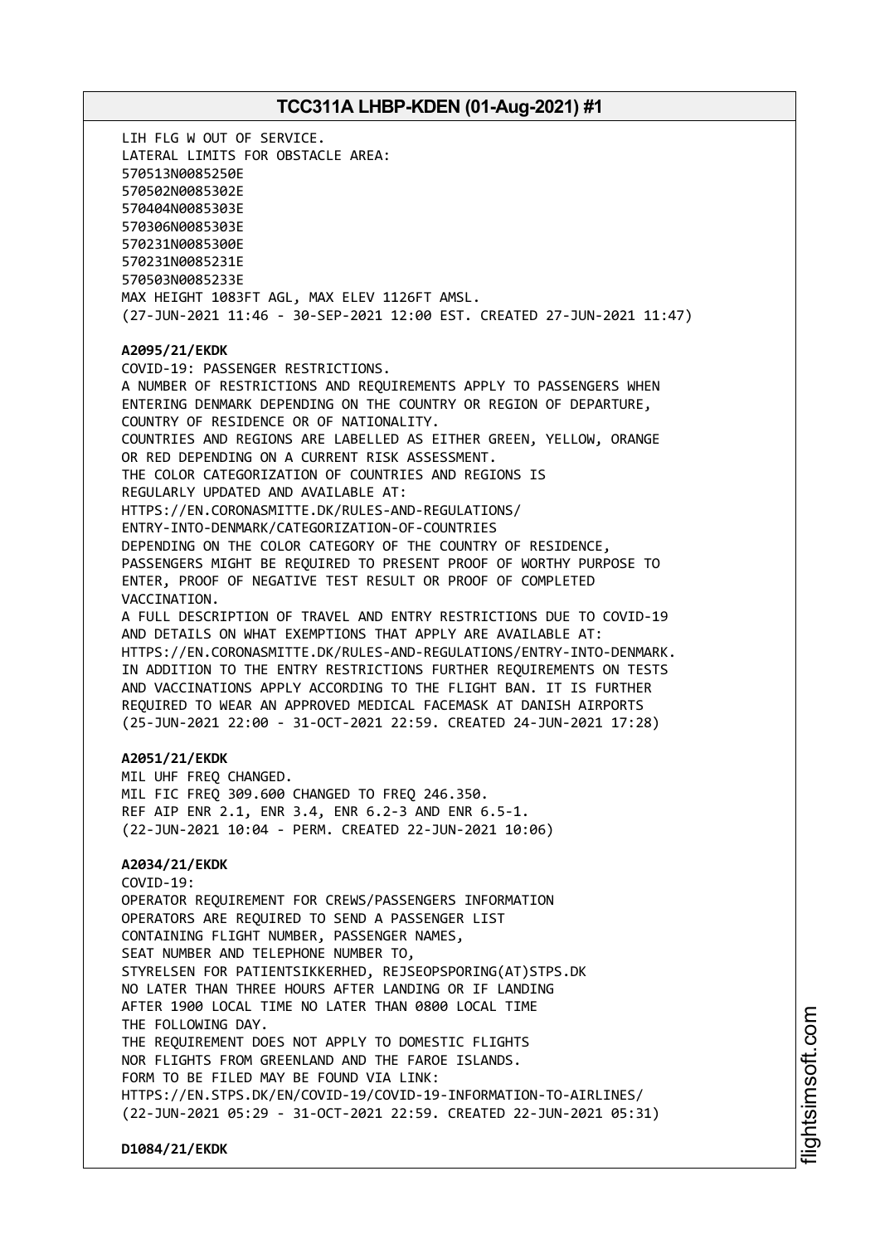LIH FLG W OUT OF SERVICE. LATERAL LIMITS FOR OBSTACLE AREA: 570513N0085250E 570502N0085302E 570404N0085303E 570306N0085303E 570231N0085300E 570231N0085231E 570503N0085233E MAX HEIGHT 1083FT AGL, MAX ELEV 1126FT AMSL. (27-JUN-2021 11:46 - 30-SEP-2021 12:00 EST. CREATED 27-JUN-2021 11:47) **A2095/21/EKDK** COVID-19: PASSENGER RESTRICTIONS. A NUMBER OF RESTRICTIONS AND REQUIREMENTS APPLY TO PASSENGERS WHEN ENTERING DENMARK DEPENDING ON THE COUNTRY OR REGION OF DEPARTURE, COUNTRY OF RESIDENCE OR OF NATIONALITY. COUNTRIES AND REGIONS ARE LABELLED AS EITHER GREEN, YELLOW, ORANGE OR RED DEPENDING ON A CURRENT RISK ASSESSMENT. THE COLOR CATEGORIZATION OF COUNTRIES AND REGIONS IS REGULARLY UPDATED AND AVAILABLE AT: HTTPS://EN.CORONASMITTE.DK/RULES-AND-REGULATIONS/ ENTRY-INTO-DENMARK/CATEGORIZATION-OF-COUNTRIES DEPENDING ON THE COLOR CATEGORY OF THE COUNTRY OF RESIDENCE, PASSENGERS MIGHT BE REQUIRED TO PRESENT PROOF OF WORTHY PURPOSE TO ENTER, PROOF OF NEGATIVE TEST RESULT OR PROOF OF COMPLETED VACCINATION. A FULL DESCRIPTION OF TRAVEL AND ENTRY RESTRICTIONS DUE TO COVID-19 AND DETAILS ON WHAT EXEMPTIONS THAT APPLY ARE AVAILABLE AT: HTTPS://EN.CORONASMITTE.DK/RULES-AND-REGULATIONS/ENTRY-INTO-DENMARK. IN ADDITION TO THE ENTRY RESTRICTIONS FURTHER REQUIREMENTS ON TESTS AND VACCINATIONS APPLY ACCORDING TO THE FLIGHT BAN. IT IS FURTHER REQUIRED TO WEAR AN APPROVED MEDICAL FACEMASK AT DANISH AIRPORTS (25-JUN-2021 22:00 - 31-OCT-2021 22:59. CREATED 24-JUN-2021 17:28) **A2051/21/EKDK** MIL UHF FREQ CHANGED. MIL FIC FREQ 309.600 CHANGED TO FREQ 246.350. REF AIP ENR 2.1, ENR 3.4, ENR 6.2-3 AND ENR 6.5-1. (22-JUN-2021 10:04 - PERM. CREATED 22-JUN-2021 10:06) **A2034/21/EKDK** COVID-19: OPERATOR REQUIREMENT FOR CREWS/PASSENGERS INFORMATION OPERATORS ARE REQUIRED TO SEND A PASSENGER LIST CONTAINING FLIGHT NUMBER, PASSENGER NAMES, SEAT NUMBER AND TELEPHONE NUMBER TO, STYRELSEN FOR PATIENTSIKKERHED, REJSEOPSPORING(AT)STPS.DK NO LATER THAN THREE HOURS AFTER LANDING OR IF LANDING AFTER 1900 LOCAL TIME NO LATER THAN 0800 LOCAL TIME THE FOLLOWING DAY. THE REQUIREMENT DOES NOT APPLY TO DOMESTIC FLIGHTS NOR FLIGHTS FROM GREENLAND AND THE FAROE ISLANDS. FORM TO BE FILED MAY BE FOUND VIA LINK: HTTPS://EN.STPS.DK/EN/COVID-19/COVID-19-INFORMATION-TO-AIRLINES/ (22-JUN-2021 05:29 - 31-OCT-2021 22:59. CREATED 22-JUN-2021 05:31)

**D1084/21/EKDK**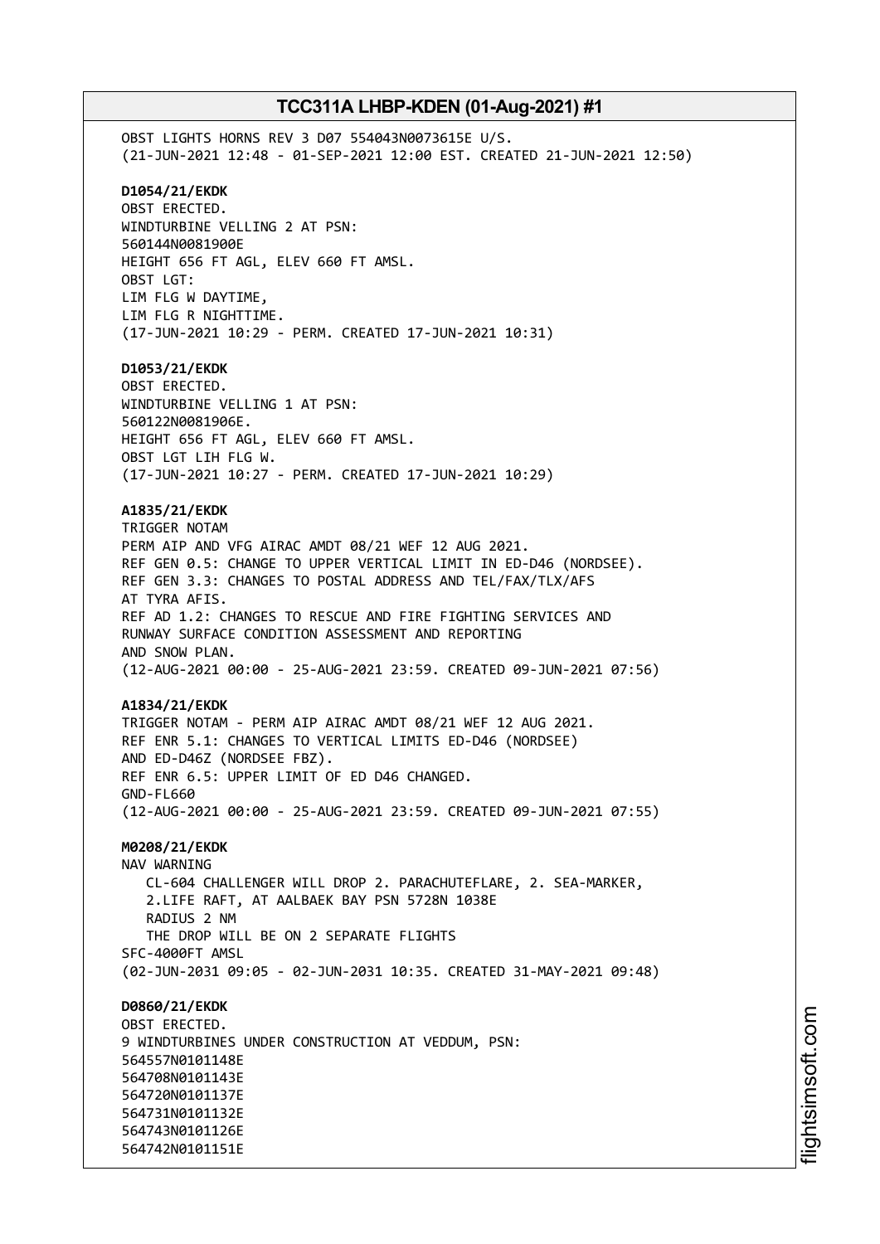OBST LIGHTS HORNS REV 3 D07 554043N0073615E U/S. (21-JUN-2021 12:48 - 01-SEP-2021 12:00 EST. CREATED 21-JUN-2021 12:50) **D1054/21/EKDK** OBST ERECTED. WINDTURBINE VELLING 2 AT PSN: 560144N0081900E HEIGHT 656 FT AGL, ELEV 660 FT AMSL. OBST LGT: LIM FLG W DAYTIME, LIM FLG R NIGHTTIME. (17-JUN-2021 10:29 - PERM. CREATED 17-JUN-2021 10:31) **D1053/21/EKDK** OBST ERECTED. WINDTURBINE VELLING 1 AT PSN: 560122N0081906E. HEIGHT 656 FT AGL, ELEV 660 FT AMSL. OBST LGT LIH FLG W. (17-JUN-2021 10:27 - PERM. CREATED 17-JUN-2021 10:29) **A1835/21/EKDK** TRIGGER NOTAM PERM AIP AND VFG AIRAC AMDT 08/21 WEF 12 AUG 2021. REF GEN 0.5: CHANGE TO UPPER VERTICAL LIMIT IN ED-D46 (NORDSEE). REF GEN 3.3: CHANGES TO POSTAL ADDRESS AND TEL/FAX/TLX/AFS AT TYRA AFIS. REF AD 1.2: CHANGES TO RESCUE AND FIRE FIGHTING SERVICES AND RUNWAY SURFACE CONDITION ASSESSMENT AND REPORTING AND SNOW PLAN. (12-AUG-2021 00:00 - 25-AUG-2021 23:59. CREATED 09-JUN-2021 07:56) **A1834/21/EKDK** TRIGGER NOTAM - PERM AIP AIRAC AMDT 08/21 WEF 12 AUG 2021. REF ENR 5.1: CHANGES TO VERTICAL LIMITS ED-D46 (NORDSEE) AND ED-D46Z (NORDSEE FBZ). REF ENR 6.5: UPPER LIMIT OF ED D46 CHANGED. GND-FL660 (12-AUG-2021 00:00 - 25-AUG-2021 23:59. CREATED 09-JUN-2021 07:55) **M0208/21/EKDK** NAV WARNING CL-604 CHALLENGER WILL DROP 2. PARACHUTEFLARE, 2. SEA-MARKER, 2.LIFE RAFT, AT AALBAEK BAY PSN 5728N 1038E RADIUS 2 NM THE DROP WILL BE ON 2 SEPARATE FLIGHTS SFC-4000FT AMSL (02-JUN-2031 09:05 - 02-JUN-2031 10:35. CREATED 31-MAY-2021 09:48) **D0860/21/EKDK** OBST ERECTED. 9 WINDTURBINES UNDER CONSTRUCTION AT VEDDUM, PSN: 564557N0101148E 564708N0101143E 564720N0101137E 564731N0101132E 564743N0101126E 564742N0101151E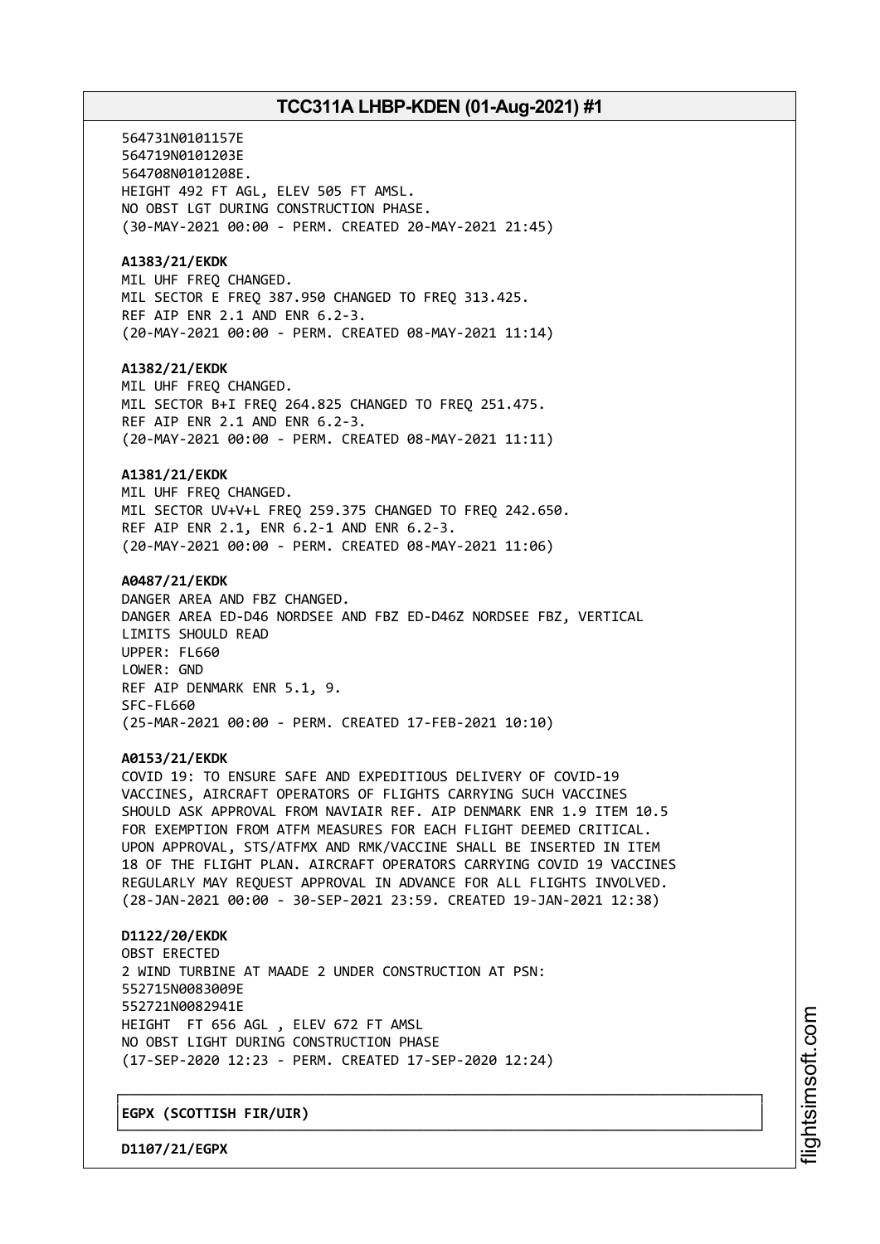564731N0101157E 564719N0101203E 564708N0101208E. HEIGHT 492 FT AGL, ELEV 505 FT AMSL. NO OBST LGT DURING CONSTRUCTION PHASE. (30-MAY-2021 00:00 - PERM. CREATED 20-MAY-2021 21:45) **A1383/21/EKDK** MIL UHF FREQ CHANGED. MIL SECTOR E FREQ 387.950 CHANGED TO FREQ 313.425. REF AIP ENR 2.1 AND ENR 6.2-3. (20-MAY-2021 00:00 - PERM. CREATED 08-MAY-2021 11:14) **A1382/21/EKDK** MIL UHF FREQ CHANGED. MIL SECTOR B+I FREQ 264.825 CHANGED TO FREQ 251.475. REF AIP ENR 2.1 AND ENR 6.2-3. (20-MAY-2021 00:00 - PERM. CREATED 08-MAY-2021 11:11) **A1381/21/EKDK** MIL UHF FREQ CHANGED. MIL SECTOR UV+V+L FREQ 259.375 CHANGED TO FREQ 242.650. REF AIP ENR 2.1, ENR 6.2-1 AND ENR 6.2-3. (20-MAY-2021 00:00 - PERM. CREATED 08-MAY-2021 11:06) **A0487/21/EKDK** DANGER AREA AND FBZ CHANGED. DANGER AREA ED-D46 NORDSEE AND FBZ ED-D46Z NORDSEE FBZ, VERTICAL LIMITS SHOULD READ UPPER: FL660 LOWER: GND REF AIP DENMARK ENR 5.1, 9. SFC-FL660 (25-MAR-2021 00:00 - PERM. CREATED 17-FEB-2021 10:10) **A0153/21/EKDK** COVID 19: TO ENSURE SAFE AND EXPEDITIOUS DELIVERY OF COVID-19 VACCINES, AIRCRAFT OPERATORS OF FLIGHTS CARRYING SUCH VACCINES SHOULD ASK APPROVAL FROM NAVIAIR REF. AIP DENMARK ENR 1.9 ITEM 10.5 FOR EXEMPTION FROM ATFM MEASURES FOR EACH FLIGHT DEEMED CRITICAL. UPON APPROVAL, STS/ATFMX AND RMK/VACCINE SHALL BE INSERTED IN ITEM 18 OF THE FLIGHT PLAN. AIRCRAFT OPERATORS CARRYING COVID 19 VACCINES REGULARLY MAY REQUEST APPROVAL IN ADVANCE FOR ALL FLIGHTS INVOLVED. (28-JAN-2021 00:00 - 30-SEP-2021 23:59. CREATED 19-JAN-2021 12:38) **D1122/20/EKDK** OBST ERECTED 2 WIND TURBINE AT MAADE 2 UNDER CONSTRUCTION AT PSN: 552715N0083009E 552721N0082941E HEIGHT FT 656 AGL , ELEV 672 FT AMSL NO OBST LIGHT DURING CONSTRUCTION PHASE (17-SEP-2020 12:23 - PERM. CREATED 17-SEP-2020 12:24)

┌──────────────────────────────────────────────────────────────────────────────┐

└──────────────────────────────────────────────────────────────────────────────┘

│**EGPX (SCOTTISH FIR/UIR)** │

**D1107/21/EGPX**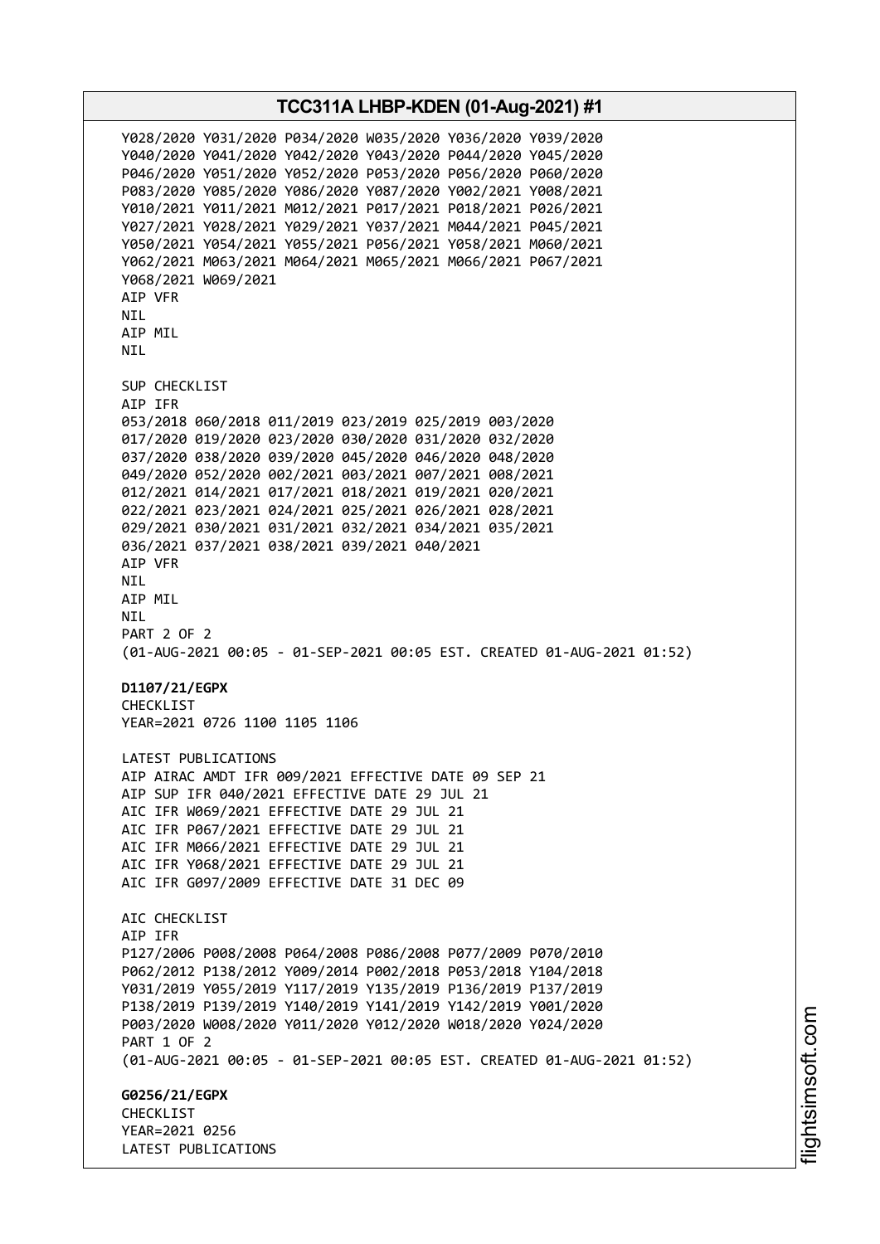**TCC311A LHBP-KDEN (01-Aug-2021) #1** Y028/2020 Y031/2020 P034/2020 W035/2020 Y036/2020 Y039/2020 Y040/2020 Y041/2020 Y042/2020 Y043/2020 P044/2020 Y045/2020 P046/2020 Y051/2020 Y052/2020 P053/2020 P056/2020 P060/2020 P083/2020 Y085/2020 Y086/2020 Y087/2020 Y002/2021 Y008/2021 Y010/2021 Y011/2021 M012/2021 P017/2021 P018/2021 P026/2021 Y027/2021 Y028/2021 Y029/2021 Y037/2021 M044/2021 P045/2021 Y050/2021 Y054/2021 Y055/2021 P056/2021 Y058/2021 M060/2021 Y062/2021 M063/2021 M064/2021 M065/2021 M066/2021 P067/2021 Y068/2021 W069/2021 AIP VFR NIL AIP MIL NIL SUP CHECKLIST AIP IFR 053/2018 060/2018 011/2019 023/2019 025/2019 003/2020 017/2020 019/2020 023/2020 030/2020 031/2020 032/2020 037/2020 038/2020 039/2020 045/2020 046/2020 048/2020 049/2020 052/2020 002/2021 003/2021 007/2021 008/2021 012/2021 014/2021 017/2021 018/2021 019/2021 020/2021 022/2021 023/2021 024/2021 025/2021 026/2021 028/2021 029/2021 030/2021 031/2021 032/2021 034/2021 035/2021 036/2021 037/2021 038/2021 039/2021 040/2021 AIP VFR NIL AIP MIL NIL PART 2 OF 2 (01-AUG-2021 00:05 - 01-SEP-2021 00:05 EST. CREATED 01-AUG-2021 01:52) **D1107/21/EGPX** CHECKLIST YEAR=2021 0726 1100 1105 1106 LATEST PUBLICATIONS AIP AIRAC AMDT IFR 009/2021 EFFECTIVE DATE 09 SEP 21 AIP SUP IFR 040/2021 EFFECTIVE DATE 29 JUL 21 AIC IFR W069/2021 EFFECTIVE DATE 29 JUL 21 AIC IFR P067/2021 EFFECTIVE DATE 29 JUL 21 AIC IFR M066/2021 EFFECTIVE DATE 29 JUL 21 AIC IFR Y068/2021 EFFECTIVE DATE 29 JUL 21 AIC IFR G097/2009 EFFECTIVE DATE 31 DEC 09 ATC CHECKLIST AIP IFR P127/2006 P008/2008 P064/2008 P086/2008 P077/2009 P070/2010 P062/2012 P138/2012 Y009/2014 P002/2018 P053/2018 Y104/2018 Y031/2019 Y055/2019 Y117/2019 Y135/2019 P136/2019 P137/2019 P138/2019 P139/2019 Y140/2019 Y141/2019 Y142/2019 Y001/2020 P003/2020 W008/2020 Y011/2020 Y012/2020 W018/2020 Y024/2020 PART 1 OF 2 (01-AUG-2021 00:05 - 01-SEP-2021 00:05 EST. CREATED 01-AUG-2021 01:52) **G0256/21/EGPX CHECKLIST** YEAR=2021 0256 LATEST PUBLICATIONS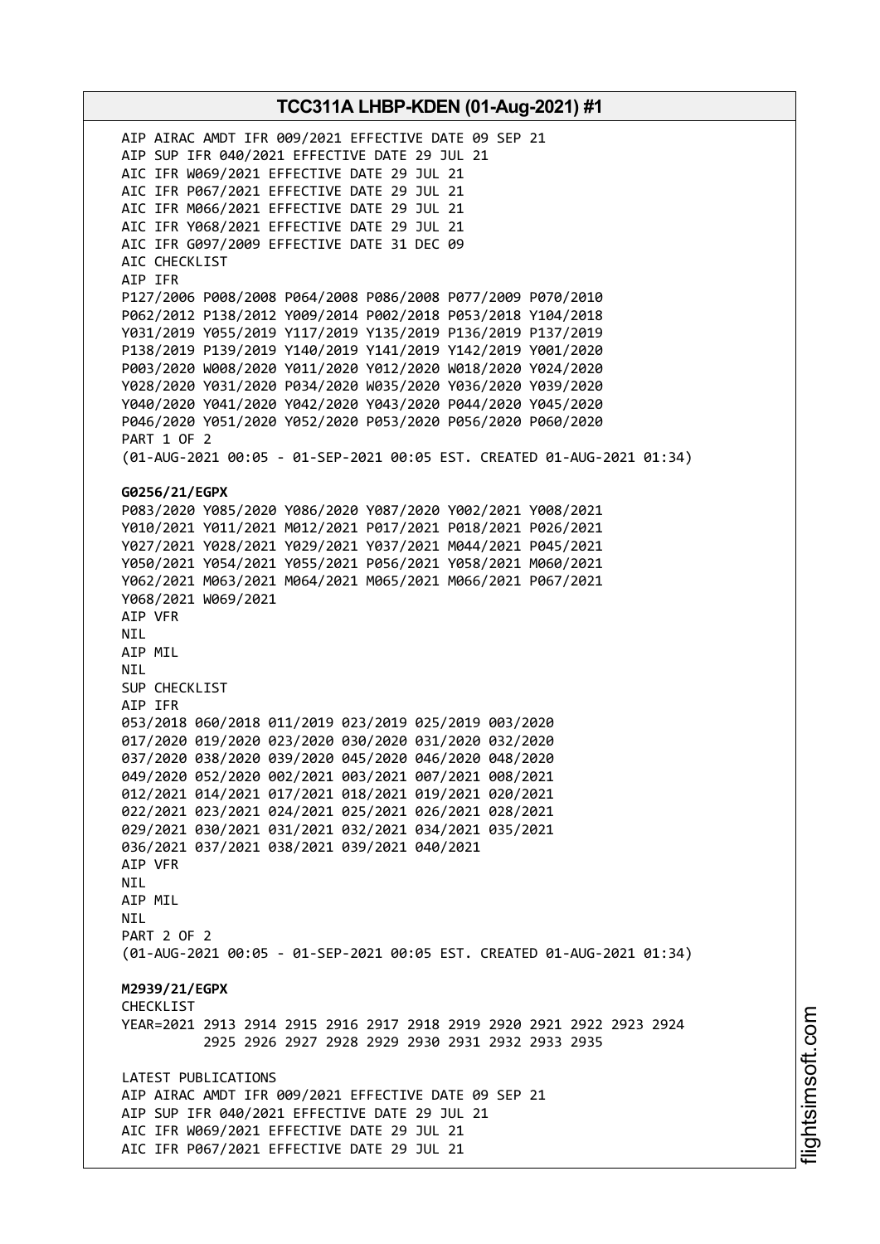AIP AIRAC AMDT IFR 009/2021 EFFECTIVE DATE 09 SEP 21 AIP SUP IFR 040/2021 EFFECTIVE DATE 29 JUL 21 AIC IFR W069/2021 EFFECTIVE DATE 29 JUL 21 AIC IFR P067/2021 EFFECTIVE DATE 29 JUL 21 AIC IFR M066/2021 EFFECTIVE DATE 29 JUL 21 AIC IFR Y068/2021 EFFECTIVE DATE 29 JUL 21 AIC IFR G097/2009 EFFECTIVE DATE 31 DEC 09 AIC CHECKLIST AIP IFR P127/2006 P008/2008 P064/2008 P086/2008 P077/2009 P070/2010 P062/2012 P138/2012 Y009/2014 P002/2018 P053/2018 Y104/2018 Y031/2019 Y055/2019 Y117/2019 Y135/2019 P136/2019 P137/2019 P138/2019 P139/2019 Y140/2019 Y141/2019 Y142/2019 Y001/2020 P003/2020 W008/2020 Y011/2020 Y012/2020 W018/2020 Y024/2020 Y028/2020 Y031/2020 P034/2020 W035/2020 Y036/2020 Y039/2020 Y040/2020 Y041/2020 Y042/2020 Y043/2020 P044/2020 Y045/2020 P046/2020 Y051/2020 Y052/2020 P053/2020 P056/2020 P060/2020 PART 1 OF 2 (01-AUG-2021 00:05 - 01-SEP-2021 00:05 EST. CREATED 01-AUG-2021 01:34) **G0256/21/EGPX** P083/2020 Y085/2020 Y086/2020 Y087/2020 Y002/2021 Y008/2021 Y010/2021 Y011/2021 M012/2021 P017/2021 P018/2021 P026/2021 Y027/2021 Y028/2021 Y029/2021 Y037/2021 M044/2021 P045/2021 Y050/2021 Y054/2021 Y055/2021 P056/2021 Y058/2021 M060/2021 Y062/2021 M063/2021 M064/2021 M065/2021 M066/2021 P067/2021 Y068/2021 W069/2021 AIP VFR NIL AIP MIL NIL SUP CHECKLIST AIP IFR 053/2018 060/2018 011/2019 023/2019 025/2019 003/2020 017/2020 019/2020 023/2020 030/2020 031/2020 032/2020 037/2020 038/2020 039/2020 045/2020 046/2020 048/2020 049/2020 052/2020 002/2021 003/2021 007/2021 008/2021 012/2021 014/2021 017/2021 018/2021 019/2021 020/2021 022/2021 023/2021 024/2021 025/2021 026/2021 028/2021 029/2021 030/2021 031/2021 032/2021 034/2021 035/2021 036/2021 037/2021 038/2021 039/2021 040/2021 AIP VFR NIL AIP MIL **NTL** PART 2 OF 2 (01-AUG-2021 00:05 - 01-SEP-2021 00:05 EST. CREATED 01-AUG-2021 01:34) **M2939/21/EGPX** CHECKLIST YEAR=2021 2913 2914 2915 2916 2917 2918 2919 2920 2921 2922 2923 2924 2925 2926 2927 2928 2929 2930 2931 2932 2933 2935 LATEST PUBLICATIONS AIP AIRAC AMDT IFR 009/2021 EFFECTIVE DATE 09 SEP 21 AIP SUP IFR 040/2021 EFFECTIVE DATE 29 JUL 21 AIC IFR W069/2021 EFFECTIVE DATE 29 JUL 21 AIC IFR P067/2021 EFFECTIVE DATE 29 JUL 21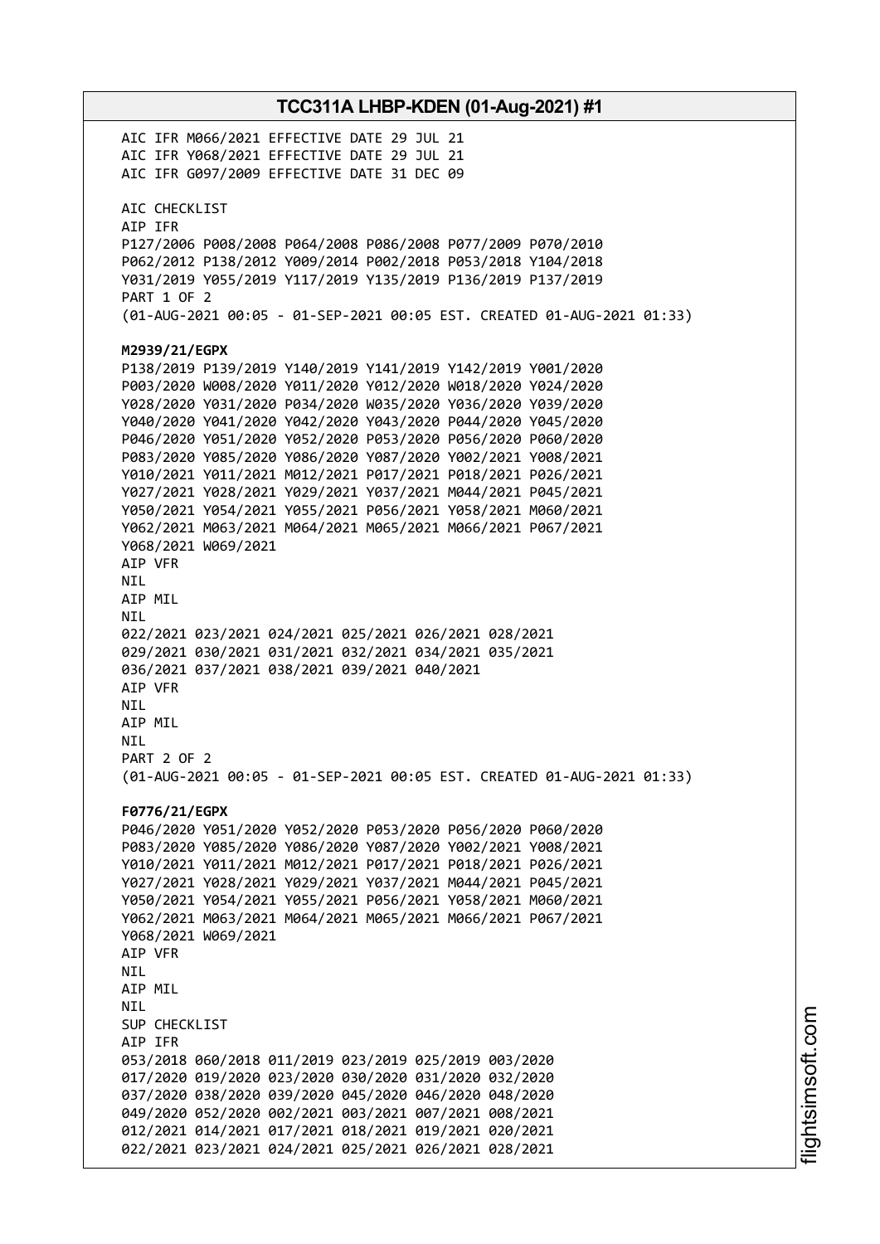**TCC311A LHBP-KDEN (01-Aug-2021) #1** AIC IFR M066/2021 EFFECTIVE DATE 29 JUL 21 AIC IFR Y068/2021 EFFECTIVE DATE 29 JUL 21 AIC IFR G097/2009 EFFECTIVE DATE 31 DEC 09 AIC CHECKLIST AIP IFR P127/2006 P008/2008 P064/2008 P086/2008 P077/2009 P070/2010 P062/2012 P138/2012 Y009/2014 P002/2018 P053/2018 Y104/2018 Y031/2019 Y055/2019 Y117/2019 Y135/2019 P136/2019 P137/2019 PART 1 OF 2 (01-AUG-2021 00:05 - 01-SEP-2021 00:05 EST. CREATED 01-AUG-2021 01:33) **M2939/21/EGPX** P138/2019 P139/2019 Y140/2019 Y141/2019 Y142/2019 Y001/2020 P003/2020 W008/2020 Y011/2020 Y012/2020 W018/2020 Y024/2020 Y028/2020 Y031/2020 P034/2020 W035/2020 Y036/2020 Y039/2020 Y040/2020 Y041/2020 Y042/2020 Y043/2020 P044/2020 Y045/2020 P046/2020 Y051/2020 Y052/2020 P053/2020 P056/2020 P060/2020 P083/2020 Y085/2020 Y086/2020 Y087/2020 Y002/2021 Y008/2021 Y010/2021 Y011/2021 M012/2021 P017/2021 P018/2021 P026/2021 Y027/2021 Y028/2021 Y029/2021 Y037/2021 M044/2021 P045/2021 Y050/2021 Y054/2021 Y055/2021 P056/2021 Y058/2021 M060/2021 Y062/2021 M063/2021 M064/2021 M065/2021 M066/2021 P067/2021 Y068/2021 W069/2021 AIP VFR NIL AIP MIL NIL 022/2021 023/2021 024/2021 025/2021 026/2021 028/2021 029/2021 030/2021 031/2021 032/2021 034/2021 035/2021 036/2021 037/2021 038/2021 039/2021 040/2021 AIP VFR NIL AIP MIL NIL PART 2 OF 2 (01-AUG-2021 00:05 - 01-SEP-2021 00:05 EST. CREATED 01-AUG-2021 01:33) **F0776/21/EGPX** P046/2020 Y051/2020 Y052/2020 P053/2020 P056/2020 P060/2020 P083/2020 Y085/2020 Y086/2020 Y087/2020 Y002/2021 Y008/2021 Y010/2021 Y011/2021 M012/2021 P017/2021 P018/2021 P026/2021 Y027/2021 Y028/2021 Y029/2021 Y037/2021 M044/2021 P045/2021 Y050/2021 Y054/2021 Y055/2021 P056/2021 Y058/2021 M060/2021 Y062/2021 M063/2021 M064/2021 M065/2021 M066/2021 P067/2021 Y068/2021 W069/2021 AIP VFR **NTI** AIP MIL NIL SUP CHECKLIST AIP IFR 053/2018 060/2018 011/2019 023/2019 025/2019 003/2020 017/2020 019/2020 023/2020 030/2020 031/2020 032/2020 037/2020 038/2020 039/2020 045/2020 046/2020 048/2020 049/2020 052/2020 002/2021 003/2021 007/2021 008/2021 012/2021 014/2021 017/2021 018/2021 019/2021 020/2021 022/2021 023/2021 024/2021 025/2021 026/2021 028/2021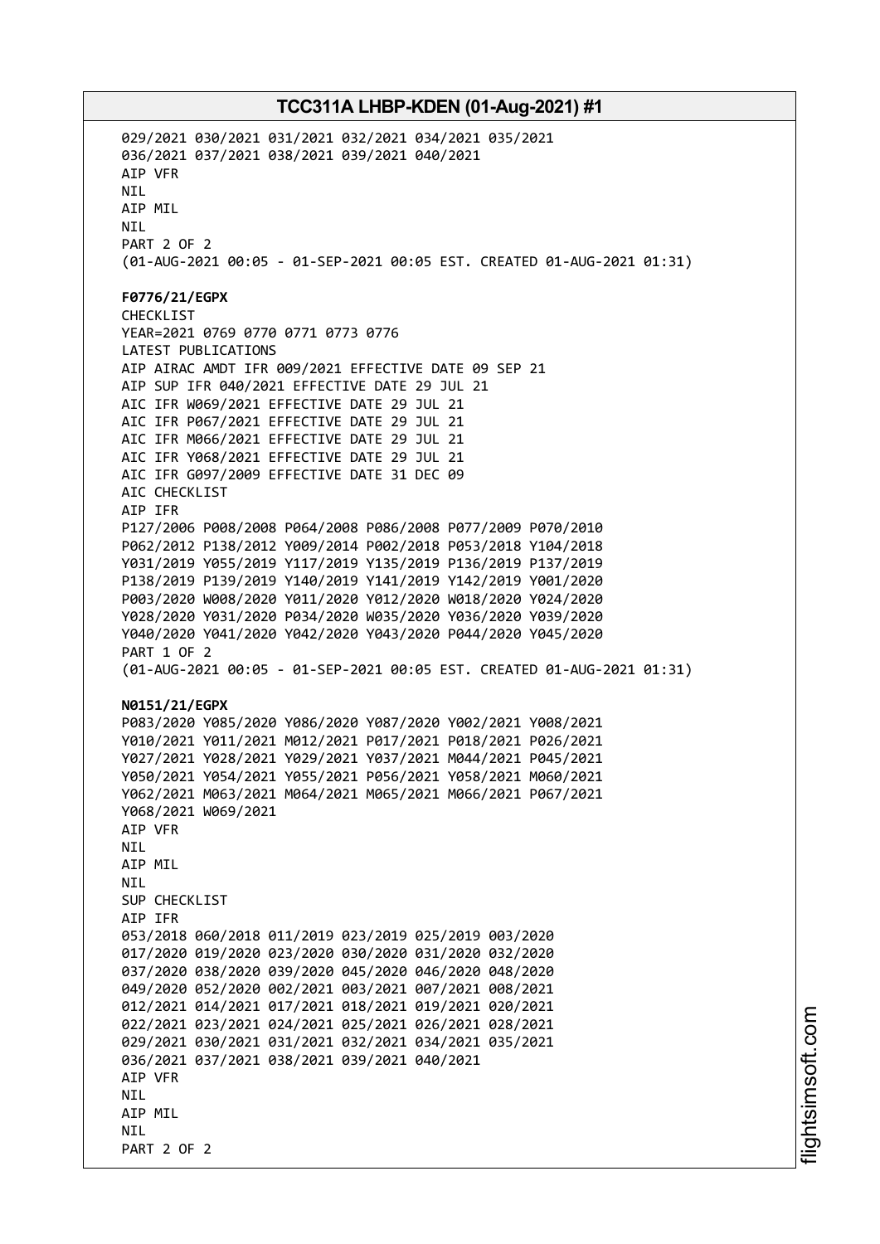029/2021 030/2021 031/2021 032/2021 034/2021 035/2021 036/2021 037/2021 038/2021 039/2021 040/2021 AIP VFR NIL AIP MIL NIL PART 2 OF 2 (01-AUG-2021 00:05 - 01-SEP-2021 00:05 EST. CREATED 01-AUG-2021 01:31) **F0776/21/EGPX** CHECKLIST YEAR=2021 0769 0770 0771 0773 0776 LATEST PUBLICATIONS AIP AIRAC AMDT IFR 009/2021 EFFECTIVE DATE 09 SEP 21 AIP SUP IFR 040/2021 EFFECTIVE DATE 29 JUL 21 AIC IFR W069/2021 EFFECTIVE DATE 29 JUL 21 AIC IFR P067/2021 EFFECTIVE DATE 29 JUL 21 AIC IFR M066/2021 EFFECTIVE DATE 29 JUL 21 AIC IFR Y068/2021 EFFECTIVE DATE 29 JUL 21 AIC IFR G097/2009 EFFECTIVE DATE 31 DEC 09 AIC CHECKLIST AIP IFR P127/2006 P008/2008 P064/2008 P086/2008 P077/2009 P070/2010 P062/2012 P138/2012 Y009/2014 P002/2018 P053/2018 Y104/2018 Y031/2019 Y055/2019 Y117/2019 Y135/2019 P136/2019 P137/2019 P138/2019 P139/2019 Y140/2019 Y141/2019 Y142/2019 Y001/2020 P003/2020 W008/2020 Y011/2020 Y012/2020 W018/2020 Y024/2020 Y028/2020 Y031/2020 P034/2020 W035/2020 Y036/2020 Y039/2020 Y040/2020 Y041/2020 Y042/2020 Y043/2020 P044/2020 Y045/2020 PART 1 OF 2 (01-AUG-2021 00:05 - 01-SEP-2021 00:05 EST. CREATED 01-AUG-2021 01:31) **N0151/21/EGPX** P083/2020 Y085/2020 Y086/2020 Y087/2020 Y002/2021 Y008/2021 Y010/2021 Y011/2021 M012/2021 P017/2021 P018/2021 P026/2021 Y027/2021 Y028/2021 Y029/2021 Y037/2021 M044/2021 P045/2021 Y050/2021 Y054/2021 Y055/2021 P056/2021 Y058/2021 M060/2021 Y062/2021 M063/2021 M064/2021 M065/2021 M066/2021 P067/2021 Y068/2021 W069/2021 AIP VFR **NTI** AIP MIL NIL SUP CHECKLIST AIP IFR 053/2018 060/2018 011/2019 023/2019 025/2019 003/2020 017/2020 019/2020 023/2020 030/2020 031/2020 032/2020 037/2020 038/2020 039/2020 045/2020 046/2020 048/2020 049/2020 052/2020 002/2021 003/2021 007/2021 008/2021 012/2021 014/2021 017/2021 018/2021 019/2021 020/2021 022/2021 023/2021 024/2021 025/2021 026/2021 028/2021 029/2021 030/2021 031/2021 032/2021 034/2021 035/2021 036/2021 037/2021 038/2021 039/2021 040/2021 AIP VFR **NTI** AIP MIL **NTI** PART 2 OF 2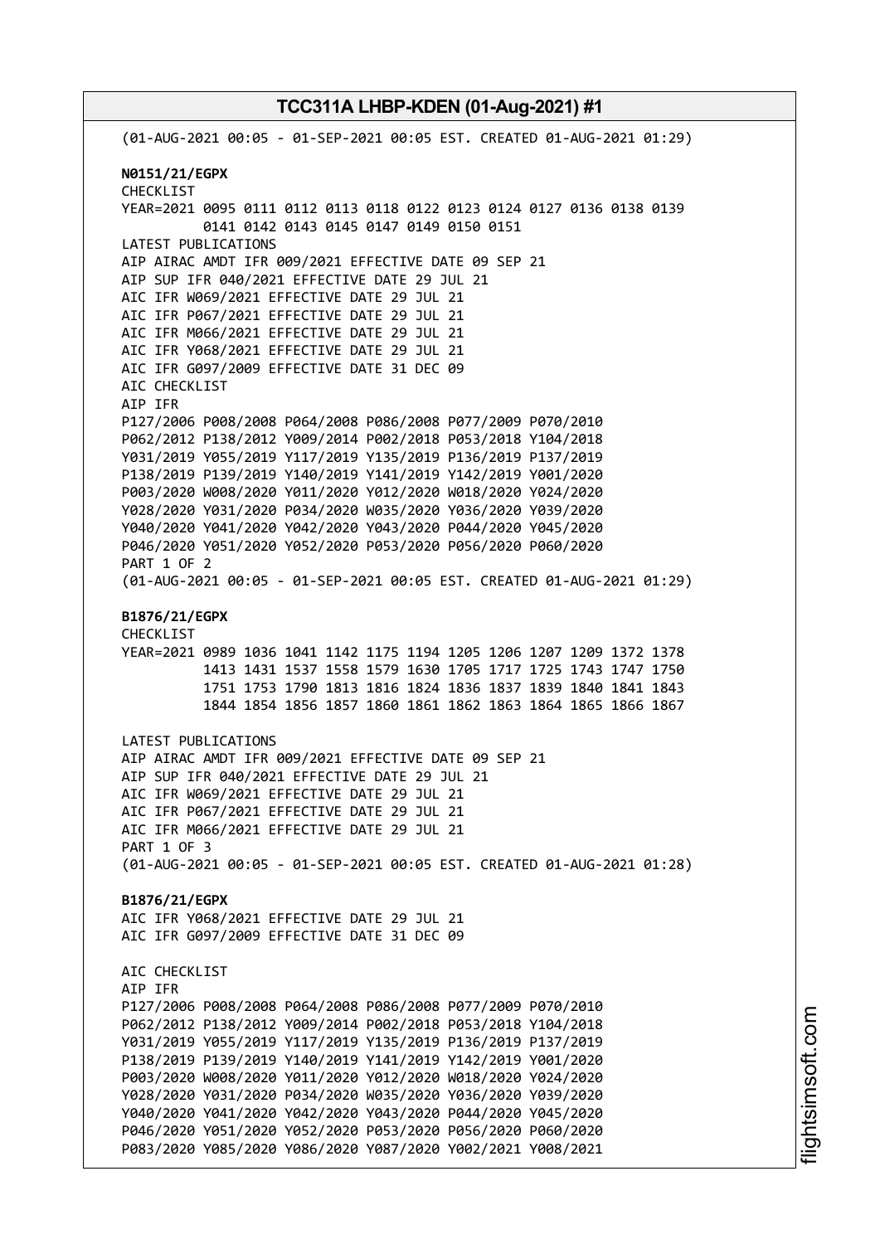(01-AUG-2021 00:05 - 01-SEP-2021 00:05 EST. CREATED 01-AUG-2021 01:29) **N0151/21/EGPX** CHECKLIST YEAR=2021 0095 0111 0112 0113 0118 0122 0123 0124 0127 0136 0138 0139 0141 0142 0143 0145 0147 0149 0150 0151 LATEST PUBLICATIONS AIP AIRAC AMDT IFR 009/2021 EFFECTIVE DATE 09 SEP 21 AIP SUP IFR 040/2021 EFFECTIVE DATE 29 JUL 21 AIC IFR W069/2021 EFFECTIVE DATE 29 JUL 21 AIC IFR P067/2021 EFFECTIVE DATE 29 JUL 21 AIC IFR M066/2021 EFFECTIVE DATE 29 JUL 21 AIC IFR Y068/2021 EFFECTIVE DATE 29 JUL 21 AIC IFR G097/2009 EFFECTIVE DATE 31 DEC 09 AIC CHECKLIST AIP IFR P127/2006 P008/2008 P064/2008 P086/2008 P077/2009 P070/2010 P062/2012 P138/2012 Y009/2014 P002/2018 P053/2018 Y104/2018 Y031/2019 Y055/2019 Y117/2019 Y135/2019 P136/2019 P137/2019 P138/2019 P139/2019 Y140/2019 Y141/2019 Y142/2019 Y001/2020 P003/2020 W008/2020 Y011/2020 Y012/2020 W018/2020 Y024/2020 Y028/2020 Y031/2020 P034/2020 W035/2020 Y036/2020 Y039/2020 Y040/2020 Y041/2020 Y042/2020 Y043/2020 P044/2020 Y045/2020 P046/2020 Y051/2020 Y052/2020 P053/2020 P056/2020 P060/2020 PART 1 OF 2 (01-AUG-2021 00:05 - 01-SEP-2021 00:05 EST. CREATED 01-AUG-2021 01:29) **B1876/21/EGPX** CHECKLIST YEAR=2021 0989 1036 1041 1142 1175 1194 1205 1206 1207 1209 1372 1378 1413 1431 1537 1558 1579 1630 1705 1717 1725 1743 1747 1750 1751 1753 1790 1813 1816 1824 1836 1837 1839 1840 1841 1843 1844 1854 1856 1857 1860 1861 1862 1863 1864 1865 1866 1867 LATEST PUBLICATIONS AIP AIRAC AMDT IFR 009/2021 EFFECTIVE DATE 09 SEP 21 AIP SUP IFR 040/2021 EFFECTIVE DATE 29 JUL 21 AIC IFR W069/2021 EFFECTIVE DATE 29 JUL 21 AIC IFR P067/2021 EFFECTIVE DATE 29 JUL 21 AIC IFR M066/2021 EFFECTIVE DATE 29 JUL 21 PART 1 OF 3 (01-AUG-2021 00:05 - 01-SEP-2021 00:05 EST. CREATED 01-AUG-2021 01:28) **B1876/21/EGPX** AIC IFR Y068/2021 EFFECTIVE DATE 29 JUL 21 AIC IFR G097/2009 EFFECTIVE DATE 31 DEC 09 AIC CHECKLIST AIP IFR P127/2006 P008/2008 P064/2008 P086/2008 P077/2009 P070/2010 P062/2012 P138/2012 Y009/2014 P002/2018 P053/2018 Y104/2018 Y031/2019 Y055/2019 Y117/2019 Y135/2019 P136/2019 P137/2019 P138/2019 P139/2019 Y140/2019 Y141/2019 Y142/2019 Y001/2020 P003/2020 W008/2020 Y011/2020 Y012/2020 W018/2020 Y024/2020 Y028/2020 Y031/2020 P034/2020 W035/2020 Y036/2020 Y039/2020 Y040/2020 Y041/2020 Y042/2020 Y043/2020 P044/2020 Y045/2020 P046/2020 Y051/2020 Y052/2020 P053/2020 P056/2020 P060/2020 P083/2020 Y085/2020 Y086/2020 Y087/2020 Y002/2021 Y008/2021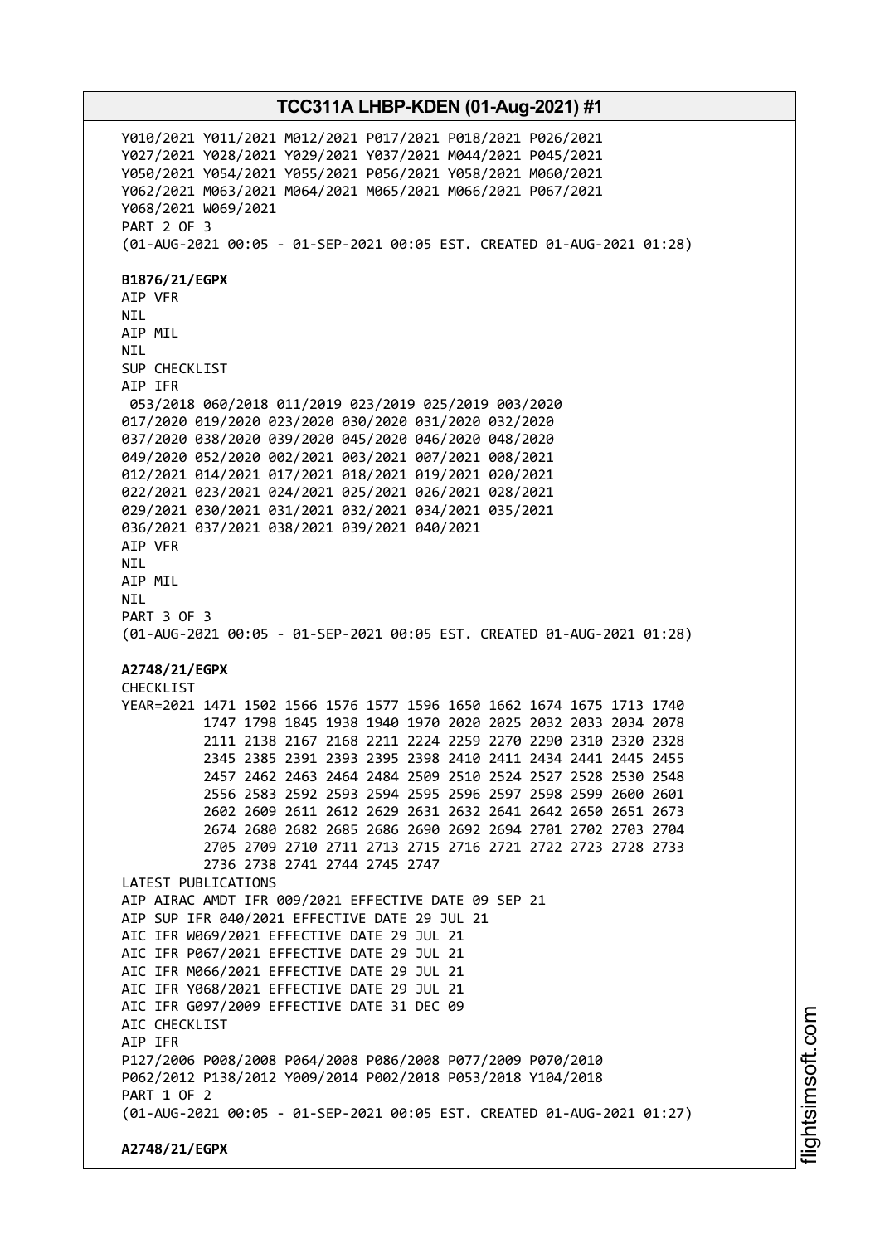Y010/2021 Y011/2021 M012/2021 P017/2021 P018/2021 P026/2021 Y027/2021 Y028/2021 Y029/2021 Y037/2021 M044/2021 P045/2021 Y050/2021 Y054/2021 Y055/2021 P056/2021 Y058/2021 M060/2021 Y062/2021 M063/2021 M064/2021 M065/2021 M066/2021 P067/2021 Y068/2021 W069/2021 PART 2 OF 3 (01-AUG-2021 00:05 - 01-SEP-2021 00:05 EST. CREATED 01-AUG-2021 01:28) **B1876/21/EGPX** AIP VFR NIL AIP MIL NIL SUP CHECKLIST AIP IFR 053/2018 060/2018 011/2019 023/2019 025/2019 003/2020 017/2020 019/2020 023/2020 030/2020 031/2020 032/2020 037/2020 038/2020 039/2020 045/2020 046/2020 048/2020 049/2020 052/2020 002/2021 003/2021 007/2021 008/2021 012/2021 014/2021 017/2021 018/2021 019/2021 020/2021 022/2021 023/2021 024/2021 025/2021 026/2021 028/2021 029/2021 030/2021 031/2021 032/2021 034/2021 035/2021 036/2021 037/2021 038/2021 039/2021 040/2021 AIP VFR NIL AIP MIL **NTI** PART 3 OF 3 (01-AUG-2021 00:05 - 01-SEP-2021 00:05 EST. CREATED 01-AUG-2021 01:28) **A2748/21/EGPX** CHECKLIST YEAR=2021 1471 1502 1566 1576 1577 1596 1650 1662 1674 1675 1713 1740 1747 1798 1845 1938 1940 1970 2020 2025 2032 2033 2034 2078 2111 2138 2167 2168 2211 2224 2259 2270 2290 2310 2320 2328 2345 2385 2391 2393 2395 2398 2410 2411 2434 2441 2445 2455 2457 2462 2463 2464 2484 2509 2510 2524 2527 2528 2530 2548 2556 2583 2592 2593 2594 2595 2596 2597 2598 2599 2600 2601 2602 2609 2611 2612 2629 2631 2632 2641 2642 2650 2651 2673 2674 2680 2682 2685 2686 2690 2692 2694 2701 2702 2703 2704 2705 2709 2710 2711 2713 2715 2716 2721 2722 2723 2728 2733 2736 2738 2741 2744 2745 2747 LATEST PUBLICATIONS AIP AIRAC AMDT IFR 009/2021 EFFECTIVE DATE 09 SEP 21 AIP SUP IFR 040/2021 EFFECTIVE DATE 29 JUL 21 AIC IFR W069/2021 EFFECTIVE DATE 29 JUL 21 AIC IFR P067/2021 EFFECTIVE DATE 29 JUL 21 AIC IFR M066/2021 EFFECTIVE DATE 29 JUL 21 AIC IFR Y068/2021 EFFECTIVE DATE 29 JUL 21 AIC IFR G097/2009 EFFECTIVE DATE 31 DEC 09 AIC CHECKLIST AIP IFR P127/2006 P008/2008 P064/2008 P086/2008 P077/2009 P070/2010 P062/2012 P138/2012 Y009/2014 P002/2018 P053/2018 Y104/2018 PART 1 OF 2 (01-AUG-2021 00:05 - 01-SEP-2021 00:05 EST. CREATED 01-AUG-2021 01:27) **A2748/21/EGPX**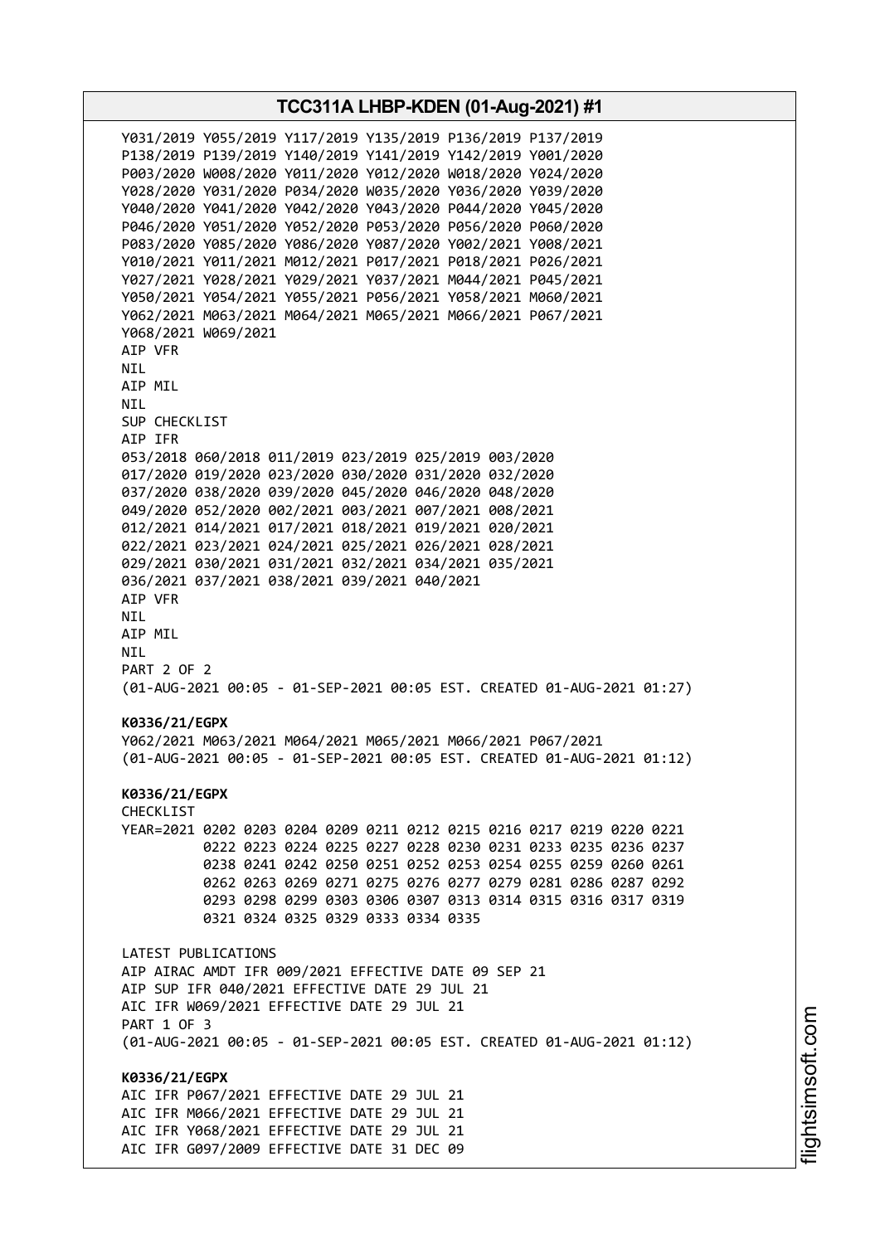**TCC311A LHBP-KDEN (01-Aug-2021) #1** Y031/2019 Y055/2019 Y117/2019 Y135/2019 P136/2019 P137/2019 P138/2019 P139/2019 Y140/2019 Y141/2019 Y142/2019 Y001/2020 P003/2020 W008/2020 Y011/2020 Y012/2020 W018/2020 Y024/2020 Y028/2020 Y031/2020 P034/2020 W035/2020 Y036/2020 Y039/2020 Y040/2020 Y041/2020 Y042/2020 Y043/2020 P044/2020 Y045/2020 P046/2020 Y051/2020 Y052/2020 P053/2020 P056/2020 P060/2020 P083/2020 Y085/2020 Y086/2020 Y087/2020 Y002/2021 Y008/2021 Y010/2021 Y011/2021 M012/2021 P017/2021 P018/2021 P026/2021 Y027/2021 Y028/2021 Y029/2021 Y037/2021 M044/2021 P045/2021 Y050/2021 Y054/2021 Y055/2021 P056/2021 Y058/2021 M060/2021 Y062/2021 M063/2021 M064/2021 M065/2021 M066/2021 P067/2021 Y068/2021 W069/2021 AIP VFR NIL AIP MIL NIL SUP CHECKLIST AIP IFR 053/2018 060/2018 011/2019 023/2019 025/2019 003/2020 017/2020 019/2020 023/2020 030/2020 031/2020 032/2020 037/2020 038/2020 039/2020 045/2020 046/2020 048/2020 049/2020 052/2020 002/2021 003/2021 007/2021 008/2021 012/2021 014/2021 017/2021 018/2021 019/2021 020/2021 022/2021 023/2021 024/2021 025/2021 026/2021 028/2021 029/2021 030/2021 031/2021 032/2021 034/2021 035/2021 036/2021 037/2021 038/2021 039/2021 040/2021 AIP VFR NIL AIP MIL NIL PART 2 OF 2 (01-AUG-2021 00:05 - 01-SEP-2021 00:05 EST. CREATED 01-AUG-2021 01:27) **K0336/21/EGPX** Y062/2021 M063/2021 M064/2021 M065/2021 M066/2021 P067/2021 (01-AUG-2021 00:05 - 01-SEP-2021 00:05 EST. CREATED 01-AUG-2021 01:12) **K0336/21/EGPX** CHECKLIST YEAR=2021 0202 0203 0204 0209 0211 0212 0215 0216 0217 0219 0220 0221 0222 0223 0224 0225 0227 0228 0230 0231 0233 0235 0236 0237 0238 0241 0242 0250 0251 0252 0253 0254 0255 0259 0260 0261 0262 0263 0269 0271 0275 0276 0277 0279 0281 0286 0287 0292 0293 0298 0299 0303 0306 0307 0313 0314 0315 0316 0317 0319 0321 0324 0325 0329 0333 0334 0335 LATEST PUBLICATIONS AIP AIRAC AMDT IFR 009/2021 EFFECTIVE DATE 09 SEP 21 AIP SUP IFR 040/2021 EFFECTIVE DATE 29 JUL 21 AIC IFR W069/2021 EFFECTIVE DATE 29 JUL 21 PART 1 OF 3 (01-AUG-2021 00:05 - 01-SEP-2021 00:05 EST. CREATED 01-AUG-2021 01:12) **K0336/21/EGPX** AIC IFR P067/2021 EFFECTIVE DATE 29 JUL 21 AIC IFR M066/2021 EFFECTIVE DATE 29 JUL 21 AIC IFR Y068/2021 EFFECTIVE DATE 29 JUL 21 AIC IFR G097/2009 EFFECTIVE DATE 31 DEC 09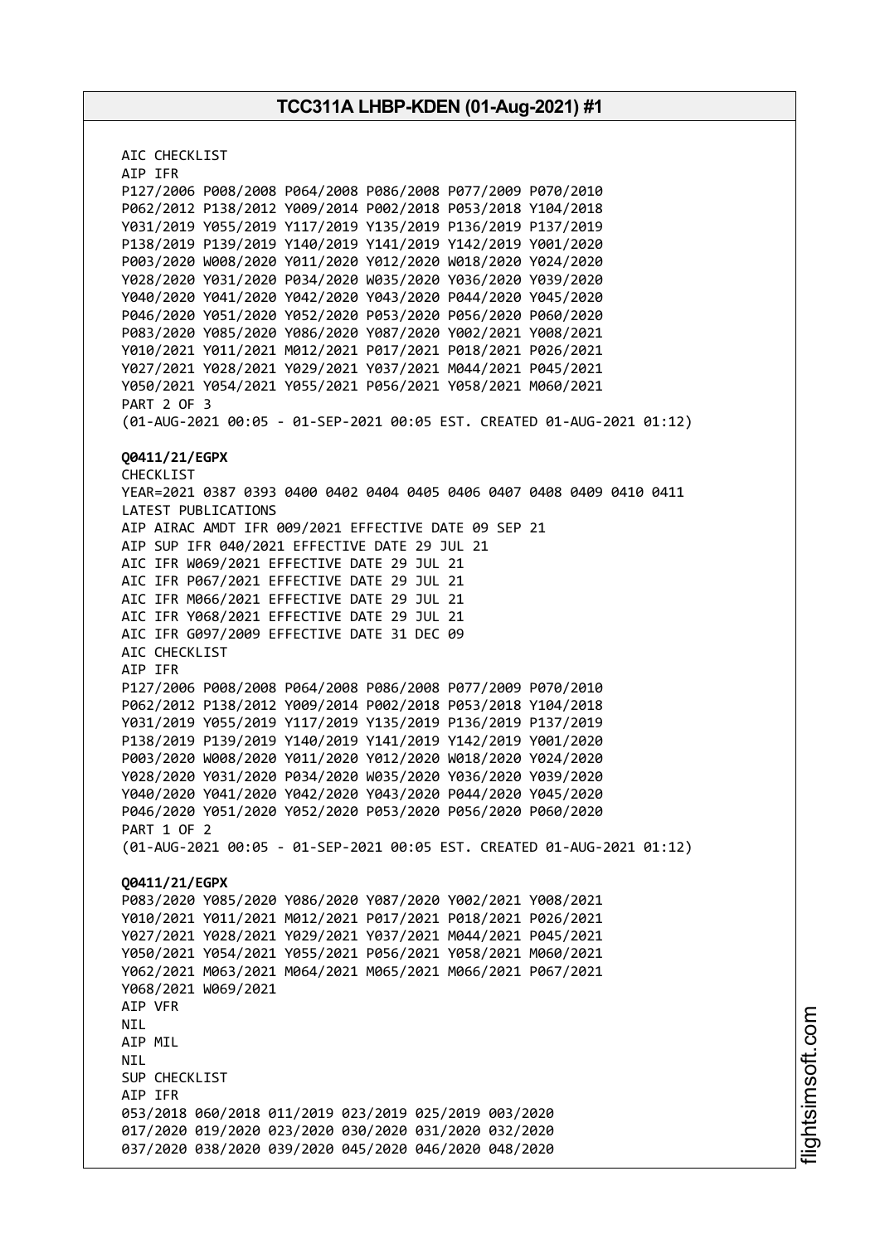AIC CHECKLIST AIP IFR P127/2006 P008/2008 P064/2008 P086/2008 P077/2009 P070/2010 P062/2012 P138/2012 Y009/2014 P002/2018 P053/2018 Y104/2018 Y031/2019 Y055/2019 Y117/2019 Y135/2019 P136/2019 P137/2019 P138/2019 P139/2019 Y140/2019 Y141/2019 Y142/2019 Y001/2020 P003/2020 W008/2020 Y011/2020 Y012/2020 W018/2020 Y024/2020 Y028/2020 Y031/2020 P034/2020 W035/2020 Y036/2020 Y039/2020 Y040/2020 Y041/2020 Y042/2020 Y043/2020 P044/2020 Y045/2020 P046/2020 Y051/2020 Y052/2020 P053/2020 P056/2020 P060/2020 P083/2020 Y085/2020 Y086/2020 Y087/2020 Y002/2021 Y008/2021 Y010/2021 Y011/2021 M012/2021 P017/2021 P018/2021 P026/2021 Y027/2021 Y028/2021 Y029/2021 Y037/2021 M044/2021 P045/2021 Y050/2021 Y054/2021 Y055/2021 P056/2021 Y058/2021 M060/2021 PART 2 OF 3 (01-AUG-2021 00:05 - 01-SEP-2021 00:05 EST. CREATED 01-AUG-2021 01:12) **Q0411/21/EGPX** CHECKLIST YEAR=2021 0387 0393 0400 0402 0404 0405 0406 0407 0408 0409 0410 0411 LATEST PUBLICATIONS AIP AIRAC AMDT IFR 009/2021 EFFECTIVE DATE 09 SEP 21 AIP SUP IFR 040/2021 EFFECTIVE DATE 29 JUL 21 AIC IFR W069/2021 EFFECTIVE DATE 29 JUL 21 AIC IFR P067/2021 EFFECTIVE DATE 29 JUL 21 AIC IFR M066/2021 EFFECTIVE DATE 29 JUL 21 AIC IFR Y068/2021 EFFECTIVE DATE 29 JUL 21 AIC IFR G097/2009 EFFECTIVE DATE 31 DEC 09 AIC CHECKLIST AIP IFR P127/2006 P008/2008 P064/2008 P086/2008 P077/2009 P070/2010 P062/2012 P138/2012 Y009/2014 P002/2018 P053/2018 Y104/2018 Y031/2019 Y055/2019 Y117/2019 Y135/2019 P136/2019 P137/2019 P138/2019 P139/2019 Y140/2019 Y141/2019 Y142/2019 Y001/2020 P003/2020 W008/2020 Y011/2020 Y012/2020 W018/2020 Y024/2020 Y028/2020 Y031/2020 P034/2020 W035/2020 Y036/2020 Y039/2020 Y040/2020 Y041/2020 Y042/2020 Y043/2020 P044/2020 Y045/2020 P046/2020 Y051/2020 Y052/2020 P053/2020 P056/2020 P060/2020 PART 1 OF 2 (01-AUG-2021 00:05 - 01-SEP-2021 00:05 EST. CREATED 01-AUG-2021 01:12) **Q0411/21/EGPX** P083/2020 Y085/2020 Y086/2020 Y087/2020 Y002/2021 Y008/2021 Y010/2021 Y011/2021 M012/2021 P017/2021 P018/2021 P026/2021 Y027/2021 Y028/2021 Y029/2021 Y037/2021 M044/2021 P045/2021 Y050/2021 Y054/2021 Y055/2021 P056/2021 Y058/2021 M060/2021 Y062/2021 M063/2021 M064/2021 M065/2021 M066/2021 P067/2021 Y068/2021 W069/2021 AIP VFR NIL AIP MIL NIL SUP CHECKLIST AIP IFR 053/2018 060/2018 011/2019 023/2019 025/2019 003/2020 017/2020 019/2020 023/2020 030/2020 031/2020 032/2020 037/2020 038/2020 039/2020 045/2020 046/2020 048/2020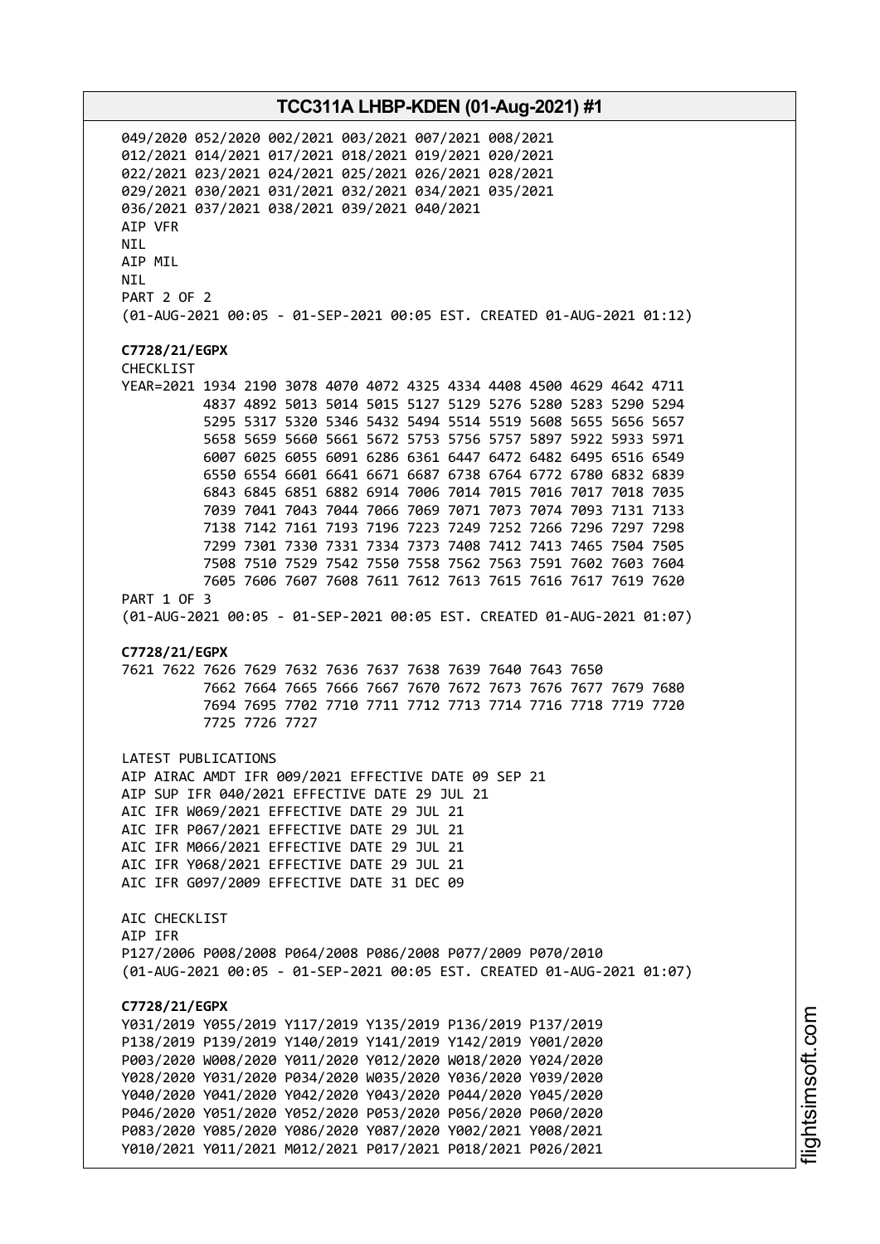049/2020 052/2020 002/2021 003/2021 007/2021 008/2021 012/2021 014/2021 017/2021 018/2021 019/2021 020/2021 022/2021 023/2021 024/2021 025/2021 026/2021 028/2021 029/2021 030/2021 031/2021 032/2021 034/2021 035/2021 036/2021 037/2021 038/2021 039/2021 040/2021 AIP VFR NIL AIP MIL NIL PART 2 OF 2 (01-AUG-2021 00:05 - 01-SEP-2021 00:05 EST. CREATED 01-AUG-2021 01:12) **C7728/21/EGPX** CHECKLIST YEAR=2021 1934 2190 3078 4070 4072 4325 4334 4408 4500 4629 4642 4711 4837 4892 5013 5014 5015 5127 5129 5276 5280 5283 5290 5294 5295 5317 5320 5346 5432 5494 5514 5519 5608 5655 5656 5657 5658 5659 5660 5661 5672 5753 5756 5757 5897 5922 5933 5971 6007 6025 6055 6091 6286 6361 6447 6472 6482 6495 6516 6549 6550 6554 6601 6641 6671 6687 6738 6764 6772 6780 6832 6839 6843 6845 6851 6882 6914 7006 7014 7015 7016 7017 7018 7035 7039 7041 7043 7044 7066 7069 7071 7073 7074 7093 7131 7133 7138 7142 7161 7193 7196 7223 7249 7252 7266 7296 7297 7298 7299 7301 7330 7331 7334 7373 7408 7412 7413 7465 7504 7505 7508 7510 7529 7542 7550 7558 7562 7563 7591 7602 7603 7604 7605 7606 7607 7608 7611 7612 7613 7615 7616 7617 7619 7620 PART 1 OF 3 (01-AUG-2021 00:05 - 01-SEP-2021 00:05 EST. CREATED 01-AUG-2021 01:07) **C7728/21/EGPX** 7621 7622 7626 7629 7632 7636 7637 7638 7639 7640 7643 7650 7662 7664 7665 7666 7667 7670 7672 7673 7676 7677 7679 7680 7694 7695 7702 7710 7711 7712 7713 7714 7716 7718 7719 7720 7725 7726 7727 LATEST PUBLICATIONS AIP AIRAC AMDT IFR 009/2021 EFFECTIVE DATE 09 SEP 21 AIP SUP IFR 040/2021 EFFECTIVE DATE 29 JUL 21 AIC IFR W069/2021 EFFECTIVE DATE 29 JUL 21 AIC IFR P067/2021 EFFECTIVE DATE 29 JUL 21 AIC IFR M066/2021 EFFECTIVE DATE 29 JUL 21 AIC IFR Y068/2021 EFFECTIVE DATE 29 JUL 21 AIC IFR G097/2009 EFFECTIVE DATE 31 DEC 09 AIC CHECKLIST AIP IFR P127/2006 P008/2008 P064/2008 P086/2008 P077/2009 P070/2010 (01-AUG-2021 00:05 - 01-SEP-2021 00:05 EST. CREATED 01-AUG-2021 01:07) **C7728/21/EGPX** Y031/2019 Y055/2019 Y117/2019 Y135/2019 P136/2019 P137/2019 P138/2019 P139/2019 Y140/2019 Y141/2019 Y142/2019 Y001/2020 P003/2020 W008/2020 Y011/2020 Y012/2020 W018/2020 Y024/2020 Y028/2020 Y031/2020 P034/2020 W035/2020 Y036/2020 Y039/2020 Y040/2020 Y041/2020 Y042/2020 Y043/2020 P044/2020 Y045/2020 P046/2020 Y051/2020 Y052/2020 P053/2020 P056/2020 P060/2020 P083/2020 Y085/2020 Y086/2020 Y087/2020 Y002/2021 Y008/2021 Y010/2021 Y011/2021 M012/2021 P017/2021 P018/2021 P026/2021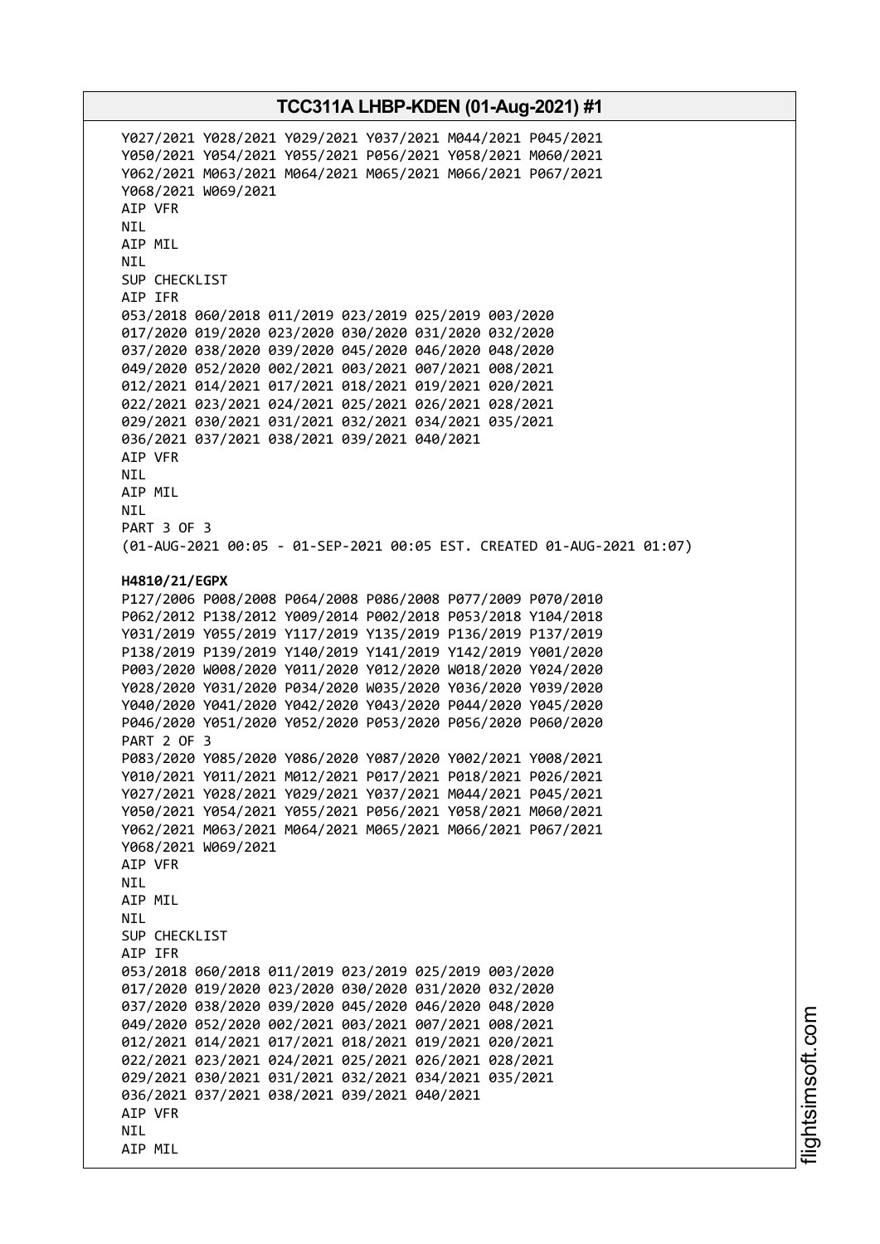Y027/2021 Y028/2021 Y029/2021 Y037/2021 M044/2021 P045/2021 Y050/2021 Y054/2021 Y055/2021 P056/2021 Y058/2021 M060/2021 Y062/2021 M063/2021 M064/2021 M065/2021 M066/2021 P067/2021 Y068/2021 W069/2021 AIP VFR NIL AIP MIL NIL SUP CHECKLIST AIP IFR 053/2018 060/2018 011/2019 023/2019 025/2019 003/2020 017/2020 019/2020 023/2020 030/2020 031/2020 032/2020 037/2020 038/2020 039/2020 045/2020 046/2020 048/2020 049/2020 052/2020 002/2021 003/2021 007/2021 008/2021 012/2021 014/2021 017/2021 018/2021 019/2021 020/2021 022/2021 023/2021 024/2021 025/2021 026/2021 028/2021 029/2021 030/2021 031/2021 032/2021 034/2021 035/2021 036/2021 037/2021 038/2021 039/2021 040/2021 AIP VFR NIL AIP MIL NIL PART 3 OF 3 (01-AUG-2021 00:05 - 01-SEP-2021 00:05 EST. CREATED 01-AUG-2021 01:07) **H4810/21/EGPX** P127/2006 P008/2008 P064/2008 P086/2008 P077/2009 P070/2010 P062/2012 P138/2012 Y009/2014 P002/2018 P053/2018 Y104/2018 Y031/2019 Y055/2019 Y117/2019 Y135/2019 P136/2019 P137/2019 P138/2019 P139/2019 Y140/2019 Y141/2019 Y142/2019 Y001/2020 P003/2020 W008/2020 Y011/2020 Y012/2020 W018/2020 Y024/2020 Y028/2020 Y031/2020 P034/2020 W035/2020 Y036/2020 Y039/2020 Y040/2020 Y041/2020 Y042/2020 Y043/2020 P044/2020 Y045/2020 P046/2020 Y051/2020 Y052/2020 P053/2020 P056/2020 P060/2020 PART 2 OF 3 P083/2020 Y085/2020 Y086/2020 Y087/2020 Y002/2021 Y008/2021 Y010/2021 Y011/2021 M012/2021 P017/2021 P018/2021 P026/2021 Y027/2021 Y028/2021 Y029/2021 Y037/2021 M044/2021 P045/2021 Y050/2021 Y054/2021 Y055/2021 P056/2021 Y058/2021 M060/2021 Y062/2021 M063/2021 M064/2021 M065/2021 M066/2021 P067/2021 Y068/2021 W069/2021 AIP VFR NIL AIP MIL **NTI** SUP CHECKLIST AIP IFR 053/2018 060/2018 011/2019 023/2019 025/2019 003/2020 017/2020 019/2020 023/2020 030/2020 031/2020 032/2020 037/2020 038/2020 039/2020 045/2020 046/2020 048/2020 049/2020 052/2020 002/2021 003/2021 007/2021 008/2021 012/2021 014/2021 017/2021 018/2021 019/2021 020/2021 022/2021 023/2021 024/2021 025/2021 026/2021 028/2021 029/2021 030/2021 031/2021 032/2021 034/2021 035/2021 036/2021 037/2021 038/2021 039/2021 040/2021 AIP VFR NIL AIP MIL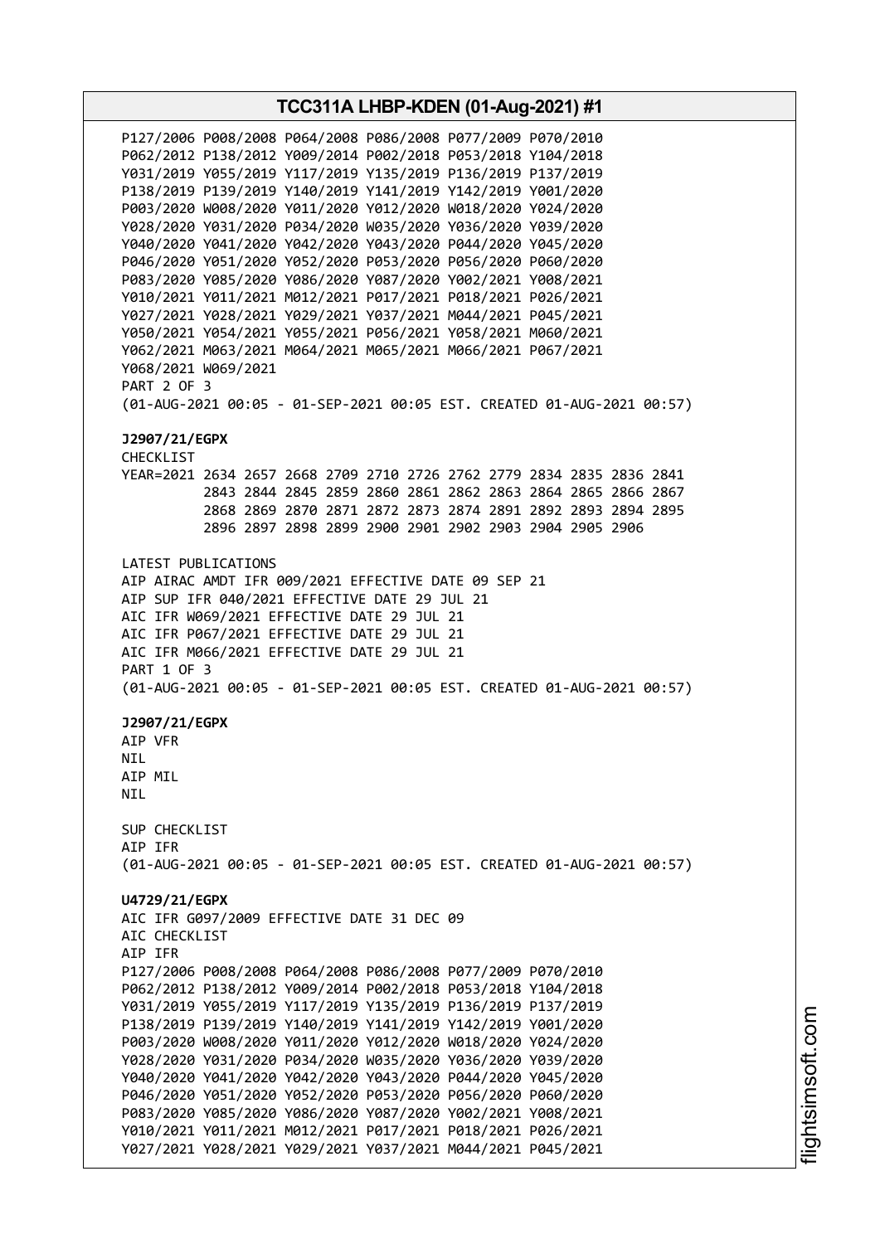**TCC311A LHBP-KDEN (01-Aug-2021) #1** P127/2006 P008/2008 P064/2008 P086/2008 P077/2009 P070/2010 P062/2012 P138/2012 Y009/2014 P002/2018 P053/2018 Y104/2018 Y031/2019 Y055/2019 Y117/2019 Y135/2019 P136/2019 P137/2019 P138/2019 P139/2019 Y140/2019 Y141/2019 Y142/2019 Y001/2020 P003/2020 W008/2020 Y011/2020 Y012/2020 W018/2020 Y024/2020 Y028/2020 Y031/2020 P034/2020 W035/2020 Y036/2020 Y039/2020 Y040/2020 Y041/2020 Y042/2020 Y043/2020 P044/2020 Y045/2020 P046/2020 Y051/2020 Y052/2020 P053/2020 P056/2020 P060/2020 P083/2020 Y085/2020 Y086/2020 Y087/2020 Y002/2021 Y008/2021 Y010/2021 Y011/2021 M012/2021 P017/2021 P018/2021 P026/2021 Y027/2021 Y028/2021 Y029/2021 Y037/2021 M044/2021 P045/2021 Y050/2021 Y054/2021 Y055/2021 P056/2021 Y058/2021 M060/2021 Y062/2021 M063/2021 M064/2021 M065/2021 M066/2021 P067/2021 Y068/2021 W069/2021 PART 2 OF 3 (01-AUG-2021 00:05 - 01-SEP-2021 00:05 EST. CREATED 01-AUG-2021 00:57) **J2907/21/EGPX** CHECKLIST YEAR=2021 2634 2657 2668 2709 2710 2726 2762 2779 2834 2835 2836 2841 2843 2844 2845 2859 2860 2861 2862 2863 2864 2865 2866 2867 2868 2869 2870 2871 2872 2873 2874 2891 2892 2893 2894 2895 2896 2897 2898 2899 2900 2901 2902 2903 2904 2905 2906 LATEST PUBLICATIONS AIP AIRAC AMDT IFR 009/2021 EFFECTIVE DATE 09 SEP 21 AIP SUP IFR 040/2021 EFFECTIVE DATE 29 JUL 21 AIC IFR W069/2021 EFFECTIVE DATE 29 JUL 21 AIC IFR P067/2021 EFFECTIVE DATE 29 JUL 21 AIC IFR M066/2021 EFFECTIVE DATE 29 JUL 21 PART 1 OF 3 (01-AUG-2021 00:05 - 01-SEP-2021 00:05 EST. CREATED 01-AUG-2021 00:57) **J2907/21/EGPX** AIP VFR **NTL** AIP MIL NIL SUP CHECKLIST AIP IFR (01-AUG-2021 00:05 - 01-SEP-2021 00:05 EST. CREATED 01-AUG-2021 00:57) **U4729/21/EGPX** AIC IFR G097/2009 EFFECTIVE DATE 31 DEC 09 AIC CHECKLIST AIP IFR P127/2006 P008/2008 P064/2008 P086/2008 P077/2009 P070/2010 P062/2012 P138/2012 Y009/2014 P002/2018 P053/2018 Y104/2018 Y031/2019 Y055/2019 Y117/2019 Y135/2019 P136/2019 P137/2019 P138/2019 P139/2019 Y140/2019 Y141/2019 Y142/2019 Y001/2020 P003/2020 W008/2020 Y011/2020 Y012/2020 W018/2020 Y024/2020 Y028/2020 Y031/2020 P034/2020 W035/2020 Y036/2020 Y039/2020 Y040/2020 Y041/2020 Y042/2020 Y043/2020 P044/2020 Y045/2020 P046/2020 Y051/2020 Y052/2020 P053/2020 P056/2020 P060/2020 P083/2020 Y085/2020 Y086/2020 Y087/2020 Y002/2021 Y008/2021 Y010/2021 Y011/2021 M012/2021 P017/2021 P018/2021 P026/2021 Y027/2021 Y028/2021 Y029/2021 Y037/2021 M044/2021 P045/2021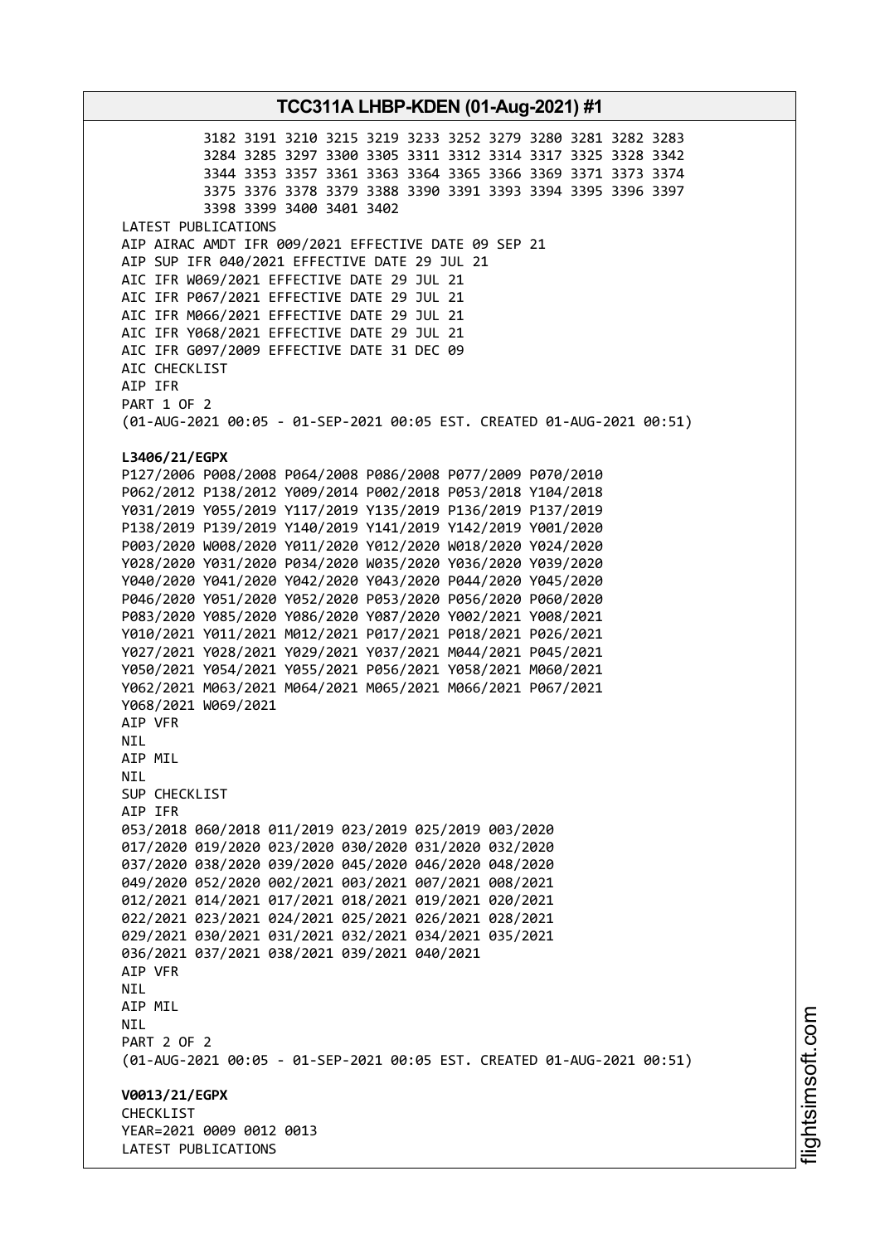3182 3191 3210 3215 3219 3233 3252 3279 3280 3281 3282 3283 3284 3285 3297 3300 3305 3311 3312 3314 3317 3325 3328 3342 3344 3353 3357 3361 3363 3364 3365 3366 3369 3371 3373 3374 3375 3376 3378 3379 3388 3390 3391 3393 3394 3395 3396 3397 3398 3399 3400 3401 3402 LATEST PUBLICATIONS AIP AIRAC AMDT IFR 009/2021 EFFECTIVE DATE 09 SEP 21 AIP SUP IFR 040/2021 EFFECTIVE DATE 29 JUL 21 AIC IFR W069/2021 EFFECTIVE DATE 29 JUL 21 AIC IFR P067/2021 EFFECTIVE DATE 29 JUL 21 AIC IFR M066/2021 EFFECTIVE DATE 29 JUL 21 AIC IFR Y068/2021 EFFECTIVE DATE 29 JUL 21 AIC IFR G097/2009 EFFECTIVE DATE 31 DEC 09 AIC CHECKLIST AIP IFR PART 1 OF 2 (01-AUG-2021 00:05 - 01-SEP-2021 00:05 EST. CREATED 01-AUG-2021 00:51) **L3406/21/EGPX** P127/2006 P008/2008 P064/2008 P086/2008 P077/2009 P070/2010 P062/2012 P138/2012 Y009/2014 P002/2018 P053/2018 Y104/2018 Y031/2019 Y055/2019 Y117/2019 Y135/2019 P136/2019 P137/2019 P138/2019 P139/2019 Y140/2019 Y141/2019 Y142/2019 Y001/2020 P003/2020 W008/2020 Y011/2020 Y012/2020 W018/2020 Y024/2020 Y028/2020 Y031/2020 P034/2020 W035/2020 Y036/2020 Y039/2020 Y040/2020 Y041/2020 Y042/2020 Y043/2020 P044/2020 Y045/2020 P046/2020 Y051/2020 Y052/2020 P053/2020 P056/2020 P060/2020 P083/2020 Y085/2020 Y086/2020 Y087/2020 Y002/2021 Y008/2021 Y010/2021 Y011/2021 M012/2021 P017/2021 P018/2021 P026/2021 Y027/2021 Y028/2021 Y029/2021 Y037/2021 M044/2021 P045/2021 Y050/2021 Y054/2021 Y055/2021 P056/2021 Y058/2021 M060/2021 Y062/2021 M063/2021 M064/2021 M065/2021 M066/2021 P067/2021 Y068/2021 W069/2021 AIP VFR NIL AIP MIL NIL SUP CHECKLIST AIP IFR 053/2018 060/2018 011/2019 023/2019 025/2019 003/2020 017/2020 019/2020 023/2020 030/2020 031/2020 032/2020 037/2020 038/2020 039/2020 045/2020 046/2020 048/2020 049/2020 052/2020 002/2021 003/2021 007/2021 008/2021 012/2021 014/2021 017/2021 018/2021 019/2021 020/2021 022/2021 023/2021 024/2021 025/2021 026/2021 028/2021 029/2021 030/2021 031/2021 032/2021 034/2021 035/2021 036/2021 037/2021 038/2021 039/2021 040/2021 AIP VFR NIL AIP MIL NIL PART 2 OF 2 (01-AUG-2021 00:05 - 01-SEP-2021 00:05 EST. CREATED 01-AUG-2021 00:51) **V0013/21/EGPX CHECKLIST** YEAR=2021 0009 0012 0013 LATEST PUBLICATIONS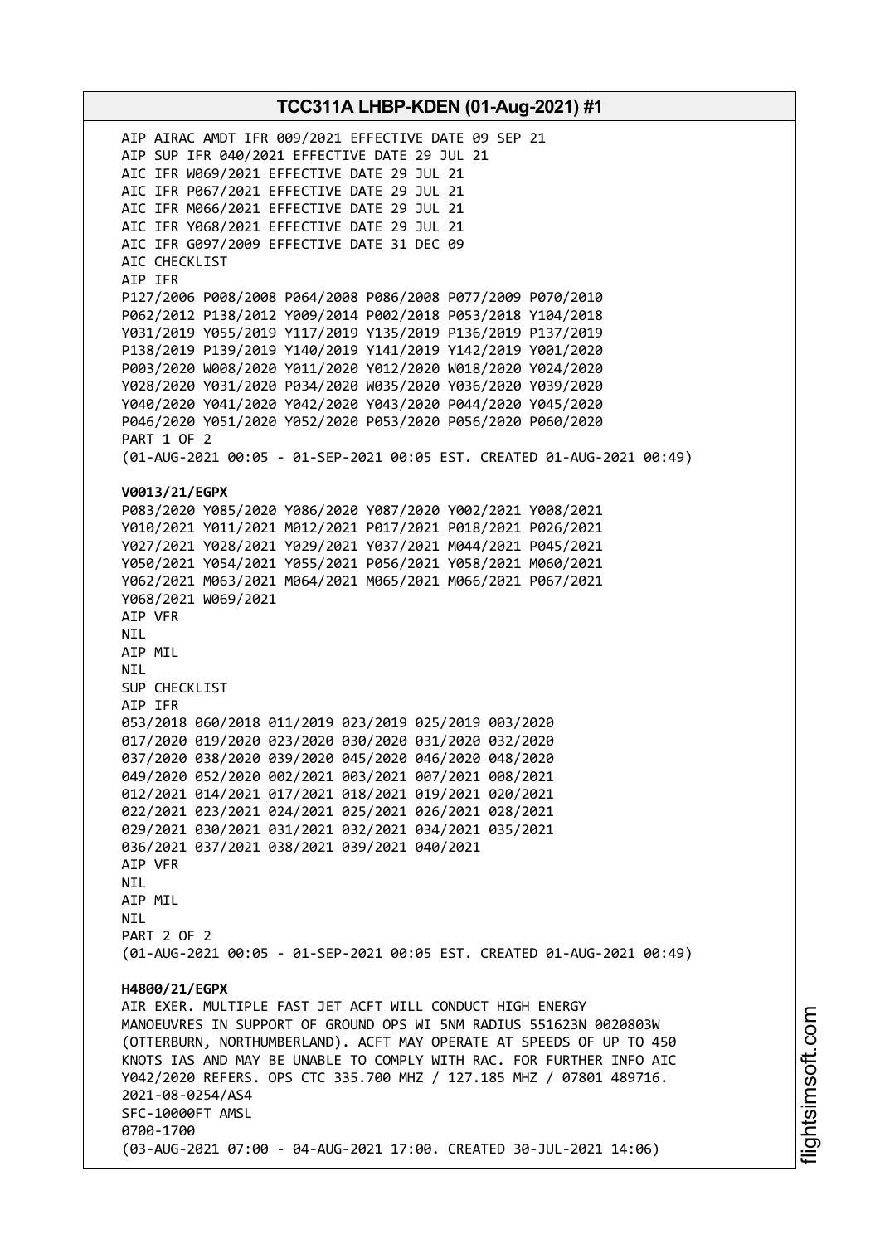AIP AIRAC AMDT IFR 009/2021 EFFECTIVE DATE 09 SEP 21 AIP SUP IFR 040/2021 EFFECTIVE DATE 29 JUL 21 AIC IFR W069/2021 EFFECTIVE DATE 29 JUL 21 AIC IFR P067/2021 EFFECTIVE DATE 29 JUL 21 AIC IFR M066/2021 EFFECTIVE DATE 29 JUL 21 AIC IFR Y068/2021 EFFECTIVE DATE 29 JUL 21 AIC IFR G097/2009 EFFECTIVE DATE 31 DEC 09 AIC CHECKLIST AIP IFR P127/2006 P008/2008 P064/2008 P086/2008 P077/2009 P070/2010 P062/2012 P138/2012 Y009/2014 P002/2018 P053/2018 Y104/2018 Y031/2019 Y055/2019 Y117/2019 Y135/2019 P136/2019 P137/2019 P138/2019 P139/2019 Y140/2019 Y141/2019 Y142/2019 Y001/2020 P003/2020 W008/2020 Y011/2020 Y012/2020 W018/2020 Y024/2020 Y028/2020 Y031/2020 P034/2020 W035/2020 Y036/2020 Y039/2020 Y040/2020 Y041/2020 Y042/2020 Y043/2020 P044/2020 Y045/2020 P046/2020 Y051/2020 Y052/2020 P053/2020 P056/2020 P060/2020 PART 1 OF 2 (01-AUG-2021 00:05 - 01-SEP-2021 00:05 EST. CREATED 01-AUG-2021 00:49) **V0013/21/EGPX** P083/2020 Y085/2020 Y086/2020 Y087/2020 Y002/2021 Y008/2021 Y010/2021 Y011/2021 M012/2021 P017/2021 P018/2021 P026/2021 Y027/2021 Y028/2021 Y029/2021 Y037/2021 M044/2021 P045/2021 Y050/2021 Y054/2021 Y055/2021 P056/2021 Y058/2021 M060/2021 Y062/2021 M063/2021 M064/2021 M065/2021 M066/2021 P067/2021 Y068/2021 W069/2021 AIP VFR NIL AIP MIL NIL SUP CHECKLIST AIP IFR 053/2018 060/2018 011/2019 023/2019 025/2019 003/2020 017/2020 019/2020 023/2020 030/2020 031/2020 032/2020 037/2020 038/2020 039/2020 045/2020 046/2020 048/2020 049/2020 052/2020 002/2021 003/2021 007/2021 008/2021 012/2021 014/2021 017/2021 018/2021 019/2021 020/2021 022/2021 023/2021 024/2021 025/2021 026/2021 028/2021 029/2021 030/2021 031/2021 032/2021 034/2021 035/2021 036/2021 037/2021 038/2021 039/2021 040/2021 AIP VFR NIL AIP MIL **NTI** PART 2 OF 2 (01-AUG-2021 00:05 - 01-SEP-2021 00:05 EST. CREATED 01-AUG-2021 00:49) **H4800/21/EGPX** AIR EXER. MULTIPLE FAST JET ACFT WILL CONDUCT HIGH ENERGY MANOEUVRES IN SUPPORT OF GROUND OPS WI 5NM RADIUS 551623N 0020803W (OTTERBURN, NORTHUMBERLAND). ACFT MAY OPERATE AT SPEEDS OF UP TO 450 KNOTS IAS AND MAY BE UNABLE TO COMPLY WITH RAC. FOR FURTHER INFO AIC Y042/2020 REFERS. OPS CTC 335.700 MHZ / 127.185 MHZ / 07801 489716. 2021-08-0254/AS4 SFC-10000FT AMSL 0700-1700 (03-AUG-2021 07:00 - 04-AUG-2021 17:00. CREATED 30-JUL-2021 14:06)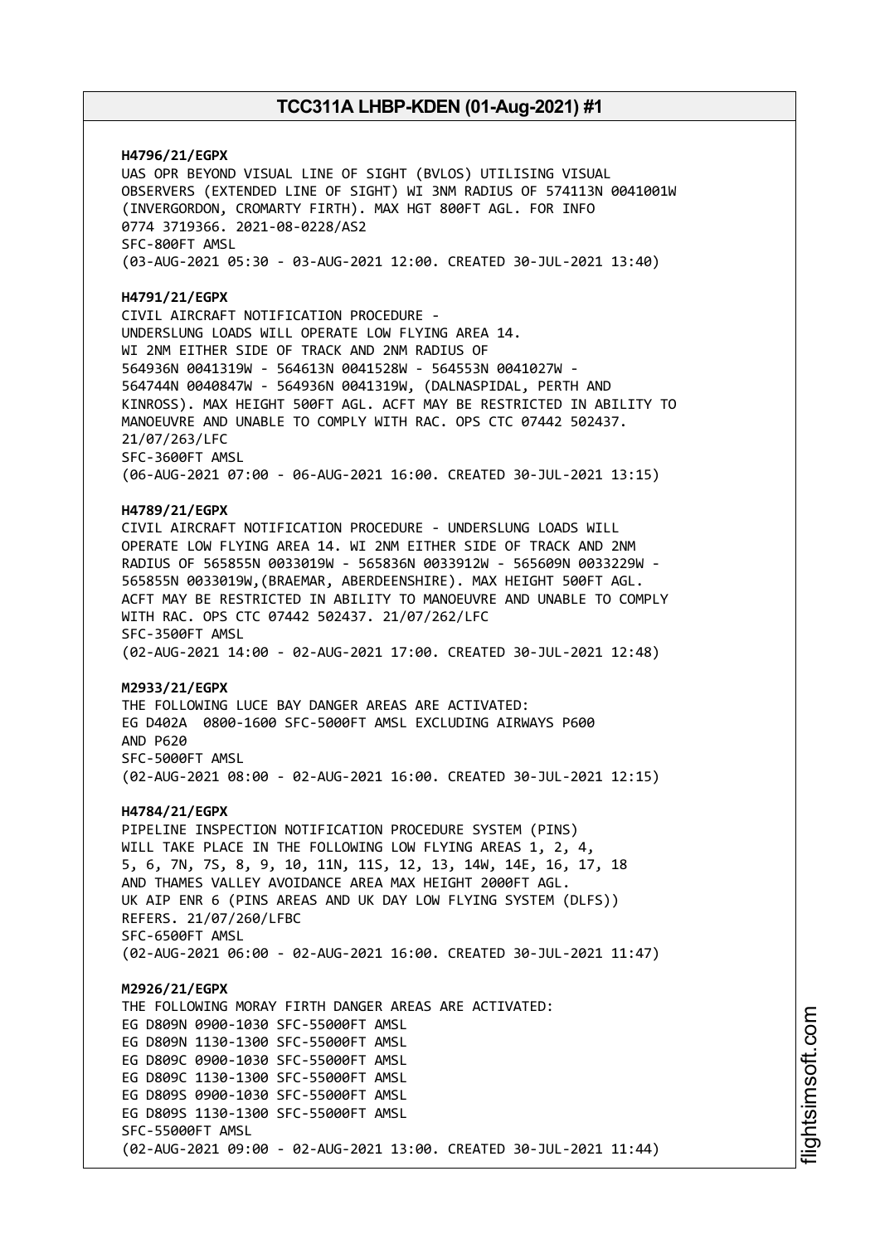**H4796/21/EGPX** UAS OPR BEYOND VISUAL LINE OF SIGHT (BVLOS) UTILISING VISUAL OBSERVERS (EXTENDED LINE OF SIGHT) WI 3NM RADIUS OF 574113N 0041001W (INVERGORDON, CROMARTY FIRTH). MAX HGT 800FT AGL. FOR INFO 0774 3719366. 2021-08-0228/AS2 SFC-800FT AMSL (03-AUG-2021 05:30 - 03-AUG-2021 12:00. CREATED 30-JUL-2021 13:40) **H4791/21/EGPX** CIVIL AIRCRAFT NOTIFICATION PROCEDURE - UNDERSLUNG LOADS WILL OPERATE LOW FLYING AREA 14. WI 2NM EITHER SIDE OF TRACK AND 2NM RADIUS OF 564936N 0041319W - 564613N 0041528W - 564553N 0041027W - 564744N 0040847W - 564936N 0041319W, (DALNASPIDAL, PERTH AND KINROSS). MAX HEIGHT 500FT AGL. ACFT MAY BE RESTRICTED IN ABILITY TO MANOEUVRE AND UNABLE TO COMPLY WITH RAC. OPS CTC 07442 502437. 21/07/263/LFC SFC-3600FT AMSL (06-AUG-2021 07:00 - 06-AUG-2021 16:00. CREATED 30-JUL-2021 13:15) **H4789/21/EGPX** CIVIL AIRCRAFT NOTIFICATION PROCEDURE - UNDERSLUNG LOADS WILL OPERATE LOW FLYING AREA 14. WI 2NM EITHER SIDE OF TRACK AND 2NM RADIUS OF 565855N 0033019W - 565836N 0033912W - 565609N 0033229W - 565855N 0033019W,(BRAEMAR, ABERDEENSHIRE). MAX HEIGHT 500FT AGL. ACFT MAY BE RESTRICTED IN ABILITY TO MANOEUVRE AND UNABLE TO COMPLY WITH RAC. OPS CTC 07442 502437. 21/07/262/LFC SFC-3500FT AMSL (02-AUG-2021 14:00 - 02-AUG-2021 17:00. CREATED 30-JUL-2021 12:48) **M2933/21/EGPX** THE FOLLOWING LUCE BAY DANGER AREAS ARE ACTIVATED: EG D402A 0800-1600 SFC-5000FT AMSL EXCLUDING AIRWAYS P600 AND P620 SFC-5000FT AMSL (02-AUG-2021 08:00 - 02-AUG-2021 16:00. CREATED 30-JUL-2021 12:15) **H4784/21/EGPX** PIPELINE INSPECTION NOTIFICATION PROCEDURE SYSTEM (PINS) WILL TAKE PLACE IN THE FOLLOWING LOW FLYING AREAS 1, 2, 4, 5, 6, 7N, 7S, 8, 9, 10, 11N, 11S, 12, 13, 14W, 14E, 16, 17, 18 AND THAMES VALLEY AVOIDANCE AREA MAX HEIGHT 2000FT AGL. UK AIP ENR 6 (PINS AREAS AND UK DAY LOW FLYING SYSTEM (DLFS)) REFERS. 21/07/260/LFBC SFC-6500FT AMSL (02-AUG-2021 06:00 - 02-AUG-2021 16:00. CREATED 30-JUL-2021 11:47) **M2926/21/EGPX** THE FOLLOWING MORAY FIRTH DANGER AREAS ARE ACTIVATED: EG D809N 0900-1030 SFC-55000FT AMSL EG D809N 1130-1300 SFC-55000FT AMSL EG D809C 0900-1030 SFC-55000FT AMSL EG D809C 1130-1300 SFC-55000FT AMSL EG D809S 0900-1030 SFC-55000FT AMSL EG D809S 1130-1300 SFC-55000FT AMSL SFC-55000FT AMSL (02-AUG-2021 09:00 - 02-AUG-2021 13:00. CREATED 30-JUL-2021 11:44)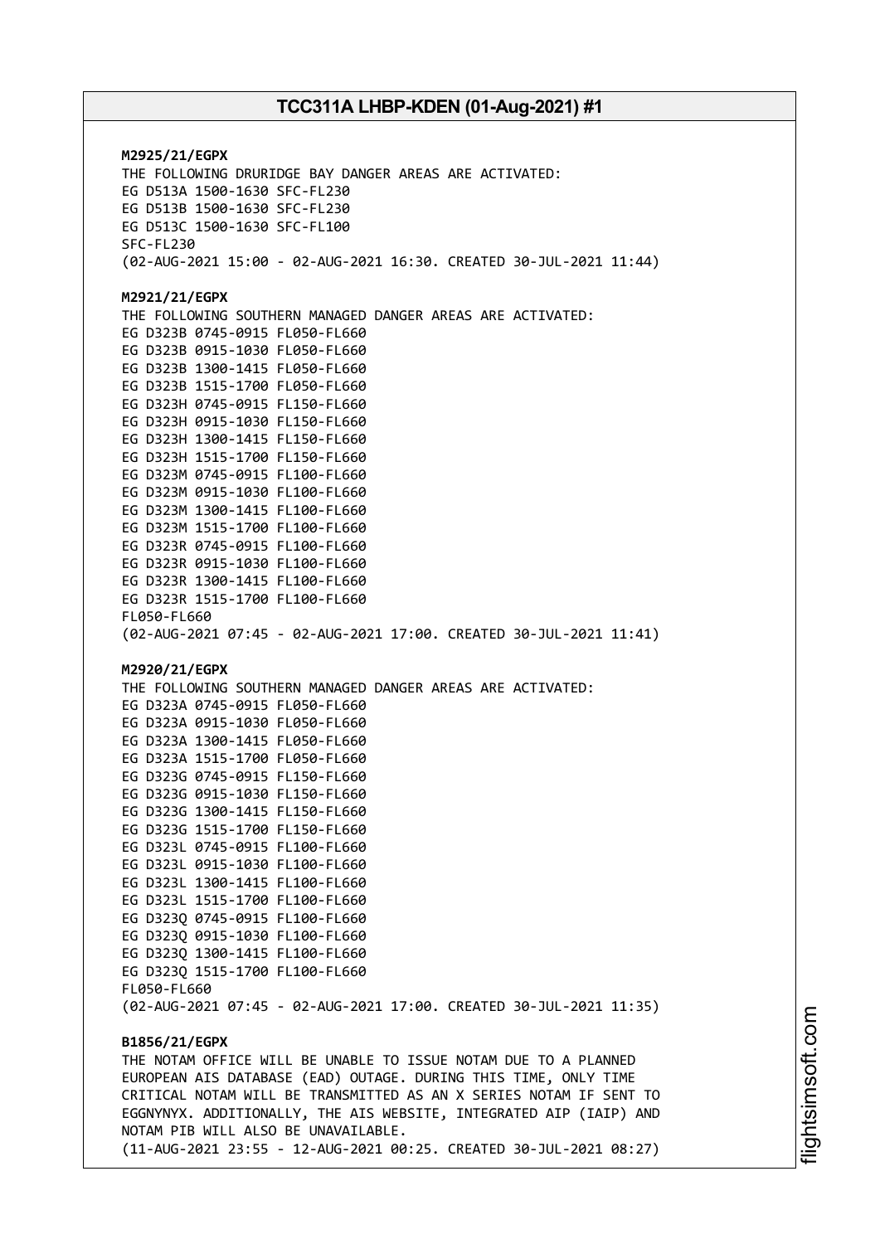**M2925/21/EGPX** THE FOLLOWING DRURIDGE BAY DANGER AREAS ARE ACTIVATED: EG D513A 1500-1630 SFC-FL230 EG D513B 1500-1630 SFC-FL230 EG D513C 1500-1630 SFC-FL100 SFC-FL230 (02-AUG-2021 15:00 - 02-AUG-2021 16:30. CREATED 30-JUL-2021 11:44) **M2921/21/EGPX** THE FOLLOWING SOUTHERN MANAGED DANGER AREAS ARE ACTIVATED: EG D323B 0745-0915 FL050-FL660 EG D323B 0915-1030 FL050-FL660 EG D323B 1300-1415 FL050-FL660 EG D323B 1515-1700 FL050-FL660 EG D323H 0745-0915 FL150-FL660 EG D323H 0915-1030 FL150-FL660 EG D323H 1300-1415 FL150-FL660 EG D323H 1515-1700 FL150-FL660 EG D323M 0745-0915 FL100-FL660 EG D323M 0915-1030 FL100-FL660 EG D323M 1300-1415 FL100-FL660 EG D323M 1515-1700 FL100-FL660 EG D323R 0745-0915 FL100-FL660 EG D323R 0915-1030 FL100-FL660 EG D323R 1300-1415 FL100-FL660 EG D323R 1515-1700 FL100-FL660 FL050-FL660 (02-AUG-2021 07:45 - 02-AUG-2021 17:00. CREATED 30-JUL-2021 11:41) **M2920/21/EGPX** THE FOLLOWING SOUTHERN MANAGED DANGER AREAS ARE ACTIVATED: EG D323A 0745-0915 FL050-FL660 EG D323A 0915-1030 FL050-FL660 EG D323A 1300-1415 FL050-FL660 EG D323A 1515-1700 FL050-FL660 EG D323G 0745-0915 FL150-FL660 EG D323G 0915-1030 FL150-FL660 EG D323G 1300-1415 FL150-FL660 EG D323G 1515-1700 FL150-FL660 EG D323L 0745-0915 FL100-FL660 EG D323L 0915-1030 FL100-FL660 EG D323L 1300-1415 FL100-FL660 EG D323L 1515-1700 FL100-FL660 EG D323Q 0745-0915 FL100-FL660 EG D323Q 0915-1030 FL100-FL660 EG D323Q 1300-1415 FL100-FL660 EG D323Q 1515-1700 FL100-FL660 FL050-FL660 (02-AUG-2021 07:45 - 02-AUG-2021 17:00. CREATED 30-JUL-2021 11:35) **B1856/21/EGPX** THE NOTAM OFFICE WILL BE UNABLE TO ISSUE NOTAM DUE TO A PLANNED EUROPEAN AIS DATABASE (EAD) OUTAGE. DURING THIS TIME, ONLY TIME CRITICAL NOTAM WILL BE TRANSMITTED AS AN X SERIES NOTAM IF SENT TO EGGNYNYX. ADDITIONALLY, THE AIS WEBSITE, INTEGRATED AIP (IAIP) AND NOTAM PIB WILL ALSO BE UNAVAILABLE. (11-AUG-2021 23:55 - 12-AUG-2021 00:25. CREATED 30-JUL-2021 08:27)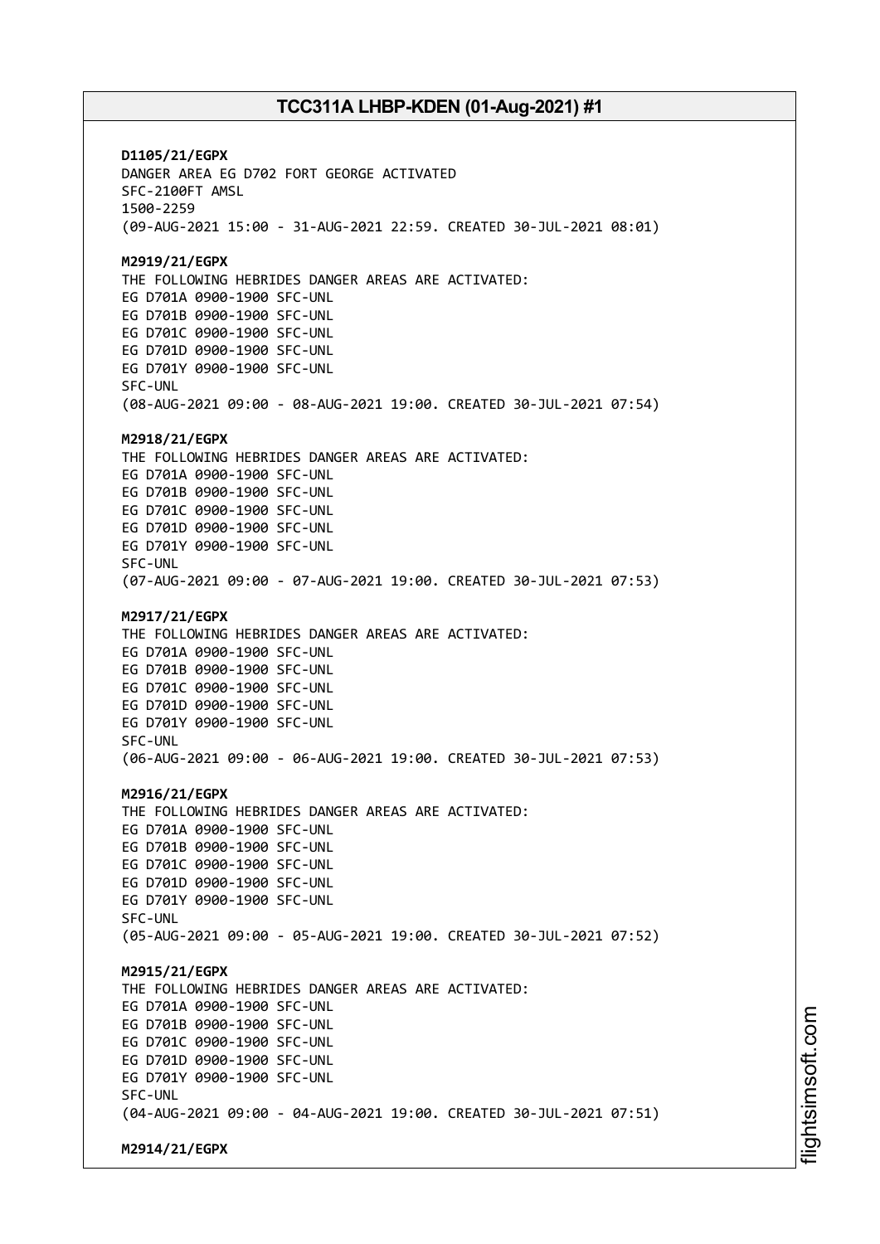**D1105/21/EGPX** DANGER AREA EG D702 FORT GEORGE ACTIVATED SFC-2100FT AMSL 1500-2259 (09-AUG-2021 15:00 - 31-AUG-2021 22:59. CREATED 30-JUL-2021 08:01) **M2919/21/EGPX** THE FOLLOWING HEBRIDES DANGER AREAS ARE ACTIVATED: EG D701A 0900-1900 SFC-UNL EG D701B 0900-1900 SFC-UNL EG D701C 0900-1900 SFC-UNL EG D701D 0900-1900 SFC-UNL EG D701Y 0900-1900 SFC-UNL SFC-UNL (08-AUG-2021 09:00 - 08-AUG-2021 19:00. CREATED 30-JUL-2021 07:54) **M2918/21/EGPX** THE FOLLOWING HEBRIDES DANGER AREAS ARE ACTIVATED: EG D701A 0900-1900 SFC-UNL EG D701B 0900-1900 SFC-UNL EG D701C 0900-1900 SFC-UNL EG D701D 0900-1900 SFC-UNL EG D701Y 0900-1900 SFC-UNL SFC-UNL (07-AUG-2021 09:00 - 07-AUG-2021 19:00. CREATED 30-JUL-2021 07:53) **M2917/21/EGPX** THE FOLLOWING HEBRIDES DANGER AREAS ARE ACTIVATED: EG D701A 0900-1900 SFC-UNL EG D701B 0900-1900 SFC-UNL EG D701C 0900-1900 SFC-UNL EG D701D 0900-1900 SFC-UNL EG D701Y 0900-1900 SFC-UNL SFC-UNL (06-AUG-2021 09:00 - 06-AUG-2021 19:00. CREATED 30-JUL-2021 07:53) **M2916/21/EGPX** THE FOLLOWING HEBRIDES DANGER AREAS ARE ACTIVATED: EG D701A 0900-1900 SFC-UNL EG D701B 0900-1900 SFC-UNL EG D701C 0900-1900 SFC-UNL EG D701D 0900-1900 SFC-UNL EG D701Y 0900-1900 SFC-UNL SFC-UNL (05-AUG-2021 09:00 - 05-AUG-2021 19:00. CREATED 30-JUL-2021 07:52) **M2915/21/EGPX** THE FOLLOWING HEBRIDES DANGER AREAS ARE ACTIVATED: EG D701A 0900-1900 SFC-UNL EG D701B 0900-1900 SFC-UNL EG D701C 0900-1900 SFC-UNL EG D701D 0900-1900 SFC-UNL EG D701Y 0900-1900 SFC-UNL SFC-UNL (04-AUG-2021 09:00 - 04-AUG-2021 19:00. CREATED 30-JUL-2021 07:51) **M2914/21/EGPX**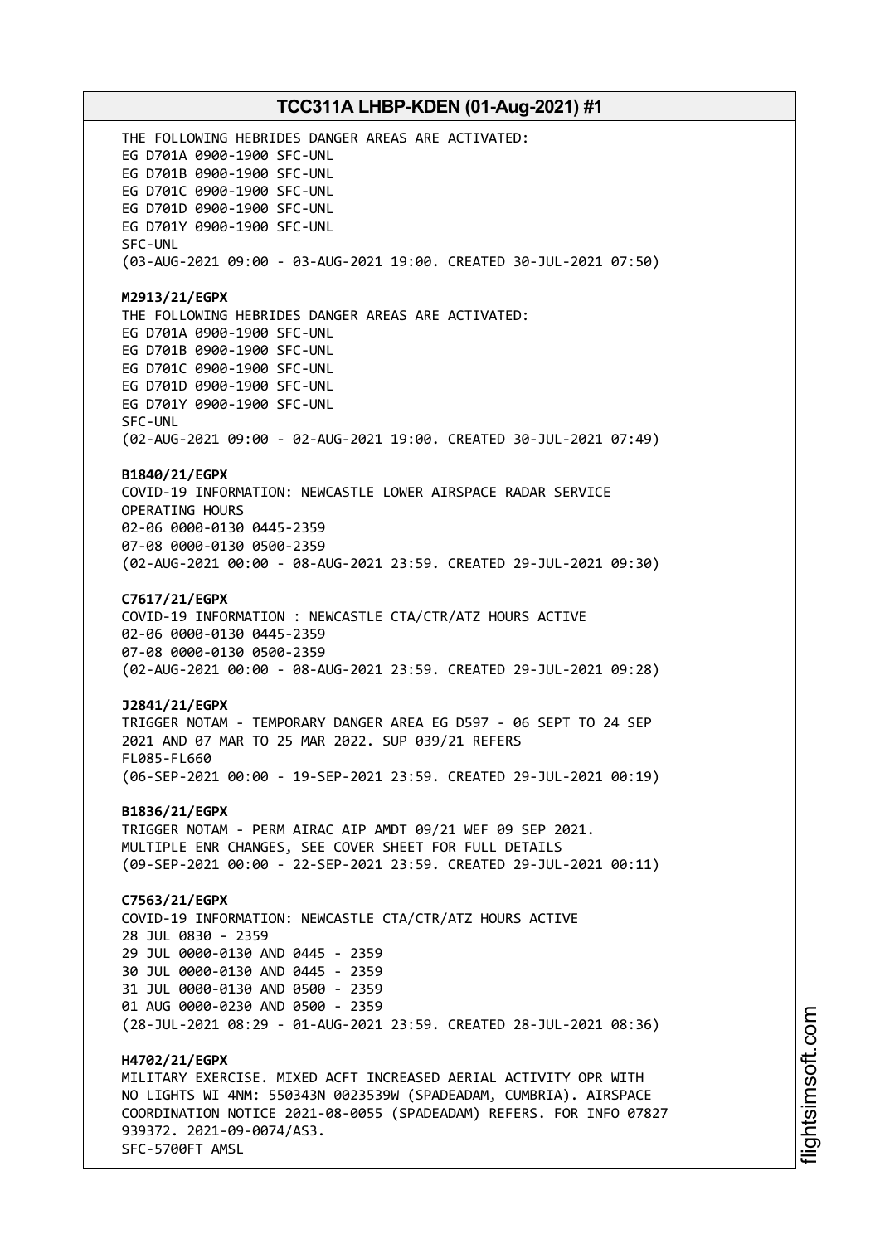THE FOLLOWING HEBRIDES DANGER AREAS ARE ACTIVATED: EG D701A 0900-1900 SFC-UNL EG D701B 0900-1900 SFC-UNL EG D701C 0900-1900 SFC-UNL EG D701D 0900-1900 SFC-UNL EG D701Y 0900-1900 SFC-UNL SFC-UNL (03-AUG-2021 09:00 - 03-AUG-2021 19:00. CREATED 30-JUL-2021 07:50) **M2913/21/EGPX** THE FOLLOWING HEBRIDES DANGER AREAS ARE ACTIVATED: EG D701A 0900-1900 SFC-UNL EG D701B 0900-1900 SFC-UNL EG D701C 0900-1900 SFC-UNL EG D701D 0900-1900 SFC-UNL EG D701Y 0900-1900 SFC-UNL SFC-UNL (02-AUG-2021 09:00 - 02-AUG-2021 19:00. CREATED 30-JUL-2021 07:49) **B1840/21/EGPX** COVID-19 INFORMATION: NEWCASTLE LOWER AIRSPACE RADAR SERVICE OPERATING HOURS 02-06 0000-0130 0445-2359 07-08 0000-0130 0500-2359 (02-AUG-2021 00:00 - 08-AUG-2021 23:59. CREATED 29-JUL-2021 09:30) **C7617/21/EGPX** COVID-19 INFORMATION : NEWCASTLE CTA/CTR/ATZ HOURS ACTIVE 02-06 0000-0130 0445-2359 07-08 0000-0130 0500-2359 (02-AUG-2021 00:00 - 08-AUG-2021 23:59. CREATED 29-JUL-2021 09:28) **J2841/21/EGPX** TRIGGER NOTAM - TEMPORARY DANGER AREA EG D597 - 06 SEPT TO 24 SEP 2021 AND 07 MAR TO 25 MAR 2022. SUP 039/21 REFERS FL085-FL660 (06-SEP-2021 00:00 - 19-SEP-2021 23:59. CREATED 29-JUL-2021 00:19) **B1836/21/EGPX** TRIGGER NOTAM - PERM AIRAC AIP AMDT 09/21 WEF 09 SEP 2021. MULTIPLE ENR CHANGES, SEE COVER SHEET FOR FULL DETAILS (09-SEP-2021 00:00 - 22-SEP-2021 23:59. CREATED 29-JUL-2021 00:11) **C7563/21/EGPX** COVID-19 INFORMATION: NEWCASTLE CTA/CTR/ATZ HOURS ACTIVE 28 JUL 0830 - 2359 29 JUL 0000-0130 AND 0445 - 2359 30 JUL 0000-0130 AND 0445 - 2359 31 JUL 0000-0130 AND 0500 - 2359 01 AUG 0000-0230 AND 0500 - 2359 (28-JUL-2021 08:29 - 01-AUG-2021 23:59. CREATED 28-JUL-2021 08:36) **H4702/21/EGPX** MILITARY EXERCISE. MIXED ACFT INCREASED AERIAL ACTIVITY OPR WITH NO LIGHTS WI 4NM: 550343N 0023539W (SPADEADAM, CUMBRIA). AIRSPACE COORDINATION NOTICE 2021-08-0055 (SPADEADAM) REFERS. FOR INFO 07827 939372. 2021-09-0074/AS3. SFC-5700FT AMSL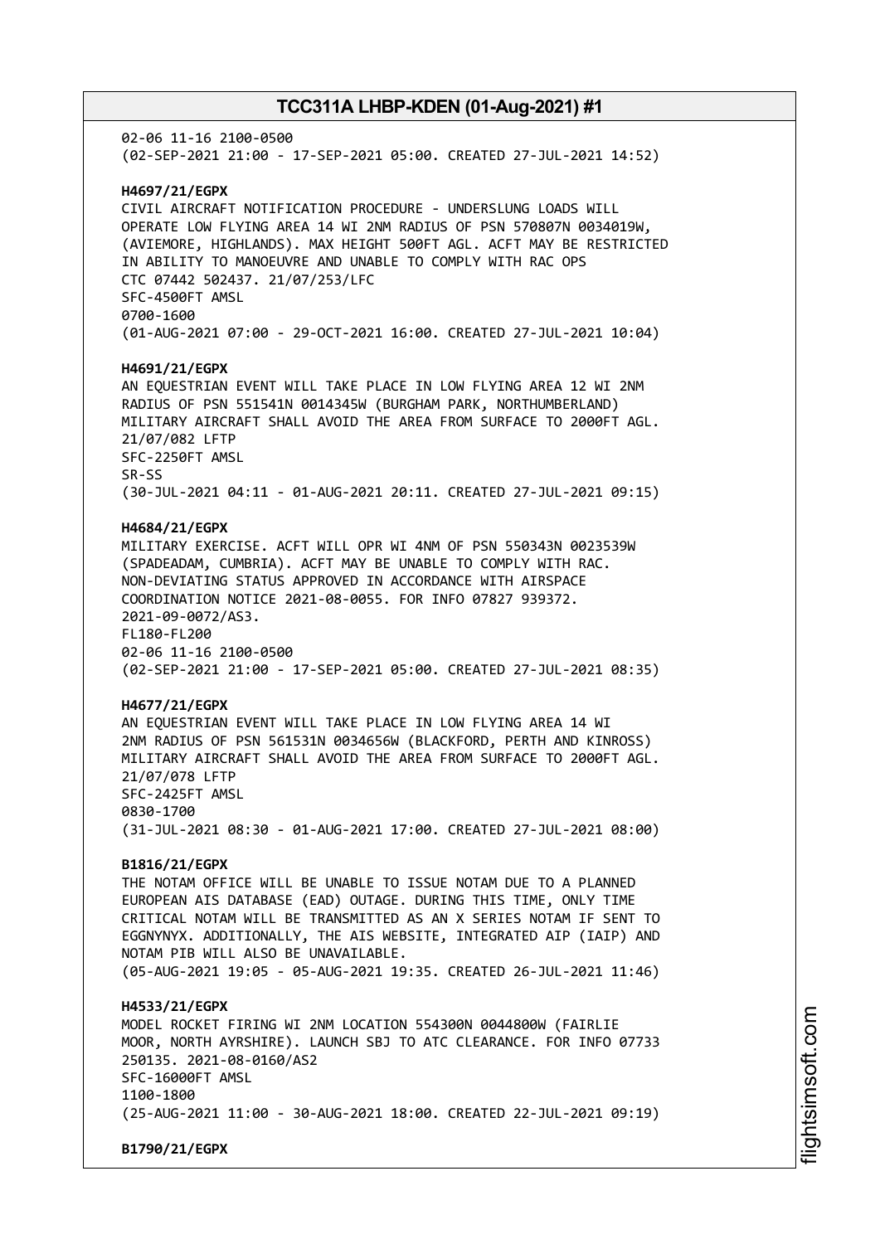02-06 11-16 2100-0500 (02-SEP-2021 21:00 - 17-SEP-2021 05:00. CREATED 27-JUL-2021 14:52) **H4697/21/EGPX** CIVIL AIRCRAFT NOTIFICATION PROCEDURE - UNDERSLUNG LOADS WILL OPERATE LOW FLYING AREA 14 WI 2NM RADIUS OF PSN 570807N 0034019W, (AVIEMORE, HIGHLANDS). MAX HEIGHT 500FT AGL. ACFT MAY BE RESTRICTED IN ABILITY TO MANOEUVRE AND UNABLE TO COMPLY WITH RAC OPS CTC 07442 502437. 21/07/253/LFC SFC-4500FT AMSL 0700-1600 (01-AUG-2021 07:00 - 29-OCT-2021 16:00. CREATED 27-JUL-2021 10:04) **H4691/21/EGPX** AN EQUESTRIAN EVENT WILL TAKE PLACE IN LOW FLYING AREA 12 WI 2NM RADIUS OF PSN 551541N 0014345W (BURGHAM PARK, NORTHUMBERLAND) MILITARY AIRCRAFT SHALL AVOID THE AREA FROM SURFACE TO 2000FT AGL. 21/07/082 LFTP SFC-2250FT AMSL SR-SS (30-JUL-2021 04:11 - 01-AUG-2021 20:11. CREATED 27-JUL-2021 09:15) **H4684/21/EGPX** MILITARY EXERCISE. ACFT WILL OPR WI 4NM OF PSN 550343N 0023539W (SPADEADAM, CUMBRIA). ACFT MAY BE UNABLE TO COMPLY WITH RAC. NON-DEVIATING STATUS APPROVED IN ACCORDANCE WITH AIRSPACE COORDINATION NOTICE 2021-08-0055. FOR INFO 07827 939372. 2021-09-0072/AS3. FL180-FL200 02-06 11-16 2100-0500 (02-SEP-2021 21:00 - 17-SEP-2021 05:00. CREATED 27-JUL-2021 08:35) **H4677/21/EGPX** AN EQUESTRIAN EVENT WILL TAKE PLACE IN LOW FLYING AREA 14 WI 2NM RADIUS OF PSN 561531N 0034656W (BLACKFORD, PERTH AND KINROSS) MILITARY AIRCRAFT SHALL AVOID THE AREA FROM SURFACE TO 2000FT AGL. 21/07/078 LFTP SFC-2425FT AMSL 0830-1700 (31-JUL-2021 08:30 - 01-AUG-2021 17:00. CREATED 27-JUL-2021 08:00) **B1816/21/EGPX** THE NOTAM OFFICE WILL BE UNABLE TO ISSUE NOTAM DUE TO A PLANNED EUROPEAN AIS DATABASE (EAD) OUTAGE. DURING THIS TIME, ONLY TIME CRITICAL NOTAM WILL BE TRANSMITTED AS AN X SERIES NOTAM IF SENT TO EGGNYNYX. ADDITIONALLY, THE AIS WEBSITE, INTEGRATED AIP (IAIP) AND NOTAM PIB WILL ALSO BE UNAVAILABLE. (05-AUG-2021 19:05 - 05-AUG-2021 19:35. CREATED 26-JUL-2021 11:46) **H4533/21/EGPX** MODEL ROCKET FIRING WI 2NM LOCATION 554300N 0044800W (FAIRLIE MOOR, NORTH AYRSHIRE). LAUNCH SBJ TO ATC CLEARANCE. FOR INFO 07733 250135. 2021-08-0160/AS2 SFC-16000FT AMSL 1100-1800 (25-AUG-2021 11:00 - 30-AUG-2021 18:00. CREATED 22-JUL-2021 09:19) **B1790/21/EGPX**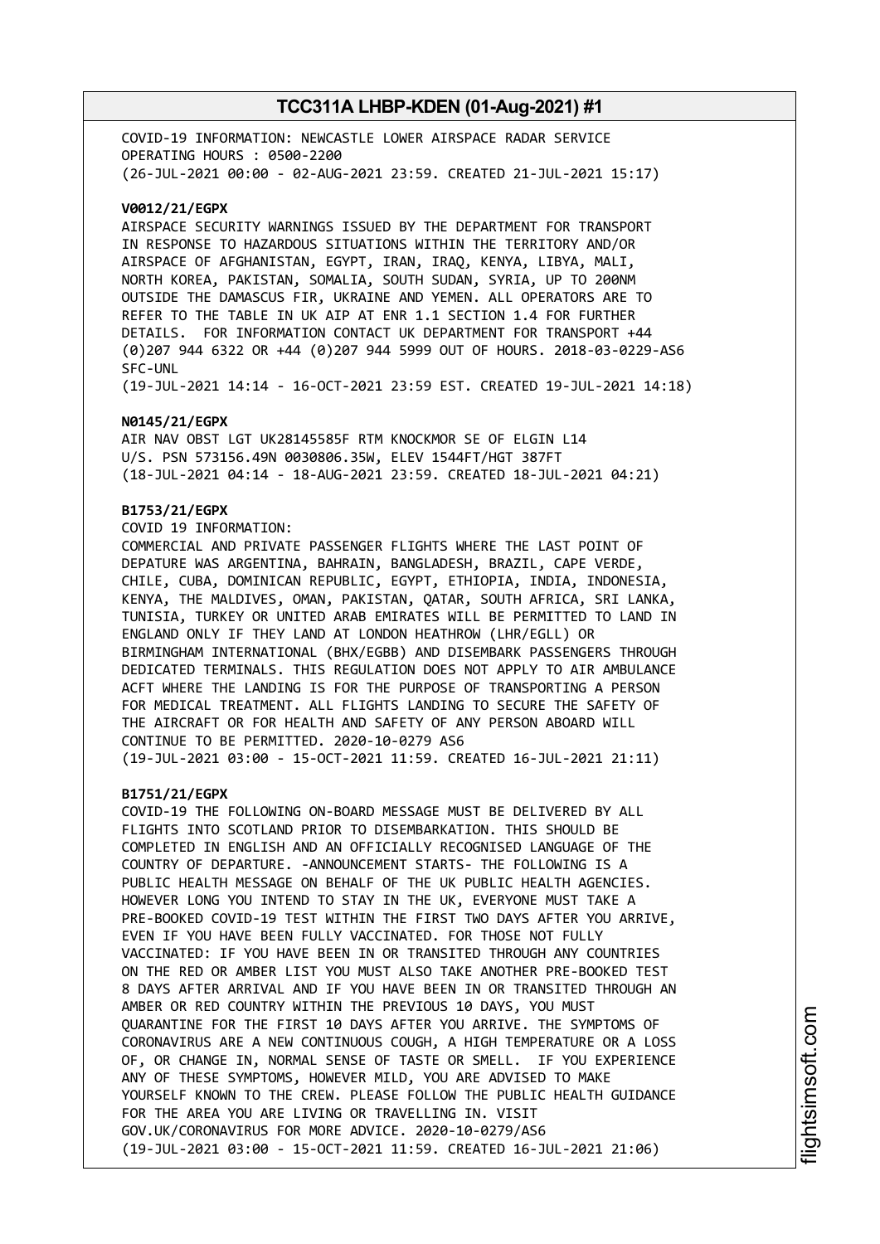COVID-19 INFORMATION: NEWCASTLE LOWER AIRSPACE RADAR SERVICE OPERATING HOURS : 0500-2200 (26-JUL-2021 00:00 - 02-AUG-2021 23:59. CREATED 21-JUL-2021 15:17)

#### **V0012/21/EGPX**

AIRSPACE SECURITY WARNINGS ISSUED BY THE DEPARTMENT FOR TRANSPORT IN RESPONSE TO HAZARDOUS SITUATIONS WITHIN THE TERRITORY AND/OR AIRSPACE OF AFGHANISTAN, EGYPT, IRAN, IRAQ, KENYA, LIBYA, MALI, NORTH KOREA, PAKISTAN, SOMALIA, SOUTH SUDAN, SYRIA, UP TO 200NM OUTSIDE THE DAMASCUS FIR, UKRAINE AND YEMEN. ALL OPERATORS ARE TO REFER TO THE TABLE IN UK AIP AT ENR 1.1 SECTION 1.4 FOR FURTHER DETAILS. FOR INFORMATION CONTACT UK DEPARTMENT FOR TRANSPORT +44 (0)207 944 6322 OR +44 (0)207 944 5999 OUT OF HOURS. 2018-03-0229-AS6 SFC-UNL

(19-JUL-2021 14:14 - 16-OCT-2021 23:59 EST. CREATED 19-JUL-2021 14:18)

#### **N0145/21/EGPX**

AIR NAV OBST LGT UK28145585F RTM KNOCKMOR SE OF ELGIN L14 U/S. PSN 573156.49N 0030806.35W, ELEV 1544FT/HGT 387FT (18-JUL-2021 04:14 - 18-AUG-2021 23:59. CREATED 18-JUL-2021 04:21)

### **B1753/21/EGPX**

COVID 19 INFORMATION:

COMMERCIAL AND PRIVATE PASSENGER FLIGHTS WHERE THE LAST POINT OF DEPATURE WAS ARGENTINA, BAHRAIN, BANGLADESH, BRAZIL, CAPE VERDE, CHILE, CUBA, DOMINICAN REPUBLIC, EGYPT, ETHIOPIA, INDIA, INDONESIA, KENYA, THE MALDIVES, OMAN, PAKISTAN, QATAR, SOUTH AFRICA, SRI LANKA, TUNISIA, TURKEY OR UNITED ARAB EMIRATES WILL BE PERMITTED TO LAND IN ENGLAND ONLY IF THEY LAND AT LONDON HEATHROW (LHR/EGLL) OR BIRMINGHAM INTERNATIONAL (BHX/EGBB) AND DISEMBARK PASSENGERS THROUGH DEDICATED TERMINALS. THIS REGULATION DOES NOT APPLY TO AIR AMBULANCE ACFT WHERE THE LANDING IS FOR THE PURPOSE OF TRANSPORTING A PERSON FOR MEDICAL TREATMENT. ALL FLIGHTS LANDING TO SECURE THE SAFETY OF THE AIRCRAFT OR FOR HEALTH AND SAFETY OF ANY PERSON ABOARD WILL CONTINUE TO BE PERMITTED. 2020-10-0279 AS6 (19-JUL-2021 03:00 - 15-OCT-2021 11:59. CREATED 16-JUL-2021 21:11)

#### **B1751/21/EGPX**

COVID-19 THE FOLLOWING ON-BOARD MESSAGE MUST BE DELIVERED BY ALL FLIGHTS INTO SCOTLAND PRIOR TO DISEMBARKATION. THIS SHOULD BE COMPLETED IN ENGLISH AND AN OFFICIALLY RECOGNISED LANGUAGE OF THE COUNTRY OF DEPARTURE. -ANNOUNCEMENT STARTS- THE FOLLOWING IS A PUBLIC HEALTH MESSAGE ON BEHALF OF THE UK PUBLIC HEALTH AGENCIES. HOWEVER LONG YOU INTEND TO STAY IN THE UK, EVERYONE MUST TAKE A PRE-BOOKED COVID-19 TEST WITHIN THE FIRST TWO DAYS AFTER YOU ARRIVE, EVEN IF YOU HAVE BEEN FULLY VACCINATED. FOR THOSE NOT FULLY VACCINATED: IF YOU HAVE BEEN IN OR TRANSITED THROUGH ANY COUNTRIES ON THE RED OR AMBER LIST YOU MUST ALSO TAKE ANOTHER PRE-BOOKED TEST 8 DAYS AFTER ARRIVAL AND IF YOU HAVE BEEN IN OR TRANSITED THROUGH AN AMBER OR RED COUNTRY WITHIN THE PREVIOUS 10 DAYS, YOU MUST QUARANTINE FOR THE FIRST 10 DAYS AFTER YOU ARRIVE. THE SYMPTOMS OF CORONAVIRUS ARE A NEW CONTINUOUS COUGH, A HIGH TEMPERATURE OR A LOSS OF, OR CHANGE IN, NORMAL SENSE OF TASTE OR SMELL. IF YOU EXPERIENCE ANY OF THESE SYMPTOMS, HOWEVER MILD, YOU ARE ADVISED TO MAKE YOURSELF KNOWN TO THE CREW. PLEASE FOLLOW THE PUBLIC HEALTH GUIDANCE FOR THE AREA YOU ARE LIVING OR TRAVELLING IN. VISIT GOV.UK/CORONAVIRUS FOR MORE ADVICE. 2020-10-0279/AS6 (19-JUL-2021 03:00 - 15-OCT-2021 11:59. CREATED 16-JUL-2021 21:06)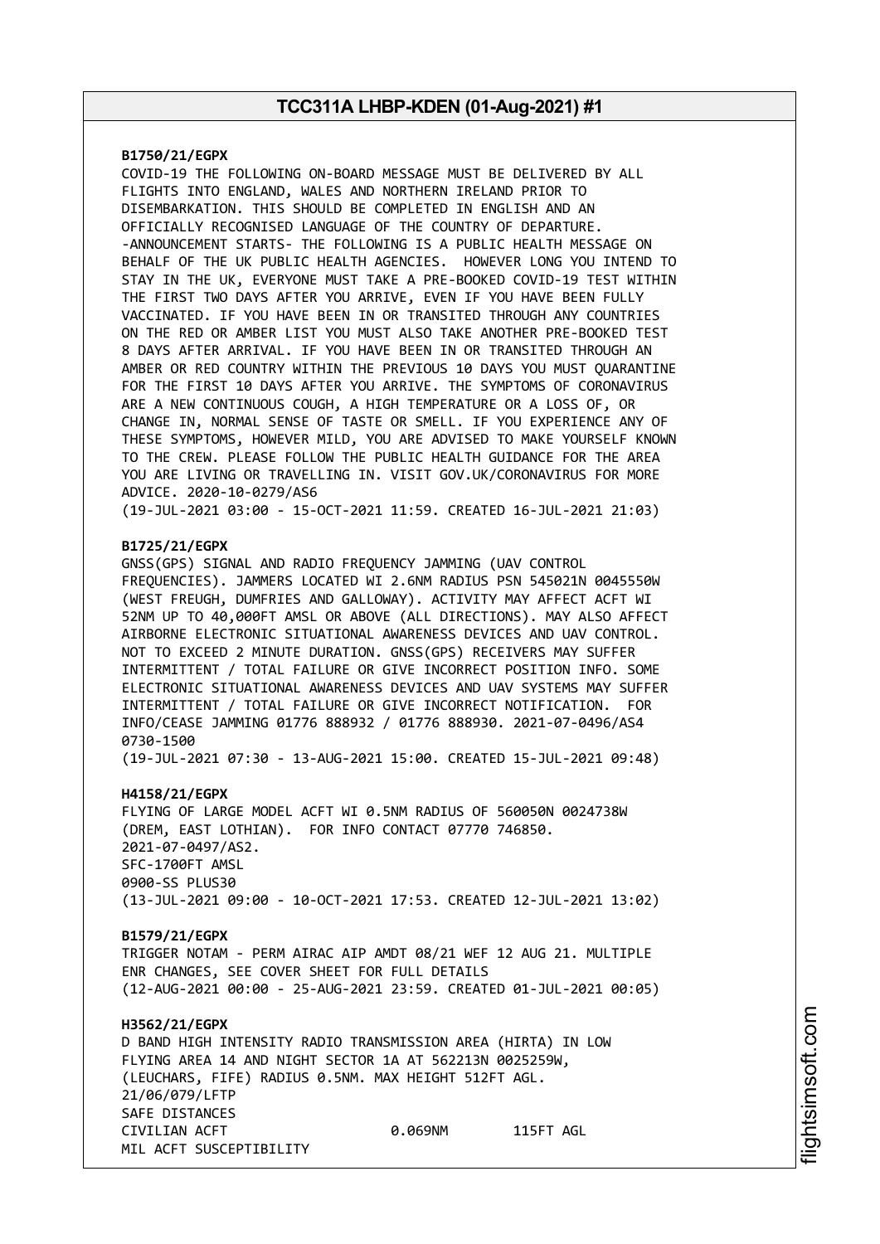### **B1750/21/EGPX**

COVID-19 THE FOLLOWING ON-BOARD MESSAGE MUST BE DELIVERED BY ALL FLIGHTS INTO ENGLAND, WALES AND NORTHERN IRELAND PRIOR TO DISEMBARKATION. THIS SHOULD BE COMPLETED IN ENGLISH AND AN OFFICIALLY RECOGNISED LANGUAGE OF THE COUNTRY OF DEPARTURE. -ANNOUNCEMENT STARTS- THE FOLLOWING IS A PUBLIC HEALTH MESSAGE ON BEHALF OF THE UK PUBLIC HEALTH AGENCIES. HOWEVER LONG YOU INTEND TO STAY IN THE UK, EVERYONE MUST TAKE A PRE-BOOKED COVID-19 TEST WITHIN THE FIRST TWO DAYS AFTER YOU ARRIVE, EVEN IF YOU HAVE BEEN FULLY VACCINATED. IF YOU HAVE BEEN IN OR TRANSITED THROUGH ANY COUNTRIES ON THE RED OR AMBER LIST YOU MUST ALSO TAKE ANOTHER PRE-BOOKED TEST 8 DAYS AFTER ARRIVAL. IF YOU HAVE BEEN IN OR TRANSITED THROUGH AN AMBER OR RED COUNTRY WITHIN THE PREVIOUS 10 DAYS YOU MUST QUARANTINE FOR THE FIRST 10 DAYS AFTER YOU ARRIVE. THE SYMPTOMS OF CORONAVIRUS ARE A NEW CONTINUOUS COUGH, A HIGH TEMPERATURE OR A LOSS OF, OR CHANGE IN, NORMAL SENSE OF TASTE OR SMELL. IF YOU EXPERIENCE ANY OF THESE SYMPTOMS, HOWEVER MILD, YOU ARE ADVISED TO MAKE YOURSELF KNOWN TO THE CREW. PLEASE FOLLOW THE PUBLIC HEALTH GUIDANCE FOR THE AREA YOU ARE LIVING OR TRAVELLING IN. VISIT GOV.UK/CORONAVIRUS FOR MORE ADVICE. 2020-10-0279/AS6

(19-JUL-2021 03:00 - 15-OCT-2021 11:59. CREATED 16-JUL-2021 21:03)

### **B1725/21/EGPX**

GNSS(GPS) SIGNAL AND RADIO FREQUENCY JAMMING (UAV CONTROL FREQUENCIES). JAMMERS LOCATED WI 2.6NM RADIUS PSN 545021N 0045550W (WEST FREUGH, DUMFRIES AND GALLOWAY). ACTIVITY MAY AFFECT ACFT WI 52NM UP TO 40,000FT AMSL OR ABOVE (ALL DIRECTIONS). MAY ALSO AFFECT AIRBORNE ELECTRONIC SITUATIONAL AWARENESS DEVICES AND UAV CONTROL. NOT TO EXCEED 2 MINUTE DURATION. GNSS(GPS) RECEIVERS MAY SUFFER INTERMITTENT / TOTAL FAILURE OR GIVE INCORRECT POSITION INFO. SOME ELECTRONIC SITUATIONAL AWARENESS DEVICES AND UAV SYSTEMS MAY SUFFER INTERMITTENT / TOTAL FAILURE OR GIVE INCORRECT NOTIFICATION. FOR INFO/CEASE JAMMING 01776 888932 / 01776 888930. 2021-07-0496/AS4 0730-1500

(19-JUL-2021 07:30 - 13-AUG-2021 15:00. CREATED 15-JUL-2021 09:48)

### **H4158/21/EGPX**

FLYING OF LARGE MODEL ACFT WI 0.5NM RADIUS OF 560050N 0024738W (DREM, EAST LOTHIAN). FOR INFO CONTACT 07770 746850. 2021-07-0497/AS2. SFC-1700FT AMSL 0900-SS PLUS30 (13-JUL-2021 09:00 - 10-OCT-2021 17:53. CREATED 12-JUL-2021 13:02)

### **B1579/21/EGPX**

TRIGGER NOTAM - PERM AIRAC AIP AMDT 08/21 WEF 12 AUG 21. MULTIPLE ENR CHANGES, SEE COVER SHEET FOR FULL DETAILS (12-AUG-2021 00:00 - 25-AUG-2021 23:59. CREATED 01-JUL-2021 00:05)

### **H3562/21/EGPX** D BAND HIGH INTENSITY RADIO TRANSMISSION AREA (HIRTA) IN LOW FLYING AREA 14 AND NIGHT SECTOR 1A AT 562213N 0025259W, (LEUCHARS, FIFE) RADIUS 0.5NM. MAX HEIGHT 512FT AGL. 21/06/079/LFTP SAFE DISTANCES CIVILIAN ACFT 0.069NM 115FT AGL MIL ACFT SUSCEPTIBILITY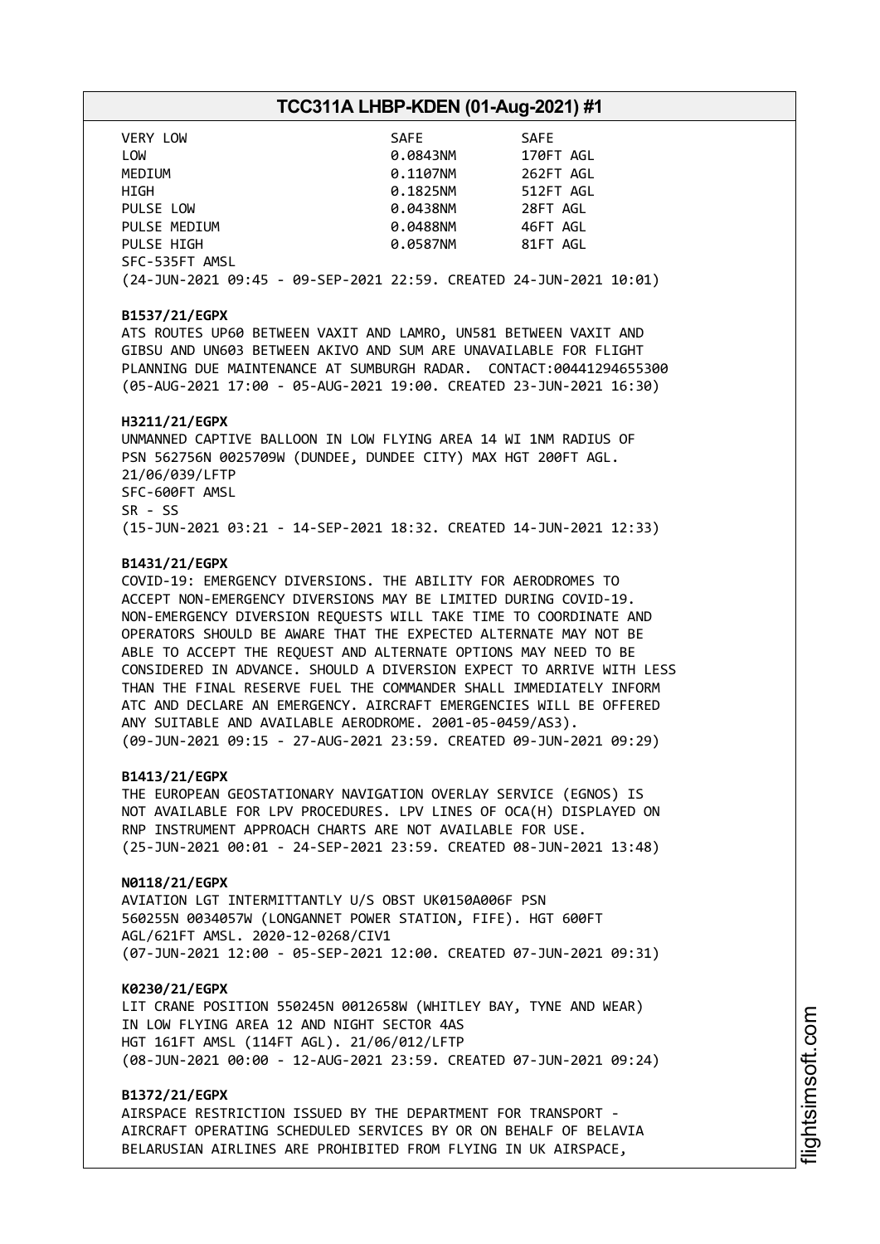| VERY LOW                                                           | SAFE     | <b>SAFE</b> |
|--------------------------------------------------------------------|----------|-------------|
| LOW                                                                | 0.0843NM | 170FT AGL   |
| MEDIUM                                                             | 0.1107NM | 262FT AGL   |
| HIGH                                                               | 0.1825NM | 512FT AGL   |
| PULSE LOW                                                          | 0.0438NM | 28FT AGL    |
| PULSE MEDIUM                                                       | 0.0488NM | 46FT AGL    |
| PULSE HIGH                                                         | 0.0587NM | 81FT AGL    |
| SFC-535FT AMSL                                                     |          |             |
| (24-JUN-2021 09:45 - 09-SEP-2021 22:59. CREATED 24-JUN-2021 10:01) |          |             |

### **B1537/21/EGPX**

ATS ROUTES UP60 BETWEEN VAXIT AND LAMRO, UN581 BETWEEN VAXIT AND GIBSU AND UN603 BETWEEN AKIVO AND SUM ARE UNAVAILABLE FOR FLIGHT PLANNING DUE MAINTENANCE AT SUMBURGH RADAR. CONTACT:00441294655300 (05-AUG-2021 17:00 - 05-AUG-2021 19:00. CREATED 23-JUN-2021 16:30)

#### **H3211/21/EGPX**

UNMANNED CAPTIVE BALLOON IN LOW FLYING AREA 14 WI 1NM RADIUS OF PSN 562756N 0025709W (DUNDEE, DUNDEE CITY) MAX HGT 200FT AGL. 21/06/039/LFTP SFC-600FT AMSL SR - SS (15-JUN-2021 03:21 - 14-SEP-2021 18:32. CREATED 14-JUN-2021 12:33)

### **B1431/21/EGPX**

COVID-19: EMERGENCY DIVERSIONS. THE ABILITY FOR AERODROMES TO ACCEPT NON-EMERGENCY DIVERSIONS MAY BE LIMITED DURING COVID-19. NON-EMERGENCY DIVERSION REQUESTS WILL TAKE TIME TO COORDINATE AND OPERATORS SHOULD BE AWARE THAT THE EXPECTED ALTERNATE MAY NOT BE ABLE TO ACCEPT THE REQUEST AND ALTERNATE OPTIONS MAY NEED TO BE CONSIDERED IN ADVANCE. SHOULD A DIVERSION EXPECT TO ARRIVE WITH LESS THAN THE FINAL RESERVE FUEL THE COMMANDER SHALL IMMEDIATELY INFORM ATC AND DECLARE AN EMERGENCY. AIRCRAFT EMERGENCIES WILL BE OFFERED ANY SUITABLE AND AVAILABLE AERODROME. 2001-05-0459/AS3). (09-JUN-2021 09:15 - 27-AUG-2021 23:59. CREATED 09-JUN-2021 09:29)

#### **B1413/21/EGPX**

THE EUROPEAN GEOSTATIONARY NAVIGATION OVERLAY SERVICE (EGNOS) IS NOT AVAILABLE FOR LPV PROCEDURES. LPV LINES OF OCA(H) DISPLAYED ON RNP INSTRUMENT APPROACH CHARTS ARE NOT AVAILABLE FOR USE. (25-JUN-2021 00:01 - 24-SEP-2021 23:59. CREATED 08-JUN-2021 13:48)

#### **N0118/21/EGPX**

AVIATION LGT INTERMITTANTLY U/S OBST UK0150A006F PSN 560255N 0034057W (LONGANNET POWER STATION, FIFE). HGT 600FT AGL/621FT AMSL. 2020-12-0268/CIV1 (07-JUN-2021 12:00 - 05-SEP-2021 12:00. CREATED 07-JUN-2021 09:31)

#### **K0230/21/EGPX**

LIT CRANE POSITION 550245N 0012658W (WHITLEY BAY, TYNE AND WEAR) IN LOW FLYING AREA 12 AND NIGHT SECTOR 4AS HGT 161FT AMSL (114FT AGL). 21/06/012/LFTP (08-JUN-2021 00:00 - 12-AUG-2021 23:59. CREATED 07-JUN-2021 09:24)

### **B1372/21/EGPX**

AIRSPACE RESTRICTION ISSUED BY THE DEPARTMENT FOR TRANSPORT - AIRCRAFT OPERATING SCHEDULED SERVICES BY OR ON BEHALF OF BELAVIA BELARUSIAN AIRLINES ARE PROHIBITED FROM FLYING IN UK AIRSPACE,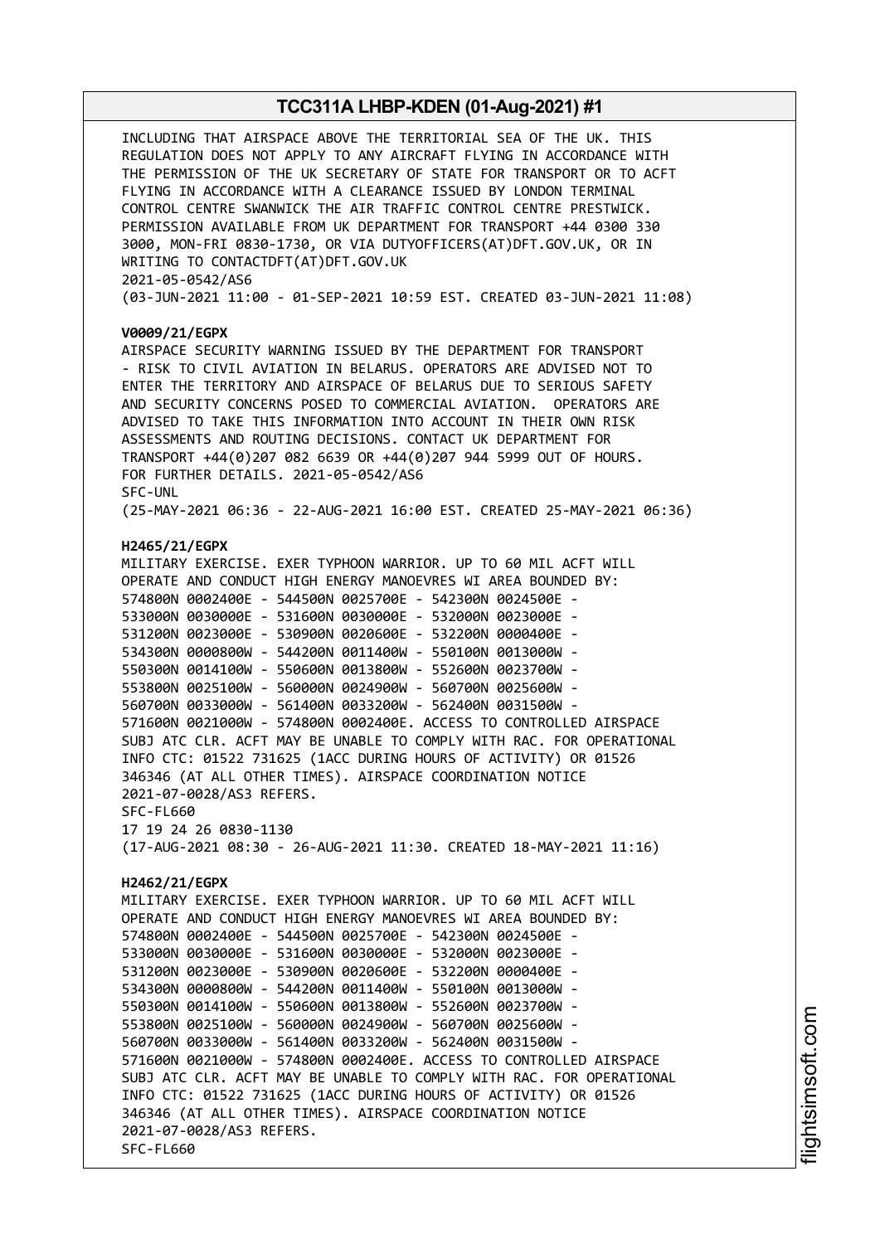INCLUDING THAT AIRSPACE ABOVE THE TERRITORIAL SEA OF THE UK. THIS REGULATION DOES NOT APPLY TO ANY AIRCRAFT FLYING IN ACCORDANCE WITH THE PERMISSION OF THE UK SECRETARY OF STATE FOR TRANSPORT OR TO ACFT FLYING IN ACCORDANCE WITH A CLEARANCE ISSUED BY LONDON TERMINAL CONTROL CENTRE SWANWICK THE AIR TRAFFIC CONTROL CENTRE PRESTWICK. PERMISSION AVAILABLE FROM UK DEPARTMENT FOR TRANSPORT +44 0300 330 3000, MON-FRI 0830-1730, OR VIA DUTYOFFICERS(AT)DFT.GOV.UK, OR IN WRITING TO CONTACTDFT(AT)DFT.GOV.UK 2021-05-0542/AS6 (03-JUN-2021 11:00 - 01-SEP-2021 10:59 EST. CREATED 03-JUN-2021 11:08) **V0009/21/EGPX** AIRSPACE SECURITY WARNING ISSUED BY THE DEPARTMENT FOR TRANSPORT - RISK TO CIVIL AVIATION IN BELARUS. OPERATORS ARE ADVISED NOT TO ENTER THE TERRITORY AND AIRSPACE OF BELARUS DUE TO SERIOUS SAFETY AND SECURITY CONCERNS POSED TO COMMERCIAL AVIATION. OPERATORS ARE ADVISED TO TAKE THIS INFORMATION INTO ACCOUNT IN THEIR OWN RISK ASSESSMENTS AND ROUTING DECISIONS. CONTACT UK DEPARTMENT FOR TRANSPORT +44(0)207 082 6639 OR +44(0)207 944 5999 OUT OF HOURS. FOR FURTHER DETAILS. 2021-05-0542/AS6 SFC-UNL (25-MAY-2021 06:36 - 22-AUG-2021 16:00 EST. CREATED 25-MAY-2021 06:36) **H2465/21/EGPX** MILITARY EXERCISE. EXER TYPHOON WARRIOR. UP TO 60 MIL ACFT WILL OPERATE AND CONDUCT HIGH ENERGY MANOEVRES WI AREA BOUNDED BY: 574800N 0002400E - 544500N 0025700E - 542300N 0024500E - 533000N 0030000E - 531600N 0030000E - 532000N 0023000E - 531200N 0023000E - 530900N 0020600E - 532200N 0000400E - 534300N 0000800W - 544200N 0011400W - 550100N 0013000W - 550300N 0014100W - 550600N 0013800W - 552600N 0023700W - 553800N 0025100W - 560000N 0024900W - 560700N 0025600W - 560700N 0033000W - 561400N 0033200W - 562400N 0031500W - 571600N 0021000W - 574800N 0002400E. ACCESS TO CONTROLLED AIRSPACE SUBJ ATC CLR. ACFT MAY BE UNABLE TO COMPLY WITH RAC. FOR OPERATIONAL INFO CTC: 01522 731625 (1ACC DURING HOURS OF ACTIVITY) OR 01526 346346 (AT ALL OTHER TIMES). AIRSPACE COORDINATION NOTICE 2021-07-0028/AS3 REFERS. SFC-FL660 17 19 24 26 0830-1130 (17-AUG-2021 08:30 - 26-AUG-2021 11:30. CREATED 18-MAY-2021 11:16) **H2462/21/EGPX** MILITARY EXERCISE. EXER TYPHOON WARRIOR. UP TO 60 MIL ACFT WILL OPERATE AND CONDUCT HIGH ENERGY MANOEVRES WI AREA BOUNDED BY: 574800N 0002400E - 544500N 0025700E - 542300N 0024500E - 533000N 0030000E - 531600N 0030000E - 532000N 0023000E - 531200N 0023000E - 530900N 0020600E - 532200N 0000400E - 534300N 0000800W - 544200N 0011400W - 550100N 0013000W - 550300N 0014100W - 550600N 0013800W - 552600N 0023700W - 553800N 0025100W - 560000N 0024900W - 560700N 0025600W - 560700N 0033000W - 561400N 0033200W - 562400N 0031500W - 571600N 0021000W - 574800N 0002400E. ACCESS TO CONTROLLED AIRSPACE SUBJ ATC CLR. ACFT MAY BE UNABLE TO COMPLY WITH RAC. FOR OPERATIONAL INFO CTC: 01522 731625 (1ACC DURING HOURS OF ACTIVITY) OR 01526 346346 (AT ALL OTHER TIMES). AIRSPACE COORDINATION NOTICE 2021-07-0028/AS3 REFERS. SFC-FL660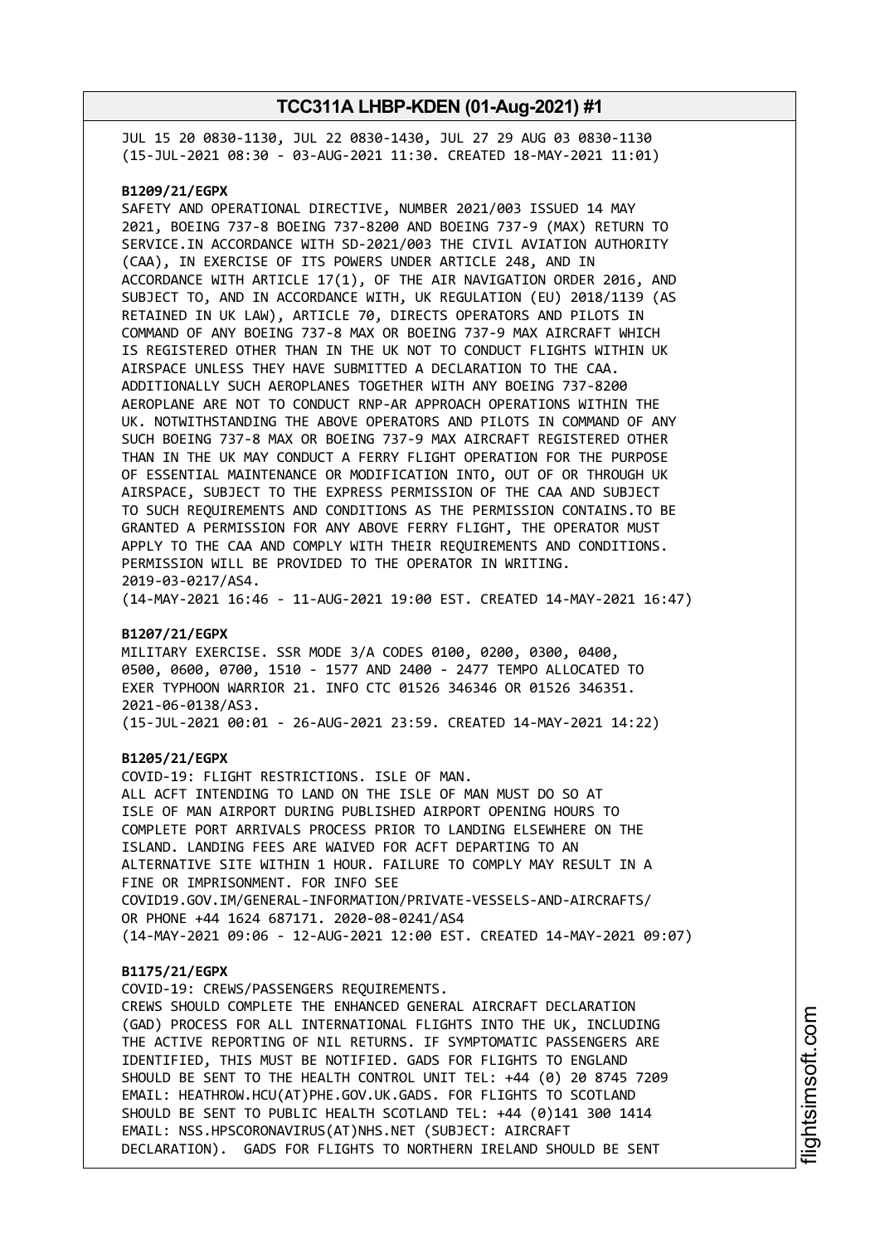JUL 15 20 0830-1130, JUL 22 0830-1430, JUL 27 29 AUG 03 0830-1130 (15-JUL-2021 08:30 - 03-AUG-2021 11:30. CREATED 18-MAY-2021 11:01)

#### **B1209/21/EGPX**

SAFETY AND OPERATIONAL DIRECTIVE, NUMBER 2021/003 ISSUED 14 MAY 2021, BOEING 737-8 BOEING 737-8200 AND BOEING 737-9 (MAX) RETURN TO SERVICE.IN ACCORDANCE WITH SD-2021/003 THE CIVIL AVIATION AUTHORITY (CAA), IN EXERCISE OF ITS POWERS UNDER ARTICLE 248, AND IN ACCORDANCE WITH ARTICLE 17(1), OF THE AIR NAVIGATION ORDER 2016, AND SUBJECT TO, AND IN ACCORDANCE WITH, UK REGULATION (EU) 2018/1139 (AS RETAINED IN UK LAW), ARTICLE 70, DIRECTS OPERATORS AND PILOTS IN COMMAND OF ANY BOEING 737-8 MAX OR BOEING 737-9 MAX AIRCRAFT WHICH IS REGISTERED OTHER THAN IN THE UK NOT TO CONDUCT FLIGHTS WITHIN UK AIRSPACE UNLESS THEY HAVE SUBMITTED A DECLARATION TO THE CAA. ADDITIONALLY SUCH AEROPLANES TOGETHER WITH ANY BOEING 737-8200 AEROPLANE ARE NOT TO CONDUCT RNP-AR APPROACH OPERATIONS WITHIN THE UK. NOTWITHSTANDING THE ABOVE OPERATORS AND PILOTS IN COMMAND OF ANY SUCH BOEING 737-8 MAX OR BOEING 737-9 MAX AIRCRAFT REGISTERED OTHER THAN IN THE UK MAY CONDUCT A FERRY FLIGHT OPERATION FOR THE PURPOSE OF ESSENTIAL MAINTENANCE OR MODIFICATION INTO, OUT OF OR THROUGH UK AIRSPACE, SUBJECT TO THE EXPRESS PERMISSION OF THE CAA AND SUBJECT TO SUCH REQUIREMENTS AND CONDITIONS AS THE PERMISSION CONTAINS.TO BE GRANTED A PERMISSION FOR ANY ABOVE FERRY FLIGHT, THE OPERATOR MUST APPLY TO THE CAA AND COMPLY WITH THEIR REQUIREMENTS AND CONDITIONS. PERMISSION WILL BE PROVIDED TO THE OPERATOR IN WRITING. 2019-03-0217/AS4.

(14-MAY-2021 16:46 - 11-AUG-2021 19:00 EST. CREATED 14-MAY-2021 16:47)

### **B1207/21/EGPX**

MILITARY EXERCISE. SSR MODE 3/A CODES 0100, 0200, 0300, 0400, 0500, 0600, 0700, 1510 - 1577 AND 2400 - 2477 TEMPO ALLOCATED TO EXER TYPHOON WARRIOR 21. INFO CTC 01526 346346 OR 01526 346351. 2021-06-0138/AS3. (15-JUL-2021 00:01 - 26-AUG-2021 23:59. CREATED 14-MAY-2021 14:22)

#### **B1205/21/EGPX**

COVID-19: FLIGHT RESTRICTIONS. ISLE OF MAN. ALL ACFT INTENDING TO LAND ON THE ISLE OF MAN MUST DO SO AT ISLE OF MAN AIRPORT DURING PUBLISHED AIRPORT OPENING HOURS TO COMPLETE PORT ARRIVALS PROCESS PRIOR TO LANDING ELSEWHERE ON THE ISLAND. LANDING FEES ARE WAIVED FOR ACFT DEPARTING TO AN ALTERNATIVE SITE WITHIN 1 HOUR. FAILURE TO COMPLY MAY RESULT IN A FINE OR IMPRISONMENT. FOR INFO SEE COVID19.GOV.IM/GENERAL-INFORMATION/PRIVATE-VESSELS-AND-AIRCRAFTS/ OR PHONE +44 1624 687171. 2020-08-0241/AS4 (14-MAY-2021 09:06 - 12-AUG-2021 12:00 EST. CREATED 14-MAY-2021 09:07)

#### **B1175/21/EGPX**

COVID-19: CREWS/PASSENGERS REQUIREMENTS. CREWS SHOULD COMPLETE THE ENHANCED GENERAL AIRCRAFT DECLARATION (GAD) PROCESS FOR ALL INTERNATIONAL FLIGHTS INTO THE UK, INCLUDING THE ACTIVE REPORTING OF NIL RETURNS. IF SYMPTOMATIC PASSENGERS ARE IDENTIFIED, THIS MUST BE NOTIFIED. GADS FOR FLIGHTS TO ENGLAND SHOULD BE SENT TO THE HEALTH CONTROL UNIT TEL: +44 (0) 20 8745 7209 EMAIL: HEATHROW.HCU(AT)PHE.GOV.UK.GADS. FOR FLIGHTS TO SCOTLAND SHOULD BE SENT TO PUBLIC HEALTH SCOTLAND TEL: +44 (0)141 300 1414 EMAIL: NSS.HPSCORONAVIRUS(AT)NHS.NET (SUBJECT: AIRCRAFT DECLARATION). GADS FOR FLIGHTS TO NORTHERN IRELAND SHOULD BE SENT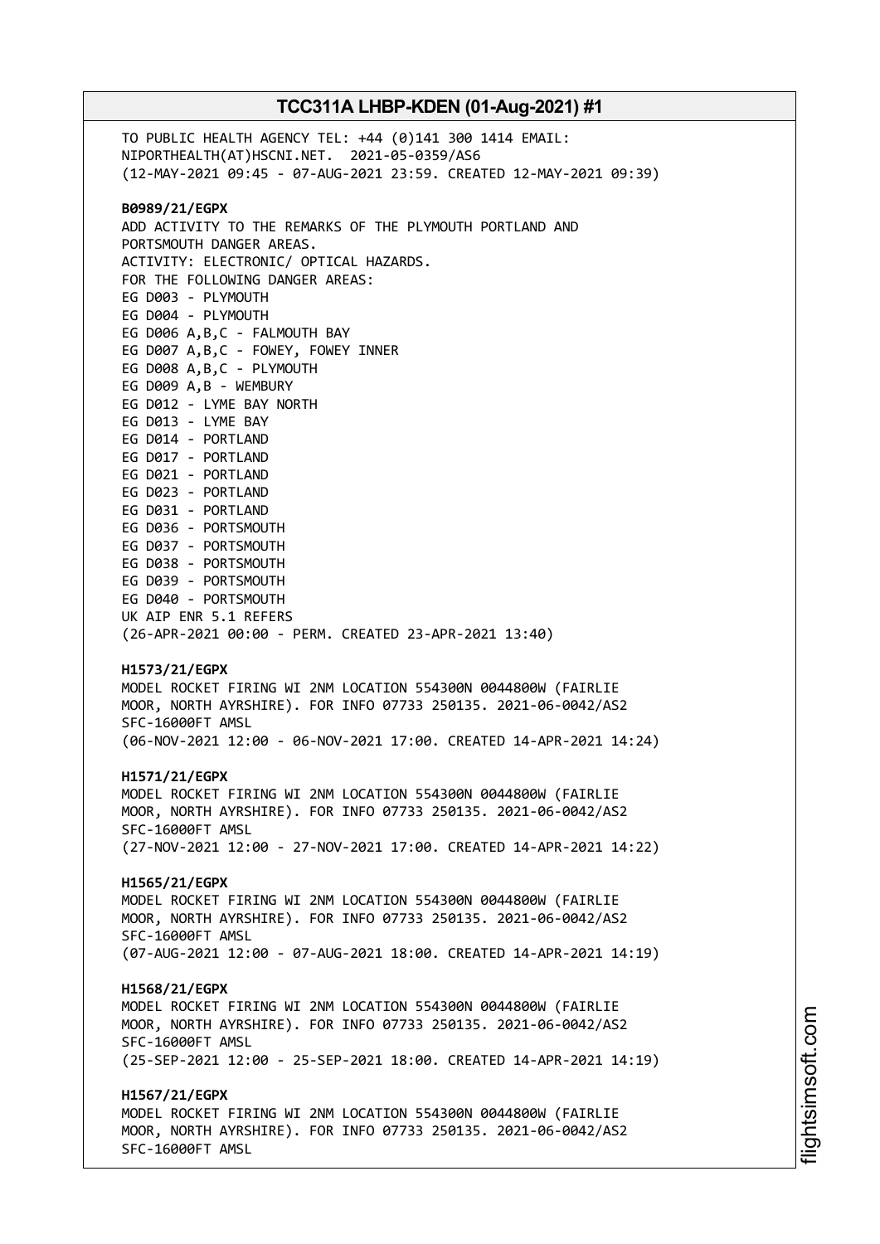TO PUBLIC HEALTH AGENCY TEL: +44 (0)141 300 1414 EMAIL: NIPORTHEALTH(AT)HSCNI.NET. 2021-05-0359/AS6 (12-MAY-2021 09:45 - 07-AUG-2021 23:59. CREATED 12-MAY-2021 09:39) **B0989/21/EGPX** ADD ACTIVITY TO THE REMARKS OF THE PLYMOUTH PORTLAND AND PORTSMOUTH DANGER AREAS. ACTIVITY: ELECTRONIC/ OPTICAL HAZARDS. FOR THE FOLLOWING DANGER AREAS: EG D003 - PLYMOUTH EG D004 - PLYMOUTH EG D006 A,B,C - FALMOUTH BAY EG D007 A,B,C - FOWEY, FOWEY INNER EG D008 A,B,C - PLYMOUTH EG D009 A,B - WEMBURY EG D012 - LYME BAY NORTH EG D013 - LYME BAY EG D014 - PORTLAND EG D017 - PORTLAND EG D021 - PORTLAND EG D023 - PORTLAND EG D031 - PORTLAND EG D036 - PORTSMOUTH EG D037 - PORTSMOUTH EG D038 - PORTSMOUTH EG D039 - PORTSMOUTH EG D040 - PORTSMOUTH UK AIP ENR 5.1 REFERS (26-APR-2021 00:00 - PERM. CREATED 23-APR-2021 13:40) **H1573/21/EGPX** MODEL ROCKET FIRING WI 2NM LOCATION 554300N 0044800W (FAIRLIE MOOR, NORTH AYRSHIRE). FOR INFO 07733 250135. 2021-06-0042/AS2 SFC-16000FT AMSL (06-NOV-2021 12:00 - 06-NOV-2021 17:00. CREATED 14-APR-2021 14:24) **H1571/21/EGPX** MODEL ROCKET FIRING WI 2NM LOCATION 554300N 0044800W (FAIRLIE MOOR, NORTH AYRSHIRE). FOR INFO 07733 250135. 2021-06-0042/AS2 SFC-16000FT AMSL (27-NOV-2021 12:00 - 27-NOV-2021 17:00. CREATED 14-APR-2021 14:22) **H1565/21/EGPX** MODEL ROCKET FIRING WI 2NM LOCATION 554300N 0044800W (FAIRLIE MOOR, NORTH AYRSHIRE). FOR INFO 07733 250135. 2021-06-0042/AS2 SFC-16000FT AMSL (07-AUG-2021 12:00 - 07-AUG-2021 18:00. CREATED 14-APR-2021 14:19) **H1568/21/EGPX** MODEL ROCKET FIRING WI 2NM LOCATION 554300N 0044800W (FAIRLIE MOOR, NORTH AYRSHIRE). FOR INFO 07733 250135. 2021-06-0042/AS2 SFC-16000FT AMSL (25-SEP-2021 12:00 - 25-SEP-2021 18:00. CREATED 14-APR-2021 14:19) **H1567/21/EGPX** MODEL ROCKET FIRING WI 2NM LOCATION 554300N 0044800W (FAIRLIE MOOR, NORTH AYRSHIRE). FOR INFO 07733 250135. 2021-06-0042/AS2 SFC-16000FT AMSL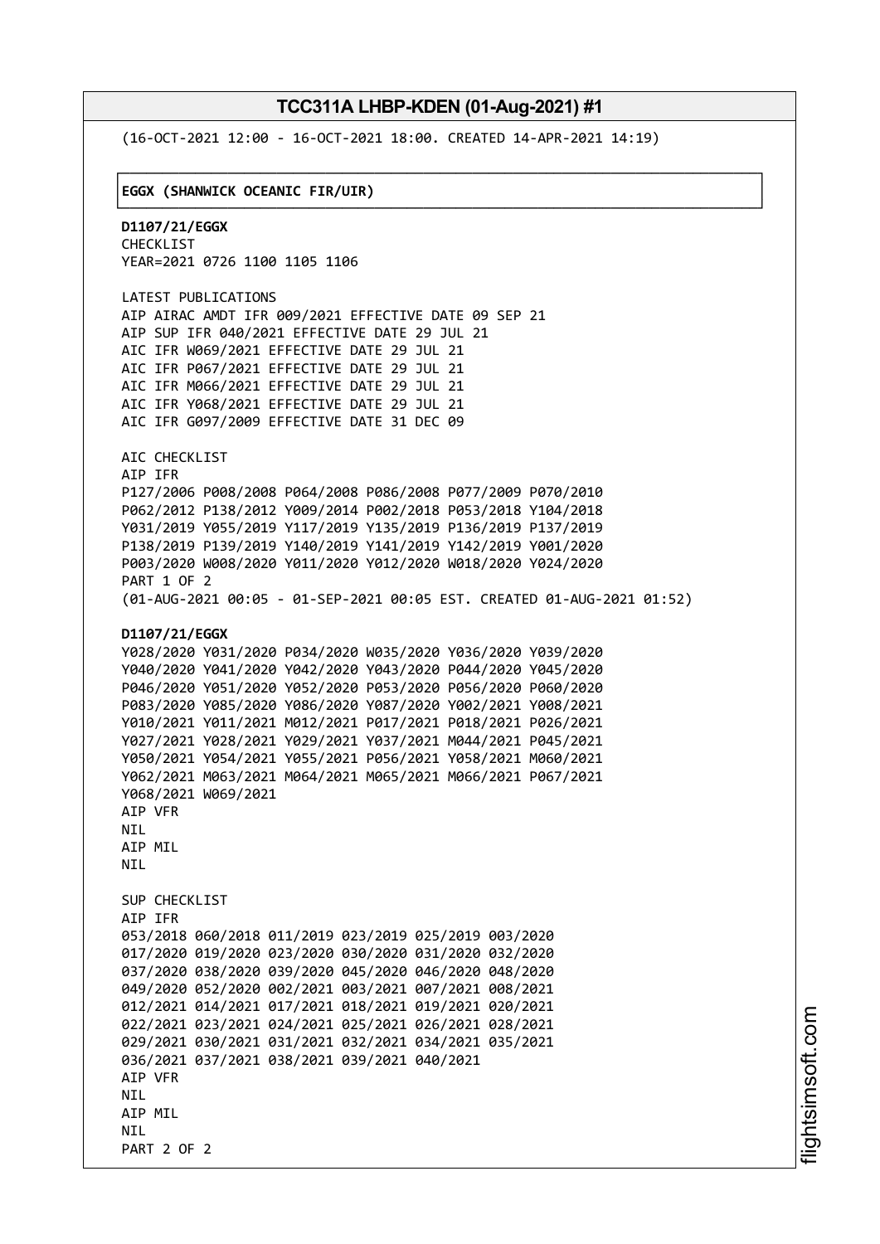└──────────────────────────────────────────────────────────────────────────────┘

(16-OCT-2021 12:00 - 16-OCT-2021 18:00. CREATED 14-APR-2021 14:19)

#### ┌──────────────────────────────────────────────────────────────────────────────┐ │**EGGX (SHANWICK OCEANIC FIR/UIR)** │

**D1107/21/EGGX** CHECKLIST YEAR=2021 0726 1100 1105 1106

LATEST PUBLICATIONS AIP AIRAC AMDT IFR 009/2021 EFFECTIVE DATE 09 SEP 21 AIP SUP IFR 040/2021 EFFECTIVE DATE 29 JUL 21 AIC IFR W069/2021 EFFECTIVE DATE 29 JUL 21 AIC IFR P067/2021 EFFECTIVE DATE 29 JUL 21 AIC IFR M066/2021 EFFECTIVE DATE 29 JUL 21 AIC IFR Y068/2021 EFFECTIVE DATE 29 JUL 21 AIC IFR G097/2009 EFFECTIVE DATE 31 DEC 09

AIC CHECKLIST AIP IFR P127/2006 P008/2008 P064/2008 P086/2008 P077/2009 P070/2010 P062/2012 P138/2012 Y009/2014 P002/2018 P053/2018 Y104/2018 Y031/2019 Y055/2019 Y117/2019 Y135/2019 P136/2019 P137/2019 P138/2019 P139/2019 Y140/2019 Y141/2019 Y142/2019 Y001/2020 P003/2020 W008/2020 Y011/2020 Y012/2020 W018/2020 Y024/2020 PART 1 OF 2 (01-AUG-2021 00:05 - 01-SEP-2021 00:05 EST. CREATED 01-AUG-2021 01:52)

#### **D1107/21/EGGX**

```
Y028/2020 Y031/2020 P034/2020 W035/2020 Y036/2020 Y039/2020
Y040/2020 Y041/2020 Y042/2020 Y043/2020 P044/2020 Y045/2020
P046/2020 Y051/2020 Y052/2020 P053/2020 P056/2020 P060/2020
P083/2020 Y085/2020 Y086/2020 Y087/2020 Y002/2021 Y008/2021
Y010/2021 Y011/2021 M012/2021 P017/2021 P018/2021 P026/2021
Y027/2021 Y028/2021 Y029/2021 Y037/2021 M044/2021 P045/2021
Y050/2021 Y054/2021 Y055/2021 P056/2021 Y058/2021 M060/2021
Y062/2021 M063/2021 M064/2021 M065/2021 M066/2021 P067/2021
Y068/2021 W069/2021
AIP VFR
NIL
AIP MIL
NTI
SUP CHECKLIST
AIP IFR
053/2018 060/2018 011/2019 023/2019 025/2019 003/2020
017/2020 019/2020 023/2020 030/2020 031/2020 032/2020
037/2020 038/2020 039/2020 045/2020 046/2020 048/2020
049/2020 052/2020 002/2021 003/2021 007/2021 008/2021
012/2021 014/2021 017/2021 018/2021 019/2021 020/2021
022/2021 023/2021 024/2021 025/2021 026/2021 028/2021
029/2021 030/2021 031/2021 032/2021 034/2021 035/2021
036/2021 037/2021 038/2021 039/2021 040/2021
AIP VFR
NTI
AIP MIL
NTI
PART 2 OF 2
```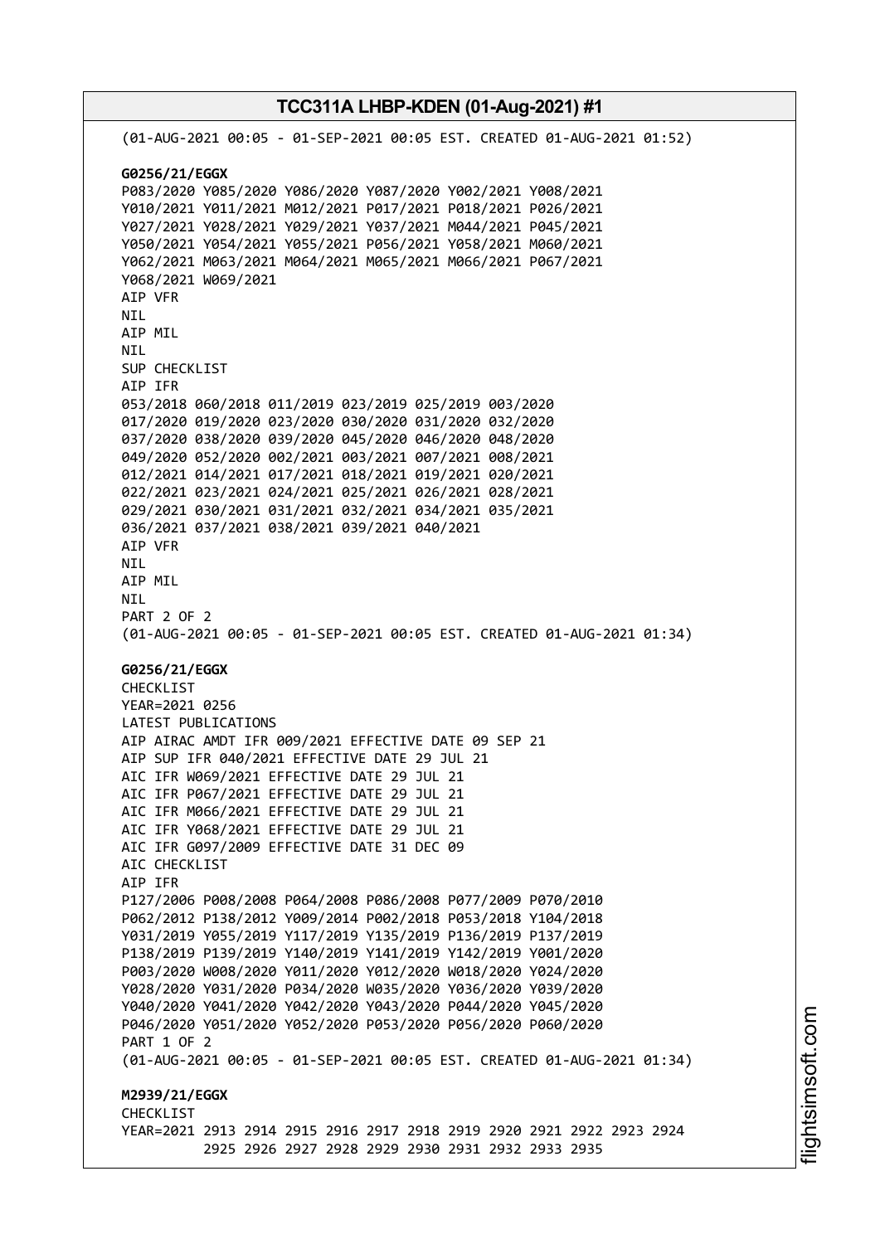**TCC311A LHBP-KDEN (01-Aug-2021) #1** (01-AUG-2021 00:05 - 01-SEP-2021 00:05 EST. CREATED 01-AUG-2021 01:52) **G0256/21/EGGX** P083/2020 Y085/2020 Y086/2020 Y087/2020 Y002/2021 Y008/2021 Y010/2021 Y011/2021 M012/2021 P017/2021 P018/2021 P026/2021 Y027/2021 Y028/2021 Y029/2021 Y037/2021 M044/2021 P045/2021 Y050/2021 Y054/2021 Y055/2021 P056/2021 Y058/2021 M060/2021 Y062/2021 M063/2021 M064/2021 M065/2021 M066/2021 P067/2021 Y068/2021 W069/2021 AIP VFR NIL AIP MIL NIL SUP CHECKLIST AIP IFR 053/2018 060/2018 011/2019 023/2019 025/2019 003/2020 017/2020 019/2020 023/2020 030/2020 031/2020 032/2020 037/2020 038/2020 039/2020 045/2020 046/2020 048/2020 049/2020 052/2020 002/2021 003/2021 007/2021 008/2021 012/2021 014/2021 017/2021 018/2021 019/2021 020/2021 022/2021 023/2021 024/2021 025/2021 026/2021 028/2021 029/2021 030/2021 031/2021 032/2021 034/2021 035/2021 036/2021 037/2021 038/2021 039/2021 040/2021 AIP VFR NIL AIP MIL NIL PART 2 OF 2 (01-AUG-2021 00:05 - 01-SEP-2021 00:05 EST. CREATED 01-AUG-2021 01:34) **G0256/21/EGGX** CHECKLIST YEAR=2021 0256 LATEST PUBLICATIONS AIP AIRAC AMDT IFR 009/2021 EFFECTIVE DATE 09 SEP 21 AIP SUP IFR 040/2021 EFFECTIVE DATE 29 JUL 21 AIC IFR W069/2021 EFFECTIVE DATE 29 JUL 21 AIC IFR P067/2021 EFFECTIVE DATE 29 JUL 21 AIC IFR M066/2021 EFFECTIVE DATE 29 JUL 21 AIC IFR Y068/2021 EFFECTIVE DATE 29 JUL 21 AIC IFR G097/2009 EFFECTIVE DATE 31 DEC 09 AIC CHECKLIST AIP IFR P127/2006 P008/2008 P064/2008 P086/2008 P077/2009 P070/2010 P062/2012 P138/2012 Y009/2014 P002/2018 P053/2018 Y104/2018 Y031/2019 Y055/2019 Y117/2019 Y135/2019 P136/2019 P137/2019 P138/2019 P139/2019 Y140/2019 Y141/2019 Y142/2019 Y001/2020 P003/2020 W008/2020 Y011/2020 Y012/2020 W018/2020 Y024/2020 Y028/2020 Y031/2020 P034/2020 W035/2020 Y036/2020 Y039/2020 Y040/2020 Y041/2020 Y042/2020 Y043/2020 P044/2020 Y045/2020 P046/2020 Y051/2020 Y052/2020 P053/2020 P056/2020 P060/2020 PART 1 OF 2 (01-AUG-2021 00:05 - 01-SEP-2021 00:05 EST. CREATED 01-AUG-2021 01:34) **M2939/21/EGGX CHECKLIST** YEAR=2021 2913 2914 2915 2916 2917 2918 2919 2920 2921 2922 2923 2924 2925 2926 2927 2928 2929 2930 2931 2932 2933 2935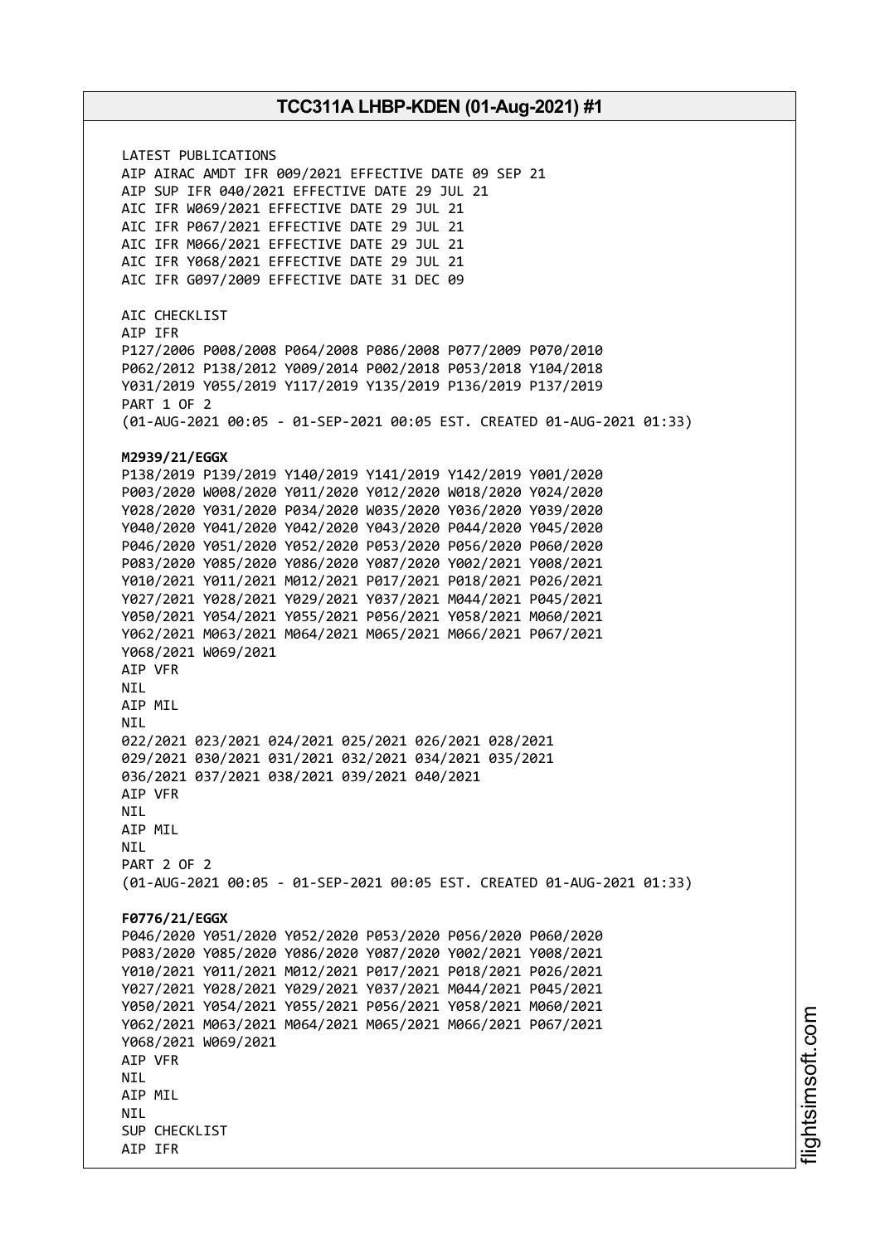LATEST PUBLICATIONS AIP AIRAC AMDT IFR 009/2021 EFFECTIVE DATE 09 SEP 21 AIP SUP IFR 040/2021 EFFECTIVE DATE 29 JUL 21 AIC IFR W069/2021 EFFECTIVE DATE 29 JUL 21 AIC IFR P067/2021 EFFECTIVE DATE 29 JUL 21 AIC IFR M066/2021 EFFECTIVE DATE 29 JUL 21 AIC IFR Y068/2021 EFFECTIVE DATE 29 JUL 21 AIC IFR G097/2009 EFFECTIVE DATE 31 DEC 09 AIC CHECKLIST AIP IFR P127/2006 P008/2008 P064/2008 P086/2008 P077/2009 P070/2010 P062/2012 P138/2012 Y009/2014 P002/2018 P053/2018 Y104/2018 Y031/2019 Y055/2019 Y117/2019 Y135/2019 P136/2019 P137/2019 PART 1 OF 2 (01-AUG-2021 00:05 - 01-SEP-2021 00:05 EST. CREATED 01-AUG-2021 01:33) **M2939/21/EGGX** P138/2019 P139/2019 Y140/2019 Y141/2019 Y142/2019 Y001/2020 P003/2020 W008/2020 Y011/2020 Y012/2020 W018/2020 Y024/2020 Y028/2020 Y031/2020 P034/2020 W035/2020 Y036/2020 Y039/2020 Y040/2020 Y041/2020 Y042/2020 Y043/2020 P044/2020 Y045/2020 P046/2020 Y051/2020 Y052/2020 P053/2020 P056/2020 P060/2020 P083/2020 Y085/2020 Y086/2020 Y087/2020 Y002/2021 Y008/2021 Y010/2021 Y011/2021 M012/2021 P017/2021 P018/2021 P026/2021 Y027/2021 Y028/2021 Y029/2021 Y037/2021 M044/2021 P045/2021 Y050/2021 Y054/2021 Y055/2021 P056/2021 Y058/2021 M060/2021 Y062/2021 M063/2021 M064/2021 M065/2021 M066/2021 P067/2021 Y068/2021 W069/2021 AIP VFR NIL AIP MIL NIL 022/2021 023/2021 024/2021 025/2021 026/2021 028/2021 029/2021 030/2021 031/2021 032/2021 034/2021 035/2021 036/2021 037/2021 038/2021 039/2021 040/2021 AIP VFR NIL AIP MIL **NTI** PART 2 OF 2 (01-AUG-2021 00:05 - 01-SEP-2021 00:05 EST. CREATED 01-AUG-2021 01:33) **F0776/21/EGGX** P046/2020 Y051/2020 Y052/2020 P053/2020 P056/2020 P060/2020 P083/2020 Y085/2020 Y086/2020 Y087/2020 Y002/2021 Y008/2021 Y010/2021 Y011/2021 M012/2021 P017/2021 P018/2021 P026/2021 Y027/2021 Y028/2021 Y029/2021 Y037/2021 M044/2021 P045/2021 Y050/2021 Y054/2021 Y055/2021 P056/2021 Y058/2021 M060/2021 Y062/2021 M063/2021 M064/2021 M065/2021 M066/2021 P067/2021 Y068/2021 W069/2021 AIP VFR **NTI** AIP MIL **NTI** SUP CHECKLIST AIP IFR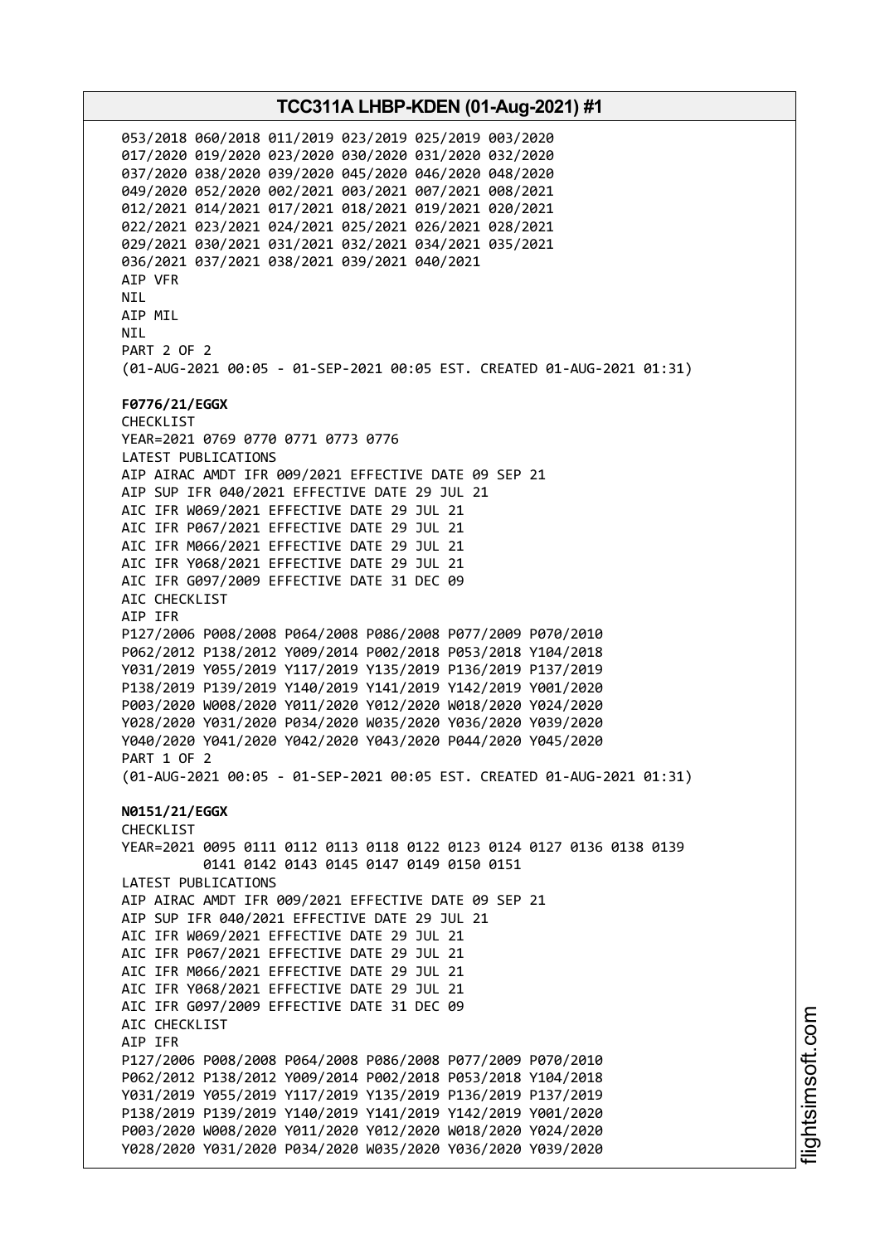053/2018 060/2018 011/2019 023/2019 025/2019 003/2020 017/2020 019/2020 023/2020 030/2020 031/2020 032/2020 037/2020 038/2020 039/2020 045/2020 046/2020 048/2020 049/2020 052/2020 002/2021 003/2021 007/2021 008/2021 012/2021 014/2021 017/2021 018/2021 019/2021 020/2021 022/2021 023/2021 024/2021 025/2021 026/2021 028/2021 029/2021 030/2021 031/2021 032/2021 034/2021 035/2021 036/2021 037/2021 038/2021 039/2021 040/2021 AIP VFR NIL AIP MIL **NTI** PART 2 OF 2 (01-AUG-2021 00:05 - 01-SEP-2021 00:05 EST. CREATED 01-AUG-2021 01:31) **F0776/21/EGGX** CHECKLIST YEAR=2021 0769 0770 0771 0773 0776 LATEST PUBLICATIONS AIP AIRAC AMDT IFR 009/2021 EFFECTIVE DATE 09 SEP 21 AIP SUP IFR 040/2021 EFFECTIVE DATE 29 JUL 21 AIC IFR W069/2021 EFFECTIVE DATE 29 JUL 21 AIC IFR P067/2021 EFFECTIVE DATE 29 JUL 21 AIC IFR M066/2021 EFFECTIVE DATE 29 JUL 21 AIC IFR Y068/2021 EFFECTIVE DATE 29 JUL 21 AIC IFR G097/2009 EFFECTIVE DATE 31 DEC 09 AIC CHECKLIST AIP IFR P127/2006 P008/2008 P064/2008 P086/2008 P077/2009 P070/2010 P062/2012 P138/2012 Y009/2014 P002/2018 P053/2018 Y104/2018 Y031/2019 Y055/2019 Y117/2019 Y135/2019 P136/2019 P137/2019 P138/2019 P139/2019 Y140/2019 Y141/2019 Y142/2019 Y001/2020 P003/2020 W008/2020 Y011/2020 Y012/2020 W018/2020 Y024/2020 Y028/2020 Y031/2020 P034/2020 W035/2020 Y036/2020 Y039/2020 Y040/2020 Y041/2020 Y042/2020 Y043/2020 P044/2020 Y045/2020 PART 1 OF 2 (01-AUG-2021 00:05 - 01-SEP-2021 00:05 EST. CREATED 01-AUG-2021 01:31) **N0151/21/EGGX** CHECKLIST YEAR=2021 0095 0111 0112 0113 0118 0122 0123 0124 0127 0136 0138 0139 0141 0142 0143 0145 0147 0149 0150 0151 LATEST PUBLICATIONS AIP AIRAC AMDT IFR 009/2021 EFFECTIVE DATE 09 SEP 21 AIP SUP IFR 040/2021 EFFECTIVE DATE 29 JUL 21 AIC IFR W069/2021 EFFECTIVE DATE 29 JUL 21 AIC IFR P067/2021 EFFECTIVE DATE 29 JUL 21 AIC IFR M066/2021 EFFECTIVE DATE 29 JUL 21 AIC IFR Y068/2021 EFFECTIVE DATE 29 JUL 21 AIC IFR G097/2009 EFFECTIVE DATE 31 DEC 09 AIC CHECKLIST AIP IFR P127/2006 P008/2008 P064/2008 P086/2008 P077/2009 P070/2010 P062/2012 P138/2012 Y009/2014 P002/2018 P053/2018 Y104/2018 Y031/2019 Y055/2019 Y117/2019 Y135/2019 P136/2019 P137/2019 P138/2019 P139/2019 Y140/2019 Y141/2019 Y142/2019 Y001/2020 P003/2020 W008/2020 Y011/2020 Y012/2020 W018/2020 Y024/2020 Y028/2020 Y031/2020 P034/2020 W035/2020 Y036/2020 Y039/2020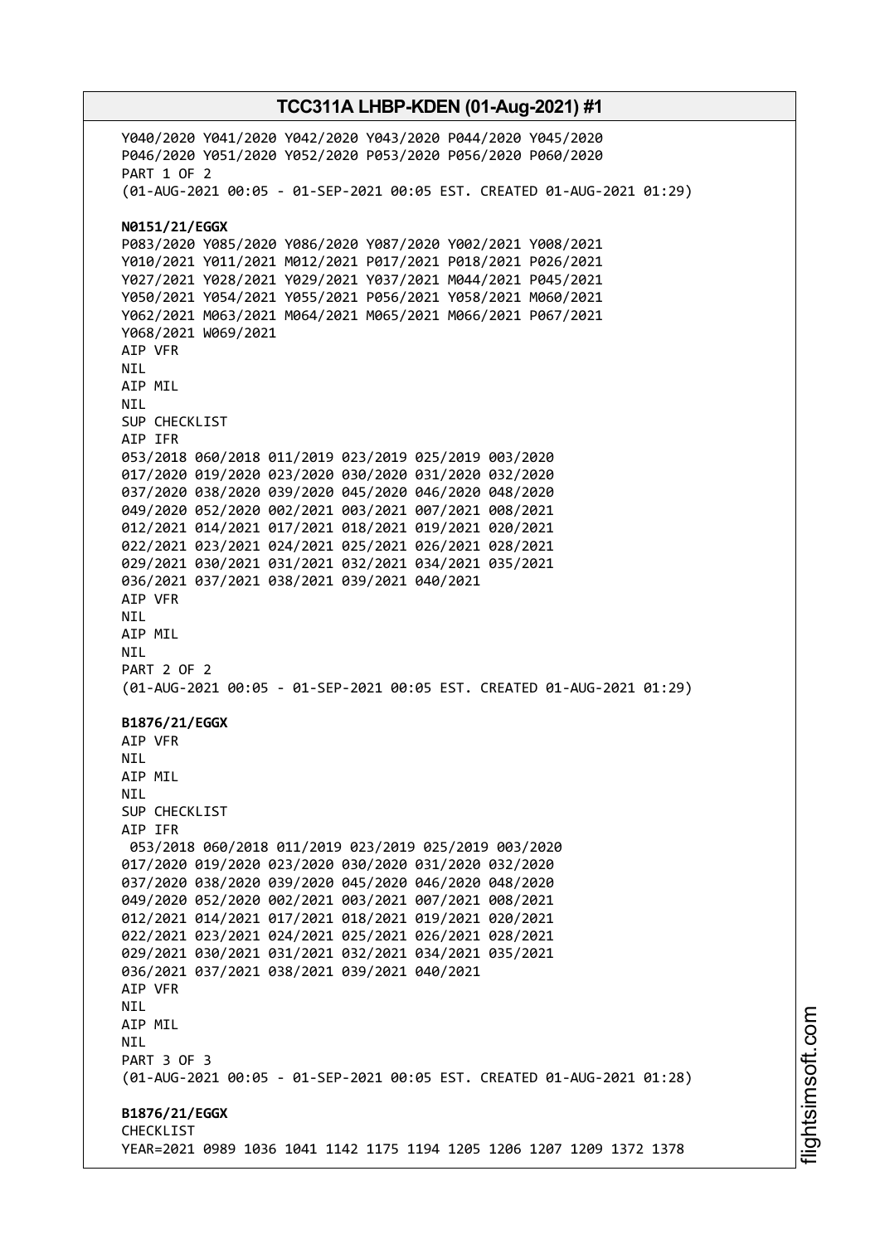Y040/2020 Y041/2020 Y042/2020 Y043/2020 P044/2020 Y045/2020 P046/2020 Y051/2020 Y052/2020 P053/2020 P056/2020 P060/2020 PART 1 OF 2 (01-AUG-2021 00:05 - 01-SEP-2021 00:05 EST. CREATED 01-AUG-2021 01:29) **N0151/21/EGGX** P083/2020 Y085/2020 Y086/2020 Y087/2020 Y002/2021 Y008/2021 Y010/2021 Y011/2021 M012/2021 P017/2021 P018/2021 P026/2021 Y027/2021 Y028/2021 Y029/2021 Y037/2021 M044/2021 P045/2021 Y050/2021 Y054/2021 Y055/2021 P056/2021 Y058/2021 M060/2021 Y062/2021 M063/2021 M064/2021 M065/2021 M066/2021 P067/2021 Y068/2021 W069/2021 AIP VFR NIL AIP MIL NIL SUP CHECKLIST AIP IFR 053/2018 060/2018 011/2019 023/2019 025/2019 003/2020 017/2020 019/2020 023/2020 030/2020 031/2020 032/2020 037/2020 038/2020 039/2020 045/2020 046/2020 048/2020 049/2020 052/2020 002/2021 003/2021 007/2021 008/2021 012/2021 014/2021 017/2021 018/2021 019/2021 020/2021 022/2021 023/2021 024/2021 025/2021 026/2021 028/2021 029/2021 030/2021 031/2021 032/2021 034/2021 035/2021 036/2021 037/2021 038/2021 039/2021 040/2021 AIP VFR NIL AIP MIL NIL PART 2 OF 2 (01-AUG-2021 00:05 - 01-SEP-2021 00:05 EST. CREATED 01-AUG-2021 01:29) **B1876/21/EGGX** AIP VFR **NTI** AIP MIL **NTI** SUP CHECKLIST AIP IFR 053/2018 060/2018 011/2019 023/2019 025/2019 003/2020 017/2020 019/2020 023/2020 030/2020 031/2020 032/2020 037/2020 038/2020 039/2020 045/2020 046/2020 048/2020 049/2020 052/2020 002/2021 003/2021 007/2021 008/2021 012/2021 014/2021 017/2021 018/2021 019/2021 020/2021 022/2021 023/2021 024/2021 025/2021 026/2021 028/2021 029/2021 030/2021 031/2021 032/2021 034/2021 035/2021 036/2021 037/2021 038/2021 039/2021 040/2021 AIP VFR NIL AIP MIL **NTL** PART 3 OF 3 (01-AUG-2021 00:05 - 01-SEP-2021 00:05 EST. CREATED 01-AUG-2021 01:28) **B1876/21/EGGX**

YEAR=2021 0989 1036 1041 1142 1175 1194 1205 1206 1207 1209 1372 1378

CHECKLIST

**TCC311A LHBP-KDEN (01-Aug-2021) #1**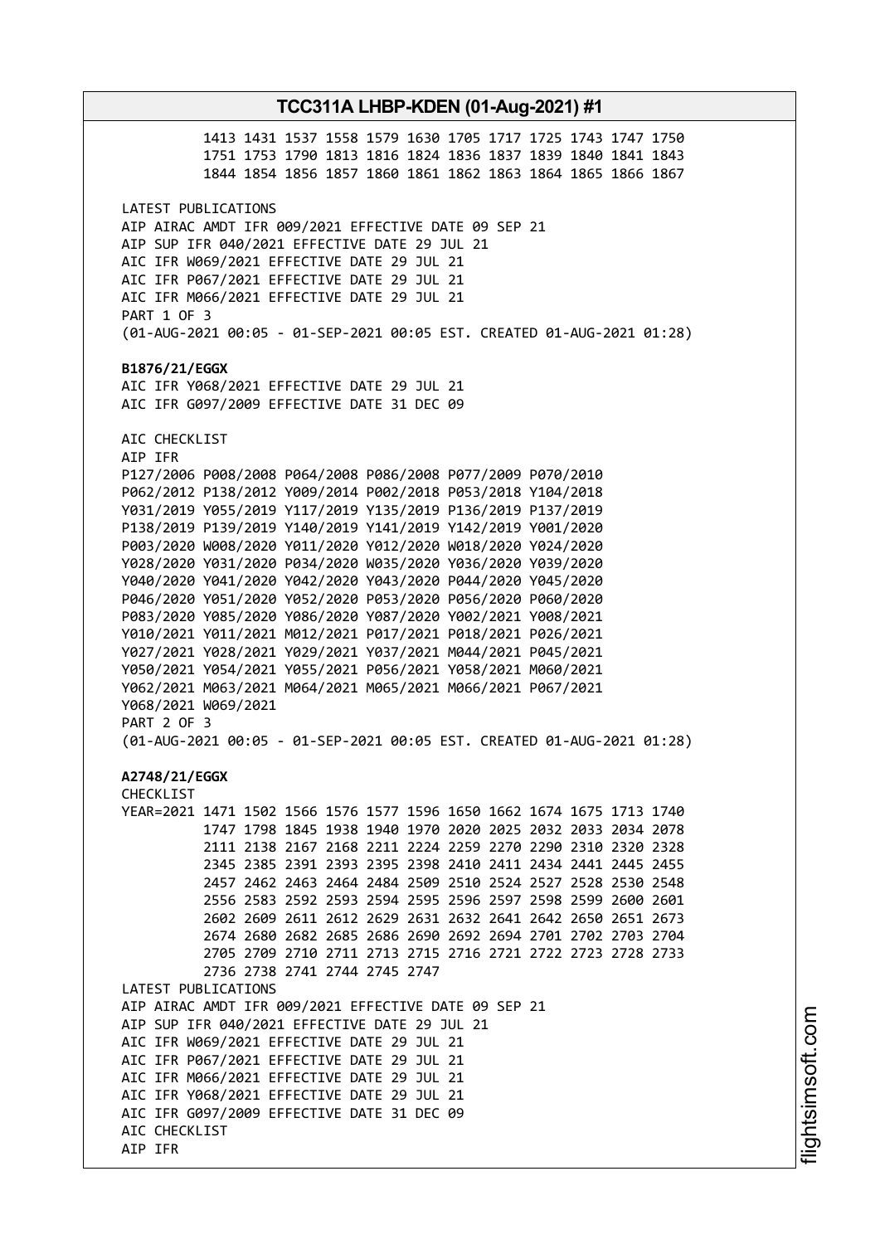# **TCC311A LHBP-KDEN (01-Aug-2021) #1** 1413 1431 1537 1558 1579 1630 1705 1717 1725 1743 1747 1750 1751 1753 1790 1813 1816 1824 1836 1837 1839 1840 1841 1843 1844 1854 1856 1857 1860 1861 1862 1863 1864 1865 1866 1867 LATEST PUBLICATIONS AIP AIRAC AMDT IFR 009/2021 EFFECTIVE DATE 09 SEP 21 AIP SUP IFR 040/2021 EFFECTIVE DATE 29 JUL 21 AIC IFR W069/2021 EFFECTIVE DATE 29 JUL 21 AIC IFR P067/2021 EFFECTIVE DATE 29 JUL 21 AIC IFR M066/2021 EFFECTIVE DATE 29 JUL 21 PART 1 OF 3 (01-AUG-2021 00:05 - 01-SEP-2021 00:05 EST. CREATED 01-AUG-2021 01:28) **B1876/21/EGGX** AIC IFR Y068/2021 EFFECTIVE DATE 29 JUL 21 AIC IFR G097/2009 EFFECTIVE DATE 31 DEC 09 AIC CHECKLIST AIP IFR P127/2006 P008/2008 P064/2008 P086/2008 P077/2009 P070/2010 P062/2012 P138/2012 Y009/2014 P002/2018 P053/2018 Y104/2018 Y031/2019 Y055/2019 Y117/2019 Y135/2019 P136/2019 P137/2019 P138/2019 P139/2019 Y140/2019 Y141/2019 Y142/2019 Y001/2020 P003/2020 W008/2020 Y011/2020 Y012/2020 W018/2020 Y024/2020 Y028/2020 Y031/2020 P034/2020 W035/2020 Y036/2020 Y039/2020 Y040/2020 Y041/2020 Y042/2020 Y043/2020 P044/2020 Y045/2020 P046/2020 Y051/2020 Y052/2020 P053/2020 P056/2020 P060/2020 P083/2020 Y085/2020 Y086/2020 Y087/2020 Y002/2021 Y008/2021 Y010/2021 Y011/2021 M012/2021 P017/2021 P018/2021 P026/2021 Y027/2021 Y028/2021 Y029/2021 Y037/2021 M044/2021 P045/2021 Y050/2021 Y054/2021 Y055/2021 P056/2021 Y058/2021 M060/2021 Y062/2021 M063/2021 M064/2021 M065/2021 M066/2021 P067/2021 Y068/2021 W069/2021 PART 2 OF 3 (01-AUG-2021 00:05 - 01-SEP-2021 00:05 EST. CREATED 01-AUG-2021 01:28) **A2748/21/EGGX** CHECKLIST YEAR=2021 1471 1502 1566 1576 1577 1596 1650 1662 1674 1675 1713 1740 1747 1798 1845 1938 1940 1970 2020 2025 2032 2033 2034 2078 2111 2138 2167 2168 2211 2224 2259 2270 2290 2310 2320 2328 2345 2385 2391 2393 2395 2398 2410 2411 2434 2441 2445 2455 2457 2462 2463 2464 2484 2509 2510 2524 2527 2528 2530 2548 2556 2583 2592 2593 2594 2595 2596 2597 2598 2599 2600 2601 2602 2609 2611 2612 2629 2631 2632 2641 2642 2650 2651 2673 2674 2680 2682 2685 2686 2690 2692 2694 2701 2702 2703 2704 2705 2709 2710 2711 2713 2715 2716 2721 2722 2723 2728 2733 2736 2738 2741 2744 2745 2747 LATEST PUBLICATIONS AIP AIRAC AMDT IFR 009/2021 EFFECTIVE DATE 09 SEP 21 AIP SUP IFR 040/2021 EFFECTIVE DATE 29 JUL 21 AIC IFR W069/2021 EFFECTIVE DATE 29 JUL 21 AIC IFR P067/2021 EFFECTIVE DATE 29 JUL 21 AIC IFR M066/2021 EFFECTIVE DATE 29 JUL 21 AIC IFR Y068/2021 EFFECTIVE DATE 29 JUL 21 AIC IFR G097/2009 EFFECTIVE DATE 31 DEC 09 AIC CHECKLIST AIP IFR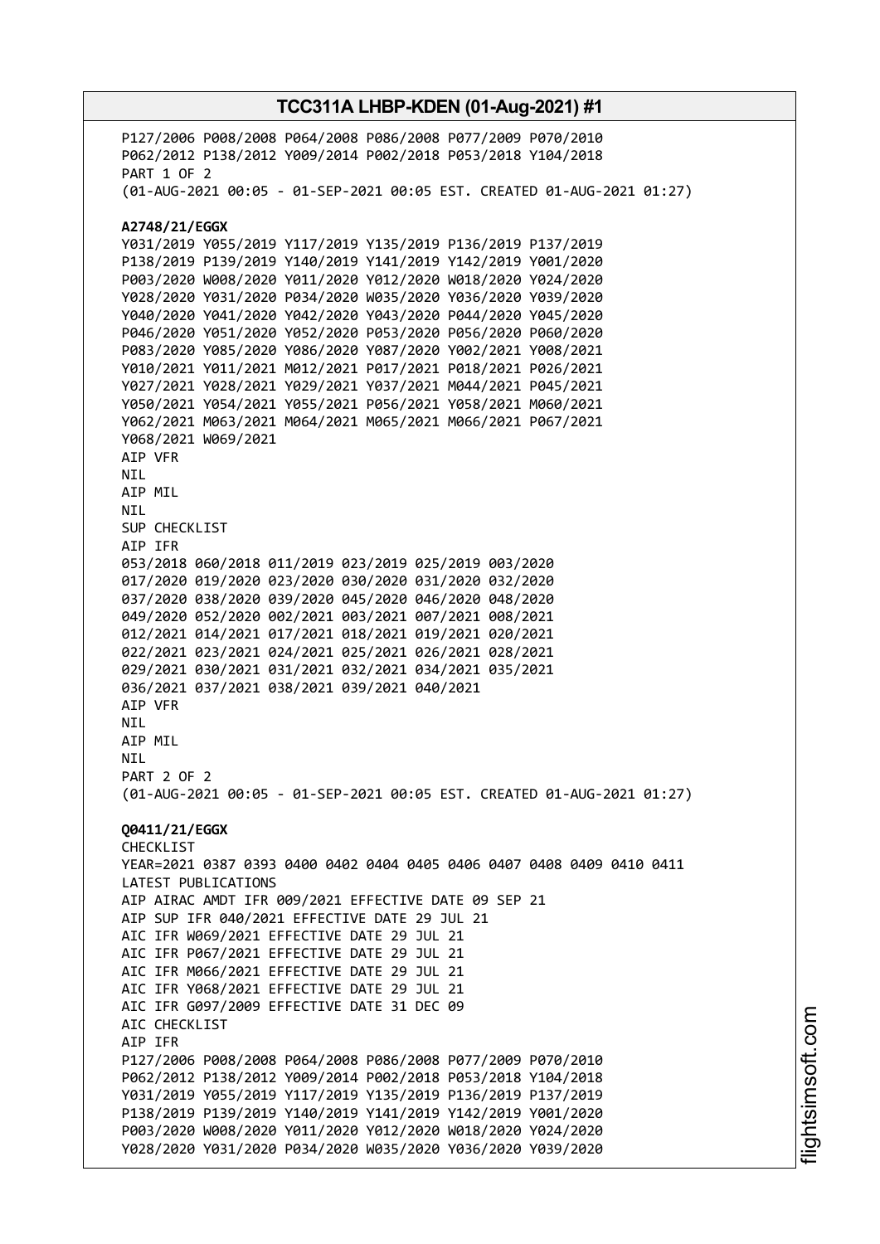P127/2006 P008/2008 P064/2008 P086/2008 P077/2009 P070/2010 P062/2012 P138/2012 Y009/2014 P002/2018 P053/2018 Y104/2018 PART 1 OF 2 (01-AUG-2021 00:05 - 01-SEP-2021 00:05 EST. CREATED 01-AUG-2021 01:27) **A2748/21/EGGX** Y031/2019 Y055/2019 Y117/2019 Y135/2019 P136/2019 P137/2019 P138/2019 P139/2019 Y140/2019 Y141/2019 Y142/2019 Y001/2020 P003/2020 W008/2020 Y011/2020 Y012/2020 W018/2020 Y024/2020 Y028/2020 Y031/2020 P034/2020 W035/2020 Y036/2020 Y039/2020 Y040/2020 Y041/2020 Y042/2020 Y043/2020 P044/2020 Y045/2020 P046/2020 Y051/2020 Y052/2020 P053/2020 P056/2020 P060/2020 P083/2020 Y085/2020 Y086/2020 Y087/2020 Y002/2021 Y008/2021 Y010/2021 Y011/2021 M012/2021 P017/2021 P018/2021 P026/2021 Y027/2021 Y028/2021 Y029/2021 Y037/2021 M044/2021 P045/2021 Y050/2021 Y054/2021 Y055/2021 P056/2021 Y058/2021 M060/2021 Y062/2021 M063/2021 M064/2021 M065/2021 M066/2021 P067/2021 Y068/2021 W069/2021 AIP VFR NIL AIP MIL NIL SUP CHECKLIST AIP IFR 053/2018 060/2018 011/2019 023/2019 025/2019 003/2020 017/2020 019/2020 023/2020 030/2020 031/2020 032/2020 037/2020 038/2020 039/2020 045/2020 046/2020 048/2020 049/2020 052/2020 002/2021 003/2021 007/2021 008/2021 012/2021 014/2021 017/2021 018/2021 019/2021 020/2021 022/2021 023/2021 024/2021 025/2021 026/2021 028/2021 029/2021 030/2021 031/2021 032/2021 034/2021 035/2021 036/2021 037/2021 038/2021 039/2021 040/2021 AIP VFR NIL AIP MIL **NTL** PART 2 OF 2 (01-AUG-2021 00:05 - 01-SEP-2021 00:05 EST. CREATED 01-AUG-2021 01:27) **Q0411/21/EGGX** CHECKLIST YEAR=2021 0387 0393 0400 0402 0404 0405 0406 0407 0408 0409 0410 0411 LATEST PUBLICATIONS AIP AIRAC AMDT IFR 009/2021 EFFECTIVE DATE 09 SEP 21 AIP SUP IFR 040/2021 EFFECTIVE DATE 29 JUL 21 AIC IFR W069/2021 EFFECTIVE DATE 29 JUL 21 AIC IFR P067/2021 EFFECTIVE DATE 29 JUL 21 AIC IFR M066/2021 EFFECTIVE DATE 29 JUL 21 AIC IFR Y068/2021 EFFECTIVE DATE 29 JUL 21 AIC IFR G097/2009 EFFECTIVE DATE 31 DEC 09 AIC CHECKLIST AIP IFR P127/2006 P008/2008 P064/2008 P086/2008 P077/2009 P070/2010 P062/2012 P138/2012 Y009/2014 P002/2018 P053/2018 Y104/2018 Y031/2019 Y055/2019 Y117/2019 Y135/2019 P136/2019 P137/2019 P138/2019 P139/2019 Y140/2019 Y141/2019 Y142/2019 Y001/2020 P003/2020 W008/2020 Y011/2020 Y012/2020 W018/2020 Y024/2020 Y028/2020 Y031/2020 P034/2020 W035/2020 Y036/2020 Y039/2020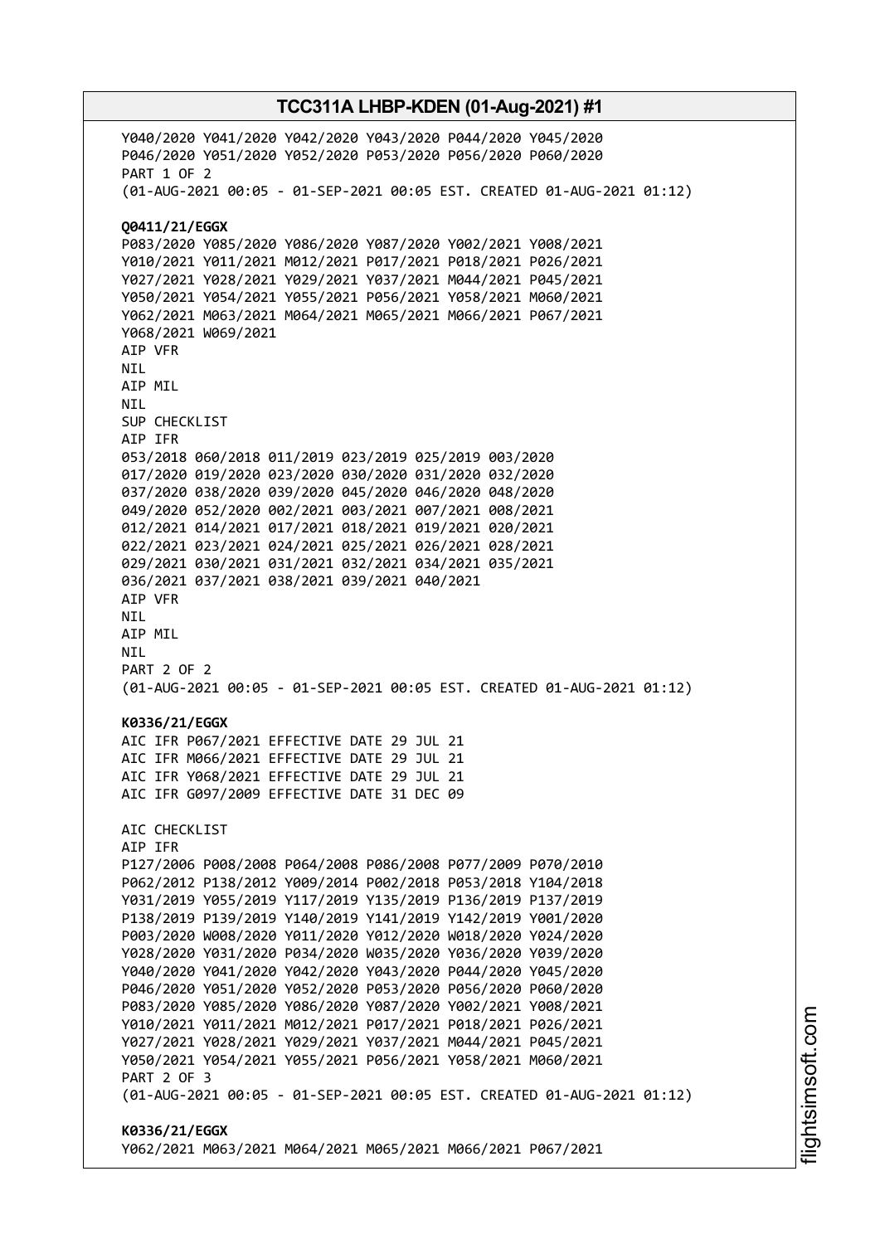Y040/2020 Y041/2020 Y042/2020 Y043/2020 P044/2020 Y045/2020 P046/2020 Y051/2020 Y052/2020 P053/2020 P056/2020 P060/2020 PART 1 OF 2 (01-AUG-2021 00:05 - 01-SEP-2021 00:05 EST. CREATED 01-AUG-2021 01:12) **Q0411/21/EGGX** P083/2020 Y085/2020 Y086/2020 Y087/2020 Y002/2021 Y008/2021 Y010/2021 Y011/2021 M012/2021 P017/2021 P018/2021 P026/2021 Y027/2021 Y028/2021 Y029/2021 Y037/2021 M044/2021 P045/2021 Y050/2021 Y054/2021 Y055/2021 P056/2021 Y058/2021 M060/2021 Y062/2021 M063/2021 M064/2021 M065/2021 M066/2021 P067/2021 Y068/2021 W069/2021 AIP VFR NIL AIP MIL NIL SUP CHECKLIST AIP IFR 053/2018 060/2018 011/2019 023/2019 025/2019 003/2020 017/2020 019/2020 023/2020 030/2020 031/2020 032/2020 037/2020 038/2020 039/2020 045/2020 046/2020 048/2020 049/2020 052/2020 002/2021 003/2021 007/2021 008/2021 012/2021 014/2021 017/2021 018/2021 019/2021 020/2021 022/2021 023/2021 024/2021 025/2021 026/2021 028/2021 029/2021 030/2021 031/2021 032/2021 034/2021 035/2021 036/2021 037/2021 038/2021 039/2021 040/2021 AIP VFR NIL AIP MIL NIL PART 2 OF 2 (01-AUG-2021 00:05 - 01-SEP-2021 00:05 EST. CREATED 01-AUG-2021 01:12) **K0336/21/EGGX** AIC IFR P067/2021 EFFECTIVE DATE 29 JUL 21 AIC IFR M066/2021 EFFECTIVE DATE 29 JUL 21 AIC IFR Y068/2021 EFFECTIVE DATE 29 JUL 21 AIC IFR G097/2009 EFFECTIVE DATE 31 DEC 09 AIC CHECKLIST AIP IFR P127/2006 P008/2008 P064/2008 P086/2008 P077/2009 P070/2010 P062/2012 P138/2012 Y009/2014 P002/2018 P053/2018 Y104/2018 Y031/2019 Y055/2019 Y117/2019 Y135/2019 P136/2019 P137/2019 P138/2019 P139/2019 Y140/2019 Y141/2019 Y142/2019 Y001/2020 P003/2020 W008/2020 Y011/2020 Y012/2020 W018/2020 Y024/2020 Y028/2020 Y031/2020 P034/2020 W035/2020 Y036/2020 Y039/2020 Y040/2020 Y041/2020 Y042/2020 Y043/2020 P044/2020 Y045/2020 P046/2020 Y051/2020 Y052/2020 P053/2020 P056/2020 P060/2020 P083/2020 Y085/2020 Y086/2020 Y087/2020 Y002/2021 Y008/2021 Y010/2021 Y011/2021 M012/2021 P017/2021 P018/2021 P026/2021 Y027/2021 Y028/2021 Y029/2021 Y037/2021 M044/2021 P045/2021 Y050/2021 Y054/2021 Y055/2021 P056/2021 Y058/2021 M060/2021 PART 2 OF 3 (01-AUG-2021 00:05 - 01-SEP-2021 00:05 EST. CREATED 01-AUG-2021 01:12) **K0336/21/EGGX** Y062/2021 M063/2021 M064/2021 M065/2021 M066/2021 P067/2021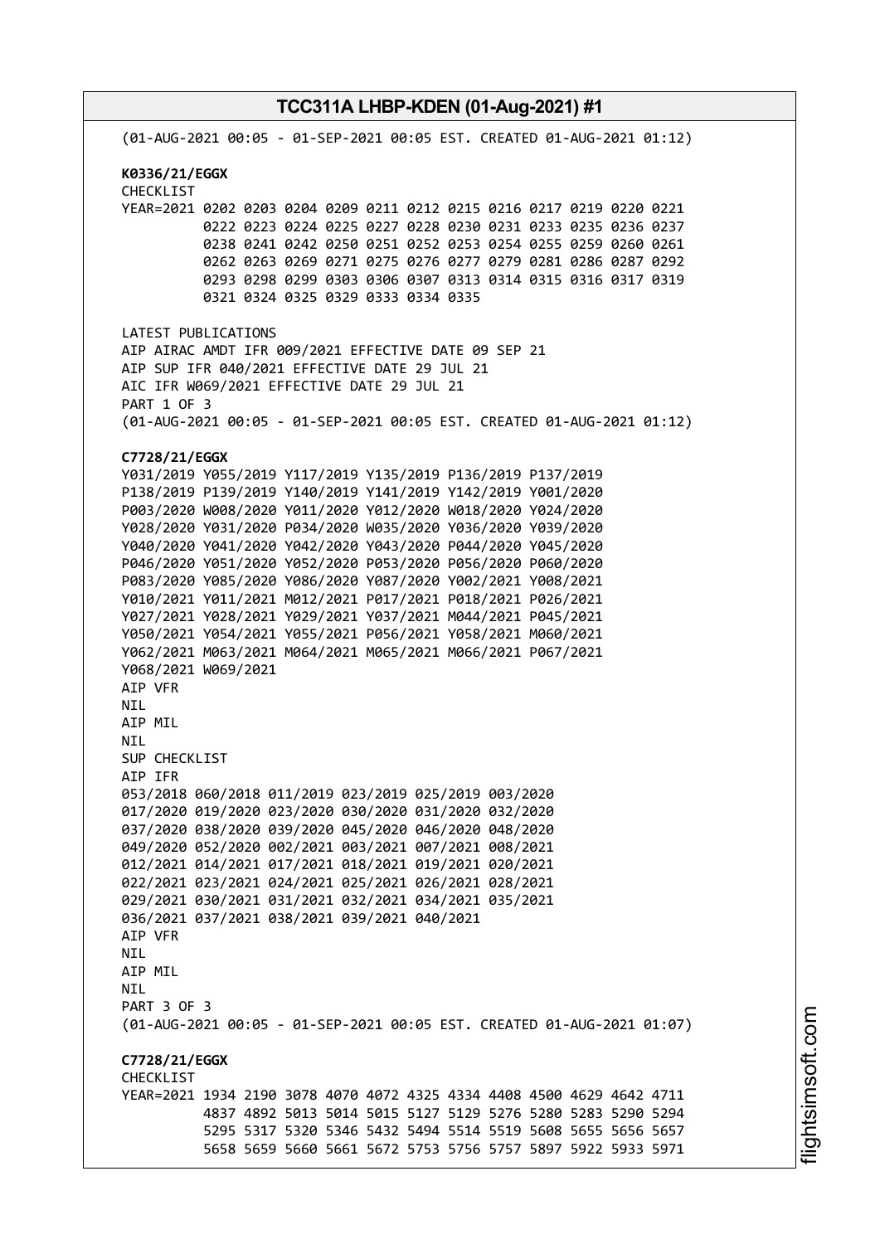**TCC311A LHBP-KDEN (01-Aug-2021) #1** (01-AUG-2021 00:05 - 01-SEP-2021 00:05 EST. CREATED 01-AUG-2021 01:12) **K0336/21/EGGX** CHECKLIST YEAR=2021 0202 0203 0204 0209 0211 0212 0215 0216 0217 0219 0220 0221 0222 0223 0224 0225 0227 0228 0230 0231 0233 0235 0236 0237 0238 0241 0242 0250 0251 0252 0253 0254 0255 0259 0260 0261 0262 0263 0269 0271 0275 0276 0277 0279 0281 0286 0287 0292 0293 0298 0299 0303 0306 0307 0313 0314 0315 0316 0317 0319 0321 0324 0325 0329 0333 0334 0335 LATEST PUBLICATIONS AIP AIRAC AMDT IFR 009/2021 EFFECTIVE DATE 09 SEP 21 AIP SUP IFR 040/2021 EFFECTIVE DATE 29 JUL 21 AIC IFR W069/2021 EFFECTIVE DATE 29 JUL 21 PART 1 OF 3 (01-AUG-2021 00:05 - 01-SEP-2021 00:05 EST. CREATED 01-AUG-2021 01:12) **C7728/21/EGGX** Y031/2019 Y055/2019 Y117/2019 Y135/2019 P136/2019 P137/2019 P138/2019 P139/2019 Y140/2019 Y141/2019 Y142/2019 Y001/2020 P003/2020 W008/2020 Y011/2020 Y012/2020 W018/2020 Y024/2020 Y028/2020 Y031/2020 P034/2020 W035/2020 Y036/2020 Y039/2020 Y040/2020 Y041/2020 Y042/2020 Y043/2020 P044/2020 Y045/2020 P046/2020 Y051/2020 Y052/2020 P053/2020 P056/2020 P060/2020 P083/2020 Y085/2020 Y086/2020 Y087/2020 Y002/2021 Y008/2021 Y010/2021 Y011/2021 M012/2021 P017/2021 P018/2021 P026/2021 Y027/2021 Y028/2021 Y029/2021 Y037/2021 M044/2021 P045/2021 Y050/2021 Y054/2021 Y055/2021 P056/2021 Y058/2021 M060/2021 Y062/2021 M063/2021 M064/2021 M065/2021 M066/2021 P067/2021 Y068/2021 W069/2021 AIP VFR NIL AIP MIL NIL SUP CHECKLIST AIP IFR 053/2018 060/2018 011/2019 023/2019 025/2019 003/2020 017/2020 019/2020 023/2020 030/2020 031/2020 032/2020 037/2020 038/2020 039/2020 045/2020 046/2020 048/2020 049/2020 052/2020 002/2021 003/2021 007/2021 008/2021 012/2021 014/2021 017/2021 018/2021 019/2021 020/2021 022/2021 023/2021 024/2021 025/2021 026/2021 028/2021 029/2021 030/2021 031/2021 032/2021 034/2021 035/2021 036/2021 037/2021 038/2021 039/2021 040/2021 AIP VFR **NTL** AIP MIL NIL PART 3 OF 3 (01-AUG-2021 00:05 - 01-SEP-2021 00:05 EST. CREATED 01-AUG-2021 01:07) **C7728/21/EGGX CHECKLIST** YEAR=2021 1934 2190 3078 4070 4072 4325 4334 4408 4500 4629 4642 4711 4837 4892 5013 5014 5015 5127 5129 5276 5280 5283 5290 5294 5295 5317 5320 5346 5432 5494 5514 5519 5608 5655 5656 5657 5658 5659 5660 5661 5672 5753 5756 5757 5897 5922 5933 5971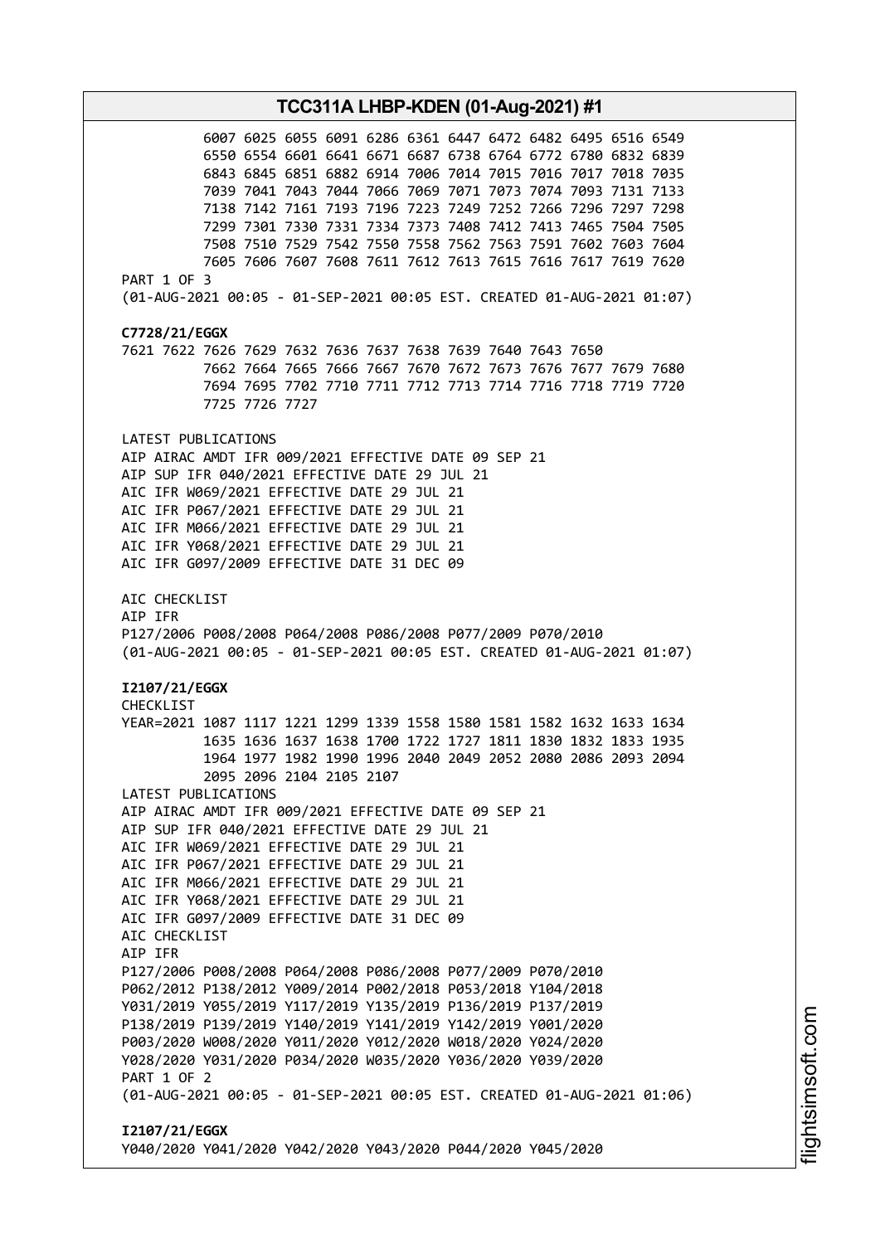**TCC311A LHBP-KDEN (01-Aug-2021) #1** 6007 6025 6055 6091 6286 6361 6447 6472 6482 6495 6516 6549 6550 6554 6601 6641 6671 6687 6738 6764 6772 6780 6832 6839 6843 6845 6851 6882 6914 7006 7014 7015 7016 7017 7018 7035 7039 7041 7043 7044 7066 7069 7071 7073 7074 7093 7131 7133 7138 7142 7161 7193 7196 7223 7249 7252 7266 7296 7297 7298 7299 7301 7330 7331 7334 7373 7408 7412 7413 7465 7504 7505 7508 7510 7529 7542 7550 7558 7562 7563 7591 7602 7603 7604 7605 7606 7607 7608 7611 7612 7613 7615 7616 7617 7619 7620 PART 1 OF 3 (01-AUG-2021 00:05 - 01-SEP-2021 00:05 EST. CREATED 01-AUG-2021 01:07) **C7728/21/EGGX** 7621 7622 7626 7629 7632 7636 7637 7638 7639 7640 7643 7650 7662 7664 7665 7666 7667 7670 7672 7673 7676 7677 7679 7680 7694 7695 7702 7710 7711 7712 7713 7714 7716 7718 7719 7720 7725 7726 7727 LATEST PUBLICATIONS AIP AIRAC AMDT IFR 009/2021 EFFECTIVE DATE 09 SEP 21 AIP SUP IFR 040/2021 EFFECTIVE DATE 29 JUL 21 AIC IFR W069/2021 EFFECTIVE DATE 29 JUL 21 AIC IFR P067/2021 EFFECTIVE DATE 29 JUL 21 AIC IFR M066/2021 EFFECTIVE DATE 29 JUL 21 AIC IFR Y068/2021 EFFECTIVE DATE 29 JUL 21 AIC IFR G097/2009 EFFECTIVE DATE 31 DEC 09 AIC CHECKLIST AIP IFR P127/2006 P008/2008 P064/2008 P086/2008 P077/2009 P070/2010 (01-AUG-2021 00:05 - 01-SEP-2021 00:05 EST. CREATED 01-AUG-2021 01:07) **I2107/21/EGGX** CHECKLIST YEAR=2021 1087 1117 1221 1299 1339 1558 1580 1581 1582 1632 1633 1634 1635 1636 1637 1638 1700 1722 1727 1811 1830 1832 1833 1935 1964 1977 1982 1990 1996 2040 2049 2052 2080 2086 2093 2094 2095 2096 2104 2105 2107 LATEST PUBLICATIONS AIP AIRAC AMDT IFR 009/2021 EFFECTIVE DATE 09 SEP 21 AIP SUP IFR 040/2021 EFFECTIVE DATE 29 JUL 21 AIC IFR W069/2021 EFFECTIVE DATE 29 JUL 21 AIC IFR P067/2021 EFFECTIVE DATE 29 JUL 21 AIC IFR M066/2021 EFFECTIVE DATE 29 JUL 21 AIC IFR Y068/2021 EFFECTIVE DATE 29 JUL 21 AIC IFR G097/2009 EFFECTIVE DATE 31 DEC 09 AIC CHECKLIST AIP IFR P127/2006 P008/2008 P064/2008 P086/2008 P077/2009 P070/2010 P062/2012 P138/2012 Y009/2014 P002/2018 P053/2018 Y104/2018 Y031/2019 Y055/2019 Y117/2019 Y135/2019 P136/2019 P137/2019 P138/2019 P139/2019 Y140/2019 Y141/2019 Y142/2019 Y001/2020 P003/2020 W008/2020 Y011/2020 Y012/2020 W018/2020 Y024/2020 Y028/2020 Y031/2020 P034/2020 W035/2020 Y036/2020 Y039/2020 PART 1 OF 2 (01-AUG-2021 00:05 - 01-SEP-2021 00:05 EST. CREATED 01-AUG-2021 01:06) **I2107/21/EGGX** Y040/2020 Y041/2020 Y042/2020 Y043/2020 P044/2020 Y045/2020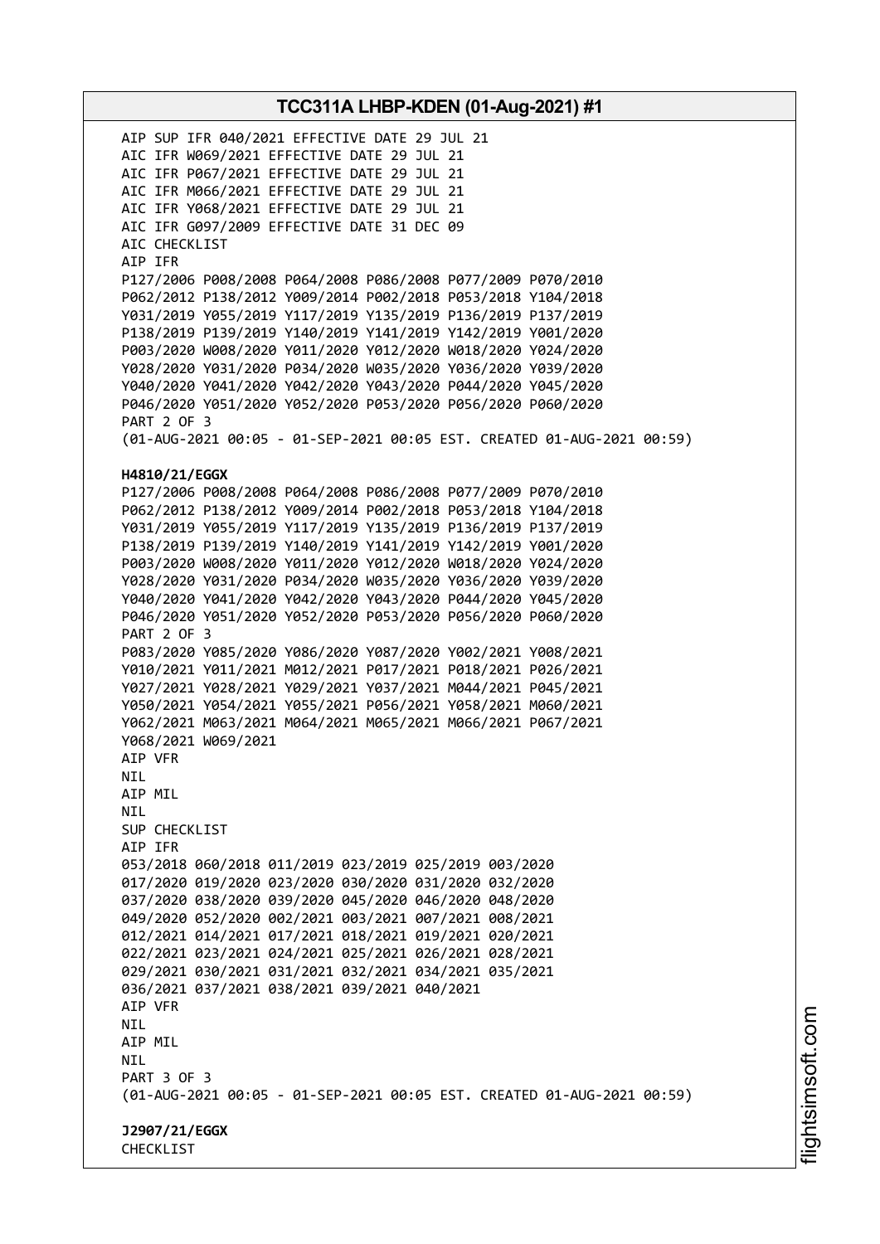AIP SUP IFR 040/2021 EFFECTIVE DATE 29 JUL 21 AIC IFR W069/2021 EFFECTIVE DATE 29 JUL 21 AIC IFR P067/2021 EFFECTIVE DATE 29 JUL 21 AIC IFR M066/2021 EFFECTIVE DATE 29 JUL 21 AIC IFR Y068/2021 EFFECTIVE DATE 29 JUL 21 AIC IFR G097/2009 EFFECTIVE DATE 31 DEC 09 AIC CHECKLIST AIP IFR P127/2006 P008/2008 P064/2008 P086/2008 P077/2009 P070/2010 P062/2012 P138/2012 Y009/2014 P002/2018 P053/2018 Y104/2018 Y031/2019 Y055/2019 Y117/2019 Y135/2019 P136/2019 P137/2019 P138/2019 P139/2019 Y140/2019 Y141/2019 Y142/2019 Y001/2020 P003/2020 W008/2020 Y011/2020 Y012/2020 W018/2020 Y024/2020 Y028/2020 Y031/2020 P034/2020 W035/2020 Y036/2020 Y039/2020 Y040/2020 Y041/2020 Y042/2020 Y043/2020 P044/2020 Y045/2020 P046/2020 Y051/2020 Y052/2020 P053/2020 P056/2020 P060/2020 PART 2 OF 3 (01-AUG-2021 00:05 - 01-SEP-2021 00:05 EST. CREATED 01-AUG-2021 00:59) **H4810/21/EGGX** P127/2006 P008/2008 P064/2008 P086/2008 P077/2009 P070/2010 P062/2012 P138/2012 Y009/2014 P002/2018 P053/2018 Y104/2018 Y031/2019 Y055/2019 Y117/2019 Y135/2019 P136/2019 P137/2019 P138/2019 P139/2019 Y140/2019 Y141/2019 Y142/2019 Y001/2020 P003/2020 W008/2020 Y011/2020 Y012/2020 W018/2020 Y024/2020 Y028/2020 Y031/2020 P034/2020 W035/2020 Y036/2020 Y039/2020 Y040/2020 Y041/2020 Y042/2020 Y043/2020 P044/2020 Y045/2020 P046/2020 Y051/2020 Y052/2020 P053/2020 P056/2020 P060/2020 PART 2 OF 3 P083/2020 Y085/2020 Y086/2020 Y087/2020 Y002/2021 Y008/2021 Y010/2021 Y011/2021 M012/2021 P017/2021 P018/2021 P026/2021 Y027/2021 Y028/2021 Y029/2021 Y037/2021 M044/2021 P045/2021 Y050/2021 Y054/2021 Y055/2021 P056/2021 Y058/2021 M060/2021 Y062/2021 M063/2021 M064/2021 M065/2021 M066/2021 P067/2021 Y068/2021 W069/2021 AIP VFR NIL AIP MIL NIL SUP CHECKLIST AIP IFR 053/2018 060/2018 011/2019 023/2019 025/2019 003/2020 017/2020 019/2020 023/2020 030/2020 031/2020 032/2020 037/2020 038/2020 039/2020 045/2020 046/2020 048/2020 049/2020 052/2020 002/2021 003/2021 007/2021 008/2021 012/2021 014/2021 017/2021 018/2021 019/2021 020/2021 022/2021 023/2021 024/2021 025/2021 026/2021 028/2021 029/2021 030/2021 031/2021 032/2021 034/2021 035/2021 036/2021 037/2021 038/2021 039/2021 040/2021 AIP VFR NIL AIP MIL NIL PART 3 OF 3 (01-AUG-2021 00:05 - 01-SEP-2021 00:05 EST. CREATED 01-AUG-2021 00:59) **J2907/21/EGGX** CHECKLIST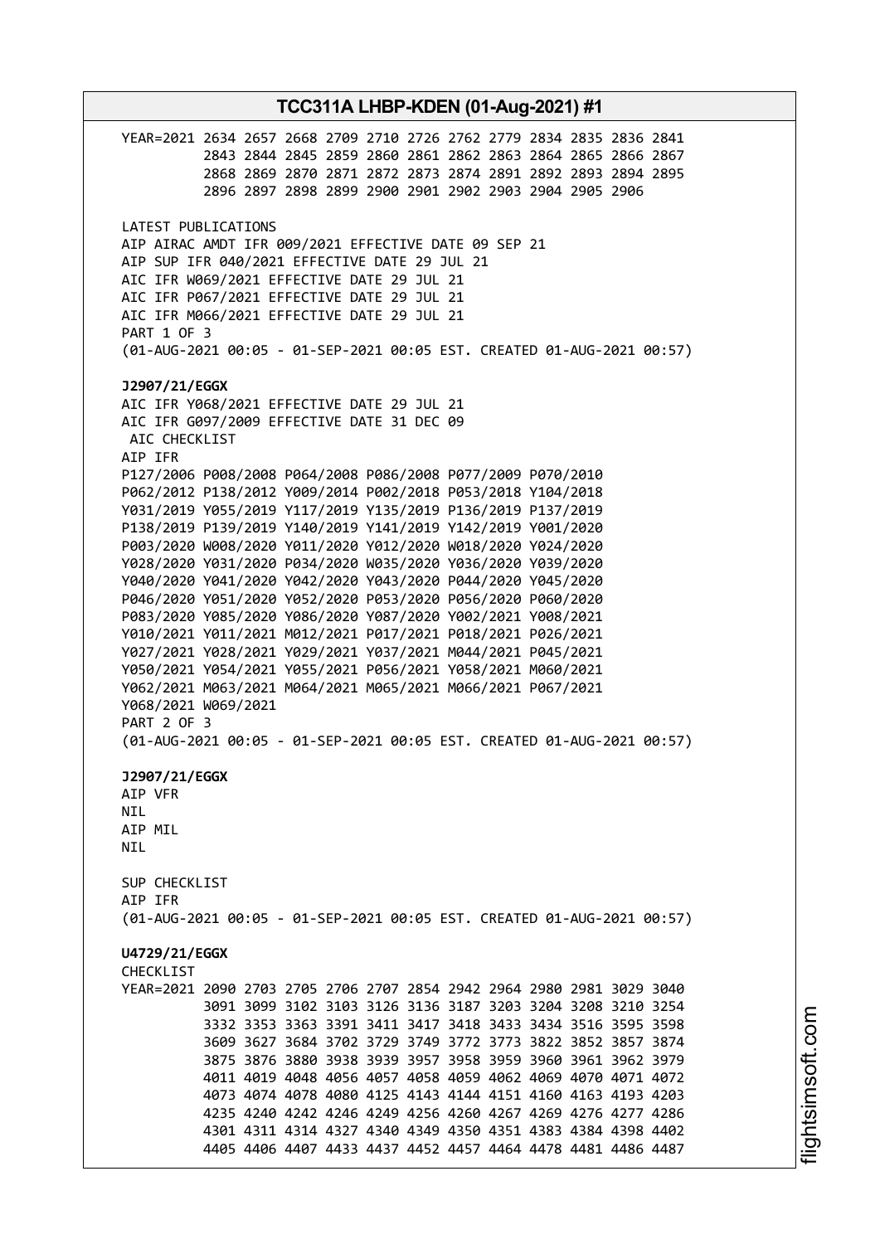**TCC311A LHBP-KDEN (01-Aug-2021) #1** YEAR=2021 2634 2657 2668 2709 2710 2726 2762 2779 2834 2835 2836 2841 2843 2844 2845 2859 2860 2861 2862 2863 2864 2865 2866 2867 2868 2869 2870 2871 2872 2873 2874 2891 2892 2893 2894 2895 2896 2897 2898 2899 2900 2901 2902 2903 2904 2905 2906 LATEST PUBLICATIONS AIP AIRAC AMDT IFR 009/2021 EFFECTIVE DATE 09 SEP 21 AIP SUP IFR 040/2021 EFFECTIVE DATE 29 JUL 21 AIC IFR W069/2021 EFFECTIVE DATE 29 JUL 21 AIC IFR P067/2021 EFFECTIVE DATE 29 JUL 21 AIC IFR M066/2021 EFFECTIVE DATE 29 JUL 21 PART 1 OF 3 (01-AUG-2021 00:05 - 01-SEP-2021 00:05 EST. CREATED 01-AUG-2021 00:57) **J2907/21/EGGX** AIC IFR Y068/2021 EFFECTIVE DATE 29 JUL 21 AIC IFR G097/2009 EFFECTIVE DATE 31 DEC 09 AIC CHECKLIST AIP IFR P127/2006 P008/2008 P064/2008 P086/2008 P077/2009 P070/2010 P062/2012 P138/2012 Y009/2014 P002/2018 P053/2018 Y104/2018 Y031/2019 Y055/2019 Y117/2019 Y135/2019 P136/2019 P137/2019 P138/2019 P139/2019 Y140/2019 Y141/2019 Y142/2019 Y001/2020 P003/2020 W008/2020 Y011/2020 Y012/2020 W018/2020 Y024/2020 Y028/2020 Y031/2020 P034/2020 W035/2020 Y036/2020 Y039/2020 Y040/2020 Y041/2020 Y042/2020 Y043/2020 P044/2020 Y045/2020 P046/2020 Y051/2020 Y052/2020 P053/2020 P056/2020 P060/2020 P083/2020 Y085/2020 Y086/2020 Y087/2020 Y002/2021 Y008/2021 Y010/2021 Y011/2021 M012/2021 P017/2021 P018/2021 P026/2021 Y027/2021 Y028/2021 Y029/2021 Y037/2021 M044/2021 P045/2021 Y050/2021 Y054/2021 Y055/2021 P056/2021 Y058/2021 M060/2021 Y062/2021 M063/2021 M064/2021 M065/2021 M066/2021 P067/2021 Y068/2021 W069/2021 PART 2 OF 3 (01-AUG-2021 00:05 - 01-SEP-2021 00:05 EST. CREATED 01-AUG-2021 00:57) **J2907/21/EGGX** AIP VFR NIL AIP MIL **NTI** SUP CHECKLIST AIP IFR (01-AUG-2021 00:05 - 01-SEP-2021 00:05 EST. CREATED 01-AUG-2021 00:57) **U4729/21/EGGX CHECKLIST** YEAR=2021 2090 2703 2705 2706 2707 2854 2942 2964 2980 2981 3029 3040 3091 3099 3102 3103 3126 3136 3187 3203 3204 3208 3210 3254 3332 3353 3363 3391 3411 3417 3418 3433 3434 3516 3595 3598 3609 3627 3684 3702 3729 3749 3772 3773 3822 3852 3857 3874 3875 3876 3880 3938 3939 3957 3958 3959 3960 3961 3962 3979 4011 4019 4048 4056 4057 4058 4059 4062 4069 4070 4071 4072 4073 4074 4078 4080 4125 4143 4144 4151 4160 4163 4193 4203 4235 4240 4242 4246 4249 4256 4260 4267 4269 4276 4277 4286 4301 4311 4314 4327 4340 4349 4350 4351 4383 4384 4398 4402 4405 4406 4407 4433 4437 4452 4457 4464 4478 4481 4486 4487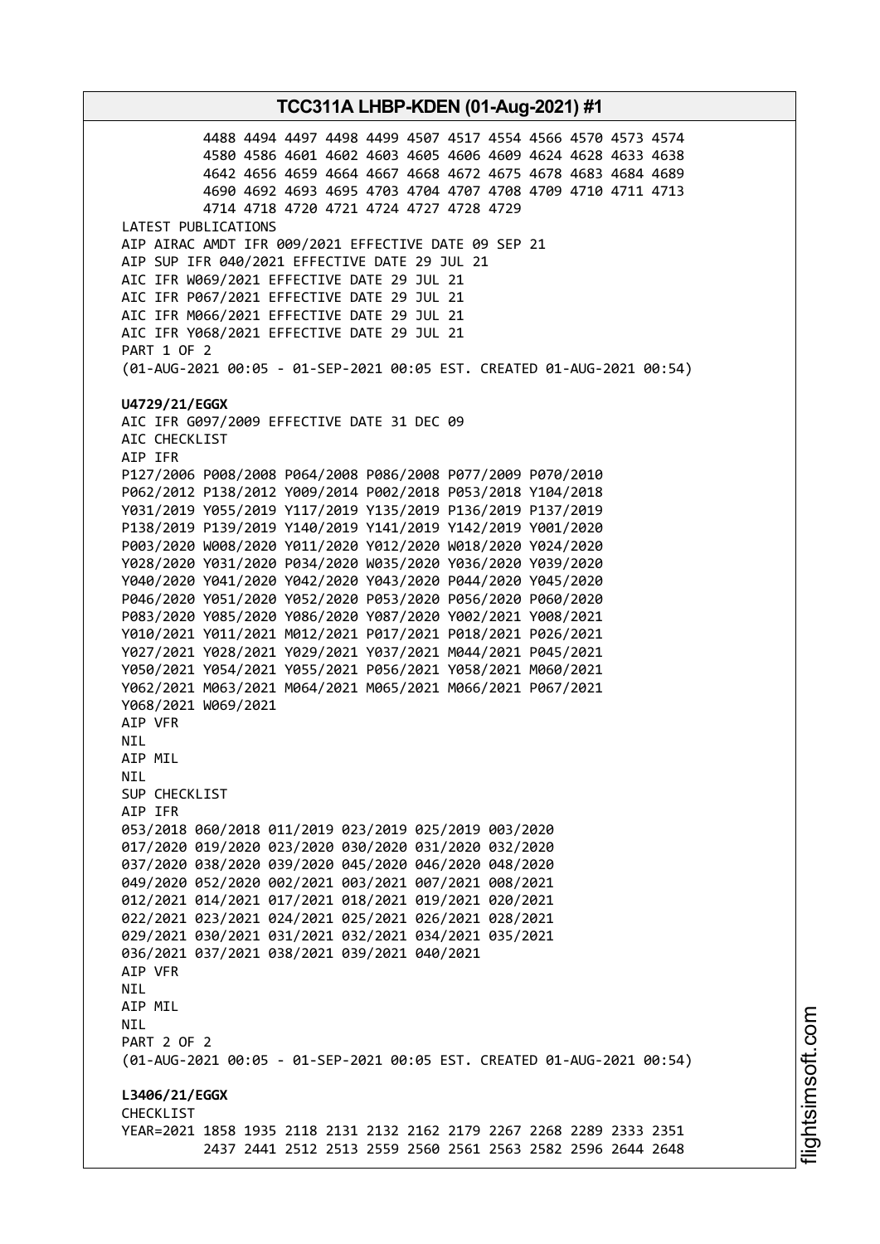4488 4494 4497 4498 4499 4507 4517 4554 4566 4570 4573 4574 4580 4586 4601 4602 4603 4605 4606 4609 4624 4628 4633 4638 4642 4656 4659 4664 4667 4668 4672 4675 4678 4683 4684 4689 4690 4692 4693 4695 4703 4704 4707 4708 4709 4710 4711 4713 4714 4718 4720 4721 4724 4727 4728 4729 LATEST PUBLICATIONS AIP AIRAC AMDT IFR 009/2021 EFFECTIVE DATE 09 SEP 21 AIP SUP IFR 040/2021 EFFECTIVE DATE 29 JUL 21 AIC IFR W069/2021 EFFECTIVE DATE 29 JUL 21 AIC IFR P067/2021 EFFECTIVE DATE 29 JUL 21 AIC IFR M066/2021 EFFECTIVE DATE 29 JUL 21 AIC IFR Y068/2021 EFFECTIVE DATE 29 JUL 21 PART 1 OF 2 (01-AUG-2021 00:05 - 01-SEP-2021 00:05 EST. CREATED 01-AUG-2021 00:54) **U4729/21/EGGX** AIC IFR G097/2009 EFFECTIVE DATE 31 DEC 09 AIC CHECKLIST AIP IFR P127/2006 P008/2008 P064/2008 P086/2008 P077/2009 P070/2010 P062/2012 P138/2012 Y009/2014 P002/2018 P053/2018 Y104/2018 Y031/2019 Y055/2019 Y117/2019 Y135/2019 P136/2019 P137/2019 P138/2019 P139/2019 Y140/2019 Y141/2019 Y142/2019 Y001/2020 P003/2020 W008/2020 Y011/2020 Y012/2020 W018/2020 Y024/2020 Y028/2020 Y031/2020 P034/2020 W035/2020 Y036/2020 Y039/2020 Y040/2020 Y041/2020 Y042/2020 Y043/2020 P044/2020 Y045/2020 P046/2020 Y051/2020 Y052/2020 P053/2020 P056/2020 P060/2020 P083/2020 Y085/2020 Y086/2020 Y087/2020 Y002/2021 Y008/2021 Y010/2021 Y011/2021 M012/2021 P017/2021 P018/2021 P026/2021 Y027/2021 Y028/2021 Y029/2021 Y037/2021 M044/2021 P045/2021 Y050/2021 Y054/2021 Y055/2021 P056/2021 Y058/2021 M060/2021 Y062/2021 M063/2021 M064/2021 M065/2021 M066/2021 P067/2021 Y068/2021 W069/2021 AIP VFR NIL AIP MIL NIL SUP CHECKLIST AIP IFR 053/2018 060/2018 011/2019 023/2019 025/2019 003/2020 017/2020 019/2020 023/2020 030/2020 031/2020 032/2020 037/2020 038/2020 039/2020 045/2020 046/2020 048/2020 049/2020 052/2020 002/2021 003/2021 007/2021 008/2021 012/2021 014/2021 017/2021 018/2021 019/2021 020/2021 022/2021 023/2021 024/2021 025/2021 026/2021 028/2021 029/2021 030/2021 031/2021 032/2021 034/2021 035/2021 036/2021 037/2021 038/2021 039/2021 040/2021 AIP VFR NIL AIP MIL NIL PART 2 OF 2 (01-AUG-2021 00:05 - 01-SEP-2021 00:05 EST. CREATED 01-AUG-2021 00:54) **L3406/21/EGGX CHECKLIST** YEAR=2021 1858 1935 2118 2131 2132 2162 2179 2267 2268 2289 2333 2351 2437 2441 2512 2513 2559 2560 2561 2563 2582 2596 2644 2648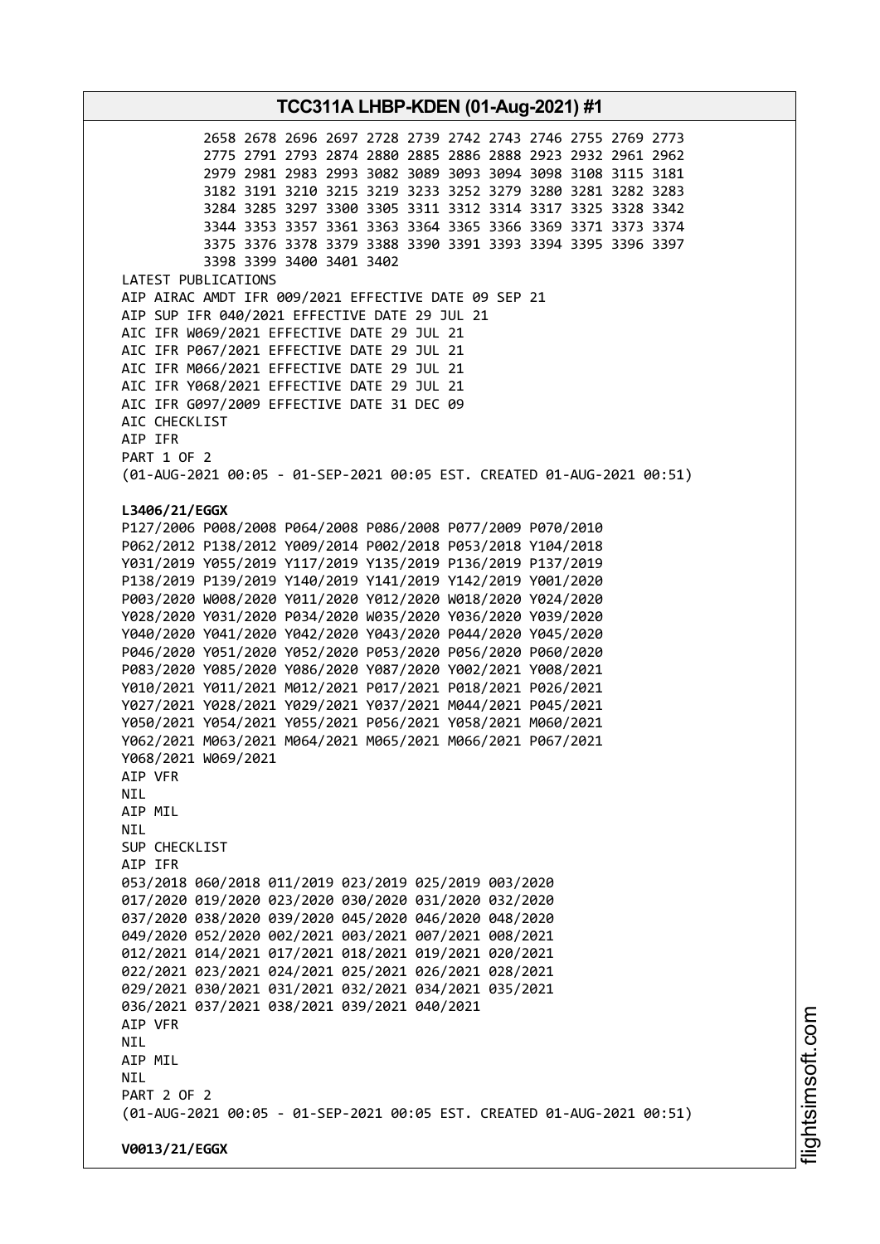2658 2678 2696 2697 2728 2739 2742 2743 2746 2755 2769 2773 2775 2791 2793 2874 2880 2885 2886 2888 2923 2932 2961 2962 2979 2981 2983 2993 3082 3089 3093 3094 3098 3108 3115 3181 3182 3191 3210 3215 3219 3233 3252 3279 3280 3281 3282 3283 3284 3285 3297 3300 3305 3311 3312 3314 3317 3325 3328 3342 3344 3353 3357 3361 3363 3364 3365 3366 3369 3371 3373 3374 3375 3376 3378 3379 3388 3390 3391 3393 3394 3395 3396 3397 3398 3399 3400 3401 3402 LATEST PUBLICATIONS AIP AIRAC AMDT IFR 009/2021 EFFECTIVE DATE 09 SEP 21 AIP SUP IFR 040/2021 EFFECTIVE DATE 29 JUL 21 AIC IFR W069/2021 EFFECTIVE DATE 29 JUL 21 AIC IFR P067/2021 EFFECTIVE DATE 29 JUL 21 AIC IFR M066/2021 EFFECTIVE DATE 29 JUL 21 AIC IFR Y068/2021 EFFECTIVE DATE 29 JUL 21 AIC IFR G097/2009 EFFECTIVE DATE 31 DEC 09 AIC CHECKLIST AIP IFR PART 1 OF 2 (01-AUG-2021 00:05 - 01-SEP-2021 00:05 EST. CREATED 01-AUG-2021 00:51) **L3406/21/EGGX** P127/2006 P008/2008 P064/2008 P086/2008 P077/2009 P070/2010 P062/2012 P138/2012 Y009/2014 P002/2018 P053/2018 Y104/2018 Y031/2019 Y055/2019 Y117/2019 Y135/2019 P136/2019 P137/2019 P138/2019 P139/2019 Y140/2019 Y141/2019 Y142/2019 Y001/2020 P003/2020 W008/2020 Y011/2020 Y012/2020 W018/2020 Y024/2020 Y028/2020 Y031/2020 P034/2020 W035/2020 Y036/2020 Y039/2020 Y040/2020 Y041/2020 Y042/2020 Y043/2020 P044/2020 Y045/2020 P046/2020 Y051/2020 Y052/2020 P053/2020 P056/2020 P060/2020 P083/2020 Y085/2020 Y086/2020 Y087/2020 Y002/2021 Y008/2021 Y010/2021 Y011/2021 M012/2021 P017/2021 P018/2021 P026/2021 Y027/2021 Y028/2021 Y029/2021 Y037/2021 M044/2021 P045/2021 Y050/2021 Y054/2021 Y055/2021 P056/2021 Y058/2021 M060/2021 Y062/2021 M063/2021 M064/2021 M065/2021 M066/2021 P067/2021 Y068/2021 W069/2021 AIP VFR NIL AIP MIL NIL SUP CHECKLIST AIP IFR 053/2018 060/2018 011/2019 023/2019 025/2019 003/2020 017/2020 019/2020 023/2020 030/2020 031/2020 032/2020 037/2020 038/2020 039/2020 045/2020 046/2020 048/2020 049/2020 052/2020 002/2021 003/2021 007/2021 008/2021 012/2021 014/2021 017/2021 018/2021 019/2021 020/2021 022/2021 023/2021 024/2021 025/2021 026/2021 028/2021 029/2021 030/2021 031/2021 032/2021 034/2021 035/2021 036/2021 037/2021 038/2021 039/2021 040/2021 AIP VFR NIL AIP MIL **NTL** PART 2 OF 2 (01-AUG-2021 00:05 - 01-SEP-2021 00:05 EST. CREATED 01-AUG-2021 00:51) **V0013/21/EGGX**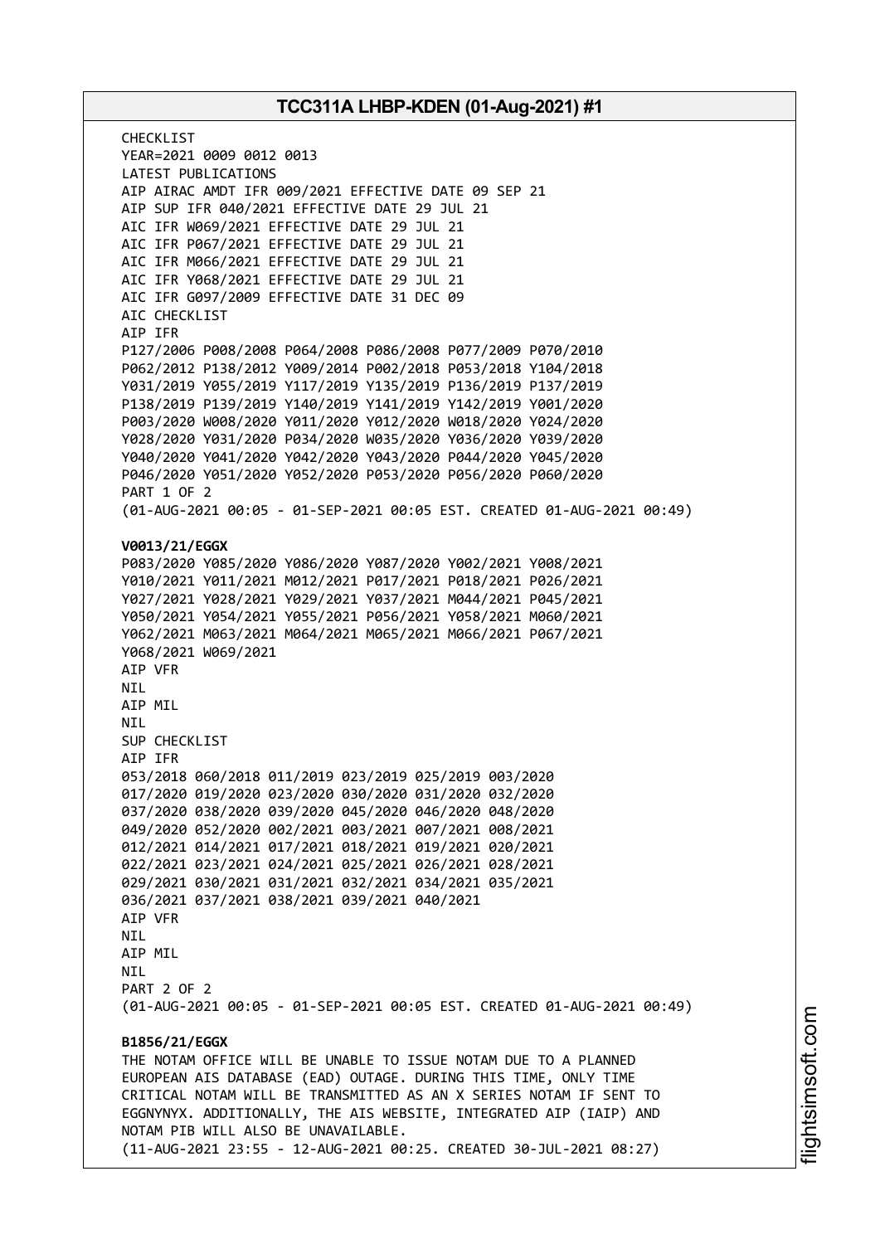CHECKL<sub>IST</sub> YEAR=2021 0009 0012 0013 LATEST PUBLICATIONS AIP AIRAC AMDT IFR 009/2021 EFFECTIVE DATE 09 SEP 21 AIP SUP IFR 040/2021 EFFECTIVE DATE 29 JUL 21 AIC IFR W069/2021 EFFECTIVE DATE 29 JUL 21 AIC IFR P067/2021 EFFECTIVE DATE 29 JUL 21 AIC IFR M066/2021 EFFECTIVE DATE 29 JUL 21 AIC IFR Y068/2021 EFFECTIVE DATE 29 JUL 21 AIC IFR G097/2009 EFFECTIVE DATE 31 DEC 09 AIC CHECKLIST AIP IFR P127/2006 P008/2008 P064/2008 P086/2008 P077/2009 P070/2010 P062/2012 P138/2012 Y009/2014 P002/2018 P053/2018 Y104/2018 Y031/2019 Y055/2019 Y117/2019 Y135/2019 P136/2019 P137/2019 P138/2019 P139/2019 Y140/2019 Y141/2019 Y142/2019 Y001/2020 P003/2020 W008/2020 Y011/2020 Y012/2020 W018/2020 Y024/2020 Y028/2020 Y031/2020 P034/2020 W035/2020 Y036/2020 Y039/2020 Y040/2020 Y041/2020 Y042/2020 Y043/2020 P044/2020 Y045/2020 P046/2020 Y051/2020 Y052/2020 P053/2020 P056/2020 P060/2020 PART 1 OF 2 (01-AUG-2021 00:05 - 01-SEP-2021 00:05 EST. CREATED 01-AUG-2021 00:49) **V0013/21/EGGX** P083/2020 Y085/2020 Y086/2020 Y087/2020 Y002/2021 Y008/2021 Y010/2021 Y011/2021 M012/2021 P017/2021 P018/2021 P026/2021 Y027/2021 Y028/2021 Y029/2021 Y037/2021 M044/2021 P045/2021 Y050/2021 Y054/2021 Y055/2021 P056/2021 Y058/2021 M060/2021 Y062/2021 M063/2021 M064/2021 M065/2021 M066/2021 P067/2021 Y068/2021 W069/2021 AIP VFR NIL AIP MIL **NTI** SUP CHECKLIST AIP IFR 053/2018 060/2018 011/2019 023/2019 025/2019 003/2020 017/2020 019/2020 023/2020 030/2020 031/2020 032/2020 037/2020 038/2020 039/2020 045/2020 046/2020 048/2020 049/2020 052/2020 002/2021 003/2021 007/2021 008/2021 012/2021 014/2021 017/2021 018/2021 019/2021 020/2021 022/2021 023/2021 024/2021 025/2021 026/2021 028/2021 029/2021 030/2021 031/2021 032/2021 034/2021 035/2021 036/2021 037/2021 038/2021 039/2021 040/2021 AIP VFR NIL AIP MIL **NTI** PART 2 OF 2 (01-AUG-2021 00:05 - 01-SEP-2021 00:05 EST. CREATED 01-AUG-2021 00:49) **B1856/21/EGGX** THE NOTAM OFFICE WILL BE UNABLE TO ISSUE NOTAM DUE TO A PLANNED EUROPEAN AIS DATABASE (EAD) OUTAGE. DURING THIS TIME, ONLY TIME CRITICAL NOTAM WILL BE TRANSMITTED AS AN X SERIES NOTAM IF SENT TO EGGNYNYX. ADDITIONALLY, THE AIS WEBSITE, INTEGRATED AIP (IAIP) AND NOTAM PIB WILL ALSO BE UNAVAILABLE. (11-AUG-2021 23:55 - 12-AUG-2021 00:25. CREATED 30-JUL-2021 08:27)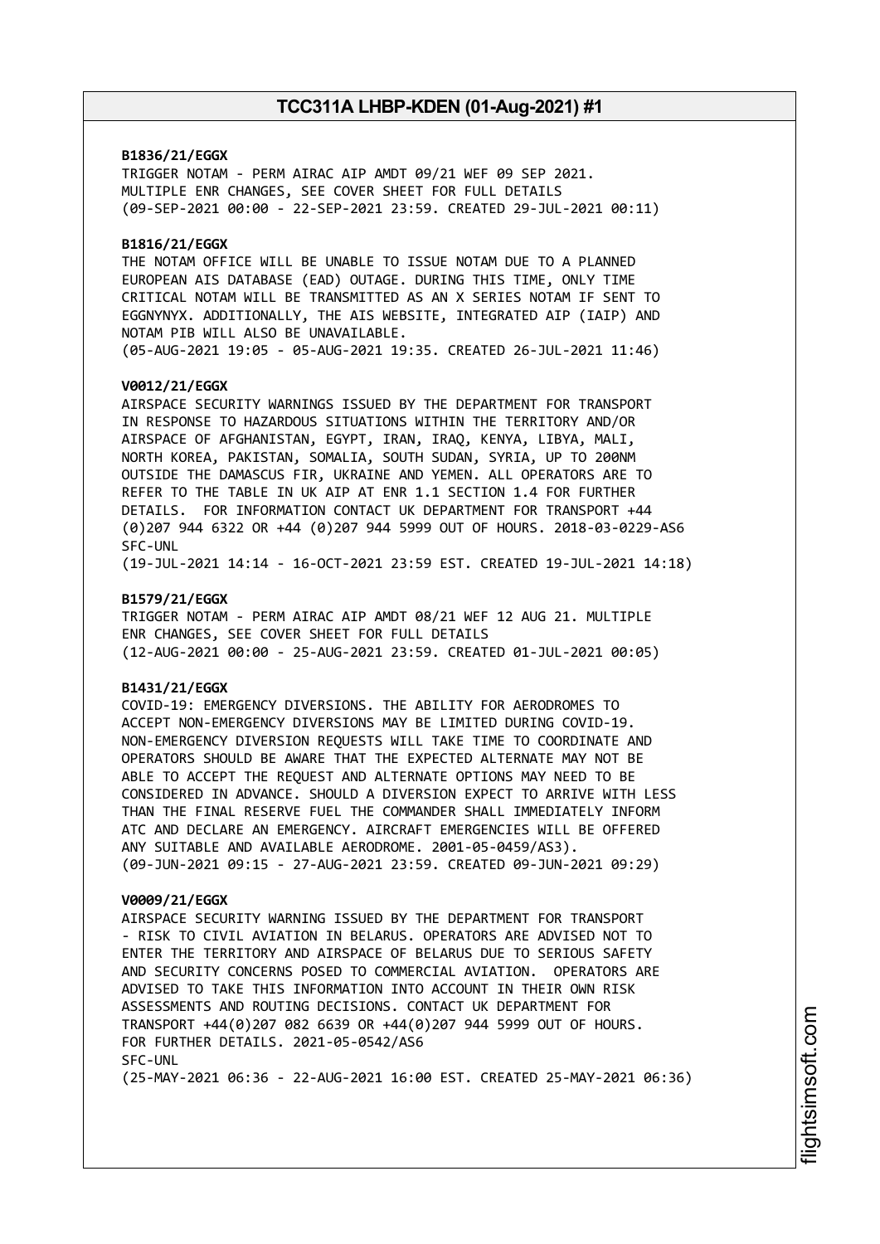### **B1836/21/EGGX**

TRIGGER NOTAM - PERM AIRAC AIP AMDT 09/21 WEF 09 SEP 2021. MULTIPLE ENR CHANGES, SEE COVER SHEET FOR FULL DETAILS (09-SEP-2021 00:00 - 22-SEP-2021 23:59. CREATED 29-JUL-2021 00:11)

### **B1816/21/EGGX**

THE NOTAM OFFICE WILL BE UNABLE TO ISSUE NOTAM DUE TO A PLANNED EUROPEAN AIS DATABASE (EAD) OUTAGE. DURING THIS TIME, ONLY TIME CRITICAL NOTAM WILL BE TRANSMITTED AS AN X SERIES NOTAM IF SENT TO EGGNYNYX. ADDITIONALLY, THE AIS WEBSITE, INTEGRATED AIP (IAIP) AND NOTAM PIB WILL ALSO BE UNAVAILABLE. (05-AUG-2021 19:05 - 05-AUG-2021 19:35. CREATED 26-JUL-2021 11:46)

### **V0012/21/EGGX**

AIRSPACE SECURITY WARNINGS ISSUED BY THE DEPARTMENT FOR TRANSPORT IN RESPONSE TO HAZARDOUS SITUATIONS WITHIN THE TERRITORY AND/OR AIRSPACE OF AFGHANISTAN, EGYPT, IRAN, IRAQ, KENYA, LIBYA, MALI, NORTH KOREA, PAKISTAN, SOMALIA, SOUTH SUDAN, SYRIA, UP TO 200NM OUTSIDE THE DAMASCUS FIR, UKRAINE AND YEMEN. ALL OPERATORS ARE TO REFER TO THE TABLE IN UK AIP AT ENR 1.1 SECTION 1.4 FOR FURTHER DETAILS. FOR INFORMATION CONTACT UK DEPARTMENT FOR TRANSPORT +44 (0)207 944 6322 OR +44 (0)207 944 5999 OUT OF HOURS. 2018-03-0229-AS6 SFC-UNL

(19-JUL-2021 14:14 - 16-OCT-2021 23:59 EST. CREATED 19-JUL-2021 14:18)

### **B1579/21/EGGX**

TRIGGER NOTAM - PERM AIRAC AIP AMDT 08/21 WEF 12 AUG 21. MULTIPLE ENR CHANGES, SEE COVER SHEET FOR FULL DETAILS (12-AUG-2021 00:00 - 25-AUG-2021 23:59. CREATED 01-JUL-2021 00:05)

### **B1431/21/EGGX**

COVID-19: EMERGENCY DIVERSIONS. THE ABILITY FOR AERODROMES TO ACCEPT NON-EMERGENCY DIVERSIONS MAY BE LIMITED DURING COVID-19. NON-EMERGENCY DIVERSION REQUESTS WILL TAKE TIME TO COORDINATE AND OPERATORS SHOULD BE AWARE THAT THE EXPECTED ALTERNATE MAY NOT BE ABLE TO ACCEPT THE REQUEST AND ALTERNATE OPTIONS MAY NEED TO BE CONSIDERED IN ADVANCE. SHOULD A DIVERSION EXPECT TO ARRIVE WITH LESS THAN THE FINAL RESERVE FUEL THE COMMANDER SHALL IMMEDIATELY INFORM ATC AND DECLARE AN EMERGENCY. AIRCRAFT EMERGENCIES WILL BE OFFERED ANY SUITABLE AND AVAILABLE AERODROME. 2001-05-0459/AS3). (09-JUN-2021 09:15 - 27-AUG-2021 23:59. CREATED 09-JUN-2021 09:29)

#### **V0009/21/EGGX**

AIRSPACE SECURITY WARNING ISSUED BY THE DEPARTMENT FOR TRANSPORT - RISK TO CIVIL AVIATION IN BELARUS. OPERATORS ARE ADVISED NOT TO ENTER THE TERRITORY AND AIRSPACE OF BELARUS DUE TO SERIOUS SAFETY AND SECURITY CONCERNS POSED TO COMMERCIAL AVIATION. OPERATORS ARE ADVISED TO TAKE THIS INFORMATION INTO ACCOUNT IN THEIR OWN RISK ASSESSMENTS AND ROUTING DECISIONS. CONTACT UK DEPARTMENT FOR TRANSPORT +44(0)207 082 6639 OR +44(0)207 944 5999 OUT OF HOURS. FOR FURTHER DETAILS. 2021-05-0542/AS6 SFC-UNL (25-MAY-2021 06:36 - 22-AUG-2021 16:00 EST. CREATED 25-MAY-2021 06:36)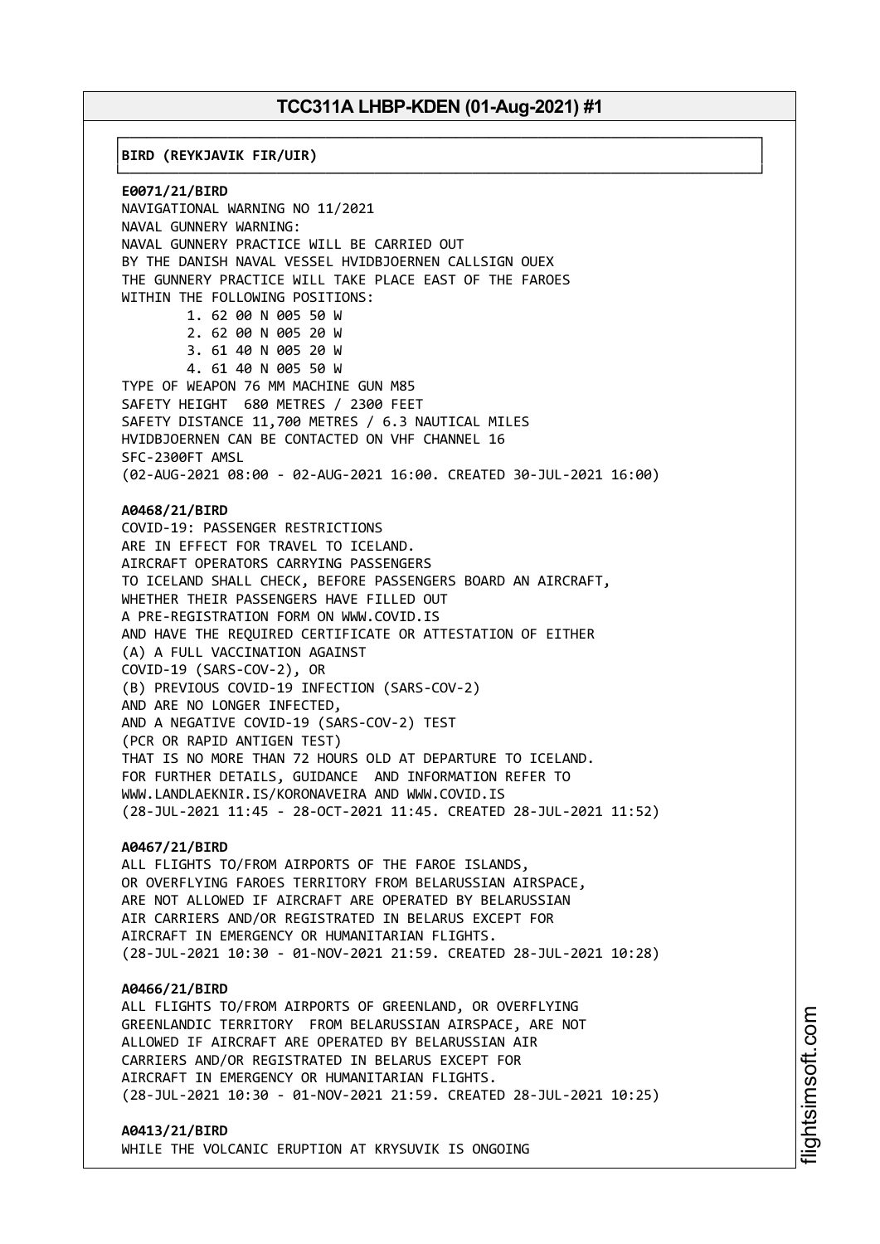┌──────────────────────────────────────────────────────────────────────────────┐

└──────────────────────────────────────────────────────────────────────────────┘

│**BIRD (REYKJAVIK FIR/UIR)** │

**E0071/21/BIRD** NAVIGATIONAL WARNING NO 11/2021 NAVAL GUNNERY WARNING: NAVAL GUNNERY PRACTICE WILL BE CARRIED OUT BY THE DANISH NAVAL VESSEL HVIDBJOERNEN CALLSIGN OUEX THE GUNNERY PRACTICE WILL TAKE PLACE EAST OF THE FAROES WITHIN THE FOLLOWING POSITIONS: 1. 62 00 N 005 50 W 2. 62 00 N 005 20 W 3. 61 40 N 005 20 W 4. 61 40 N 005 50 W TYPE OF WEAPON 76 MM MACHINE GUN M85 SAFETY HEIGHT 680 METRES / 2300 FEET SAFETY DISTANCE 11,700 METRES / 6.3 NAUTICAL MILES HVIDBJOERNEN CAN BE CONTACTED ON VHF CHANNEL 16 SFC-2300FT AMSL (02-AUG-2021 08:00 - 02-AUG-2021 16:00. CREATED 30-JUL-2021 16:00) **A0468/21/BIRD** COVID-19: PASSENGER RESTRICTIONS ARE IN EFFECT FOR TRAVEL TO ICELAND. AIRCRAFT OPERATORS CARRYING PASSENGERS TO ICELAND SHALL CHECK, BEFORE PASSENGERS BOARD AN AIRCRAFT, WHETHER THEIR PASSENGERS HAVE FILLED OUT A PRE-REGISTRATION FORM ON WWW.COVID.IS AND HAVE THE REQUIRED CERTIFICATE OR ATTESTATION OF EITHER (A) A FULL VACCINATION AGAINST COVID-19 (SARS-COV-2), OR (B) PREVIOUS COVID-19 INFECTION (SARS-COV-2) AND ARE NO LONGER INFECTED, AND A NEGATIVE COVID-19 (SARS-COV-2) TEST (PCR OR RAPID ANTIGEN TEST) THAT IS NO MORE THAN 72 HOURS OLD AT DEPARTURE TO ICELAND. FOR FURTHER DETAILS, GUIDANCE AND INFORMATION REFER TO WWW.LANDLAEKNIR.IS/KORONAVEIRA AND WWW.COVID.IS (28-JUL-2021 11:45 - 28-OCT-2021 11:45. CREATED 28-JUL-2021 11:52) **A0467/21/BIRD** ALL FLIGHTS TO/FROM AIRPORTS OF THE FAROE ISLANDS, OR OVERFLYING FAROES TERRITORY FROM BELARUSSIAN AIRSPACE, ARE NOT ALLOWED IF AIRCRAFT ARE OPERATED BY BELARUSSIAN

AIR CARRIERS AND/OR REGISTRATED IN BELARUS EXCEPT FOR AIRCRAFT IN EMERGENCY OR HUMANITARIAN FLIGHTS. (28-JUL-2021 10:30 - 01-NOV-2021 21:59. CREATED 28-JUL-2021 10:28)

#### **A0466/21/BIRD**

ALL FLIGHTS TO/FROM AIRPORTS OF GREENLAND, OR OVERFLYING GREENLANDIC TERRITORY FROM BELARUSSIAN AIRSPACE, ARE NOT ALLOWED IF AIRCRAFT ARE OPERATED BY BELARUSSIAN AIR CARRIERS AND/OR REGISTRATED IN BELARUS EXCEPT FOR AIRCRAFT IN EMERGENCY OR HUMANITARIAN FLIGHTS. (28-JUL-2021 10:30 - 01-NOV-2021 21:59. CREATED 28-JUL-2021 10:25)

#### **A0413/21/BIRD**

WHILE THE VOLCANIC ERUPTION AT KRYSUVIK IS ONGOING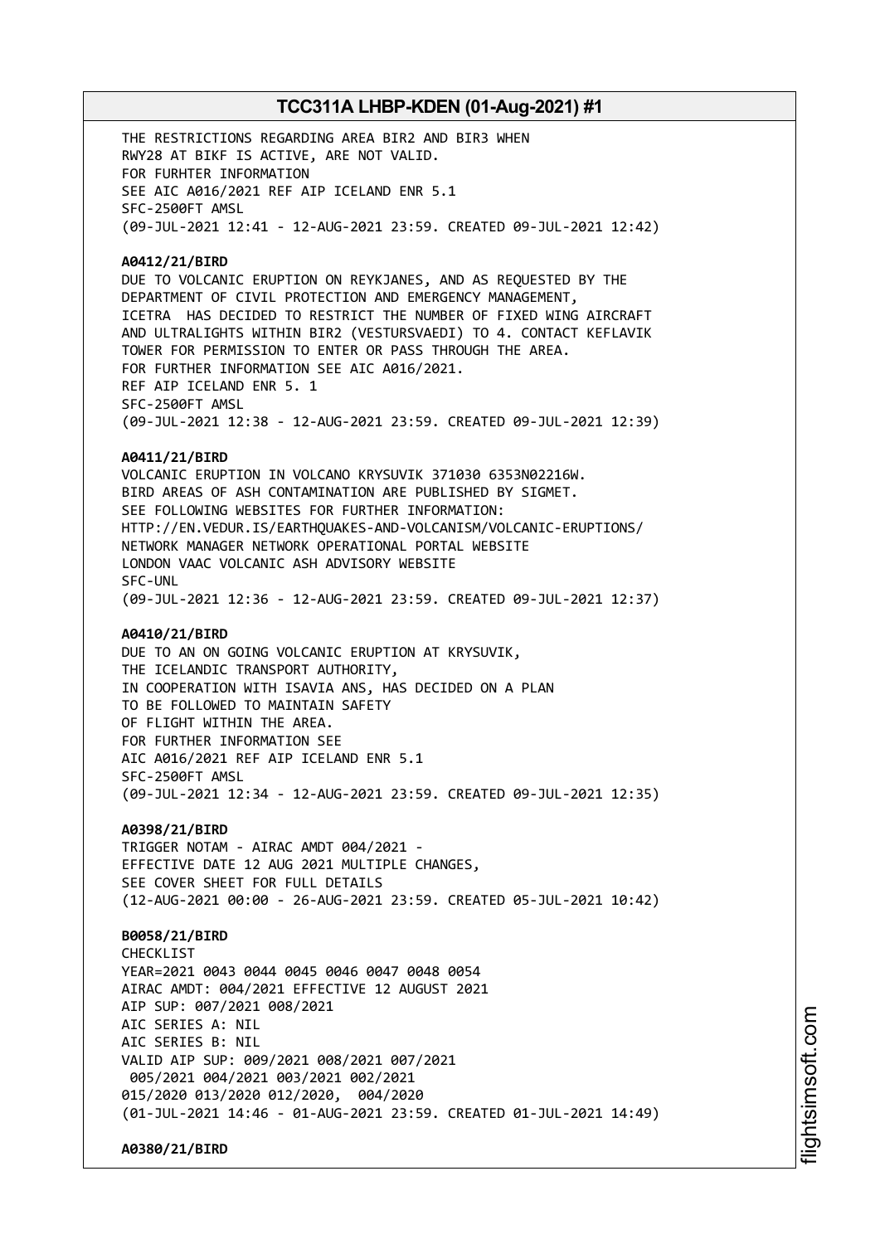THE RESTRICTIONS REGARDING AREA BIR2 AND BIR3 WHEN RWY28 AT BIKF IS ACTIVE, ARE NOT VALID. FOR FURHTER INFORMATION SEE AIC A016/2021 REF AIP ICELAND ENR 5.1 SFC-2500FT AMSL (09-JUL-2021 12:41 - 12-AUG-2021 23:59. CREATED 09-JUL-2021 12:42)

### **A0412/21/BIRD**

DUE TO VOLCANIC ERUPTION ON REYKJANES, AND AS REQUESTED BY THE DEPARTMENT OF CIVIL PROTECTION AND EMERGENCY MANAGEMENT, ICETRA HAS DECIDED TO RESTRICT THE NUMBER OF FIXED WING AIRCRAFT AND ULTRALIGHTS WITHIN BIR2 (VESTURSVAEDI) TO 4. CONTACT KEFLAVIK TOWER FOR PERMISSION TO ENTER OR PASS THROUGH THE AREA. FOR FURTHER INFORMATION SEE AIC A016/2021. REF AIP ICELAND ENR 5. 1 SFC-2500FT AMSL (09-JUL-2021 12:38 - 12-AUG-2021 23:59. CREATED 09-JUL-2021 12:39)

#### **A0411/21/BIRD**

VOLCANIC ERUPTION IN VOLCANO KRYSUVIK 371030 6353N02216W. BIRD AREAS OF ASH CONTAMINATION ARE PUBLISHED BY SIGMET. SEE FOLLOWING WEBSITES FOR FURTHER INFORMATION: HTTP://EN.VEDUR.IS/EARTHQUAKES-AND-VOLCANISM/VOLCANIC-ERUPTIONS/ NETWORK MANAGER NETWORK OPERATIONAL PORTAL WEBSITE LONDON VAAC VOLCANIC ASH ADVISORY WEBSITE SFC-UNL (09-JUL-2021 12:36 - 12-AUG-2021 23:59. CREATED 09-JUL-2021 12:37)

### **A0410/21/BIRD**

DUE TO AN ON GOING VOLCANIC ERUPTION AT KRYSUVIK, THE ICELANDIC TRANSPORT AUTHORITY, IN COOPERATION WITH ISAVIA ANS, HAS DECIDED ON A PLAN TO BE FOLLOWED TO MAINTAIN SAFETY OF FLIGHT WITHIN THE AREA. FOR FURTHER INFORMATION SEE AIC A016/2021 REF AIP ICELAND ENR 5.1 SFC-2500FT AMSL (09-JUL-2021 12:34 - 12-AUG-2021 23:59. CREATED 09-JUL-2021 12:35)

### **A0398/21/BIRD**

TRIGGER NOTAM - AIRAC AMDT 004/2021 - EFFECTIVE DATE 12 AUG 2021 MULTIPLE CHANGES, SEE COVER SHEET FOR FULL DETAILS (12-AUG-2021 00:00 - 26-AUG-2021 23:59. CREATED 05-JUL-2021 10:42)

### **B0058/21/BIRD**

CHECKL<sub>IST</sub> YEAR=2021 0043 0044 0045 0046 0047 0048 0054 AIRAC AMDT: 004/2021 EFFECTIVE 12 AUGUST 2021 AIP SUP: 007/2021 008/2021 AIC SERIES A: NIL AIC SERIES B: NIL VALID AIP SUP: 009/2021 008/2021 007/2021 005/2021 004/2021 003/2021 002/2021 015/2020 013/2020 012/2020, 004/2020 (01-JUL-2021 14:46 - 01-AUG-2021 23:59. CREATED 01-JUL-2021 14:49)

**A0380/21/BIRD**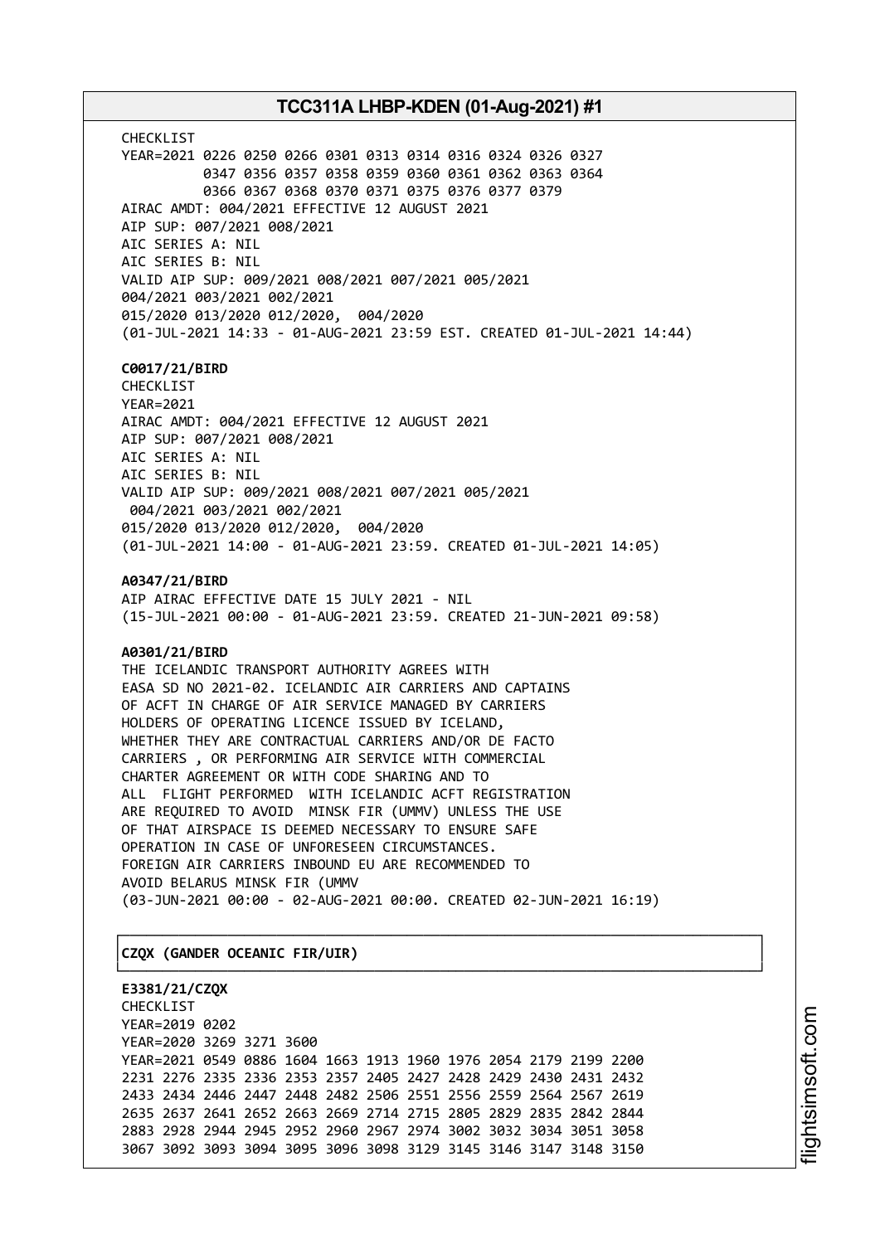CHECKLIST YEAR=2021 0226 0250 0266 0301 0313 0314 0316 0324 0326 0327 0347 0356 0357 0358 0359 0360 0361 0362 0363 0364 0366 0367 0368 0370 0371 0375 0376 0377 0379 AIRAC AMDT: 004/2021 EFFECTIVE 12 AUGUST 2021 AIP SUP: 007/2021 008/2021 AIC SERIES A: NIL AIC SERIES B: NIL VALID AIP SUP: 009/2021 008/2021 007/2021 005/2021 004/2021 003/2021 002/2021 015/2020 013/2020 012/2020, 004/2020 (01-JUL-2021 14:33 - 01-AUG-2021 23:59 EST. CREATED 01-JUL-2021 14:44)

### **C0017/21/BIRD**

CHECKLIST YEAR=2021 AIRAC AMDT: 004/2021 EFFECTIVE 12 AUGUST 2021 AIP SUP: 007/2021 008/2021 AIC SERIES A: NIL AIC SERIES B: NIL VALID AIP SUP: 009/2021 008/2021 007/2021 005/2021 004/2021 003/2021 002/2021 015/2020 013/2020 012/2020, 004/2020 (01-JUL-2021 14:00 - 01-AUG-2021 23:59. CREATED 01-JUL-2021 14:05)

**A0347/21/BIRD**

AIP AIRAC EFFECTIVE DATE 15 JULY 2021 - NIL (15-JUL-2021 00:00 - 01-AUG-2021 23:59. CREATED 21-JUN-2021 09:58)

### **A0301/21/BIRD**

THE ICELANDIC TRANSPORT AUTHORITY AGREES WITH EASA SD NO 2021-02. ICELANDIC AIR CARRIERS AND CAPTAINS OF ACFT IN CHARGE OF AIR SERVICE MANAGED BY CARRIERS HOLDERS OF OPERATING LICENCE ISSUED BY ICELAND, WHETHER THEY ARE CONTRACTUAL CARRIERS AND/OR DE FACTO CARRIERS , OR PERFORMING AIR SERVICE WITH COMMERCIAL CHARTER AGREEMENT OR WITH CODE SHARING AND TO ALL FLIGHT PERFORMED WITH ICELANDIC ACFT REGISTRATION ARE REQUIRED TO AVOID MINSK FIR (UMMV) UNLESS THE USE OF THAT AIRSPACE IS DEEMED NECESSARY TO ENSURE SAFE OPERATION IN CASE OF UNFORESEEN CIRCUMSTANCES. FOREIGN AIR CARRIERS INBOUND EU ARE RECOMMENDED TO AVOID BELARUS MINSK FIR (UMMV (03-JUN-2021 00:00 - 02-AUG-2021 00:00. CREATED 02-JUN-2021 16:19)

┌──────────────────────────────────────────────────────────────────────────────┐

└──────────────────────────────────────────────────────────────────────────────┘

### │**CZQX (GANDER OCEANIC FIR/UIR)** │

**E3381/21/CZQX** CHECKLIST YEAR=2019 0202 YEAR=2020 3269 3271 3600 YEAR=2021 0549 0886 1604 1663 1913 1960 1976 2054 2179 2199 2200 2231 2276 2335 2336 2353 2357 2405 2427 2428 2429 2430 2431 2432 2433 2434 2446 2447 2448 2482 2506 2551 2556 2559 2564 2567 2619 2635 2637 2641 2652 2663 2669 2714 2715 2805 2829 2835 2842 2844 2883 2928 2944 2945 2952 2960 2967 2974 3002 3032 3034 3051 3058 3067 3092 3093 3094 3095 3096 3098 3129 3145 3146 3147 3148 3150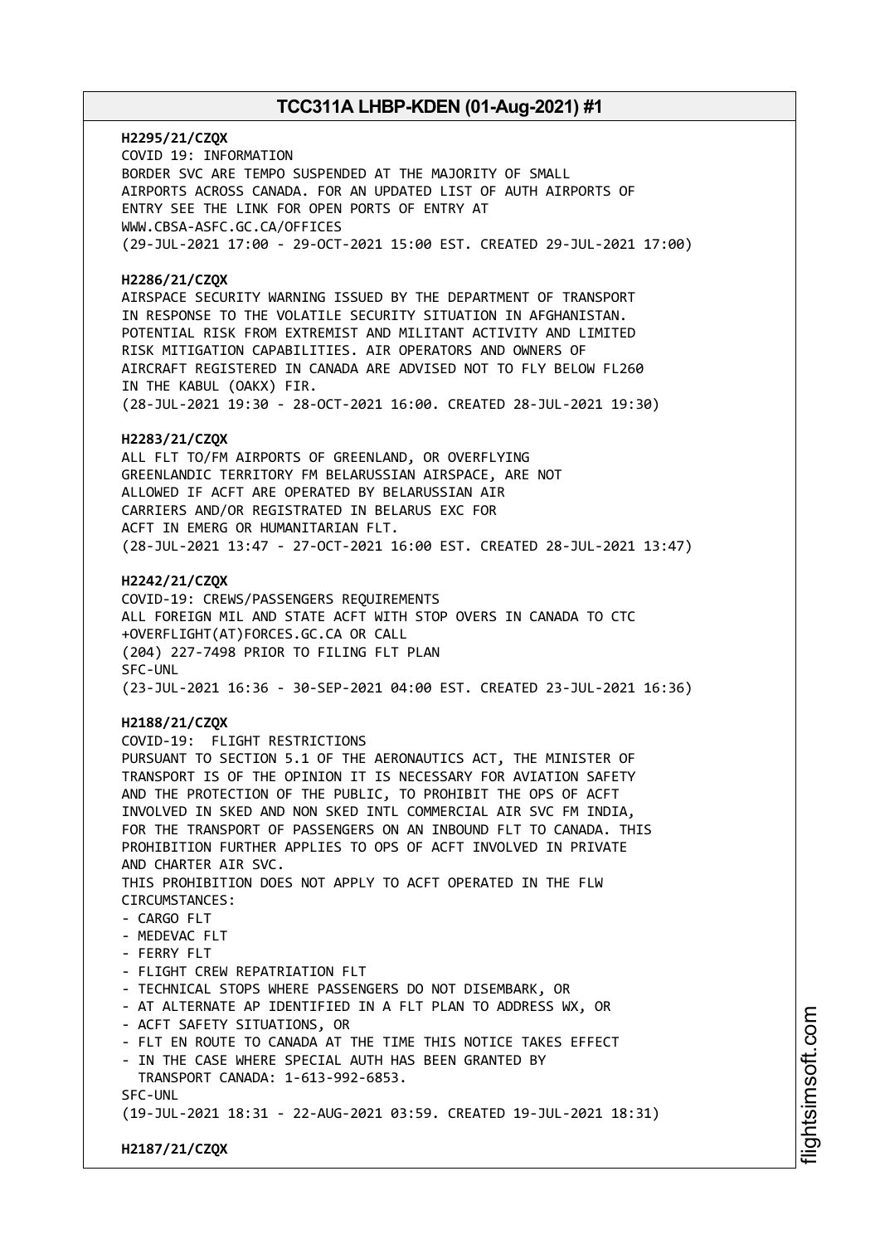**H2295/21/CZQX** COVID 19: INFORMATION BORDER SVC ARE TEMPO SUSPENDED AT THE MAJORITY OF SMALL AIRPORTS ACROSS CANADA. FOR AN UPDATED LIST OF AUTH AIRPORTS OF ENTRY SEE THE LINK FOR OPEN PORTS OF ENTRY AT WWW.CBSA-ASFC.GC.CA/OFFICES (29-JUL-2021 17:00 - 29-OCT-2021 15:00 EST. CREATED 29-JUL-2021 17:00)

### **H2286/21/CZQX**

AIRSPACE SECURITY WARNING ISSUED BY THE DEPARTMENT OF TRANSPORT IN RESPONSE TO THE VOLATILE SECURITY SITUATION IN AFGHANISTAN. POTENTIAL RISK FROM EXTREMIST AND MILITANT ACTIVITY AND LIMITED RISK MITIGATION CAPABILITIES. AIR OPERATORS AND OWNERS OF AIRCRAFT REGISTERED IN CANADA ARE ADVISED NOT TO FLY BELOW FL260 IN THE KABUL (OAKX) FIR. (28-JUL-2021 19:30 - 28-OCT-2021 16:00. CREATED 28-JUL-2021 19:30)

### **H2283/21/CZQX**

ALL FLT TO/FM AIRPORTS OF GREENLAND, OR OVERFLYING GREENLANDIC TERRITORY FM BELARUSSIAN AIRSPACE, ARE NOT ALLOWED IF ACFT ARE OPERATED BY BELARUSSIAN AIR CARRIERS AND/OR REGISTRATED IN BELARUS EXC FOR ACFT IN EMERG OR HUMANITARIAN FLT. (28-JUL-2021 13:47 - 27-OCT-2021 16:00 EST. CREATED 28-JUL-2021 13:47)

### **H2242/21/CZQX**

COVID-19: CREWS/PASSENGERS REQUIREMENTS ALL FOREIGN MIL AND STATE ACFT WITH STOP OVERS IN CANADA TO CTC +OVERFLIGHT(AT)FORCES.GC.CA OR CALL (204) 227-7498 PRIOR TO FILING FLT PLAN SFC-UNL (23-JUL-2021 16:36 - 30-SEP-2021 04:00 EST. CREATED 23-JUL-2021 16:36)

### **H2188/21/CZQX**

COVID-19: FLIGHT RESTRICTIONS PURSUANT TO SECTION 5.1 OF THE AERONAUTICS ACT, THE MINISTER OF TRANSPORT IS OF THE OPINION IT IS NECESSARY FOR AVIATION SAFETY AND THE PROTECTION OF THE PUBLIC, TO PROHIBIT THE OPS OF ACFT INVOLVED IN SKED AND NON SKED INTL COMMERCIAL AIR SVC FM INDIA, FOR THE TRANSPORT OF PASSENGERS ON AN INBOUND FLT TO CANADA. THIS PROHIBITION FURTHER APPLIES TO OPS OF ACFT INVOLVED IN PRIVATE AND CHARTER AIR SVC. THIS PROHIBITION DOES NOT APPLY TO ACFT OPERATED IN THE FLW CIRCUMSTANCES:  $-$  CARGO FLT - MEDEVAC FLT - FERRY FLT - FLIGHT CREW REPATRIATION FLT - TECHNICAL STOPS WHERE PASSENGERS DO NOT DISEMBARK, OR - AT ALTERNATE AP IDENTIFIED IN A FLT PLAN TO ADDRESS WX, OR - ACFT SAFETY SITUATIONS, OR - FLT EN ROUTE TO CANADA AT THE TIME THIS NOTICE TAKES EFFECT - IN THE CASE WHERE SPECIAL AUTH HAS BEEN GRANTED BY TRANSPORT CANADA: 1-613-992-6853. SFC-UNL (19-JUL-2021 18:31 - 22-AUG-2021 03:59. CREATED 19-JUL-2021 18:31)

**H2187/21/CZQX**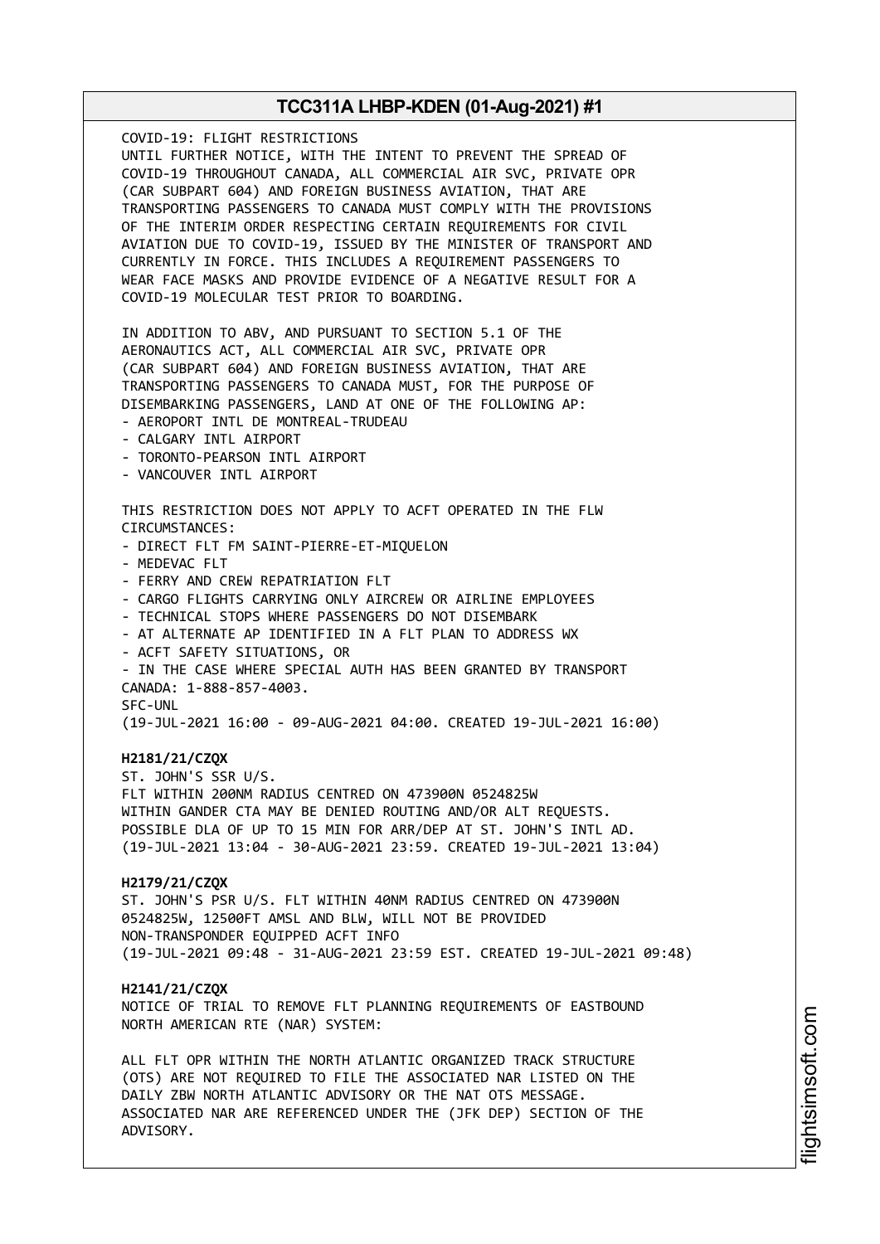COVID-19: FLIGHT RESTRICTIONS UNTIL FURTHER NOTICE, WITH THE INTENT TO PREVENT THE SPREAD OF COVID-19 THROUGHOUT CANADA, ALL COMMERCIAL AIR SVC, PRIVATE OPR (CAR SUBPART 604) AND FOREIGN BUSINESS AVIATION, THAT ARE TRANSPORTING PASSENGERS TO CANADA MUST COMPLY WITH THE PROVISIONS OF THE INTERIM ORDER RESPECTING CERTAIN REQUIREMENTS FOR CIVIL AVIATION DUE TO COVID-19, ISSUED BY THE MINISTER OF TRANSPORT AND CURRENTLY IN FORCE. THIS INCLUDES A REQUIREMENT PASSENGERS TO WEAR FACE MASKS AND PROVIDE EVIDENCE OF A NEGATIVE RESULT FOR A COVID-19 MOLECULAR TEST PRIOR TO BOARDING. IN ADDITION TO ABV, AND PURSUANT TO SECTION 5.1 OF THE AERONAUTICS ACT, ALL COMMERCIAL AIR SVC, PRIVATE OPR (CAR SUBPART 604) AND FOREIGN BUSINESS AVIATION, THAT ARE TRANSPORTING PASSENGERS TO CANADA MUST, FOR THE PURPOSE OF DISEMBARKING PASSENGERS, LAND AT ONE OF THE FOLLOWING AP: - AEROPORT INTL DE MONTREAL-TRUDEAU - CALGARY INTL AIRPORT - TORONTO-PEARSON INTL AIRPORT - VANCOUVER INTL AIRPORT THIS RESTRICTION DOES NOT APPLY TO ACFT OPERATED IN THE FLW CIRCUMSTANCES: - DIRECT FLT FM SAINT-PIERRE-ET-MIQUELON - MEDEVAC FLT - FERRY AND CREW REPATRIATION FLT - CARGO FLIGHTS CARRYING ONLY AIRCREW OR AIRLINE EMPLOYEES - TECHNICAL STOPS WHERE PASSENGERS DO NOT DISEMBARK - AT ALTERNATE AP IDENTIFIED IN A FLT PLAN TO ADDRESS WX - ACFT SAFETY SITUATIONS, OR - IN THE CASE WHERE SPECIAL AUTH HAS BEEN GRANTED BY TRANSPORT CANADA: 1-888-857-4003. SFC-UNL (19-JUL-2021 16:00 - 09-AUG-2021 04:00. CREATED 19-JUL-2021 16:00) **H2181/21/CZQX** ST. JOHN'S SSR U/S. FLT WITHIN 200NM RADIUS CENTRED ON 473900N 0524825W WITHIN GANDER CTA MAY BE DENIED ROUTING AND/OR ALT REQUESTS. POSSIBLE DLA OF UP TO 15 MIN FOR ARR/DEP AT ST. JOHN'S INTL AD. (19-JUL-2021 13:04 - 30-AUG-2021 23:59. CREATED 19-JUL-2021 13:04) **H2179/21/CZQX** ST. JOHN'S PSR U/S. FLT WITHIN 40NM RADIUS CENTRED ON 473900N 0524825W, 12500FT AMSL AND BLW, WILL NOT BE PROVIDED NON-TRANSPONDER EQUIPPED ACFT INFO (19-JUL-2021 09:48 - 31-AUG-2021 23:59 EST. CREATED 19-JUL-2021 09:48) **H2141/21/CZQX** NOTICE OF TRIAL TO REMOVE FLT PLANNING REQUIREMENTS OF EASTBOUND NORTH AMERICAN RTE (NAR) SYSTEM: ALL FLT OPR WITHIN THE NORTH ATLANTIC ORGANIZED TRACK STRUCTURE (OTS) ARE NOT REQUIRED TO FILE THE ASSOCIATED NAR LISTED ON THE DAILY ZBW NORTH ATLANTIC ADVISORY OR THE NAT OTS MESSAGE. ASSOCIATED NAR ARE REFERENCED UNDER THE (JFK DEP) SECTION OF THE ADVISORY.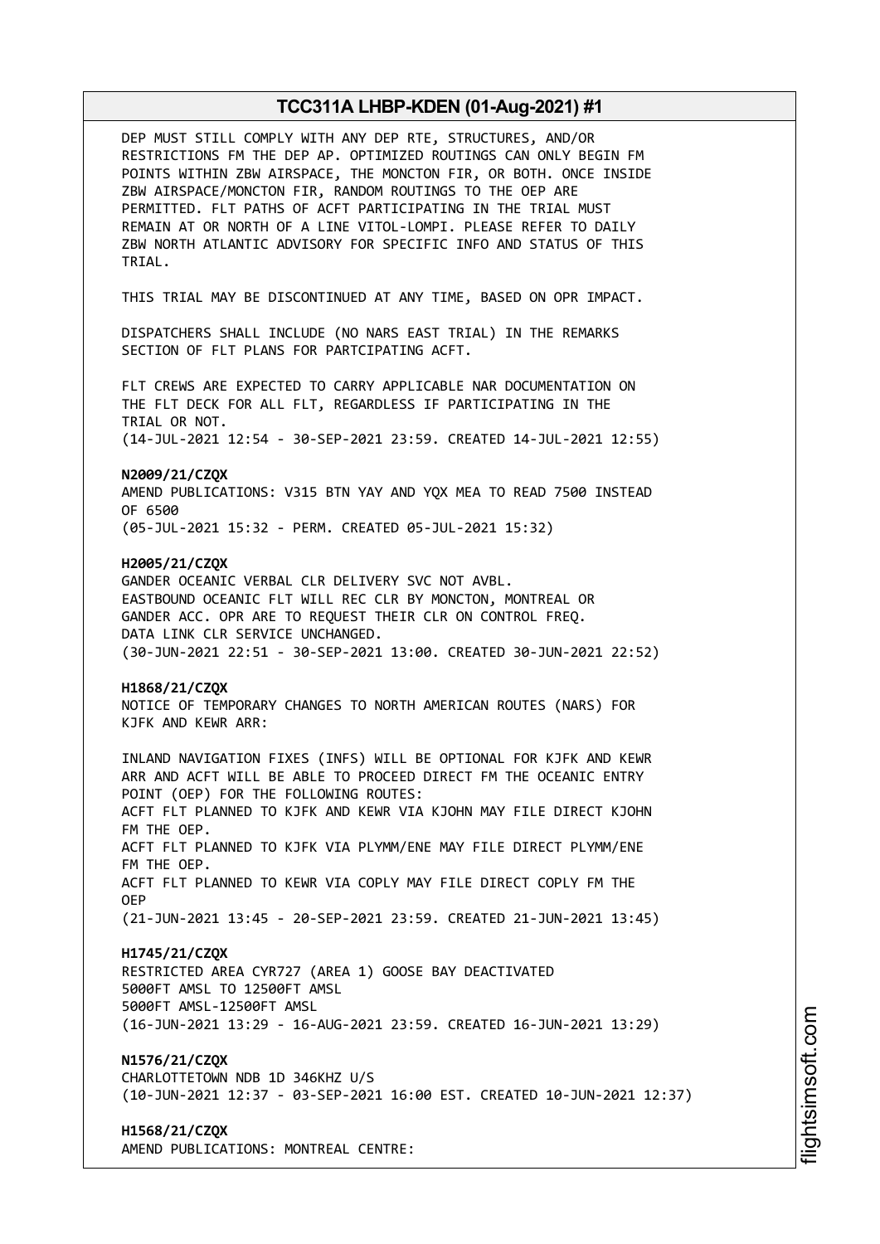| DEP MUST STILL COMPLY WITH ANY DEP RTE, STRUCTURES, AND/OR<br>RESTRICTIONS FM THE DEP AP. OPTIMIZED ROUTINGS CAN ONLY BEGIN FM<br>POINTS WITHIN ZBW AIRSPACE, THE MONCTON FIR, OR BOTH. ONCE INSIDE<br>ZBW AIRSPACE/MONCTON FIR, RANDOM ROUTINGS TO THE OEP ARE<br>PERMITTED. FLT PATHS OF ACFT PARTICIPATING IN THE TRIAL MUST<br>REMAIN AT OR NORTH OF A LINE VITOL-LOMPI. PLEASE REFER TO DAILY<br>ZBW NORTH ATLANTIC ADVISORY FOR SPECIFIC INFO AND STATUS OF THIS<br>TRIAL.                             |
|--------------------------------------------------------------------------------------------------------------------------------------------------------------------------------------------------------------------------------------------------------------------------------------------------------------------------------------------------------------------------------------------------------------------------------------------------------------------------------------------------------------|
| THIS TRIAL MAY BE DISCONTINUED AT ANY TIME, BASED ON OPR IMPACT.                                                                                                                                                                                                                                                                                                                                                                                                                                             |
| DISPATCHERS SHALL INCLUDE (NO NARS EAST TRIAL) IN THE REMARKS<br>SECTION OF FLT PLANS FOR PARTCIPATING ACFT.                                                                                                                                                                                                                                                                                                                                                                                                 |
| FLT CREWS ARE EXPECTED TO CARRY APPLICABLE NAR DOCUMENTATION ON<br>THE FLT DECK FOR ALL FLT, REGARDLESS IF PARTICIPATING IN THE<br>TRIAL OR NOT.                                                                                                                                                                                                                                                                                                                                                             |
| (14-JUL-2021 12:54 - 30-SEP-2021 23:59. CREATED 14-JUL-2021 12:55)                                                                                                                                                                                                                                                                                                                                                                                                                                           |
| N2009/21/CZQX<br>AMEND PUBLICATIONS: V315 BTN YAY AND YQX MEA TO READ 7500 INSTEAD<br>OF 6500                                                                                                                                                                                                                                                                                                                                                                                                                |
| (05-JUL-2021 15:32 - PERM. CREATED 05-JUL-2021 15:32)                                                                                                                                                                                                                                                                                                                                                                                                                                                        |
| H2005/21/CZQX<br>GANDER OCEANIC VERBAL CLR DELIVERY SVC NOT AVBL.<br>EASTBOUND OCEANIC FLT WILL REC CLR BY MONCTON, MONTREAL OR<br>GANDER ACC. OPR ARE TO REQUEST THEIR CLR ON CONTROL FREQ.<br>DATA LINK CLR SERVICE UNCHANGED.<br>(30-JUN-2021 22:51 - 30-SEP-2021 13:00. CREATED 30-JUN-2021 22:52)                                                                                                                                                                                                       |
| H1868/21/CZQX<br>NOTICE OF TEMPORARY CHANGES TO NORTH AMERICAN ROUTES (NARS) FOR<br>KJFK AND KEWR ARR:                                                                                                                                                                                                                                                                                                                                                                                                       |
| INLAND NAVIGATION FIXES (INFS) WILL BE OPTIONAL FOR KJFK AND KEWR<br>ARR AND ACFT WILL BE ABLE TO PROCEED DIRECT FM THE OCEANIC ENTRY<br>POINT (OEP) FOR THE FOLLOWING ROUTES:<br>ACFT FLT PLANNED TO KJFK AND KEWR VIA KJOHN MAY FILE DIRECT KJOHN<br>FM THE OEP.<br>ACFT FLT PLANNED TO KJFK VIA PLYMM/ENE MAY FILE DIRECT PLYMM/ENE<br>FM THE OEP.<br>ACFT FLT PLANNED TO KEWR VIA COPLY MAY FILE DIRECT COPLY FM THE<br><b>OEP</b><br>(21-JUN-2021 13:45 - 20-SEP-2021 23:59. CREATED 21-JUN-2021 13:45) |
| H1745/21/CZQX<br>RESTRICTED AREA CYR727 (AREA 1) GOOSE BAY DEACTIVATED<br>5000FT AMSL TO 12500FT AMSL<br>5000FT AMSL-12500FT AMSL<br>(16-JUN-2021 13:29 - 16-AUG-2021 23:59. CREATED 16-JUN-2021 13:29)                                                                                                                                                                                                                                                                                                      |
| N1576/21/CZQX<br>CHARLOTTETOWN NDB 1D 346KHZ U/S<br>(10-JUN-2021 12:37 - 03-SEP-2021 16:00 EST. CREATED 10-JUN-2021 12:37)                                                                                                                                                                                                                                                                                                                                                                                   |
| H1568/21/CZQX<br>AMEND PUBLICATIONS: MONTREAL CENTRE:                                                                                                                                                                                                                                                                                                                                                                                                                                                        |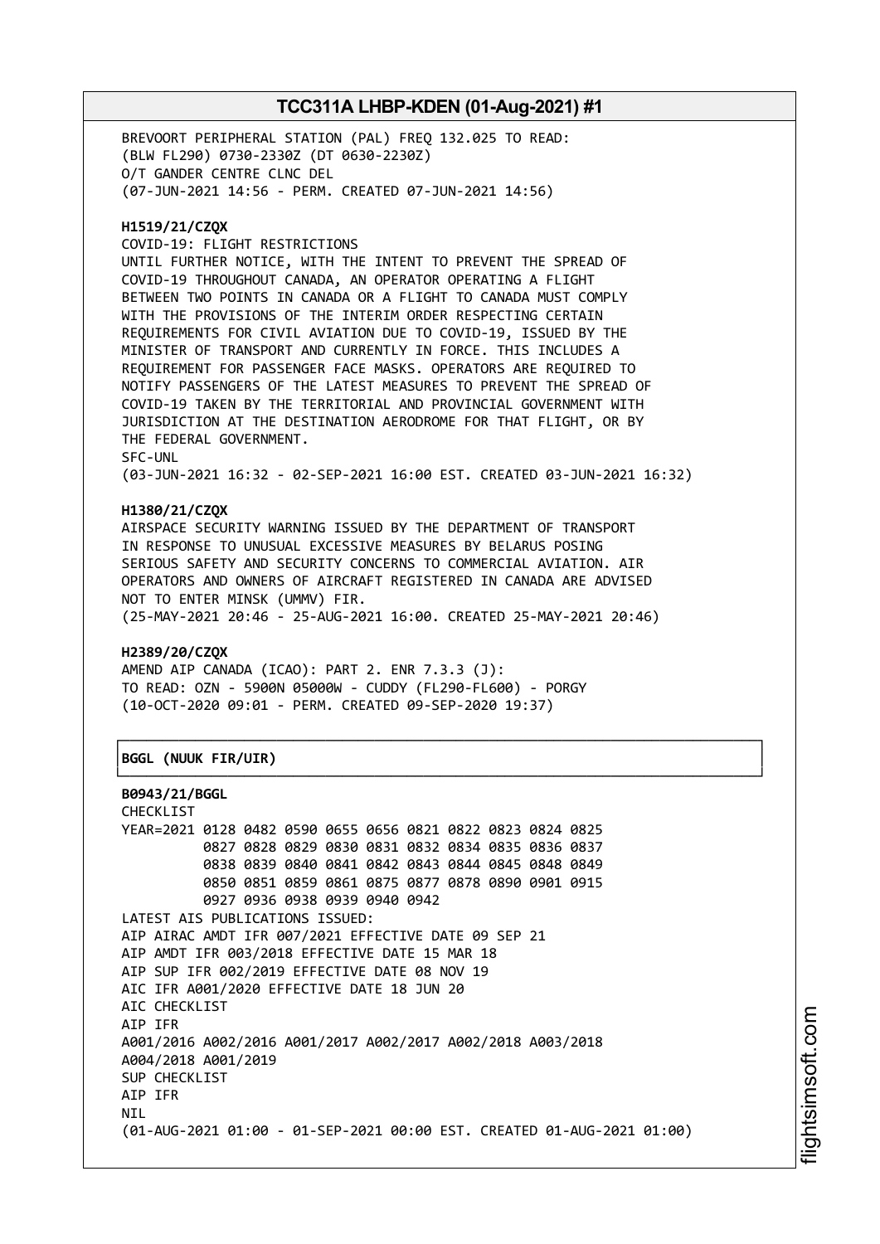BREVOORT PERIPHERAL STATION (PAL) FREQ 132.025 TO READ: (BLW FL290) 0730-2330Z (DT 0630-2230Z) O/T GANDER CENTRE CLNC DEL (07-JUN-2021 14:56 - PERM. CREATED 07-JUN-2021 14:56)

### **H1519/21/CZQX**

COVID-19: FLIGHT RESTRICTIONS

UNTIL FURTHER NOTICE, WITH THE INTENT TO PREVENT THE SPREAD OF COVID-19 THROUGHOUT CANADA, AN OPERATOR OPERATING A FLIGHT BETWEEN TWO POINTS IN CANADA OR A FLIGHT TO CANADA MUST COMPLY WITH THE PROVISIONS OF THE INTERIM ORDER RESPECTING CERTAIN REQUIREMENTS FOR CIVIL AVIATION DUE TO COVID-19, ISSUED BY THE MINISTER OF TRANSPORT AND CURRENTLY IN FORCE. THIS INCLUDES A REQUIREMENT FOR PASSENGER FACE MASKS. OPERATORS ARE REQUIRED TO NOTIFY PASSENGERS OF THE LATEST MEASURES TO PREVENT THE SPREAD OF COVID-19 TAKEN BY THE TERRITORIAL AND PROVINCIAL GOVERNMENT WITH JURISDICTION AT THE DESTINATION AERODROME FOR THAT FLIGHT, OR BY THE FEDERAL GOVERNMENT. SFC-UNL

(03-JUN-2021 16:32 - 02-SEP-2021 16:00 EST. CREATED 03-JUN-2021 16:32)

### **H1380/21/CZQX**

AIRSPACE SECURITY WARNING ISSUED BY THE DEPARTMENT OF TRANSPORT IN RESPONSE TO UNUSUAL EXCESSIVE MEASURES BY BELARUS POSING SERIOUS SAFETY AND SECURITY CONCERNS TO COMMERCIAL AVIATION. AIR OPERATORS AND OWNERS OF AIRCRAFT REGISTERED IN CANADA ARE ADVISED NOT TO ENTER MINSK (UMMV) FIR. (25-MAY-2021 20:46 - 25-AUG-2021 16:00. CREATED 25-MAY-2021 20:46)

┌──────────────────────────────────────────────────────────────────────────────┐

└──────────────────────────────────────────────────────────────────────────────┘

### **H2389/20/CZQX**

AMEND AIP CANADA (ICAO): PART 2. ENR 7.3.3 (J): TO READ: OZN - 5900N 05000W - CUDDY (FL290-FL600) - PORGY (10-OCT-2020 09:01 - PERM. CREATED 09-SEP-2020 19:37)

### │**BGGL (NUUK FIR/UIR)** │

```
B0943/21/BGGL
```
CHECKLIST YEAR=2021 0128 0482 0590 0655 0656 0821 0822 0823 0824 0825 0827 0828 0829 0830 0831 0832 0834 0835 0836 0837 0838 0839 0840 0841 0842 0843 0844 0845 0848 0849 0850 0851 0859 0861 0875 0877 0878 0890 0901 0915 0927 0936 0938 0939 0940 0942 LATEST AIS PUBLICATIONS ISSUED: AIP AIRAC AMDT IFR 007/2021 EFFECTIVE DATE 09 SEP 21 AIP AMDT IFR 003/2018 EFFECTIVE DATE 15 MAR 18 AIP SUP IFR 002/2019 EFFECTIVE DATE 08 NOV 19 AIC IFR A001/2020 EFFECTIVE DATE 18 JUN 20 AIC CHECKLIST AIP IFR A001/2016 A002/2016 A001/2017 A002/2017 A002/2018 A003/2018 A004/2018 A001/2019 SUP CHECKLIST AIP IFR **NTI** (01-AUG-2021 01:00 - 01-SEP-2021 00:00 EST. CREATED 01-AUG-2021 01:00)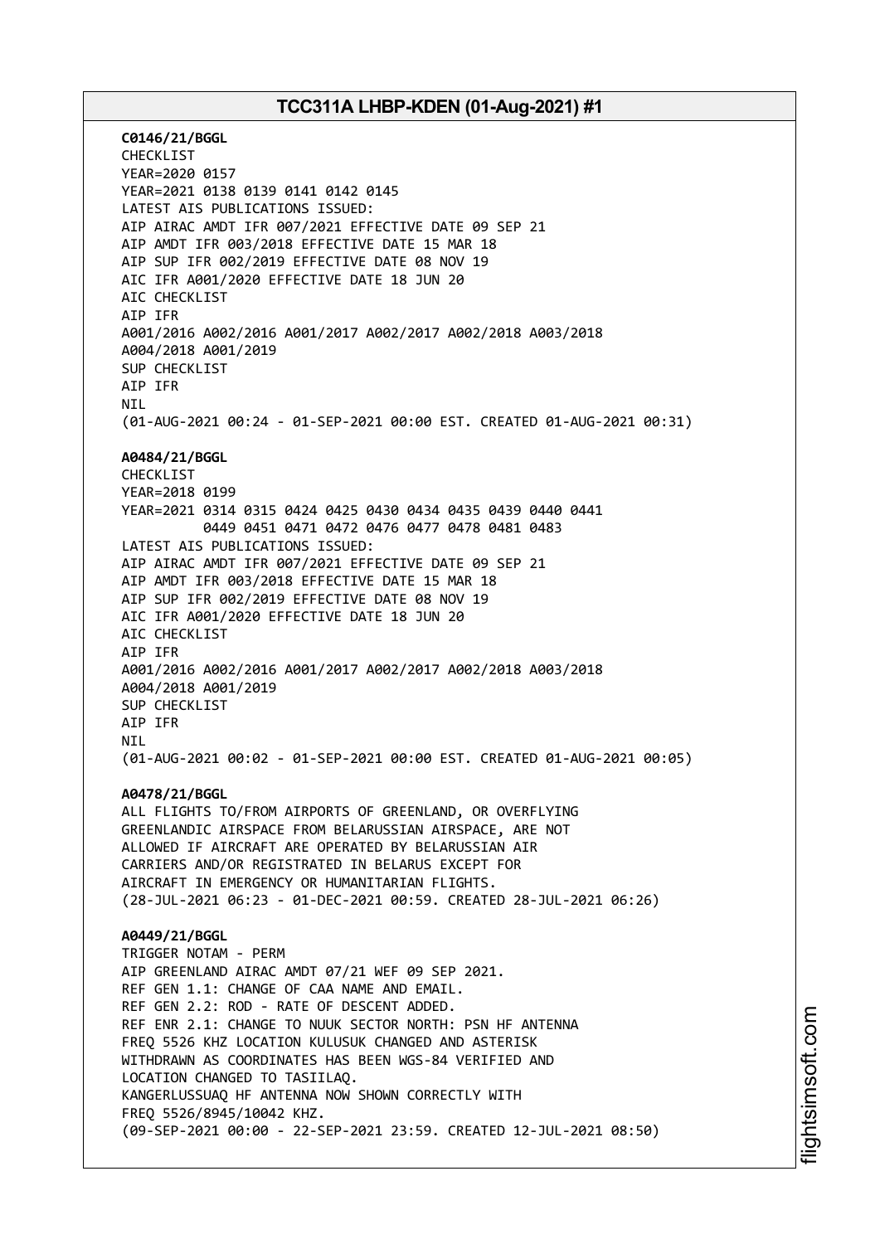**C0146/21/BGGL** CHECKLIST YEAR=2020 0157 YEAR=2021 0138 0139 0141 0142 0145 LATEST AIS PUBLICATIONS ISSUED: AIP AIRAC AMDT IFR 007/2021 EFFECTIVE DATE 09 SEP 21 AIP AMDT IFR 003/2018 EFFECTIVE DATE 15 MAR 18 AIP SUP IFR 002/2019 EFFECTIVE DATE 08 NOV 19 AIC IFR A001/2020 EFFECTIVE DATE 18 JUN 20 AIC CHECKLIST AIP IFR A001/2016 A002/2016 A001/2017 A002/2017 A002/2018 A003/2018 A004/2018 A001/2019 SUP CHECKLIST AIP IFR **NTI** (01-AUG-2021 00:24 - 01-SEP-2021 00:00 EST. CREATED 01-AUG-2021 00:31) **A0484/21/BGGL** CHECKLIST YEAR=2018 0199 YEAR=2021 0314 0315 0424 0425 0430 0434 0435 0439 0440 0441 0449 0451 0471 0472 0476 0477 0478 0481 0483 LATEST AIS PUBLICATIONS ISSUED: AIP AIRAC AMDT IFR 007/2021 EFFECTIVE DATE 09 SEP 21 AIP AMDT IFR 003/2018 EFFECTIVE DATE 15 MAR 18 AIP SUP IFR 002/2019 EFFECTIVE DATE 08 NOV 19 AIC IFR A001/2020 EFFECTIVE DATE 18 JUN 20 AIC CHECKLIST AIP IFR A001/2016 A002/2016 A001/2017 A002/2017 A002/2018 A003/2018 A004/2018 A001/2019 SUP CHECKLIST AIP IFR NIL (01-AUG-2021 00:02 - 01-SEP-2021 00:00 EST. CREATED 01-AUG-2021 00:05) **A0478/21/BGGL** ALL FLIGHTS TO/FROM AIRPORTS OF GREENLAND, OR OVERFLYING GREENLANDIC AIRSPACE FROM BELARUSSIAN AIRSPACE, ARE NOT ALLOWED IF AIRCRAFT ARE OPERATED BY BELARUSSIAN AIR CARRIERS AND/OR REGISTRATED IN BELARUS EXCEPT FOR AIRCRAFT IN EMERGENCY OR HUMANITARIAN FLIGHTS. (28-JUL-2021 06:23 - 01-DEC-2021 00:59. CREATED 28-JUL-2021 06:26) **A0449/21/BGGL** TRIGGER NOTAM - PERM AIP GREENLAND AIRAC AMDT 07/21 WEF 09 SEP 2021. REF GEN 1.1: CHANGE OF CAA NAME AND EMAIL. REF GEN 2.2: ROD - RATE OF DESCENT ADDED. REF ENR 2.1: CHANGE TO NUUK SECTOR NORTH: PSN HF ANTENNA FREQ 5526 KHZ LOCATION KULUSUK CHANGED AND ASTERISK WITHDRAWN AS COORDINATES HAS BEEN WGS-84 VERIFIED AND LOCATION CHANGED TO TASIILAQ. KANGERLUSSUAQ HF ANTENNA NOW SHOWN CORRECTLY WITH FREQ 5526/8945/10042 KHZ. (09-SEP-2021 00:00 - 22-SEP-2021 23:59. CREATED 12-JUL-2021 08:50)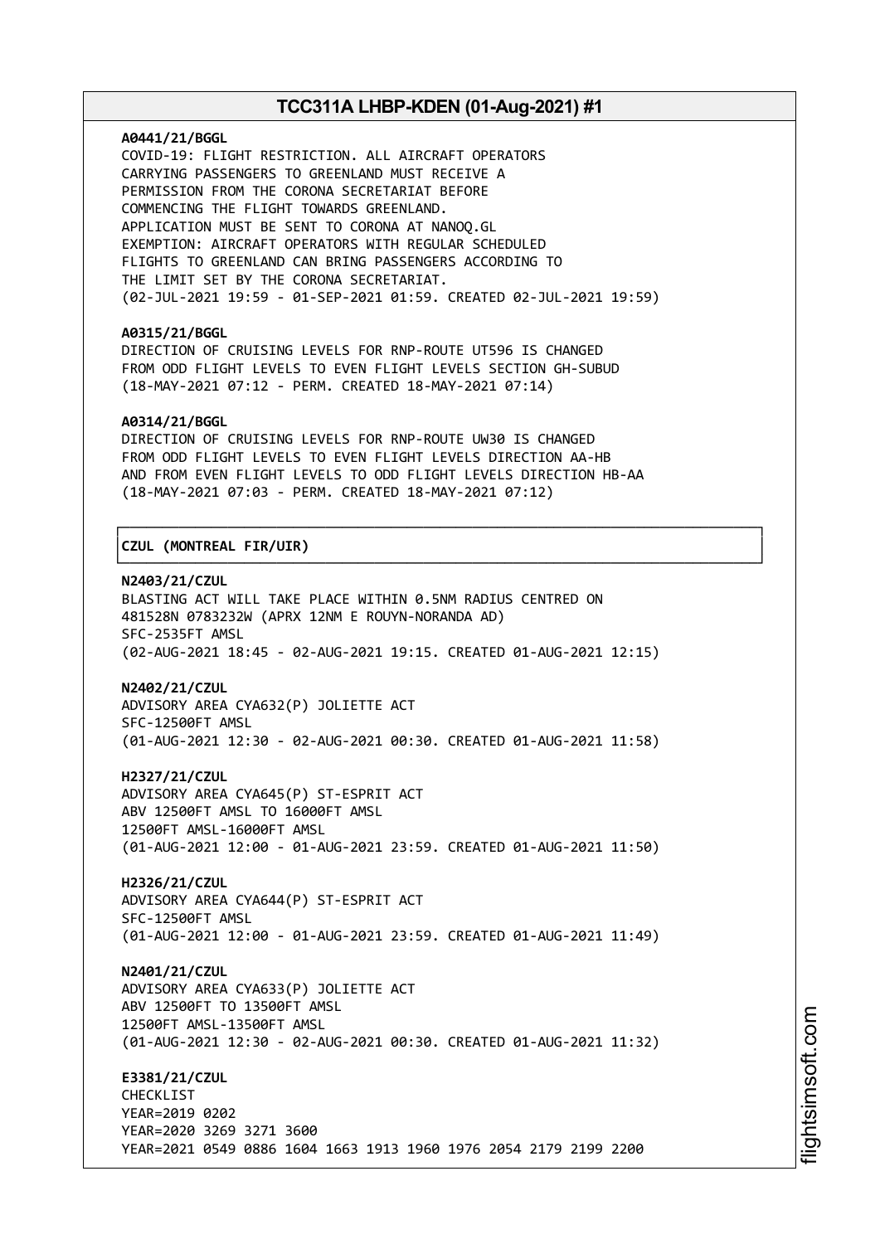#### **A0441/21/BGGL**

COVID-19: FLIGHT RESTRICTION. ALL AIRCRAFT OPERATORS CARRYING PASSENGERS TO GREENLAND MUST RECEIVE A PERMISSION FROM THE CORONA SECRETARIAT BEFORE COMMENCING THE FLIGHT TOWARDS GREENLAND. APPLICATION MUST BE SENT TO CORONA AT NANOQ.GL EXEMPTION: AIRCRAFT OPERATORS WITH REGULAR SCHEDULED FLIGHTS TO GREENLAND CAN BRING PASSENGERS ACCORDING TO THE LIMIT SET BY THE CORONA SECRETARIAT. (02-JUL-2021 19:59 - 01-SEP-2021 01:59. CREATED 02-JUL-2021 19:59)

#### **A0315/21/BGGL**

DIRECTION OF CRUISING LEVELS FOR RNP-ROUTE UT596 IS CHANGED FROM ODD FLIGHT LEVELS TO EVEN FLIGHT LEVELS SECTION GH-SUBUD (18-MAY-2021 07:12 - PERM. CREATED 18-MAY-2021 07:14)

### **A0314/21/BGGL**

DIRECTION OF CRUISING LEVELS FOR RNP-ROUTE UW30 IS CHANGED FROM ODD FLIGHT LEVELS TO EVEN FLIGHT LEVELS DIRECTION AA-HB AND FROM EVEN FLIGHT LEVELS TO ODD FLIGHT LEVELS DIRECTION HB-AA (18-MAY-2021 07:03 - PERM. CREATED 18-MAY-2021 07:12)

┌──────────────────────────────────────────────────────────────────────────────┐

└──────────────────────────────────────────────────────────────────────────────┘

### │**CZUL (MONTREAL FIR/UIR)** │

### **N2403/21/CZUL**

BLASTING ACT WILL TAKE PLACE WITHIN 0.5NM RADIUS CENTRED ON 481528N 0783232W (APRX 12NM E ROUYN-NORANDA AD) SFC-2535FT AMSL (02-AUG-2021 18:45 - 02-AUG-2021 19:15. CREATED 01-AUG-2021 12:15)

#### **N2402/21/CZUL**

ADVISORY AREA CYA632(P) JOLIETTE ACT SFC-12500FT AMSL (01-AUG-2021 12:30 - 02-AUG-2021 00:30. CREATED 01-AUG-2021 11:58)

**H2327/21/CZUL** ADVISORY AREA CYA645(P) ST-ESPRIT ACT ABV 12500FT AMSL TO 16000FT AMSL 12500FT AMSL-16000FT AMSL (01-AUG-2021 12:00 - 01-AUG-2021 23:59. CREATED 01-AUG-2021 11:50)

**H2326/21/CZUL** ADVISORY AREA CYA644(P) ST-ESPRIT ACT SFC-12500FT AMSL (01-AUG-2021 12:00 - 01-AUG-2021 23:59. CREATED 01-AUG-2021 11:49)

**N2401/21/CZUL** ADVISORY AREA CYA633(P) JOLIETTE ACT ABV 12500FT TO 13500FT AMSL 12500FT AMSL-13500FT AMSL (01-AUG-2021 12:30 - 02-AUG-2021 00:30. CREATED 01-AUG-2021 11:32)

**E3381/21/CZUL** CHECKLIST YEAR=2019 0202 YEAR=2020 3269 3271 3600 YEAR=2021 0549 0886 1604 1663 1913 1960 1976 2054 2179 2199 2200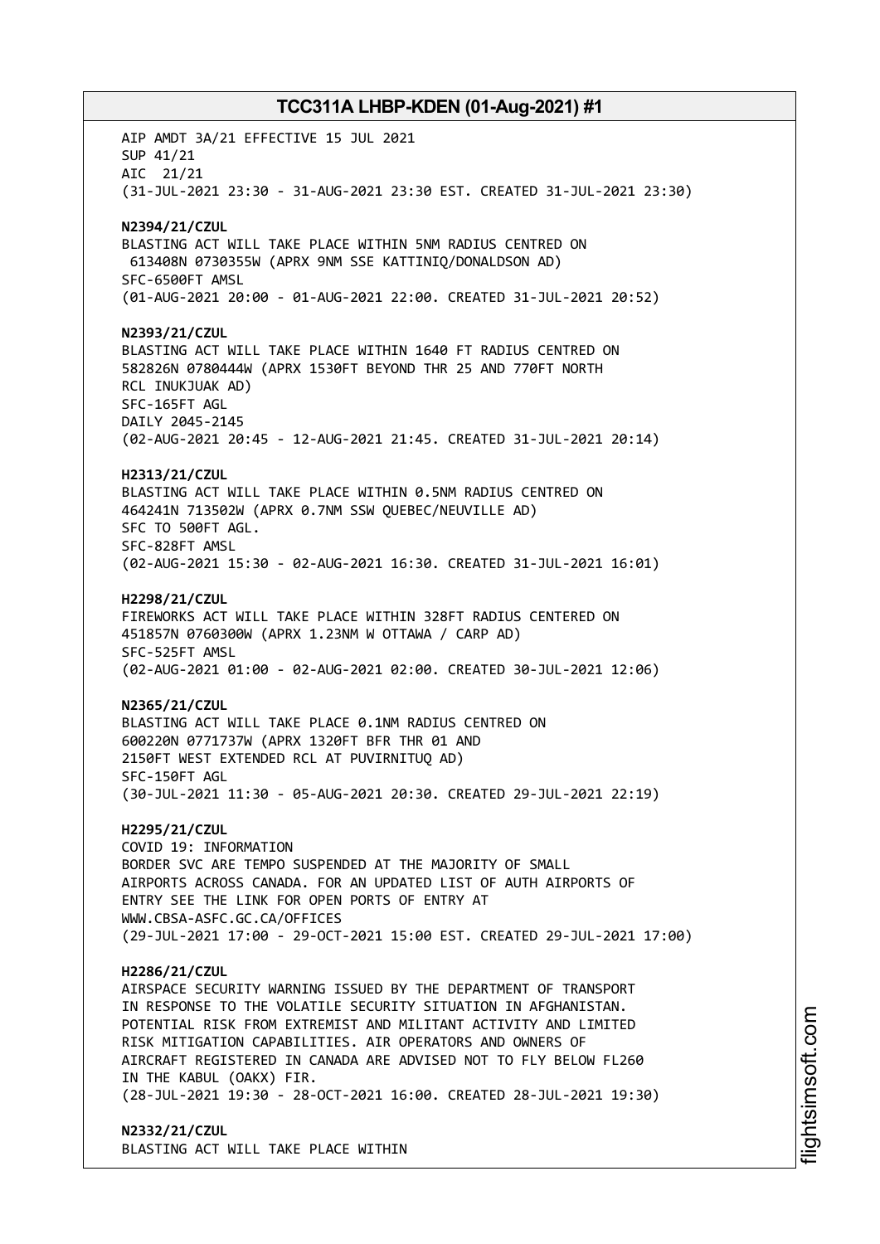AIP AMDT 3A/21 EFFECTIVE 15 JUL 2021 SUP 41/21 AIC 21/21 (31-JUL-2021 23:30 - 31-AUG-2021 23:30 EST. CREATED 31-JUL-2021 23:30) **N2394/21/CZUL** BLASTING ACT WILL TAKE PLACE WITHIN 5NM RADIUS CENTRED ON 613408N 0730355W (APRX 9NM SSE KATTINIQ/DONALDSON AD) SFC-6500FT AMSL (01-AUG-2021 20:00 - 01-AUG-2021 22:00. CREATED 31-JUL-2021 20:52) **N2393/21/CZUL** BLASTING ACT WILL TAKE PLACE WITHIN 1640 FT RADIUS CENTRED ON 582826N 0780444W (APRX 1530FT BEYOND THR 25 AND 770FT NORTH RCL INUKJUAK AD) SFC-165FT AGL DAILY 2045-2145 (02-AUG-2021 20:45 - 12-AUG-2021 21:45. CREATED 31-JUL-2021 20:14) **H2313/21/CZUL** BLASTING ACT WILL TAKE PLACE WITHIN 0.5NM RADIUS CENTRED ON 464241N 713502W (APRX 0.7NM SSW QUEBEC/NEUVILLE AD) SFC TO 500FT AGL. SFC-828FT AMSL (02-AUG-2021 15:30 - 02-AUG-2021 16:30. CREATED 31-JUL-2021 16:01) **H2298/21/CZUL** FIREWORKS ACT WILL TAKE PLACE WITHIN 328FT RADIUS CENTERED ON 451857N 0760300W (APRX 1.23NM W OTTAWA / CARP AD) SFC-525FT AMSL (02-AUG-2021 01:00 - 02-AUG-2021 02:00. CREATED 30-JUL-2021 12:06) **N2365/21/CZUL** BLASTING ACT WILL TAKE PLACE 0.1NM RADIUS CENTRED ON 600220N 0771737W (APRX 1320FT BFR THR 01 AND 2150FT WEST EXTENDED RCL AT PUVIRNITUQ AD) SFC-150FT AGL (30-JUL-2021 11:30 - 05-AUG-2021 20:30. CREATED 29-JUL-2021 22:19) **H2295/21/CZUL** COVID 19: INFORMATION BORDER SVC ARE TEMPO SUSPENDED AT THE MAJORITY OF SMALL AIRPORTS ACROSS CANADA. FOR AN UPDATED LIST OF AUTH AIRPORTS OF ENTRY SEE THE LINK FOR OPEN PORTS OF ENTRY AT WWW.CBSA-ASFC.GC.CA/OFFICES (29-JUL-2021 17:00 - 29-OCT-2021 15:00 EST. CREATED 29-JUL-2021 17:00) **H2286/21/CZUL** AIRSPACE SECURITY WARNING ISSUED BY THE DEPARTMENT OF TRANSPORT IN RESPONSE TO THE VOLATILE SECURITY SITUATION IN AFGHANISTAN. POTENTIAL RISK FROM EXTREMIST AND MILITANT ACTIVITY AND LIMITED RISK MITIGATION CAPABILITIES. AIR OPERATORS AND OWNERS OF AIRCRAFT REGISTERED IN CANADA ARE ADVISED NOT TO FLY BELOW FL260 IN THE KABUL (OAKX) FIR. (28-JUL-2021 19:30 - 28-OCT-2021 16:00. CREATED 28-JUL-2021 19:30) **N2332/21/CZUL** BLASTING ACT WILL TAKE PLACE WITHIN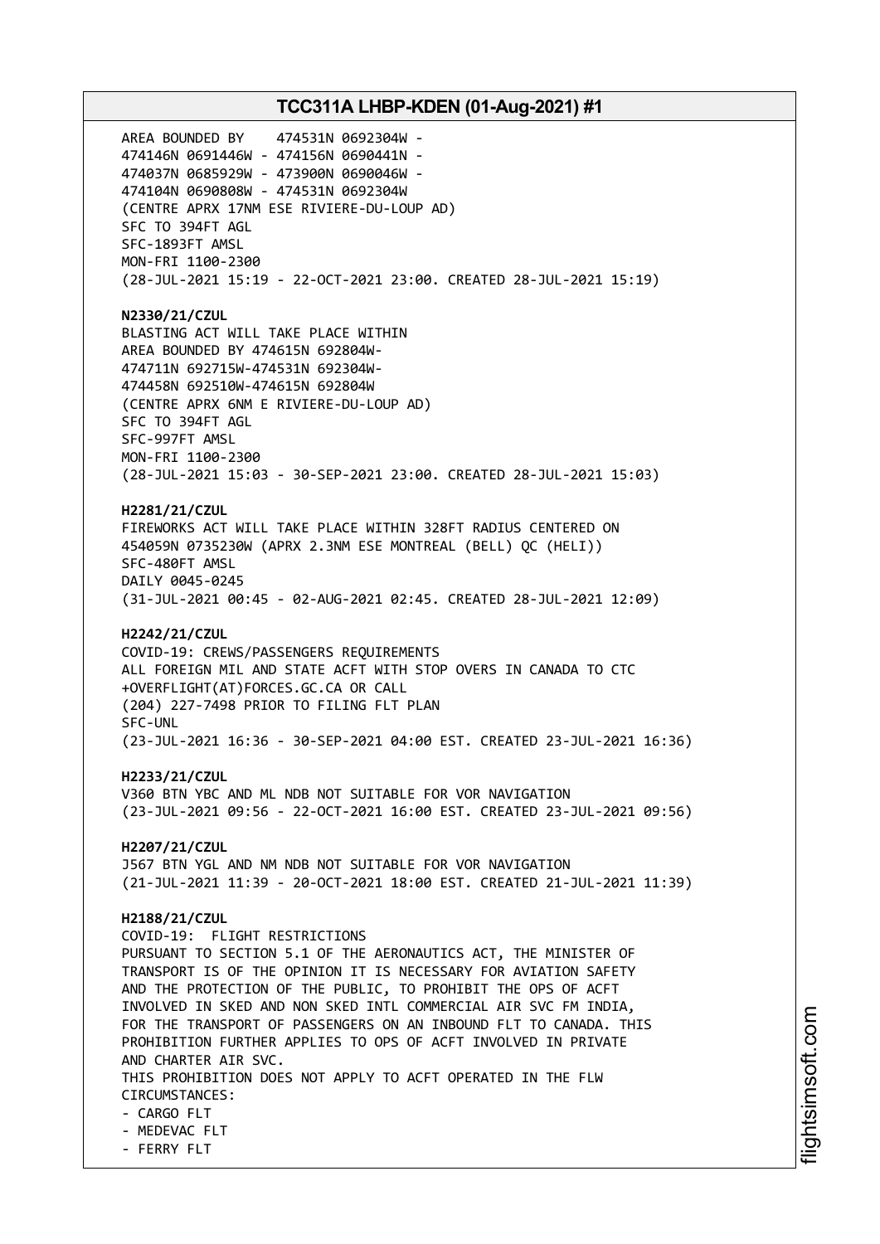AREA BOUNDED BY 474531N 0692304W - 474146N 0691446W - 474156N 0690441N - 474037N 0685929W - 473900N 0690046W - 474104N 0690808W - 474531N 0692304W (CENTRE APRX 17NM ESE RIVIERE-DU-LOUP AD) SFC TO 394FT AGL SFC-1893FT AMSL MON-FRI 1100-2300 (28-JUL-2021 15:19 - 22-OCT-2021 23:00. CREATED 28-JUL-2021 15:19) **N2330/21/CZUL** BLASTING ACT WILL TAKE PLACE WITHIN AREA BOUNDED BY 474615N 692804W-474711N 692715W-474531N 692304W-474458N 692510W-474615N 692804W (CENTRE APRX 6NM E RIVIERE-DU-LOUP AD) SFC TO 394FT AGL SFC-997FT AMSL MON-FRI 1100-2300 (28-JUL-2021 15:03 - 30-SEP-2021 23:00. CREATED 28-JUL-2021 15:03) **H2281/21/CZUL** FIREWORKS ACT WILL TAKE PLACE WITHIN 328FT RADIUS CENTERED ON 454059N 0735230W (APRX 2.3NM ESE MONTREAL (BELL) QC (HELI)) SFC-480FT AMSL DAILY 0045-0245 (31-JUL-2021 00:45 - 02-AUG-2021 02:45. CREATED 28-JUL-2021 12:09) **H2242/21/CZUL** COVID-19: CREWS/PASSENGERS REQUIREMENTS ALL FOREIGN MIL AND STATE ACFT WITH STOP OVERS IN CANADA TO CTC +OVERFLIGHT(AT)FORCES.GC.CA OR CALL (204) 227-7498 PRIOR TO FILING FLT PLAN SFC-UNL (23-JUL-2021 16:36 - 30-SEP-2021 04:00 EST. CREATED 23-JUL-2021 16:36) **H2233/21/CZUL** V360 BTN YBC AND ML NDB NOT SUITABLE FOR VOR NAVIGATION (23-JUL-2021 09:56 - 22-OCT-2021 16:00 EST. CREATED 23-JUL-2021 09:56) **H2207/21/CZUL** J567 BTN YGL AND NM NDB NOT SUITABLE FOR VOR NAVIGATION (21-JUL-2021 11:39 - 20-OCT-2021 18:00 EST. CREATED 21-JUL-2021 11:39) **H2188/21/CZUL** COVID-19: FLIGHT RESTRICTIONS PURSUANT TO SECTION 5.1 OF THE AERONAUTICS ACT, THE MINISTER OF TRANSPORT IS OF THE OPINION IT IS NECESSARY FOR AVIATION SAFETY AND THE PROTECTION OF THE PUBLIC, TO PROHIBIT THE OPS OF ACFT INVOLVED IN SKED AND NON SKED INTL COMMERCIAL AIR SVC FM INDIA, FOR THE TRANSPORT OF PASSENGERS ON AN INBOUND FLT TO CANADA. THIS PROHIBITION FURTHER APPLIES TO OPS OF ACFT INVOLVED IN PRIVATE AND CHARTER AIR SVC. THIS PROHIBITION DOES NOT APPLY TO ACFT OPERATED IN THE FLW CIRCUMSTANCES: - CARGO FLT - MEDEVAC FLT - FERRY FLT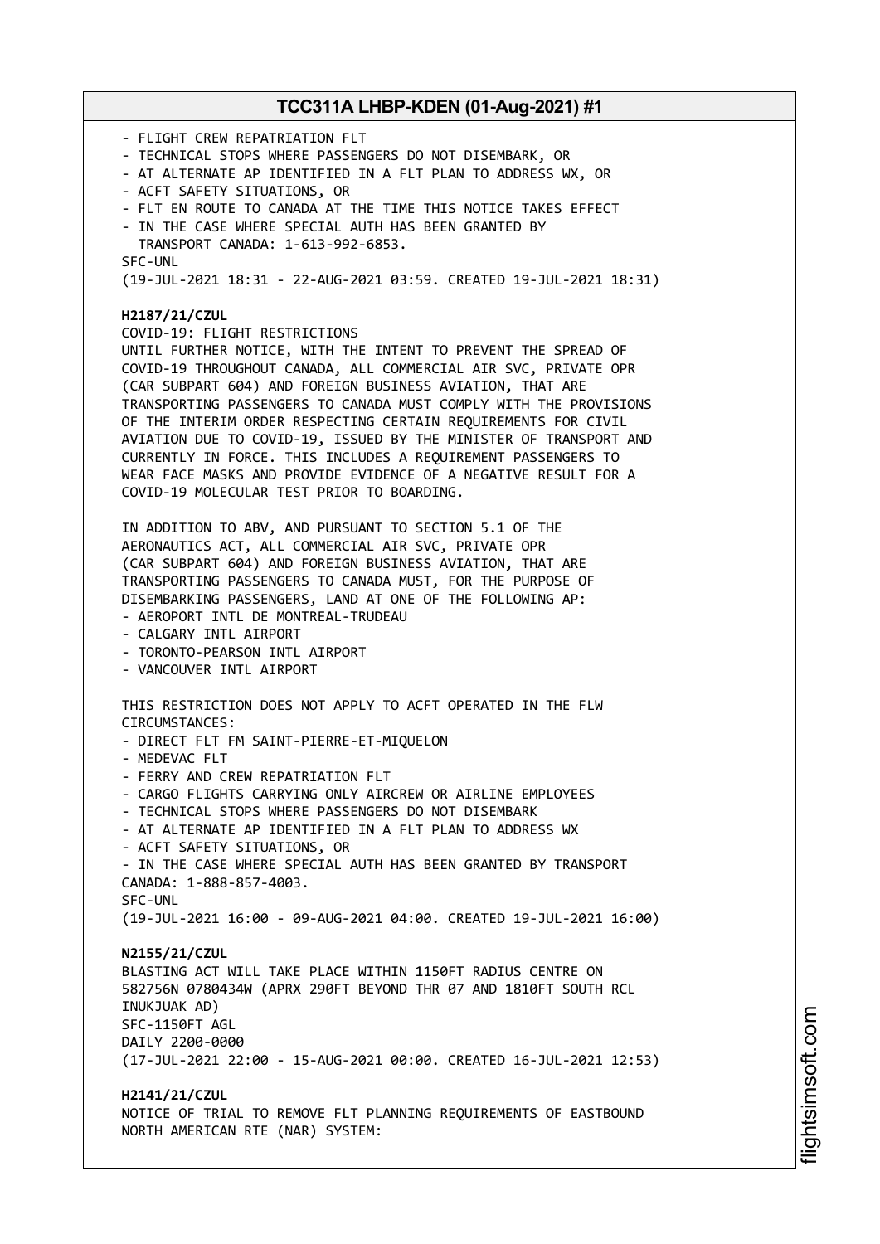- FLIGHT CREW REPATRIATION FLT - TECHNICAL STOPS WHERE PASSENGERS DO NOT DISEMBARK, OR - AT ALTERNATE AP IDENTIFIED IN A FLT PLAN TO ADDRESS WX, OR - ACFT SAFETY SITUATIONS, OR - FLT EN ROUTE TO CANADA AT THE TIME THIS NOTICE TAKES EFFECT - IN THE CASE WHERE SPECIAL AUTH HAS BEEN GRANTED BY TRANSPORT CANADA: 1-613-992-6853. SFC-UNL (19-JUL-2021 18:31 - 22-AUG-2021 03:59. CREATED 19-JUL-2021 18:31) **H2187/21/CZUL** COVID-19: FLIGHT RESTRICTIONS UNTIL FURTHER NOTICE, WITH THE INTENT TO PREVENT THE SPREAD OF COVID-19 THROUGHOUT CANADA, ALL COMMERCIAL AIR SVC, PRIVATE OPR (CAR SUBPART 604) AND FOREIGN BUSINESS AVIATION, THAT ARE TRANSPORTING PASSENGERS TO CANADA MUST COMPLY WITH THE PROVISIONS OF THE INTERIM ORDER RESPECTING CERTAIN REQUIREMENTS FOR CIVIL AVIATION DUE TO COVID-19, ISSUED BY THE MINISTER OF TRANSPORT AND CURRENTLY IN FORCE. THIS INCLUDES A REQUIREMENT PASSENGERS TO WEAR FACE MASKS AND PROVIDE EVIDENCE OF A NEGATIVE RESULT FOR A COVID-19 MOLECULAR TEST PRIOR TO BOARDING. IN ADDITION TO ABV, AND PURSUANT TO SECTION 5.1 OF THE AERONAUTICS ACT, ALL COMMERCIAL AIR SVC, PRIVATE OPR (CAR SUBPART 604) AND FOREIGN BUSINESS AVIATION, THAT ARE TRANSPORTING PASSENGERS TO CANADA MUST, FOR THE PURPOSE OF DISEMBARKING PASSENGERS, LAND AT ONE OF THE FOLLOWING AP: - AEROPORT INTL DE MONTREAL-TRUDEAU - CALGARY INTL AIRPORT - TORONTO-PEARSON INTL AIRPORT - VANCOUVER INTL AIRPORT THIS RESTRICTION DOES NOT APPLY TO ACFT OPERATED IN THE FLW CIRCUMSTANCES: - DIRECT FLT FM SAINT-PIERRE-ET-MIQUELON - MEDEVAC FLT - FERRY AND CREW REPATRIATION FLT - CARGO FLIGHTS CARRYING ONLY AIRCREW OR AIRLINE EMPLOYEES - TECHNICAL STOPS WHERE PASSENGERS DO NOT DISEMBARK - AT ALTERNATE AP IDENTIFIED IN A FLT PLAN TO ADDRESS WX - ACFT SAFETY SITUATIONS, OR - IN THE CASE WHERE SPECIAL AUTH HAS BEEN GRANTED BY TRANSPORT CANADA: 1-888-857-4003. SFC-UNL (19-JUL-2021 16:00 - 09-AUG-2021 04:00. CREATED 19-JUL-2021 16:00) **N2155/21/CZUL** BLASTING ACT WILL TAKE PLACE WITHIN 1150FT RADIUS CENTRE ON 582756N 0780434W (APRX 290FT BEYOND THR 07 AND 1810FT SOUTH RCL INUKJUAK AD) SFC-1150FT AGL DAILY 2200-0000 (17-JUL-2021 22:00 - 15-AUG-2021 00:00. CREATED 16-JUL-2021 12:53) **H2141/21/CZUL** NOTICE OF TRIAL TO REMOVE FLT PLANNING REQUIREMENTS OF EASTBOUND NORTH AMERICAN RTE (NAR) SYSTEM: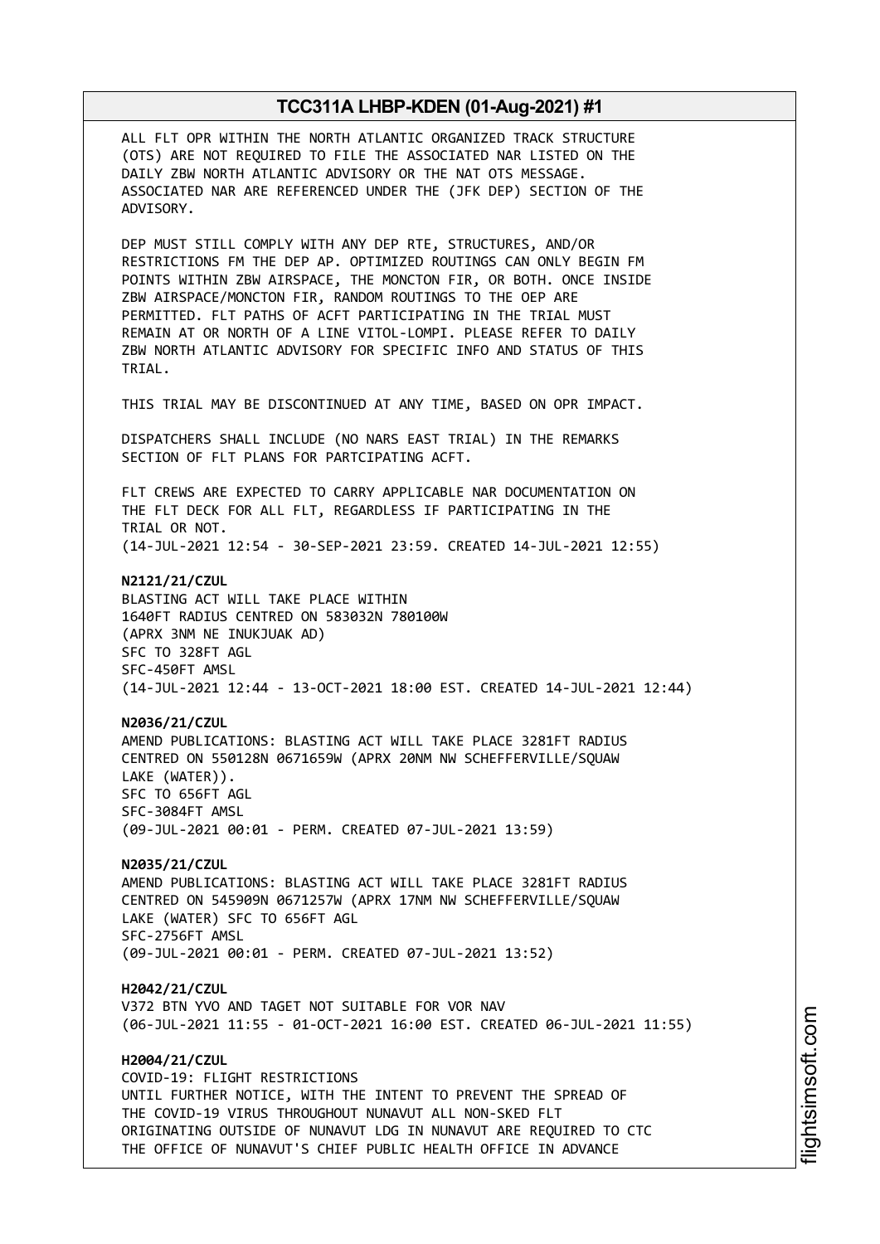ALL FLT OPR WITHIN THE NORTH ATLANTIC ORGANIZED TRACK STRUCTURE (OTS) ARE NOT REQUIRED TO FILE THE ASSOCIATED NAR LISTED ON THE DAILY ZBW NORTH ATLANTIC ADVISORY OR THE NAT OTS MESSAGE. ASSOCIATED NAR ARE REFERENCED UNDER THE (JFK DEP) SECTION OF THE ADVISORY.

DEP MUST STILL COMPLY WITH ANY DEP RTE, STRUCTURES, AND/OR RESTRICTIONS FM THE DEP AP. OPTIMIZED ROUTINGS CAN ONLY BEGIN FM POINTS WITHIN ZBW AIRSPACE, THE MONCTON FIR, OR BOTH. ONCE INSIDE ZBW AIRSPACE/MONCTON FIR, RANDOM ROUTINGS TO THE OEP ARE PERMITTED. FLT PATHS OF ACFT PARTICIPATING IN THE TRIAL MUST REMAIN AT OR NORTH OF A LINE VITOL-LOMPI. PLEASE REFER TO DAILY ZBW NORTH ATLANTIC ADVISORY FOR SPECIFIC INFO AND STATUS OF THIS TRIAL.

THIS TRIAL MAY BE DISCONTINUED AT ANY TIME, BASED ON OPR IMPACT.

DISPATCHERS SHALL INCLUDE (NO NARS EAST TRIAL) IN THE REMARKS SECTION OF FLT PLANS FOR PARTCIPATING ACFT.

FLT CREWS ARE EXPECTED TO CARRY APPLICABLE NAR DOCUMENTATION ON THE FLT DECK FOR ALL FLT, REGARDLESS IF PARTICIPATING IN THE TRIAL OR NOT. (14-JUL-2021 12:54 - 30-SEP-2021 23:59. CREATED 14-JUL-2021 12:55)

**N2121/21/CZUL** BLASTING ACT WILL TAKE PLACE WITHIN 1640FT RADIUS CENTRED ON 583032N 780100W (APRX 3NM NE INUKJUAK AD) SFC TO 328FT AGL SFC-450FT AMSL (14-JUL-2021 12:44 - 13-OCT-2021 18:00 EST. CREATED 14-JUL-2021 12:44)

**N2036/21/CZUL** AMEND PUBLICATIONS: BLASTING ACT WILL TAKE PLACE 3281FT RADIUS CENTRED ON 550128N 0671659W (APRX 20NM NW SCHEFFERVILLE/SQUAW LAKE (WATER)). SFC TO 656FT AGL SFC-3084FT AMSL (09-JUL-2021 00:01 - PERM. CREATED 07-JUL-2021 13:59)

**N2035/21/CZUL** AMEND PUBLICATIONS: BLASTING ACT WILL TAKE PLACE 3281FT RADIUS CENTRED ON 545909N 0671257W (APRX 17NM NW SCHEFFERVILLE/SQUAW LAKE (WATER) SFC TO 656FT AGL SFC-2756FT AMSL (09-JUL-2021 00:01 - PERM. CREATED 07-JUL-2021 13:52)

**H2042/21/CZUL** V372 BTN YVO AND TAGET NOT SUITABLE FOR VOR NAV (06-JUL-2021 11:55 - 01-OCT-2021 16:00 EST. CREATED 06-JUL-2021 11:55)

**H2004/21/CZUL** COVID-19: FLIGHT RESTRICTIONS UNTIL FURTHER NOTICE, WITH THE INTENT TO PREVENT THE SPREAD OF THE COVID-19 VIRUS THROUGHOUT NUNAVUT ALL NON-SKED FLT ORIGINATING OUTSIDE OF NUNAVUT LDG IN NUNAVUT ARE REQUIRED TO CTC THE OFFICE OF NUNAVUT'S CHIEF PUBLIC HEALTH OFFICE IN ADVANCE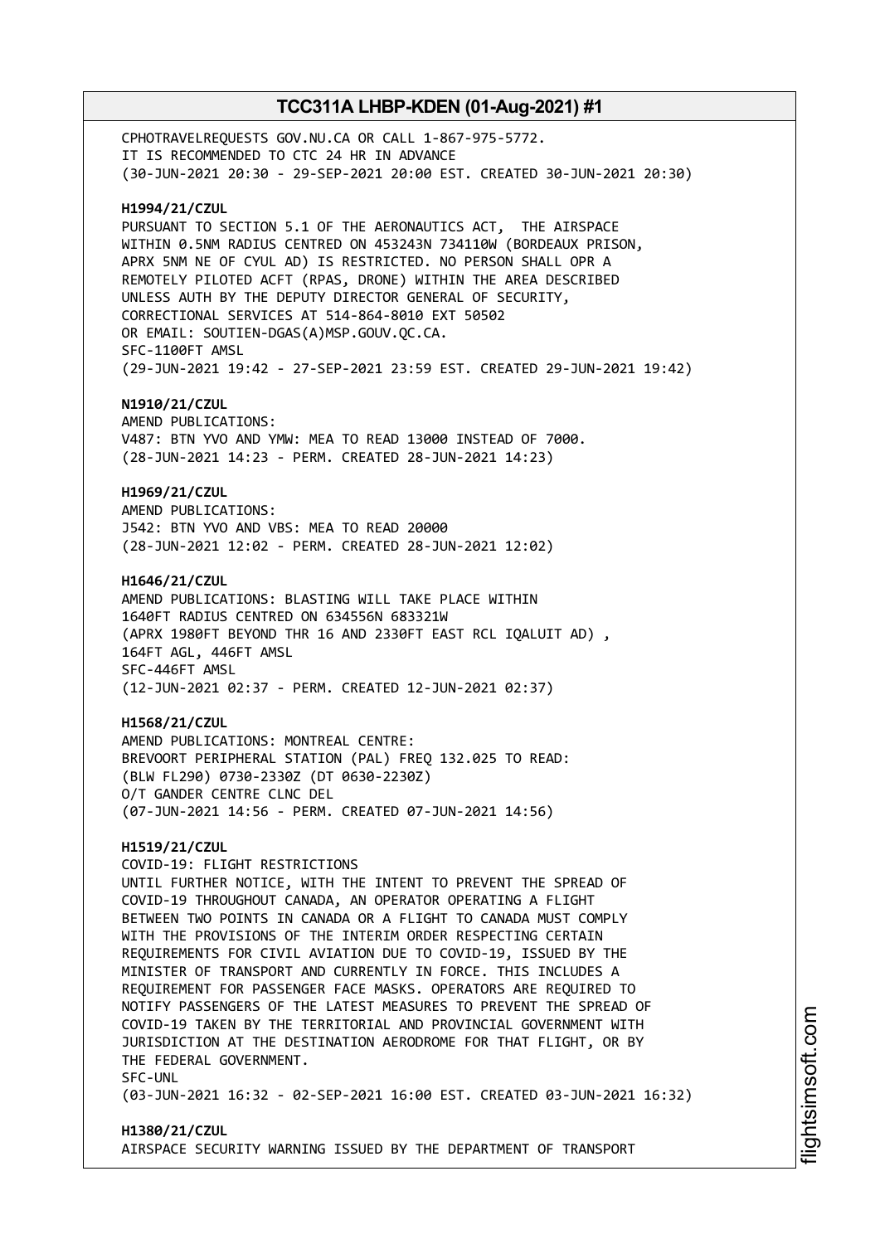CPHOTRAVELREQUESTS GOV.NU.CA OR CALL 1-867-975-5772. IT IS RECOMMENDED TO CTC 24 HR IN ADVANCE (30-JUN-2021 20:30 - 29-SEP-2021 20:00 EST. CREATED 30-JUN-2021 20:30) **H1994/21/CZUL** PURSUANT TO SECTION 5.1 OF THE AERONAUTICS ACT, THE AIRSPACE WITHIN 0.5NM RADIUS CENTRED ON 453243N 734110W (BORDEAUX PRISON, APRX 5NM NE OF CYUL AD) IS RESTRICTED. NO PERSON SHALL OPR A REMOTELY PILOTED ACFT (RPAS, DRONE) WITHIN THE AREA DESCRIBED UNLESS AUTH BY THE DEPUTY DIRECTOR GENERAL OF SECURITY, CORRECTIONAL SERVICES AT 514-864-8010 EXT 50502 OR EMAIL: SOUTIEN-DGAS(A)MSP.GOUV.QC.CA. SFC-1100FT AMSL (29-JUN-2021 19:42 - 27-SEP-2021 23:59 EST. CREATED 29-JUN-2021 19:42) **N1910/21/CZUL** AMEND PUBLICATIONS: V487: BTN YVO AND YMW: MEA TO READ 13000 INSTEAD OF 7000. (28-JUN-2021 14:23 - PERM. CREATED 28-JUN-2021 14:23) **H1969/21/CZUL** AMEND PUBLICATIONS: J542: BTN YVO AND VBS: MEA TO READ 20000 (28-JUN-2021 12:02 - PERM. CREATED 28-JUN-2021 12:02) **H1646/21/CZUL** AMEND PUBLICATIONS: BLASTING WILL TAKE PLACE WITHIN 1640FT RADIUS CENTRED ON 634556N 683321W (APRX 1980FT BEYOND THR 16 AND 2330FT EAST RCL IQALUIT AD) , 164FT AGL, 446FT AMSL SFC-446FT AMSL (12-JUN-2021 02:37 - PERM. CREATED 12-JUN-2021 02:37) **H1568/21/CZUL** AMEND PUBLICATIONS: MONTREAL CENTRE: BREVOORT PERIPHERAL STATION (PAL) FREQ 132.025 TO READ: (BLW FL290) 0730-2330Z (DT 0630-2230Z) O/T GANDER CENTRE CLNC DEL (07-JUN-2021 14:56 - PERM. CREATED 07-JUN-2021 14:56) **H1519/21/CZUL** COVID-19: FLIGHT RESTRICTIONS UNTIL FURTHER NOTICE, WITH THE INTENT TO PREVENT THE SPREAD OF COVID-19 THROUGHOUT CANADA, AN OPERATOR OPERATING A FLIGHT BETWEEN TWO POINTS IN CANADA OR A FLIGHT TO CANADA MUST COMPLY WITH THE PROVISIONS OF THE INTERIM ORDER RESPECTING CERTAIN REQUIREMENTS FOR CIVIL AVIATION DUE TO COVID-19, ISSUED BY THE MINISTER OF TRANSPORT AND CURRENTLY IN FORCE. THIS INCLUDES A REQUIREMENT FOR PASSENGER FACE MASKS. OPERATORS ARE REQUIRED TO NOTIFY PASSENGERS OF THE LATEST MEASURES TO PREVENT THE SPREAD OF COVID-19 TAKEN BY THE TERRITORIAL AND PROVINCIAL GOVERNMENT WITH JURISDICTION AT THE DESTINATION AERODROME FOR THAT FLIGHT, OR BY THE FEDERAL GOVERNMENT. SFC-UNL (03-JUN-2021 16:32 - 02-SEP-2021 16:00 EST. CREATED 03-JUN-2021 16:32)

### **H1380/21/CZUL** AIRSPACE SECURITY WARNING ISSUED BY THE DEPARTMENT OF TRANSPORT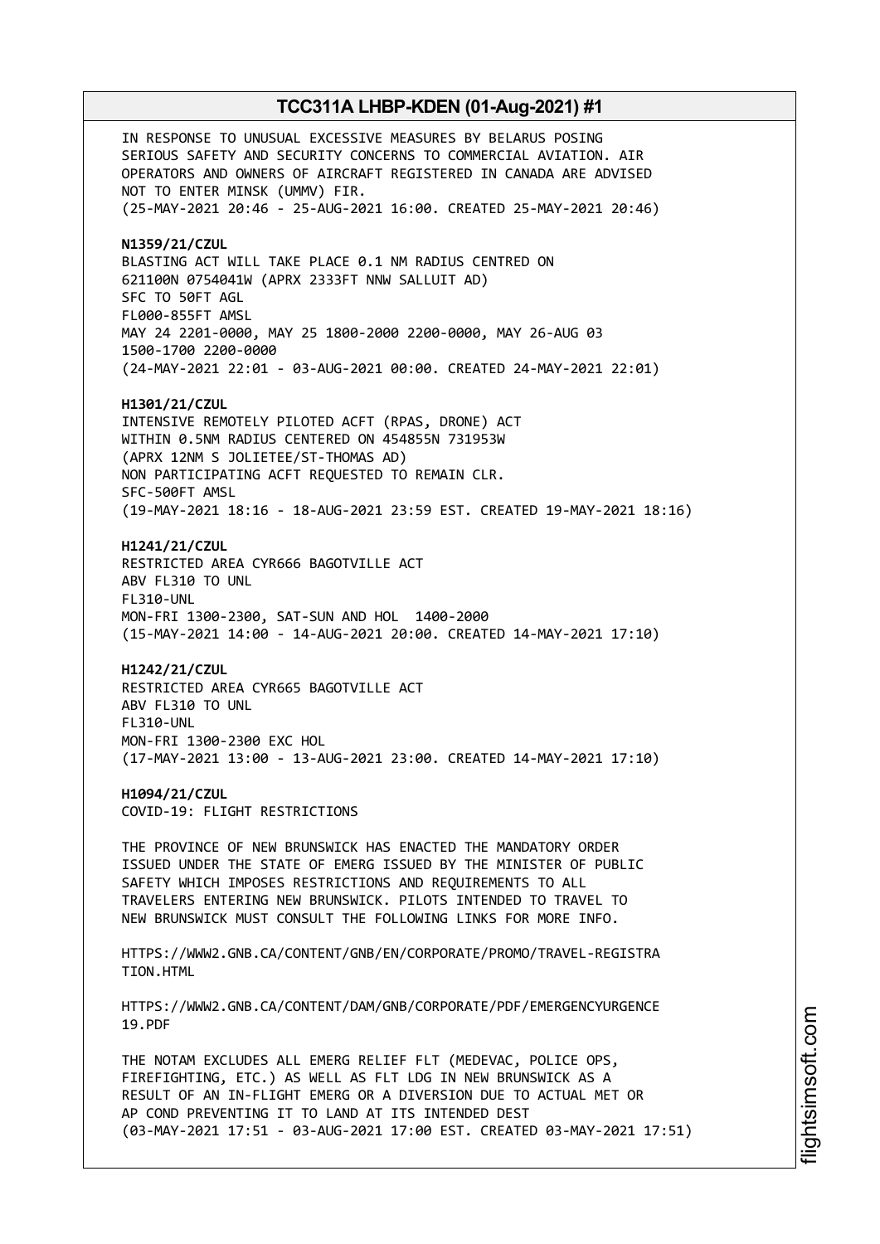IN RESPONSE TO UNUSUAL EXCESSIVE MEASURES BY BELARUS POSING SERIOUS SAFETY AND SECURITY CONCERNS TO COMMERCIAL AVIATION. AIR OPERATORS AND OWNERS OF AIRCRAFT REGISTERED IN CANADA ARE ADVISED NOT TO ENTER MINSK (UMMV) FIR. (25-MAY-2021 20:46 - 25-AUG-2021 16:00. CREATED 25-MAY-2021 20:46) **N1359/21/CZUL** BLASTING ACT WILL TAKE PLACE 0.1 NM RADIUS CENTRED ON 621100N 0754041W (APRX 2333FT NNW SALLUIT AD) SFC TO 50FT AGL FL000-855FT AMSL MAY 24 2201-0000, MAY 25 1800-2000 2200-0000, MAY 26-AUG 03 1500-1700 2200-0000 (24-MAY-2021 22:01 - 03-AUG-2021 00:00. CREATED 24-MAY-2021 22:01) **H1301/21/CZUL** INTENSIVE REMOTELY PILOTED ACFT (RPAS, DRONE) ACT WITHIN 0.5NM RADIUS CENTERED ON 454855N 731953W (APRX 12NM S JOLIETEE/ST-THOMAS AD) NON PARTICIPATING ACFT REQUESTED TO REMAIN CLR. SFC-500FT AMSL (19-MAY-2021 18:16 - 18-AUG-2021 23:59 EST. CREATED 19-MAY-2021 18:16) **H1241/21/CZUL** RESTRICTED AREA CYR666 BAGOTVILLE ACT ABV FL310 TO UNL FL310-UNL MON-FRI 1300-2300, SAT-SUN AND HOL 1400-2000 (15-MAY-2021 14:00 - 14-AUG-2021 20:00. CREATED 14-MAY-2021 17:10) **H1242/21/CZUL** RESTRICTED AREA CYR665 BAGOTVILLE ACT ABV FL310 TO UNL FL310-UNL MON-FRI 1300-2300 EXC HOL (17-MAY-2021 13:00 - 13-AUG-2021 23:00. CREATED 14-MAY-2021 17:10) **H1094/21/CZUL** COVID-19: FLIGHT RESTRICTIONS THE PROVINCE OF NEW BRUNSWICK HAS ENACTED THE MANDATORY ORDER ISSUED UNDER THE STATE OF EMERG ISSUED BY THE MINISTER OF PUBLIC SAFETY WHICH IMPOSES RESTRICTIONS AND REQUIREMENTS TO ALL TRAVELERS ENTERING NEW BRUNSWICK. PILOTS INTENDED TO TRAVEL TO NEW BRUNSWICK MUST CONSULT THE FOLLOWING LINKS FOR MORE INFO. HTTPS://WWW2.GNB.CA/CONTENT/GNB/EN/CORPORATE/PROMO/TRAVEL-REGISTRA TION.HTML HTTPS://WWW2.GNB.CA/CONTENT/DAM/GNB/CORPORATE/PDF/EMERGENCYURGENCE 19.PDF THE NOTAM EXCLUDES ALL EMERG RELIEF FLT (MEDEVAC, POLICE OPS, FIREFIGHTING, ETC.) AS WELL AS FLT LDG IN NEW BRUNSWICK AS A RESULT OF AN IN-FLIGHT EMERG OR A DIVERSION DUE TO ACTUAL MET OR AP COND PREVENTING IT TO LAND AT ITS INTENDED DEST (03-MAY-2021 17:51 - 03-AUG-2021 17:00 EST. CREATED 03-MAY-2021 17:51)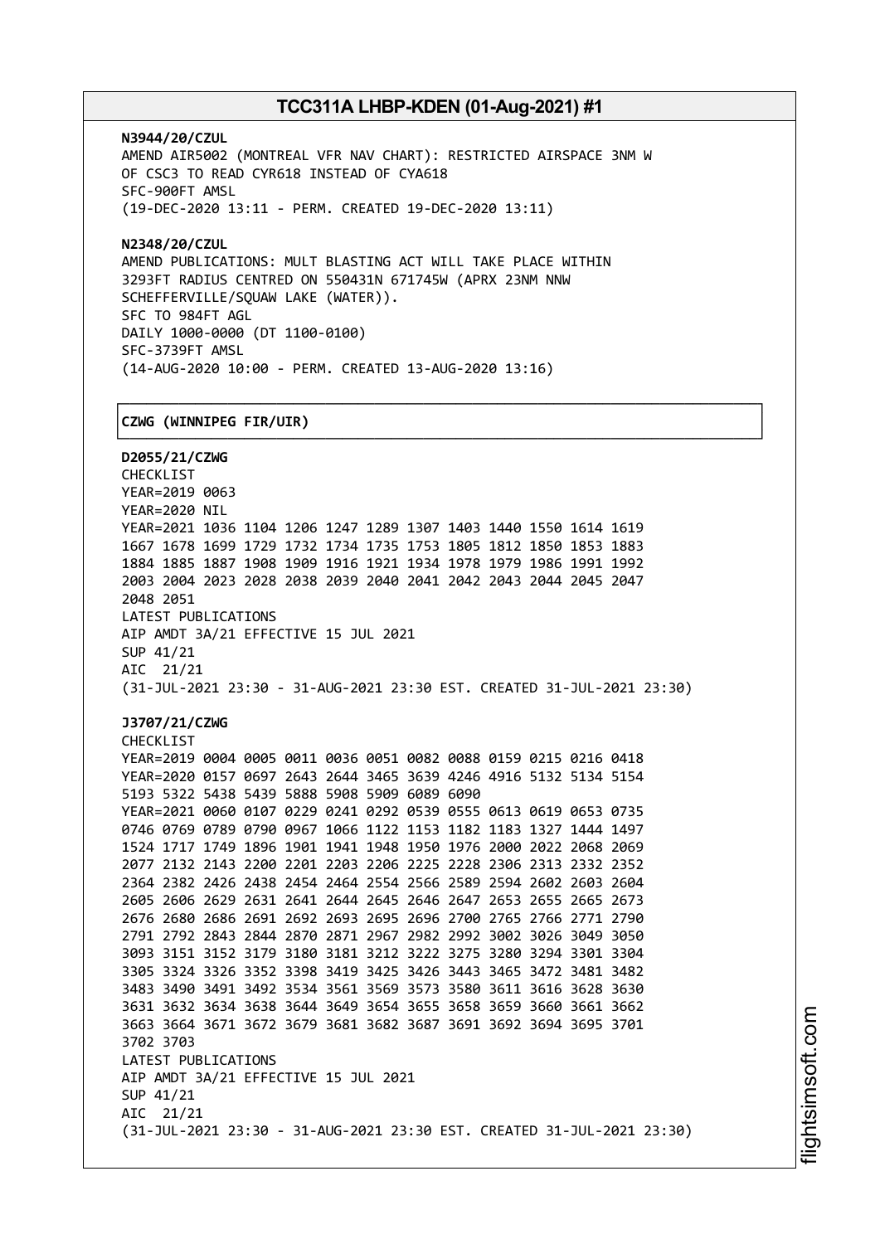┌──────────────────────────────────────────────────────────────────────────────┐

**N3944/20/CZUL** AMEND AIR5002 (MONTREAL VFR NAV CHART): RESTRICTED AIRSPACE 3NM W OF CSC3 TO READ CYR618 INSTEAD OF CYA618 SFC-900FT AMSL (19-DEC-2020 13:11 - PERM. CREATED 19-DEC-2020 13:11)

**N2348/20/CZUL** AMEND PUBLICATIONS: MULT BLASTING ACT WILL TAKE PLACE WITHIN 3293FT RADIUS CENTRED ON 550431N 671745W (APRX 23NM NNW SCHEFFERVILLE/SQUAW LAKE (WATER)). SFC TO 984FT AGL DAILY 1000-0000 (DT 1100-0100) SFC-3739FT AMSL (14-AUG-2020 10:00 - PERM. CREATED 13-AUG-2020 13:16)

### │**CZWG (WINNIPEG FIR/UIR)** │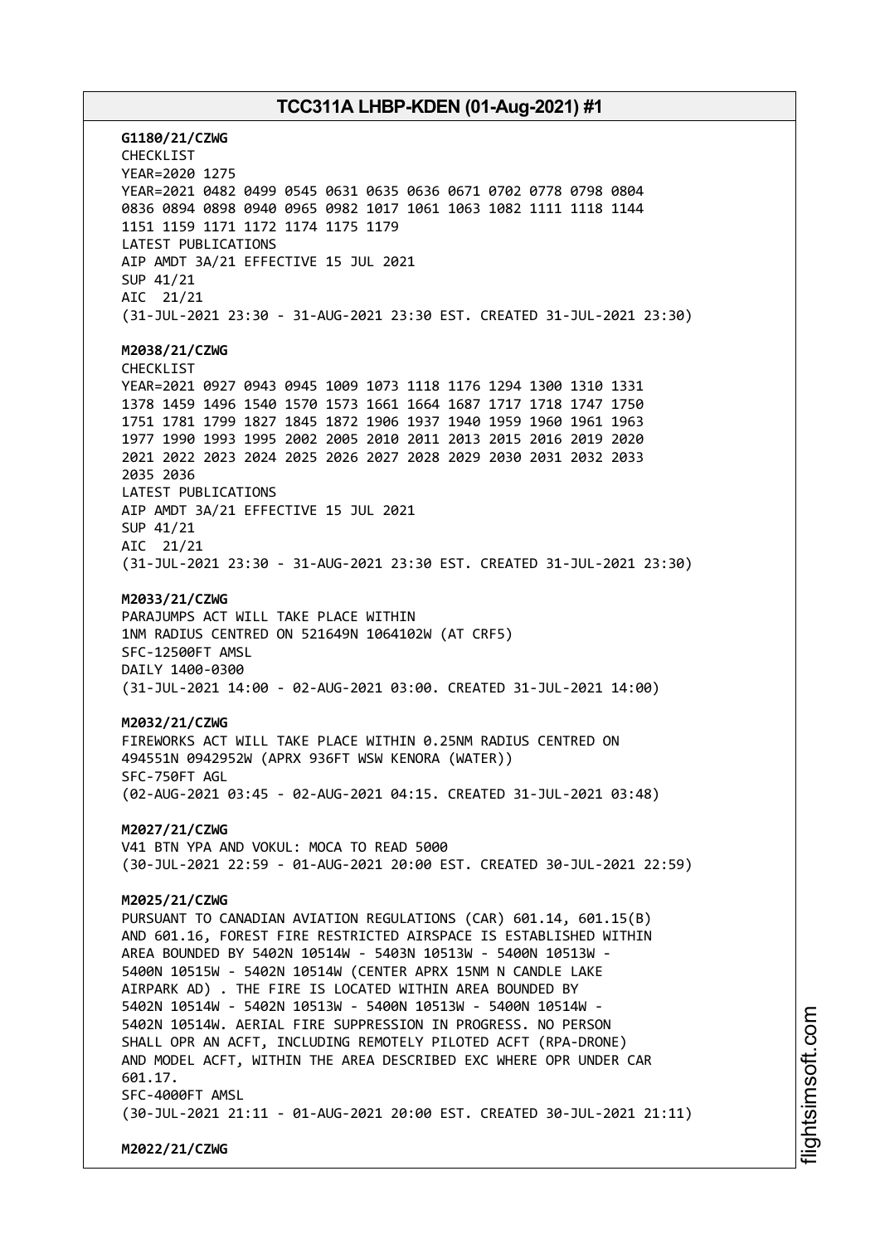**G1180/21/CZWG** CHECKLIST YEAR=2020 1275 YEAR=2021 0482 0499 0545 0631 0635 0636 0671 0702 0778 0798 0804 0836 0894 0898 0940 0965 0982 1017 1061 1063 1082 1111 1118 1144 1151 1159 1171 1172 1174 1175 1179 LATEST PUBLICATIONS AIP AMDT 3A/21 EFFECTIVE 15 JUL 2021 SUP 41/21 AIC 21/21 (31-JUL-2021 23:30 - 31-AUG-2021 23:30 EST. CREATED 31-JUL-2021 23:30) **M2038/21/CZWG** CHECKLIST YEAR=2021 0927 0943 0945 1009 1073 1118 1176 1294 1300 1310 1331 1378 1459 1496 1540 1570 1573 1661 1664 1687 1717 1718 1747 1750 1751 1781 1799 1827 1845 1872 1906 1937 1940 1959 1960 1961 1963 1977 1990 1993 1995 2002 2005 2010 2011 2013 2015 2016 2019 2020 2021 2022 2023 2024 2025 2026 2027 2028 2029 2030 2031 2032 2033 2035 2036 LATEST PUBLICATIONS AIP AMDT 3A/21 EFFECTIVE 15 JUL 2021 SUP 41/21 AIC 21/21 (31-JUL-2021 23:30 - 31-AUG-2021 23:30 EST. CREATED 31-JUL-2021 23:30) **M2033/21/CZWG** PARAJUMPS ACT WILL TAKE PLACE WITHIN 1NM RADIUS CENTRED ON 521649N 1064102W (AT CRF5) SFC-12500FT AMSL DAILY 1400-0300 (31-JUL-2021 14:00 - 02-AUG-2021 03:00. CREATED 31-JUL-2021 14:00) **M2032/21/CZWG** FIREWORKS ACT WILL TAKE PLACE WITHIN 0.25NM RADIUS CENTRED ON 494551N 0942952W (APRX 936FT WSW KENORA (WATER)) SFC-750FT AGL (02-AUG-2021 03:45 - 02-AUG-2021 04:15. CREATED 31-JUL-2021 03:48) **M2027/21/CZWG** V41 BTN YPA AND VOKUL: MOCA TO READ 5000 (30-JUL-2021 22:59 - 01-AUG-2021 20:00 EST. CREATED 30-JUL-2021 22:59) **M2025/21/CZWG** PURSUANT TO CANADIAN AVIATION REGULATIONS (CAR) 601.14, 601.15(B) AND 601.16, FOREST FIRE RESTRICTED AIRSPACE IS ESTABLISHED WITHIN AREA BOUNDED BY 5402N 10514W - 5403N 10513W - 5400N 10513W - 5400N 10515W - 5402N 10514W (CENTER APRX 15NM N CANDLE LAKE AIRPARK AD) . THE FIRE IS LOCATED WITHIN AREA BOUNDED BY 5402N 10514W - 5402N 10513W - 5400N 10513W - 5400N 10514W - 5402N 10514W. AERIAL FIRE SUPPRESSION IN PROGRESS. NO PERSON SHALL OPR AN ACFT, INCLUDING REMOTELY PILOTED ACFT (RPA-DRONE) AND MODEL ACFT, WITHIN THE AREA DESCRIBED EXC WHERE OPR UNDER CAR 601.17. SFC-4000FT AMSL (30-JUL-2021 21:11 - 01-AUG-2021 20:00 EST. CREATED 30-JUL-2021 21:11) **M2022/21/CZWG**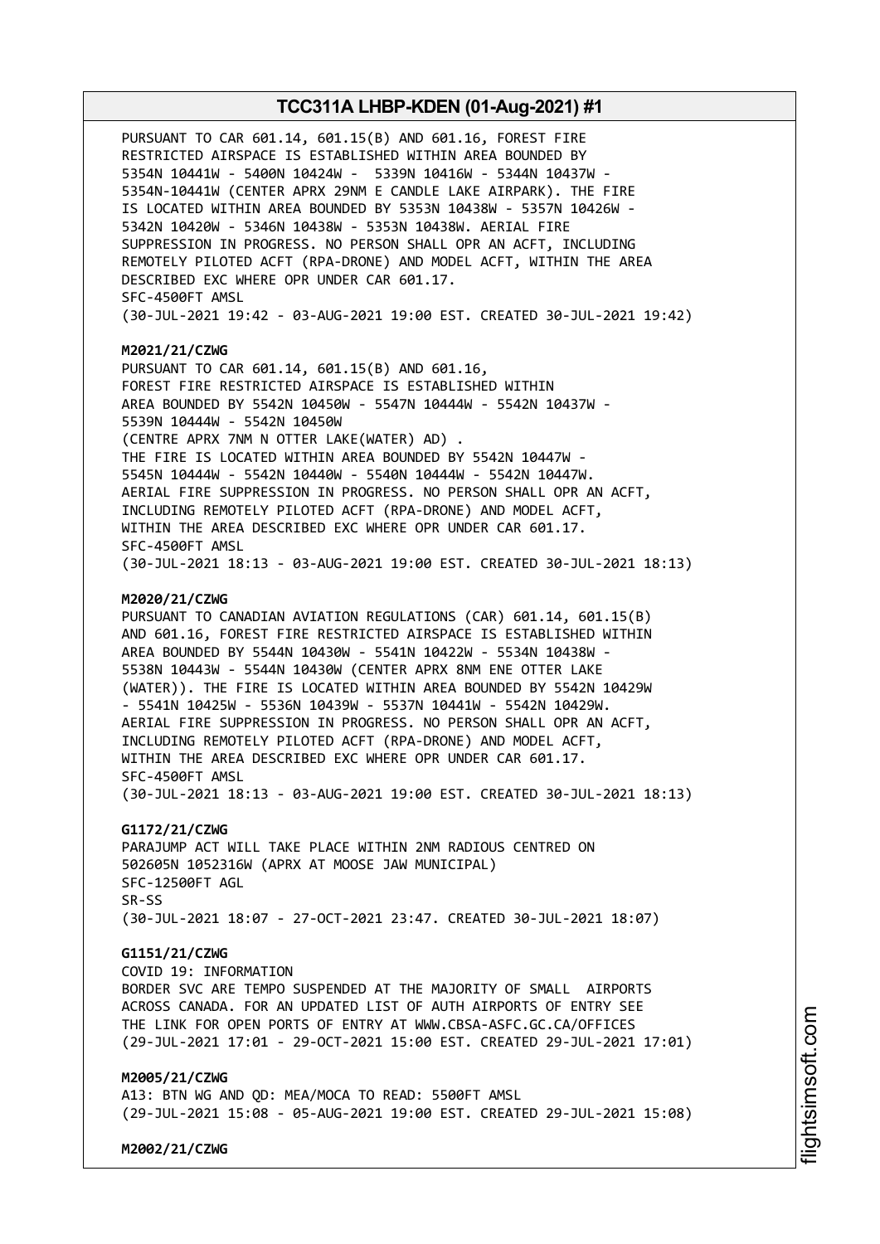PURSUANT TO CAR 601.14, 601.15(B) AND 601.16, FOREST FIRE RESTRICTED AIRSPACE IS ESTABLISHED WITHIN AREA BOUNDED BY 5354N 10441W - 5400N 10424W - 5339N 10416W - 5344N 10437W - 5354N-10441W (CENTER APRX 29NM E CANDLE LAKE AIRPARK). THE FIRE IS LOCATED WITHIN AREA BOUNDED BY 5353N 10438W - 5357N 10426W - 5342N 10420W - 5346N 10438W - 5353N 10438W. AERIAL FIRE SUPPRESSION IN PROGRESS. NO PERSON SHALL OPR AN ACFT, INCLUDING REMOTELY PILOTED ACFT (RPA-DRONE) AND MODEL ACFT, WITHIN THE AREA DESCRIBED EXC WHERE OPR UNDER CAR 601.17. SFC-4500FT AMSL (30-JUL-2021 19:42 - 03-AUG-2021 19:00 EST. CREATED 30-JUL-2021 19:42)

#### **M2021/21/CZWG**

PURSUANT TO CAR 601.14, 601.15(B) AND 601.16, FOREST FIRE RESTRICTED AIRSPACE IS ESTABLISHED WITHIN AREA BOUNDED BY 5542N 10450W - 5547N 10444W - 5542N 10437W - 5539N 10444W - 5542N 10450W (CENTRE APRX 7NM N OTTER LAKE(WATER) AD) . THE FIRE IS LOCATED WITHIN AREA BOUNDED BY 5542N 10447W - 5545N 10444W - 5542N 10440W - 5540N 10444W - 5542N 10447W. AERIAL FIRE SUPPRESSION IN PROGRESS. NO PERSON SHALL OPR AN ACFT, INCLUDING REMOTELY PILOTED ACFT (RPA-DRONE) AND MODEL ACFT, WITHIN THE AREA DESCRIBED EXC WHERE OPR UNDER CAR 601.17. SFC-4500FT AMSL (30-JUL-2021 18:13 - 03-AUG-2021 19:00 EST. CREATED 30-JUL-2021 18:13)

### **M2020/21/CZWG**

PURSUANT TO CANADIAN AVIATION REGULATIONS (CAR) 601.14, 601.15(B) AND 601.16, FOREST FIRE RESTRICTED AIRSPACE IS ESTABLISHED WITHIN AREA BOUNDED BY 5544N 10430W - 5541N 10422W - 5534N 10438W - 5538N 10443W - 5544N 10430W (CENTER APRX 8NM ENE OTTER LAKE (WATER)). THE FIRE IS LOCATED WITHIN AREA BOUNDED BY 5542N 10429W - 5541N 10425W - 5536N 10439W - 5537N 10441W - 5542N 10429W. AERIAL FIRE SUPPRESSION IN PROGRESS. NO PERSON SHALL OPR AN ACFT, INCLUDING REMOTELY PILOTED ACFT (RPA-DRONE) AND MODEL ACFT, WITHIN THE AREA DESCRIBED EXC WHERE OPR UNDER CAR 601.17. SFC-4500FT AMSL (30-JUL-2021 18:13 - 03-AUG-2021 19:00 EST. CREATED 30-JUL-2021 18:13)

### **G1172/21/CZWG**

PARAJUMP ACT WILL TAKE PLACE WITHIN 2NM RADIOUS CENTRED ON 502605N 1052316W (APRX AT MOOSE JAW MUNICIPAL) SFC-12500FT AGL SR-SS (30-JUL-2021 18:07 - 27-OCT-2021 23:47. CREATED 30-JUL-2021 18:07)

### **G1151/21/CZWG**

COVID 19: INFORMATION BORDER SVC ARE TEMPO SUSPENDED AT THE MAJORITY OF SMALL AIRPORTS ACROSS CANADA. FOR AN UPDATED LIST OF AUTH AIRPORTS OF ENTRY SEE THE LINK FOR OPEN PORTS OF ENTRY AT WWW.CBSA-ASFC.GC.CA/OFFICES

# (29-JUL-2021 17:01 - 29-OCT-2021 15:00 EST. CREATED 29-JUL-2021 17:01)

### **M2005/21/CZWG**

A13: BTN WG AND QD: MEA/MOCA TO READ: 5500FT AMSL (29-JUL-2021 15:08 - 05-AUG-2021 19:00 EST. CREATED 29-JUL-2021 15:08)

**M2002/21/CZWG**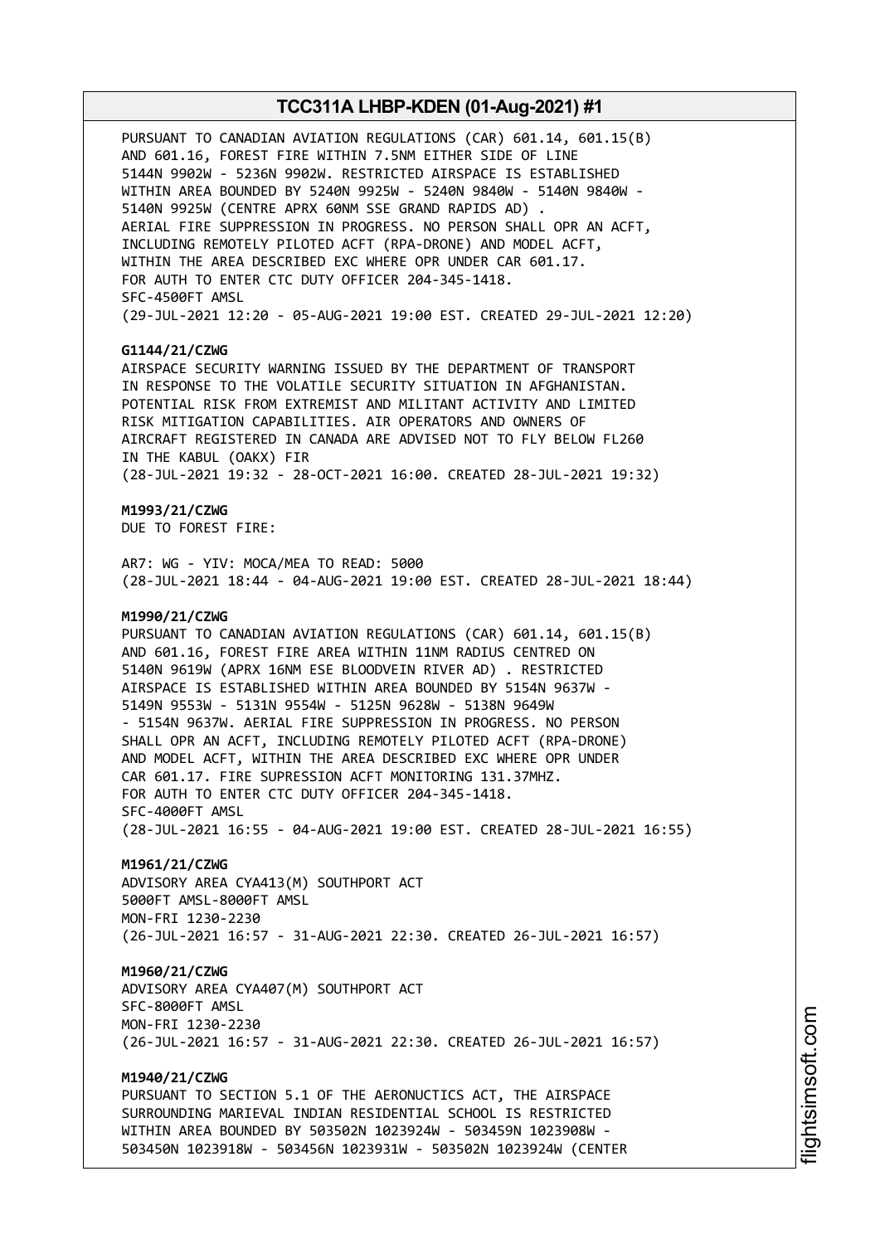PURSUANT TO CANADIAN AVIATION REGULATIONS (CAR) 601.14, 601.15(B) AND 601.16, FOREST FIRE WITHIN 7.5NM EITHER SIDE OF LINE 5144N 9902W - 5236N 9902W. RESTRICTED AIRSPACE IS ESTABLISHED WITHIN AREA BOUNDED BY 5240N 9925W - 5240N 9840W - 5140N 9840W - 5140N 9925W (CENTRE APRX 60NM SSE GRAND RAPIDS AD) . AERIAL FIRE SUPPRESSION IN PROGRESS. NO PERSON SHALL OPR AN ACFT, INCLUDING REMOTELY PILOTED ACFT (RPA-DRONE) AND MODEL ACFT, WITHIN THE AREA DESCRIBED EXC WHERE OPR UNDER CAR 601.17. FOR AUTH TO ENTER CTC DUTY OFFICER 204-345-1418. SFC-4500FT AMSL (29-JUL-2021 12:20 - 05-AUG-2021 19:00 EST. CREATED 29-JUL-2021 12:20)

### **G1144/21/CZWG**

AIRSPACE SECURITY WARNING ISSUED BY THE DEPARTMENT OF TRANSPORT IN RESPONSE TO THE VOLATILE SECURITY SITUATION IN AFGHANISTAN. POTENTIAL RISK FROM EXTREMIST AND MILITANT ACTIVITY AND LIMITED RISK MITIGATION CAPABILITIES. AIR OPERATORS AND OWNERS OF AIRCRAFT REGISTERED IN CANADA ARE ADVISED NOT TO FLY BELOW FL260 IN THE KABUL (OAKX) FIR (28-JUL-2021 19:32 - 28-OCT-2021 16:00. CREATED 28-JUL-2021 19:32)

### **M1993/21/CZWG**

DUE TO FOREST FIRE:

AR7: WG - YIV: MOCA/MEA TO READ: 5000 (28-JUL-2021 18:44 - 04-AUG-2021 19:00 EST. CREATED 28-JUL-2021 18:44)

### **M1990/21/CZWG**

PURSUANT TO CANADIAN AVIATION REGULATIONS (CAR) 601.14, 601.15(B) AND 601.16, FOREST FIRE AREA WITHIN 11NM RADIUS CENTRED ON 5140N 9619W (APRX 16NM ESE BLOODVEIN RIVER AD) . RESTRICTED AIRSPACE IS ESTABLISHED WITHIN AREA BOUNDED BY 5154N 9637W - 5149N 9553W - 5131N 9554W - 5125N 9628W - 5138N 9649W - 5154N 9637W. AERIAL FIRE SUPPRESSION IN PROGRESS. NO PERSON SHALL OPR AN ACFT, INCLUDING REMOTELY PILOTED ACFT (RPA-DRONE) AND MODEL ACFT, WITHIN THE AREA DESCRIBED EXC WHERE OPR UNDER CAR 601.17. FIRE SUPRESSION ACFT MONITORING 131.37MHZ. FOR AUTH TO ENTER CTC DUTY OFFICER 204-345-1418. SFC-4000FT AMSL (28-JUL-2021 16:55 - 04-AUG-2021 19:00 EST. CREATED 28-JUL-2021 16:55)

#### **M1961/21/CZWG**

ADVISORY AREA CYA413(M) SOUTHPORT ACT 5000FT AMSL-8000FT AMSL MON-FRI 1230-2230 (26-JUL-2021 16:57 - 31-AUG-2021 22:30. CREATED 26-JUL-2021 16:57)

#### **M1960/21/CZWG**

ADVISORY AREA CYA407(M) SOUTHPORT ACT SFC-8000FT AMSL MON-FRI 1230-2230 (26-JUL-2021 16:57 - 31-AUG-2021 22:30. CREATED 26-JUL-2021 16:57)

### **M1940/21/CZWG**

PURSUANT TO SECTION 5.1 OF THE AERONUCTICS ACT, THE AIRSPACE SURROUNDING MARIEVAL INDIAN RESIDENTIAL SCHOOL IS RESTRICTED WITHIN AREA BOUNDED BY 503502N 1023924W - 503459N 1023908W - 503450N 1023918W - 503456N 1023931W - 503502N 1023924W (CENTER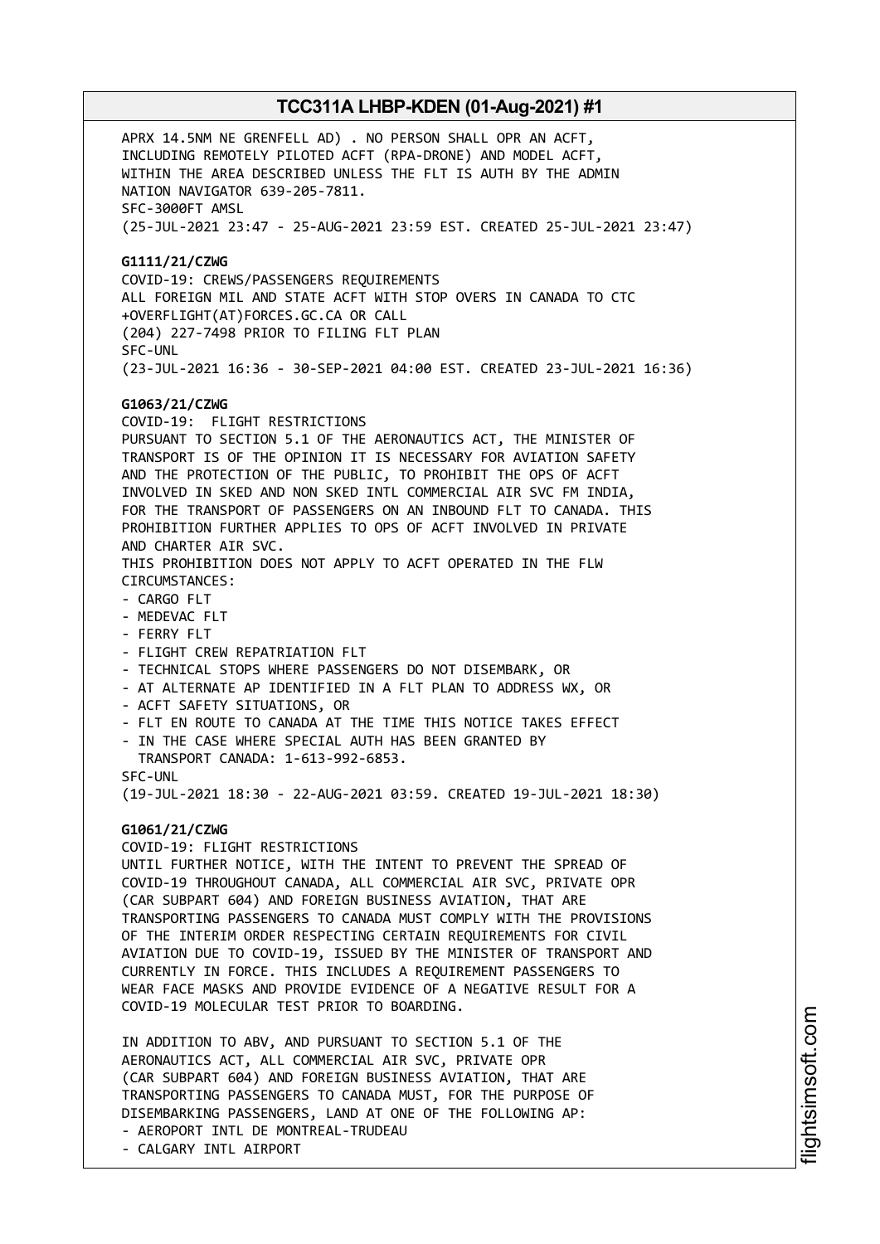APRX 14.5NM NE GRENFELL AD) . NO PERSON SHALL OPR AN ACFT, INCLUDING REMOTELY PILOTED ACFT (RPA-DRONE) AND MODEL ACFT, WITHIN THE AREA DESCRIBED UNLESS THE FLT IS AUTH BY THE ADMIN NATION NAVIGATOR 639-205-7811. SFC-3000FT AMSL (25-JUL-2021 23:47 - 25-AUG-2021 23:59 EST. CREATED 25-JUL-2021 23:47) **G1111/21/CZWG** COVID-19: CREWS/PASSENGERS REQUIREMENTS ALL FOREIGN MIL AND STATE ACFT WITH STOP OVERS IN CANADA TO CTC +OVERFLIGHT(AT)FORCES.GC.CA OR CALL (204) 227-7498 PRIOR TO FILING FLT PLAN SFC-UNL (23-JUL-2021 16:36 - 30-SEP-2021 04:00 EST. CREATED 23-JUL-2021 16:36) **G1063/21/CZWG** COVID-19: FLIGHT RESTRICTIONS PURSUANT TO SECTION 5.1 OF THE AERONAUTICS ACT, THE MINISTER OF TRANSPORT IS OF THE OPINION IT IS NECESSARY FOR AVIATION SAFETY AND THE PROTECTION OF THE PUBLIC, TO PROHIBIT THE OPS OF ACFT INVOLVED IN SKED AND NON SKED INTL COMMERCIAL AIR SVC FM INDIA, FOR THE TRANSPORT OF PASSENGERS ON AN INBOUND FLT TO CANADA. THIS PROHIBITION FURTHER APPLIES TO OPS OF ACFT INVOLVED IN PRIVATE AND CHARTER AIR SVC. THIS PROHIBITION DOES NOT APPLY TO ACFT OPERATED IN THE FLW CIRCUMSTANCES: - CARGO FLT - MEDEVAC FLT - FERRY FLT - FLIGHT CREW REPATRIATION FLT - TECHNICAL STOPS WHERE PASSENGERS DO NOT DISEMBARK, OR - AT ALTERNATE AP IDENTIFIED IN A FLT PLAN TO ADDRESS WX, OR - ACFT SAFETY SITUATIONS, OR - FLT EN ROUTE TO CANADA AT THE TIME THIS NOTICE TAKES EFFECT - IN THE CASE WHERE SPECIAL AUTH HAS BEEN GRANTED BY TRANSPORT CANADA: 1-613-992-6853. SFC-UNL (19-JUL-2021 18:30 - 22-AUG-2021 03:59. CREATED 19-JUL-2021 18:30) **G1061/21/CZWG** COVID-19: FLIGHT RESTRICTIONS UNTIL FURTHER NOTICE, WITH THE INTENT TO PREVENT THE SPREAD OF COVID-19 THROUGHOUT CANADA, ALL COMMERCIAL AIR SVC, PRIVATE OPR (CAR SUBPART 604) AND FOREIGN BUSINESS AVIATION, THAT ARE TRANSPORTING PASSENGERS TO CANADA MUST COMPLY WITH THE PROVISIONS OF THE INTERIM ORDER RESPECTING CERTAIN REQUIREMENTS FOR CIVIL AVIATION DUE TO COVID-19, ISSUED BY THE MINISTER OF TRANSPORT AND CURRENTLY IN FORCE. THIS INCLUDES A REQUIREMENT PASSENGERS TO WEAR FACE MASKS AND PROVIDE EVIDENCE OF A NEGATIVE RESULT FOR A COVID-19 MOLECULAR TEST PRIOR TO BOARDING. IN ADDITION TO ABV, AND PURSUANT TO SECTION 5.1 OF THE AERONAUTICS ACT, ALL COMMERCIAL AIR SVC, PRIVATE OPR (CAR SUBPART 604) AND FOREIGN BUSINESS AVIATION, THAT ARE TRANSPORTING PASSENGERS TO CANADA MUST, FOR THE PURPOSE OF

DISEMBARKING PASSENGERS, LAND AT ONE OF THE FOLLOWING AP: - AEROPORT INTL DE MONTREAL-TRUDEAU

- CALGARY INTL AIRPORT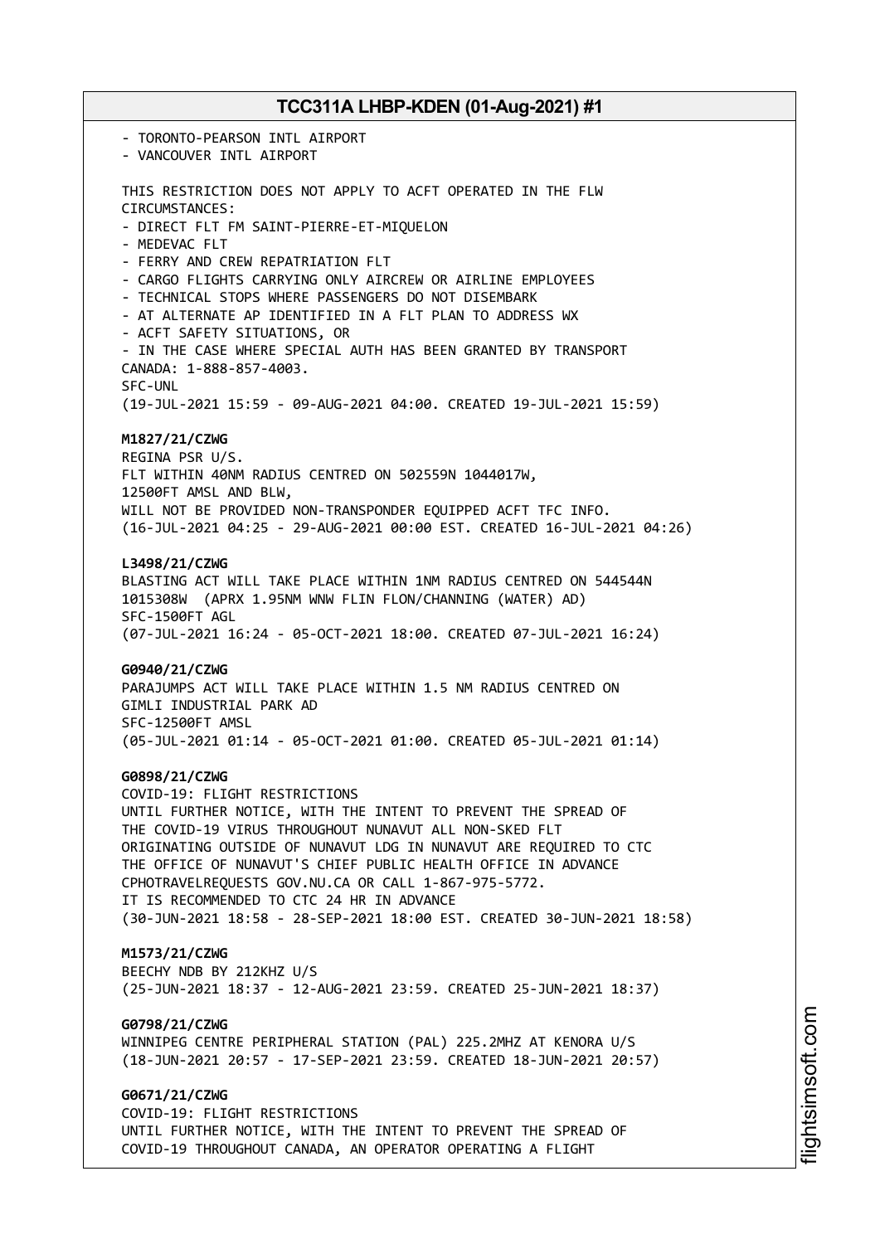- TORONTO-PEARSON INTL AIRPORT - VANCOUVER INTL AIRPORT THIS RESTRICTION DOES NOT APPLY TO ACFT OPERATED IN THE FLW CIRCUMSTANCES: - DIRECT FLT FM SAINT-PIERRE-ET-MIQUELON - MEDEVAC FLT - FERRY AND CREW REPATRIATION FLT - CARGO FLIGHTS CARRYING ONLY AIRCREW OR AIRLINE EMPLOYEES - TECHNICAL STOPS WHERE PASSENGERS DO NOT DISEMBARK - AT ALTERNATE AP IDENTIFIED IN A FLT PLAN TO ADDRESS WX - ACFT SAFETY SITUATIONS, OR - IN THE CASE WHERE SPECIAL AUTH HAS BEEN GRANTED BY TRANSPORT CANADA: 1-888-857-4003. SFC-UNL (19-JUL-2021 15:59 - 09-AUG-2021 04:00. CREATED 19-JUL-2021 15:59) **M1827/21/CZWG** REGINA PSR U/S. FLT WITHIN 40NM RADIUS CENTRED ON 502559N 1044017W, 12500FT AMSL AND BLW, WILL NOT BE PROVIDED NON-TRANSPONDER EQUIPPED ACFT TFC INFO. (16-JUL-2021 04:25 - 29-AUG-2021 00:00 EST. CREATED 16-JUL-2021 04:26) **L3498/21/CZWG** BLASTING ACT WILL TAKE PLACE WITHIN 1NM RADIUS CENTRED ON 544544N 1015308W (APRX 1.95NM WNW FLIN FLON/CHANNING (WATER) AD) SFC-1500FT AGL (07-JUL-2021 16:24 - 05-OCT-2021 18:00. CREATED 07-JUL-2021 16:24) **G0940/21/CZWG** PARAJUMPS ACT WILL TAKE PLACE WITHIN 1.5 NM RADIUS CENTRED ON GIMLI INDUSTRIAL PARK AD SFC-12500FT AMSL (05-JUL-2021 01:14 - 05-OCT-2021 01:00. CREATED 05-JUL-2021 01:14) **G0898/21/CZWG** COVID-19: FLIGHT RESTRICTIONS UNTIL FURTHER NOTICE, WITH THE INTENT TO PREVENT THE SPREAD OF THE COVID-19 VIRUS THROUGHOUT NUNAVUT ALL NON-SKED FLT ORIGINATING OUTSIDE OF NUNAVUT LDG IN NUNAVUT ARE REQUIRED TO CTC THE OFFICE OF NUNAVUT'S CHIEF PUBLIC HEALTH OFFICE IN ADVANCE CPHOTRAVELREQUESTS GOV.NU.CA OR CALL 1-867-975-5772. IT IS RECOMMENDED TO CTC 24 HR IN ADVANCE (30-JUN-2021 18:58 - 28-SEP-2021 18:00 EST. CREATED 30-JUN-2021 18:58) **M1573/21/CZWG** BEECHY NDB BY 212KHZ U/S (25-JUN-2021 18:37 - 12-AUG-2021 23:59. CREATED 25-JUN-2021 18:37) **G0798/21/CZWG** WINNIPEG CENTRE PERIPHERAL STATION (PAL) 225.2MHZ AT KENORA U/S (18-JUN-2021 20:57 - 17-SEP-2021 23:59. CREATED 18-JUN-2021 20:57) **G0671/21/CZWG** COVID-19: FLIGHT RESTRICTIONS UNTIL FURTHER NOTICE, WITH THE INTENT TO PREVENT THE SPREAD OF

COVID-19 THROUGHOUT CANADA, AN OPERATOR OPERATING A FLIGHT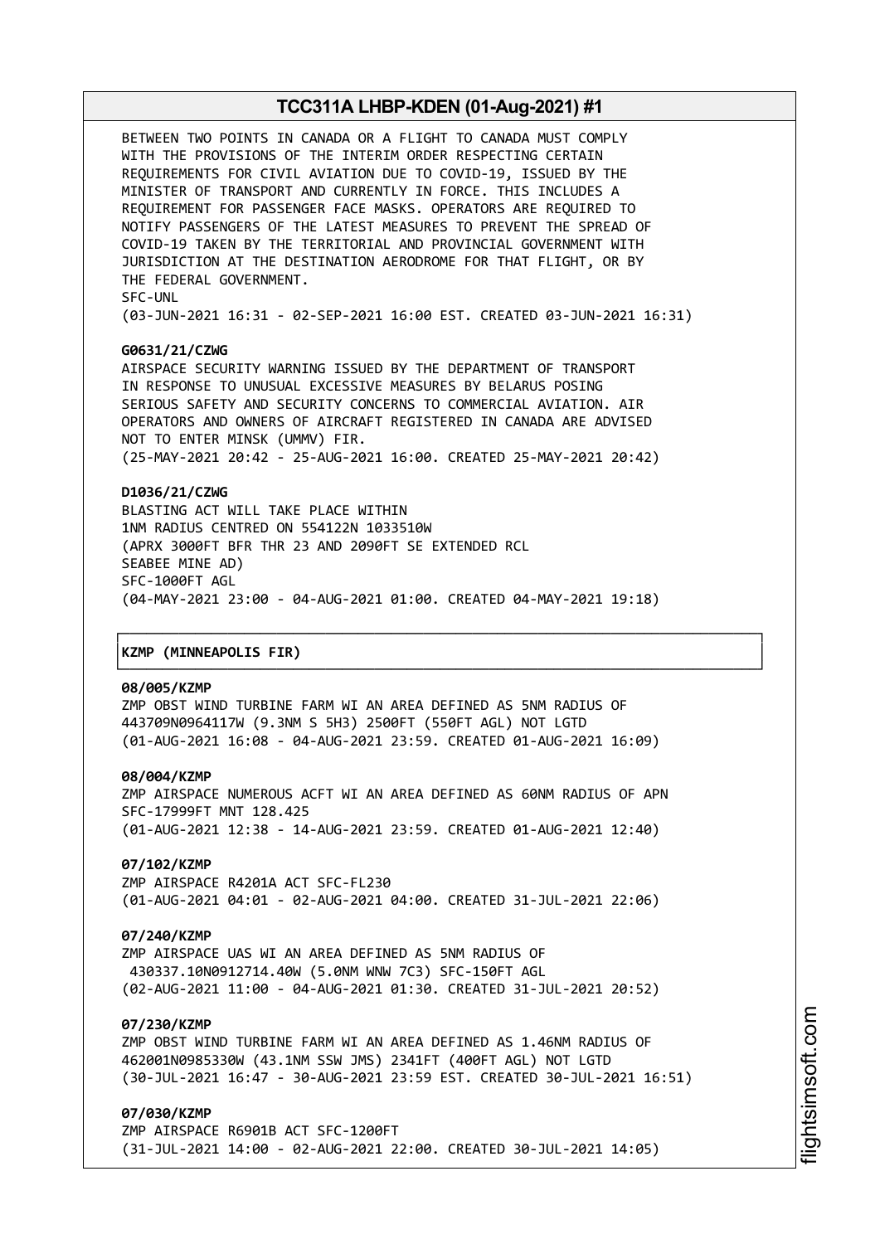BETWEEN TWO POINTS IN CANADA OR A FLIGHT TO CANADA MUST COMPLY WITH THE PROVISIONS OF THE INTERIM ORDER RESPECTING CERTAIN REQUIREMENTS FOR CIVIL AVIATION DUE TO COVID-19, ISSUED BY THE MINISTER OF TRANSPORT AND CURRENTLY IN FORCE. THIS INCLUDES A REQUIREMENT FOR PASSENGER FACE MASKS. OPERATORS ARE REQUIRED TO NOTIFY PASSENGERS OF THE LATEST MEASURES TO PREVENT THE SPREAD OF COVID-19 TAKEN BY THE TERRITORIAL AND PROVINCIAL GOVERNMENT WITH JURISDICTION AT THE DESTINATION AERODROME FOR THAT FLIGHT, OR BY THE FEDERAL GOVERNMENT. SFC-UNL

(03-JUN-2021 16:31 - 02-SEP-2021 16:00 EST. CREATED 03-JUN-2021 16:31)

### **G0631/21/CZWG**

AIRSPACE SECURITY WARNING ISSUED BY THE DEPARTMENT OF TRANSPORT IN RESPONSE TO UNUSUAL EXCESSIVE MEASURES BY BELARUS POSING SERIOUS SAFETY AND SECURITY CONCERNS TO COMMERCIAL AVIATION. AIR OPERATORS AND OWNERS OF AIRCRAFT REGISTERED IN CANADA ARE ADVISED NOT TO ENTER MINSK (UMMV) FIR. (25-MAY-2021 20:42 - 25-AUG-2021 16:00. CREATED 25-MAY-2021 20:42)

### **D1036/21/CZWG**

BLASTING ACT WILL TAKE PLACE WITHIN 1NM RADIUS CENTRED ON 554122N 1033510W (APRX 3000FT BFR THR 23 AND 2090FT SE EXTENDED RCL SEABEE MINE AD) SFC-1000FT AGL (04-MAY-2021 23:00 - 04-AUG-2021 01:00. CREATED 04-MAY-2021 19:18)

┌──────────────────────────────────────────────────────────────────────────────┐

└──────────────────────────────────────────────────────────────────────────────┘

#### │**KZMP (MINNEAPOLIS FIR)** │

#### **08/005/KZMP**

ZMP OBST WIND TURBINE FARM WI AN AREA DEFINED AS 5NM RADIUS OF 443709N0964117W (9.3NM S 5H3) 2500FT (550FT AGL) NOT LGTD (01-AUG-2021 16:08 - 04-AUG-2021 23:59. CREATED 01-AUG-2021 16:09)

#### **08/004/KZMP**

ZMP AIRSPACE NUMEROUS ACFT WI AN AREA DEFINED AS 60NM RADIUS OF APN SFC-17999FT MNT 128.425 (01-AUG-2021 12:38 - 14-AUG-2021 23:59. CREATED 01-AUG-2021 12:40)

### **07/102/KZMP**

ZMP AIRSPACE R4201A ACT SFC-FL230 (01-AUG-2021 04:01 - 02-AUG-2021 04:00. CREATED 31-JUL-2021 22:06)

### **07/240/KZMP**

ZMP AIRSPACE UAS WI AN AREA DEFINED AS 5NM RADIUS OF 430337.10N0912714.40W (5.0NM WNW 7C3) SFC-150FT AGL (02-AUG-2021 11:00 - 04-AUG-2021 01:30. CREATED 31-JUL-2021 20:52)

### **07/230/KZMP**

ZMP OBST WIND TURBINE FARM WI AN AREA DEFINED AS 1.46NM RADIUS OF 462001N0985330W (43.1NM SSW JMS) 2341FT (400FT AGL) NOT LGTD (30-JUL-2021 16:47 - 30-AUG-2021 23:59 EST. CREATED 30-JUL-2021 16:51)

### **07/030/KZMP**

ZMP AIRSPACE R6901B ACT SFC-1200FT (31-JUL-2021 14:00 - 02-AUG-2021 22:00. CREATED 30-JUL-2021 14:05)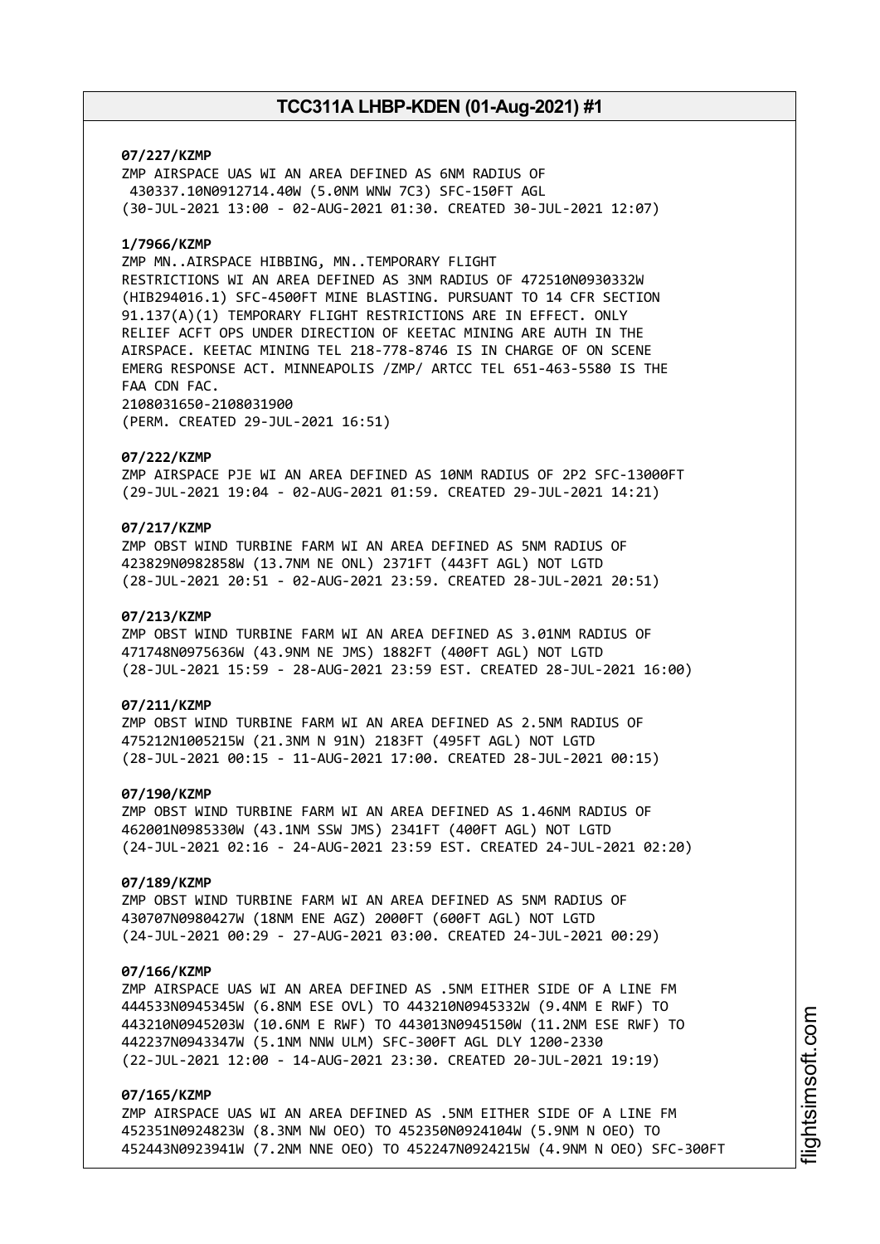### **07/227/KZMP**

ZMP AIRSPACE UAS WI AN AREA DEFINED AS 6NM RADIUS OF 430337.10N0912714.40W (5.0NM WNW 7C3) SFC-150FT AGL (30-JUL-2021 13:00 - 02-AUG-2021 01:30. CREATED 30-JUL-2021 12:07)

### **1/7966/KZMP**

ZMP MN..AIRSPACE HIBBING, MN..TEMPORARY FLIGHT RESTRICTIONS WI AN AREA DEFINED AS 3NM RADIUS OF 472510N0930332W (HIB294016.1) SFC-4500FT MINE BLASTING. PURSUANT TO 14 CFR SECTION 91.137(A)(1) TEMPORARY FLIGHT RESTRICTIONS ARE IN EFFECT. ONLY RELIEF ACFT OPS UNDER DIRECTION OF KEETAC MINING ARE AUTH IN THE AIRSPACE. KEETAC MINING TEL 218-778-8746 IS IN CHARGE OF ON SCENE EMERG RESPONSE ACT. MINNEAPOLIS /ZMP/ ARTCC TEL 651-463-5580 IS THE FAA CDN FAC. 2108031650-2108031900

(PERM. CREATED 29-JUL-2021 16:51)

#### **07/222/KZMP**

ZMP AIRSPACE PJE WI AN AREA DEFINED AS 10NM RADIUS OF 2P2 SFC-13000FT (29-JUL-2021 19:04 - 02-AUG-2021 01:59. CREATED 29-JUL-2021 14:21)

### **07/217/KZMP**

ZMP OBST WIND TURBINE FARM WI AN AREA DEFINED AS 5NM RADIUS OF 423829N0982858W (13.7NM NE ONL) 2371FT (443FT AGL) NOT LGTD (28-JUL-2021 20:51 - 02-AUG-2021 23:59. CREATED 28-JUL-2021 20:51)

### **07/213/KZMP**

ZMP OBST WIND TURBINE FARM WI AN AREA DEFINED AS 3.01NM RADIUS OF 471748N0975636W (43.9NM NE JMS) 1882FT (400FT AGL) NOT LGTD (28-JUL-2021 15:59 - 28-AUG-2021 23:59 EST. CREATED 28-JUL-2021 16:00)

### **07/211/KZMP**

ZMP OBST WIND TURBINE FARM WI AN AREA DEFINED AS 2.5NM RADIUS OF 475212N1005215W (21.3NM N 91N) 2183FT (495FT AGL) NOT LGTD (28-JUL-2021 00:15 - 11-AUG-2021 17:00. CREATED 28-JUL-2021 00:15)

### **07/190/KZMP**

ZMP OBST WIND TURBINE FARM WI AN AREA DEFINED AS 1.46NM RADIUS OF 462001N0985330W (43.1NM SSW JMS) 2341FT (400FT AGL) NOT LGTD (24-JUL-2021 02:16 - 24-AUG-2021 23:59 EST. CREATED 24-JUL-2021 02:20)

#### **07/189/KZMP**

ZMP OBST WIND TURBINE FARM WI AN AREA DEFINED AS 5NM RADIUS OF 430707N0980427W (18NM ENE AGZ) 2000FT (600FT AGL) NOT LGTD (24-JUL-2021 00:29 - 27-AUG-2021 03:00. CREATED 24-JUL-2021 00:29)

### **07/166/KZMP**

ZMP AIRSPACE UAS WI AN AREA DEFINED AS .5NM EITHER SIDE OF A LINE FM 444533N0945345W (6.8NM ESE OVL) TO 443210N0945332W (9.4NM E RWF) TO 443210N0945203W (10.6NM E RWF) TO 443013N0945150W (11.2NM ESE RWF) TO 442237N0943347W (5.1NM NNW ULM) SFC-300FT AGL DLY 1200-2330 (22-JUL-2021 12:00 - 14-AUG-2021 23:30. CREATED 20-JUL-2021 19:19)

### **07/165/KZMP**

ZMP AIRSPACE UAS WI AN AREA DEFINED AS .5NM EITHER SIDE OF A LINE FM 452351N0924823W (8.3NM NW OEO) TO 452350N0924104W (5.9NM N OEO) TO 452443N0923941W (7.2NM NNE OEO) TO 452247N0924215W (4.9NM N OEO) SFC-300FT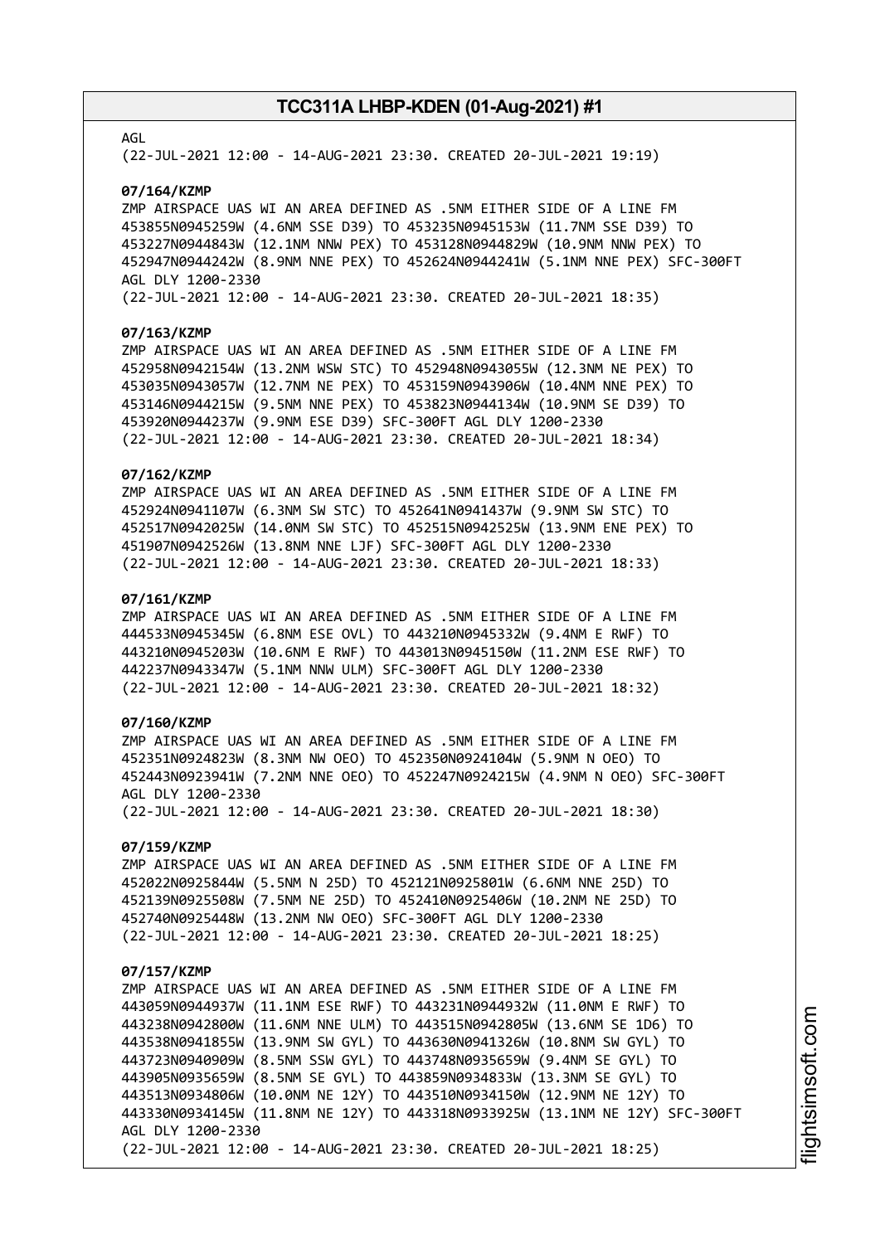### AGL

(22-JUL-2021 12:00 - 14-AUG-2021 23:30. CREATED 20-JUL-2021 19:19)

#### **07/164/KZMP**

ZMP AIRSPACE UAS WI AN AREA DEFINED AS .5NM EITHER SIDE OF A LINE FM 453855N0945259W (4.6NM SSE D39) TO 453235N0945153W (11.7NM SSE D39) TO 453227N0944843W (12.1NM NNW PEX) TO 453128N0944829W (10.9NM NNW PEX) TO 452947N0944242W (8.9NM NNE PEX) TO 452624N0944241W (5.1NM NNE PEX) SFC-300FT AGL DLY 1200-2330

(22-JUL-2021 12:00 - 14-AUG-2021 23:30. CREATED 20-JUL-2021 18:35)

#### **07/163/KZMP**

ZMP AIRSPACE UAS WI AN AREA DEFINED AS .5NM EITHER SIDE OF A LINE FM 452958N0942154W (13.2NM WSW STC) TO 452948N0943055W (12.3NM NE PEX) TO 453035N0943057W (12.7NM NE PEX) TO 453159N0943906W (10.4NM NNE PEX) TO 453146N0944215W (9.5NM NNE PEX) TO 453823N0944134W (10.9NM SE D39) TO 453920N0944237W (9.9NM ESE D39) SFC-300FT AGL DLY 1200-2330 (22-JUL-2021 12:00 - 14-AUG-2021 23:30. CREATED 20-JUL-2021 18:34)

### **07/162/KZMP**

ZMP AIRSPACE UAS WI AN AREA DEFINED AS .5NM EITHER SIDE OF A LINE FM 452924N0941107W (6.3NM SW STC) TO 452641N0941437W (9.9NM SW STC) TO 452517N0942025W (14.0NM SW STC) TO 452515N0942525W (13.9NM ENE PEX) TO 451907N0942526W (13.8NM NNE LJF) SFC-300FT AGL DLY 1200-2330 (22-JUL-2021 12:00 - 14-AUG-2021 23:30. CREATED 20-JUL-2021 18:33)

### **07/161/KZMP**

ZMP AIRSPACE UAS WI AN AREA DEFINED AS .5NM EITHER SIDE OF A LINE FM 444533N0945345W (6.8NM ESE OVL) TO 443210N0945332W (9.4NM E RWF) TO 443210N0945203W (10.6NM E RWF) TO 443013N0945150W (11.2NM ESE RWF) TO 442237N0943347W (5.1NM NNW ULM) SFC-300FT AGL DLY 1200-2330 (22-JUL-2021 12:00 - 14-AUG-2021 23:30. CREATED 20-JUL-2021 18:32)

### **07/160/KZMP**

ZMP AIRSPACE UAS WI AN AREA DEFINED AS .5NM EITHER SIDE OF A LINE FM 452351N0924823W (8.3NM NW OEO) TO 452350N0924104W (5.9NM N OEO) TO 452443N0923941W (7.2NM NNE OEO) TO 452247N0924215W (4.9NM N OEO) SFC-300FT AGL DLY 1200-2330 (22-JUL-2021 12:00 - 14-AUG-2021 23:30. CREATED 20-JUL-2021 18:30)

### **07/159/KZMP**

ZMP AIRSPACE UAS WI AN AREA DEFINED AS .5NM EITHER SIDE OF A LINE FM 452022N0925844W (5.5NM N 25D) TO 452121N0925801W (6.6NM NNE 25D) TO 452139N0925508W (7.5NM NE 25D) TO 452410N0925406W (10.2NM NE 25D) TO 452740N0925448W (13.2NM NW OEO) SFC-300FT AGL DLY 1200-2330 (22-JUL-2021 12:00 - 14-AUG-2021 23:30. CREATED 20-JUL-2021 18:25)

#### **07/157/KZMP**

ZMP AIRSPACE UAS WI AN AREA DEFINED AS .5NM EITHER SIDE OF A LINE FM 443059N0944937W (11.1NM ESE RWF) TO 443231N0944932W (11.0NM E RWF) TO 443238N0942800W (11.6NM NNE ULM) TO 443515N0942805W (13.6NM SE 1D6) TO 443538N0941855W (13.9NM SW GYL) TO 443630N0941326W (10.8NM SW GYL) TO 443723N0940909W (8.5NM SSW GYL) TO 443748N0935659W (9.4NM SE GYL) TO 443905N0935659W (8.5NM SE GYL) TO 443859N0934833W (13.3NM SE GYL) TO 443513N0934806W (10.0NM NE 12Y) TO 443510N0934150W (12.9NM NE 12Y) TO 443330N0934145W (11.8NM NE 12Y) TO 443318N0933925W (13.1NM NE 12Y) SFC-300FT AGL DLY 1200-2330 (22-JUL-2021 12:00 - 14-AUG-2021 23:30. CREATED 20-JUL-2021 18:25)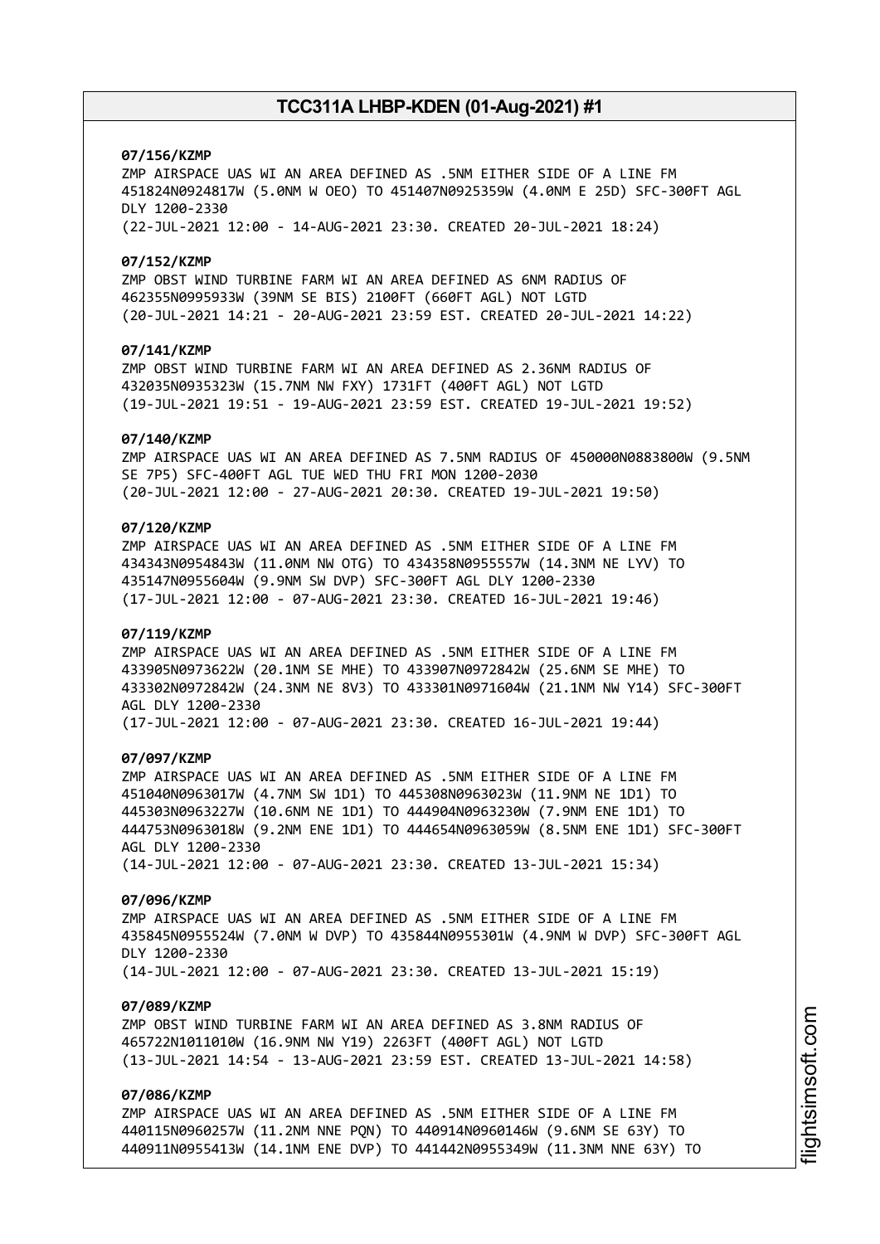# **07/156/KZMP**

ZMP AIRSPACE UAS WI AN AREA DEFINED AS .5NM EITHER SIDE OF A LINE FM 451824N0924817W (5.0NM W OEO) TO 451407N0925359W (4.0NM E 25D) SFC-300FT AGL DLY 1200-2330 (22-JUL-2021 12:00 - 14-AUG-2021 23:30. CREATED 20-JUL-2021 18:24)

### **07/152/KZMP**

ZMP OBST WIND TURBINE FARM WI AN AREA DEFINED AS 6NM RADIUS OF 462355N0995933W (39NM SE BIS) 2100FT (660FT AGL) NOT LGTD (20-JUL-2021 14:21 - 20-AUG-2021 23:59 EST. CREATED 20-JUL-2021 14:22)

### **07/141/KZMP**

ZMP OBST WIND TURBINE FARM WI AN AREA DEFINED AS 2.36NM RADIUS OF 432035N0935323W (15.7NM NW FXY) 1731FT (400FT AGL) NOT LGTD (19-JUL-2021 19:51 - 19-AUG-2021 23:59 EST. CREATED 19-JUL-2021 19:52)

#### **07/140/KZMP**

ZMP AIRSPACE UAS WI AN AREA DEFINED AS 7.5NM RADIUS OF 450000N0883800W (9.5NM SE 7P5) SFC-400FT AGL TUE WED THU FRI MON 1200-2030 (20-JUL-2021 12:00 - 27-AUG-2021 20:30. CREATED 19-JUL-2021 19:50)

# **07/120/KZMP**

ZMP AIRSPACE UAS WI AN AREA DEFINED AS .5NM EITHER SIDE OF A LINE FM 434343N0954843W (11.0NM NW OTG) TO 434358N0955557W (14.3NM NE LYV) TO 435147N0955604W (9.9NM SW DVP) SFC-300FT AGL DLY 1200-2330 (17-JUL-2021 12:00 - 07-AUG-2021 23:30. CREATED 16-JUL-2021 19:46)

### **07/119/KZMP**

ZMP AIRSPACE UAS WI AN AREA DEFINED AS .5NM EITHER SIDE OF A LINE FM 433905N0973622W (20.1NM SE MHE) TO 433907N0972842W (25.6NM SE MHE) TO 433302N0972842W (24.3NM NE 8V3) TO 433301N0971604W (21.1NM NW Y14) SFC-300FT AGL DLY 1200-2330 (17-JUL-2021 12:00 - 07-AUG-2021 23:30. CREATED 16-JUL-2021 19:44)

#### **07/097/KZMP**

ZMP AIRSPACE UAS WI AN AREA DEFINED AS .5NM EITHER SIDE OF A LINE FM 451040N0963017W (4.7NM SW 1D1) TO 445308N0963023W (11.9NM NE 1D1) TO 445303N0963227W (10.6NM NE 1D1) TO 444904N0963230W (7.9NM ENE 1D1) TO 444753N0963018W (9.2NM ENE 1D1) TO 444654N0963059W (8.5NM ENE 1D1) SFC-300FT AGL DLY 1200-2330 (14-JUL-2021 12:00 - 07-AUG-2021 23:30. CREATED 13-JUL-2021 15:34)

### **07/096/KZMP**

ZMP AIRSPACE UAS WI AN AREA DEFINED AS .5NM EITHER SIDE OF A LINE FM 435845N0955524W (7.0NM W DVP) TO 435844N0955301W (4.9NM W DVP) SFC-300FT AGL DLY 1200-2330 (14-JUL-2021 12:00 - 07-AUG-2021 23:30. CREATED 13-JUL-2021 15:19)

### **07/089/KZMP**

ZMP OBST WIND TURBINE FARM WI AN AREA DEFINED AS 3.8NM RADIUS OF 465722N1011010W (16.9NM NW Y19) 2263FT (400FT AGL) NOT LGTD (13-JUL-2021 14:54 - 13-AUG-2021 23:59 EST. CREATED 13-JUL-2021 14:58)

# **07/086/KZMP**

ZMP AIRSPACE UAS WI AN AREA DEFINED AS .5NM EITHER SIDE OF A LINE FM 440115N0960257W (11.2NM NNE PQN) TO 440914N0960146W (9.6NM SE 63Y) TO 440911N0955413W (14.1NM ENE DVP) TO 441442N0955349W (11.3NM NNE 63Y) TO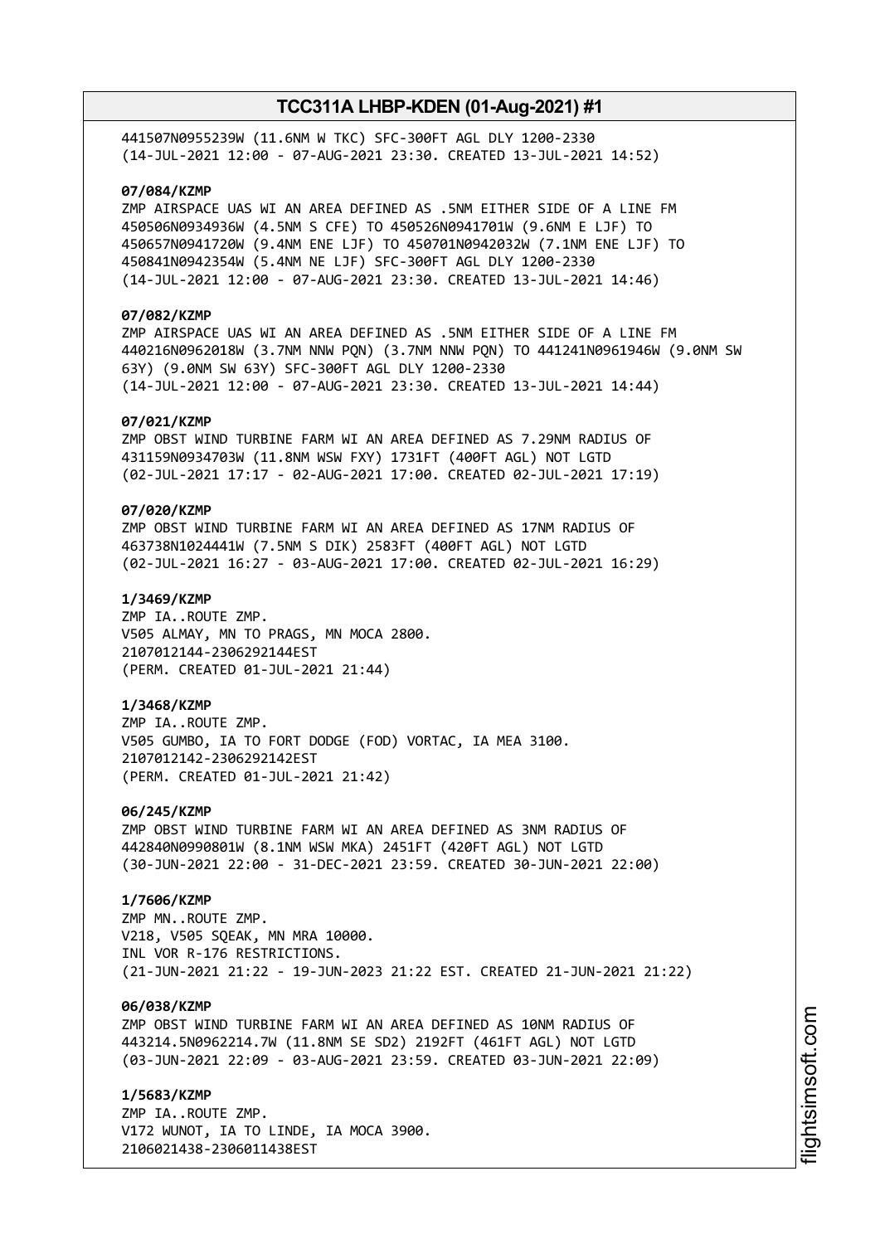441507N0955239W (11.6NM W TKC) SFC-300FT AGL DLY 1200-2330 (14-JUL-2021 12:00 - 07-AUG-2021 23:30. CREATED 13-JUL-2021 14:52)

# **07/084/KZMP**

ZMP AIRSPACE UAS WI AN AREA DEFINED AS .5NM EITHER SIDE OF A LINE FM 450506N0934936W (4.5NM S CFE) TO 450526N0941701W (9.6NM E LJF) TO 450657N0941720W (9.4NM ENE LJF) TO 450701N0942032W (7.1NM ENE LJF) TO 450841N0942354W (5.4NM NE LJF) SFC-300FT AGL DLY 1200-2330 (14-JUL-2021 12:00 - 07-AUG-2021 23:30. CREATED 13-JUL-2021 14:46)

# **07/082/KZMP**

ZMP AIRSPACE UAS WI AN AREA DEFINED AS .5NM EITHER SIDE OF A LINE FM 440216N0962018W (3.7NM NNW PQN) (3.7NM NNW PQN) TO 441241N0961946W (9.0NM SW 63Y) (9.0NM SW 63Y) SFC-300FT AGL DLY 1200-2330 (14-JUL-2021 12:00 - 07-AUG-2021 23:30. CREATED 13-JUL-2021 14:44)

### **07/021/KZMP**

ZMP OBST WIND TURBINE FARM WI AN AREA DEFINED AS 7.29NM RADIUS OF 431159N0934703W (11.8NM WSW FXY) 1731FT (400FT AGL) NOT LGTD (02-JUL-2021 17:17 - 02-AUG-2021 17:00. CREATED 02-JUL-2021 17:19)

# **07/020/KZMP**

ZMP OBST WIND TURBINE FARM WI AN AREA DEFINED AS 17NM RADIUS OF 463738N1024441W (7.5NM S DIK) 2583FT (400FT AGL) NOT LGTD (02-JUL-2021 16:27 - 03-AUG-2021 17:00. CREATED 02-JUL-2021 16:29)

### **1/3469/KZMP**

ZMP IA..ROUTE ZMP. V505 ALMAY, MN TO PRAGS, MN MOCA 2800. 2107012144-2306292144EST (PERM. CREATED 01-JUL-2021 21:44)

### **1/3468/KZMP**

ZMP IA..ROUTE ZMP. V505 GUMBO, IA TO FORT DODGE (FOD) VORTAC, IA MEA 3100. 2107012142-2306292142EST (PERM. CREATED 01-JUL-2021 21:42)

#### **06/245/KZMP**

ZMP OBST WIND TURBINE FARM WI AN AREA DEFINED AS 3NM RADIUS OF 442840N0990801W (8.1NM WSW MKA) 2451FT (420FT AGL) NOT LGTD (30-JUN-2021 22:00 - 31-DEC-2021 23:59. CREATED 30-JUN-2021 22:00)

# **1/7606/KZMP**

ZMP MN..ROUTE ZMP. V218, V505 SQEAK, MN MRA 10000. INL VOR R-176 RESTRICTIONS. (21-JUN-2021 21:22 - 19-JUN-2023 21:22 EST. CREATED 21-JUN-2021 21:22)

### **06/038/KZMP**

ZMP OBST WIND TURBINE FARM WI AN AREA DEFINED AS 10NM RADIUS OF 443214.5N0962214.7W (11.8NM SE SD2) 2192FT (461FT AGL) NOT LGTD (03-JUN-2021 22:09 - 03-AUG-2021 23:59. CREATED 03-JUN-2021 22:09)

**1/5683/KZMP** ZMP IA..ROUTE ZMP. V172 WUNOT, IA TO LINDE, IA MOCA 3900. 2106021438-2306011438EST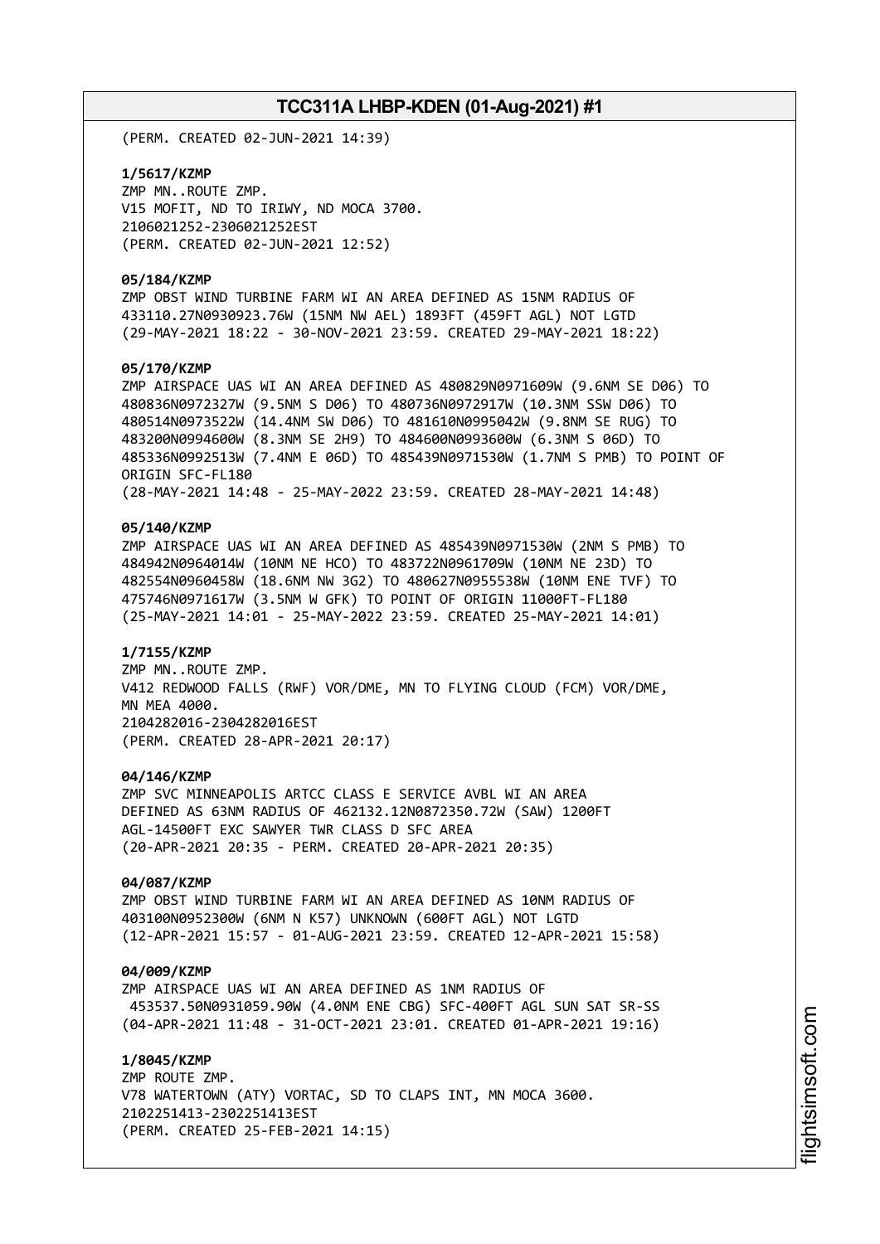(PERM. CREATED 02-JUN-2021 14:39)

**1/5617/KZMP** ZMP MN..ROUTE ZMP. V15 MOFIT, ND TO IRIWY, ND MOCA 3700. 2106021252-2306021252EST (PERM. CREATED 02-JUN-2021 12:52)

### **05/184/KZMP**

ZMP OBST WIND TURBINE FARM WI AN AREA DEFINED AS 15NM RADIUS OF 433110.27N0930923.76W (15NM NW AEL) 1893FT (459FT AGL) NOT LGTD (29-MAY-2021 18:22 - 30-NOV-2021 23:59. CREATED 29-MAY-2021 18:22)

### **05/170/KZMP**

ZMP AIRSPACE UAS WI AN AREA DEFINED AS 480829N0971609W (9.6NM SE D06) TO 480836N0972327W (9.5NM S D06) TO 480736N0972917W (10.3NM SSW D06) TO 480514N0973522W (14.4NM SW D06) TO 481610N0995042W (9.8NM SE RUG) TO 483200N0994600W (8.3NM SE 2H9) TO 484600N0993600W (6.3NM S 06D) TO 485336N0992513W (7.4NM E 06D) TO 485439N0971530W (1.7NM S PMB) TO POINT OF ORIGIN SFC-FL180 (28-MAY-2021 14:48 - 25-MAY-2022 23:59. CREATED 28-MAY-2021 14:48)

### **05/140/KZMP**

ZMP AIRSPACE UAS WI AN AREA DEFINED AS 485439N0971530W (2NM S PMB) TO 484942N0964014W (10NM NE HCO) TO 483722N0961709W (10NM NE 23D) TO 482554N0960458W (18.6NM NW 3G2) TO 480627N0955538W (10NM ENE TVF) TO 475746N0971617W (3.5NM W GFK) TO POINT OF ORIGIN 11000FT-FL180 (25-MAY-2021 14:01 - 25-MAY-2022 23:59. CREATED 25-MAY-2021 14:01)

### **1/7155/KZMP**

ZMP MN..ROUTE ZMP. V412 REDWOOD FALLS (RWF) VOR/DME, MN TO FLYING CLOUD (FCM) VOR/DME, MN MEA 4000. 2104282016-2304282016EST (PERM. CREATED 28-APR-2021 20:17)

### **04/146/KZMP**

ZMP SVC MINNEAPOLIS ARTCC CLASS E SERVICE AVBL WI AN AREA DEFINED AS 63NM RADIUS OF 462132.12N0872350.72W (SAW) 1200FT AGL-14500FT EXC SAWYER TWR CLASS D SFC AREA (20-APR-2021 20:35 - PERM. CREATED 20-APR-2021 20:35)

### **04/087/KZMP**

ZMP OBST WIND TURBINE FARM WI AN AREA DEFINED AS 10NM RADIUS OF 403100N0952300W (6NM N K57) UNKNOWN (600FT AGL) NOT LGTD (12-APR-2021 15:57 - 01-AUG-2021 23:59. CREATED 12-APR-2021 15:58)

### **04/009/KZMP**

ZMP AIRSPACE UAS WI AN AREA DEFINED AS 1NM RADIUS OF 453537.50N0931059.90W (4.0NM ENE CBG) SFC-400FT AGL SUN SAT SR-SS (04-APR-2021 11:48 - 31-OCT-2021 23:01. CREATED 01-APR-2021 19:16)

**1/8045/KZMP** ZMP ROUTE ZMP. V78 WATERTOWN (ATY) VORTAC, SD TO CLAPS INT, MN MOCA 3600. 2102251413-2302251413EST (PERM. CREATED 25-FEB-2021 14:15)

i⊒<br>⊫ htsim soft.c om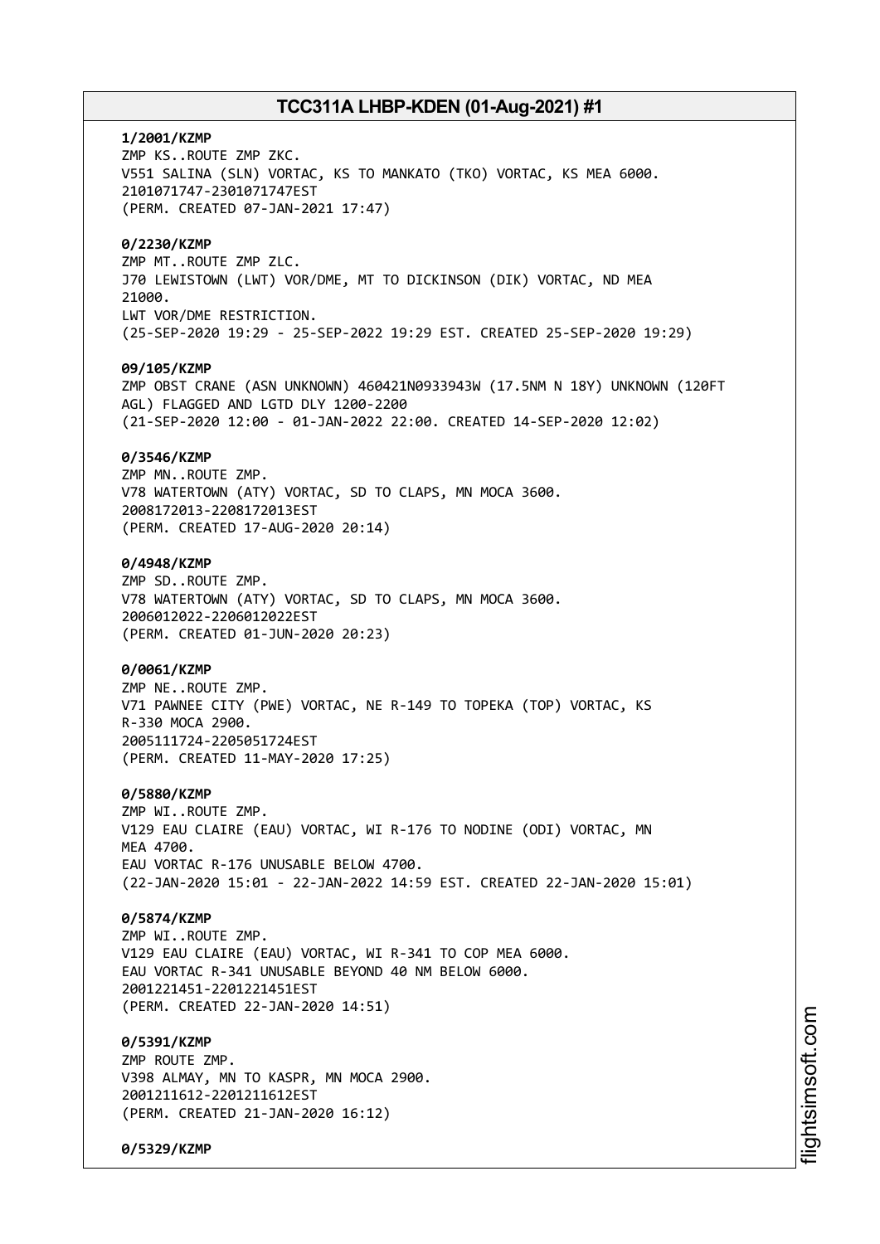**1/2001/KZMP** ZMP KS..ROUTE ZMP ZKC. V551 SALINA (SLN) VORTAC, KS TO MANKATO (TKO) VORTAC, KS MEA 6000. 2101071747-2301071747EST (PERM. CREATED 07-JAN-2021 17:47) **0/2230/KZMP** ZMP MT..ROUTE ZMP ZLC. J70 LEWISTOWN (LWT) VOR/DME, MT TO DICKINSON (DIK) VORTAC, ND MEA 21000. LWT VOR/DME RESTRICTION. (25-SEP-2020 19:29 - 25-SEP-2022 19:29 EST. CREATED 25-SEP-2020 19:29) **09/105/KZMP** ZMP OBST CRANE (ASN UNKNOWN) 460421N0933943W (17.5NM N 18Y) UNKNOWN (120FT AGL) FLAGGED AND LGTD DLY 1200-2200 (21-SEP-2020 12:00 - 01-JAN-2022 22:00. CREATED 14-SEP-2020 12:02) **0/3546/KZMP** ZMP MN..ROUTE ZMP. V78 WATERTOWN (ATY) VORTAC, SD TO CLAPS, MN MOCA 3600. 2008172013-2208172013EST (PERM. CREATED 17-AUG-2020 20:14) **0/4948/KZMP** ZMP SD..ROUTE ZMP. V78 WATERTOWN (ATY) VORTAC, SD TO CLAPS, MN MOCA 3600. 2006012022-2206012022EST (PERM. CREATED 01-JUN-2020 20:23) **0/0061/KZMP** ZMP NE..ROUTE ZMP. V71 PAWNEE CITY (PWE) VORTAC, NE R-149 TO TOPEKA (TOP) VORTAC, KS R-330 MOCA 2900. 2005111724-2205051724EST (PERM. CREATED 11-MAY-2020 17:25) **0/5880/KZMP** ZMP WI..ROUTE ZMP. V129 EAU CLAIRE (EAU) VORTAC, WI R-176 TO NODINE (ODI) VORTAC, MN **MFA 4700** EAU VORTAC R-176 UNUSABLE BELOW 4700. (22-JAN-2020 15:01 - 22-JAN-2022 14:59 EST. CREATED 22-JAN-2020 15:01) **0/5874/KZMP** ZMP WI..ROUTE ZMP. V129 EAU CLAIRE (EAU) VORTAC, WI R-341 TO COP MEA 6000. EAU VORTAC R-341 UNUSABLE BEYOND 40 NM BELOW 6000. 2001221451-2201221451EST (PERM. CREATED 22-JAN-2020 14:51) **0/5391/KZMP** ZMP ROUTE ZMP. V398 ALMAY, MN TO KASPR, MN MOCA 2900. 2001211612-2201211612EST (PERM. CREATED 21-JAN-2020 16:12)

**0/5329/KZMP**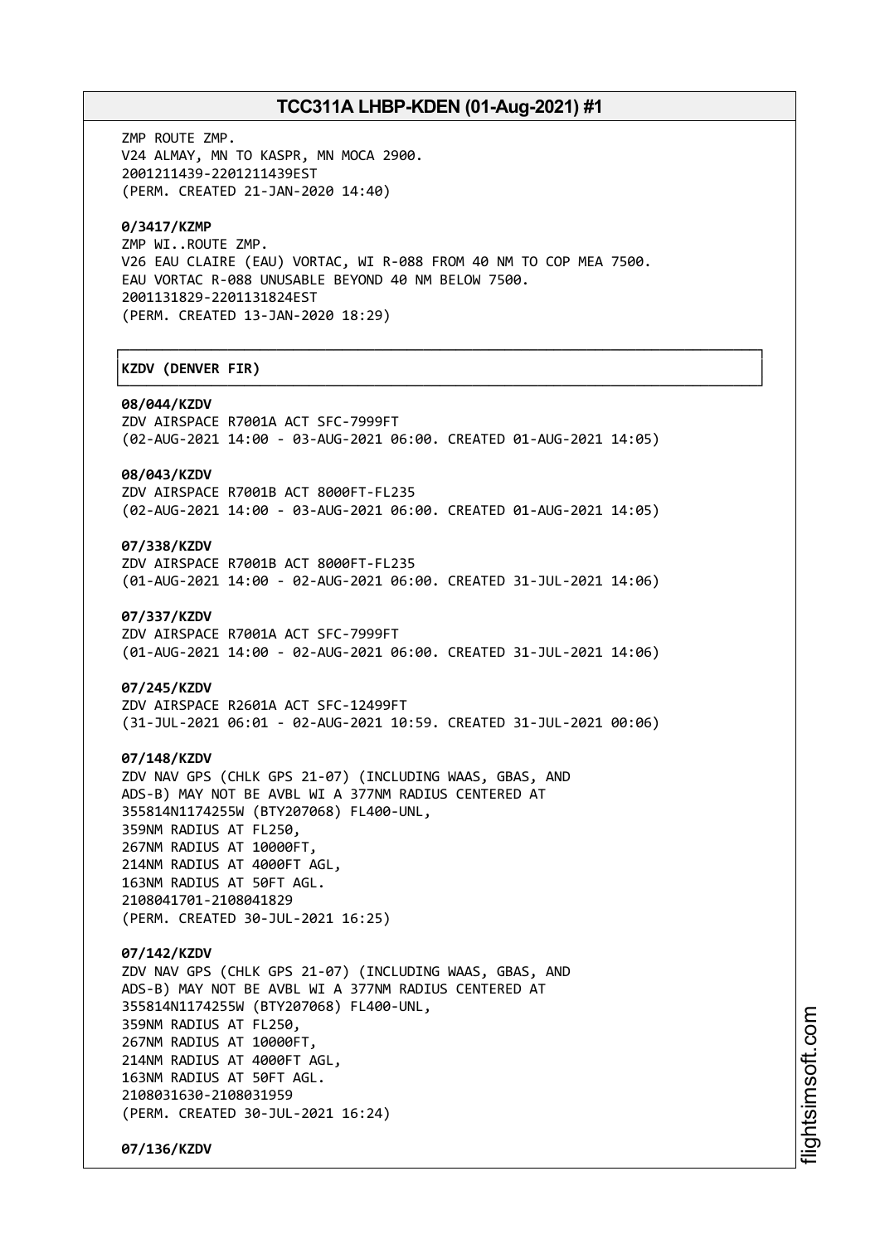┌──────────────────────────────────────────────────────────────────────────────┐

└──────────────────────────────────────────────────────────────────────────────┘

ZMP ROUTE ZMP. V24 ALMAY, MN TO KASPR, MN MOCA 2900. 2001211439-2201211439EST (PERM. CREATED 21-JAN-2020 14:40)

## **0/3417/KZMP**

ZMP WI..ROUTE ZMP. V26 EAU CLAIRE (EAU) VORTAC, WI R-088 FROM 40 NM TO COP MEA 7500. EAU VORTAC R-088 UNUSABLE BEYOND 40 NM BELOW 7500. 2001131829-2201131824EST (PERM. CREATED 13-JAN-2020 18:29)

# │**KZDV (DENVER FIR)** │

#### **08/044/KZDV**

ZDV AIRSPACE R7001A ACT SFC-7999FT (02-AUG-2021 14:00 - 03-AUG-2021 06:00. CREATED 01-AUG-2021 14:05)

# **08/043/KZDV**

ZDV AIRSPACE R7001B ACT 8000FT-FL235 (02-AUG-2021 14:00 - 03-AUG-2021 06:00. CREATED 01-AUG-2021 14:05)

# **07/338/KZDV**

ZDV AIRSPACE R7001B ACT 8000FT-FL235 (01-AUG-2021 14:00 - 02-AUG-2021 06:00. CREATED 31-JUL-2021 14:06)

#### **07/337/KZDV**

ZDV AIRSPACE R7001A ACT SFC-7999FT (01-AUG-2021 14:00 - 02-AUG-2021 06:00. CREATED 31-JUL-2021 14:06)

### **07/245/KZDV**

ZDV AIRSPACE R2601A ACT SFC-12499FT (31-JUL-2021 06:01 - 02-AUG-2021 10:59. CREATED 31-JUL-2021 00:06)

#### **07/148/KZDV**

ZDV NAV GPS (CHLK GPS 21-07) (INCLUDING WAAS, GBAS, AND ADS-B) MAY NOT BE AVBL WI A 377NM RADIUS CENTERED AT 355814N1174255W (BTY207068) FL400-UNL, 359NM RADIUS AT FL250, 267NM RADIUS AT 10000FT, 214NM RADIUS AT 4000FT AGL, 163NM RADIUS AT 50FT AGL. 2108041701-2108041829

(PERM. CREATED 30-JUL-2021 16:25)

# **07/142/KZDV**

ZDV NAV GPS (CHLK GPS 21-07) (INCLUDING WAAS, GBAS, AND ADS-B) MAY NOT BE AVBL WI A 377NM RADIUS CENTERED AT 355814N1174255W (BTY207068) FL400-UNL, 359NM RADIUS AT FL250, 267NM RADIUS AT 10000FT, 214NM RADIUS AT 4000FT AGL, 163NM RADIUS AT 50FT AGL. 2108031630-2108031959 (PERM. CREATED 30-JUL-2021 16:24)

**07/136/KZDV**

i⊒<br>⊫ htsim soft.c om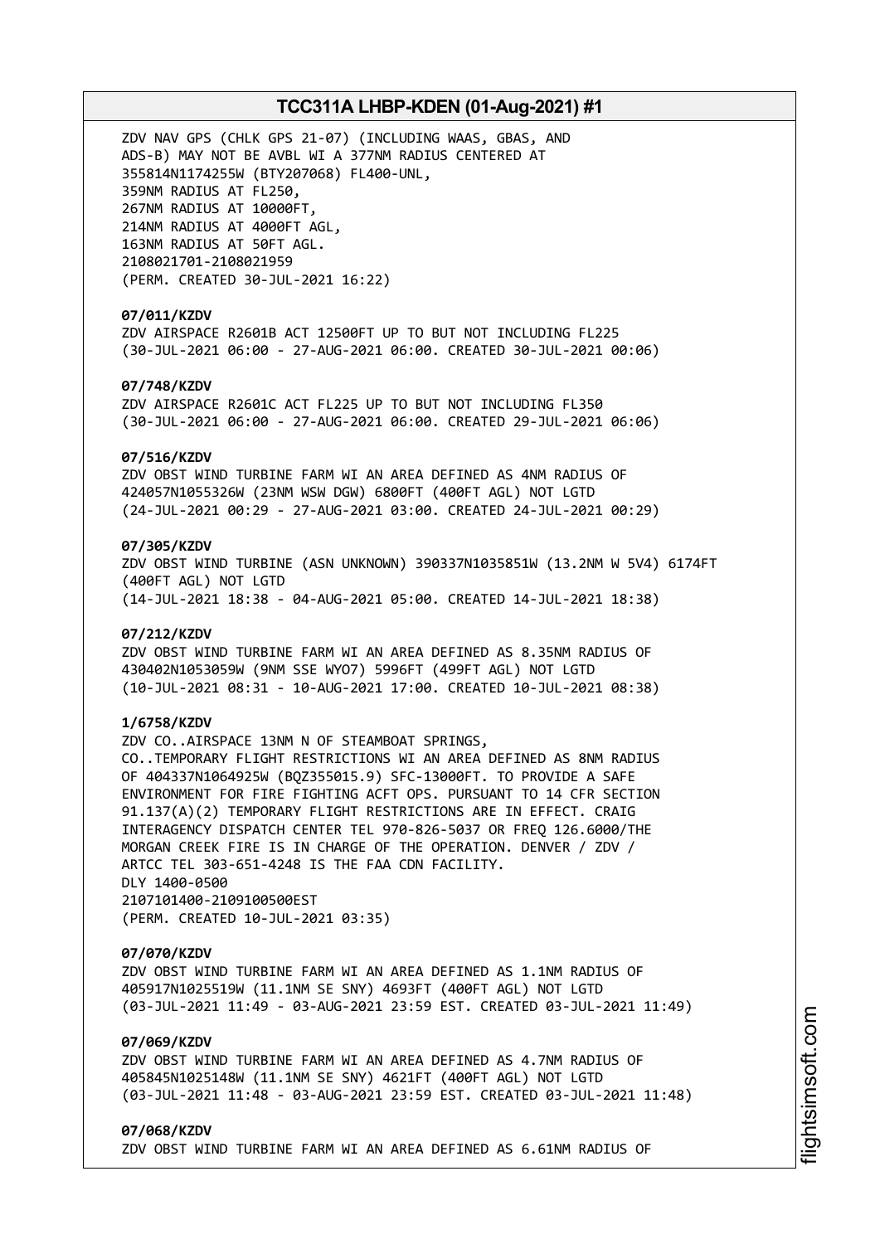ZDV NAV GPS (CHLK GPS 21-07) (INCLUDING WAAS, GBAS, AND ADS-B) MAY NOT BE AVBL WI A 377NM RADIUS CENTERED AT 355814N1174255W (BTY207068) FL400-UNL, 359NM RADIUS AT FL250, 267NM RADIUS AT 10000FT, 214NM RADIUS AT 4000FT AGL, 163NM RADIUS AT 50FT AGL. 2108021701-2108021959 (PERM. CREATED 30-JUL-2021 16:22)

# **07/011/KZDV**

ZDV AIRSPACE R2601B ACT 12500FT UP TO BUT NOT INCLUDING FL225 (30-JUL-2021 06:00 - 27-AUG-2021 06:00. CREATED 30-JUL-2021 00:06)

# **07/748/KZDV**

ZDV AIRSPACE R2601C ACT FL225 UP TO BUT NOT INCLUDING FL350 (30-JUL-2021 06:00 - 27-AUG-2021 06:00. CREATED 29-JUL-2021 06:06)

### **07/516/KZDV**

ZDV OBST WIND TURBINE FARM WI AN AREA DEFINED AS 4NM RADIUS OF 424057N1055326W (23NM WSW DGW) 6800FT (400FT AGL) NOT LGTD (24-JUL-2021 00:29 - 27-AUG-2021 03:00. CREATED 24-JUL-2021 00:29)

# **07/305/KZDV**

ZDV OBST WIND TURBINE (ASN UNKNOWN) 390337N1035851W (13.2NM W 5V4) 6174FT (400FT AGL) NOT LGTD (14-JUL-2021 18:38 - 04-AUG-2021 05:00. CREATED 14-JUL-2021 18:38)

### **07/212/KZDV**

ZDV OBST WIND TURBINE FARM WI AN AREA DEFINED AS 8.35NM RADIUS OF 430402N1053059W (9NM SSE WYO7) 5996FT (499FT AGL) NOT LGTD (10-JUL-2021 08:31 - 10-AUG-2021 17:00. CREATED 10-JUL-2021 08:38)

# **1/6758/KZDV**

ZDV CO..AIRSPACE 13NM N OF STEAMBOAT SPRINGS, CO..TEMPORARY FLIGHT RESTRICTIONS WI AN AREA DEFINED AS 8NM RADIUS OF 404337N1064925W (BQZ355015.9) SFC-13000FT. TO PROVIDE A SAFE ENVIRONMENT FOR FIRE FIGHTING ACFT OPS. PURSUANT TO 14 CFR SECTION 91.137(A)(2) TEMPORARY FLIGHT RESTRICTIONS ARE IN EFFECT. CRAIG INTERAGENCY DISPATCH CENTER TEL 970-826-5037 OR FREQ 126.6000/THE MORGAN CREEK FIRE IS IN CHARGE OF THE OPERATION. DENVER / ZDV / ARTCC TEL 303-651-4248 IS THE FAA CDN FACILITY. DLY 1400-0500 2107101400-2109100500EST (PERM. CREATED 10-JUL-2021 03:35)

#### **07/070/KZDV**

ZDV OBST WIND TURBINE FARM WI AN AREA DEFINED AS 1.1NM RADIUS OF 405917N1025519W (11.1NM SE SNY) 4693FT (400FT AGL) NOT LGTD (03-JUL-2021 11:49 - 03-AUG-2021 23:59 EST. CREATED 03-JUL-2021 11:49)

# **07/069/KZDV**

ZDV OBST WIND TURBINE FARM WI AN AREA DEFINED AS 4.7NM RADIUS OF 405845N1025148W (11.1NM SE SNY) 4621FT (400FT AGL) NOT LGTD (03-JUL-2021 11:48 - 03-AUG-2021 23:59 EST. CREATED 03-JUL-2021 11:48)

# **07/068/KZDV**

ZDV OBST WIND TURBINE FARM WI AN AREA DEFINED AS 6.61NM RADIUS OF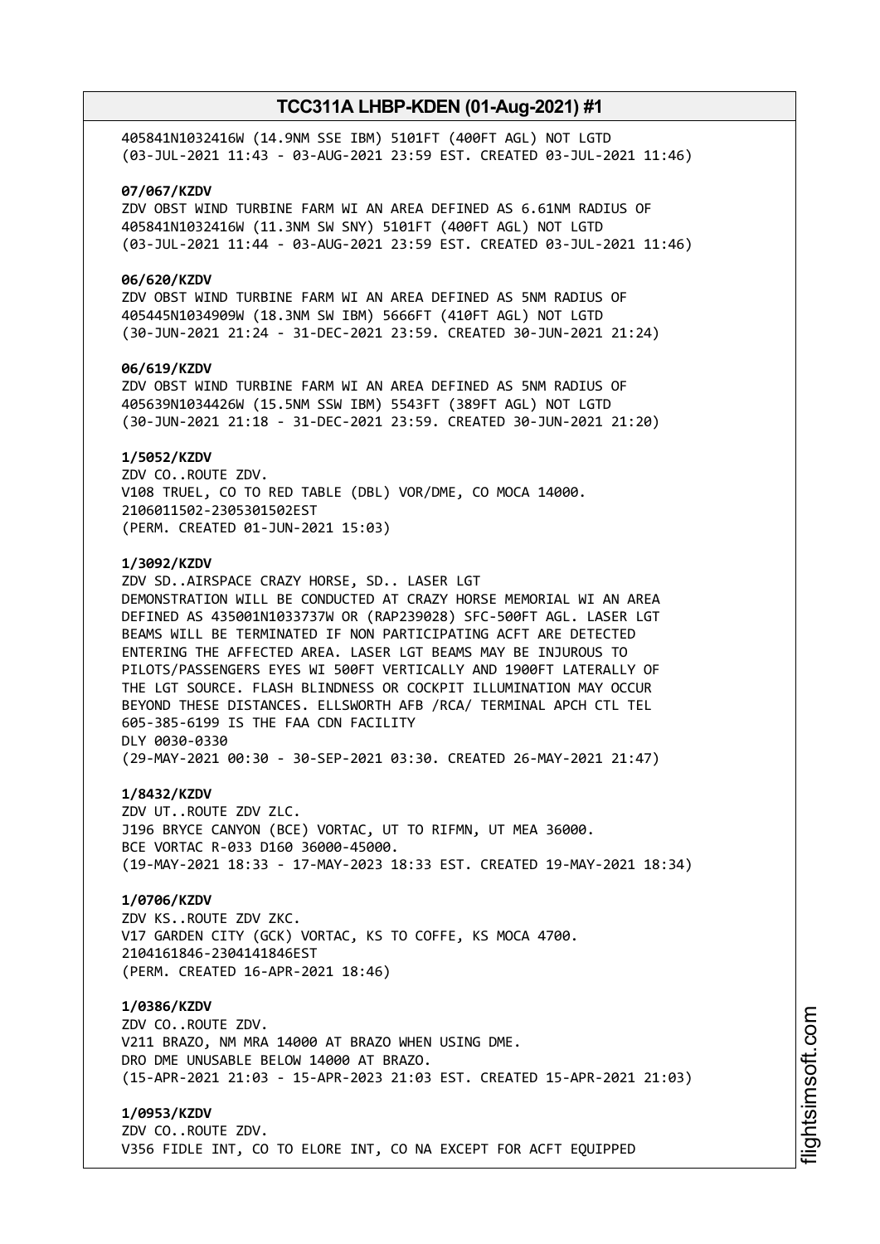405841N1032416W (14.9NM SSE IBM) 5101FT (400FT AGL) NOT LGTD (03-JUL-2021 11:43 - 03-AUG-2021 23:59 EST. CREATED 03-JUL-2021 11:46)

### **07/067/KZDV**

ZDV OBST WIND TURBINE FARM WI AN AREA DEFINED AS 6.61NM RADIUS OF 405841N1032416W (11.3NM SW SNY) 5101FT (400FT AGL) NOT LGTD (03-JUL-2021 11:44 - 03-AUG-2021 23:59 EST. CREATED 03-JUL-2021 11:46)

# **06/620/KZDV**

ZDV OBST WIND TURBINE FARM WI AN AREA DEFINED AS 5NM RADIUS OF 405445N1034909W (18.3NM SW IBM) 5666FT (410FT AGL) NOT LGTD (30-JUN-2021 21:24 - 31-DEC-2021 23:59. CREATED 30-JUN-2021 21:24)

### **06/619/KZDV**

ZDV OBST WIND TURBINE FARM WI AN AREA DEFINED AS 5NM RADIUS OF 405639N1034426W (15.5NM SSW IBM) 5543FT (389FT AGL) NOT LGTD (30-JUN-2021 21:18 - 31-DEC-2021 23:59. CREATED 30-JUN-2021 21:20)

### **1/5052/KZDV**

ZDV CO..ROUTE ZDV. V108 TRUEL, CO TO RED TABLE (DBL) VOR/DME, CO MOCA 14000. 2106011502-2305301502EST (PERM. CREATED 01-JUN-2021 15:03)

### **1/3092/KZDV**

ZDV SD..AIRSPACE CRAZY HORSE, SD.. LASER LGT DEMONSTRATION WILL BE CONDUCTED AT CRAZY HORSE MEMORIAL WI AN AREA DEFINED AS 435001N1033737W OR (RAP239028) SFC-500FT AGL. LASER LGT BEAMS WILL BE TERMINATED IF NON PARTICIPATING ACFT ARE DETECTED ENTERING THE AFFECTED AREA. LASER LGT BEAMS MAY BE INJUROUS TO PILOTS/PASSENGERS EYES WI 500FT VERTICALLY AND 1900FT LATERALLY OF THE LGT SOURCE. FLASH BLINDNESS OR COCKPIT ILLUMINATION MAY OCCUR BEYOND THESE DISTANCES. ELLSWORTH AFB /RCA/ TERMINAL APCH CTL TEL 605-385-6199 IS THE FAA CDN FACILITY DLY 0030-0330 (29-MAY-2021 00:30 - 30-SEP-2021 03:30. CREATED 26-MAY-2021 21:47)

# **1/8432/KZDV**

ZDV UT..ROUTE ZDV ZLC. J196 BRYCE CANYON (BCE) VORTAC, UT TO RIFMN, UT MEA 36000. BCE VORTAC R-033 D160 36000-45000. (19-MAY-2021 18:33 - 17-MAY-2023 18:33 EST. CREATED 19-MAY-2021 18:34)

# **1/0706/KZDV**

ZDV KS..ROUTE ZDV ZKC. V17 GARDEN CITY (GCK) VORTAC, KS TO COFFE, KS MOCA 4700. 2104161846-2304141846EST (PERM. CREATED 16-APR-2021 18:46)

# **1/0386/KZDV**

ZDV CO..ROUTE ZDV. V211 BRAZO, NM MRA 14000 AT BRAZO WHEN USING DME. DRO DME UNUSABLE BELOW 14000 AT BRAZO. (15-APR-2021 21:03 - 15-APR-2023 21:03 EST. CREATED 15-APR-2021 21:03)

# **1/0953/KZDV**

ZDV CO..ROUTE ZDV. V356 FIDLE INT, CO TO ELORE INT, CO NA EXCEPT FOR ACFT EQUIPPED